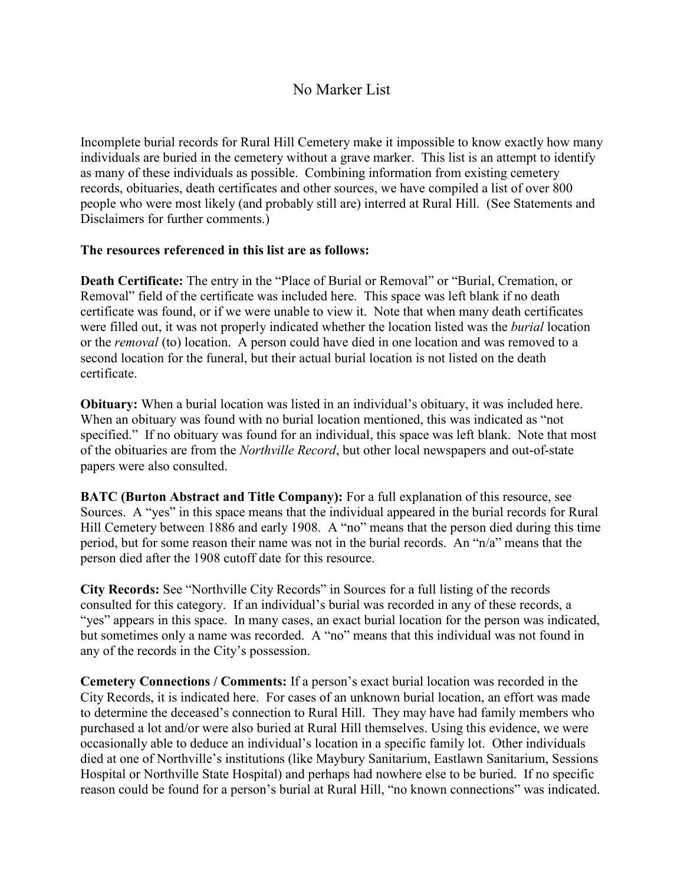## No Marker List

Incomplete burial records for Rural Hill Cemetery make it impossible to know exactly how many individuals are buried in the cemetery without a grave marker. This list is an attempt to identify as many of these individuals as possible. Combining information from existing cemetery records, obituaries, death certificates and other sources, we have compiled a list of over 800 people who were most likely (and probably still are) interred at Rural Hill. (See Statements and Disclaimers for further comments.)

## **The resources referenced in this list are as follows:**

**Death Certificate:** The entry in the "Place of Burial or Removal" or "Burial, Cremation, or Removal" field of the certificate was included here. This space was left blank if no death certificate was found, or if we were unable to view it. Note that when many death certificates were filled out, it was not properly indicated whether the location listed was the *burial* location or the *removal* (to) location. A person could have died in one location and was removed to a second location for the funeral, but their actual burial location is not listed on the death certificate.

**Obituary:** When a burial location was listed in an individual's obituary, it was included here. When an obituary was found with no burial location mentioned, this was indicated as "not specified." If no obituary was found for an individual, this space was left blank. Note that most of the obituaries are from the *Northville Record*, but other local newspapers and out-of-state papers were also consulted.

**BATC (Burton Abstract and Title Company):** For a full explanation of this resource, see Sources. A "yes" in this space means that the individual appeared in the burial records for Rural Hill Cemetery between 1886 and early 1908. A "no" means that the person died during this time period, but for some reason their name was not in the burial records. An "n/a" means that the person died after the 1908 cutoff date for this resource.

**City Records:** See "Northville City Records" in Sources for a full listing of the records consulted for this category. If an individual's burial was recorded in any of these records, a "yes" appears in this space. In many cases, an exact burial location for the person was indicated, but sometimes only a name was recorded. A "no" means that this individual was not found in any of the records in the City's possession.

**Cemetery Connections / Comments:** If a person's exact burial location was recorded in the City Records, it is indicated here. For cases of an unknown burial location, an effort was made to determine the deceased's connection to Rural Hill. They may have had family members who purchased a lot and/or were also buried at Rural Hill themselves. Using this evidence, we were occasionally able to deduce an individual's location in a specific family lot. Other individuals died at one of Northville's institutions (like Maybury Sanitarium, Eastlawn Sanitarium, Sessions Hospital or Northville State Hospital) and perhaps had nowhere else to be buried. If no specific reason could be found for a person's burial at Rural Hill, "no known connections" was indicated.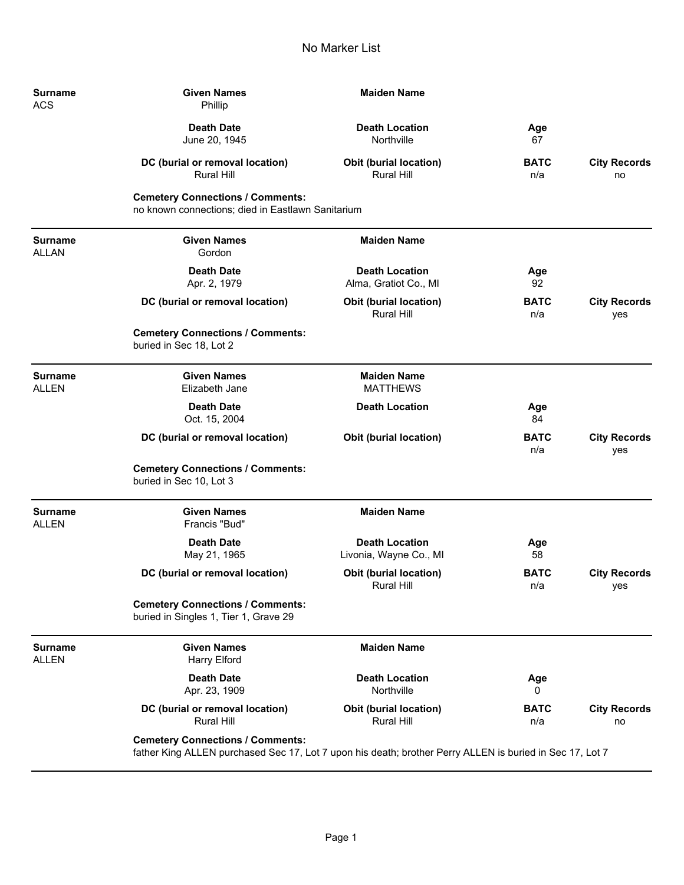| <b>Surname</b><br><b>ACS</b>   | <b>Given Names</b><br>Phillip                                                                                                                       | <b>Maiden Name</b>                                 |                    |                            |
|--------------------------------|-----------------------------------------------------------------------------------------------------------------------------------------------------|----------------------------------------------------|--------------------|----------------------------|
|                                | <b>Death Date</b><br>June 20, 1945                                                                                                                  | <b>Death Location</b><br>Northville                | Age<br>67          |                            |
|                                | DC (burial or removal location)<br><b>Rural Hill</b>                                                                                                | Obit (burial location)<br><b>Rural Hill</b>        | <b>BATC</b><br>n/a | <b>City Records</b><br>no  |
|                                | <b>Cemetery Connections / Comments:</b><br>no known connections; died in Eastlawn Sanitarium                                                        |                                                    |                    |                            |
| <b>Surname</b><br><b>ALLAN</b> | <b>Given Names</b><br>Gordon                                                                                                                        | <b>Maiden Name</b>                                 |                    |                            |
|                                | <b>Death Date</b><br>Apr. 2, 1979                                                                                                                   | <b>Death Location</b><br>Alma, Gratiot Co., MI     | Age<br>92          |                            |
|                                | DC (burial or removal location)                                                                                                                     | Obit (burial location)<br><b>Rural Hill</b>        | <b>BATC</b><br>n/a | <b>City Records</b><br>yes |
|                                | <b>Cemetery Connections / Comments:</b><br>buried in Sec 18, Lot 2                                                                                  |                                                    |                    |                            |
| <b>Surname</b><br><b>ALLEN</b> | <b>Given Names</b><br>Elizabeth Jane                                                                                                                | <b>Maiden Name</b><br><b>MATTHEWS</b>              |                    |                            |
|                                | <b>Death Date</b><br>Oct. 15, 2004                                                                                                                  | <b>Death Location</b>                              | Age<br>84          |                            |
|                                | DC (burial or removal location)                                                                                                                     | <b>Obit (burial location)</b>                      | <b>BATC</b><br>n/a | <b>City Records</b><br>yes |
|                                | <b>Cemetery Connections / Comments:</b><br>buried in Sec 10, Lot 3                                                                                  |                                                    |                    |                            |
| <b>Surname</b><br><b>ALLEN</b> | <b>Given Names</b><br>Francis "Bud"                                                                                                                 | <b>Maiden Name</b>                                 |                    |                            |
|                                | <b>Death Date</b><br>May 21, 1965                                                                                                                   | <b>Death Location</b><br>Livonia, Wayne Co., MI    | Age<br>58          |                            |
|                                | DC (burial or removal location)                                                                                                                     | <b>Obit (burial location)</b><br>Rural Hill        | <b>BATC</b><br>n/a | <b>City Records</b><br>yes |
|                                | <b>Cemetery Connections / Comments:</b><br>buried in Singles 1, Tier 1, Grave 29                                                                    |                                                    |                    |                            |
| <b>Surname</b><br><b>ALLEN</b> | <b>Given Names</b><br><b>Harry Elford</b>                                                                                                           | <b>Maiden Name</b>                                 |                    |                            |
|                                | <b>Death Date</b><br>Apr. 23, 1909                                                                                                                  | <b>Death Location</b><br>Northville                | Age<br>0           |                            |
|                                | DC (burial or removal location)<br>Rural Hill                                                                                                       | <b>Obit (burial location)</b><br><b>Rural Hill</b> | <b>BATC</b><br>n/a | <b>City Records</b><br>no  |
|                                | <b>Cemetery Connections / Comments:</b><br>father King ALLEN purchased Sec 17, Lot 7 upon his death; brother Perry ALLEN is buried in Sec 17, Lot 7 |                                                    |                    |                            |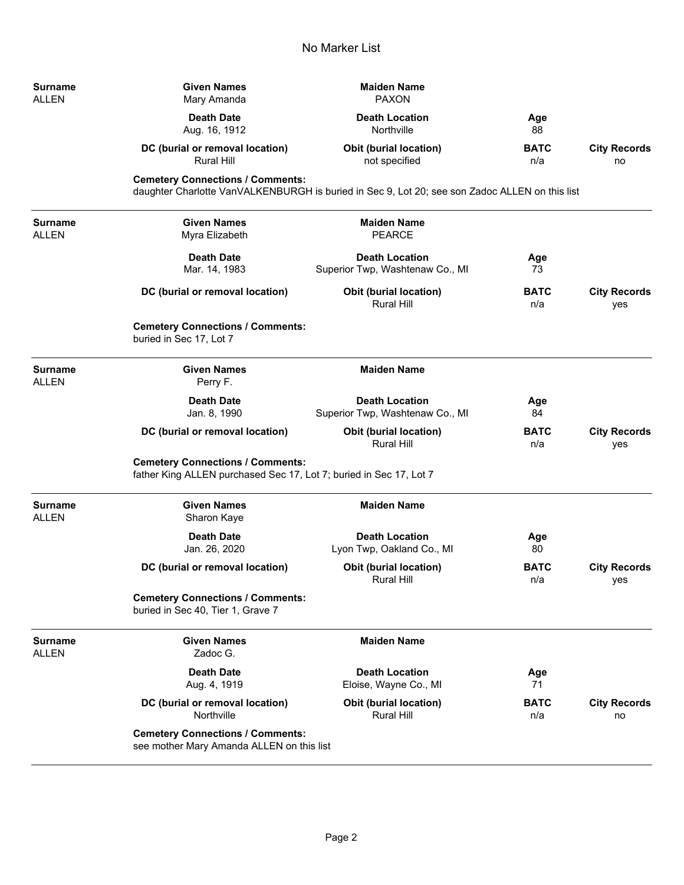| Surname<br>ALLEN               | <b>Given Names</b><br>Mary Amanda                                                                             | <b>Maiden Name</b><br><b>PAXON</b>                                                             |                    |                            |
|--------------------------------|---------------------------------------------------------------------------------------------------------------|------------------------------------------------------------------------------------------------|--------------------|----------------------------|
|                                | <b>Death Date</b><br>Aug. 16, 1912                                                                            | <b>Death Location</b><br>Northville                                                            | Age<br>88          |                            |
|                                | DC (burial or removal location)<br>Rural Hill                                                                 | <b>Obit (burial location)</b><br>not specified                                                 | <b>BATC</b><br>n/a | <b>City Records</b><br>no  |
|                                | <b>Cemetery Connections / Comments:</b>                                                                       | daughter Charlotte VanVALKENBURGH is buried in Sec 9, Lot 20; see son Zadoc ALLEN on this list |                    |                            |
| Surname<br>ALLEN               | <b>Given Names</b><br>Myra Elizabeth                                                                          | <b>Maiden Name</b><br><b>PEARCE</b>                                                            |                    |                            |
|                                | <b>Death Date</b><br>Mar. 14, 1983                                                                            | <b>Death Location</b><br>Superior Twp, Washtenaw Co., MI                                       | Age<br>73          |                            |
|                                | DC (burial or removal location)                                                                               | <b>Obit (burial location)</b><br>Rural Hill                                                    | <b>BATC</b><br>n/a | <b>City Records</b><br>yes |
|                                | <b>Cemetery Connections / Comments:</b><br>buried in Sec 17, Lot 7                                            |                                                                                                |                    |                            |
| <b>Surname</b><br>ALLEN        | <b>Given Names</b><br>Perry F.                                                                                | <b>Maiden Name</b>                                                                             |                    |                            |
|                                | <b>Death Date</b><br>Jan. 8, 1990                                                                             | <b>Death Location</b><br>Superior Twp, Washtenaw Co., MI                                       | Age<br>84          |                            |
|                                | DC (burial or removal location)                                                                               | <b>Obit (burial location)</b><br><b>Rural Hill</b>                                             | <b>BATC</b><br>n/a | <b>City Records</b><br>yes |
|                                | <b>Cemetery Connections / Comments:</b><br>father King ALLEN purchased Sec 17, Lot 7; buried in Sec 17, Lot 7 |                                                                                                |                    |                            |
| <b>Surname</b><br><b>ALLEN</b> | <b>Given Names</b><br>Sharon Kaye                                                                             | <b>Maiden Name</b>                                                                             |                    |                            |
|                                | <b>Death Date</b><br>Jan. 26, 2020                                                                            | <b>Death Location</b><br>Lyon Twp, Oakland Co., MI                                             | Age<br>80          |                            |
|                                | DC (burial or removal location)                                                                               | <b>Obit (burial location)</b><br>Rural Hill                                                    | <b>BATC</b><br>n/a | <b>City Records</b><br>yes |
|                                | <b>Cemetery Connections / Comments:</b><br>buried in Sec 40, Tier 1, Grave 7                                  |                                                                                                |                    |                            |
| <b>Surname</b><br>ALLEN        | <b>Given Names</b><br>Zadoc G.                                                                                | <b>Maiden Name</b>                                                                             |                    |                            |
|                                | <b>Death Date</b><br>Aug. 4, 1919                                                                             | <b>Death Location</b><br>Eloise, Wayne Co., MI                                                 | Age<br>71          |                            |
|                                | DC (burial or removal location)<br>Northville                                                                 | Obit (burial location)<br>Rural Hill                                                           | <b>BATC</b><br>n/a | <b>City Records</b><br>no  |
|                                | <b>Cemetery Connections / Comments:</b><br>see mother Mary Amanda ALLEN on this list                          |                                                                                                |                    |                            |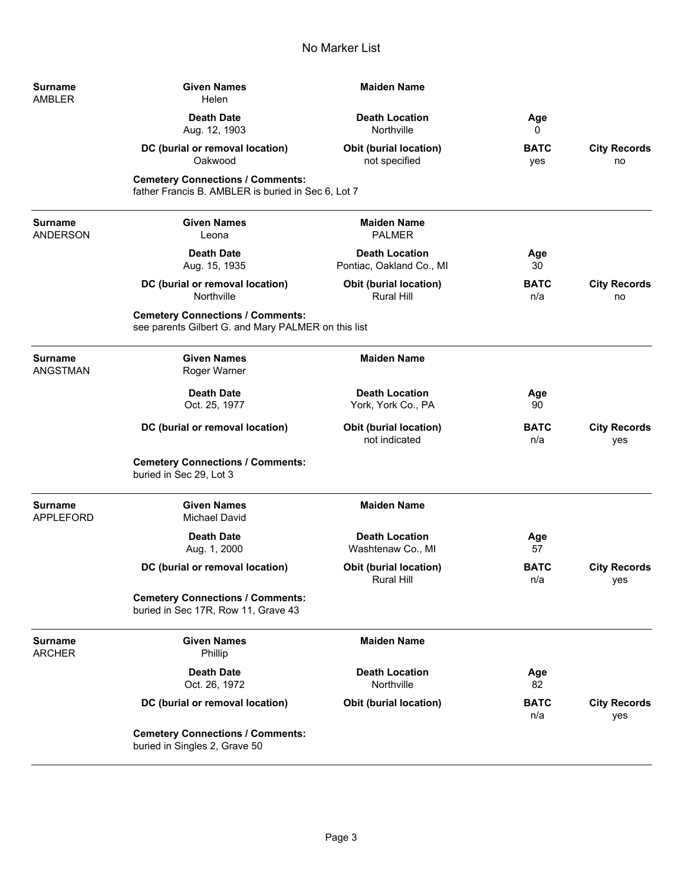| Surname<br>AMBLER           | <b>Given Names</b><br>Helen                                                                    | <b>Maiden Name</b>                                 |                    |                            |
|-----------------------------|------------------------------------------------------------------------------------------------|----------------------------------------------------|--------------------|----------------------------|
|                             | <b>Death Date</b><br>Aug. 12, 1903                                                             | <b>Death Location</b><br>Northville                | Age<br>0           |                            |
|                             | DC (burial or removal location)<br>Oakwood                                                     | <b>Obit (burial location)</b><br>not specified     | <b>BATC</b><br>yes | <b>City Records</b><br>no  |
|                             | <b>Cemetery Connections / Comments:</b><br>father Francis B. AMBLER is buried in Sec 6, Lot 7  |                                                    |                    |                            |
| Surname<br>ANDERSON         | <b>Given Names</b><br>Leona                                                                    | <b>Maiden Name</b><br><b>PALMER</b>                |                    |                            |
|                             | <b>Death Date</b><br>Aug. 15, 1935                                                             | <b>Death Location</b><br>Pontiac, Oakland Co., MI  | Age<br>30          |                            |
|                             | DC (burial or removal location)<br>Northville                                                  | Obit (burial location)<br><b>Rural Hill</b>        | <b>BATC</b><br>n/a | <b>City Records</b><br>no  |
|                             | <b>Cemetery Connections / Comments:</b><br>see parents Gilbert G. and Mary PALMER on this list |                                                    |                    |                            |
| Surname<br>ANGSTMAN         | <b>Given Names</b><br>Roger Warner                                                             | <b>Maiden Name</b>                                 |                    |                            |
|                             | <b>Death Date</b><br>Oct. 25, 1977                                                             | <b>Death Location</b><br>York, York Co., PA        | Age<br>90          |                            |
|                             | DC (burial or removal location)                                                                | <b>Obit (burial location)</b><br>not indicated     | <b>BATC</b><br>n/a | <b>City Records</b><br>yes |
|                             | <b>Cemetery Connections / Comments:</b><br>buried in Sec 29, Lot 3                             |                                                    |                    |                            |
| Surname<br><b>APPLEFORD</b> | <b>Given Names</b><br><b>Michael David</b>                                                     | <b>Maiden Name</b>                                 |                    |                            |
|                             | <b>Death Date</b><br>Aug. 1, 2000                                                              | <b>Death Location</b><br>Washtenaw Co., MI         | Age<br>57          |                            |
|                             | DC (burial or removal location)                                                                | <b>Obit (burial location)</b><br><b>Rural Hill</b> | <b>BATC</b><br>n/a | <b>City Records</b><br>yes |
|                             | <b>Cemetery Connections / Comments:</b><br>buried in Sec 17R, Row 11, Grave 43                 |                                                    |                    |                            |
| Surname<br>ARCHER           | <b>Given Names</b><br>Phillip                                                                  | <b>Maiden Name</b>                                 |                    |                            |
|                             | <b>Death Date</b><br>Oct. 26, 1972                                                             | <b>Death Location</b><br>Northville                | Age<br>82          |                            |
|                             | DC (burial or removal location)                                                                | <b>Obit (burial location)</b>                      | <b>BATC</b><br>n/a | <b>City Records</b><br>yes |
|                             | <b>Cemetery Connections / Comments:</b><br>buried in Singles 2, Grave 50                       |                                                    |                    |                            |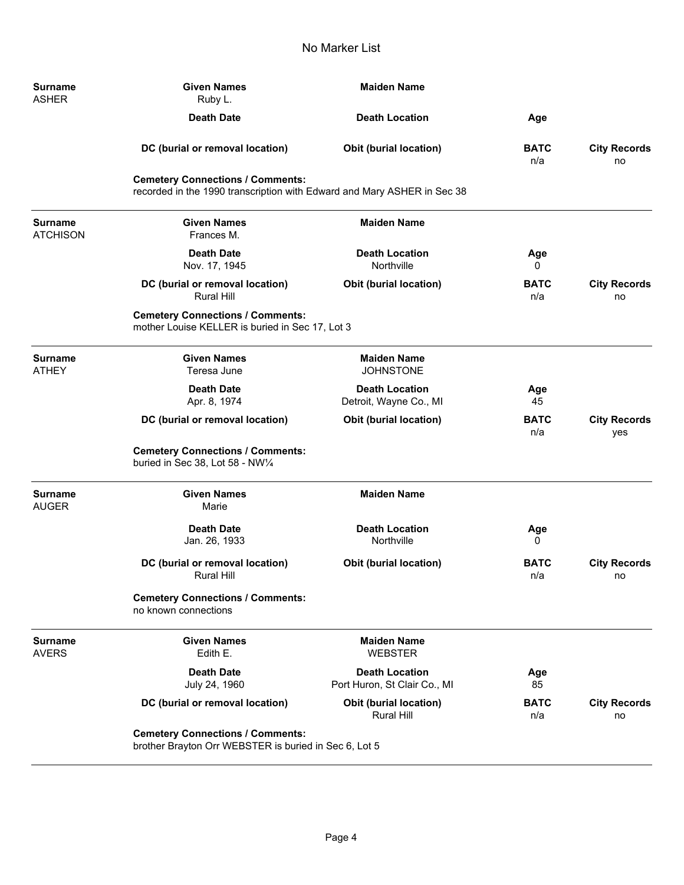| <b>Surname</b><br><b>ASHER</b>    | <b>Given Names</b><br>Ruby L.                                                                                      | <b>Maiden Name</b>                                    |                    |                            |
|-----------------------------------|--------------------------------------------------------------------------------------------------------------------|-------------------------------------------------------|--------------------|----------------------------|
|                                   | <b>Death Date</b>                                                                                                  | <b>Death Location</b>                                 | Age                |                            |
|                                   | DC (burial or removal location)                                                                                    | <b>Obit (burial location)</b>                         | <b>BATC</b><br>n/a | <b>City Records</b><br>no  |
|                                   | <b>Cemetery Connections / Comments:</b><br>recorded in the 1990 transcription with Edward and Mary ASHER in Sec 38 |                                                       |                    |                            |
| <b>Surname</b><br><b>ATCHISON</b> | <b>Given Names</b><br>Frances M.                                                                                   | <b>Maiden Name</b>                                    |                    |                            |
|                                   | <b>Death Date</b><br>Nov. 17, 1945                                                                                 | <b>Death Location</b><br>Northville                   | Age<br>0           |                            |
|                                   | DC (burial or removal location)<br><b>Rural Hill</b>                                                               | <b>Obit (burial location)</b>                         | <b>BATC</b><br>n/a | <b>City Records</b><br>no  |
|                                   | <b>Cemetery Connections / Comments:</b><br>mother Louise KELLER is buried in Sec 17, Lot 3                         |                                                       |                    |                            |
| <b>Surname</b><br><b>ATHEY</b>    | <b>Given Names</b><br>Teresa June                                                                                  | <b>Maiden Name</b><br><b>JOHNSTONE</b>                |                    |                            |
|                                   | <b>Death Date</b><br>Apr. 8, 1974                                                                                  | <b>Death Location</b><br>Detroit, Wayne Co., MI       | Age<br>45          |                            |
|                                   | DC (burial or removal location)                                                                                    | <b>Obit (burial location)</b>                         | <b>BATC</b><br>n/a | <b>City Records</b><br>yes |
|                                   | <b>Cemetery Connections / Comments:</b><br>buried in Sec 38, Lot 58 - NW1/4                                        |                                                       |                    |                            |
| <b>Surname</b><br><b>AUGER</b>    | <b>Given Names</b><br>Marie                                                                                        | <b>Maiden Name</b>                                    |                    |                            |
|                                   | <b>Death Date</b><br>Jan. 26, 1933                                                                                 | <b>Death Location</b><br>Northville                   | Age<br>0           |                            |
|                                   | DC (burial or removal location)<br>Rural Hill                                                                      | <b>Obit (burial location)</b>                         | <b>BATC</b><br>n/a | <b>City Records</b><br>no  |
|                                   | <b>Cemetery Connections / Comments:</b><br>no known connections                                                    |                                                       |                    |                            |
| <b>Surname</b><br><b>AVERS</b>    | <b>Given Names</b><br>Edith E.                                                                                     | <b>Maiden Name</b><br><b>WEBSTER</b>                  |                    |                            |
|                                   | <b>Death Date</b><br>July 24, 1960                                                                                 | <b>Death Location</b><br>Port Huron, St Clair Co., MI | Age<br>85          |                            |
|                                   | DC (burial or removal location)                                                                                    | <b>Obit (burial location)</b><br><b>Rural Hill</b>    | <b>BATC</b><br>n/a | <b>City Records</b><br>no  |
|                                   | <b>Cemetery Connections / Comments:</b><br>brother Brayton Orr WEBSTER is buried in Sec 6, Lot 5                   |                                                       |                    |                            |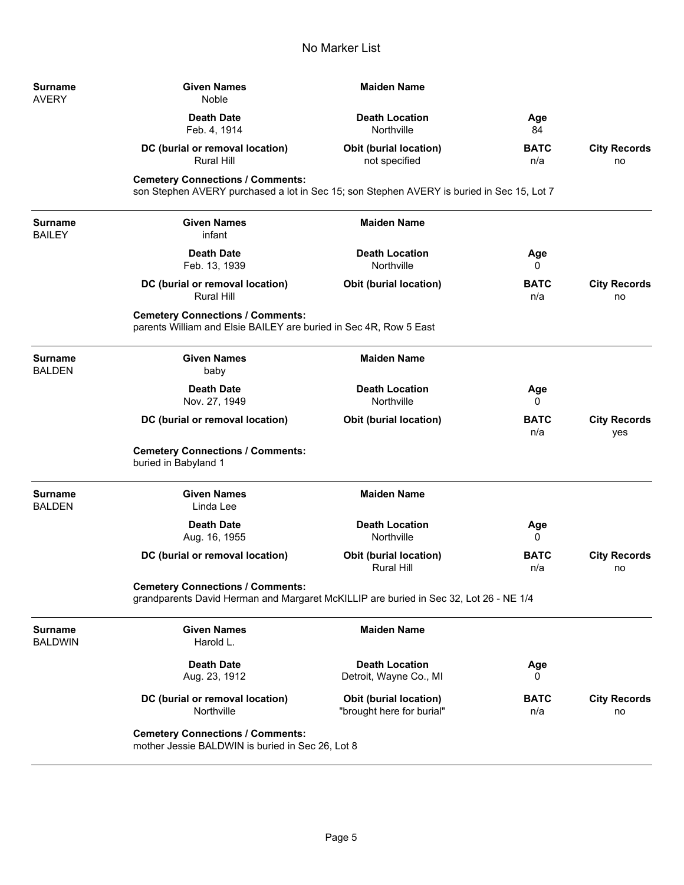| Surname<br><b>AVERY</b>          | <b>Given Names</b><br>Noble                                                                                                          | <b>Maiden Name</b>                                         |                    |                            |
|----------------------------------|--------------------------------------------------------------------------------------------------------------------------------------|------------------------------------------------------------|--------------------|----------------------------|
|                                  | <b>Death Date</b><br>Feb. 4, 1914                                                                                                    | <b>Death Location</b><br>Northville                        | Age<br>84          |                            |
|                                  | DC (burial or removal location)<br><b>Rural Hill</b>                                                                                 | <b>Obit (burial location)</b><br>not specified             | <b>BATC</b><br>n/a | <b>City Records</b><br>no  |
|                                  | <b>Cemetery Connections / Comments:</b><br>son Stephen AVERY purchased a lot in Sec 15; son Stephen AVERY is buried in Sec 15, Lot 7 |                                                            |                    |                            |
| <b>Surname</b><br><b>BAILEY</b>  | <b>Given Names</b><br>infant                                                                                                         | <b>Maiden Name</b>                                         |                    |                            |
|                                  | <b>Death Date</b><br>Feb. 13, 1939                                                                                                   | <b>Death Location</b><br>Northville                        | Age<br>0           |                            |
|                                  | DC (burial or removal location)<br><b>Rural Hill</b>                                                                                 | <b>Obit (burial location)</b>                              | <b>BATC</b><br>n/a | <b>City Records</b><br>no  |
|                                  | <b>Cemetery Connections / Comments:</b><br>parents William and Elsie BAILEY are buried in Sec 4R, Row 5 East                         |                                                            |                    |                            |
| <b>Surname</b><br><b>BALDEN</b>  | <b>Given Names</b><br>baby                                                                                                           | <b>Maiden Name</b>                                         |                    |                            |
|                                  | <b>Death Date</b><br>Nov. 27, 1949                                                                                                   | <b>Death Location</b><br>Northville                        | Age<br>0           |                            |
|                                  | DC (burial or removal location)                                                                                                      | <b>Obit (burial location)</b>                              | <b>BATC</b><br>n/a | <b>City Records</b><br>yes |
|                                  | <b>Cemetery Connections / Comments:</b><br>buried in Babyland 1                                                                      |                                                            |                    |                            |
| <b>Surname</b><br><b>BALDEN</b>  | <b>Given Names</b><br>Linda Lee                                                                                                      | <b>Maiden Name</b>                                         |                    |                            |
|                                  | <b>Death Date</b><br>Aug. 16, 1955                                                                                                   | <b>Death Location</b><br>Northville                        | Age<br>0           |                            |
|                                  | DC (burial or removal location)                                                                                                      | <b>Obit (burial location)</b><br><b>Rural Hill</b>         | <b>BATC</b><br>n/a | <b>City Records</b><br>no  |
|                                  | <b>Cemetery Connections / Comments:</b><br>grandparents David Herman and Margaret McKILLIP are buried in Sec 32, Lot 26 - NE 1/4     |                                                            |                    |                            |
| <b>Surname</b><br><b>BALDWIN</b> | <b>Given Names</b><br>Harold L.                                                                                                      | <b>Maiden Name</b>                                         |                    |                            |
|                                  | <b>Death Date</b><br>Aug. 23, 1912                                                                                                   | <b>Death Location</b><br>Detroit, Wayne Co., MI            | Age<br>0           |                            |
|                                  | DC (burial or removal location)<br>Northville                                                                                        | <b>Obit (burial location)</b><br>"brought here for burial" | <b>BATC</b><br>n/a | <b>City Records</b><br>no  |
|                                  | <b>Cemetery Connections / Comments:</b><br>mother Jessie BALDWIN is buried in Sec 26, Lot 8                                          |                                                            |                    |                            |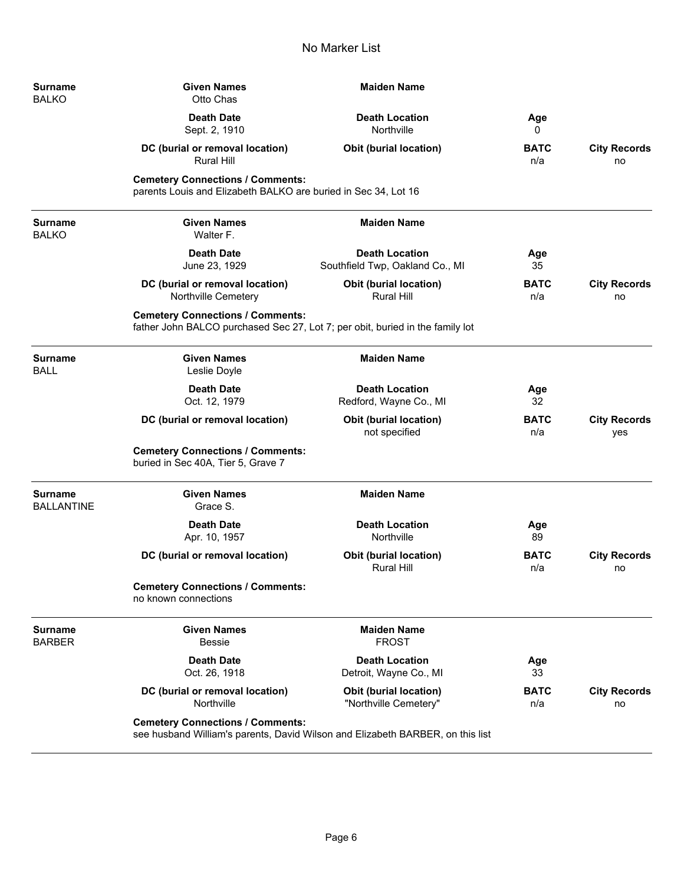| <b>Surname</b><br>BALKO       | <b>Given Names</b><br>Otto Chas                                                                                          | <b>Maiden Name</b>                                                             |                    |                            |
|-------------------------------|--------------------------------------------------------------------------------------------------------------------------|--------------------------------------------------------------------------------|--------------------|----------------------------|
|                               | <b>Death Date</b><br>Sept. 2, 1910                                                                                       | <b>Death Location</b><br>Northville                                            | Age<br>0           |                            |
|                               | DC (burial or removal location)<br><b>Rural Hill</b>                                                                     | <b>Obit (burial location)</b>                                                  | <b>BATC</b><br>n/a | <b>City Records</b><br>no  |
|                               | <b>Cemetery Connections / Comments:</b><br>parents Louis and Elizabeth BALKO are buried in Sec 34, Lot 16                |                                                                                |                    |                            |
| Surname<br><b>BALKO</b>       | <b>Given Names</b><br>Walter F.                                                                                          | <b>Maiden Name</b>                                                             |                    |                            |
|                               | <b>Death Date</b><br>June 23, 1929                                                                                       | <b>Death Location</b><br>Southfield Twp, Oakland Co., MI                       | Age<br>35          |                            |
|                               | DC (burial or removal location)<br>Northville Cemetery                                                                   | <b>Obit (burial location)</b><br><b>Rural Hill</b>                             | <b>BATC</b><br>n/a | <b>City Records</b><br>no  |
|                               | <b>Cemetery Connections / Comments:</b><br>father John BALCO purchased Sec 27, Lot 7; per obit, buried in the family lot |                                                                                |                    |                            |
| <b>Surname</b><br><b>BALL</b> | <b>Given Names</b><br>Leslie Doyle                                                                                       | <b>Maiden Name</b>                                                             |                    |                            |
|                               | <b>Death Date</b><br>Oct. 12, 1979                                                                                       | <b>Death Location</b><br>Redford, Wayne Co., MI                                | Age<br>32          |                            |
|                               | DC (burial or removal location)                                                                                          | <b>Obit (burial location)</b><br>not specified                                 | <b>BATC</b><br>n/a | <b>City Records</b><br>yes |
|                               | <b>Cemetery Connections / Comments:</b><br>buried in Sec 40A, Tier 5, Grave 7                                            |                                                                                |                    |                            |
| Surname<br><b>BALLANTINE</b>  | <b>Given Names</b><br>Grace S.                                                                                           | <b>Maiden Name</b>                                                             |                    |                            |
|                               | <b>Death Date</b><br>Apr. 10, 1957                                                                                       | <b>Death Location</b><br>Northville                                            | Age<br>89          |                            |
|                               | DC (burial or removal location)                                                                                          | Obit (burial location)<br><b>Rural Hill</b>                                    | <b>BATC</b><br>n/a | <b>City Records</b><br>no  |
|                               | <b>Cemetery Connections / Comments:</b><br>no known connections                                                          |                                                                                |                    |                            |
| <b>Surname</b><br>BARBER      | <b>Given Names</b><br><b>Bessie</b>                                                                                      | <b>Maiden Name</b><br><b>FROST</b>                                             |                    |                            |
|                               | <b>Death Date</b><br>Oct. 26, 1918                                                                                       | <b>Death Location</b><br>Detroit, Wayne Co., MI                                | Age<br>33          |                            |
|                               | DC (burial or removal location)<br>Northville                                                                            | Obit (burial location)<br>"Northville Cemetery"                                | <b>BATC</b><br>n/a | <b>City Records</b><br>no  |
|                               | <b>Cemetery Connections / Comments:</b>                                                                                  | see husband William's parents, David Wilson and Elizabeth BARBER, on this list |                    |                            |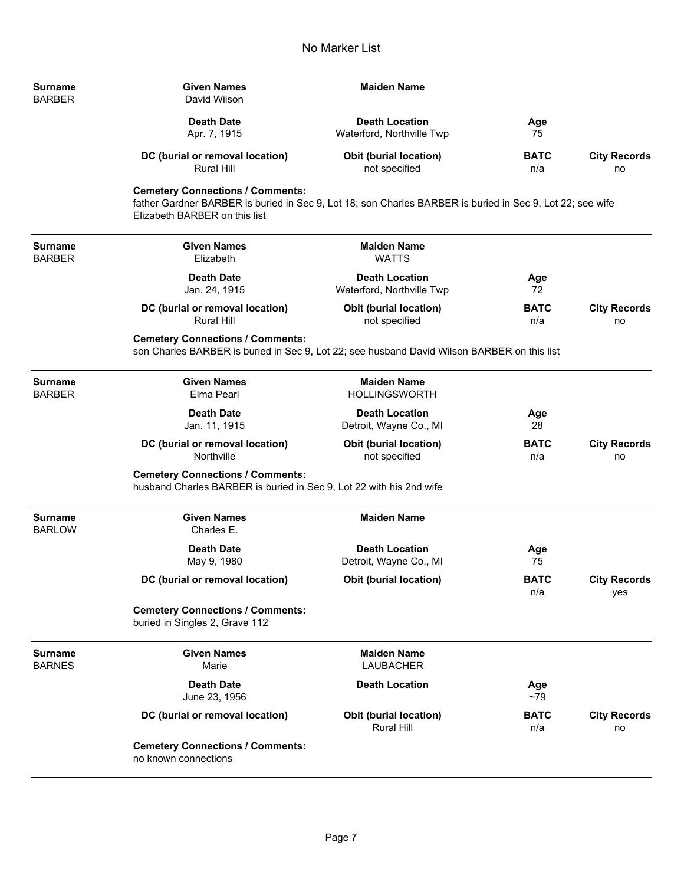| Surname | <b>Given Names</b>              | <b>Maiden Name</b>            |             |                     |
|---------|---------------------------------|-------------------------------|-------------|---------------------|
| BARBER  | David Wilson                    |                               |             |                     |
|         | <b>Death Date</b>               | <b>Death Location</b>         | Age         |                     |
|         | Apr. 7, 1915                    | Waterford, Northville Twp     | 75          |                     |
|         | DC (burial or removal location) | <b>Obit (burial location)</b> | <b>BATC</b> | <b>City Records</b> |
|         | Rural Hill                      | not specified                 | n/a         | no                  |

## **Cemetery Connections / Comments:**

father Gardner BARBER is buried in Sec 9, Lot 18; son Charles BARBER is buried in Sec 9, Lot 22; see wife Elizabeth BARBER on this list

**Surname Given Names Maiden Name**<br> **Given Names Given Name MATTS MATTS** 

**BARBER** 

Elizabeth

**Death Date Death Location Age** Jan. 24, 1915 Waterford, Northville Twp 72

**DC (burial or removal location) Obit (burial location) BATC City Records**<br>Rural Hill **Rund Hill During Durical During During During During During During During During During During During** not specified not not specified not no

**Cemetery Connections / Comments:**

son Charles BARBER is buried in Sec 9, Lot 22; see husband David Wilson BARBER on this list

| Surname<br><b>BARBER</b> | <b>Given Names</b><br>Elma Pearl                                                                               | <b>Maiden Name</b><br><b>HOLLINGSWORTH</b>         |                    |                            |
|--------------------------|----------------------------------------------------------------------------------------------------------------|----------------------------------------------------|--------------------|----------------------------|
|                          | <b>Death Date</b><br>Jan. 11, 1915                                                                             | <b>Death Location</b><br>Detroit, Wayne Co., MI    | Age<br>28          |                            |
|                          | DC (burial or removal location)<br>Northville                                                                  | <b>Obit (burial location)</b><br>not specified     | <b>BATC</b><br>n/a | <b>City Records</b><br>no  |
|                          | <b>Cemetery Connections / Comments:</b><br>husband Charles BARBER is buried in Sec 9, Lot 22 with his 2nd wife |                                                    |                    |                            |
| Surname<br><b>BARLOW</b> | <b>Given Names</b><br>Charles E.                                                                               | <b>Maiden Name</b>                                 |                    |                            |
|                          | <b>Death Date</b><br>May 9, 1980                                                                               | <b>Death Location</b><br>Detroit, Wayne Co., MI    | Age<br>75          |                            |
|                          | DC (burial or removal location)                                                                                | <b>Obit (burial location)</b>                      | <b>BATC</b><br>n/a | <b>City Records</b><br>yes |
|                          | <b>Cemetery Connections / Comments:</b><br>buried in Singles 2, Grave 112                                      |                                                    |                    |                            |
| Surname<br><b>BARNES</b> | <b>Given Names</b><br>Marie                                                                                    | <b>Maiden Name</b><br><b>LAUBACHER</b>             |                    |                            |
|                          | <b>Death Date</b><br>June 23, 1956                                                                             | <b>Death Location</b>                              | Age<br>$~1$ – 79   |                            |
|                          | DC (burial or removal location)                                                                                | <b>Obit (burial location)</b><br><b>Rural Hill</b> | <b>BATC</b><br>n/a | <b>City Records</b><br>no  |
|                          | <b>Cemetery Connections / Comments:</b><br>no known connections                                                |                                                    |                    |                            |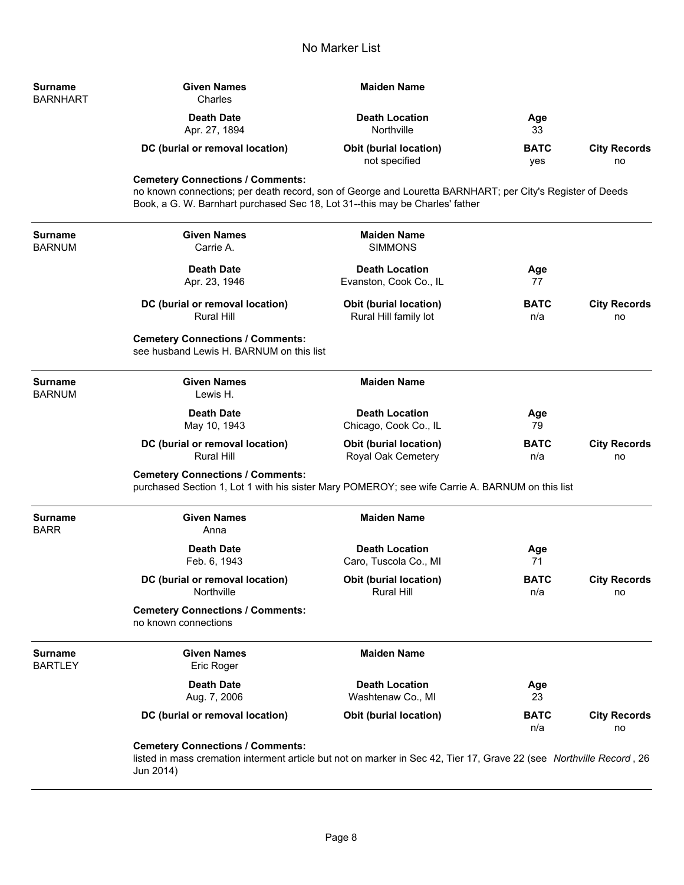| <b>Surname</b><br><b>BARNHART</b> | <b>Given Names</b><br>Charles                                                                                                                                                                                                        | <b>Maiden Name</b>                                     |                    |                           |  |
|-----------------------------------|--------------------------------------------------------------------------------------------------------------------------------------------------------------------------------------------------------------------------------------|--------------------------------------------------------|--------------------|---------------------------|--|
|                                   | <b>Death Date</b><br>Apr. 27, 1894                                                                                                                                                                                                   | <b>Death Location</b><br>Northville                    | Age<br>33          |                           |  |
|                                   | DC (burial or removal location)                                                                                                                                                                                                      | <b>Obit (burial location)</b><br>not specified         | <b>BATC</b><br>yes | <b>City Records</b><br>no |  |
|                                   | <b>Cemetery Connections / Comments:</b><br>no known connections; per death record, son of George and Louretta BARNHART; per City's Register of Deeds<br>Book, a G. W. Barnhart purchased Sec 18, Lot 31--this may be Charles' father |                                                        |                    |                           |  |
| <b>Surname</b><br>BARNUM          | <b>Given Names</b><br>Carrie A.                                                                                                                                                                                                      | <b>Maiden Name</b><br><b>SIMMONS</b>                   |                    |                           |  |
|                                   | <b>Death Date</b><br>Apr. 23, 1946                                                                                                                                                                                                   | <b>Death Location</b><br>Evanston, Cook Co., IL        | Age<br>77          |                           |  |
|                                   | DC (burial or removal location)<br><b>Rural Hill</b>                                                                                                                                                                                 | <b>Obit (burial location)</b><br>Rural Hill family lot | <b>BATC</b><br>n/a | <b>City Records</b><br>no |  |
|                                   | <b>Cemetery Connections / Comments:</b><br>see husband Lewis H. BARNUM on this list                                                                                                                                                  |                                                        |                    |                           |  |
| <b>Surname</b><br>BARNUM          | <b>Given Names</b><br>Lewis H.                                                                                                                                                                                                       | <b>Maiden Name</b>                                     |                    |                           |  |
|                                   | <b>Death Date</b><br>May 10, 1943                                                                                                                                                                                                    | <b>Death Location</b><br>Chicago, Cook Co., IL         | Age<br>79          |                           |  |
|                                   | DC (burial or removal location)<br><b>Rural Hill</b>                                                                                                                                                                                 | <b>Obit (burial location)</b><br>Royal Oak Cemetery    | <b>BATC</b><br>n/a | <b>City Records</b><br>no |  |
|                                   | <b>Cemetery Connections / Comments:</b><br>purchased Section 1, Lot 1 with his sister Mary POMEROY; see wife Carrie A. BARNUM on this list                                                                                           |                                                        |                    |                           |  |
| <b>Surname</b><br><b>BARR</b>     | <b>Given Names</b><br>Anna                                                                                                                                                                                                           | <b>Maiden Name</b>                                     |                    |                           |  |
|                                   | <b>Death Date</b><br>Feb. 6, 1943                                                                                                                                                                                                    | <b>Death Location</b><br>Caro, Tuscola Co., MI         | Age<br>71          |                           |  |
|                                   | DC (burial or removal location)<br>Northville                                                                                                                                                                                        | Obit (burial location)<br><b>Rural Hill</b>            | <b>BATC</b><br>n/a | <b>City Records</b><br>no |  |
|                                   | <b>Cemetery Connections / Comments:</b><br>no known connections                                                                                                                                                                      |                                                        |                    |                           |  |
| <b>Surname</b><br><b>BARTLEY</b>  | <b>Given Names</b><br>Eric Roger                                                                                                                                                                                                     | <b>Maiden Name</b>                                     |                    |                           |  |
|                                   | <b>Death Date</b><br>Aug. 7, 2006                                                                                                                                                                                                    | <b>Death Location</b><br>Washtenaw Co., MI             | Age<br>23          |                           |  |
|                                   | DC (burial or removal location)                                                                                                                                                                                                      | <b>Obit (burial location)</b>                          | <b>BATC</b><br>n/a | <b>City Records</b><br>no |  |
|                                   | <b>Cemetery Connections / Comments:</b>                                                                                                                                                                                              |                                                        |                    |                           |  |

listed in mass cremation interment article but not on marker in Sec 42, Tier 17, Grave 22 (see *Northville Record* , 26 Jun 2014)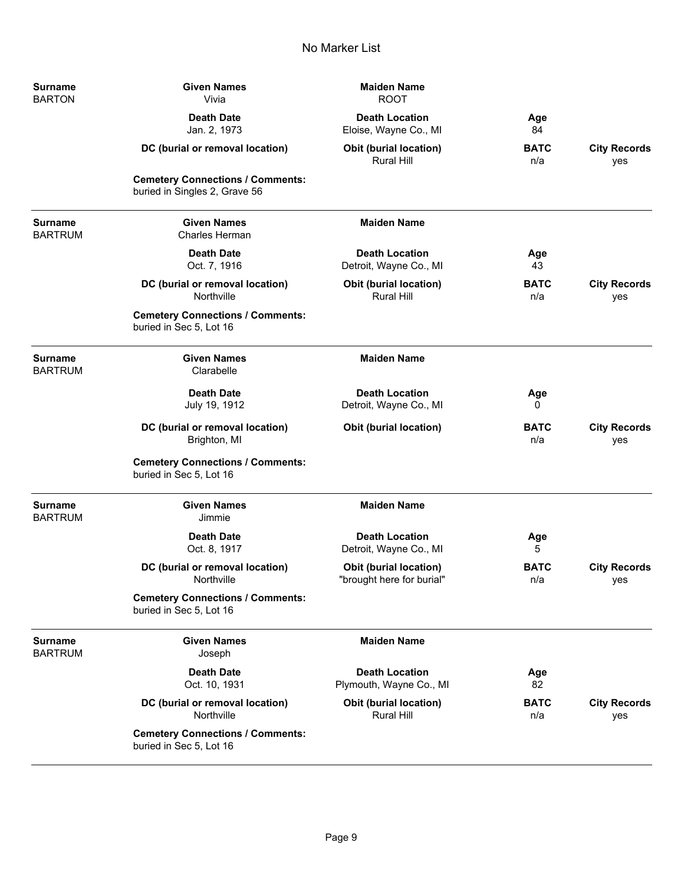| <b>Surname</b><br><b>BARTON</b>  | <b>Given Names</b><br>Vivia                                              | <b>Maiden Name</b><br><b>ROOT</b>                   |                    |                            |
|----------------------------------|--------------------------------------------------------------------------|-----------------------------------------------------|--------------------|----------------------------|
|                                  | <b>Death Date</b><br>Jan. 2, 1973                                        | <b>Death Location</b><br>Eloise, Wayne Co., MI      | Age<br>84          |                            |
|                                  | DC (burial or removal location)                                          | <b>Obit (burial location)</b><br><b>Rural Hill</b>  | <b>BATC</b><br>n/a | <b>City Records</b><br>yes |
|                                  | <b>Cemetery Connections / Comments:</b><br>buried in Singles 2, Grave 56 |                                                     |                    |                            |
| <b>Surname</b><br><b>BARTRUM</b> | <b>Given Names</b><br><b>Charles Herman</b>                              | <b>Maiden Name</b>                                  |                    |                            |
|                                  | <b>Death Date</b><br>Oct. 7, 1916                                        | <b>Death Location</b><br>Detroit, Wayne Co., MI     | Age<br>43          |                            |
|                                  | DC (burial or removal location)<br>Northville                            | <b>Obit (burial location)</b><br><b>Rural Hill</b>  | <b>BATC</b><br>n/a | <b>City Records</b><br>yes |
|                                  | <b>Cemetery Connections / Comments:</b><br>buried in Sec 5, Lot 16       |                                                     |                    |                            |
| <b>Surname</b><br><b>BARTRUM</b> | <b>Given Names</b><br>Clarabelle                                         | <b>Maiden Name</b>                                  |                    |                            |
|                                  | <b>Death Date</b><br>July 19, 1912                                       | <b>Death Location</b><br>Detroit, Wayne Co., MI     | Age<br>0           |                            |
|                                  | DC (burial or removal location)<br>Brighton, MI                          | <b>Obit (burial location)</b>                       | <b>BATC</b><br>n/a | <b>City Records</b><br>yes |
|                                  | <b>Cemetery Connections / Comments:</b><br>buried in Sec 5, Lot 16       |                                                     |                    |                            |
| <b>Surname</b><br><b>BARTRUM</b> | <b>Given Names</b><br>Jimmie                                             | <b>Maiden Name</b>                                  |                    |                            |
|                                  | <b>Death Date</b><br>Oct. 8, 1917                                        | <b>Death Location</b><br>Detroit, Wayne Co., MI     | Age<br>5           |                            |
|                                  | DC (burial or removal location)<br>Northville                            | Obit (burial location)<br>"brought here for burial" | <b>BATC</b><br>n/a | <b>City Records</b><br>yes |
|                                  | <b>Cemetery Connections / Comments:</b><br>buried in Sec 5, Lot 16       |                                                     |                    |                            |
| <b>Surname</b><br><b>BARTRUM</b> | <b>Given Names</b><br>Joseph                                             | <b>Maiden Name</b>                                  |                    |                            |
|                                  | <b>Death Date</b><br>Oct. 10, 1931                                       | <b>Death Location</b><br>Plymouth, Wayne Co., MI    | Age<br>82          |                            |
|                                  | DC (burial or removal location)<br>Northville                            | <b>Obit (burial location)</b><br><b>Rural Hill</b>  | <b>BATC</b><br>n/a | <b>City Records</b><br>yes |
|                                  | <b>Cemetery Connections / Comments:</b><br>buried in Sec 5, Lot 16       |                                                     |                    |                            |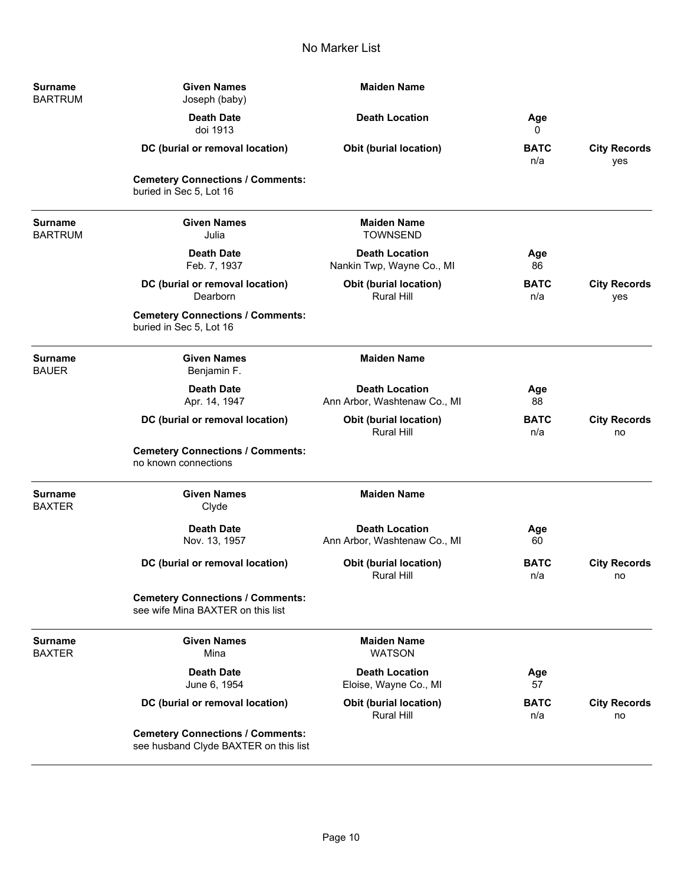| <b>Surname</b><br><b>BARTRUM</b> | <b>Given Names</b><br>Joseph (baby)                                              | <b>Maiden Name</b>                                    |                    |                            |
|----------------------------------|----------------------------------------------------------------------------------|-------------------------------------------------------|--------------------|----------------------------|
|                                  | <b>Death Date</b><br>doi 1913                                                    | <b>Death Location</b>                                 | Age<br>0           |                            |
|                                  | DC (burial or removal location)                                                  | <b>Obit (burial location)</b>                         | <b>BATC</b><br>n/a | <b>City Records</b><br>yes |
|                                  | <b>Cemetery Connections / Comments:</b><br>buried in Sec 5, Lot 16               |                                                       |                    |                            |
| <b>Surname</b><br><b>BARTRUM</b> | <b>Given Names</b><br>Julia                                                      | <b>Maiden Name</b><br><b>TOWNSEND</b>                 |                    |                            |
|                                  | <b>Death Date</b><br>Feb. 7, 1937                                                | <b>Death Location</b><br>Nankin Twp, Wayne Co., MI    | Age<br>86          |                            |
|                                  | DC (burial or removal location)<br>Dearborn                                      | Obit (burial location)<br><b>Rural Hill</b>           | <b>BATC</b><br>n/a | <b>City Records</b><br>yes |
|                                  | <b>Cemetery Connections / Comments:</b><br>buried in Sec 5, Lot 16               |                                                       |                    |                            |
| <b>Surname</b><br><b>BAUER</b>   | <b>Given Names</b><br>Benjamin F.                                                | <b>Maiden Name</b>                                    |                    |                            |
|                                  | <b>Death Date</b><br>Apr. 14, 1947                                               | <b>Death Location</b><br>Ann Arbor, Washtenaw Co., MI | Age<br>88          |                            |
|                                  | DC (burial or removal location)                                                  | Obit (burial location)<br><b>Rural Hill</b>           | <b>BATC</b><br>n/a | <b>City Records</b><br>no  |
|                                  | <b>Cemetery Connections / Comments:</b><br>no known connections                  |                                                       |                    |                            |
| <b>Surname</b><br><b>BAXTER</b>  | <b>Given Names</b><br>Clyde                                                      | <b>Maiden Name</b>                                    |                    |                            |
|                                  | <b>Death Date</b><br>Nov. 13, 1957                                               | <b>Death Location</b><br>Ann Arbor, Washtenaw Co., MI | Age<br>60          |                            |
|                                  | DC (burial or removal location)                                                  | <b>Obit (burial location)</b><br><b>Rural Hill</b>    | <b>BATC</b><br>n/a | <b>City Records</b><br>no  |
|                                  | <b>Cemetery Connections / Comments:</b><br>see wife Mina BAXTER on this list     |                                                       |                    |                            |
| <b>Surname</b><br><b>BAXTER</b>  | <b>Given Names</b><br>Mina                                                       | <b>Maiden Name</b><br><b>WATSON</b>                   |                    |                            |
|                                  | <b>Death Date</b><br>June 6, 1954                                                | <b>Death Location</b><br>Eloise, Wayne Co., MI        | Age<br>57          |                            |
|                                  | DC (burial or removal location)                                                  | <b>Obit (burial location)</b><br><b>Rural Hill</b>    | <b>BATC</b><br>n/a | <b>City Records</b><br>no  |
|                                  | <b>Cemetery Connections / Comments:</b><br>see husband Clyde BAXTER on this list |                                                       |                    |                            |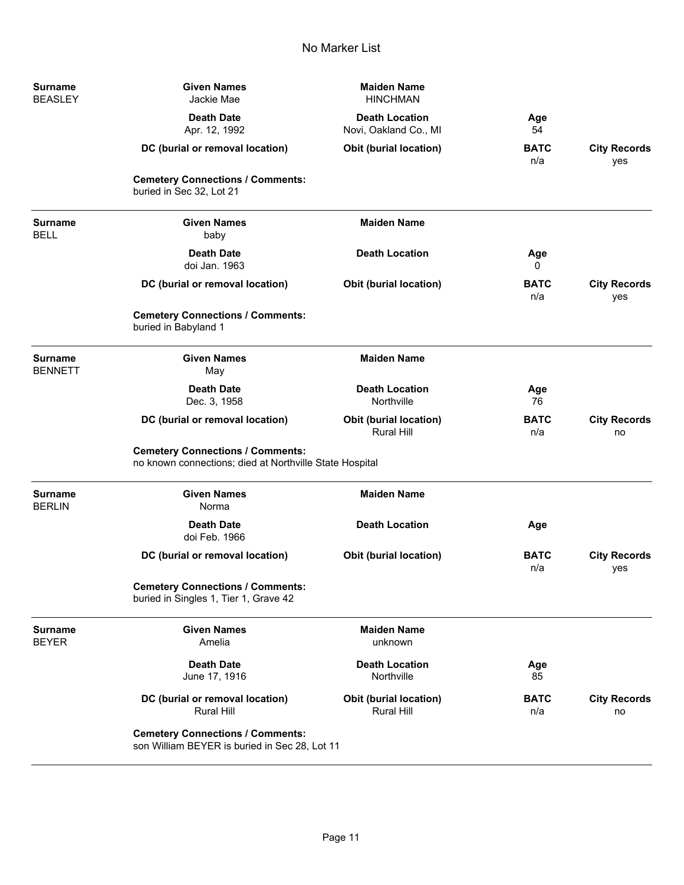| Surname<br><b>BEASLEY</b>        | <b>Given Names</b><br>Jackie Mae                                                                   | <b>Maiden Name</b><br><b>HINCHMAN</b>              |                    |                            |
|----------------------------------|----------------------------------------------------------------------------------------------------|----------------------------------------------------|--------------------|----------------------------|
|                                  | <b>Death Date</b><br>Apr. 12, 1992                                                                 | <b>Death Location</b><br>Novi, Oakland Co., MI     | Age<br>54          |                            |
|                                  | DC (burial or removal location)                                                                    | Obit (burial location)                             | <b>BATC</b><br>n/a | <b>City Records</b><br>yes |
|                                  | <b>Cemetery Connections / Comments:</b><br>buried in Sec 32, Lot 21                                |                                                    |                    |                            |
| <b>Surname</b><br><b>BELL</b>    | <b>Given Names</b><br>baby                                                                         | <b>Maiden Name</b>                                 |                    |                            |
|                                  | <b>Death Date</b><br>doi Jan. 1963                                                                 | <b>Death Location</b>                              | Age<br>0           |                            |
|                                  | DC (burial or removal location)                                                                    | Obit (burial location)                             | <b>BATC</b><br>n/a | <b>City Records</b><br>yes |
|                                  | <b>Cemetery Connections / Comments:</b><br>buried in Babyland 1                                    |                                                    |                    |                            |
| <b>Surname</b><br><b>BENNETT</b> | <b>Given Names</b><br>May                                                                          | <b>Maiden Name</b>                                 |                    |                            |
|                                  | <b>Death Date</b><br>Dec. 3, 1958                                                                  | <b>Death Location</b><br>Northville                | Age<br>76          |                            |
|                                  | DC (burial or removal location)                                                                    | <b>Obit (burial location)</b><br><b>Rural Hill</b> | <b>BATC</b><br>n/a | <b>City Records</b><br>no  |
|                                  | <b>Cemetery Connections / Comments:</b><br>no known connections; died at Northville State Hospital |                                                    |                    |                            |
| <b>Surname</b><br><b>BERLIN</b>  | <b>Given Names</b><br>Norma                                                                        | <b>Maiden Name</b>                                 |                    |                            |
|                                  | <b>Death Date</b><br>doi Feb. 1966                                                                 | <b>Death Location</b>                              | Age                |                            |
|                                  | DC (burial or removal location)                                                                    | Obit (burial location)                             | <b>BATC</b><br>n/a | <b>City Records</b><br>yes |
|                                  | <b>Cemetery Connections / Comments:</b><br>buried in Singles 1, Tier 1, Grave 42                   |                                                    |                    |                            |
| <b>Surname</b><br><b>BEYER</b>   | <b>Given Names</b><br>Amelia                                                                       | <b>Maiden Name</b><br>unknown                      |                    |                            |
|                                  | <b>Death Date</b><br>June 17, 1916                                                                 | <b>Death Location</b><br>Northville                | Age<br>85          |                            |
|                                  | DC (burial or removal location)<br>Rural Hill                                                      | Obit (burial location)<br>Rural Hill               | <b>BATC</b><br>n/a | <b>City Records</b><br>no  |
|                                  | <b>Cemetery Connections / Comments:</b><br>son William BEYER is buried in Sec 28, Lot 11           |                                                    |                    |                            |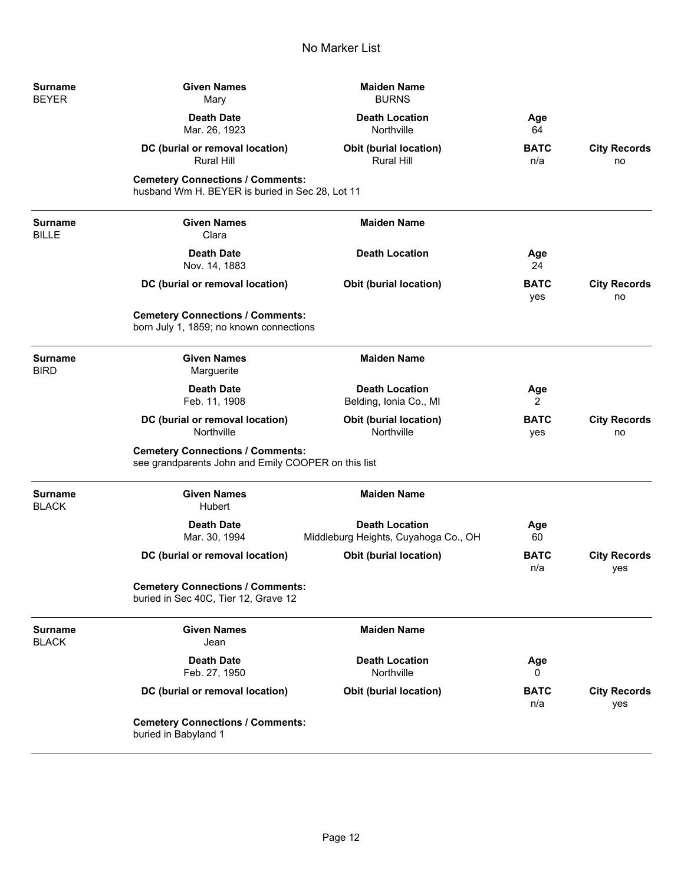| <b>Surname</b><br><b>BEYER</b> | <b>Given Names</b><br>Mary                                                                     | <b>Maiden Name</b><br><b>BURNS</b>                            |                       |                            |
|--------------------------------|------------------------------------------------------------------------------------------------|---------------------------------------------------------------|-----------------------|----------------------------|
|                                | <b>Death Date</b><br>Mar. 26, 1923                                                             | <b>Death Location</b><br>Northville                           | Age<br>64             |                            |
|                                | DC (burial or removal location)<br><b>Rural Hill</b>                                           | <b>Obit (burial location)</b><br><b>Rural Hill</b>            | <b>BATC</b><br>n/a    | <b>City Records</b><br>no  |
|                                | <b>Cemetery Connections / Comments:</b><br>husband Wm H. BEYER is buried in Sec 28, Lot 11     |                                                               |                       |                            |
| <b>Surname</b><br><b>BILLE</b> | <b>Given Names</b><br>Clara                                                                    | <b>Maiden Name</b>                                            |                       |                            |
|                                | <b>Death Date</b><br>Nov. 14, 1883                                                             | <b>Death Location</b>                                         | Age<br>24             |                            |
|                                | DC (burial or removal location)                                                                | <b>Obit (burial location)</b>                                 | <b>BATC</b><br>yes    | <b>City Records</b><br>no  |
|                                | <b>Cemetery Connections / Comments:</b><br>born July 1, 1859; no known connections             |                                                               |                       |                            |
| <b>Surname</b><br><b>BIRD</b>  | <b>Given Names</b><br>Marguerite                                                               | <b>Maiden Name</b>                                            |                       |                            |
|                                | <b>Death Date</b><br>Feb. 11, 1908                                                             | <b>Death Location</b><br>Belding, Ionia Co., MI               | Age<br>$\overline{2}$ |                            |
|                                | DC (burial or removal location)<br>Northville                                                  | Obit (burial location)<br>Northville                          | <b>BATC</b><br>yes    | <b>City Records</b><br>no  |
|                                | <b>Cemetery Connections / Comments:</b><br>see grandparents John and Emily COOPER on this list |                                                               |                       |                            |
| <b>Surname</b><br><b>BLACK</b> | <b>Given Names</b><br>Hubert                                                                   | <b>Maiden Name</b>                                            |                       |                            |
|                                | <b>Death Date</b><br>Mar. 30, 1994                                                             | <b>Death Location</b><br>Middleburg Heights, Cuyahoga Co., OH | Age<br>60             |                            |
|                                | DC (burial or removal location)                                                                | <b>Obit (burial location)</b>                                 | <b>BATC</b><br>n/a    | <b>City Records</b><br>yes |
|                                | <b>Cemetery Connections / Comments:</b><br>buried in Sec 40C, Tier 12, Grave 12                |                                                               |                       |                            |
| <b>Surname</b><br><b>BLACK</b> | <b>Given Names</b><br>Jean                                                                     | <b>Maiden Name</b>                                            |                       |                            |
|                                | <b>Death Date</b><br>Feb. 27, 1950                                                             | <b>Death Location</b><br>Northville                           | Age<br>$_{0}$         |                            |
|                                | DC (burial or removal location)                                                                | <b>Obit (burial location)</b>                                 | <b>BATC</b><br>n/a    | <b>City Records</b><br>yes |
|                                | <b>Cemetery Connections / Comments:</b><br>buried in Babyland 1                                |                                                               |                       |                            |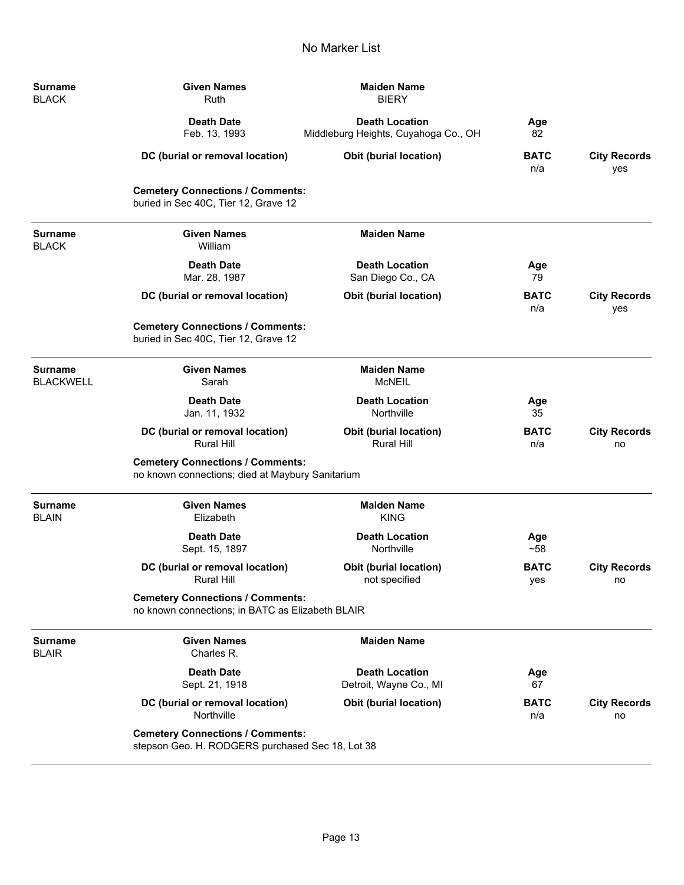-

÷

÷

| Surname                     | <b>Given Names</b>                                                                          | <b>Maiden Name</b>                                            |                    |                            |  |
|-----------------------------|---------------------------------------------------------------------------------------------|---------------------------------------------------------------|--------------------|----------------------------|--|
| <b>BLACK</b>                | Ruth                                                                                        | <b>BIERY</b>                                                  |                    |                            |  |
|                             | <b>Death Date</b><br>Feb. 13, 1993                                                          | <b>Death Location</b><br>Middleburg Heights, Cuyahoga Co., OH | Age<br>82          |                            |  |
|                             | DC (burial or removal location)                                                             | <b>Obit (burial location)</b>                                 | <b>BATC</b><br>n/a | <b>City Records</b><br>yes |  |
|                             | <b>Cemetery Connections / Comments:</b><br>buried in Sec 40C, Tier 12, Grave 12             |                                                               |                    |                            |  |
| Surname<br>BLACK            | <b>Given Names</b><br>William                                                               | <b>Maiden Name</b>                                            |                    |                            |  |
|                             | <b>Death Date</b><br>Mar. 28, 1987                                                          | <b>Death Location</b><br>San Diego Co., CA                    | Age<br>79          |                            |  |
|                             | DC (burial or removal location)                                                             | Obit (burial location)                                        | <b>BATC</b><br>n/a | <b>City Records</b><br>yes |  |
|                             | <b>Cemetery Connections / Comments:</b><br>buried in Sec 40C, Tier 12, Grave 12             |                                                               |                    |                            |  |
| Surname<br><b>BLACKWELL</b> | <b>Given Names</b><br>Sarah                                                                 | <b>Maiden Name</b><br><b>McNEIL</b>                           |                    |                            |  |
|                             | <b>Death Date</b><br>Jan. 11, 1932                                                          | <b>Death Location</b><br>Northville                           | Age<br>35          |                            |  |
|                             | DC (burial or removal location)<br><b>Rural Hill</b>                                        | <b>Obit (burial location)</b><br><b>Rural Hill</b>            | <b>BATC</b><br>n/a | <b>City Records</b><br>no  |  |
|                             | <b>Cemetery Connections / Comments:</b><br>no known connections; died at Maybury Sanitarium |                                                               |                    |                            |  |
| <b>Surname</b><br>BLAIN     | <b>Given Names</b><br>Elizabeth                                                             | <b>Maiden Name</b><br><b>KING</b>                             |                    |                            |  |
|                             | <b>Death Date</b><br>Sept. 15, 1897                                                         | <b>Death Location</b><br>Northville                           | Age<br>~58         |                            |  |
|                             | DC (burial or removal location)<br><b>Rural Hill</b>                                        | <b>Obit (burial location)</b><br>not specified                | <b>BATC</b><br>yes | <b>City Records</b><br>no  |  |
|                             | <b>Cemetery Connections / Comments:</b><br>no known connections; in BATC as Elizabeth BLAIR |                                                               |                    |                            |  |
| Surname<br><b>BLAIR</b>     | <b>Given Names</b><br>Charles R.                                                            | <b>Maiden Name</b>                                            |                    |                            |  |
|                             | <b>Death Date</b><br>Sept. 21, 1918                                                         | <b>Death Location</b><br>Detroit, Wayne Co., MI               | Age<br>67          |                            |  |
|                             | DC (burial or removal location)<br>Northville                                               | <b>Obit (burial location)</b>                                 | <b>BATC</b><br>n/a | <b>City Records</b><br>no  |  |
|                             | <b>Cemetery Connections / Comments:</b><br>stepson Geo. H. RODGERS purchased Sec 18, Lot 38 |                                                               |                    |                            |  |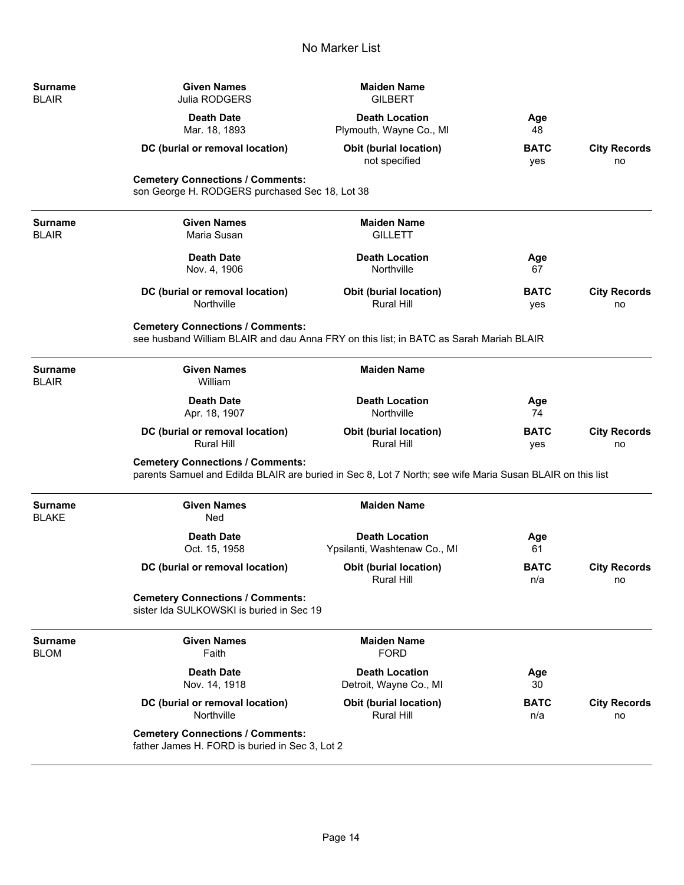| <b>Surname</b><br><b>BLAIR</b> | <b>Given Names</b><br>Julia RODGERS                                                                                                                  | <b>Maiden Name</b><br><b>GILBERT</b>                  |                    |                           |
|--------------------------------|------------------------------------------------------------------------------------------------------------------------------------------------------|-------------------------------------------------------|--------------------|---------------------------|
|                                | <b>Death Date</b><br>Mar. 18, 1893                                                                                                                   | <b>Death Location</b><br>Plymouth, Wayne Co., MI      | Age<br>48          |                           |
|                                | DC (burial or removal location)                                                                                                                      | <b>Obit (burial location)</b><br>not specified        | <b>BATC</b><br>yes | <b>City Records</b><br>no |
|                                | <b>Cemetery Connections / Comments:</b><br>son George H. RODGERS purchased Sec 18, Lot 38                                                            |                                                       |                    |                           |
| <b>Surname</b><br><b>BLAIR</b> | <b>Given Names</b><br>Maria Susan                                                                                                                    | <b>Maiden Name</b><br><b>GILLETT</b>                  |                    |                           |
|                                | <b>Death Date</b><br>Nov. 4, 1906                                                                                                                    | <b>Death Location</b><br>Northville                   | Age<br>67          |                           |
|                                | DC (burial or removal location)<br>Northville                                                                                                        | Obit (burial location)<br><b>Rural Hill</b>           | <b>BATC</b><br>yes | <b>City Records</b><br>no |
|                                | <b>Cemetery Connections / Comments:</b><br>see husband William BLAIR and dau Anna FRY on this list; in BATC as Sarah Mariah BLAIR                    |                                                       |                    |                           |
| <b>Surname</b><br><b>BLAIR</b> | <b>Given Names</b><br>William                                                                                                                        | <b>Maiden Name</b>                                    |                    |                           |
|                                | <b>Death Date</b><br>Apr. 18, 1907                                                                                                                   | <b>Death Location</b><br>Northville                   | Age<br>74          |                           |
|                                | DC (burial or removal location)<br><b>Rural Hill</b>                                                                                                 | <b>Obit (burial location)</b><br><b>Rural Hill</b>    | <b>BATC</b><br>yes | <b>City Records</b><br>no |
|                                | <b>Cemetery Connections / Comments:</b><br>parents Samuel and Edilda BLAIR are buried in Sec 8, Lot 7 North; see wife Maria Susan BLAIR on this list |                                                       |                    |                           |
| <b>Surname</b><br><b>BLAKE</b> | <b>Given Names</b><br>Ned                                                                                                                            | <b>Maiden Name</b>                                    |                    |                           |
|                                | <b>Death Date</b><br>Oct. 15, 1958                                                                                                                   | <b>Death Location</b><br>Ypsilanti, Washtenaw Co., MI | Age<br>61          |                           |
|                                | DC (burial or removal location)                                                                                                                      | <b>Obit (burial location)</b><br>Rural Hill           | <b>BATC</b><br>n/a | <b>City Records</b><br>no |
|                                | <b>Cemetery Connections / Comments:</b><br>sister Ida SULKOWSKI is buried in Sec 19                                                                  |                                                       |                    |                           |
| <b>Surname</b><br><b>BLOM</b>  | <b>Given Names</b><br>Faith                                                                                                                          | <b>Maiden Name</b><br><b>FORD</b>                     |                    |                           |
|                                | <b>Death Date</b><br>Nov. 14, 1918                                                                                                                   | <b>Death Location</b><br>Detroit, Wayne Co., MI       | Age<br>30          |                           |
|                                | DC (burial or removal location)<br>Northville                                                                                                        | <b>Obit (burial location)</b><br><b>Rural Hill</b>    | <b>BATC</b><br>n/a | <b>City Records</b><br>no |
|                                | <b>Cemetery Connections / Comments:</b><br>father James H. FORD is buried in Sec 3, Lot 2                                                            |                                                       |                    |                           |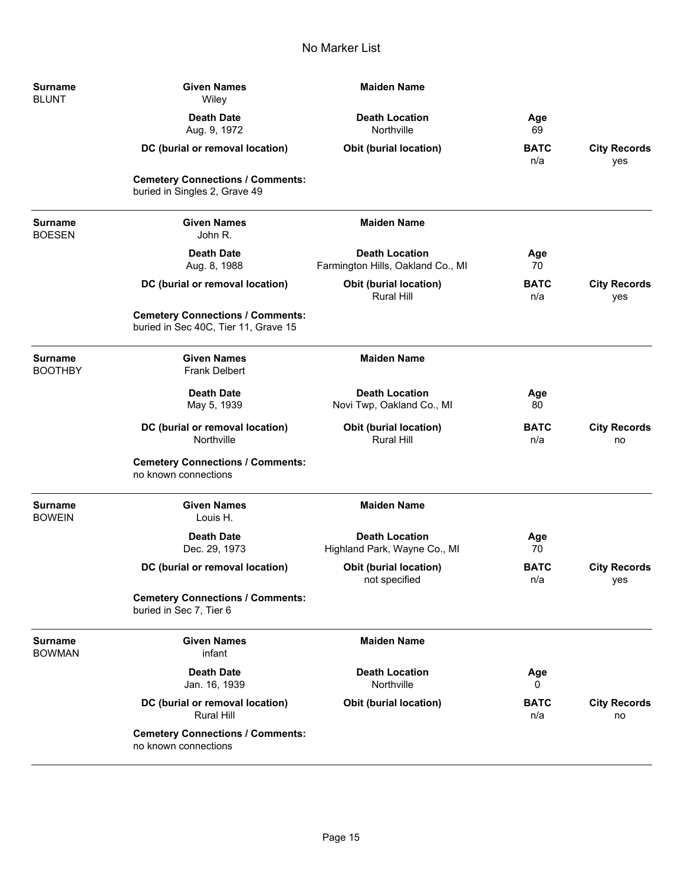| <b>Surname</b><br><b>BLUNT</b>   | <b>Given Names</b><br>Wiley                                                     | <b>Maiden Name</b>                                         |                    |                            |
|----------------------------------|---------------------------------------------------------------------------------|------------------------------------------------------------|--------------------|----------------------------|
|                                  | <b>Death Date</b><br>Aug. 9, 1972                                               | <b>Death Location</b><br>Northville                        | Age<br>69          |                            |
|                                  | DC (burial or removal location)                                                 | <b>Obit (burial location)</b>                              | <b>BATC</b><br>n/a | <b>City Records</b><br>yes |
|                                  | <b>Cemetery Connections / Comments:</b><br>buried in Singles 2, Grave 49        |                                                            |                    |                            |
| <b>Surname</b><br><b>BOESEN</b>  | <b>Given Names</b><br>John R.                                                   | <b>Maiden Name</b>                                         |                    |                            |
|                                  | <b>Death Date</b><br>Aug. 8, 1988                                               | <b>Death Location</b><br>Farmington Hills, Oakland Co., MI | Age<br>70          |                            |
|                                  | DC (burial or removal location)                                                 | <b>Obit (burial location)</b><br><b>Rural Hill</b>         | <b>BATC</b><br>n/a | <b>City Records</b><br>yes |
|                                  | <b>Cemetery Connections / Comments:</b><br>buried in Sec 40C, Tier 11, Grave 15 |                                                            |                    |                            |
| <b>Surname</b><br><b>BOOTHBY</b> | <b>Given Names</b><br><b>Frank Delbert</b>                                      | <b>Maiden Name</b>                                         |                    |                            |
|                                  | <b>Death Date</b><br>May 5, 1939                                                | <b>Death Location</b><br>Novi Twp, Oakland Co., MI         | Age<br>80          |                            |
|                                  | DC (burial or removal location)<br>Northville                                   | <b>Obit (burial location)</b><br><b>Rural Hill</b>         | <b>BATC</b><br>n/a | <b>City Records</b><br>no  |
|                                  | <b>Cemetery Connections / Comments:</b><br>no known connections                 |                                                            |                    |                            |
| <b>Surname</b><br><b>BOWEIN</b>  | <b>Given Names</b><br>Louis H.                                                  | <b>Maiden Name</b>                                         |                    |                            |
|                                  | <b>Death Date</b><br>Dec. 29, 1973                                              | <b>Death Location</b><br>Highland Park, Wayne Co., MI      | Age<br>70          |                            |
|                                  | DC (burial or removal location)                                                 | <b>Obit (burial location)</b><br>not specified             | <b>BATC</b><br>n/a | <b>City Records</b><br>yes |
|                                  | <b>Cemetery Connections / Comments:</b><br>buried in Sec 7, Tier 6              |                                                            |                    |                            |
| <b>Surname</b><br><b>BOWMAN</b>  | <b>Given Names</b><br>infant                                                    | <b>Maiden Name</b>                                         |                    |                            |
|                                  | <b>Death Date</b><br>Jan. 16, 1939                                              | <b>Death Location</b><br>Northville                        | Age<br>0           |                            |
|                                  | DC (burial or removal location)<br><b>Rural Hill</b>                            | <b>Obit (burial location)</b>                              | <b>BATC</b><br>n/a | <b>City Records</b><br>no  |
|                                  | <b>Cemetery Connections / Comments:</b><br>no known connections                 |                                                            |                    |                            |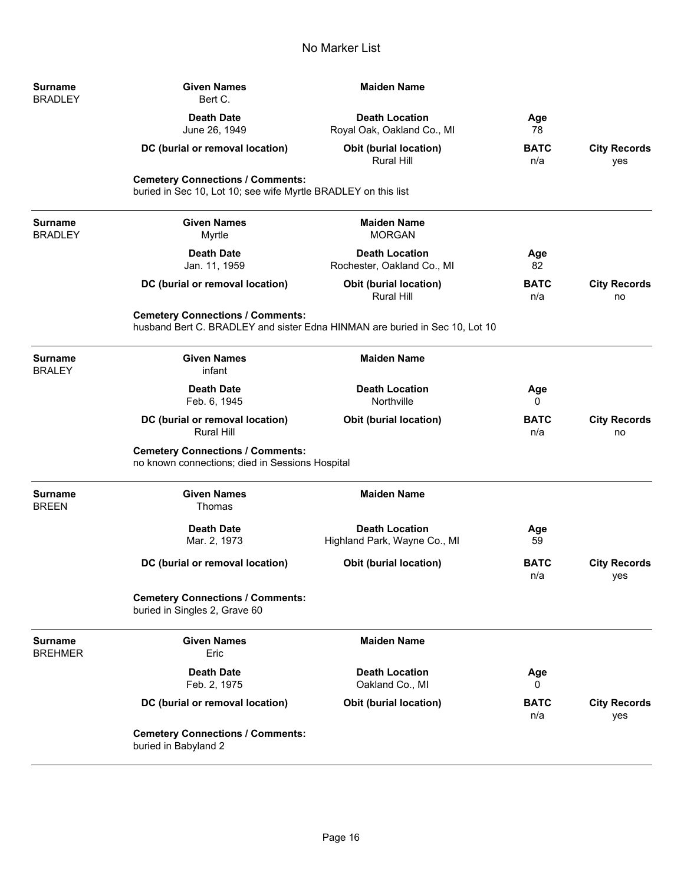-

-

 $\overline{\phantom{a}}$ 

÷

| Surname<br><b>BRADLEY</b>        | <b>Given Names</b><br>Bert C.                                                                                          | <b>Maiden Name</b>                                    |                    |                            |
|----------------------------------|------------------------------------------------------------------------------------------------------------------------|-------------------------------------------------------|--------------------|----------------------------|
|                                  | <b>Death Date</b><br>June 26, 1949                                                                                     | <b>Death Location</b><br>Royal Oak, Oakland Co., MI   | Age<br>78          |                            |
|                                  | DC (burial or removal location)                                                                                        | <b>Obit (burial location)</b><br><b>Rural Hill</b>    | <b>BATC</b><br>n/a | <b>City Records</b><br>yes |
|                                  | <b>Cemetery Connections / Comments:</b><br>buried in Sec 10, Lot 10; see wife Myrtle BRADLEY on this list              |                                                       |                    |                            |
| <b>Surname</b><br><b>BRADLEY</b> | <b>Given Names</b><br>Myrtle                                                                                           | <b>Maiden Name</b><br><b>MORGAN</b>                   |                    |                            |
|                                  | <b>Death Date</b><br>Jan. 11, 1959                                                                                     | <b>Death Location</b><br>Rochester, Oakland Co., MI   | Age<br>82          |                            |
|                                  | DC (burial or removal location)                                                                                        | <b>Obit (burial location)</b><br><b>Rural Hill</b>    | <b>BATC</b><br>n/a | <b>City Records</b><br>no  |
|                                  | <b>Cemetery Connections / Comments:</b><br>husband Bert C. BRADLEY and sister Edna HINMAN are buried in Sec 10, Lot 10 |                                                       |                    |                            |
| Surname<br><b>BRALEY</b>         | <b>Given Names</b><br>infant                                                                                           | <b>Maiden Name</b>                                    |                    |                            |
|                                  | <b>Death Date</b><br>Feb. 6, 1945                                                                                      | <b>Death Location</b><br>Northville                   | Age<br>0           |                            |
|                                  | DC (burial or removal location)<br><b>Rural Hill</b>                                                                   | <b>Obit (burial location)</b>                         | <b>BATC</b><br>n/a | <b>City Records</b><br>no  |
|                                  | <b>Cemetery Connections / Comments:</b><br>no known connections; died in Sessions Hospital                             |                                                       |                    |                            |
| <b>Surname</b><br>BREEN          | <b>Given Names</b><br>Thomas                                                                                           | <b>Maiden Name</b>                                    |                    |                            |
|                                  | <b>Death Date</b><br>Mar. 2, 1973                                                                                      | <b>Death Location</b><br>Highland Park, Wayne Co., MI | Age<br>59          |                            |
|                                  | DC (burial or removal location)                                                                                        | <b>Obit (burial location)</b>                         | <b>BATC</b><br>n/a | <b>City Records</b><br>yes |
|                                  | <b>Cemetery Connections / Comments:</b><br>buried in Singles 2, Grave 60                                               |                                                       |                    |                            |
| <b>Surname</b><br><b>BREHMER</b> | <b>Given Names</b><br>Eric                                                                                             | <b>Maiden Name</b>                                    |                    |                            |
|                                  | <b>Death Date</b><br>Feb. 2, 1975                                                                                      | <b>Death Location</b><br>Oakland Co., MI              | Age<br>0           |                            |
|                                  | DC (burial or removal location)                                                                                        | Obit (burial location)                                | <b>BATC</b><br>n/a | <b>City Records</b><br>yes |
|                                  | <b>Cemetery Connections / Comments:</b><br>buried in Babyland 2                                                        |                                                       |                    |                            |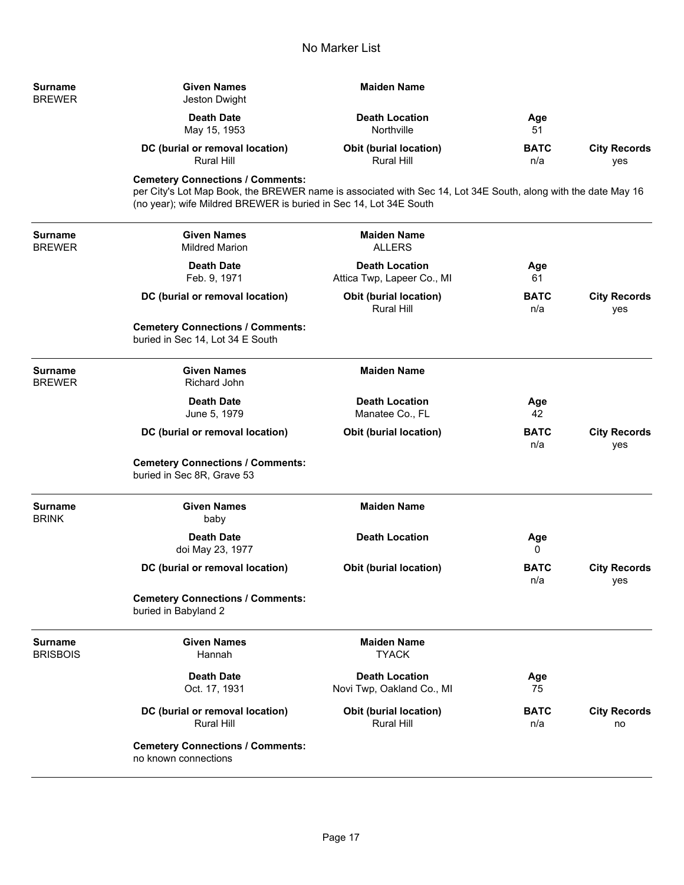| <b>Surname</b><br><b>BREWER</b>   | <b>Given Names</b><br>Jeston Dwight                                                                                                                                                                                           | <b>Maiden Name</b>                                  |                    |                            |
|-----------------------------------|-------------------------------------------------------------------------------------------------------------------------------------------------------------------------------------------------------------------------------|-----------------------------------------------------|--------------------|----------------------------|
|                                   | <b>Death Date</b><br>May 15, 1953                                                                                                                                                                                             | <b>Death Location</b><br>Northville                 | Age<br>51          |                            |
|                                   | DC (burial or removal location)<br>Rural Hill                                                                                                                                                                                 | <b>Obit (burial location)</b><br>Rural Hill         | <b>BATC</b><br>n/a | <b>City Records</b><br>yes |
|                                   | <b>Cemetery Connections / Comments:</b><br>per City's Lot Map Book, the BREWER name is associated with Sec 14, Lot 34E South, along with the date May 16<br>(no year); wife Mildred BREWER is buried in Sec 14, Lot 34E South |                                                     |                    |                            |
| Surname<br><b>BREWER</b>          | <b>Given Names</b><br><b>Mildred Marion</b>                                                                                                                                                                                   | <b>Maiden Name</b><br><b>ALLERS</b>                 |                    |                            |
|                                   | <b>Death Date</b><br>Feb. 9, 1971                                                                                                                                                                                             | <b>Death Location</b><br>Attica Twp, Lapeer Co., MI | Age<br>61          |                            |
|                                   | DC (burial or removal location)                                                                                                                                                                                               | <b>Obit (burial location)</b><br><b>Rural Hill</b>  | <b>BATC</b><br>n/a | <b>City Records</b><br>yes |
|                                   | <b>Cemetery Connections / Comments:</b><br>buried in Sec 14, Lot 34 E South                                                                                                                                                   |                                                     |                    |                            |
| Surname<br><b>BREWER</b>          | <b>Given Names</b><br><b>Richard John</b>                                                                                                                                                                                     | <b>Maiden Name</b>                                  |                    |                            |
|                                   | <b>Death Date</b><br>June 5, 1979                                                                                                                                                                                             | <b>Death Location</b><br>Manatee Co., FL            | Age<br>42          |                            |
|                                   | DC (burial or removal location)                                                                                                                                                                                               | <b>Obit (burial location)</b>                       | <b>BATC</b><br>n/a | <b>City Records</b><br>yes |
|                                   | <b>Cemetery Connections / Comments:</b><br>buried in Sec 8R, Grave 53                                                                                                                                                         |                                                     |                    |                            |
| <b>Surname</b><br><b>BRINK</b>    | <b>Given Names</b><br>baby                                                                                                                                                                                                    | <b>Maiden Name</b>                                  |                    |                            |
|                                   | <b>Death Date</b><br>doi May 23, 1977                                                                                                                                                                                         | <b>Death Location</b>                               | Age<br>0           |                            |
|                                   | DC (burial or removal location)                                                                                                                                                                                               | <b>Obit (burial location)</b>                       | <b>BATC</b><br>n/a | <b>City Records</b><br>yes |
|                                   | <b>Cemetery Connections / Comments:</b><br>buried in Babyland 2                                                                                                                                                               |                                                     |                    |                            |
| <b>Surname</b><br><b>BRISBOIS</b> | <b>Given Names</b><br>Hannah                                                                                                                                                                                                  | <b>Maiden Name</b><br><b>TYACK</b>                  |                    |                            |
|                                   | <b>Death Date</b><br>Oct. 17, 1931                                                                                                                                                                                            | <b>Death Location</b><br>Novi Twp, Oakland Co., MI  | Age<br>75          |                            |
|                                   | DC (burial or removal location)<br>Rural Hill                                                                                                                                                                                 | Obit (burial location)<br>Rural Hill                | <b>BATC</b><br>n/a | <b>City Records</b><br>no  |
|                                   | <b>Cemetery Connections / Comments:</b><br>no known connections                                                                                                                                                               |                                                     |                    |                            |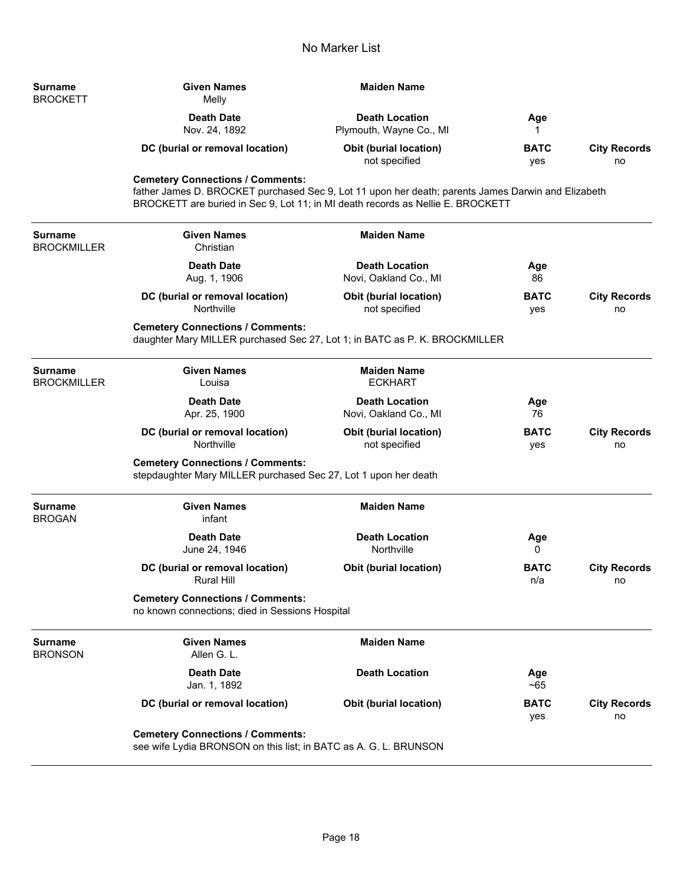| Surname<br>BROCKETT | <b>Given Names</b><br>Melly        | Maiden Name                                      |                    |                           |
|---------------------|------------------------------------|--------------------------------------------------|--------------------|---------------------------|
|                     | <b>Death Date</b><br>Nov. 24, 1892 | <b>Death Location</b><br>Plymouth, Wayne Co., MI | Age                |                           |
|                     | DC (burial or removal location)    | <b>Obit (burial location)</b><br>not specified   | <b>BATC</b><br>yes | <b>City Records</b><br>no |

## **Cemetery Connections / Comments:**

father James D. BROCKET purchased Sec 9, Lot 11 upon her death; parents James Darwin and Elizabeth BROCKETT are buried in Sec 9, Lot 11; in MI death records as Nellie E. BROCKETT

| <b>Surname</b><br><b>BROCKMILLER</b> | <b>Given Names</b><br>Christian                                                                                       | <b>Maiden Name</b>                             |                    |                           |
|--------------------------------------|-----------------------------------------------------------------------------------------------------------------------|------------------------------------------------|--------------------|---------------------------|
|                                      | <b>Death Date</b><br>Aug. 1, 1906                                                                                     | <b>Death Location</b><br>Novi, Oakland Co., MI | Age<br>86          |                           |
|                                      | DC (burial or removal location)<br>Northville                                                                         | <b>Obit (burial location)</b><br>not specified | <b>BATC</b><br>yes | <b>City Records</b><br>no |
|                                      | <b>Cemetery Connections / Comments:</b><br>daughter Mary MILLER purchased Sec 27, Lot 1; in BATC as P. K. BROCKMILLER |                                                |                    |                           |
| <b>Surname</b><br><b>BROCKMILLER</b> | <b>Given Names</b><br>Louisa                                                                                          | <b>Maiden Name</b><br><b>ECKHART</b>           |                    |                           |
|                                      | <b>Death Date</b><br>Apr. 25, 1900                                                                                    | <b>Death Location</b><br>Novi, Oakland Co., MI | Age<br>76          |                           |
|                                      | DC (burial or removal location)<br>Northville                                                                         | <b>Obit (burial location)</b><br>not specified | <b>BATC</b><br>yes | <b>City Records</b><br>no |
|                                      | <b>Cemetery Connections / Comments:</b><br>stepdaughter Mary MILLER purchased Sec 27, Lot 1 upon her death            |                                                |                    |                           |
| <b>Surname</b><br><b>BROGAN</b>      | <b>Given Names</b><br>infant                                                                                          | <b>Maiden Name</b>                             |                    |                           |
|                                      | <b>Death Date</b><br>June 24, 1946                                                                                    | <b>Death Location</b><br>Northville            | Age<br>0           |                           |
|                                      | DC (burial or removal location)<br><b>Rural Hill</b>                                                                  | <b>Obit (burial location)</b>                  | <b>BATC</b><br>n/a | <b>City Records</b><br>no |
|                                      | <b>Cemetery Connections / Comments:</b><br>no known connections; died in Sessions Hospital                            |                                                |                    |                           |
| <b>Surname</b><br><b>BRONSON</b>     | <b>Given Names</b><br>Allen G. L.                                                                                     | <b>Maiden Name</b>                             |                    |                           |
|                                      | <b>Death Date</b><br>Jan. 1, 1892                                                                                     | <b>Death Location</b>                          | Age<br>~100        |                           |
|                                      | DC (burial or removal location)                                                                                       | <b>Obit (burial location)</b>                  | <b>BATC</b><br>yes | <b>City Records</b><br>no |
|                                      | <b>Cemetery Connections / Comments:</b><br>see wife Lydia BRONSON on this list; in BATC as A. G. L. BRUNSON           |                                                |                    |                           |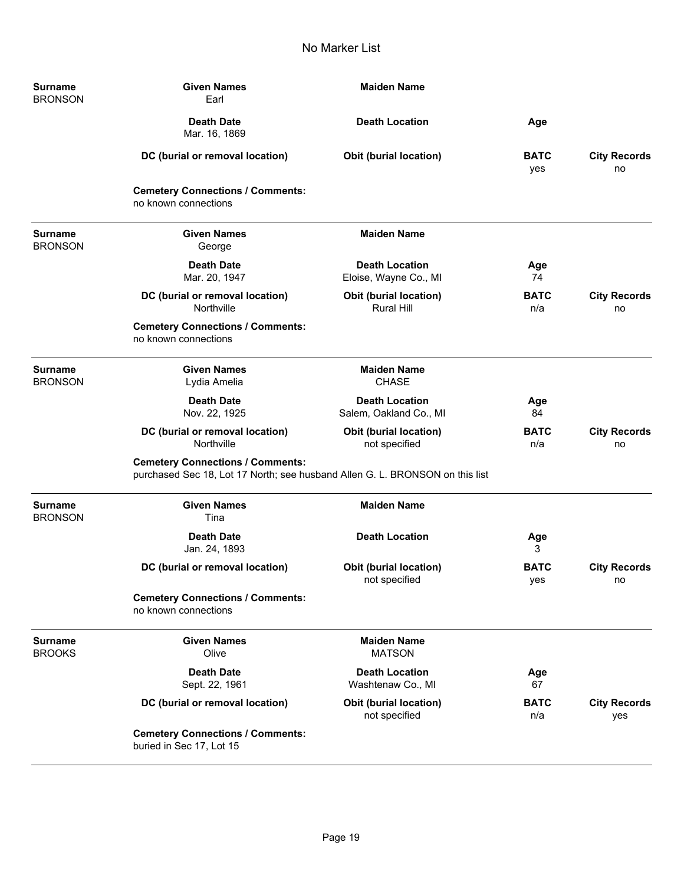| <b>Surname</b><br><b>BRONSON</b> | <b>Given Names</b><br>Earl                                                                                              | <b>Maiden Name</b>                                 |                    |                            |
|----------------------------------|-------------------------------------------------------------------------------------------------------------------------|----------------------------------------------------|--------------------|----------------------------|
|                                  | <b>Death Date</b><br>Mar. 16, 1869                                                                                      | <b>Death Location</b>                              | Age                |                            |
|                                  | DC (burial or removal location)                                                                                         | <b>Obit (burial location)</b>                      | <b>BATC</b><br>yes | <b>City Records</b><br>no  |
|                                  | <b>Cemetery Connections / Comments:</b><br>no known connections                                                         |                                                    |                    |                            |
| <b>Surname</b><br><b>BRONSON</b> | <b>Given Names</b><br>George                                                                                            | <b>Maiden Name</b>                                 |                    |                            |
|                                  | <b>Death Date</b><br>Mar. 20, 1947                                                                                      | <b>Death Location</b><br>Eloise, Wayne Co., MI     | Age<br>74          |                            |
|                                  | DC (burial or removal location)<br>Northville                                                                           | <b>Obit (burial location)</b><br><b>Rural Hill</b> | <b>BATC</b><br>n/a | <b>City Records</b><br>no  |
|                                  | <b>Cemetery Connections / Comments:</b><br>no known connections                                                         |                                                    |                    |                            |
| <b>Surname</b><br><b>BRONSON</b> | <b>Given Names</b><br>Lydia Amelia                                                                                      | <b>Maiden Name</b><br><b>CHASE</b>                 |                    |                            |
|                                  | <b>Death Date</b><br>Nov. 22, 1925                                                                                      | <b>Death Location</b><br>Salem, Oakland Co., MI    | Age<br>84          |                            |
|                                  | DC (burial or removal location)<br>Northville                                                                           | Obit (burial location)<br>not specified            | <b>BATC</b><br>n/a | <b>City Records</b><br>no  |
|                                  | <b>Cemetery Connections / Comments:</b><br>purchased Sec 18, Lot 17 North; see husband Allen G. L. BRONSON on this list |                                                    |                    |                            |
| <b>Surname</b><br><b>BRONSON</b> | <b>Given Names</b><br>Tina                                                                                              | <b>Maiden Name</b>                                 |                    |                            |
|                                  | <b>Death Date</b><br>Jan. 24, 1893                                                                                      | <b>Death Location</b>                              | Age<br>3           |                            |
|                                  | DC (burial or removal location)                                                                                         | <b>Obit (burial location)</b><br>not specified     | <b>BATC</b><br>yes | <b>City Records</b><br>no  |
|                                  | <b>Cemetery Connections / Comments:</b><br>no known connections                                                         |                                                    |                    |                            |
| <b>Surname</b><br><b>BROOKS</b>  | <b>Given Names</b><br>Olive                                                                                             | <b>Maiden Name</b><br><b>MATSON</b>                |                    |                            |
|                                  | <b>Death Date</b><br>Sept. 22, 1961                                                                                     | <b>Death Location</b><br>Washtenaw Co., MI         | Age<br>67          |                            |
|                                  | DC (burial or removal location)                                                                                         | Obit (burial location)<br>not specified            | <b>BATC</b><br>n/a | <b>City Records</b><br>yes |
|                                  | <b>Cemetery Connections / Comments:</b><br>buried in Sec 17, Lot 15                                                     |                                                    |                    |                            |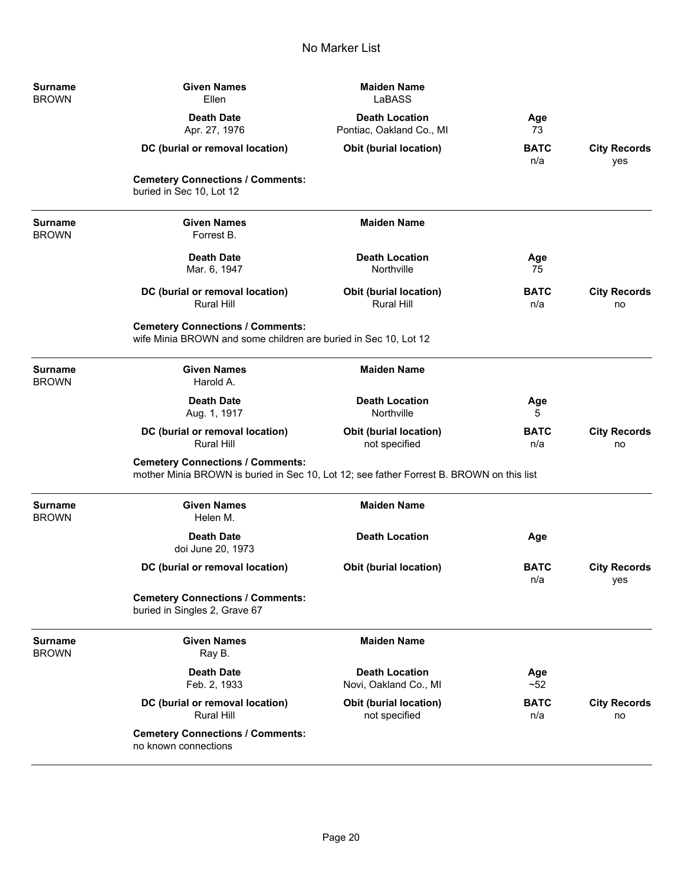| <b>Surname</b><br><b>BROWN</b> | <b>Given Names</b><br>Ellen                                                                                                         | <b>Maiden Name</b><br>LaBASS                       |                    |                            |
|--------------------------------|-------------------------------------------------------------------------------------------------------------------------------------|----------------------------------------------------|--------------------|----------------------------|
|                                | <b>Death Date</b><br>Apr. 27, 1976                                                                                                  | <b>Death Location</b><br>Pontiac, Oakland Co., MI  | Age<br>73          |                            |
|                                | DC (burial or removal location)                                                                                                     | <b>Obit (burial location)</b>                      | <b>BATC</b><br>n/a | <b>City Records</b><br>yes |
|                                | <b>Cemetery Connections / Comments:</b><br>buried in Sec 10, Lot 12                                                                 |                                                    |                    |                            |
| <b>Surname</b><br><b>BROWN</b> | <b>Given Names</b><br>Forrest B.                                                                                                    | <b>Maiden Name</b>                                 |                    |                            |
|                                | <b>Death Date</b><br>Mar. 6, 1947                                                                                                   | <b>Death Location</b><br>Northville                | Age<br>75          |                            |
|                                | DC (burial or removal location)<br><b>Rural Hill</b>                                                                                | <b>Obit (burial location)</b><br><b>Rural Hill</b> | <b>BATC</b><br>n/a | <b>City Records</b><br>no  |
|                                | <b>Cemetery Connections / Comments:</b><br>wife Minia BROWN and some children are buried in Sec 10, Lot 12                          |                                                    |                    |                            |
| <b>Surname</b><br><b>BROWN</b> | <b>Given Names</b><br>Harold A.                                                                                                     | <b>Maiden Name</b>                                 |                    |                            |
|                                | <b>Death Date</b><br>Aug. 1, 1917                                                                                                   | <b>Death Location</b><br>Northville                | Age<br>5           |                            |
|                                | DC (burial or removal location)<br><b>Rural Hill</b>                                                                                | <b>Obit (burial location)</b><br>not specified     | <b>BATC</b><br>n/a | <b>City Records</b><br>no  |
|                                | <b>Cemetery Connections / Comments:</b><br>mother Minia BROWN is buried in Sec 10, Lot 12; see father Forrest B. BROWN on this list |                                                    |                    |                            |
| <b>Surname</b><br><b>BROWN</b> | <b>Given Names</b><br>Helen M.                                                                                                      | <b>Maiden Name</b>                                 |                    |                            |
|                                | <b>Death Date</b><br>doi June 20, 1973                                                                                              | <b>Death Location</b>                              | Age                |                            |
|                                | DC (burial or removal location)                                                                                                     | <b>Obit (burial location)</b>                      | <b>BATC</b><br>n/a | <b>City Records</b><br>yes |
|                                | <b>Cemetery Connections / Comments:</b><br>buried in Singles 2, Grave 67                                                            |                                                    |                    |                            |
| <b>Surname</b><br><b>BROWN</b> | <b>Given Names</b><br>Ray B.                                                                                                        | <b>Maiden Name</b>                                 |                    |                            |
|                                | <b>Death Date</b><br>Feb. 2, 1933                                                                                                   | <b>Death Location</b><br>Novi, Oakland Co., MI     | Age<br>$~1$ -52    |                            |
|                                | DC (burial or removal location)<br><b>Rural Hill</b>                                                                                | <b>Obit (burial location)</b><br>not specified     | <b>BATC</b><br>n/a | <b>City Records</b><br>no  |
|                                | <b>Cemetery Connections / Comments:</b><br>no known connections                                                                     |                                                    |                    |                            |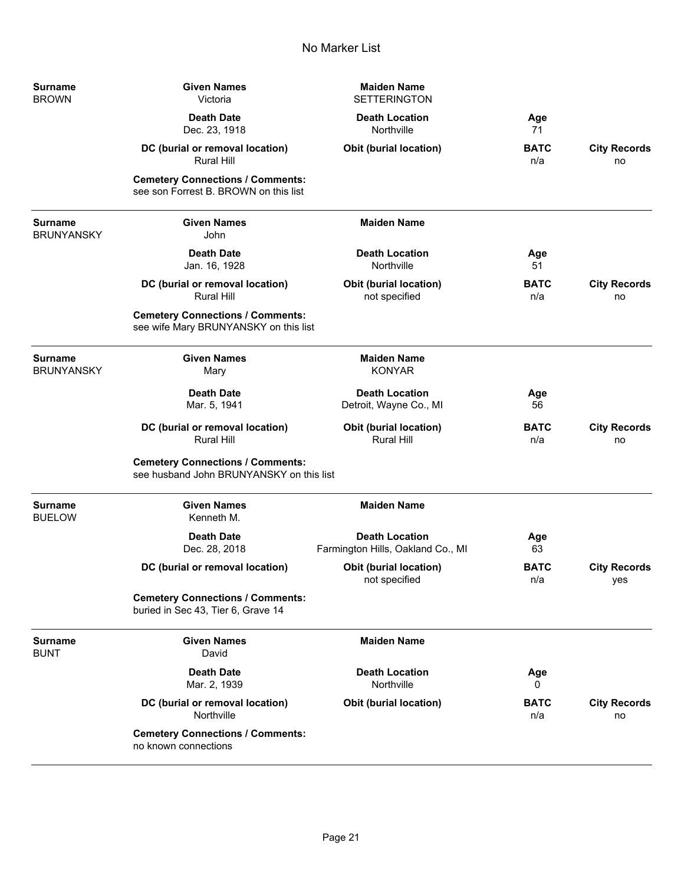| Surname<br><b>BROWN</b>             | <b>Given Names</b><br>Victoria                                                      | <b>Maiden Name</b><br><b>SETTERINGTON</b>                  |                    |                            |
|-------------------------------------|-------------------------------------------------------------------------------------|------------------------------------------------------------|--------------------|----------------------------|
|                                     | <b>Death Date</b><br>Dec. 23, 1918                                                  | <b>Death Location</b><br>Northville                        | Age<br>71          |                            |
|                                     | DC (burial or removal location)<br><b>Rural Hill</b>                                | Obit (burial location)                                     | <b>BATC</b><br>n/a | <b>City Records</b><br>no  |
|                                     | <b>Cemetery Connections / Comments:</b><br>see son Forrest B. BROWN on this list    |                                                            |                    |                            |
| Surname<br><b>BRUNYANSKY</b>        | <b>Given Names</b><br>John                                                          | <b>Maiden Name</b>                                         |                    |                            |
|                                     | <b>Death Date</b><br>Jan. 16, 1928                                                  | <b>Death Location</b><br>Northville                        | Age<br>51          |                            |
|                                     | DC (burial or removal location)<br><b>Rural Hill</b>                                | Obit (burial location)<br>not specified                    | <b>BATC</b><br>n/a | <b>City Records</b><br>no  |
|                                     | <b>Cemetery Connections / Comments:</b><br>see wife Mary BRUNYANSKY on this list    |                                                            |                    |                            |
| <b>Surname</b><br><b>BRUNYANSKY</b> | <b>Given Names</b><br>Mary                                                          | <b>Maiden Name</b><br><b>KONYAR</b>                        |                    |                            |
|                                     | <b>Death Date</b><br>Mar. 5, 1941                                                   | <b>Death Location</b><br>Detroit, Wayne Co., MI            | Age<br>56          |                            |
|                                     | DC (burial or removal location)<br><b>Rural Hill</b>                                | <b>Obit (burial location)</b><br>Rural Hill                | <b>BATC</b><br>n/a | <b>City Records</b><br>no  |
|                                     | <b>Cemetery Connections / Comments:</b><br>see husband John BRUNYANSKY on this list |                                                            |                    |                            |
| Surname<br><b>BUELOW</b>            | <b>Given Names</b><br>Kenneth M.                                                    | <b>Maiden Name</b>                                         |                    |                            |
|                                     | <b>Death Date</b><br>Dec. 28, 2018                                                  | <b>Death Location</b><br>Farmington Hills, Oakland Co., MI | Age<br>63          |                            |
|                                     | DC (burial or removal location)                                                     | Obit (burial location)<br>not specified                    | <b>BATC</b><br>n/a | <b>City Records</b><br>yes |
|                                     | <b>Cemetery Connections / Comments:</b><br>buried in Sec 43, Tier 6, Grave 14       |                                                            |                    |                            |
| Surname<br>BUNT                     | <b>Given Names</b><br>David                                                         | <b>Maiden Name</b>                                         |                    |                            |
|                                     | <b>Death Date</b><br>Mar. 2, 1939                                                   | <b>Death Location</b><br>Northville                        | Age<br>0           |                            |
|                                     | DC (burial or removal location)<br>Northville                                       | Obit (burial location)                                     | <b>BATC</b><br>n/a | <b>City Records</b><br>no  |
|                                     | <b>Cemetery Connections / Comments:</b><br>no known connections                     |                                                            |                    |                            |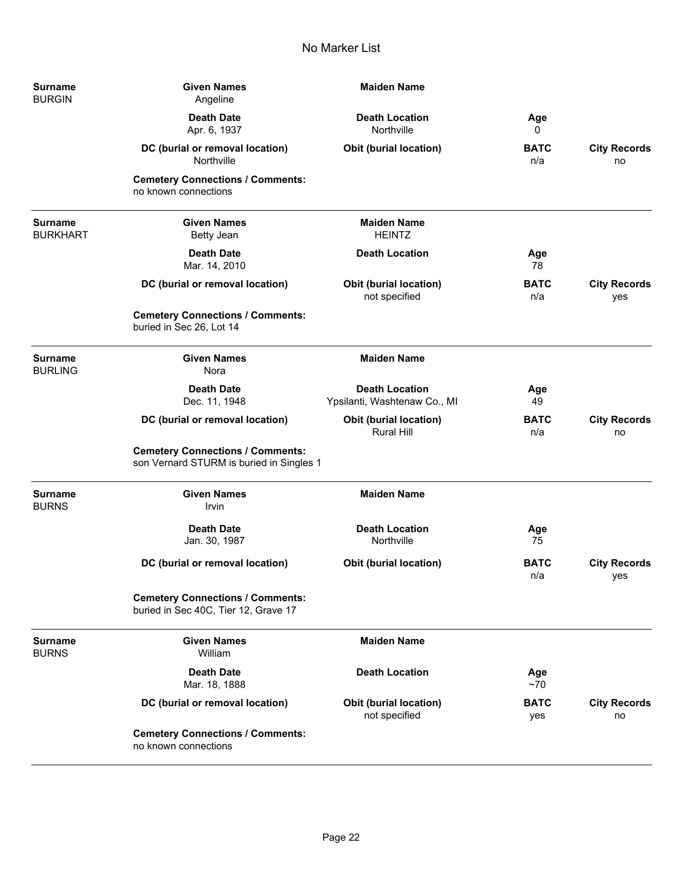| <b>Surname</b><br><b>BURGIN</b>   | <b>Given Names</b><br>Angeline                                                      | <b>Maiden Name</b>                                    |                    |                            |
|-----------------------------------|-------------------------------------------------------------------------------------|-------------------------------------------------------|--------------------|----------------------------|
|                                   | <b>Death Date</b><br>Apr. 6, 1937                                                   | <b>Death Location</b><br>Northville                   | Age<br>0           |                            |
|                                   | DC (burial or removal location)<br>Northville                                       | <b>Obit (burial location)</b>                         | <b>BATC</b><br>n/a | <b>City Records</b><br>no  |
|                                   | <b>Cemetery Connections / Comments:</b><br>no known connections                     |                                                       |                    |                            |
| <b>Surname</b><br><b>BURKHART</b> | <b>Given Names</b><br><b>Betty Jean</b>                                             | <b>Maiden Name</b><br><b>HEINTZ</b>                   |                    |                            |
|                                   | <b>Death Date</b><br>Mar. 14, 2010                                                  | <b>Death Location</b>                                 | Age<br>78          |                            |
|                                   | DC (burial or removal location)                                                     | <b>Obit (burial location)</b><br>not specified        | <b>BATC</b><br>n/a | <b>City Records</b><br>yes |
|                                   | <b>Cemetery Connections / Comments:</b><br>buried in Sec 26, Lot 14                 |                                                       |                    |                            |
| Surname<br><b>BURLING</b>         | <b>Given Names</b><br>Nora                                                          | <b>Maiden Name</b>                                    |                    |                            |
|                                   | <b>Death Date</b><br>Dec. 11, 1948                                                  | <b>Death Location</b><br>Ypsilanti, Washtenaw Co., MI | Age<br>49          |                            |
|                                   | DC (burial or removal location)                                                     | Obit (burial location)<br><b>Rural Hill</b>           | <b>BATC</b><br>n/a | <b>City Records</b><br>no  |
|                                   | <b>Cemetery Connections / Comments:</b><br>son Vernard STURM is buried in Singles 1 |                                                       |                    |                            |
| Surname<br><b>BURNS</b>           | <b>Given Names</b><br>Irvin                                                         | <b>Maiden Name</b>                                    |                    |                            |
|                                   | <b>Death Date</b><br>Jan. 30, 1987                                                  | <b>Death Location</b><br>Northville                   | Age<br>75          |                            |
|                                   | DC (burial or removal location)                                                     | <b>Obit (burial location)</b>                         | <b>BATC</b><br>n/a | <b>City Records</b><br>yes |
|                                   | <b>Cemetery Connections / Comments:</b><br>buried in Sec 40C, Tier 12, Grave 17     |                                                       |                    |                            |
| Surname<br><b>BURNS</b>           | <b>Given Names</b><br>William                                                       | <b>Maiden Name</b>                                    |                    |                            |
|                                   | <b>Death Date</b><br>Mar. 18, 1888                                                  | <b>Death Location</b>                                 | Age<br>$~1$ 70     |                            |
|                                   | DC (burial or removal location)                                                     | <b>Obit (burial location)</b><br>not specified        | <b>BATC</b><br>yes | <b>City Records</b><br>no  |
|                                   | <b>Cemetery Connections / Comments:</b><br>no known connections                     |                                                       |                    |                            |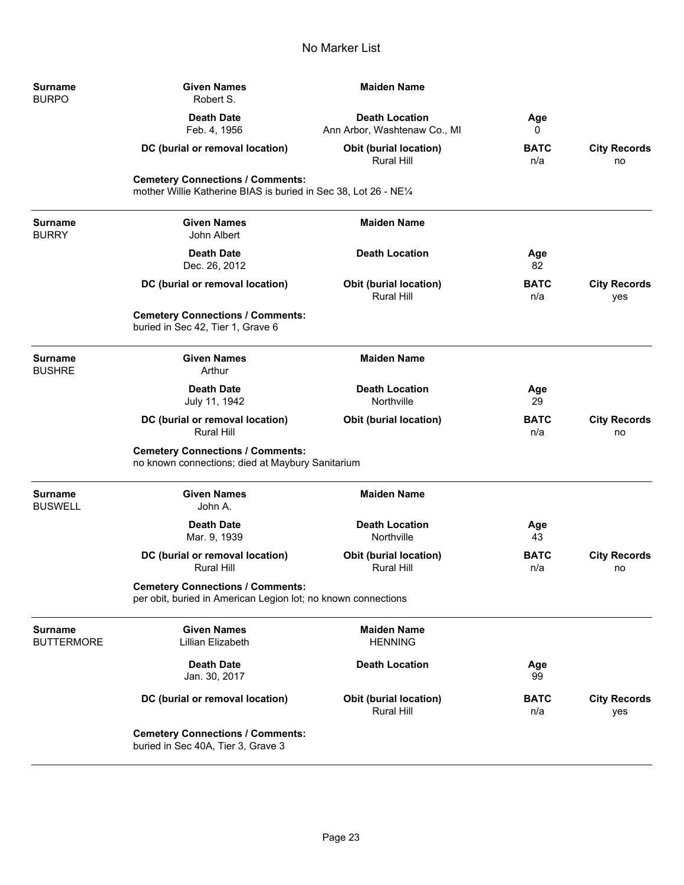| <b>Surname</b><br><b>BURPO</b>      | <b>Given Names</b><br>Robert S.                                                                             | <b>Maiden Name</b>                                    |                    |                            |
|-------------------------------------|-------------------------------------------------------------------------------------------------------------|-------------------------------------------------------|--------------------|----------------------------|
|                                     | <b>Death Date</b><br>Feb. 4, 1956                                                                           | <b>Death Location</b><br>Ann Arbor, Washtenaw Co., MI | Age<br>0           |                            |
|                                     | DC (burial or removal location)                                                                             | <b>Obit (burial location)</b><br><b>Rural Hill</b>    | <b>BATC</b><br>n/a | <b>City Records</b><br>no  |
|                                     | <b>Cemetery Connections / Comments:</b><br>mother Willie Katherine BIAS is buried in Sec 38, Lot 26 - NE1/4 |                                                       |                    |                            |
| <b>Surname</b><br><b>BURRY</b>      | <b>Given Names</b><br>John Albert                                                                           | <b>Maiden Name</b>                                    |                    |                            |
|                                     | <b>Death Date</b><br>Dec. 26, 2012                                                                          | <b>Death Location</b>                                 | Age<br>82          |                            |
|                                     | DC (burial or removal location)                                                                             | <b>Obit (burial location)</b><br>Rural Hill           | <b>BATC</b><br>n/a | <b>City Records</b><br>yes |
|                                     | <b>Cemetery Connections / Comments:</b><br>buried in Sec 42, Tier 1, Grave 6                                |                                                       |                    |                            |
| <b>Surname</b><br><b>BUSHRE</b>     | <b>Given Names</b><br>Arthur                                                                                | <b>Maiden Name</b>                                    |                    |                            |
|                                     | <b>Death Date</b><br>July 11, 1942                                                                          | <b>Death Location</b><br>Northville                   | Age<br>29          |                            |
|                                     | DC (burial or removal location)<br><b>Rural Hill</b>                                                        | <b>Obit (burial location)</b>                         | <b>BATC</b><br>n/a | <b>City Records</b><br>no  |
|                                     | <b>Cemetery Connections / Comments:</b><br>no known connections; died at Maybury Sanitarium                 |                                                       |                    |                            |
| <b>Surname</b><br><b>BUSWELL</b>    | <b>Given Names</b><br>John A.                                                                               | <b>Maiden Name</b>                                    |                    |                            |
|                                     | <b>Death Date</b><br>Mar. 9, 1939                                                                           | <b>Death Location</b><br>Northville                   | Age<br>43          |                            |
|                                     | DC (burial or removal location)<br><b>Rural Hill</b>                                                        | Obit (burial location)<br>Rural Hill                  | BATC<br>n/a        | <b>City Records</b><br>no  |
|                                     | <b>Cemetery Connections / Comments:</b><br>per obit, buried in American Legion lot; no known connections    |                                                       |                    |                            |
| <b>Surname</b><br><b>BUTTERMORE</b> | <b>Given Names</b><br>Lillian Elizabeth                                                                     | <b>Maiden Name</b><br><b>HENNING</b>                  |                    |                            |
|                                     | <b>Death Date</b><br>Jan. 30, 2017                                                                          | <b>Death Location</b>                                 | Age<br>99          |                            |
|                                     | DC (burial or removal location)                                                                             | Obit (burial location)<br><b>Rural Hill</b>           | <b>BATC</b><br>n/a | <b>City Records</b><br>yes |
|                                     | <b>Cemetery Connections / Comments:</b><br>buried in Sec 40A, Tier 3, Grave 3                               |                                                       |                    |                            |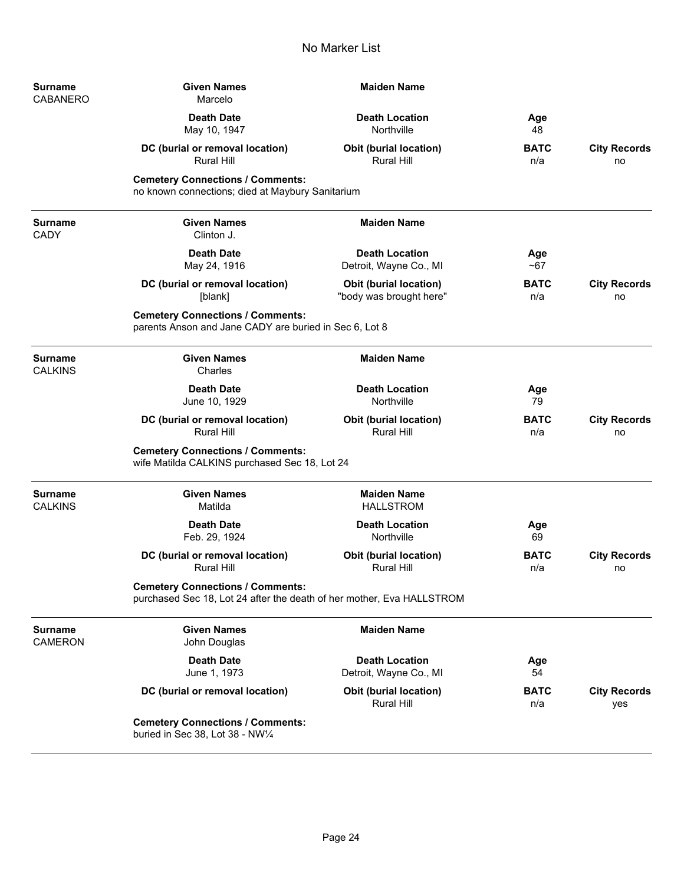| Surname<br>CABANERO           | <b>Given Names</b><br>Marcelo                                                                                    | <b>Maiden Name</b>                                       |                    |                            |
|-------------------------------|------------------------------------------------------------------------------------------------------------------|----------------------------------------------------------|--------------------|----------------------------|
|                               | <b>Death Date</b><br>May 10, 1947                                                                                | <b>Death Location</b><br>Northville                      | Age<br>48          |                            |
|                               | DC (burial or removal location)<br><b>Rural Hill</b>                                                             | <b>Obit (burial location)</b><br>Rural Hill              | <b>BATC</b><br>n/a | <b>City Records</b><br>no  |
|                               | <b>Cemetery Connections / Comments:</b><br>no known connections; died at Maybury Sanitarium                      |                                                          |                    |                            |
| <b>Surname</b><br><b>CADY</b> | <b>Given Names</b><br>Clinton J.                                                                                 | <b>Maiden Name</b>                                       |                    |                            |
|                               | <b>Death Date</b><br>May 24, 1916                                                                                | <b>Death Location</b><br>Detroit, Wayne Co., MI          | Age<br>$~1$ –67    |                            |
|                               | DC (burial or removal location)<br>[blank]                                                                       | <b>Obit (burial location)</b><br>"body was brought here" | <b>BATC</b><br>n/a | <b>City Records</b><br>no  |
|                               | <b>Cemetery Connections / Comments:</b><br>parents Anson and Jane CADY are buried in Sec 6, Lot 8                |                                                          |                    |                            |
| Surname<br><b>CALKINS</b>     | <b>Given Names</b><br>Charles                                                                                    | <b>Maiden Name</b>                                       |                    |                            |
|                               | <b>Death Date</b><br>June 10, 1929                                                                               | <b>Death Location</b><br>Northville                      | Age<br>79          |                            |
|                               | DC (burial or removal location)<br><b>Rural Hill</b>                                                             | <b>Obit (burial location)</b><br><b>Rural Hill</b>       | <b>BATC</b><br>n/a | <b>City Records</b><br>no  |
|                               | <b>Cemetery Connections / Comments:</b><br>wife Matilda CALKINS purchased Sec 18, Lot 24                         |                                                          |                    |                            |
| Surname<br><b>CALKINS</b>     | <b>Given Names</b><br>Matilda                                                                                    | <b>Maiden Name</b><br><b>HALLSTROM</b>                   |                    |                            |
|                               | <b>Death Date</b><br>Feb. 29, 1924                                                                               | <b>Death Location</b><br>Northville                      | Age<br>69          |                            |
|                               | DC (burial or removal location)<br><b>Rural Hill</b>                                                             | <b>Obit (burial location)</b><br><b>Rural Hill</b>       | <b>BATC</b><br>n/a | <b>City Records</b><br>no  |
|                               | <b>Cemetery Connections / Comments:</b><br>purchased Sec 18, Lot 24 after the death of her mother, Eva HALLSTROM |                                                          |                    |                            |
| Surname<br>CAMERON            | <b>Given Names</b><br>John Douglas                                                                               | <b>Maiden Name</b>                                       |                    |                            |
|                               | <b>Death Date</b><br>June 1, 1973                                                                                | <b>Death Location</b><br>Detroit, Wayne Co., MI          | Age<br>54          |                            |
|                               | DC (burial or removal location)                                                                                  | <b>Obit (burial location)</b><br>Rural Hill              | <b>BATC</b><br>n/a | <b>City Records</b><br>yes |
|                               | <b>Cemetery Connections / Comments:</b><br>buried in Sec 38, Lot 38 - NW1/4                                      |                                                          |                    |                            |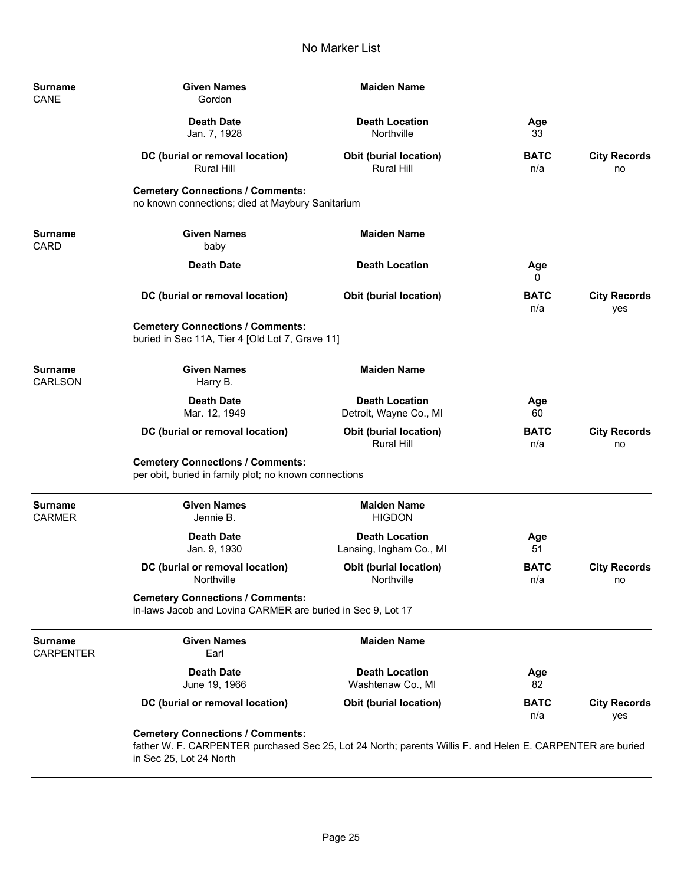| <b>Surname</b><br>CANE             | <b>Given Names</b><br>Gordon                                                                                                                                                     | <b>Maiden Name</b>                                 |                    |                            |
|------------------------------------|----------------------------------------------------------------------------------------------------------------------------------------------------------------------------------|----------------------------------------------------|--------------------|----------------------------|
|                                    | <b>Death Date</b><br>Jan. 7, 1928                                                                                                                                                | <b>Death Location</b><br>Northville                | Age<br>33          |                            |
|                                    | DC (burial or removal location)<br><b>Rural Hill</b>                                                                                                                             | <b>Obit (burial location)</b><br><b>Rural Hill</b> | <b>BATC</b><br>n/a | <b>City Records</b><br>no  |
|                                    | <b>Cemetery Connections / Comments:</b><br>no known connections; died at Maybury Sanitarium                                                                                      |                                                    |                    |                            |
| <b>Surname</b><br>CARD             | <b>Given Names</b><br>baby                                                                                                                                                       | <b>Maiden Name</b>                                 |                    |                            |
|                                    | <b>Death Date</b>                                                                                                                                                                | <b>Death Location</b>                              | Age<br>0           |                            |
|                                    | DC (burial or removal location)                                                                                                                                                  | <b>Obit (burial location)</b>                      | <b>BATC</b><br>n/a | <b>City Records</b><br>yes |
|                                    | <b>Cemetery Connections / Comments:</b><br>buried in Sec 11A, Tier 4 [Old Lot 7, Grave 11]                                                                                       |                                                    |                    |                            |
| Surname<br><b>CARLSON</b>          | <b>Given Names</b><br>Harry B.                                                                                                                                                   | <b>Maiden Name</b>                                 |                    |                            |
|                                    | <b>Death Date</b><br>Mar. 12, 1949                                                                                                                                               | <b>Death Location</b><br>Detroit, Wayne Co., MI    | Age<br>60          |                            |
|                                    | DC (burial or removal location)                                                                                                                                                  | <b>Obit (burial location)</b><br><b>Rural Hill</b> | <b>BATC</b><br>n/a | <b>City Records</b><br>no  |
|                                    | <b>Cemetery Connections / Comments:</b><br>per obit, buried in family plot; no known connections                                                                                 |                                                    |                    |                            |
| <b>Surname</b><br><b>CARMER</b>    | <b>Given Names</b><br>Jennie B.                                                                                                                                                  | <b>Maiden Name</b><br><b>HIGDON</b>                |                    |                            |
|                                    | <b>Death Date</b><br>Jan. 9, 1930                                                                                                                                                | <b>Death Location</b><br>Lansing, Ingham Co., MI   | Age<br>51          |                            |
|                                    | DC (burial or removal location)<br>Northville                                                                                                                                    | <b>Obit (burial location)</b><br>Northville        | <b>BATC</b><br>n/a | <b>City Records</b><br>no  |
|                                    | <b>Cemetery Connections / Comments:</b><br>in-laws Jacob and Lovina CARMER are buried in Sec 9, Lot 17                                                                           |                                                    |                    |                            |
| <b>Surname</b><br><b>CARPENTER</b> | <b>Given Names</b><br>Earl                                                                                                                                                       | <b>Maiden Name</b>                                 |                    |                            |
|                                    | <b>Death Date</b><br>June 19, 1966                                                                                                                                               | <b>Death Location</b><br>Washtenaw Co., MI         | Age<br>82          |                            |
|                                    | DC (burial or removal location)                                                                                                                                                  | <b>Obit (burial location)</b>                      | <b>BATC</b><br>n/a | <b>City Records</b><br>yes |
|                                    | <b>Cemetery Connections / Comments:</b><br>father W. F. CARPENTER purchased Sec 25, Lot 24 North; parents Willis F. and Helen E. CARPENTER are buried<br>in Sec 25, Lot 24 North |                                                    |                    |                            |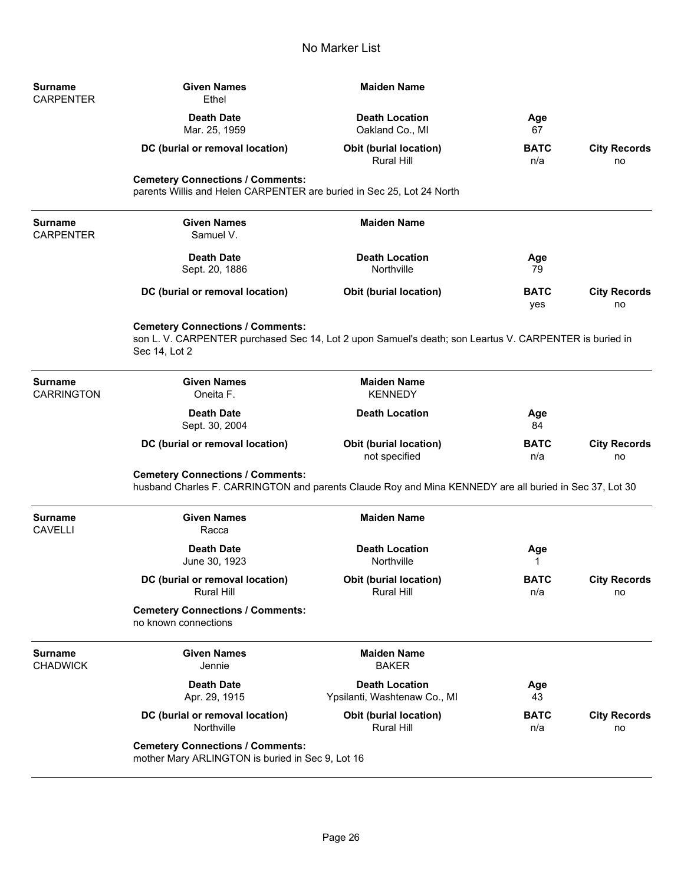| Surname<br>CARPENTER       | <b>Given Names</b><br>Ethel                                                                                                                                        | <b>Maiden Name</b>                                    |                    |                           |
|----------------------------|--------------------------------------------------------------------------------------------------------------------------------------------------------------------|-------------------------------------------------------|--------------------|---------------------------|
|                            | <b>Death Date</b><br>Mar. 25, 1959                                                                                                                                 | <b>Death Location</b><br>Oakland Co., MI              | Age<br>67          |                           |
|                            | DC (burial or removal location)                                                                                                                                    | <b>Obit (burial location)</b><br>Rural Hill           | <b>BATC</b><br>n/a | <b>City Records</b><br>no |
|                            | <b>Cemetery Connections / Comments:</b><br>parents Willis and Helen CARPENTER are buried in Sec 25, Lot 24 North                                                   |                                                       |                    |                           |
| Surname<br>CARPENTER       | <b>Given Names</b><br>Samuel V.                                                                                                                                    | <b>Maiden Name</b>                                    |                    |                           |
|                            | <b>Death Date</b><br>Sept. 20, 1886                                                                                                                                | <b>Death Location</b><br>Northville                   | Age<br>79          |                           |
|                            | DC (burial or removal location)                                                                                                                                    | Obit (burial location)                                | <b>BATC</b><br>yes | <b>City Records</b><br>no |
|                            | <b>Cemetery Connections / Comments:</b><br>son L. V. CARPENTER purchased Sec 14, Lot 2 upon Samuel's death; son Leartus V. CARPENTER is buried in<br>Sec 14, Lot 2 |                                                       |                    |                           |
| Surname<br>CARRINGTON      | <b>Given Names</b><br>Oneita F.                                                                                                                                    | <b>Maiden Name</b><br><b>KENNEDY</b>                  |                    |                           |
|                            | <b>Death Date</b><br>Sept. 30, 2004                                                                                                                                | <b>Death Location</b>                                 | Age<br>84          |                           |
|                            | DC (burial or removal location)                                                                                                                                    | <b>Obit (burial location)</b><br>not specified        | <b>BATC</b><br>n/a | <b>City Records</b><br>no |
|                            | <b>Cemetery Connections / Comments:</b><br>husband Charles F. CARRINGTON and parents Claude Roy and Mina KENNEDY are all buried in Sec 37, Lot 30                  |                                                       |                    |                           |
| Surname<br>CAVELLI         | <b>Given Names</b><br>Racca                                                                                                                                        | <b>Maiden Name</b>                                    |                    |                           |
|                            | <b>Death Date</b><br>June 30, 1923                                                                                                                                 | <b>Death Location</b><br>Northville                   | Age<br>1           |                           |
|                            | DC (burial or removal location)<br>Rural Hill                                                                                                                      | Obit (burial location)<br>Rural Hill                  | <b>BATC</b><br>n/a | <b>City Records</b><br>no |
|                            | <b>Cemetery Connections / Comments:</b><br>no known connections                                                                                                    |                                                       |                    |                           |
| Surname<br><b>CHADWICK</b> | <b>Given Names</b><br>Jennie                                                                                                                                       | <b>Maiden Name</b><br><b>BAKER</b>                    |                    |                           |
|                            | <b>Death Date</b><br>Apr. 29, 1915                                                                                                                                 | <b>Death Location</b><br>Ypsilanti, Washtenaw Co., MI | Age<br>43          |                           |
|                            | DC (burial or removal location)<br>Northville                                                                                                                      | <b>Obit (burial location)</b><br>Rural Hill           | <b>BATC</b><br>n/a | <b>City Records</b><br>no |
|                            | <b>Cemetery Connections / Comments:</b><br>mother Mary ARLINGTON is buried in Sec 9, Lot 16                                                                        |                                                       |                    |                           |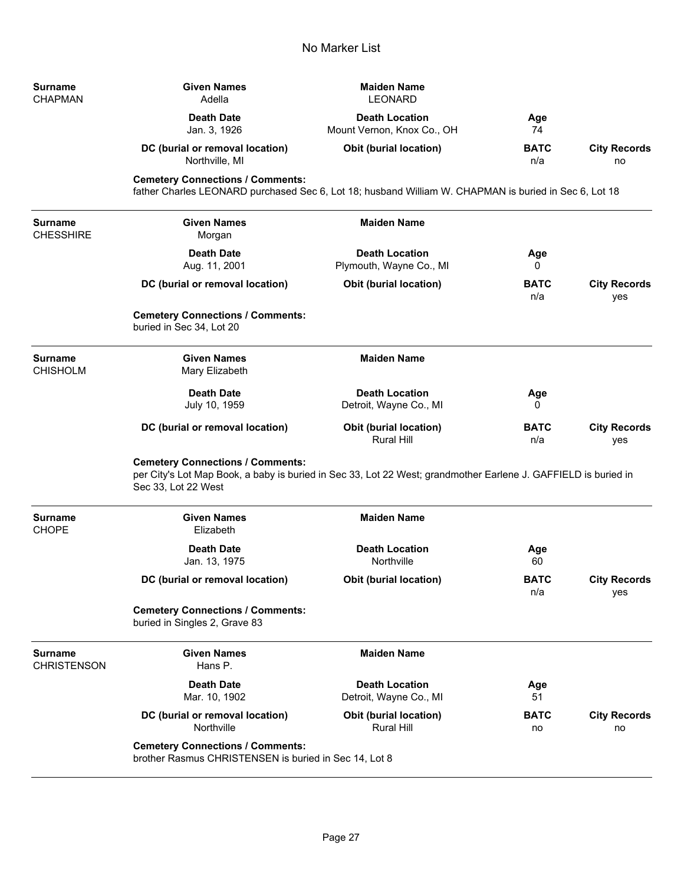| Surname<br>CHAPMAN            | <b>Given Names</b><br>Adella                                                                                                                                                     | <b>Maiden Name</b><br><b>LEONARD</b>                |                    |                            |
|-------------------------------|----------------------------------------------------------------------------------------------------------------------------------------------------------------------------------|-----------------------------------------------------|--------------------|----------------------------|
|                               | <b>Death Date</b><br>Jan. 3, 1926                                                                                                                                                | <b>Death Location</b><br>Mount Vernon, Knox Co., OH | Age<br>74          |                            |
|                               | DC (burial or removal location)<br>Northville, MI                                                                                                                                | <b>Obit (burial location)</b>                       | <b>BATC</b><br>n/a | <b>City Records</b><br>no  |
|                               | <b>Cemetery Connections / Comments:</b><br>father Charles LEONARD purchased Sec 6, Lot 18; husband William W. CHAPMAN is buried in Sec 6, Lot 18                                 |                                                     |                    |                            |
| Surname<br>CHESSHIRE          | <b>Given Names</b><br>Morgan                                                                                                                                                     | <b>Maiden Name</b>                                  |                    |                            |
|                               | <b>Death Date</b><br>Aug. 11, 2001                                                                                                                                               | <b>Death Location</b><br>Plymouth, Wayne Co., MI    | Age<br>0           |                            |
|                               | DC (burial or removal location)                                                                                                                                                  | <b>Obit (burial location)</b>                       | <b>BATC</b><br>n/a | <b>City Records</b><br>yes |
|                               | <b>Cemetery Connections / Comments:</b><br>buried in Sec 34, Lot 20                                                                                                              |                                                     |                    |                            |
| Surname<br>CHISHOLM           | <b>Given Names</b><br>Mary Elizabeth                                                                                                                                             | <b>Maiden Name</b>                                  |                    |                            |
|                               | <b>Death Date</b><br>July 10, 1959                                                                                                                                               | <b>Death Location</b><br>Detroit, Wayne Co., MI     | Age<br>0           |                            |
|                               | DC (burial or removal location)                                                                                                                                                  | <b>Obit (burial location)</b><br><b>Rural Hill</b>  | <b>BATC</b><br>n/a | <b>City Records</b><br>yes |
|                               | <b>Cemetery Connections / Comments:</b><br>per City's Lot Map Book, a baby is buried in Sec 33, Lot 22 West; grandmother Earlene J. GAFFIELD is buried in<br>Sec 33, Lot 22 West |                                                     |                    |                            |
| Surname<br>CHOPE              | <b>Given Names</b><br>Elizabeth                                                                                                                                                  | <b>Maiden Name</b>                                  |                    |                            |
|                               | <b>Death Date</b><br>Jan. 13, 1975                                                                                                                                               | <b>Death Location</b><br>Northville                 | Age<br>60          |                            |
|                               | DC (burial or removal location)                                                                                                                                                  | <b>Obit (burial location)</b>                       | <b>BATC</b><br>n/a | <b>City Records</b><br>yes |
|                               | <b>Cemetery Connections / Comments:</b><br>buried in Singles 2, Grave 83                                                                                                         |                                                     |                    |                            |
| Surname<br><b>CHRISTENSON</b> | <b>Given Names</b><br>Hans P.                                                                                                                                                    | <b>Maiden Name</b>                                  |                    |                            |
|                               | <b>Death Date</b><br>Mar. 10, 1902                                                                                                                                               | <b>Death Location</b><br>Detroit, Wayne Co., MI     | Age<br>51          |                            |
|                               | DC (burial or removal location)<br>Northville                                                                                                                                    | <b>Obit (burial location)</b><br><b>Rural Hill</b>  | <b>BATC</b><br>no  | <b>City Records</b><br>no  |
|                               | <b>Cemetery Connections / Comments:</b><br>brother Rasmus CHRISTENSEN is buried in Sec 14, Lot 8                                                                                 |                                                     |                    |                            |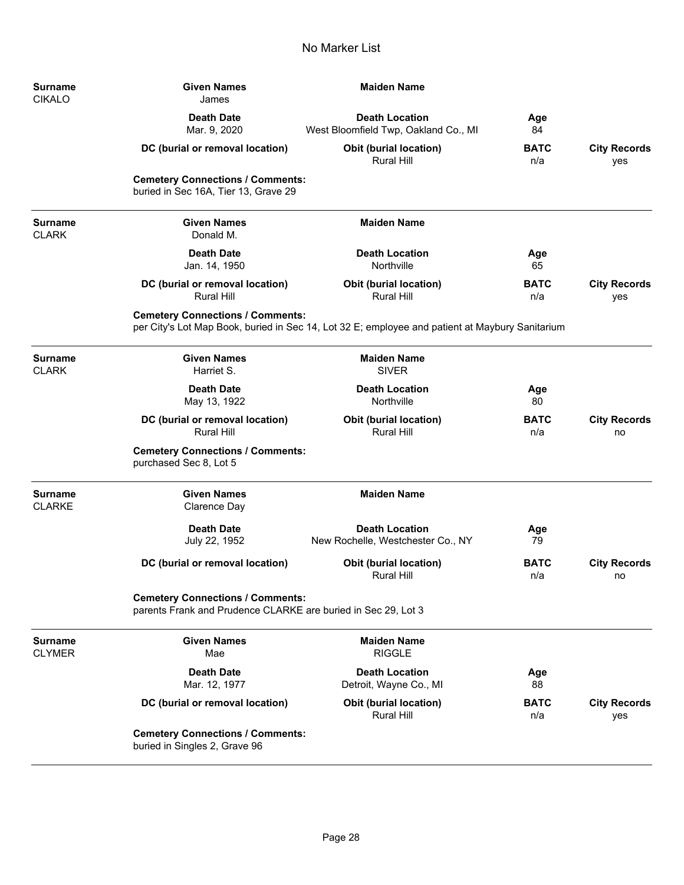| <b>Surname</b><br><b>CIKALO</b> | <b>Given Names</b><br>James                                                                              | <b>Maiden Name</b>                                                                              |                    |                            |
|---------------------------------|----------------------------------------------------------------------------------------------------------|-------------------------------------------------------------------------------------------------|--------------------|----------------------------|
|                                 | <b>Death Date</b><br>Mar. 9, 2020                                                                        | <b>Death Location</b><br>West Bloomfield Twp, Oakland Co., MI                                   | Age<br>84          |                            |
|                                 | DC (burial or removal location)                                                                          | <b>Obit (burial location)</b><br><b>Rural Hill</b>                                              | <b>BATC</b><br>n/a | <b>City Records</b><br>yes |
|                                 | <b>Cemetery Connections / Comments:</b><br>buried in Sec 16A, Tier 13, Grave 29                          |                                                                                                 |                    |                            |
| <b>Surname</b><br><b>CLARK</b>  | <b>Given Names</b><br>Donald M.                                                                          | <b>Maiden Name</b>                                                                              |                    |                            |
|                                 | <b>Death Date</b><br>Jan. 14, 1950                                                                       | <b>Death Location</b><br>Northville                                                             | Age<br>65          |                            |
|                                 | DC (burial or removal location)<br><b>Rural Hill</b>                                                     | <b>Obit (burial location)</b><br><b>Rural Hill</b>                                              | <b>BATC</b><br>n/a | <b>City Records</b><br>yes |
|                                 | <b>Cemetery Connections / Comments:</b>                                                                  | per City's Lot Map Book, buried in Sec 14, Lot 32 E; employee and patient at Maybury Sanitarium |                    |                            |
| <b>Surname</b><br><b>CLARK</b>  | <b>Given Names</b><br>Harriet S.                                                                         | <b>Maiden Name</b><br><b>SIVER</b>                                                              |                    |                            |
|                                 | <b>Death Date</b><br>May 13, 1922                                                                        | <b>Death Location</b><br>Northville                                                             | Age<br>80          |                            |
|                                 | DC (burial or removal location)<br><b>Rural Hill</b>                                                     | <b>Obit (burial location)</b><br>Rural Hill                                                     | <b>BATC</b><br>n/a | <b>City Records</b><br>no  |
|                                 | <b>Cemetery Connections / Comments:</b><br>purchased Sec 8, Lot 5                                        |                                                                                                 |                    |                            |
| <b>Surname</b><br><b>CLARKE</b> | <b>Given Names</b><br>Clarence Day                                                                       | <b>Maiden Name</b>                                                                              |                    |                            |
|                                 | <b>Death Date</b><br>July 22, 1952                                                                       | <b>Death Location</b><br>New Rochelle, Westchester Co., NY                                      | Age<br>79          |                            |
|                                 | DC (burial or removal location)                                                                          | <b>Obit (burial location)</b><br>Rural Hill                                                     | <b>BATC</b><br>n/a | <b>City Records</b><br>no  |
|                                 | <b>Cemetery Connections / Comments:</b><br>parents Frank and Prudence CLARKE are buried in Sec 29, Lot 3 |                                                                                                 |                    |                            |
| <b>Surname</b><br><b>CLYMER</b> | <b>Given Names</b><br>Mae                                                                                | <b>Maiden Name</b><br><b>RIGGLE</b>                                                             |                    |                            |
|                                 | <b>Death Date</b><br>Mar. 12, 1977                                                                       | <b>Death Location</b><br>Detroit, Wayne Co., MI                                                 | Age<br>88          |                            |
|                                 | DC (burial or removal location)                                                                          | <b>Obit (burial location)</b><br><b>Rural Hill</b>                                              | <b>BATC</b><br>n/a | <b>City Records</b><br>yes |
|                                 | <b>Cemetery Connections / Comments:</b><br>buried in Singles 2, Grave 96                                 |                                                                                                 |                    |                            |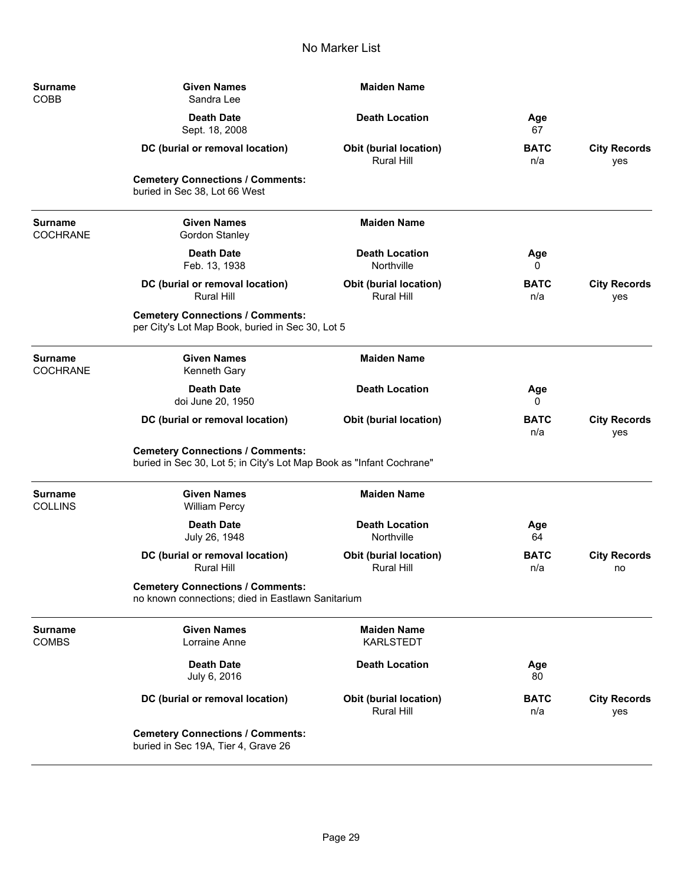| <b>Surname</b><br>COBB            | <b>Given Names</b><br>Sandra Lee                                                                                | <b>Maiden Name</b>                                 |                    |                            |
|-----------------------------------|-----------------------------------------------------------------------------------------------------------------|----------------------------------------------------|--------------------|----------------------------|
|                                   | <b>Death Date</b><br>Sept. 18, 2008                                                                             | <b>Death Location</b>                              | Age<br>67          |                            |
|                                   | DC (burial or removal location)                                                                                 | <b>Obit (burial location)</b><br><b>Rural Hill</b> | <b>BATC</b><br>n/a | <b>City Records</b><br>yes |
|                                   | <b>Cemetery Connections / Comments:</b><br>buried in Sec 38, Lot 66 West                                        |                                                    |                    |                            |
| <b>Surname</b><br><b>COCHRANE</b> | <b>Given Names</b><br>Gordon Stanley                                                                            | <b>Maiden Name</b>                                 |                    |                            |
|                                   | <b>Death Date</b><br>Feb. 13, 1938                                                                              | <b>Death Location</b><br>Northville                | Age<br>0           |                            |
|                                   | DC (burial or removal location)<br><b>Rural Hill</b>                                                            | <b>Obit (burial location)</b><br><b>Rural Hill</b> | <b>BATC</b><br>n/a | <b>City Records</b><br>yes |
|                                   | <b>Cemetery Connections / Comments:</b><br>per City's Lot Map Book, buried in Sec 30, Lot 5                     |                                                    |                    |                            |
| <b>Surname</b><br><b>COCHRANE</b> | <b>Given Names</b><br>Kenneth Gary                                                                              | <b>Maiden Name</b>                                 |                    |                            |
|                                   | <b>Death Date</b><br>doi June 20, 1950                                                                          | <b>Death Location</b>                              | Age<br>0           |                            |
|                                   | DC (burial or removal location)                                                                                 | <b>Obit (burial location)</b>                      | <b>BATC</b><br>n/a | <b>City Records</b><br>yes |
|                                   | <b>Cemetery Connections / Comments:</b><br>buried in Sec 30, Lot 5; in City's Lot Map Book as "Infant Cochrane" |                                                    |                    |                            |
| Surname<br><b>COLLINS</b>         | <b>Given Names</b><br><b>William Percy</b>                                                                      | <b>Maiden Name</b>                                 |                    |                            |
|                                   | <b>Death Date</b><br>July 26, 1948                                                                              | <b>Death Location</b><br>Northville                | Age<br>64          |                            |
|                                   | DC (burial or removal location)<br><b>Rural Hill</b>                                                            | Obit (burial location)<br><b>Rural Hill</b>        | <b>BATC</b><br>n/a | <b>City Records</b><br>no  |
|                                   | <b>Cemetery Connections / Comments:</b><br>no known connections; died in Eastlawn Sanitarium                    |                                                    |                    |                            |
| Surname<br><b>COMBS</b>           | <b>Given Names</b><br>Lorraine Anne                                                                             | <b>Maiden Name</b><br><b>KARLSTEDT</b>             |                    |                            |
|                                   | <b>Death Date</b><br>July 6, 2016                                                                               | <b>Death Location</b>                              | Age<br>80          |                            |
|                                   | DC (burial or removal location)                                                                                 | Obit (burial location)<br>Rural Hill               | <b>BATC</b><br>n/a | <b>City Records</b><br>yes |
|                                   | <b>Cemetery Connections / Comments:</b><br>buried in Sec 19A, Tier 4, Grave 26                                  |                                                    |                    |                            |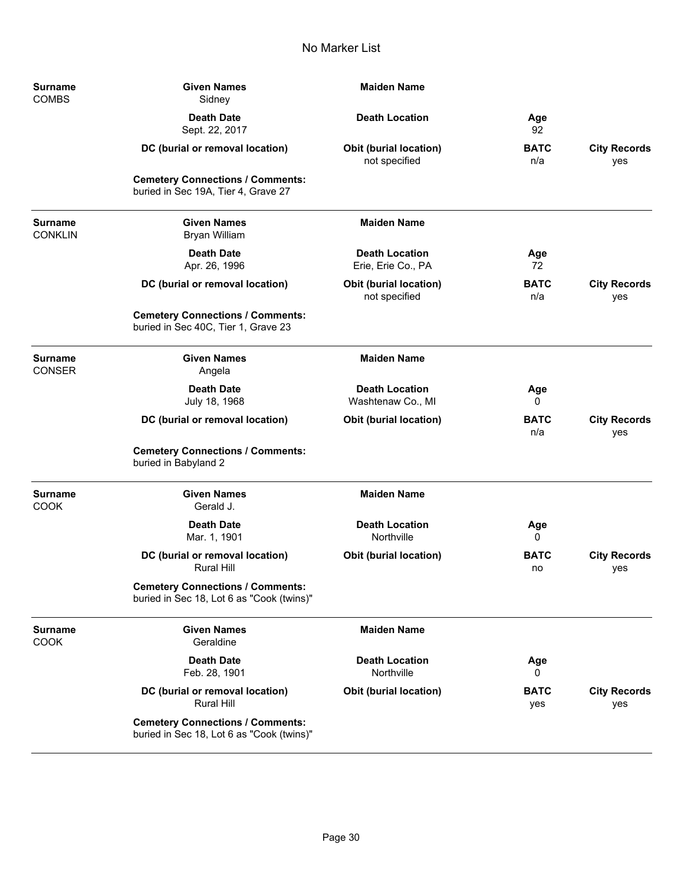| <b>Surname</b><br><b>COMBS</b>  | <b>Given Names</b><br>Sidney                                                         | <b>Maiden Name</b>                             |                    |                            |
|---------------------------------|--------------------------------------------------------------------------------------|------------------------------------------------|--------------------|----------------------------|
|                                 | <b>Death Date</b><br>Sept. 22, 2017                                                  | <b>Death Location</b>                          | Age<br>92          |                            |
|                                 | DC (burial or removal location)                                                      | <b>Obit (burial location)</b><br>not specified | <b>BATC</b><br>n/a | <b>City Records</b><br>yes |
|                                 | <b>Cemetery Connections / Comments:</b><br>buried in Sec 19A, Tier 4, Grave 27       |                                                |                    |                            |
| Surname<br><b>CONKLIN</b>       | <b>Given Names</b><br><b>Bryan William</b>                                           | <b>Maiden Name</b>                             |                    |                            |
|                                 | <b>Death Date</b><br>Apr. 26, 1996                                                   | <b>Death Location</b><br>Erie, Erie Co., PA    | Age<br>72          |                            |
|                                 | DC (burial or removal location)                                                      | Obit (burial location)<br>not specified        | <b>BATC</b><br>n/a | <b>City Records</b><br>yes |
|                                 | <b>Cemetery Connections / Comments:</b><br>buried in Sec 40C, Tier 1, Grave 23       |                                                |                    |                            |
| <b>Surname</b><br><b>CONSER</b> | <b>Given Names</b><br>Angela                                                         | <b>Maiden Name</b>                             |                    |                            |
|                                 | <b>Death Date</b><br>July 18, 1968                                                   | <b>Death Location</b><br>Washtenaw Co., MI     | Age<br>0           |                            |
|                                 | DC (burial or removal location)                                                      | Obit (burial location)                         | <b>BATC</b><br>n/a | <b>City Records</b><br>yes |
|                                 | <b>Cemetery Connections / Comments:</b><br>buried in Babyland 2                      |                                                |                    |                            |
| <b>Surname</b><br><b>COOK</b>   | <b>Given Names</b><br>Gerald J.                                                      | <b>Maiden Name</b>                             |                    |                            |
|                                 | <b>Death Date</b><br>Mar. 1, 1901                                                    | <b>Death Location</b><br>Northville            | Age<br>0           |                            |
|                                 | DC (burial or removal location)<br><b>Rural Hill</b>                                 | <b>Obit (burial location)</b>                  | <b>BATC</b><br>no  | <b>City Records</b><br>yes |
|                                 | <b>Cemetery Connections / Comments:</b><br>buried in Sec 18, Lot 6 as "Cook (twins)" |                                                |                    |                            |
| Surname<br><b>COOK</b>          | <b>Given Names</b><br>Geraldine                                                      | <b>Maiden Name</b>                             |                    |                            |
|                                 | <b>Death Date</b><br>Feb. 28, 1901                                                   | <b>Death Location</b><br>Northville            | Age<br>0           |                            |
|                                 | DC (burial or removal location)<br><b>Rural Hill</b>                                 | <b>Obit (burial location)</b>                  | <b>BATC</b><br>yes | <b>City Records</b><br>yes |
|                                 | <b>Cemetery Connections / Comments:</b><br>buried in Sec 18, Lot 6 as "Cook (twins)" |                                                |                    |                            |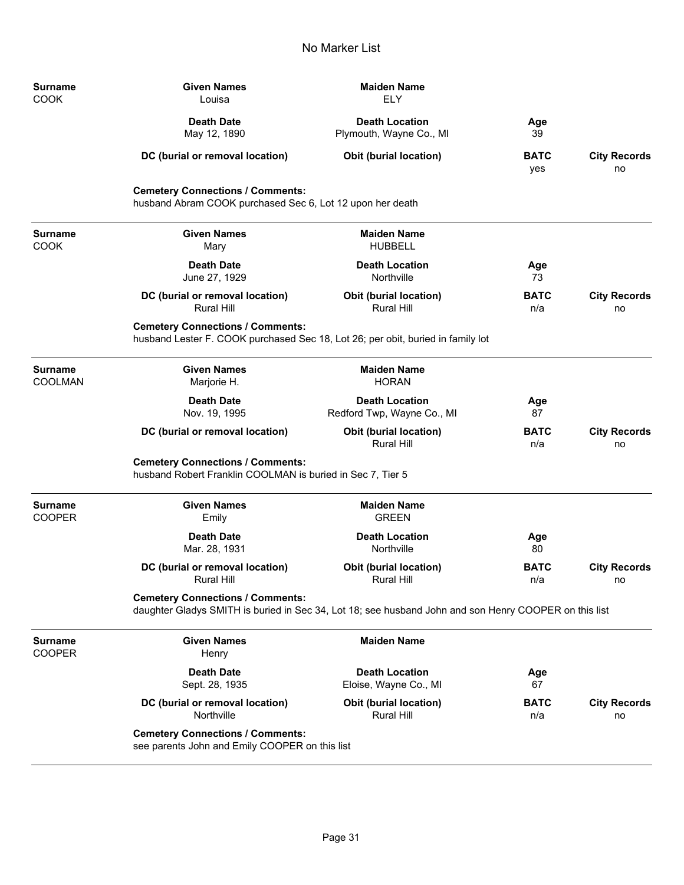| <b>Surname</b><br>COOK   | <b>Given Names</b><br>Louisa                                                                          | <b>Maiden Name</b><br><b>ELY</b>                                                                      |                    |                           |
|--------------------------|-------------------------------------------------------------------------------------------------------|-------------------------------------------------------------------------------------------------------|--------------------|---------------------------|
|                          | <b>Death Date</b><br>May 12, 1890                                                                     | <b>Death Location</b><br>Plymouth, Wayne Co., MI                                                      | Age<br>39          |                           |
|                          | DC (burial or removal location)                                                                       | <b>Obit (burial location)</b>                                                                         | <b>BATC</b><br>yes | <b>City Records</b><br>no |
|                          | <b>Cemetery Connections / Comments:</b><br>husband Abram COOK purchased Sec 6, Lot 12 upon her death  |                                                                                                       |                    |                           |
| Surname<br>COOK          | <b>Given Names</b><br>Mary                                                                            | <b>Maiden Name</b><br><b>HUBBELL</b>                                                                  |                    |                           |
|                          | <b>Death Date</b><br>June 27, 1929                                                                    | <b>Death Location</b><br>Northville                                                                   | Age<br>73          |                           |
|                          | DC (burial or removal location)<br><b>Rural Hill</b>                                                  | <b>Obit (burial location)</b><br><b>Rural Hill</b>                                                    | <b>BATC</b><br>n/a | <b>City Records</b><br>no |
|                          | <b>Cemetery Connections / Comments:</b>                                                               | husband Lester F. COOK purchased Sec 18, Lot 26; per obit, buried in family lot                       |                    |                           |
| Surname<br>COOLMAN       | <b>Given Names</b><br>Marjorie H.                                                                     | <b>Maiden Name</b><br><b>HORAN</b>                                                                    |                    |                           |
|                          | <b>Death Date</b><br>Nov. 19, 1995                                                                    | <b>Death Location</b><br>Redford Twp, Wayne Co., MI                                                   | Age<br>87          |                           |
|                          | DC (burial or removal location)                                                                       | <b>Obit (burial location)</b><br>Rural Hill                                                           | <b>BATC</b><br>n/a | <b>City Records</b><br>no |
|                          | <b>Cemetery Connections / Comments:</b><br>husband Robert Franklin COOLMAN is buried in Sec 7, Tier 5 |                                                                                                       |                    |                           |
| Surname<br><b>COOPER</b> | <b>Given Names</b><br>Emily                                                                           | <b>Maiden Name</b><br><b>GREEN</b>                                                                    |                    |                           |
|                          | <b>Death Date</b><br>Mar. 28, 1931                                                                    | <b>Death Location</b><br>Northville                                                                   | Age<br>80          |                           |
|                          | DC (burial or removal location)<br>Rural Hill                                                         | <b>Obit (burial location)</b><br>Rural Hill                                                           | <b>BATC</b><br>n/a | <b>City Records</b><br>no |
|                          | <b>Cemetery Connections / Comments:</b>                                                               | daughter Gladys SMITH is buried in Sec 34, Lot 18; see husband John and son Henry COOPER on this list |                    |                           |
| <b>Surname</b><br>COOPER | <b>Given Names</b><br>Henry                                                                           | <b>Maiden Name</b>                                                                                    |                    |                           |
|                          | <b>Death Date</b><br>Sept. 28, 1935                                                                   | <b>Death Location</b><br>Eloise, Wayne Co., MI                                                        | Age<br>67          |                           |
|                          | DC (burial or removal location)<br>Northville                                                         | <b>Obit (burial location)</b><br>Rural Hill                                                           | <b>BATC</b><br>n/a | <b>City Records</b><br>no |
|                          | <b>Cemetery Connections / Comments:</b><br>see parents John and Emily COOPER on this list             |                                                                                                       |                    |                           |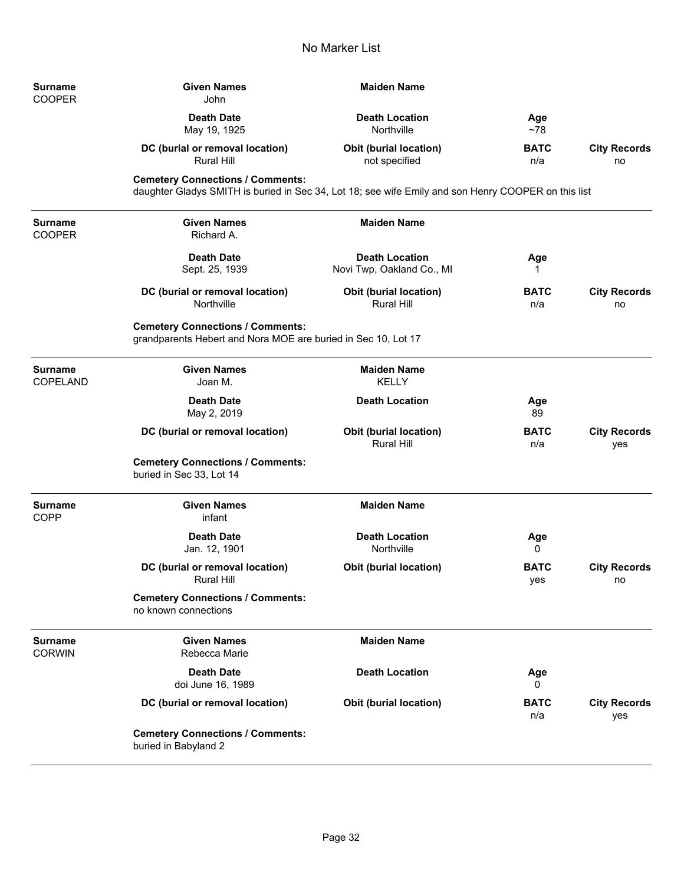| <b>Surname</b><br><b>COOPER</b> | <b>Given Names</b><br>John                                                                                                                     | <b>Maiden Name</b>                                 |                    |                            |
|---------------------------------|------------------------------------------------------------------------------------------------------------------------------------------------|----------------------------------------------------|--------------------|----------------------------|
|                                 | <b>Death Date</b><br>May 19, 1925                                                                                                              | <b>Death Location</b><br>Northville                | Age<br>$~1$ ~78    |                            |
|                                 | DC (burial or removal location)<br>Rural Hill                                                                                                  | <b>Obit (burial location)</b><br>not specified     | <b>BATC</b><br>n/a | <b>City Records</b><br>no  |
|                                 | <b>Cemetery Connections / Comments:</b><br>daughter Gladys SMITH is buried in Sec 34, Lot 18; see wife Emily and son Henry COOPER on this list |                                                    |                    |                            |
| Surname<br><b>COOPER</b>        | <b>Given Names</b><br>Richard A.                                                                                                               | <b>Maiden Name</b>                                 |                    |                            |
|                                 | <b>Death Date</b><br>Sept. 25, 1939                                                                                                            | <b>Death Location</b><br>Novi Twp, Oakland Co., MI | Age<br>1           |                            |
|                                 | DC (burial or removal location)<br>Northville                                                                                                  | <b>Obit (burial location)</b><br><b>Rural Hill</b> | <b>BATC</b><br>n/a | <b>City Records</b><br>no  |
|                                 | <b>Cemetery Connections / Comments:</b><br>grandparents Hebert and Nora MOE are buried in Sec 10, Lot 17                                       |                                                    |                    |                            |
| Surname<br>COPELAND             | <b>Given Names</b><br>Joan M.                                                                                                                  | <b>Maiden Name</b><br><b>KELLY</b>                 |                    |                            |
|                                 | <b>Death Date</b><br>May 2, 2019                                                                                                               | <b>Death Location</b>                              | Age<br>89          |                            |
|                                 | DC (burial or removal location)                                                                                                                | Obit (burial location)<br><b>Rural Hill</b>        | <b>BATC</b><br>n/a | <b>City Records</b><br>yes |
|                                 | <b>Cemetery Connections / Comments:</b><br>buried in Sec 33, Lot 14                                                                            |                                                    |                    |                            |
| Surname<br>COPP                 | <b>Given Names</b><br>infant                                                                                                                   | <b>Maiden Name</b>                                 |                    |                            |
|                                 | <b>Death Date</b><br>Jan. 12, 1901                                                                                                             | <b>Death Location</b><br>Northville                | Age<br>0           |                            |
|                                 | DC (burial or removal location)<br>Rural Hill                                                                                                  | <b>Obit (burial location)</b>                      | <b>BATC</b><br>yes | <b>City Records</b><br>no  |
|                                 | <b>Cemetery Connections / Comments:</b><br>no known connections                                                                                |                                                    |                    |                            |
| Surname<br><b>CORWIN</b>        | <b>Given Names</b><br>Rebecca Marie                                                                                                            | <b>Maiden Name</b>                                 |                    |                            |
|                                 | <b>Death Date</b><br>doi June 16, 1989                                                                                                         | <b>Death Location</b>                              | Age<br>0           |                            |
|                                 | DC (burial or removal location)                                                                                                                | <b>Obit (burial location)</b>                      | <b>BATC</b><br>n/a | <b>City Records</b><br>yes |
|                                 | <b>Cemetery Connections / Comments:</b><br>buried in Babyland 2                                                                                |                                                    |                    |                            |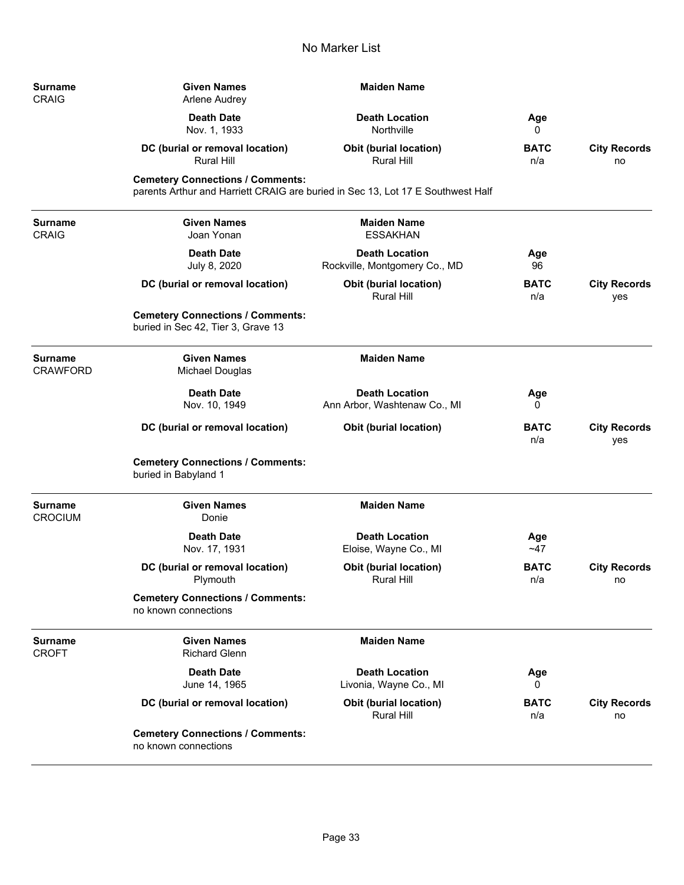| Surname<br><b>CRAIG</b>        | <b>Given Names</b><br>Arlene Audrey                                                                                        | <b>Maiden Name</b>                                     |                    |                            |
|--------------------------------|----------------------------------------------------------------------------------------------------------------------------|--------------------------------------------------------|--------------------|----------------------------|
|                                | <b>Death Date</b><br>Nov. 1, 1933                                                                                          | <b>Death Location</b><br>Northville                    | Age<br>0           |                            |
|                                | DC (burial or removal location)<br><b>Rural Hill</b>                                                                       | <b>Obit (burial location)</b><br>Rural Hill            | <b>BATC</b><br>n/a | <b>City Records</b><br>no  |
|                                | <b>Cemetery Connections / Comments:</b><br>parents Arthur and Harriett CRAIG are buried in Sec 13, Lot 17 E Southwest Half |                                                        |                    |                            |
| Surname<br><b>CRAIG</b>        | <b>Given Names</b><br>Joan Yonan                                                                                           | <b>Maiden Name</b><br><b>ESSAKHAN</b>                  |                    |                            |
|                                | <b>Death Date</b><br>July 8, 2020                                                                                          | <b>Death Location</b><br>Rockville, Montgomery Co., MD | Age<br>96          |                            |
|                                | DC (burial or removal location)                                                                                            | <b>Obit (burial location)</b><br>Rural Hill            | <b>BATC</b><br>n/a | <b>City Records</b><br>yes |
|                                | <b>Cemetery Connections / Comments:</b><br>buried in Sec 42, Tier 3, Grave 13                                              |                                                        |                    |                            |
| Surname<br>CRAWFORD            | <b>Given Names</b><br>Michael Douglas                                                                                      | <b>Maiden Name</b>                                     |                    |                            |
|                                | <b>Death Date</b><br>Nov. 10, 1949                                                                                         | <b>Death Location</b><br>Ann Arbor, Washtenaw Co., MI  | Age<br>0           |                            |
|                                | DC (burial or removal location)                                                                                            | <b>Obit (burial location)</b>                          | <b>BATC</b><br>n/a | <b>City Records</b><br>yes |
|                                | <b>Cemetery Connections / Comments:</b><br>buried in Babyland 1                                                            |                                                        |                    |                            |
| Surname<br><b>CROCIUM</b>      | <b>Given Names</b><br>Donie                                                                                                | <b>Maiden Name</b>                                     |                    |                            |
|                                | <b>Death Date</b><br>Nov. 17, 1931                                                                                         | <b>Death Location</b><br>Eloise, Wayne Co., MI         | Age<br>~1          |                            |
|                                | DC (burial or removal location)<br>Plymouth                                                                                | <b>Obit (burial location)</b><br><b>Rural Hill</b>     | <b>BATC</b><br>n/a | <b>City Records</b><br>no  |
|                                | <b>Cemetery Connections / Comments:</b><br>no known connections                                                            |                                                        |                    |                            |
| <b>Surname</b><br><b>CROFT</b> | <b>Given Names</b><br><b>Richard Glenn</b>                                                                                 | <b>Maiden Name</b>                                     |                    |                            |
|                                | <b>Death Date</b><br>June 14, 1965                                                                                         | <b>Death Location</b><br>Livonia, Wayne Co., MI        | Age<br>0           |                            |
|                                | DC (burial or removal location)                                                                                            | <b>Obit (burial location)</b><br><b>Rural Hill</b>     | <b>BATC</b><br>n/a | <b>City Records</b><br>no  |
|                                | <b>Cemetery Connections / Comments:</b><br>no known connections                                                            |                                                        |                    |                            |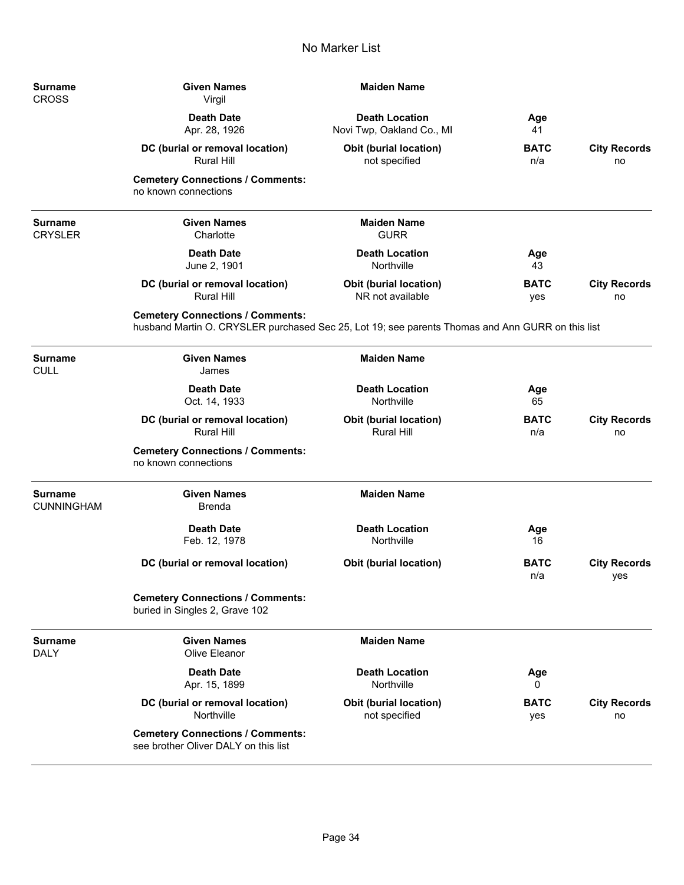-

-

—

÷

| Surname<br>CROSS          | <b>Given Names</b><br>Virgil                                                                                                                | <b>Maiden Name</b>                                 |                    |                            |
|---------------------------|---------------------------------------------------------------------------------------------------------------------------------------------|----------------------------------------------------|--------------------|----------------------------|
|                           | <b>Death Date</b><br>Apr. 28, 1926                                                                                                          | <b>Death Location</b><br>Novi Twp, Oakland Co., MI | Age<br>41          |                            |
|                           | DC (burial or removal location)<br>Rural Hill                                                                                               | <b>Obit (burial location)</b><br>not specified     | <b>BATC</b><br>n/a | <b>City Records</b><br>no  |
|                           | <b>Cemetery Connections / Comments:</b><br>no known connections                                                                             |                                                    |                    |                            |
| Surname<br><b>CRYSLER</b> | <b>Given Names</b><br>Charlotte                                                                                                             | <b>Maiden Name</b><br><b>GURR</b>                  |                    |                            |
|                           | <b>Death Date</b><br>June 2, 1901                                                                                                           | <b>Death Location</b><br>Northville                | Age<br>43          |                            |
|                           | DC (burial or removal location)<br><b>Rural Hill</b>                                                                                        | <b>Obit (burial location)</b><br>NR not available  | <b>BATC</b><br>yes | <b>City Records</b><br>no  |
|                           | <b>Cemetery Connections / Comments:</b><br>husband Martin O. CRYSLER purchased Sec 25, Lot 19; see parents Thomas and Ann GURR on this list |                                                    |                    |                            |
| Surname<br><b>CULL</b>    | <b>Given Names</b><br>James                                                                                                                 | <b>Maiden Name</b>                                 |                    |                            |
|                           | <b>Death Date</b><br>Oct. 14, 1933                                                                                                          | <b>Death Location</b><br>Northville                | Age<br>65          |                            |
|                           | DC (burial or removal location)<br><b>Rural Hill</b>                                                                                        | <b>Obit (burial location)</b><br>Rural Hill        | <b>BATC</b><br>n/a | <b>City Records</b><br>no  |
|                           | <b>Cemetery Connections / Comments:</b><br>no known connections                                                                             |                                                    |                    |                            |
| Surname<br>CUNNINGHAM     | <b>Given Names</b><br><b>Brenda</b>                                                                                                         | <b>Maiden Name</b>                                 |                    |                            |
|                           | <b>Death Date</b><br>Feb. 12, 1978                                                                                                          | <b>Death Location</b><br>Northville                | Age<br>16          |                            |
|                           | DC (burial or removal location)                                                                                                             | <b>Obit (burial location)</b>                      | <b>BATC</b><br>n/a | <b>City Records</b><br>yes |
|                           | <b>Cemetery Connections / Comments:</b><br>buried in Singles 2, Grave 102                                                                   |                                                    |                    |                            |
| Surname<br><b>DALY</b>    | <b>Given Names</b><br>Olive Eleanor                                                                                                         | <b>Maiden Name</b>                                 |                    |                            |
|                           | <b>Death Date</b><br>Apr. 15, 1899                                                                                                          | <b>Death Location</b><br>Northville                | Age<br>0           |                            |
|                           | DC (burial or removal location)<br>Northville                                                                                               | <b>Obit (burial location)</b><br>not specified     | <b>BATC</b><br>yes | <b>City Records</b><br>no  |
|                           | <b>Cemetery Connections / Comments:</b><br>see brother Oliver DALY on this list                                                             |                                                    |                    |                            |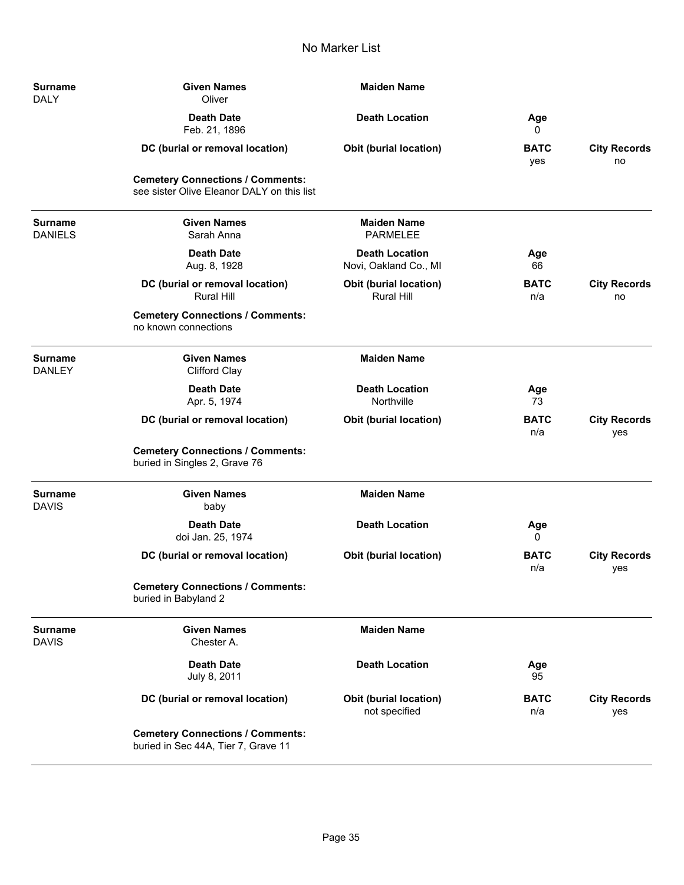| <b>Surname</b><br><b>DALY</b>    | <b>Given Names</b><br>Oliver                                                          | <b>Maiden Name</b>                             |                    |                            |
|----------------------------------|---------------------------------------------------------------------------------------|------------------------------------------------|--------------------|----------------------------|
|                                  | <b>Death Date</b><br>Feb. 21, 1896                                                    | <b>Death Location</b>                          | Age<br>0           |                            |
|                                  | DC (burial or removal location)                                                       | <b>Obit (burial location)</b>                  | <b>BATC</b><br>yes | <b>City Records</b><br>no  |
|                                  | <b>Cemetery Connections / Comments:</b><br>see sister Olive Eleanor DALY on this list |                                                |                    |                            |
| <b>Surname</b><br><b>DANIELS</b> | <b>Given Names</b><br>Sarah Anna                                                      | <b>Maiden Name</b><br><b>PARMELEE</b>          |                    |                            |
|                                  | <b>Death Date</b><br>Aug. 8, 1928                                                     | <b>Death Location</b><br>Novi, Oakland Co., MI | Age<br>66          |                            |
|                                  | DC (burial or removal location)<br><b>Rural Hill</b>                                  | Obit (burial location)<br>Rural Hill           | <b>BATC</b><br>n/a | <b>City Records</b><br>no  |
|                                  | <b>Cemetery Connections / Comments:</b><br>no known connections                       |                                                |                    |                            |
| <b>Surname</b><br><b>DANLEY</b>  | <b>Given Names</b><br><b>Clifford Clay</b>                                            | <b>Maiden Name</b>                             |                    |                            |
|                                  | <b>Death Date</b><br>Apr. 5, 1974                                                     | <b>Death Location</b><br>Northville            | Age<br>73          |                            |
|                                  | DC (burial or removal location)                                                       | Obit (burial location)                         | <b>BATC</b><br>n/a | <b>City Records</b><br>yes |
|                                  | <b>Cemetery Connections / Comments:</b><br>buried in Singles 2, Grave 76              |                                                |                    |                            |
| <b>Surname</b><br><b>DAVIS</b>   | <b>Given Names</b><br>baby                                                            | <b>Maiden Name</b>                             |                    |                            |
|                                  | <b>Death Date</b><br>doi Jan. 25, 1974                                                | <b>Death Location</b>                          | Age<br>0           |                            |
|                                  | DC (burial or removal location)                                                       | <b>Obit (burial location)</b>                  | <b>BATC</b><br>n/a | <b>City Records</b><br>yes |
|                                  | <b>Cemetery Connections / Comments:</b><br>buried in Babyland 2                       |                                                |                    |                            |
| <b>Surname</b><br><b>DAVIS</b>   | <b>Given Names</b><br>Chester A.                                                      | <b>Maiden Name</b>                             |                    |                            |
|                                  | <b>Death Date</b><br>July 8, 2011                                                     | <b>Death Location</b>                          | Age<br>95          |                            |
|                                  | DC (burial or removal location)                                                       | <b>Obit (burial location)</b><br>not specified | <b>BATC</b><br>n/a | <b>City Records</b><br>yes |
|                                  | <b>Cemetery Connections / Comments:</b><br>buried in Sec 44A, Tier 7, Grave 11        |                                                |                    |                            |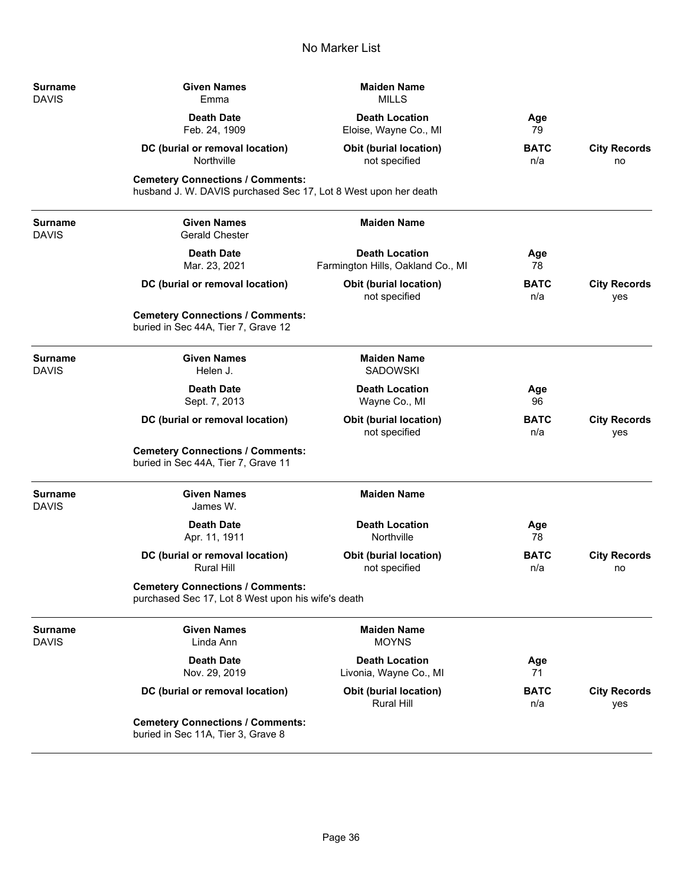| Surname<br><b>DAVIS</b> | <b>Given Names</b><br>Emma                                                                                 | <b>Maiden Name</b><br><b>MILLS</b>                         |                    |                            |
|-------------------------|------------------------------------------------------------------------------------------------------------|------------------------------------------------------------|--------------------|----------------------------|
|                         | <b>Death Date</b><br>Feb. 24, 1909                                                                         | <b>Death Location</b><br>Eloise, Wayne Co., MI             | Age<br>79          |                            |
|                         | DC (burial or removal location)<br>Northville                                                              | <b>Obit (burial location)</b><br>not specified             | <b>BATC</b><br>n/a | <b>City Records</b><br>no  |
|                         | <b>Cemetery Connections / Comments:</b><br>husband J. W. DAVIS purchased Sec 17, Lot 8 West upon her death |                                                            |                    |                            |
| Surname<br>DAVIS        | <b>Given Names</b><br><b>Gerald Chester</b>                                                                | <b>Maiden Name</b>                                         |                    |                            |
|                         | <b>Death Date</b><br>Mar. 23, 2021                                                                         | <b>Death Location</b><br>Farmington Hills, Oakland Co., MI | Age<br>78          |                            |
|                         | DC (burial or removal location)                                                                            | <b>Obit (burial location)</b><br>not specified             | <b>BATC</b><br>n/a | <b>City Records</b><br>yes |
|                         | <b>Cemetery Connections / Comments:</b><br>buried in Sec 44A, Tier 7, Grave 12                             |                                                            |                    |                            |
| <b>Surname</b><br>DAVIS | <b>Given Names</b><br>Helen J.                                                                             | <b>Maiden Name</b><br><b>SADOWSKI</b>                      |                    |                            |
|                         | <b>Death Date</b><br>Sept. 7, 2013                                                                         | <b>Death Location</b><br>Wayne Co., MI                     | Age<br>96          |                            |
|                         | DC (burial or removal location)                                                                            | <b>Obit (burial location)</b><br>not specified             | <b>BATC</b><br>n/a | <b>City Records</b><br>yes |
|                         | <b>Cemetery Connections / Comments:</b><br>buried in Sec 44A, Tier 7, Grave 11                             |                                                            |                    |                            |
| Surname<br><b>DAVIS</b> | <b>Given Names</b><br>James W.                                                                             | <b>Maiden Name</b>                                         |                    |                            |
|                         | <b>Death Date</b><br>Apr. 11, 1911                                                                         | <b>Death Location</b><br>Northville                        | Age<br>78          |                            |
|                         | DC (burial or removal location)<br><b>Rural Hill</b>                                                       | <b>Obit (burial location)</b><br>not specified             | <b>BATC</b><br>n/a | <b>City Records</b><br>no  |
|                         | <b>Cemetery Connections / Comments:</b><br>purchased Sec 17, Lot 8 West upon his wife's death              |                                                            |                    |                            |
| Surname<br><b>DAVIS</b> | <b>Given Names</b><br>Linda Ann                                                                            | <b>Maiden Name</b><br><b>MOYNS</b>                         |                    |                            |
|                         | <b>Death Date</b><br>Nov. 29, 2019                                                                         | <b>Death Location</b><br>Livonia, Wayne Co., MI            | Age<br>71          |                            |
|                         | DC (burial or removal location)                                                                            | <b>Obit (burial location)</b><br><b>Rural Hill</b>         | <b>BATC</b><br>n/a | <b>City Records</b><br>yes |
|                         | <b>Cemetery Connections / Comments:</b><br>buried in Sec 11A, Tier 3, Grave 8                              |                                                            |                    |                            |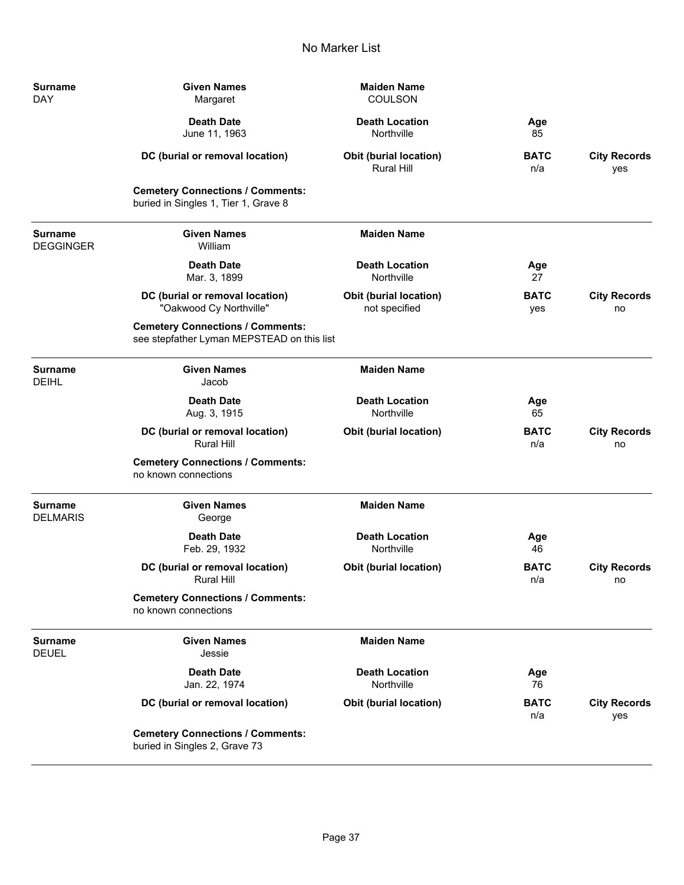| Surname<br><b>DAY</b>       | <b>Given Names</b><br>Margaret                                                        | <b>Maiden Name</b><br><b>COULSON</b>           |                    |                            |
|-----------------------------|---------------------------------------------------------------------------------------|------------------------------------------------|--------------------|----------------------------|
|                             | <b>Death Date</b><br>June 11, 1963                                                    | <b>Death Location</b><br>Northville            | Age<br>85          |                            |
|                             | DC (burial or removal location)                                                       | <b>Obit (burial location)</b><br>Rural Hill    | <b>BATC</b><br>n/a | <b>City Records</b><br>yes |
|                             | <b>Cemetery Connections / Comments:</b><br>buried in Singles 1, Tier 1, Grave 8       |                                                |                    |                            |
| Surname<br><b>DEGGINGER</b> | <b>Given Names</b><br>William                                                         | <b>Maiden Name</b>                             |                    |                            |
|                             | <b>Death Date</b><br>Mar. 3, 1899                                                     | <b>Death Location</b><br>Northville            | Age<br>27          |                            |
|                             | DC (burial or removal location)<br>"Oakwood Cy Northville"                            | <b>Obit (burial location)</b><br>not specified | <b>BATC</b><br>yes | <b>City Records</b><br>no  |
|                             | <b>Cemetery Connections / Comments:</b><br>see stepfather Lyman MEPSTEAD on this list |                                                |                    |                            |
| Surname<br><b>DEIHL</b>     | <b>Given Names</b><br>Jacob                                                           | <b>Maiden Name</b>                             |                    |                            |
|                             | <b>Death Date</b><br>Aug. 3, 1915                                                     | <b>Death Location</b><br>Northville            | Age<br>65          |                            |
|                             | DC (burial or removal location)<br><b>Rural Hill</b>                                  | <b>Obit (burial location)</b>                  | <b>BATC</b><br>n/a | <b>City Records</b><br>no  |
|                             | <b>Cemetery Connections / Comments:</b><br>no known connections                       |                                                |                    |                            |
| Surname<br><b>DELMARIS</b>  | <b>Given Names</b><br>George                                                          | <b>Maiden Name</b>                             |                    |                            |
|                             | <b>Death Date</b><br>Feb. 29, 1932                                                    | <b>Death Location</b><br>Northville            | Age<br>46          |                            |
|                             | DC (burial or removal location)<br>Rural Hill                                         | <b>Obit (burial location)</b>                  | <b>BATC</b><br>n/a | <b>City Records</b><br>no  |
|                             | <b>Cemetery Connections / Comments:</b><br>no known connections                       |                                                |                    |                            |
| <b>Surname</b><br>DEUEL     | <b>Given Names</b><br>Jessie                                                          | <b>Maiden Name</b>                             |                    |                            |
|                             | <b>Death Date</b><br>Jan. 22, 1974                                                    | <b>Death Location</b><br>Northville            | Age<br>76          |                            |
|                             | DC (burial or removal location)                                                       | <b>Obit (burial location)</b>                  | <b>BATC</b><br>n/a | <b>City Records</b><br>yes |
|                             | <b>Cemetery Connections / Comments:</b><br>buried in Singles 2, Grave 73              |                                                |                    |                            |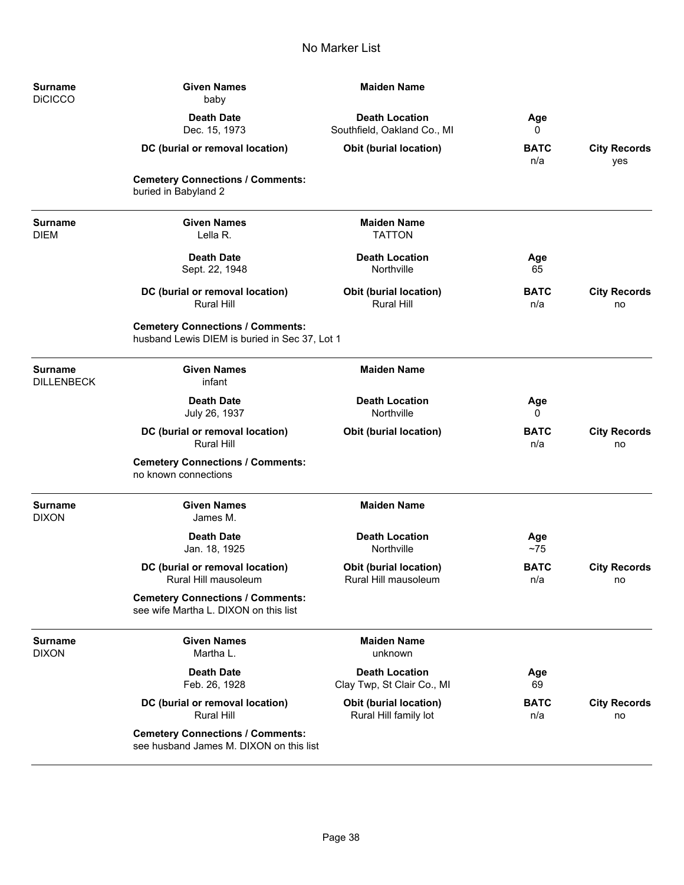| <b>Surname</b><br><b>DiCICCO</b>    | <b>Maiden Name</b><br><b>Given Names</b><br>baby                                         |                                                      |                    |                            |
|-------------------------------------|------------------------------------------------------------------------------------------|------------------------------------------------------|--------------------|----------------------------|
|                                     | <b>Death Date</b><br>Dec. 15, 1973                                                       | <b>Death Location</b><br>Southfield, Oakland Co., MI | Age<br>0           |                            |
|                                     | DC (burial or removal location)                                                          | Obit (burial location)                               | <b>BATC</b><br>n/a | <b>City Records</b><br>yes |
|                                     | <b>Cemetery Connections / Comments:</b><br>buried in Babyland 2                          |                                                      |                    |                            |
| <b>Surname</b><br><b>DIEM</b>       | <b>Given Names</b><br>Lella R.                                                           | <b>Maiden Name</b><br><b>TATTON</b>                  |                    |                            |
|                                     | <b>Death Date</b><br>Sept. 22, 1948                                                      | <b>Death Location</b><br>Northville                  | Age<br>65          |                            |
|                                     | DC (burial or removal location)<br><b>Rural Hill</b>                                     | <b>Obit (burial location)</b><br><b>Rural Hill</b>   | <b>BATC</b><br>n/a | <b>City Records</b><br>no  |
|                                     | <b>Cemetery Connections / Comments:</b><br>husband Lewis DIEM is buried in Sec 37, Lot 1 |                                                      |                    |                            |
| <b>Surname</b><br><b>DILLENBECK</b> | <b>Given Names</b><br>infant                                                             | <b>Maiden Name</b>                                   |                    |                            |
|                                     | <b>Death Date</b><br>July 26, 1937                                                       | <b>Death Location</b><br>Northville                  | Age<br>0           |                            |
|                                     | DC (burial or removal location)<br><b>Rural Hill</b>                                     | <b>Obit (burial location)</b>                        | <b>BATC</b><br>n/a | <b>City Records</b><br>no  |
|                                     | <b>Cemetery Connections / Comments:</b><br>no known connections                          |                                                      |                    |                            |
| <b>Surname</b><br><b>DIXON</b>      | <b>Given Names</b><br>James M.                                                           | <b>Maiden Name</b>                                   |                    |                            |
|                                     | <b>Death Date</b><br>Jan. 18, 1925                                                       | <b>Death Location</b><br>Northville                  | Age<br>~1          |                            |
|                                     | DC (burial or removal location)<br>Rural Hill mausoleum                                  | Obit (burial location)<br>Rural Hill mausoleum       | <b>BATC</b><br>n/a | <b>City Records</b><br>no  |
|                                     | <b>Cemetery Connections / Comments:</b><br>see wife Martha L. DIXON on this list         |                                                      |                    |                            |
| Surname<br><b>DIXON</b>             | <b>Given Names</b><br>Martha L.                                                          | <b>Maiden Name</b><br>unknown                        |                    |                            |
|                                     | <b>Death Date</b><br>Feb. 26, 1928                                                       | <b>Death Location</b><br>Clay Twp, St Clair Co., MI  | Age<br>69          |                            |
|                                     | DC (burial or removal location)<br><b>Rural Hill</b>                                     | Obit (burial location)<br>Rural Hill family lot      | <b>BATC</b><br>n/a | <b>City Records</b><br>no  |
|                                     | <b>Cemetery Connections / Comments:</b><br>see husband James M. DIXON on this list       |                                                      |                    |                            |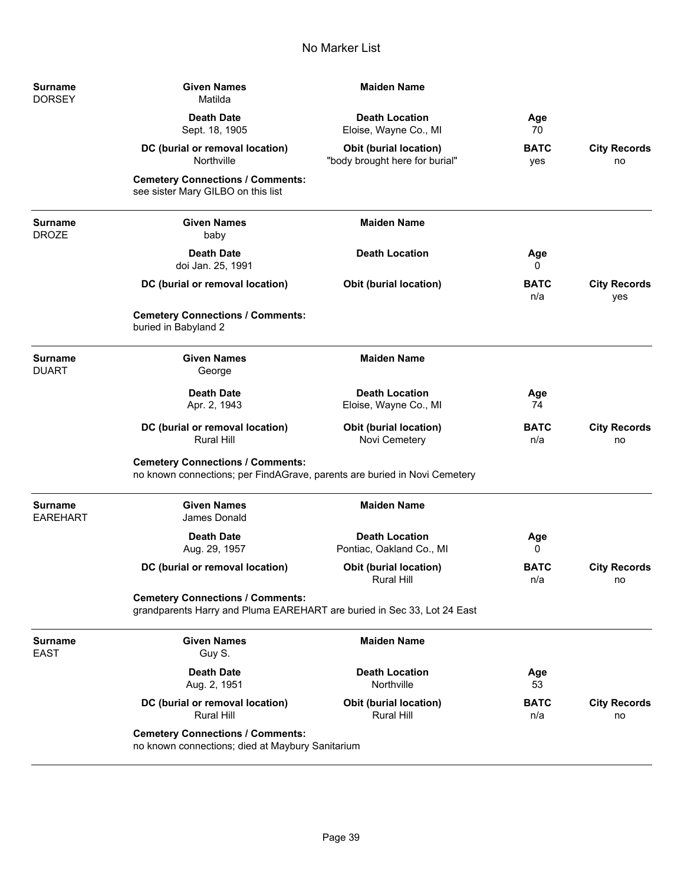| <b>Surname</b><br><b>DORSEY</b>   | <b>Given Names</b><br>Matilda                                                                                        | <b>Maiden Name</b>                                              |                    |                            |
|-----------------------------------|----------------------------------------------------------------------------------------------------------------------|-----------------------------------------------------------------|--------------------|----------------------------|
|                                   | <b>Death Date</b><br>Sept. 18, 1905                                                                                  | <b>Death Location</b><br>Eloise, Wayne Co., MI                  | Age<br>70          |                            |
|                                   | DC (burial or removal location)<br>Northville                                                                        | <b>Obit (burial location)</b><br>"body brought here for burial" | <b>BATC</b><br>yes | <b>City Records</b><br>no  |
|                                   | <b>Cemetery Connections / Comments:</b><br>see sister Mary GILBO on this list                                        |                                                                 |                    |                            |
| <b>Surname</b><br><b>DROZE</b>    | <b>Given Names</b><br>baby                                                                                           | <b>Maiden Name</b>                                              |                    |                            |
|                                   | <b>Death Date</b><br>doi Jan. 25, 1991                                                                               | <b>Death Location</b>                                           | Age<br>0           |                            |
|                                   | DC (burial or removal location)                                                                                      | <b>Obit (burial location)</b>                                   | <b>BATC</b><br>n/a | <b>City Records</b><br>yes |
|                                   | <b>Cemetery Connections / Comments:</b><br>buried in Babyland 2                                                      |                                                                 |                    |                            |
| <b>Surname</b><br><b>DUART</b>    | <b>Given Names</b><br>George                                                                                         | <b>Maiden Name</b>                                              |                    |                            |
|                                   | <b>Death Date</b><br>Apr. 2, 1943                                                                                    | <b>Death Location</b><br>Eloise, Wayne Co., MI                  | Age<br>74          |                            |
|                                   | DC (burial or removal location)<br><b>Rural Hill</b>                                                                 | <b>Obit (burial location)</b><br>Novi Cemetery                  | <b>BATC</b><br>n/a | <b>City Records</b><br>no  |
|                                   | <b>Cemetery Connections / Comments:</b><br>no known connections; per FindAGrave, parents are buried in Novi Cemetery |                                                                 |                    |                            |
| <b>Surname</b><br><b>EAREHART</b> | <b>Given Names</b><br>James Donald                                                                                   | <b>Maiden Name</b>                                              |                    |                            |
|                                   | <b>Death Date</b><br>Aug. 29, 1957                                                                                   | <b>Death Location</b><br>Pontiac, Oakland Co., MI               | Age<br>0           |                            |
|                                   | DC (burial or removal location)                                                                                      | Obit (burial location)<br><b>Rural Hill</b>                     | <b>BATC</b><br>n/a | <b>City Records</b><br>no  |
|                                   | <b>Cemetery Connections / Comments:</b><br>grandparents Harry and Pluma EAREHART are buried in Sec 33, Lot 24 East   |                                                                 |                    |                            |
| <b>Surname</b><br><b>EAST</b>     | <b>Given Names</b><br>Guy S.                                                                                         | <b>Maiden Name</b>                                              |                    |                            |
|                                   | <b>Death Date</b><br>Aug. 2, 1951                                                                                    | <b>Death Location</b><br>Northville                             | Age<br>53          |                            |
|                                   | DC (burial or removal location)<br><b>Rural Hill</b>                                                                 | <b>Obit (burial location)</b><br><b>Rural Hill</b>              | <b>BATC</b><br>n/a | <b>City Records</b><br>no  |
|                                   | <b>Cemetery Connections / Comments:</b><br>no known connections; died at Maybury Sanitarium                          |                                                                 |                    |                            |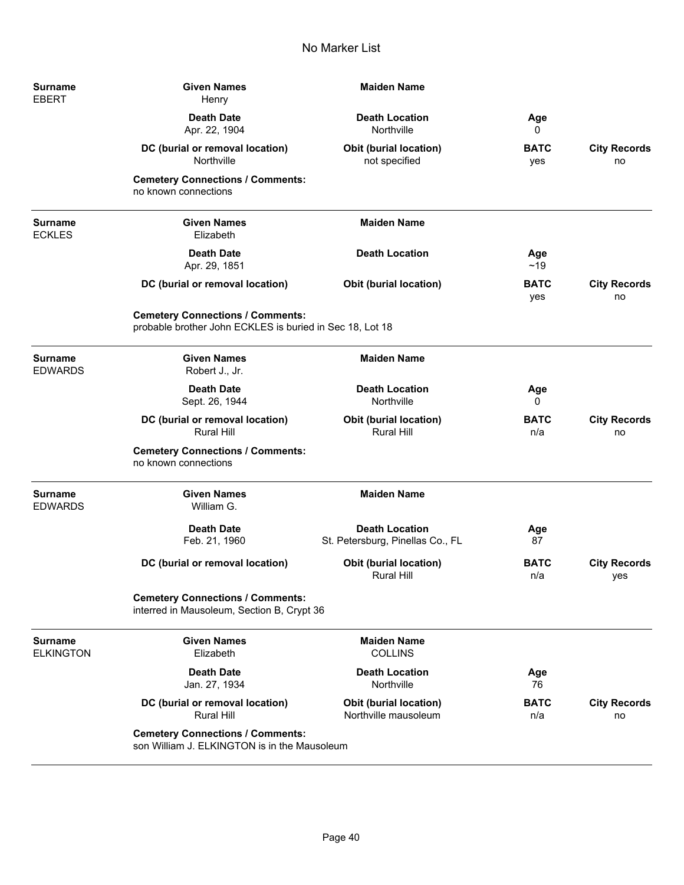| <b>Surname</b><br><b>EBERT</b>     | <b>Given Names</b><br>Henry                                                                         | <b>Maiden Name</b>                                        |                    |                            |
|------------------------------------|-----------------------------------------------------------------------------------------------------|-----------------------------------------------------------|--------------------|----------------------------|
|                                    | <b>Death Date</b><br>Apr. 22, 1904                                                                  | <b>Death Location</b><br>Northville                       | Age<br>0           |                            |
|                                    | DC (burial or removal location)<br>Northville                                                       | <b>Obit (burial location)</b><br>not specified            | <b>BATC</b><br>yes | <b>City Records</b><br>no  |
|                                    | <b>Cemetery Connections / Comments:</b><br>no known connections                                     |                                                           |                    |                            |
| <b>Surname</b><br><b>ECKLES</b>    | <b>Given Names</b><br>Elizabeth                                                                     | <b>Maiden Name</b>                                        |                    |                            |
|                                    | <b>Death Date</b><br>Apr. 29, 1851                                                                  | <b>Death Location</b>                                     | Age<br>~19         |                            |
|                                    | DC (burial or removal location)                                                                     | <b>Obit (burial location)</b>                             | <b>BATC</b><br>yes | <b>City Records</b><br>no  |
|                                    | <b>Cemetery Connections / Comments:</b><br>probable brother John ECKLES is buried in Sec 18, Lot 18 |                                                           |                    |                            |
| <b>Surname</b><br><b>EDWARDS</b>   | <b>Given Names</b><br>Robert J., Jr.                                                                | <b>Maiden Name</b>                                        |                    |                            |
|                                    | <b>Death Date</b><br>Sept. 26, 1944                                                                 | <b>Death Location</b><br>Northville                       | Age<br>0           |                            |
|                                    | DC (burial or removal location)<br><b>Rural Hill</b>                                                | Obit (burial location)<br><b>Rural Hill</b>               | <b>BATC</b><br>n/a | <b>City Records</b><br>no  |
|                                    | <b>Cemetery Connections / Comments:</b><br>no known connections                                     |                                                           |                    |                            |
| <b>Surname</b><br><b>EDWARDS</b>   | <b>Given Names</b><br>William G.                                                                    | <b>Maiden Name</b>                                        |                    |                            |
|                                    | <b>Death Date</b><br>Feb. 21, 1960                                                                  | <b>Death Location</b><br>St. Petersburg, Pinellas Co., FL | Age<br>87          |                            |
|                                    | DC (burial or removal location)                                                                     | <b>Obit (burial location)</b><br>Rural Hill               | <b>BATC</b><br>n/a | <b>City Records</b><br>yes |
|                                    | <b>Cemetery Connections / Comments:</b><br>interred in Mausoleum, Section B, Crypt 36               |                                                           |                    |                            |
| <b>Surname</b><br><b>ELKINGTON</b> | <b>Given Names</b><br>Elizabeth                                                                     | <b>Maiden Name</b><br><b>COLLINS</b>                      |                    |                            |
|                                    | <b>Death Date</b><br>Jan. 27, 1934                                                                  | <b>Death Location</b><br>Northville                       | Age<br>76          |                            |
|                                    | DC (burial or removal location)<br><b>Rural Hill</b>                                                | Obit (burial location)<br>Northville mausoleum            | <b>BATC</b><br>n/a | <b>City Records</b><br>no  |
|                                    | <b>Cemetery Connections / Comments:</b><br>son William J. ELKINGTON is in the Mausoleum             |                                                           |                    |                            |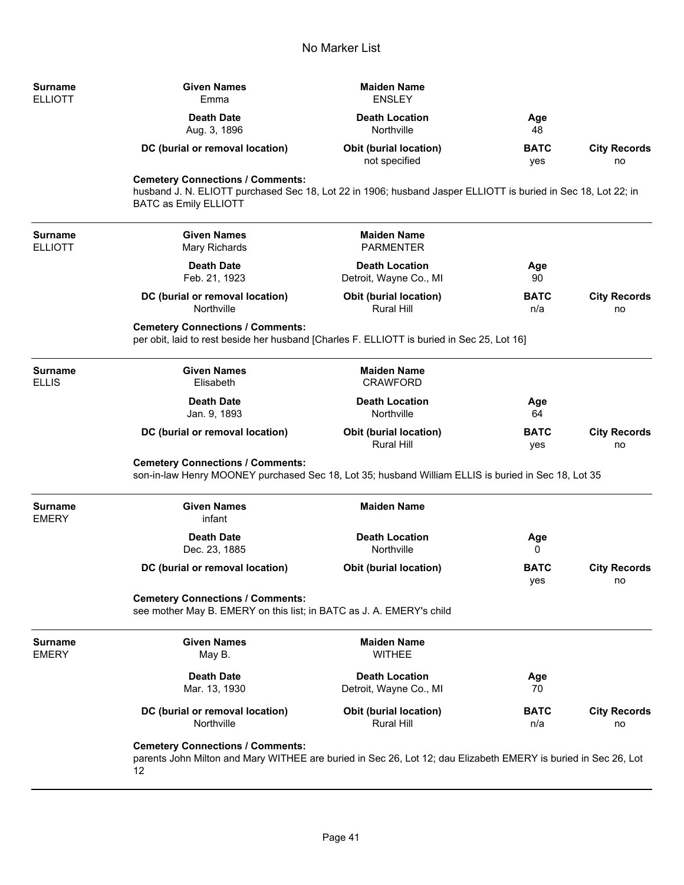| <b>Surname</b><br><b>ELLIOTT</b> | <b>Given Names</b><br>Emma                                                                                                                                                               | <b>Maiden Name</b><br><b>ENSLEY</b>                |                    |                           |
|----------------------------------|------------------------------------------------------------------------------------------------------------------------------------------------------------------------------------------|----------------------------------------------------|--------------------|---------------------------|
|                                  | <b>Death Date</b><br>Aug. 3, 1896                                                                                                                                                        | <b>Death Location</b><br>Northville                | Age<br>48          |                           |
|                                  | DC (burial or removal location)                                                                                                                                                          | <b>Obit (burial location)</b><br>not specified     | <b>BATC</b><br>yes | <b>City Records</b><br>no |
|                                  | <b>Cemetery Connections / Comments:</b><br>husband J. N. ELIOTT purchased Sec 18, Lot 22 in 1906; husband Jasper ELLIOTT is buried in Sec 18, Lot 22; in<br><b>BATC as Emily ELLIOTT</b> |                                                    |                    |                           |
| <b>Surname</b><br><b>ELLIOTT</b> | <b>Given Names</b><br>Mary Richards                                                                                                                                                      | <b>Maiden Name</b><br><b>PARMENTER</b>             |                    |                           |
|                                  | <b>Death Date</b><br>Feb. 21, 1923                                                                                                                                                       | <b>Death Location</b><br>Detroit, Wayne Co., MI    | Age<br>90          |                           |
|                                  | DC (burial or removal location)<br>Northville                                                                                                                                            | <b>Obit (burial location)</b><br>Rural Hill        | <b>BATC</b><br>n/a | <b>City Records</b><br>no |
|                                  | <b>Cemetery Connections / Comments:</b><br>per obit, laid to rest beside her husband [Charles F. ELLIOTT is buried in Sec 25, Lot 16]                                                    |                                                    |                    |                           |
| <b>Surname</b><br><b>ELLIS</b>   | <b>Given Names</b><br>Elisabeth                                                                                                                                                          | <b>Maiden Name</b><br><b>CRAWFORD</b>              |                    |                           |
|                                  | <b>Death Date</b><br>Jan. 9, 1893                                                                                                                                                        | <b>Death Location</b><br>Northville                | Age<br>64          |                           |
|                                  | DC (burial or removal location)                                                                                                                                                          | <b>Obit (burial location)</b><br><b>Rural Hill</b> | <b>BATC</b><br>yes | <b>City Records</b><br>no |
|                                  | <b>Cemetery Connections / Comments:</b><br>son-in-law Henry MOONEY purchased Sec 18, Lot 35; husband William ELLIS is buried in Sec 18, Lot 35                                           |                                                    |                    |                           |
| <b>Surname</b><br><b>EMERY</b>   | <b>Given Names</b><br>infant                                                                                                                                                             | <b>Maiden Name</b>                                 |                    |                           |
|                                  | <b>Death Date</b><br>Dec. 23, 1885                                                                                                                                                       | <b>Death Location</b><br>Northville                | Age<br>0           |                           |
|                                  | DC (burial or removal location)                                                                                                                                                          | <b>Obit (burial location)</b>                      | <b>BATC</b><br>yes | <b>City Records</b><br>no |
|                                  | <b>Cemetery Connections / Comments:</b><br>see mother May B. EMERY on this list; in BATC as J. A. EMERY's child                                                                          |                                                    |                    |                           |
| <b>Surname</b><br><b>EMERY</b>   | <b>Given Names</b><br>May B.                                                                                                                                                             | <b>Maiden Name</b><br><b>WITHEE</b>                |                    |                           |
|                                  | <b>Death Date</b><br>Mar. 13, 1930                                                                                                                                                       | <b>Death Location</b><br>Detroit, Wayne Co., MI    | Age<br>70          |                           |
|                                  | DC (burial or removal location)<br>Northville                                                                                                                                            | Obit (burial location)<br>Rural Hill               | <b>BATC</b><br>n/a | <b>City Records</b><br>no |
|                                  | <b>Cemetery Connections / Comments:</b><br>parents John Milton and Mary WITHEE are buried in Sec 26, Lot 12; dau Elizabeth EMERY is buried in Sec 26, Lot<br>12                          |                                                    |                    |                           |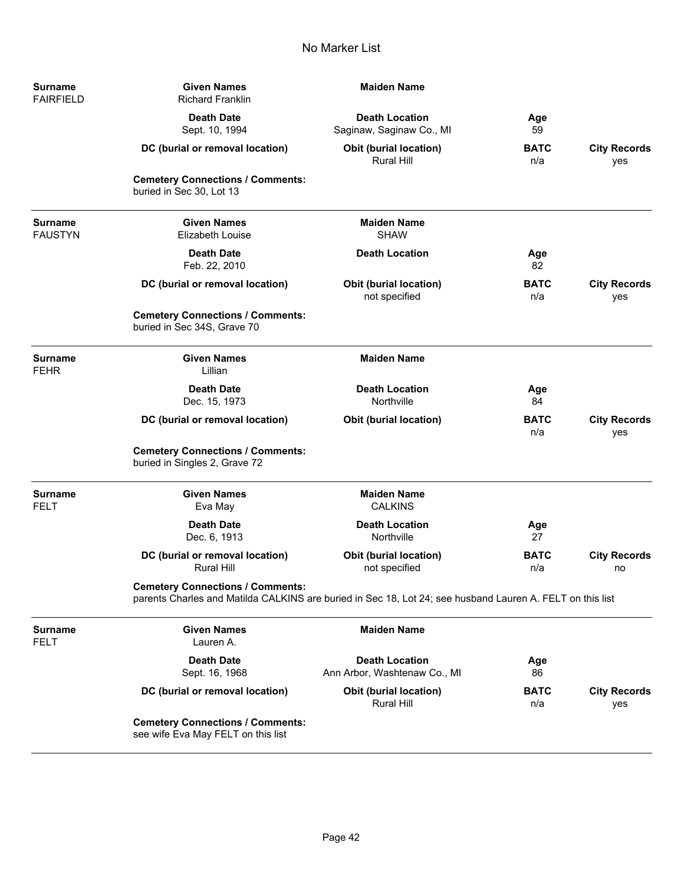| Surname<br><b>FAIRFIELD</b>      | <b>Given Names</b><br><b>Richard Franklin</b>                                                                                                        | <b>Maiden Name</b>                                    |                    |                            |
|----------------------------------|------------------------------------------------------------------------------------------------------------------------------------------------------|-------------------------------------------------------|--------------------|----------------------------|
|                                  | <b>Death Date</b><br>Sept. 10, 1994                                                                                                                  | <b>Death Location</b><br>Saginaw, Saginaw Co., MI     | Age<br>59          |                            |
|                                  | DC (burial or removal location)                                                                                                                      | <b>Obit (burial location)</b><br>Rural Hill           | <b>BATC</b><br>n/a | <b>City Records</b><br>yes |
|                                  | <b>Cemetery Connections / Comments:</b><br>buried in Sec 30, Lot 13                                                                                  |                                                       |                    |                            |
| <b>Surname</b><br><b>FAUSTYN</b> | <b>Given Names</b><br><b>Elizabeth Louise</b>                                                                                                        | <b>Maiden Name</b><br><b>SHAW</b>                     |                    |                            |
|                                  | <b>Death Date</b><br>Feb. 22, 2010                                                                                                                   | <b>Death Location</b>                                 | Age<br>82          |                            |
|                                  | DC (burial or removal location)                                                                                                                      | <b>Obit (burial location)</b><br>not specified        | <b>BATC</b><br>n/a | <b>City Records</b><br>yes |
|                                  | <b>Cemetery Connections / Comments:</b><br>buried in Sec 34S, Grave 70                                                                               |                                                       |                    |                            |
| <b>Surname</b><br><b>FEHR</b>    | <b>Given Names</b><br>Lillian                                                                                                                        | <b>Maiden Name</b>                                    |                    |                            |
|                                  | <b>Death Date</b><br>Dec. 15, 1973                                                                                                                   | <b>Death Location</b><br>Northville                   | Age<br>84          |                            |
|                                  | DC (burial or removal location)                                                                                                                      | <b>Obit (burial location)</b>                         | <b>BATC</b><br>n/a | <b>City Records</b><br>yes |
|                                  | <b>Cemetery Connections / Comments:</b><br>buried in Singles 2, Grave 72                                                                             |                                                       |                    |                            |
| <b>Surname</b><br><b>FELT</b>    | <b>Given Names</b><br>Eva May                                                                                                                        | <b>Maiden Name</b><br><b>CALKINS</b>                  |                    |                            |
|                                  | <b>Death Date</b><br>Dec. 6, 1913                                                                                                                    | <b>Death Location</b><br>Northville                   | Age<br>27          |                            |
|                                  | DC (burial or removal location)<br>Rural Hill                                                                                                        | <b>Obit (burial location)</b><br>not specified        | <b>BATC</b><br>n/a | <b>City Records</b><br>no  |
|                                  | <b>Cemetery Connections / Comments:</b><br>parents Charles and Matilda CALKINS are buried in Sec 18, Lot 24; see husband Lauren A. FELT on this list |                                                       |                    |                            |
| <b>Surname</b><br><b>FELT</b>    | <b>Given Names</b><br>Lauren A.                                                                                                                      | <b>Maiden Name</b>                                    |                    |                            |
|                                  | <b>Death Date</b><br>Sept. 16, 1968                                                                                                                  | <b>Death Location</b><br>Ann Arbor, Washtenaw Co., MI | Age<br>86          |                            |
|                                  | DC (burial or removal location)                                                                                                                      | <b>Obit (burial location)</b><br><b>Rural Hill</b>    | <b>BATC</b><br>n/a | <b>City Records</b><br>yes |
|                                  | <b>Cemetery Connections / Comments:</b><br>see wife Eva May FELT on this list                                                                        |                                                       |                    |                            |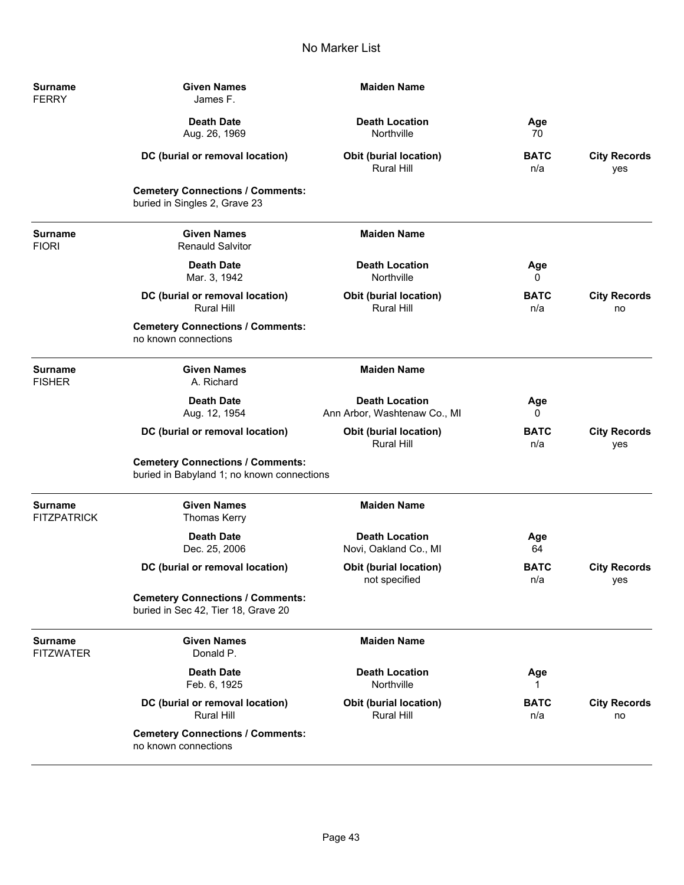| <b>Surname</b><br><b>FERRY</b>       | <b>Given Names</b><br>James F.                                                        | <b>Maiden Name</b>                                    |                    |                            |  |
|--------------------------------------|---------------------------------------------------------------------------------------|-------------------------------------------------------|--------------------|----------------------------|--|
|                                      | <b>Death Date</b><br>Aug. 26, 1969                                                    | <b>Death Location</b><br>Northville                   | Age<br>70          |                            |  |
|                                      | DC (burial or removal location)                                                       | Obit (burial location)<br>Rural Hill                  | <b>BATC</b><br>n/a | <b>City Records</b><br>yes |  |
|                                      | <b>Cemetery Connections / Comments:</b><br>buried in Singles 2, Grave 23              |                                                       |                    |                            |  |
| <b>Surname</b><br><b>FIORI</b>       | <b>Given Names</b><br><b>Renauld Salvitor</b>                                         | <b>Maiden Name</b>                                    |                    |                            |  |
|                                      | <b>Death Date</b><br>Mar. 3, 1942                                                     | <b>Death Location</b><br>Northville                   | Age<br>0           |                            |  |
|                                      | DC (burial or removal location)<br><b>Rural Hill</b>                                  | Obit (burial location)<br><b>Rural Hill</b>           | <b>BATC</b><br>n/a | <b>City Records</b><br>no  |  |
|                                      | <b>Cemetery Connections / Comments:</b><br>no known connections                       |                                                       |                    |                            |  |
| Surname<br><b>FISHER</b>             | <b>Given Names</b><br>A. Richard                                                      | <b>Maiden Name</b>                                    |                    |                            |  |
|                                      | <b>Death Date</b><br>Aug. 12, 1954                                                    | <b>Death Location</b><br>Ann Arbor, Washtenaw Co., MI | Age<br>0           |                            |  |
|                                      | DC (burial or removal location)                                                       | <b>Obit (burial location)</b><br><b>Rural Hill</b>    | <b>BATC</b><br>n/a | <b>City Records</b><br>yes |  |
|                                      | <b>Cemetery Connections / Comments:</b><br>buried in Babyland 1; no known connections |                                                       |                    |                            |  |
| <b>Surname</b><br><b>FITZPATRICK</b> | <b>Given Names</b><br><b>Thomas Kerry</b>                                             | <b>Maiden Name</b>                                    |                    |                            |  |
|                                      | <b>Death Date</b><br>Dec. 25, 2006                                                    | <b>Death Location</b><br>Novi, Oakland Co., MI        | Age<br>64          |                            |  |
|                                      | DC (burial or removal location)                                                       | <b>Obit (burial location)</b><br>not specified        | <b>BATC</b><br>n/a | <b>City Records</b><br>yes |  |
|                                      | <b>Cemetery Connections / Comments:</b><br>buried in Sec 42, Tier 18, Grave 20        |                                                       |                    |                            |  |
| <b>Surname</b><br><b>FITZWATER</b>   | <b>Given Names</b><br>Donald P.                                                       | <b>Maiden Name</b>                                    |                    |                            |  |
|                                      | <b>Death Date</b><br>Feb. 6, 1925                                                     | <b>Death Location</b><br>Northville                   | Age                |                            |  |
|                                      | DC (burial or removal location)<br><b>Rural Hill</b>                                  | <b>Obit (burial location)</b><br><b>Rural Hill</b>    | <b>BATC</b><br>n/a | <b>City Records</b><br>no  |  |
|                                      | <b>Cemetery Connections / Comments:</b><br>no known connections                       |                                                       |                    |                            |  |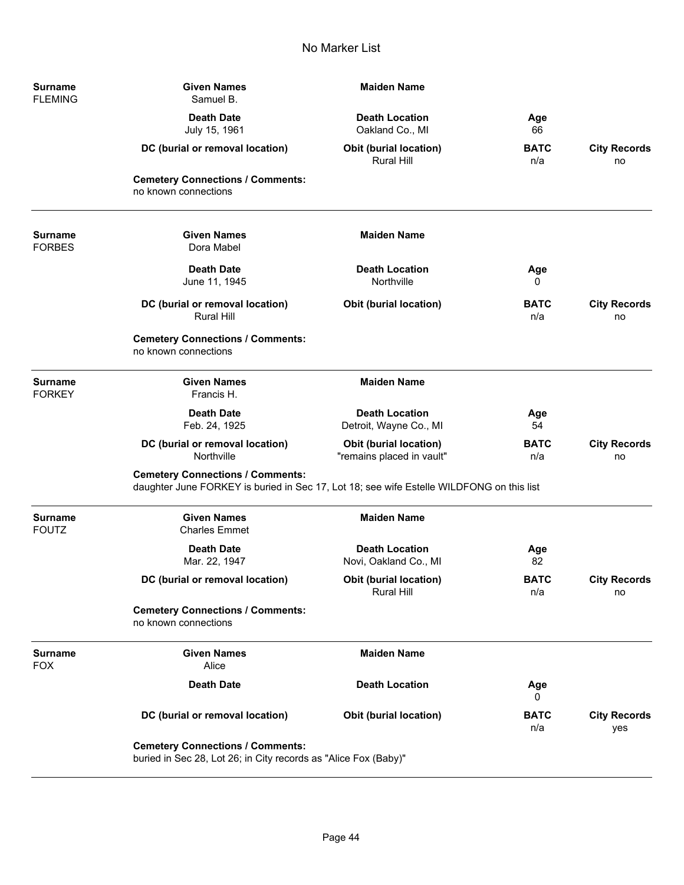| <b>Surname</b><br><b>FLEMING</b> | <b>Given Names</b><br>Samuel B.                                                                                                     | <b>Maiden Name</b>                                         |                    |                            |
|----------------------------------|-------------------------------------------------------------------------------------------------------------------------------------|------------------------------------------------------------|--------------------|----------------------------|
|                                  | <b>Death Date</b><br>July 15, 1961                                                                                                  | <b>Death Location</b><br>Oakland Co., MI                   | Age<br>66          |                            |
|                                  | DC (burial or removal location)                                                                                                     | <b>Obit (burial location)</b><br>Rural Hill                | <b>BATC</b><br>n/a | <b>City Records</b><br>no  |
|                                  | <b>Cemetery Connections / Comments:</b><br>no known connections                                                                     |                                                            |                    |                            |
| <b>Surname</b><br><b>FORBES</b>  | <b>Given Names</b><br>Dora Mabel                                                                                                    | <b>Maiden Name</b>                                         |                    |                            |
|                                  | <b>Death Date</b><br>June 11, 1945                                                                                                  | <b>Death Location</b><br>Northville                        | Age<br>0           |                            |
|                                  | DC (burial or removal location)<br><b>Rural Hill</b>                                                                                | Obit (burial location)                                     | <b>BATC</b><br>n/a | <b>City Records</b><br>no  |
|                                  | <b>Cemetery Connections / Comments:</b><br>no known connections                                                                     |                                                            |                    |                            |
| <b>Surname</b><br><b>FORKEY</b>  | <b>Given Names</b><br>Francis H.                                                                                                    | <b>Maiden Name</b>                                         |                    |                            |
|                                  | <b>Death Date</b><br>Feb. 24, 1925                                                                                                  | <b>Death Location</b><br>Detroit, Wayne Co., MI            | Age<br>54          |                            |
|                                  | DC (burial or removal location)<br>Northville                                                                                       | <b>Obit (burial location)</b><br>"remains placed in vault" | <b>BATC</b><br>n/a | <b>City Records</b><br>no  |
|                                  | <b>Cemetery Connections / Comments:</b><br>daughter June FORKEY is buried in Sec 17, Lot 18; see wife Estelle WILDFONG on this list |                                                            |                    |                            |
| <b>Surname</b><br><b>FOUTZ</b>   | <b>Given Names</b><br><b>Charles Emmet</b>                                                                                          | <b>Maiden Name</b>                                         |                    |                            |
|                                  | <b>Death Date</b><br>Mar. 22, 1947                                                                                                  | <b>Death Location</b><br>Novi, Oakland Co., MI             | Age<br>82          |                            |
|                                  | DC (burial or removal location)                                                                                                     | <b>Obit (burial location)</b><br><b>Rural Hill</b>         | <b>BATC</b><br>n/a | <b>City Records</b><br>no  |
|                                  | <b>Cemetery Connections / Comments:</b><br>no known connections                                                                     |                                                            |                    |                            |
| <b>Surname</b><br><b>FOX</b>     | <b>Given Names</b><br>Alice                                                                                                         | <b>Maiden Name</b>                                         |                    |                            |
|                                  | <b>Death Date</b>                                                                                                                   | <b>Death Location</b>                                      | Age<br>0           |                            |
|                                  | DC (burial or removal location)                                                                                                     | Obit (burial location)                                     | <b>BATC</b><br>n/a | <b>City Records</b><br>yes |
|                                  | <b>Cemetery Connections / Comments:</b><br>buried in Sec 28, Lot 26; in City records as "Alice Fox (Baby)"                          |                                                            |                    |                            |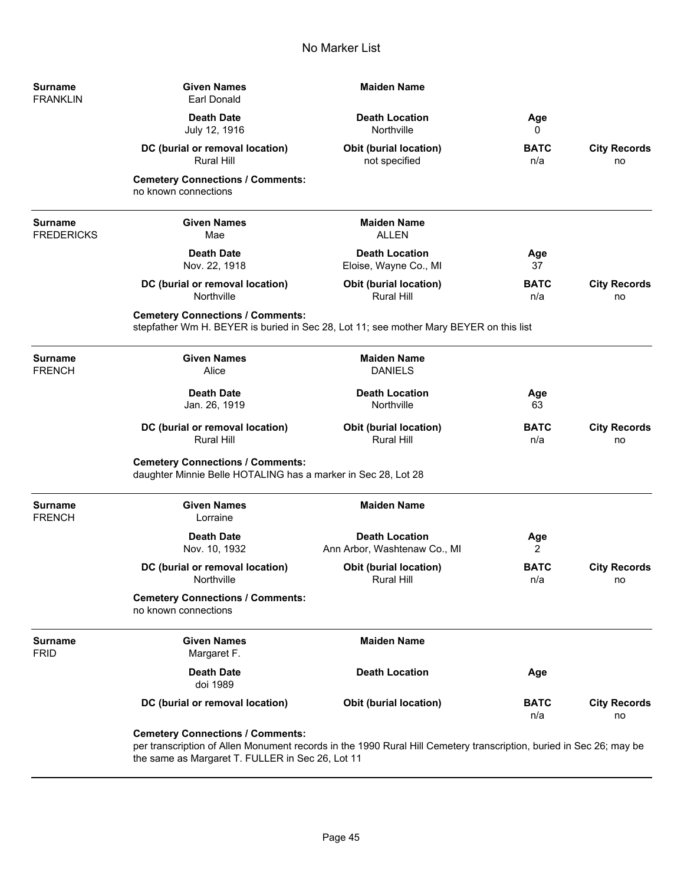| Surname<br><b>FRANKLIN</b>   | <b>Given Names</b><br><b>Earl Donald</b>                                                                                                                                                                           | <b>Maiden Name</b>                                    |                    |                           |
|------------------------------|--------------------------------------------------------------------------------------------------------------------------------------------------------------------------------------------------------------------|-------------------------------------------------------|--------------------|---------------------------|
|                              | <b>Death Date</b><br>July 12, 1916                                                                                                                                                                                 | <b>Death Location</b><br>Northville                   | Age<br>0           |                           |
|                              | DC (burial or removal location)<br><b>Rural Hill</b>                                                                                                                                                               | <b>Obit (burial location)</b><br>not specified        | <b>BATC</b><br>n/a | <b>City Records</b><br>no |
|                              | <b>Cemetery Connections / Comments:</b><br>no known connections                                                                                                                                                    |                                                       |                    |                           |
| Surname<br><b>FREDERICKS</b> | <b>Given Names</b><br>Mae                                                                                                                                                                                          | <b>Maiden Name</b><br><b>ALLEN</b>                    |                    |                           |
|                              | <b>Death Date</b><br>Nov. 22, 1918                                                                                                                                                                                 | <b>Death Location</b><br>Eloise, Wayne Co., MI        | Age<br>37          |                           |
|                              | DC (burial or removal location)<br>Northville                                                                                                                                                                      | <b>Obit (burial location)</b><br>Rural Hill           | <b>BATC</b><br>n/a | <b>City Records</b><br>no |
|                              | <b>Cemetery Connections / Comments:</b><br>stepfather Wm H. BEYER is buried in Sec 28, Lot 11; see mother Mary BEYER on this list                                                                                  |                                                       |                    |                           |
| Surname<br>FRENCH            | <b>Given Names</b><br>Alice                                                                                                                                                                                        | <b>Maiden Name</b><br><b>DANIELS</b>                  |                    |                           |
|                              | <b>Death Date</b><br>Jan. 26, 1919                                                                                                                                                                                 | <b>Death Location</b><br>Northville                   | Age<br>63          |                           |
|                              | DC (burial or removal location)<br>Rural Hill                                                                                                                                                                      | <b>Obit (burial location)</b><br><b>Rural Hill</b>    | <b>BATC</b><br>n/a | <b>City Records</b><br>no |
|                              | <b>Cemetery Connections / Comments:</b><br>daughter Minnie Belle HOTALING has a marker in Sec 28, Lot 28                                                                                                           |                                                       |                    |                           |
| Surname<br><b>FRENCH</b>     | <b>Given Names</b><br>Lorraine                                                                                                                                                                                     | <b>Maiden Name</b>                                    |                    |                           |
|                              | <b>Death Date</b><br>Nov. 10, 1932                                                                                                                                                                                 | <b>Death Location</b><br>Ann Arbor, Washtenaw Co., MI | Age<br>2           |                           |
|                              | DC (burial or removal location)<br>Northville                                                                                                                                                                      | <b>Obit (burial location)</b><br>Rural Hill           | <b>BATC</b><br>n/a | <b>City Records</b><br>no |
|                              | <b>Cemetery Connections / Comments:</b><br>no known connections                                                                                                                                                    |                                                       |                    |                           |
| <b>Surname</b><br>FRID       | <b>Given Names</b><br>Margaret F.                                                                                                                                                                                  | <b>Maiden Name</b>                                    |                    |                           |
|                              | <b>Death Date</b><br>doi 1989                                                                                                                                                                                      | <b>Death Location</b>                                 | Age                |                           |
|                              | DC (burial or removal location)                                                                                                                                                                                    | <b>Obit (burial location)</b>                         | <b>BATC</b><br>n/a | <b>City Records</b><br>no |
|                              | <b>Cemetery Connections / Comments:</b><br>per transcription of Allen Monument records in the 1990 Rural Hill Cemetery transcription, buried in Sec 26; may be<br>the same as Margaret T. FULLER in Sec 26, Lot 11 |                                                       |                    |                           |

÷

÷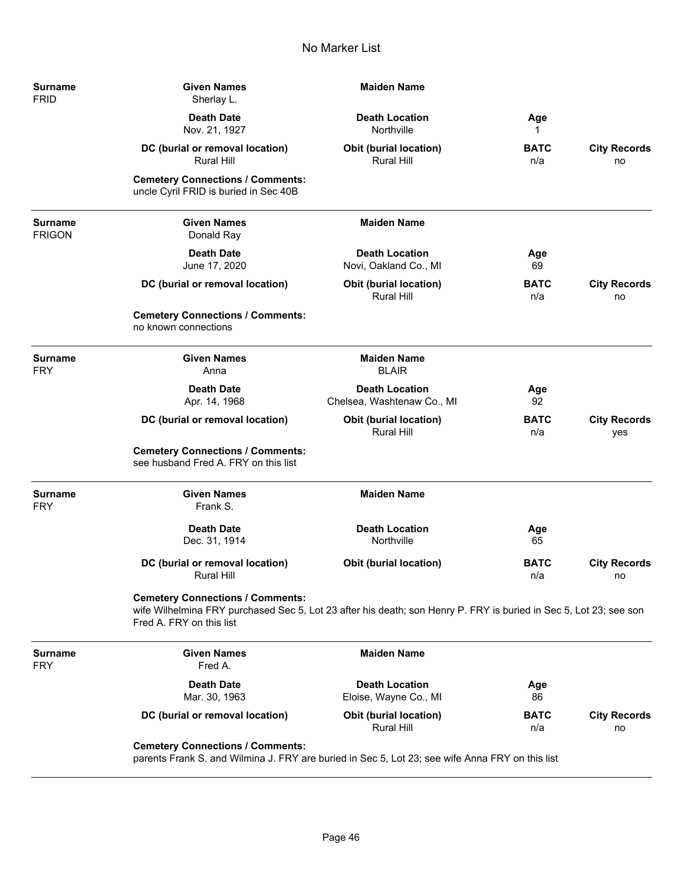| Surname<br><b>FRID</b>       | <b>Given Names</b><br>Sherlay L.                                                                                                                                                         | <b>Maiden Name</b>                                  |                    |                            |
|------------------------------|------------------------------------------------------------------------------------------------------------------------------------------------------------------------------------------|-----------------------------------------------------|--------------------|----------------------------|
|                              | <b>Death Date</b><br>Nov. 21, 1927                                                                                                                                                       | <b>Death Location</b><br>Northville                 | Age<br>1           |                            |
|                              | DC (burial or removal location)<br>Rural Hill                                                                                                                                            | <b>Obit (burial location)</b><br><b>Rural Hill</b>  | <b>BATC</b><br>n/a | <b>City Records</b><br>no  |
|                              | <b>Cemetery Connections / Comments:</b><br>uncle Cyril FRID is buried in Sec 40B                                                                                                         |                                                     |                    |                            |
| Surname<br><b>FRIGON</b>     | <b>Given Names</b><br>Donald Ray                                                                                                                                                         | <b>Maiden Name</b>                                  |                    |                            |
|                              | <b>Death Date</b><br>June 17, 2020                                                                                                                                                       | <b>Death Location</b><br>Novi, Oakland Co., MI      | Age<br>69          |                            |
|                              | DC (burial or removal location)                                                                                                                                                          | <b>Obit (burial location)</b><br><b>Rural Hill</b>  | <b>BATC</b><br>n/a | <b>City Records</b><br>no  |
|                              | <b>Cemetery Connections / Comments:</b><br>no known connections                                                                                                                          |                                                     |                    |                            |
| Surname<br><b>FRY</b>        | <b>Given Names</b><br>Anna                                                                                                                                                               | <b>Maiden Name</b><br><b>BLAIR</b>                  |                    |                            |
|                              | <b>Death Date</b><br>Apr. 14, 1968                                                                                                                                                       | <b>Death Location</b><br>Chelsea, Washtenaw Co., MI | Age<br>92          |                            |
|                              | DC (burial or removal location)                                                                                                                                                          | <b>Obit (burial location)</b><br><b>Rural Hill</b>  | <b>BATC</b><br>n/a | <b>City Records</b><br>yes |
|                              | <b>Cemetery Connections / Comments:</b><br>see husband Fred A. FRY on this list                                                                                                          |                                                     |                    |                            |
| <b>Surname</b><br><b>FRY</b> | <b>Given Names</b><br>Frank S.                                                                                                                                                           | <b>Maiden Name</b>                                  |                    |                            |
|                              | <b>Death Date</b><br>Dec. 31, 1914                                                                                                                                                       | <b>Death Location</b><br>Northville                 | Age<br>65          |                            |
|                              | DC (burial or removal location)<br>Rural Hill                                                                                                                                            | <b>Obit (burial location)</b>                       | <b>BATC</b><br>n/a | <b>City Records</b><br>no  |
|                              | <b>Cemetery Connections / Comments:</b><br>wife Wilhelmina FRY purchased Sec 5, Lot 23 after his death; son Henry P. FRY is buried in Sec 5, Lot 23; see son<br>Fred A. FRY on this list |                                                     |                    |                            |
| <b>Surname</b><br><b>FRY</b> | <b>Given Names</b><br>Fred A.                                                                                                                                                            | <b>Maiden Name</b>                                  |                    |                            |
|                              | <b>Death Date</b><br>Mar. 30, 1963                                                                                                                                                       | <b>Death Location</b><br>Eloise, Wayne Co., MI      | Age<br>86          |                            |
|                              | DC (burial or removal location)                                                                                                                                                          | <b>Obit (burial location)</b><br><b>Rural Hill</b>  | <b>BATC</b><br>n/a | <b>City Records</b><br>no  |
|                              | <b>Cemetery Connections / Comments:</b><br>parents Frank S. and Wilmina J. FRY are buried in Sec 5, Lot 23; see wife Anna FRY on this list                                               |                                                     |                    |                            |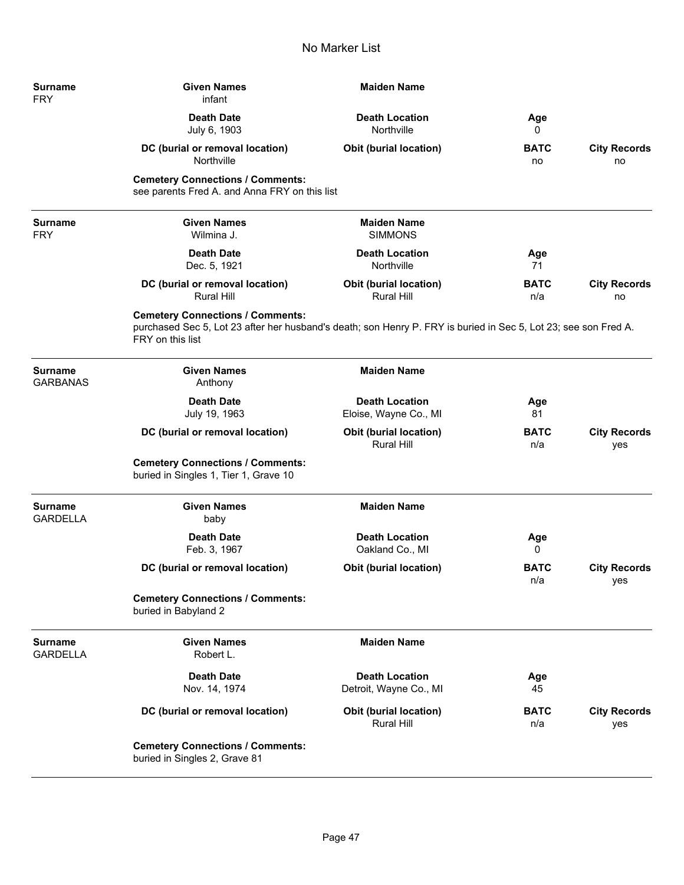| <b>Surname</b><br><b>FRY</b>      | <b>Given Names</b><br>infant                                                                                                                                                   | <b>Maiden Name</b>                                 |                    |                            |
|-----------------------------------|--------------------------------------------------------------------------------------------------------------------------------------------------------------------------------|----------------------------------------------------|--------------------|----------------------------|
|                                   | <b>Death Date</b><br>July 6, 1903                                                                                                                                              | <b>Death Location</b><br>Northville                | Age<br>0           |                            |
|                                   | DC (burial or removal location)<br>Northville                                                                                                                                  | <b>Obit (burial location)</b>                      | <b>BATC</b><br>no  | <b>City Records</b><br>no  |
|                                   | <b>Cemetery Connections / Comments:</b><br>see parents Fred A. and Anna FRY on this list                                                                                       |                                                    |                    |                            |
| <b>Surname</b><br><b>FRY</b>      | <b>Given Names</b><br>Wilmina J.                                                                                                                                               | <b>Maiden Name</b><br><b>SIMMONS</b>               |                    |                            |
|                                   | <b>Death Date</b><br>Dec. 5, 1921                                                                                                                                              | <b>Death Location</b><br>Northville                | Age<br>71          |                            |
|                                   | DC (burial or removal location)<br><b>Rural Hill</b>                                                                                                                           | <b>Obit (burial location)</b><br><b>Rural Hill</b> | <b>BATC</b><br>n/a | <b>City Records</b><br>no  |
|                                   | <b>Cemetery Connections / Comments:</b><br>purchased Sec 5, Lot 23 after her husband's death; son Henry P. FRY is buried in Sec 5, Lot 23; see son Fred A.<br>FRY on this list |                                                    |                    |                            |
| <b>Surname</b><br><b>GARBANAS</b> | <b>Given Names</b><br>Anthony                                                                                                                                                  | <b>Maiden Name</b>                                 |                    |                            |
|                                   | <b>Death Date</b><br>July 19, 1963                                                                                                                                             | <b>Death Location</b><br>Eloise, Wayne Co., MI     | Age<br>81          |                            |
|                                   | DC (burial or removal location)                                                                                                                                                | <b>Obit (burial location)</b><br><b>Rural Hill</b> | <b>BATC</b><br>n/a | <b>City Records</b><br>yes |
|                                   | <b>Cemetery Connections / Comments:</b><br>buried in Singles 1, Tier 1, Grave 10                                                                                               |                                                    |                    |                            |
| <b>Surname</b><br><b>GARDELLA</b> | <b>Given Names</b><br>baby                                                                                                                                                     | <b>Maiden Name</b>                                 |                    |                            |
|                                   | <b>Death Date</b><br>Feb. 3, 1967                                                                                                                                              | <b>Death Location</b><br>Oakland Co., MI           | Age<br>0           |                            |
|                                   | DC (burial or removal location)                                                                                                                                                | <b>Obit (burial location)</b>                      | <b>BATC</b><br>n/a | <b>City Records</b><br>yes |
|                                   | <b>Cemetery Connections / Comments:</b><br>buried in Babyland 2                                                                                                                |                                                    |                    |                            |
| <b>Surname</b><br><b>GARDELLA</b> | <b>Given Names</b><br>Robert L.                                                                                                                                                | <b>Maiden Name</b>                                 |                    |                            |
|                                   | <b>Death Date</b><br>Nov. 14, 1974                                                                                                                                             | <b>Death Location</b><br>Detroit, Wayne Co., MI    | Age<br>45          |                            |
|                                   | DC (burial or removal location)                                                                                                                                                | <b>Obit (burial location)</b><br>Rural Hill        | <b>BATC</b><br>n/a | <b>City Records</b><br>yes |
|                                   | <b>Cemetery Connections / Comments:</b><br>buried in Singles 2, Grave 81                                                                                                       |                                                    |                    |                            |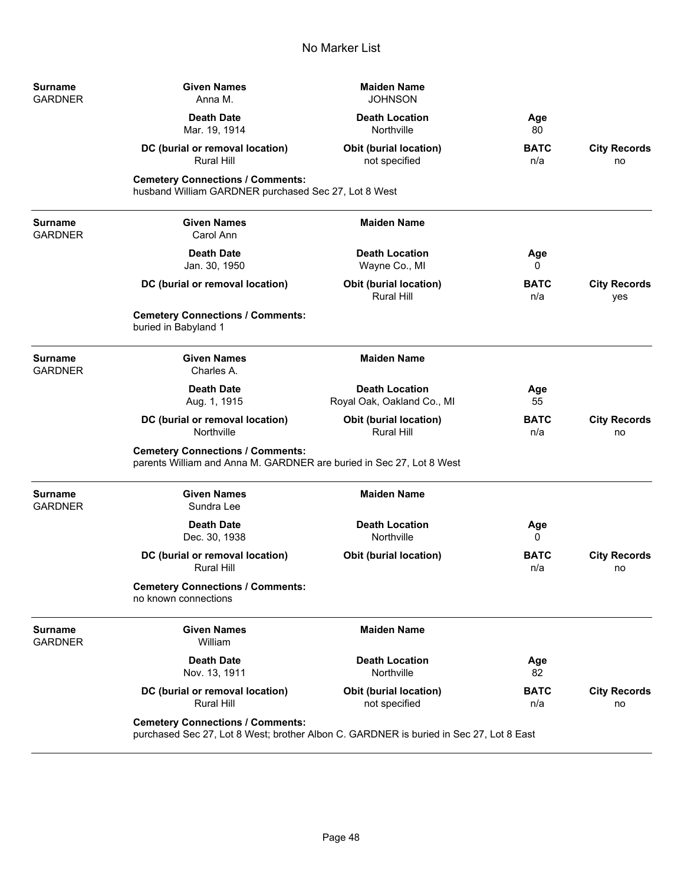| Surname<br><b>GARDNER</b>        | <b>Given Names</b><br>Anna M.                                                                                                     | <b>Maiden Name</b><br><b>JOHNSON</b>                |                    |                            |
|----------------------------------|-----------------------------------------------------------------------------------------------------------------------------------|-----------------------------------------------------|--------------------|----------------------------|
|                                  | <b>Death Date</b><br>Mar. 19, 1914                                                                                                | <b>Death Location</b><br>Northville                 | Age<br>80          |                            |
|                                  | DC (burial or removal location)<br><b>Rural Hill</b>                                                                              | <b>Obit (burial location)</b><br>not specified      | <b>BATC</b><br>n/a | <b>City Records</b><br>no  |
|                                  | <b>Cemetery Connections / Comments:</b><br>husband William GARDNER purchased Sec 27, Lot 8 West                                   |                                                     |                    |                            |
| Surname<br><b>GARDNER</b>        | <b>Given Names</b><br>Carol Ann                                                                                                   | <b>Maiden Name</b>                                  |                    |                            |
|                                  | <b>Death Date</b><br>Jan. 30, 1950                                                                                                | <b>Death Location</b><br>Wayne Co., MI              | Age<br>0           |                            |
|                                  | DC (burial or removal location)                                                                                                   | <b>Obit (burial location)</b><br><b>Rural Hill</b>  | <b>BATC</b><br>n/a | <b>City Records</b><br>yes |
|                                  | <b>Cemetery Connections / Comments:</b><br>buried in Babyland 1                                                                   |                                                     |                    |                            |
| <b>Surname</b><br><b>GARDNER</b> | <b>Given Names</b><br>Charles A.                                                                                                  | <b>Maiden Name</b>                                  |                    |                            |
|                                  | <b>Death Date</b><br>Aug. 1, 1915                                                                                                 | <b>Death Location</b><br>Royal Oak, Oakland Co., MI | Age<br>55          |                            |
|                                  | DC (burial or removal location)<br>Northville                                                                                     | Obit (burial location)<br><b>Rural Hill</b>         | <b>BATC</b><br>n/a | <b>City Records</b><br>no  |
|                                  | <b>Cemetery Connections / Comments:</b><br>parents William and Anna M. GARDNER are buried in Sec 27, Lot 8 West                   |                                                     |                    |                            |
| Surname<br><b>GARDNER</b>        | <b>Given Names</b><br>Sundra Lee                                                                                                  | <b>Maiden Name</b>                                  |                    |                            |
|                                  | <b>Death Date</b><br>Dec. 30, 1938                                                                                                | <b>Death Location</b><br>Northville                 | Age<br>0           |                            |
|                                  | DC (burial or removal location)<br><b>Rural Hill</b>                                                                              | Obit (burial location)                              | <b>BATC</b><br>n/a | <b>City Records</b><br>no  |
|                                  | <b>Cemetery Connections / Comments:</b><br>no known connections                                                                   |                                                     |                    |                            |
| Surname<br><b>GARDNER</b>        | <b>Given Names</b><br>William                                                                                                     | <b>Maiden Name</b>                                  |                    |                            |
|                                  | <b>Death Date</b><br>Nov. 13, 1911                                                                                                | <b>Death Location</b><br>Northville                 | Age<br>82          |                            |
|                                  | DC (burial or removal location)<br>Rural Hill                                                                                     | Obit (burial location)<br>not specified             | <b>BATC</b><br>n/a | <b>City Records</b><br>no  |
|                                  | <b>Cemetery Connections / Comments:</b><br>purchased Sec 27, Lot 8 West; brother Albon C. GARDNER is buried in Sec 27, Lot 8 East |                                                     |                    |                            |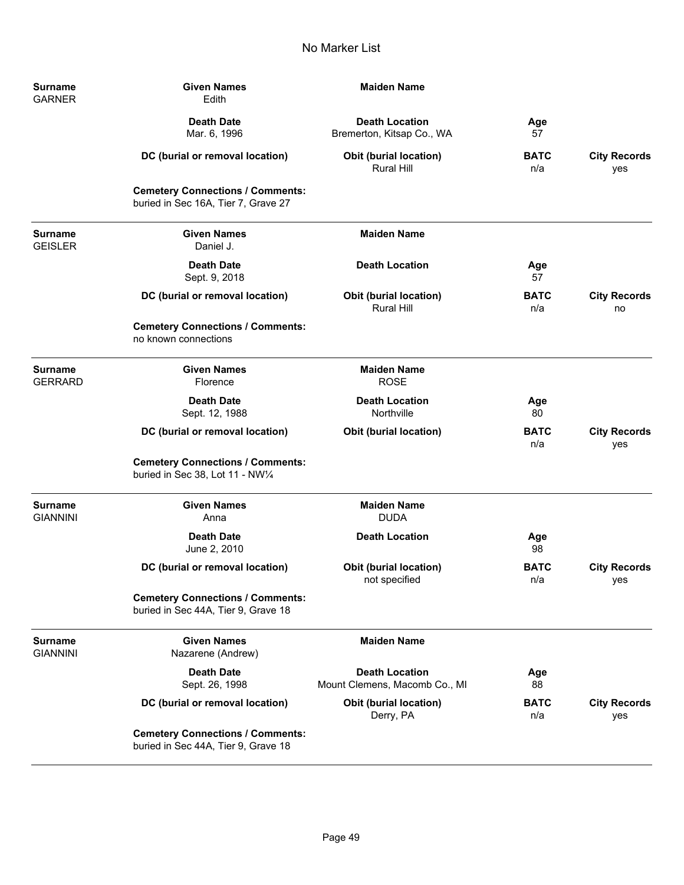| <b>Surname</b><br><b>GARNER</b>   | <b>Given Names</b><br>Edith                                                    | <b>Maiden Name</b>                                     |                    |                            |
|-----------------------------------|--------------------------------------------------------------------------------|--------------------------------------------------------|--------------------|----------------------------|
|                                   | <b>Death Date</b><br>Mar. 6, 1996                                              | <b>Death Location</b><br>Bremerton, Kitsap Co., WA     | Age<br>57          |                            |
|                                   | DC (burial or removal location)                                                | Obit (burial location)<br><b>Rural Hill</b>            | <b>BATC</b><br>n/a | <b>City Records</b><br>yes |
|                                   | <b>Cemetery Connections / Comments:</b><br>buried in Sec 16A, Tier 7, Grave 27 |                                                        |                    |                            |
| <b>Surname</b><br><b>GEISLER</b>  | <b>Given Names</b><br>Daniel J.                                                | <b>Maiden Name</b>                                     |                    |                            |
|                                   | <b>Death Date</b><br>Sept. 9, 2018                                             | <b>Death Location</b>                                  | Age<br>57          |                            |
|                                   | DC (burial or removal location)                                                | <b>Obit (burial location)</b><br><b>Rural Hill</b>     | <b>BATC</b><br>n/a | <b>City Records</b><br>no  |
|                                   | <b>Cemetery Connections / Comments:</b><br>no known connections                |                                                        |                    |                            |
| <b>Surname</b><br><b>GERRARD</b>  | <b>Given Names</b><br>Florence                                                 | <b>Maiden Name</b><br><b>ROSE</b>                      |                    |                            |
|                                   | <b>Death Date</b><br>Sept. 12, 1988                                            | <b>Death Location</b><br>Northville                    | Age<br>80          |                            |
|                                   | DC (burial or removal location)                                                | <b>Obit (burial location)</b>                          | <b>BATC</b><br>n/a | <b>City Records</b><br>yes |
|                                   | <b>Cemetery Connections / Comments:</b><br>buried in Sec 38, Lot 11 - NW1/4    |                                                        |                    |                            |
| <b>Surname</b><br><b>GIANNINI</b> | <b>Given Names</b><br>Anna                                                     | <b>Maiden Name</b><br><b>DUDA</b>                      |                    |                            |
|                                   | <b>Death Date</b><br>June 2, 2010                                              | <b>Death Location</b>                                  | Age<br>98          |                            |
|                                   | DC (burial or removal location)                                                | <b>Obit (burial location)</b><br>not specified         | <b>BATC</b><br>n/a | <b>City Records</b><br>yes |
|                                   | <b>Cemetery Connections / Comments:</b><br>buried in Sec 44A, Tier 9, Grave 18 |                                                        |                    |                            |
| <b>Surname</b><br><b>GIANNINI</b> | <b>Given Names</b><br>Nazarene (Andrew)                                        | <b>Maiden Name</b>                                     |                    |                            |
|                                   | <b>Death Date</b><br>Sept. 26, 1998                                            | <b>Death Location</b><br>Mount Clemens, Macomb Co., MI | Age<br>88          |                            |
|                                   | DC (burial or removal location)                                                | Obit (burial location)<br>Derry, PA                    | <b>BATC</b><br>n/a | <b>City Records</b><br>yes |
|                                   | <b>Cemetery Connections / Comments:</b><br>buried in Sec 44A, Tier 9, Grave 18 |                                                        |                    |                            |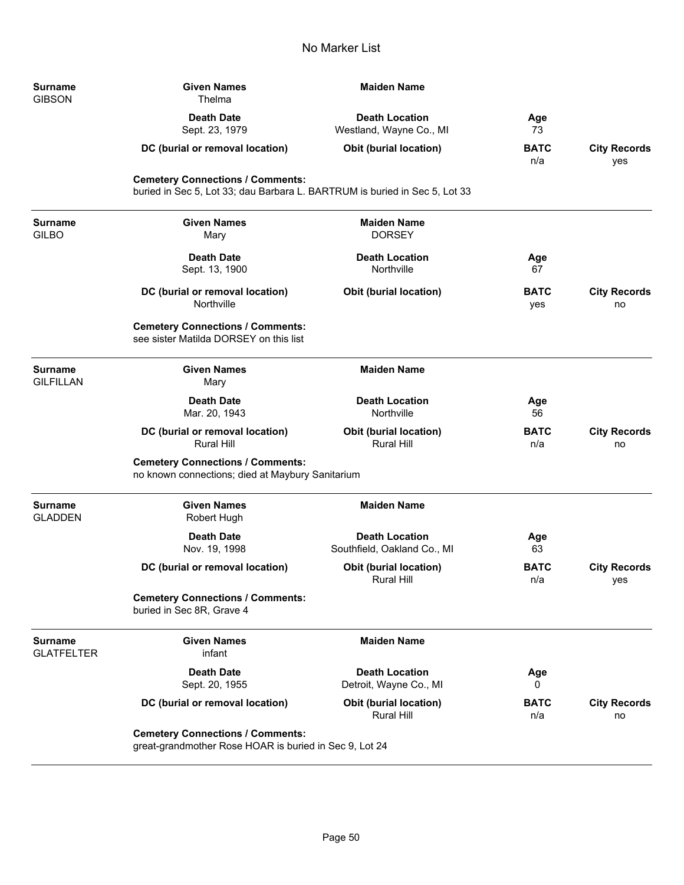| Surname<br>GIBSON            | <b>Given Names</b><br>Thelma                                                                                          | <b>Maiden Name</b>                                   |                    |                            |
|------------------------------|-----------------------------------------------------------------------------------------------------------------------|------------------------------------------------------|--------------------|----------------------------|
|                              | <b>Death Date</b><br>Sept. 23, 1979                                                                                   | <b>Death Location</b><br>Westland, Wayne Co., MI     | Age<br>73          |                            |
|                              | DC (burial or removal location)                                                                                       | Obit (burial location)                               | <b>BATC</b><br>n/a | <b>City Records</b><br>yes |
|                              | <b>Cemetery Connections / Comments:</b><br>buried in Sec 5, Lot 33; dau Barbara L. BARTRUM is buried in Sec 5, Lot 33 |                                                      |                    |                            |
| Surname<br>GILBO             | <b>Given Names</b><br>Mary                                                                                            | <b>Maiden Name</b><br><b>DORSEY</b>                  |                    |                            |
|                              | <b>Death Date</b><br>Sept. 13, 1900                                                                                   | <b>Death Location</b><br>Northville                  | Age<br>67          |                            |
|                              | DC (burial or removal location)<br>Northville                                                                         | Obit (burial location)                               | <b>BATC</b><br>yes | <b>City Records</b><br>no  |
|                              | <b>Cemetery Connections / Comments:</b><br>see sister Matilda DORSEY on this list                                     |                                                      |                    |                            |
| <b>Surname</b><br>GILFILLAN  | <b>Given Names</b><br>Mary                                                                                            | <b>Maiden Name</b>                                   |                    |                            |
|                              | <b>Death Date</b><br>Mar. 20, 1943                                                                                    | <b>Death Location</b><br>Northville                  | Age<br>56          |                            |
|                              | DC (burial or removal location)<br><b>Rural Hill</b>                                                                  | <b>Obit (burial location)</b><br><b>Rural Hill</b>   | <b>BATC</b><br>n/a | <b>City Records</b><br>no  |
|                              | <b>Cemetery Connections / Comments:</b><br>no known connections; died at Maybury Sanitarium                           |                                                      |                    |                            |
| Surname<br><b>GLADDEN</b>    | <b>Given Names</b><br>Robert Hugh                                                                                     | <b>Maiden Name</b>                                   |                    |                            |
|                              | <b>Death Date</b><br>Nov. 19, 1998                                                                                    | <b>Death Location</b><br>Southfield, Oakland Co., MI | Age<br>63          |                            |
|                              | DC (burial or removal location)                                                                                       | <b>Obit (burial location)</b><br>Rural Hill          | <b>BATC</b><br>n/a | <b>City Records</b><br>yes |
|                              | <b>Cemetery Connections / Comments:</b><br>buried in Sec 8R, Grave 4                                                  |                                                      |                    |                            |
| Surname<br><b>GLATFELTER</b> | <b>Given Names</b><br>infant                                                                                          | <b>Maiden Name</b>                                   |                    |                            |
|                              | <b>Death Date</b><br>Sept. 20, 1955                                                                                   | <b>Death Location</b><br>Detroit, Wayne Co., MI      | Age<br>0           |                            |
|                              | DC (burial or removal location)                                                                                       | <b>Obit (burial location)</b><br><b>Rural Hill</b>   | <b>BATC</b><br>n/a | <b>City Records</b><br>no  |
|                              | <b>Cemetery Connections / Comments:</b><br>great-grandmother Rose HOAR is buried in Sec 9, Lot 24                     |                                                      |                    |                            |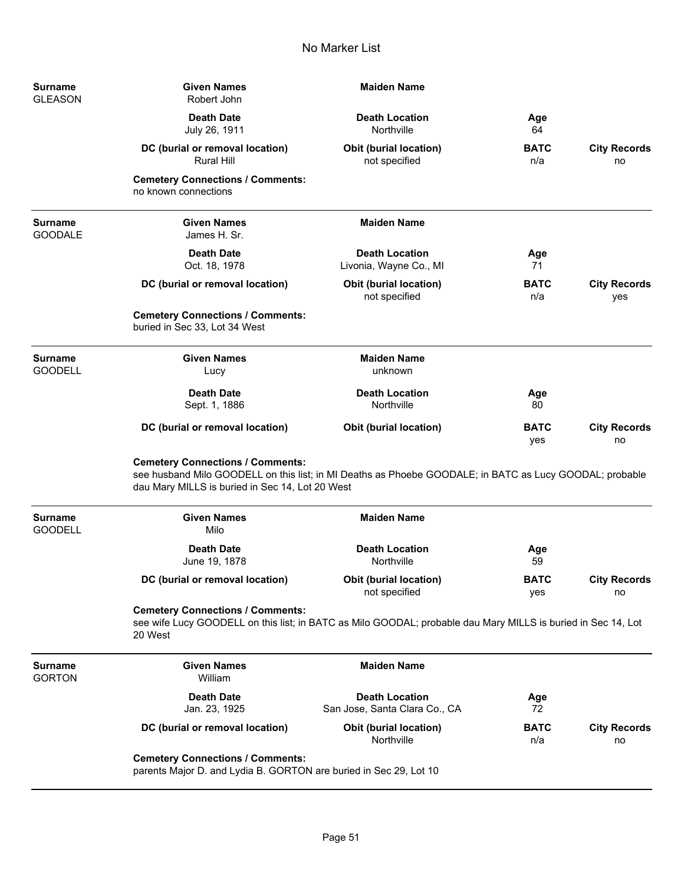| Surname<br><b>GLEASON</b> | <b>Given Names</b><br>Robert John                                                                                                                                                                     | <b>Maiden Name</b>                                     |                    |                            |
|---------------------------|-------------------------------------------------------------------------------------------------------------------------------------------------------------------------------------------------------|--------------------------------------------------------|--------------------|----------------------------|
|                           | <b>Death Date</b><br>July 26, 1911                                                                                                                                                                    | <b>Death Location</b><br>Northville                    | Age<br>64          |                            |
|                           | DC (burial or removal location)<br><b>Rural Hill</b>                                                                                                                                                  | <b>Obit (burial location)</b><br>not specified         | <b>BATC</b><br>n/a | <b>City Records</b><br>no  |
|                           | <b>Cemetery Connections / Comments:</b><br>no known connections                                                                                                                                       |                                                        |                    |                            |
| Surname<br><b>GOODALE</b> | <b>Given Names</b><br>James H. Sr.                                                                                                                                                                    | <b>Maiden Name</b>                                     |                    |                            |
|                           | <b>Death Date</b><br>Oct. 18, 1978                                                                                                                                                                    | <b>Death Location</b><br>Livonia, Wayne Co., MI        | Age<br>71          |                            |
|                           | DC (burial or removal location)                                                                                                                                                                       | <b>Obit (burial location)</b><br>not specified         | <b>BATC</b><br>n/a | <b>City Records</b><br>yes |
|                           | <b>Cemetery Connections / Comments:</b><br>buried in Sec 33, Lot 34 West                                                                                                                              |                                                        |                    |                            |
| Surname<br><b>GOODELL</b> | <b>Given Names</b><br>Lucy                                                                                                                                                                            | <b>Maiden Name</b><br>unknown                          |                    |                            |
|                           | <b>Death Date</b><br>Sept. 1, 1886                                                                                                                                                                    | <b>Death Location</b><br>Northville                    | Age<br>80          |                            |
|                           | DC (burial or removal location)                                                                                                                                                                       | <b>Obit (burial location)</b>                          | <b>BATC</b><br>yes | <b>City Records</b><br>no  |
|                           | <b>Cemetery Connections / Comments:</b><br>see husband Milo GOODELL on this list; in MI Deaths as Phoebe GOODALE; in BATC as Lucy GOODAL; probable<br>dau Mary MILLS is buried in Sec 14, Lot 20 West |                                                        |                    |                            |
| Surname<br><b>GOODELL</b> | <b>Given Names</b><br>Milo                                                                                                                                                                            | <b>Maiden Name</b>                                     |                    |                            |
|                           | <b>Death Date</b><br>June 19, 1878                                                                                                                                                                    | <b>Death Location</b><br>Northville                    | Age<br>59          |                            |
|                           | DC (burial or removal location)                                                                                                                                                                       | <b>Obit (burial location)</b><br>not specified         | <b>BATC</b><br>yes | <b>City Records</b><br>no  |
|                           | <b>Cemetery Connections / Comments:</b><br>see wife Lucy GOODELL on this list; in BATC as Milo GOODAL; probable dau Mary MILLS is buried in Sec 14, Lot<br>20 West                                    |                                                        |                    |                            |
| Surname<br>GORTON         | <b>Given Names</b><br>William                                                                                                                                                                         | <b>Maiden Name</b>                                     |                    |                            |
|                           | <b>Death Date</b><br>Jan. 23, 1925                                                                                                                                                                    | <b>Death Location</b><br>San Jose, Santa Clara Co., CA | Age<br>72          |                            |
|                           | DC (burial or removal location)                                                                                                                                                                       | <b>Obit (burial location)</b><br>Northville            | <b>BATC</b><br>n/a | <b>City Records</b><br>no  |
|                           | <b>Cemetery Connections / Comments:</b><br>parents Major D. and Lydia B. GORTON are buried in Sec 29, Lot 10                                                                                          |                                                        |                    |                            |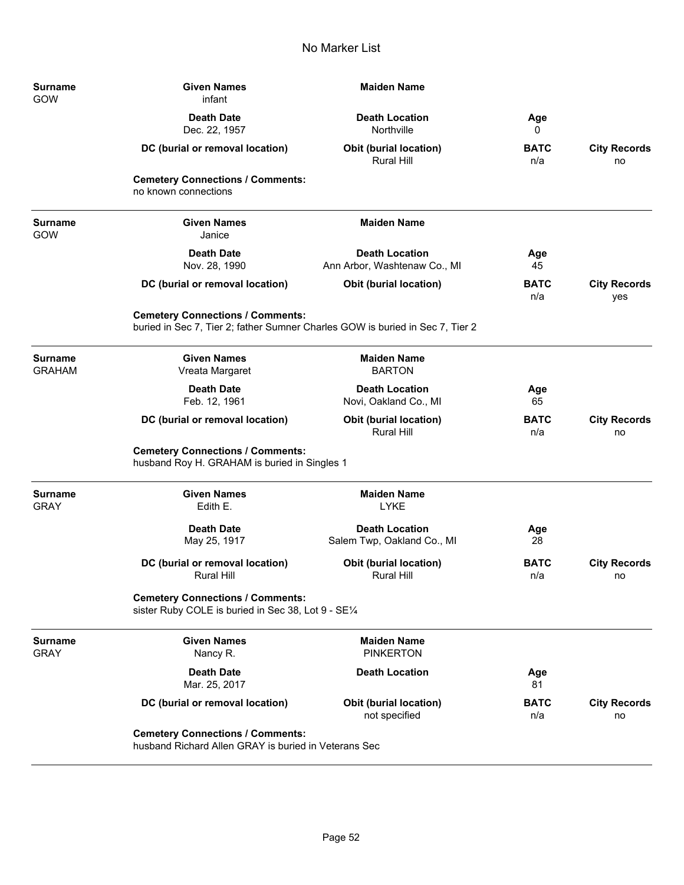| <b>Surname</b><br>GOW           | <b>Given Names</b><br>infant                                                                                             | <b>Maiden Name</b>                                    |                    |                            |
|---------------------------------|--------------------------------------------------------------------------------------------------------------------------|-------------------------------------------------------|--------------------|----------------------------|
|                                 | <b>Death Date</b><br>Dec. 22, 1957                                                                                       | <b>Death Location</b><br>Northville                   | Age<br>0           |                            |
|                                 | DC (burial or removal location)                                                                                          | <b>Obit (burial location)</b><br><b>Rural Hill</b>    | <b>BATC</b><br>n/a | <b>City Records</b><br>no  |
|                                 | <b>Cemetery Connections / Comments:</b><br>no known connections                                                          |                                                       |                    |                            |
| <b>Surname</b><br>GOW           | <b>Given Names</b><br>Janice                                                                                             | <b>Maiden Name</b>                                    |                    |                            |
|                                 | <b>Death Date</b><br>Nov. 28, 1990                                                                                       | <b>Death Location</b><br>Ann Arbor, Washtenaw Co., MI | Age<br>45          |                            |
|                                 | DC (burial or removal location)                                                                                          | <b>Obit (burial location)</b>                         | <b>BATC</b><br>n/a | <b>City Records</b><br>yes |
|                                 | <b>Cemetery Connections / Comments:</b><br>buried in Sec 7, Tier 2; father Sumner Charles GOW is buried in Sec 7, Tier 2 |                                                       |                    |                            |
| <b>Surname</b><br><b>GRAHAM</b> | <b>Given Names</b><br>Vreata Margaret                                                                                    | <b>Maiden Name</b><br><b>BARTON</b>                   |                    |                            |
|                                 | <b>Death Date</b><br>Feb. 12, 1961                                                                                       | <b>Death Location</b><br>Novi, Oakland Co., MI        | Age<br>65          |                            |
|                                 | DC (burial or removal location)                                                                                          | Obit (burial location)<br><b>Rural Hill</b>           | <b>BATC</b><br>n/a | <b>City Records</b><br>no  |
|                                 | <b>Cemetery Connections / Comments:</b><br>husband Roy H. GRAHAM is buried in Singles 1                                  |                                                       |                    |                            |
| <b>Surname</b><br><b>GRAY</b>   | <b>Given Names</b><br>Edith E.                                                                                           | <b>Maiden Name</b><br><b>LYKE</b>                     |                    |                            |
|                                 | <b>Death Date</b><br>May 25, 1917                                                                                        | <b>Death Location</b><br>Salem Twp, Oakland Co., MI   | Age<br>28          |                            |
|                                 | DC (burial or removal location)<br>Rural Hill                                                                            | <b>Obit (burial location)</b><br>Rural Hill           | <b>BATC</b><br>n/a | <b>City Records</b><br>no  |
|                                 | <b>Cemetery Connections / Comments:</b><br>sister Ruby COLE is buried in Sec 38, Lot 9 - SE1/4                           |                                                       |                    |                            |
| <b>Surname</b><br><b>GRAY</b>   | <b>Given Names</b><br>Nancy R.                                                                                           | <b>Maiden Name</b><br><b>PINKERTON</b>                |                    |                            |
|                                 | <b>Death Date</b><br>Mar. 25, 2017                                                                                       | <b>Death Location</b>                                 | Age<br>81          |                            |
|                                 | DC (burial or removal location)                                                                                          | <b>Obit (burial location)</b><br>not specified        | <b>BATC</b><br>n/a | <b>City Records</b><br>no  |
|                                 | <b>Cemetery Connections / Comments:</b><br>husband Richard Allen GRAY is buried in Veterans Sec                          |                                                       |                    |                            |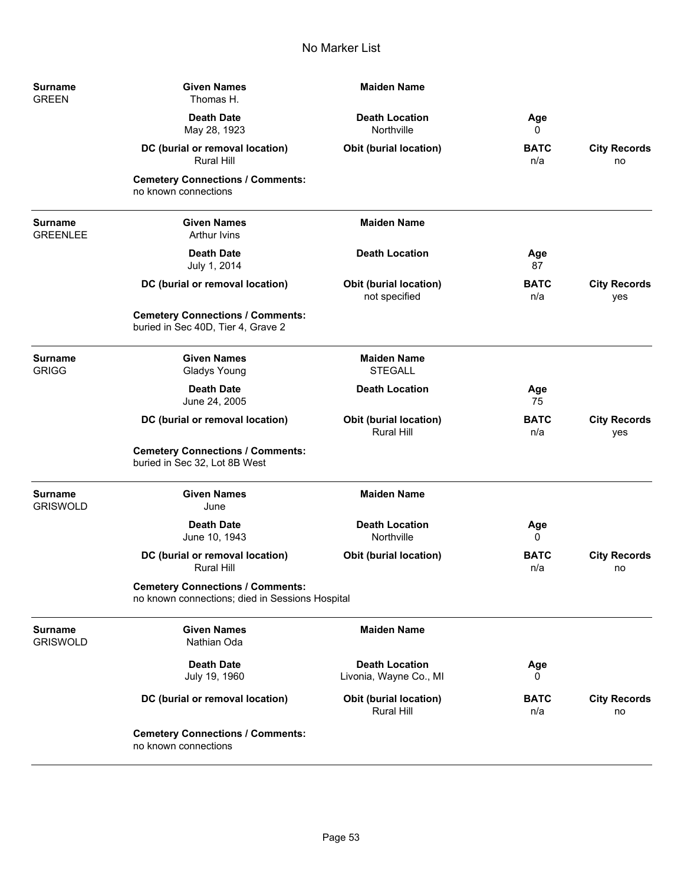| Surname<br><b>GREEN</b>    | <b>Given Names</b><br>Thomas H.                                                            | <b>Maiden Name</b>                                 |                    |                            |
|----------------------------|--------------------------------------------------------------------------------------------|----------------------------------------------------|--------------------|----------------------------|
|                            | <b>Death Date</b><br>May 28, 1923                                                          | <b>Death Location</b><br>Northville                | Age<br>0           |                            |
|                            | DC (burial or removal location)<br><b>Rural Hill</b>                                       | <b>Obit (burial location)</b>                      | <b>BATC</b><br>n/a | <b>City Records</b><br>no  |
|                            | <b>Cemetery Connections / Comments:</b><br>no known connections                            |                                                    |                    |                            |
| Surname<br><b>GREENLEE</b> | <b>Given Names</b><br><b>Arthur Ivins</b>                                                  | <b>Maiden Name</b>                                 |                    |                            |
|                            | <b>Death Date</b><br>July 1, 2014                                                          | <b>Death Location</b>                              | Age<br>87          |                            |
|                            | DC (burial or removal location)                                                            | <b>Obit (burial location)</b><br>not specified     | <b>BATC</b><br>n/a | <b>City Records</b><br>yes |
|                            | <b>Cemetery Connections / Comments:</b><br>buried in Sec 40D, Tier 4, Grave 2              |                                                    |                    |                            |
| <b>Surname</b><br>GRIGG    | <b>Given Names</b><br><b>Gladys Young</b>                                                  | <b>Maiden Name</b><br><b>STEGALL</b>               |                    |                            |
|                            | <b>Death Date</b><br>June 24, 2005                                                         | <b>Death Location</b>                              | Age<br>75          |                            |
|                            | DC (burial or removal location)                                                            | <b>Obit (burial location)</b><br>Rural Hill        | <b>BATC</b><br>n/a | <b>City Records</b><br>yes |
|                            | <b>Cemetery Connections / Comments:</b><br>buried in Sec 32, Lot 8B West                   |                                                    |                    |                            |
| Surname<br>Griswold        | <b>Given Names</b><br>June                                                                 | <b>Maiden Name</b>                                 |                    |                            |
|                            | <b>Death Date</b><br>June 10, 1943                                                         | <b>Death Location</b><br>Northville                | Age<br>0           |                            |
|                            | DC (burial or removal location)<br><b>Rural Hill</b>                                       | Obit (burial location)                             | <b>BATC</b><br>n/a | <b>City Records</b><br>no  |
|                            | <b>Cemetery Connections / Comments:</b><br>no known connections; died in Sessions Hospital |                                                    |                    |                            |
| <b>Surname</b><br>Griswold | <b>Given Names</b><br>Nathian Oda                                                          | <b>Maiden Name</b>                                 |                    |                            |
|                            | <b>Death Date</b><br>July 19, 1960                                                         | <b>Death Location</b><br>Livonia, Wayne Co., MI    | Age<br>0           |                            |
|                            | DC (burial or removal location)                                                            | <b>Obit (burial location)</b><br><b>Rural Hill</b> | <b>BATC</b><br>n/a | <b>City Records</b><br>no  |
|                            | <b>Cemetery Connections / Comments:</b><br>no known connections                            |                                                    |                    |                            |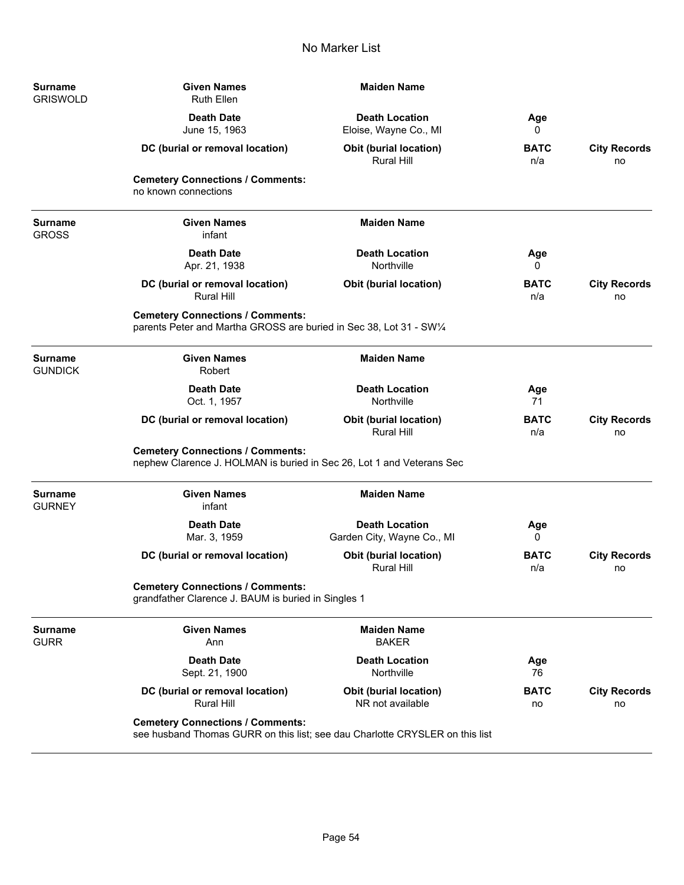| <b>Surname</b><br><b>GRISWOLD</b> | <b>Given Names</b><br><b>Ruth Ellen</b>                                                                                 | <b>Maiden Name</b>                                  |                    |                           |
|-----------------------------------|-------------------------------------------------------------------------------------------------------------------------|-----------------------------------------------------|--------------------|---------------------------|
|                                   | <b>Death Date</b><br>June 15, 1963                                                                                      | <b>Death Location</b><br>Eloise, Wayne Co., MI      | Age<br>0           |                           |
|                                   | DC (burial or removal location)                                                                                         | <b>Obit (burial location)</b><br>Rural Hill         | BATC<br>n/a        | <b>City Records</b><br>no |
|                                   | <b>Cemetery Connections / Comments:</b><br>no known connections                                                         |                                                     |                    |                           |
| <b>Surname</b><br><b>GROSS</b>    | <b>Given Names</b><br>infant                                                                                            | <b>Maiden Name</b>                                  |                    |                           |
|                                   | <b>Death Date</b><br>Apr. 21, 1938                                                                                      | <b>Death Location</b><br>Northville                 | Age<br>0           |                           |
|                                   | DC (burial or removal location)<br><b>Rural Hill</b>                                                                    | <b>Obit (burial location)</b>                       | BATC<br>n/a        | <b>City Records</b><br>no |
|                                   | <b>Cemetery Connections / Comments:</b><br>parents Peter and Martha GROSS are buried in Sec 38, Lot 31 - SW1/4          |                                                     |                    |                           |
| <b>Surname</b><br><b>GUNDICK</b>  | <b>Given Names</b><br>Robert                                                                                            | <b>Maiden Name</b>                                  |                    |                           |
|                                   | <b>Death Date</b><br>Oct. 1, 1957                                                                                       | <b>Death Location</b><br>Northville                 | Age<br>71          |                           |
|                                   | DC (burial or removal location)                                                                                         | Obit (burial location)<br><b>Rural Hill</b>         | <b>BATC</b><br>n/a | <b>City Records</b><br>no |
|                                   | <b>Cemetery Connections / Comments:</b><br>nephew Clarence J. HOLMAN is buried in Sec 26, Lot 1 and Veterans Sec        |                                                     |                    |                           |
| <b>Surname</b><br><b>GURNEY</b>   | <b>Given Names</b><br>infant                                                                                            | <b>Maiden Name</b>                                  |                    |                           |
|                                   | <b>Death Date</b><br>Mar. 3, 1959                                                                                       | <b>Death Location</b><br>Garden City, Wayne Co., MI | Age<br>0           |                           |
|                                   | DC (burial or removal location)                                                                                         | <b>Obit (burial location)</b><br><b>Rural Hill</b>  | <b>BATC</b><br>n/a | <b>City Records</b><br>no |
|                                   | <b>Cemetery Connections / Comments:</b><br>grandfather Clarence J. BAUM is buried in Singles 1                          |                                                     |                    |                           |
| <b>Surname</b><br><b>GURR</b>     | <b>Given Names</b><br>Ann                                                                                               | <b>Maiden Name</b><br><b>BAKER</b>                  |                    |                           |
|                                   | <b>Death Date</b><br>Sept. 21, 1900                                                                                     | <b>Death Location</b><br>Northville                 | Age<br>76          |                           |
|                                   | DC (burial or removal location)<br>Rural Hill                                                                           | Obit (burial location)<br>NR not available          | <b>BATC</b><br>no  | <b>City Records</b><br>no |
|                                   | <b>Cemetery Connections / Comments:</b><br>see husband Thomas GURR on this list; see dau Charlotte CRYSLER on this list |                                                     |                    |                           |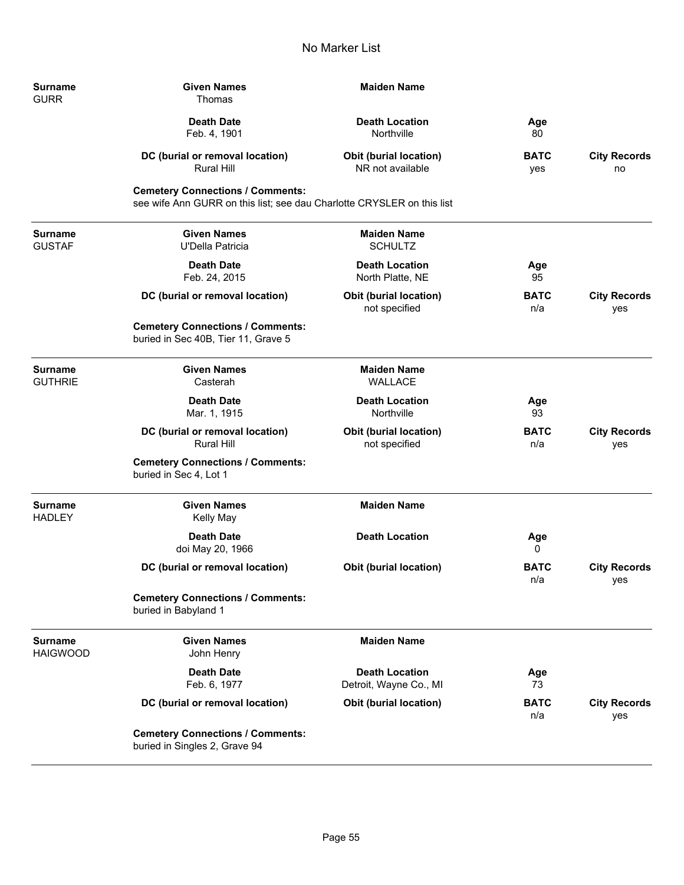| Surname<br><b>GURR</b>           | <b>Given Names</b><br>Thomas                                                                                      | <b>Maiden Name</b>                              |                    |                            |
|----------------------------------|-------------------------------------------------------------------------------------------------------------------|-------------------------------------------------|--------------------|----------------------------|
|                                  | <b>Death Date</b><br>Feb. 4, 1901                                                                                 | <b>Death Location</b><br>Northville             | Age<br>80          |                            |
|                                  | DC (burial or removal location)<br><b>Rural Hill</b>                                                              | Obit (burial location)<br>NR not available      | <b>BATC</b><br>yes | <b>City Records</b><br>no  |
|                                  | <b>Cemetery Connections / Comments:</b><br>see wife Ann GURR on this list; see dau Charlotte CRYSLER on this list |                                                 |                    |                            |
| Surname<br><b>GUSTAF</b>         | <b>Given Names</b><br>U'Della Patricia                                                                            | <b>Maiden Name</b><br><b>SCHULTZ</b>            |                    |                            |
|                                  | <b>Death Date</b><br>Feb. 24, 2015                                                                                | <b>Death Location</b><br>North Platte, NE       | Age<br>95          |                            |
|                                  | DC (burial or removal location)                                                                                   | Obit (burial location)<br>not specified         | <b>BATC</b><br>n/a | <b>City Records</b><br>yes |
|                                  | <b>Cemetery Connections / Comments:</b><br>buried in Sec 40B, Tier 11, Grave 5                                    |                                                 |                    |                            |
| <b>Surname</b><br><b>GUTHRIE</b> | <b>Given Names</b><br>Casterah                                                                                    | <b>Maiden Name</b><br><b>WALLACE</b>            |                    |                            |
|                                  | <b>Death Date</b><br>Mar. 1, 1915                                                                                 | <b>Death Location</b><br>Northville             | Age<br>93          |                            |
|                                  | DC (burial or removal location)<br><b>Rural Hill</b>                                                              | <b>Obit (burial location)</b><br>not specified  | <b>BATC</b><br>n/a | <b>City Records</b><br>yes |
|                                  | <b>Cemetery Connections / Comments:</b><br>buried in Sec 4, Lot 1                                                 |                                                 |                    |                            |
| Surname<br>HADLEY                | <b>Given Names</b><br><b>Kelly May</b>                                                                            | <b>Maiden Name</b>                              |                    |                            |
|                                  | <b>Death Date</b><br>doi May 20, 1966                                                                             | <b>Death Location</b>                           | Age<br>0           |                            |
|                                  | DC (burial or removal location)                                                                                   | <b>Obit (burial location)</b>                   | <b>BATC</b><br>n/a | <b>City Records</b><br>yes |
|                                  | <b>Cemetery Connections / Comments:</b><br>buried in Babyland 1                                                   |                                                 |                    |                            |
| Surname<br>HAIGWOOD              | <b>Given Names</b><br>John Henry                                                                                  | <b>Maiden Name</b>                              |                    |                            |
|                                  | <b>Death Date</b><br>Feb. 6, 1977                                                                                 | <b>Death Location</b><br>Detroit, Wayne Co., MI | Age<br>73          |                            |
|                                  | DC (burial or removal location)                                                                                   | <b>Obit (burial location)</b>                   | <b>BATC</b><br>n/a | <b>City Records</b><br>yes |
|                                  | <b>Cemetery Connections / Comments:</b><br>buried in Singles 2, Grave 94                                          |                                                 |                    |                            |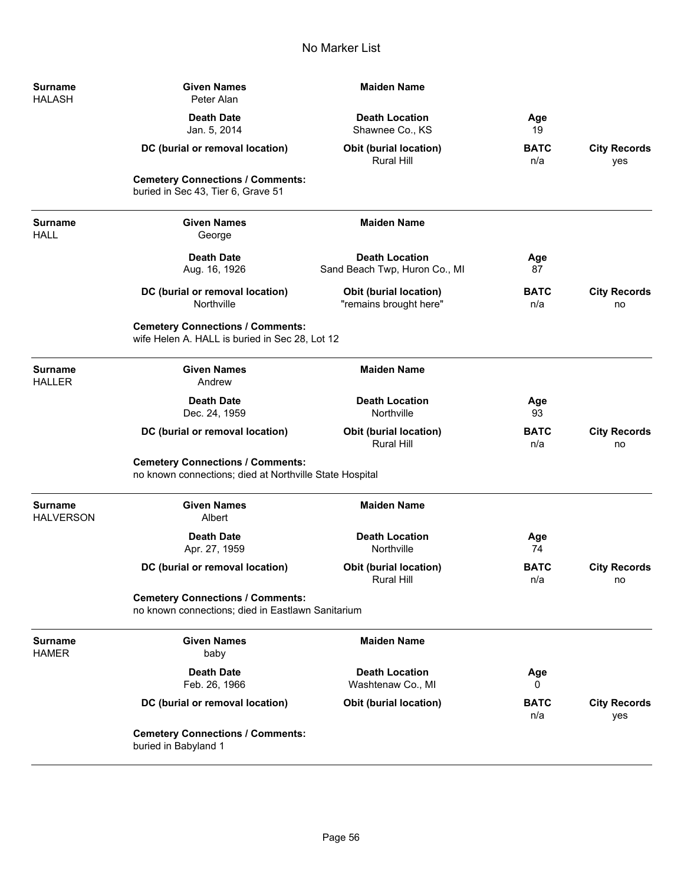| <b>Surname</b><br><b>HALASH</b>    | <b>Given Names</b><br>Peter Alan                                                                   | <b>Maiden Name</b>                                     |                    |                            |
|------------------------------------|----------------------------------------------------------------------------------------------------|--------------------------------------------------------|--------------------|----------------------------|
|                                    | <b>Death Date</b><br>Jan. 5, 2014                                                                  | <b>Death Location</b><br>Shawnee Co., KS               | Age<br>19          |                            |
|                                    | DC (burial or removal location)                                                                    | <b>Obit (burial location)</b><br>Rural Hill            | <b>BATC</b><br>n/a | <b>City Records</b><br>yes |
|                                    | <b>Cemetery Connections / Comments:</b><br>buried in Sec 43, Tier 6, Grave 51                      |                                                        |                    |                            |
| <b>Surname</b><br><b>HALL</b>      | <b>Given Names</b><br>George                                                                       | <b>Maiden Name</b>                                     |                    |                            |
|                                    | <b>Death Date</b><br>Aug. 16, 1926                                                                 | <b>Death Location</b><br>Sand Beach Twp, Huron Co., MI | Age<br>87          |                            |
|                                    | DC (burial or removal location)<br>Northville                                                      | Obit (burial location)<br>"remains brought here"       | <b>BATC</b><br>n/a | <b>City Records</b><br>no  |
|                                    | <b>Cemetery Connections / Comments:</b><br>wife Helen A. HALL is buried in Sec 28, Lot 12          |                                                        |                    |                            |
| <b>Surname</b><br><b>HALLER</b>    | <b>Given Names</b><br>Andrew                                                                       | <b>Maiden Name</b>                                     |                    |                            |
|                                    | <b>Death Date</b><br>Dec. 24, 1959                                                                 | <b>Death Location</b><br>Northville                    | Age<br>93          |                            |
|                                    | DC (burial or removal location)                                                                    | <b>Obit (burial location)</b><br><b>Rural Hill</b>     | <b>BATC</b><br>n/a | <b>City Records</b><br>no  |
|                                    | <b>Cemetery Connections / Comments:</b><br>no known connections; died at Northville State Hospital |                                                        |                    |                            |
| <b>Surname</b><br><b>HALVERSON</b> | <b>Given Names</b><br>Albert                                                                       | <b>Maiden Name</b>                                     |                    |                            |
|                                    | <b>Death Date</b><br>Apr. 27, 1959                                                                 | <b>Death Location</b><br>Northville                    | Age<br>74          |                            |
|                                    | DC (burial or removal location)                                                                    | <b>Obit (burial location)</b><br>Rural Hill            | <b>BATC</b><br>n/a | <b>City Records</b><br>no  |
|                                    | <b>Cemetery Connections / Comments:</b><br>no known connections; died in Eastlawn Sanitarium       |                                                        |                    |                            |
| <b>Surname</b><br><b>HAMER</b>     | <b>Given Names</b><br>baby                                                                         | <b>Maiden Name</b>                                     |                    |                            |
|                                    | <b>Death Date</b><br>Feb. 26, 1966                                                                 | <b>Death Location</b><br>Washtenaw Co., MI             | Age<br>0           |                            |
|                                    | DC (burial or removal location)                                                                    | <b>Obit (burial location)</b>                          | <b>BATC</b><br>n/a | <b>City Records</b><br>yes |
|                                    | <b>Cemetery Connections / Comments:</b><br>buried in Babyland 1                                    |                                                        |                    |                            |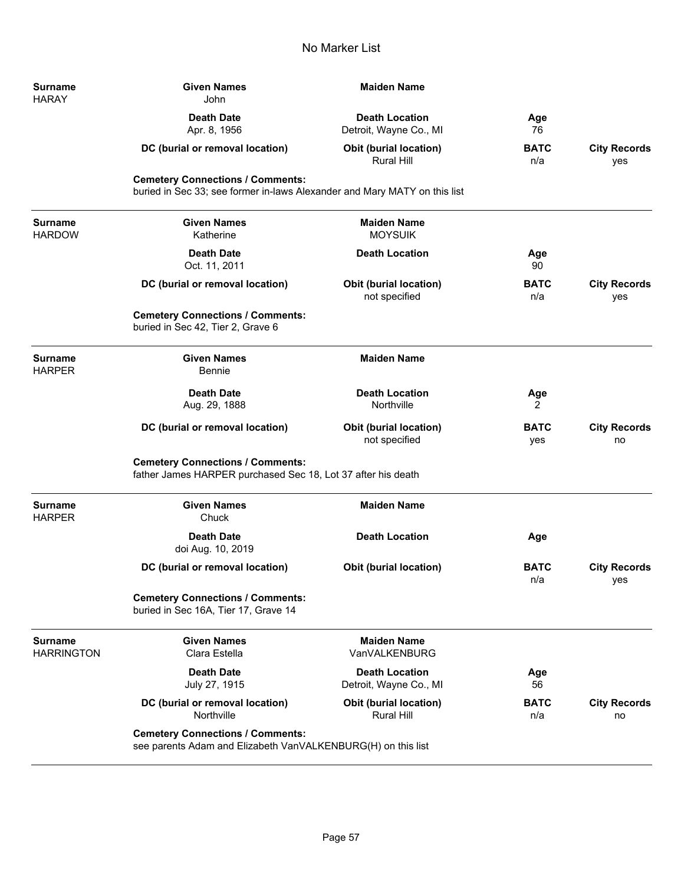**Surname** HARAY

**Surname HARDOW** 

 $Surname$ HARPER

 $Surname$ HARPER

| <b>Given Names</b><br>John                                                                                           | <b>Maiden Name</b>                              |                    |                            |
|----------------------------------------------------------------------------------------------------------------------|-------------------------------------------------|--------------------|----------------------------|
| <b>Death Date</b><br>Apr. 8, 1956                                                                                    | <b>Death Location</b><br>Detroit, Wayne Co., MI | Age<br>76          |                            |
| DC (burial or removal location)                                                                                      | Obit (burial location)<br>Rural Hill            | <b>BATC</b><br>n/a | <b>City Records</b><br>yes |
| <b>Cemetery Connections / Comments:</b><br>buried in Sec 33; see former in-laws Alexander and Mary MATY on this list |                                                 |                    |                            |
| <b>Given Names</b><br>Katherine                                                                                      | <b>Maiden Name</b><br><b>MOYSUIK</b>            |                    |                            |
| <b>Death Date</b><br>Oct. 11, 2011                                                                                   | <b>Death Location</b>                           | Age<br>90          |                            |
| DC (burial or removal location)                                                                                      | <b>Obit (burial location)</b><br>not specified  | <b>BATC</b><br>n/a | <b>City Records</b><br>yes |
| <b>Cemetery Connections / Comments:</b><br>buried in Sec 42, Tier 2, Grave 6                                         |                                                 |                    |                            |
| <b>Given Names</b><br>Bennie                                                                                         | <b>Maiden Name</b>                              |                    |                            |
| <b>Death Date</b><br>Aug. 29, 1888                                                                                   | <b>Death Location</b><br>Northville             | Age<br>2           |                            |
| DC (burial or removal location)                                                                                      | <b>Obit (burial location)</b><br>not specified  | <b>BATC</b><br>yes | <b>City Records</b><br>no  |
| <b>Cemetery Connections / Comments:</b><br>father James HARPER purchased Sec 18, Lot 37 after his death              |                                                 |                    |                            |
| <b>Given Names</b><br>Chuck                                                                                          | <b>Maiden Name</b>                              |                    |                            |
| <b>Death Date</b><br>doi Aug. 10, 2019                                                                               | <b>Death Location</b>                           | Age                |                            |
| DC (burial or removal location)                                                                                      | <b>Obit (burial location)</b>                   | <b>BATC</b><br>n/a | <b>City Records</b><br>yes |
| <b>Cemetery Connections / Comments:</b><br>buried in Sec 16A, Tier 17, Grave 14                                      |                                                 |                    |                            |

| Surname<br><b>HARRINGTON</b> | <b>Given Names</b><br>Clara Estella                                                                     | <b>Maiden Name</b><br>VanVALKENBURG             |                    |                           |
|------------------------------|---------------------------------------------------------------------------------------------------------|-------------------------------------------------|--------------------|---------------------------|
|                              | Death Date<br>July 27, 1915                                                                             | <b>Death Location</b><br>Detroit, Wayne Co., MI | Age<br>56          |                           |
|                              | DC (burial or removal location)<br>Northville                                                           | <b>Obit (burial location)</b><br>Rural Hill     | <b>BATC</b><br>n/a | <b>City Records</b><br>no |
|                              | <b>Cemetery Connections / Comments:</b><br>see parents Adam and Elizabeth VanVALKENBURG(H) on this list |                                                 |                    |                           |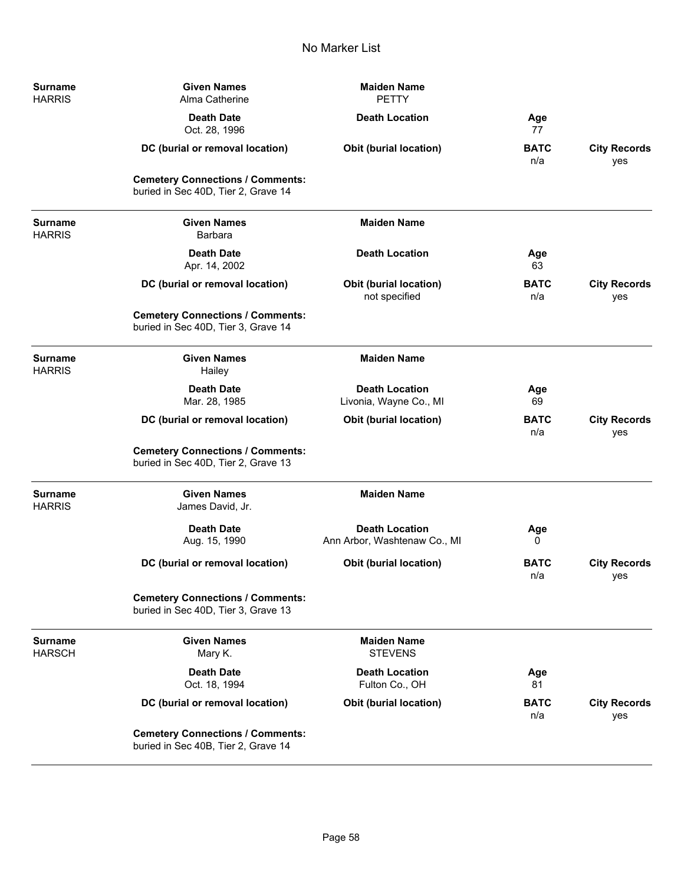| <b>Surname</b><br><b>HARRIS</b> | <b>Given Names</b><br>Alma Catherine                                           | <b>Maiden Name</b><br><b>PETTY</b>                    |                    |                            |
|---------------------------------|--------------------------------------------------------------------------------|-------------------------------------------------------|--------------------|----------------------------|
|                                 | <b>Death Date</b><br>Oct. 28, 1996                                             | <b>Death Location</b>                                 | Age<br>77          |                            |
|                                 | DC (burial or removal location)                                                | Obit (burial location)                                | <b>BATC</b><br>n/a | <b>City Records</b><br>yes |
|                                 | <b>Cemetery Connections / Comments:</b><br>buried in Sec 40D, Tier 2, Grave 14 |                                                       |                    |                            |
| <b>Surname</b><br><b>HARRIS</b> | <b>Given Names</b><br><b>Barbara</b>                                           | <b>Maiden Name</b>                                    |                    |                            |
|                                 | <b>Death Date</b><br>Apr. 14, 2002                                             | <b>Death Location</b>                                 | Age<br>63          |                            |
|                                 | DC (burial or removal location)                                                | Obit (burial location)<br>not specified               | <b>BATC</b><br>n/a | <b>City Records</b><br>yes |
|                                 | <b>Cemetery Connections / Comments:</b><br>buried in Sec 40D, Tier 3, Grave 14 |                                                       |                    |                            |
| <b>Surname</b><br><b>HARRIS</b> | <b>Given Names</b><br>Hailey                                                   | <b>Maiden Name</b>                                    |                    |                            |
|                                 | <b>Death Date</b><br>Mar. 28, 1985                                             | <b>Death Location</b><br>Livonia, Wayne Co., MI       | Age<br>69          |                            |
|                                 | DC (burial or removal location)                                                | Obit (burial location)                                | <b>BATC</b><br>n/a | <b>City Records</b><br>yes |
|                                 | <b>Cemetery Connections / Comments:</b><br>buried in Sec 40D, Tier 2, Grave 13 |                                                       |                    |                            |
| <b>Surname</b><br><b>HARRIS</b> | <b>Given Names</b><br>James David, Jr.                                         | <b>Maiden Name</b>                                    |                    |                            |
|                                 | <b>Death Date</b><br>Aug. 15, 1990                                             | <b>Death Location</b><br>Ann Arbor, Washtenaw Co., MI | Age<br>0           |                            |
|                                 | DC (burial or removal location)                                                | Obit (burial location)                                | <b>BATC</b><br>n/a | <b>City Records</b><br>yes |
|                                 | <b>Cemetery Connections / Comments:</b><br>buried in Sec 40D, Tier 3, Grave 13 |                                                       |                    |                            |
| <b>Surname</b><br><b>HARSCH</b> | <b>Given Names</b><br>Mary K.                                                  | <b>Maiden Name</b><br><b>STEVENS</b>                  |                    |                            |
|                                 | <b>Death Date</b><br>Oct. 18, 1994                                             | <b>Death Location</b><br>Fulton Co., OH               | Age<br>81          |                            |
|                                 | DC (burial or removal location)                                                | Obit (burial location)                                | <b>BATC</b><br>n/a | <b>City Records</b><br>yes |
|                                 | <b>Cemetery Connections / Comments:</b><br>buried in Sec 40B, Tier 2, Grave 14 |                                                       |                    |                            |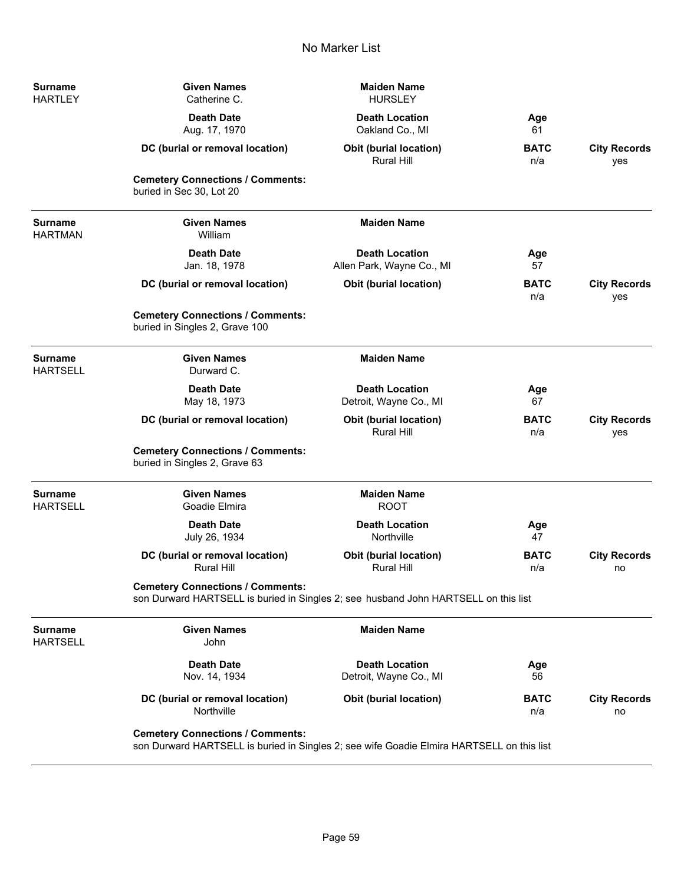| Surname<br>HARTLEY         | <b>Given Names</b><br>Catherine C.                                                                                                   | <b>Maiden Name</b><br><b>HURSLEY</b>               |                    |                            |
|----------------------------|--------------------------------------------------------------------------------------------------------------------------------------|----------------------------------------------------|--------------------|----------------------------|
|                            | <b>Death Date</b><br>Aug. 17, 1970                                                                                                   | <b>Death Location</b><br>Oakland Co., MI           | Age<br>61          |                            |
|                            | DC (burial or removal location)                                                                                                      | Obit (burial location)<br><b>Rural Hill</b>        | <b>BATC</b><br>n/a | <b>City Records</b><br>yes |
|                            | <b>Cemetery Connections / Comments:</b><br>buried in Sec 30, Lot 20                                                                  |                                                    |                    |                            |
| Surname<br>HARTMAN         | <b>Given Names</b><br>William                                                                                                        | <b>Maiden Name</b>                                 |                    |                            |
|                            | <b>Death Date</b><br>Jan. 18, 1978                                                                                                   | <b>Death Location</b><br>Allen Park, Wayne Co., MI | Age<br>57          |                            |
|                            | DC (burial or removal location)                                                                                                      | Obit (burial location)                             | <b>BATC</b><br>n/a | <b>City Records</b><br>yes |
|                            | <b>Cemetery Connections / Comments:</b><br>buried in Singles 2, Grave 100                                                            |                                                    |                    |                            |
| Surname<br>HARTSELL        | <b>Given Names</b><br>Durward C.                                                                                                     | <b>Maiden Name</b>                                 |                    |                            |
|                            | <b>Death Date</b><br>May 18, 1973                                                                                                    | <b>Death Location</b><br>Detroit, Wayne Co., MI    | Age<br>67          |                            |
|                            | DC (burial or removal location)                                                                                                      | <b>Obit (burial location)</b><br>Rural Hill        | <b>BATC</b><br>n/a | <b>City Records</b><br>yes |
|                            | <b>Cemetery Connections / Comments:</b><br>buried in Singles 2, Grave 63                                                             |                                                    |                    |                            |
| Surname<br>HARTSELL        | <b>Given Names</b><br>Goadie Elmira                                                                                                  | <b>Maiden Name</b><br><b>ROOT</b>                  |                    |                            |
|                            | <b>Death Date</b><br>July 26, 1934                                                                                                   | <b>Death Location</b><br>Northville                | Age<br>47          |                            |
|                            | DC (burial or removal location)<br><b>Rural Hill</b>                                                                                 | <b>Obit (burial location)</b><br><b>Rural Hill</b> | <b>BATC</b><br>n/a | <b>City Records</b><br>no  |
|                            | <b>Cemetery Connections / Comments:</b><br>son Durward HARTSELL is buried in Singles 2; see husband John HARTSELL on this list       |                                                    |                    |                            |
| <b>Surname</b><br>HARTSELL | <b>Given Names</b><br>John                                                                                                           | <b>Maiden Name</b>                                 |                    |                            |
|                            | <b>Death Date</b><br>Nov. 14, 1934                                                                                                   | <b>Death Location</b><br>Detroit, Wayne Co., MI    | Age<br>56          |                            |
|                            | DC (burial or removal location)<br>Northville                                                                                        | <b>Obit (burial location)</b>                      | <b>BATC</b><br>n/a | <b>City Records</b><br>no  |
|                            | <b>Cemetery Connections / Comments:</b><br>son Durward HARTSELL is buried in Singles 2; see wife Goadie Elmira HARTSELL on this list |                                                    |                    |                            |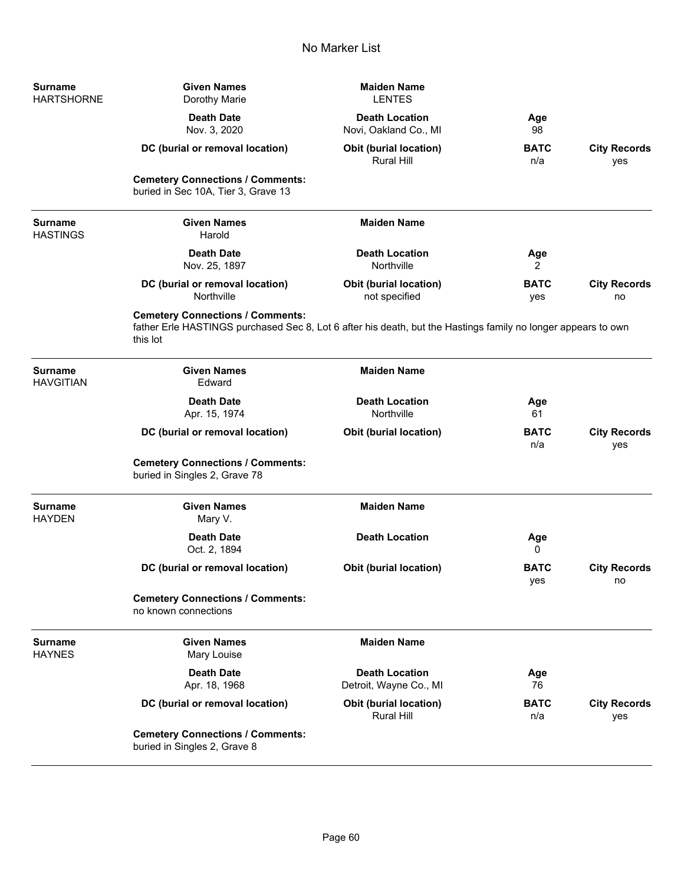| <b>Surname</b><br><b>HARTSHORNE</b> | <b>Given Names</b><br>Dorothy Marie                                                                                                                                  | <b>Maiden Name</b><br><b>LENTES</b>                |                    |                            |
|-------------------------------------|----------------------------------------------------------------------------------------------------------------------------------------------------------------------|----------------------------------------------------|--------------------|----------------------------|
|                                     | <b>Death Date</b><br>Nov. 3, 2020                                                                                                                                    | <b>Death Location</b><br>Novi, Oakland Co., MI     | Age<br>98          |                            |
|                                     | DC (burial or removal location)                                                                                                                                      | <b>Obit (burial location)</b><br><b>Rural Hill</b> | <b>BATC</b><br>n/a | <b>City Records</b><br>yes |
|                                     | <b>Cemetery Connections / Comments:</b><br>buried in Sec 10A, Tier 3, Grave 13                                                                                       |                                                    |                    |                            |
| <b>Surname</b><br><b>HASTINGS</b>   | <b>Given Names</b><br>Harold                                                                                                                                         | <b>Maiden Name</b>                                 |                    |                            |
|                                     | <b>Death Date</b><br>Nov. 25, 1897                                                                                                                                   | <b>Death Location</b><br>Northville                | Age<br>2           |                            |
|                                     | DC (burial or removal location)<br>Northville                                                                                                                        | <b>Obit (burial location)</b><br>not specified     | <b>BATC</b><br>yes | <b>City Records</b><br>no  |
|                                     | <b>Cemetery Connections / Comments:</b><br>father Erle HASTINGS purchased Sec 8, Lot 6 after his death, but the Hastings family no longer appears to own<br>this lot |                                                    |                    |                            |
| <b>Surname</b><br><b>HAVGITIAN</b>  | <b>Given Names</b><br>Edward                                                                                                                                         | <b>Maiden Name</b>                                 |                    |                            |
|                                     | <b>Death Date</b><br>Apr. 15, 1974                                                                                                                                   | <b>Death Location</b><br>Northville                | Age<br>61          |                            |
|                                     | DC (burial or removal location)                                                                                                                                      | <b>Obit (burial location)</b>                      | <b>BATC</b><br>n/a | <b>City Records</b><br>yes |
|                                     | <b>Cemetery Connections / Comments:</b><br>buried in Singles 2, Grave 78                                                                                             |                                                    |                    |                            |
| <b>Surname</b><br><b>HAYDEN</b>     | <b>Given Names</b><br>Mary V.                                                                                                                                        | <b>Maiden Name</b>                                 |                    |                            |
|                                     | <b>Death Date</b><br>Oct. 2, 1894                                                                                                                                    | <b>Death Location</b>                              | Age<br>0           |                            |
|                                     | DC (burial or removal location)                                                                                                                                      | <b>Obit (burial location)</b>                      | <b>BATC</b><br>yes | <b>City Records</b><br>no  |
|                                     | <b>Cemetery Connections / Comments:</b><br>no known connections                                                                                                      |                                                    |                    |                            |
| <b>Surname</b><br><b>HAYNES</b>     | <b>Given Names</b><br>Mary Louise                                                                                                                                    | <b>Maiden Name</b>                                 |                    |                            |
|                                     | <b>Death Date</b><br>Apr. 18, 1968                                                                                                                                   | <b>Death Location</b><br>Detroit, Wayne Co., MI    | Age<br>76          |                            |
|                                     | DC (burial or removal location)                                                                                                                                      | <b>Obit (burial location)</b><br><b>Rural Hill</b> | <b>BATC</b><br>n/a | <b>City Records</b><br>yes |
|                                     | <b>Cemetery Connections / Comments:</b><br>buried in Singles 2, Grave 8                                                                                              |                                                    |                    |                            |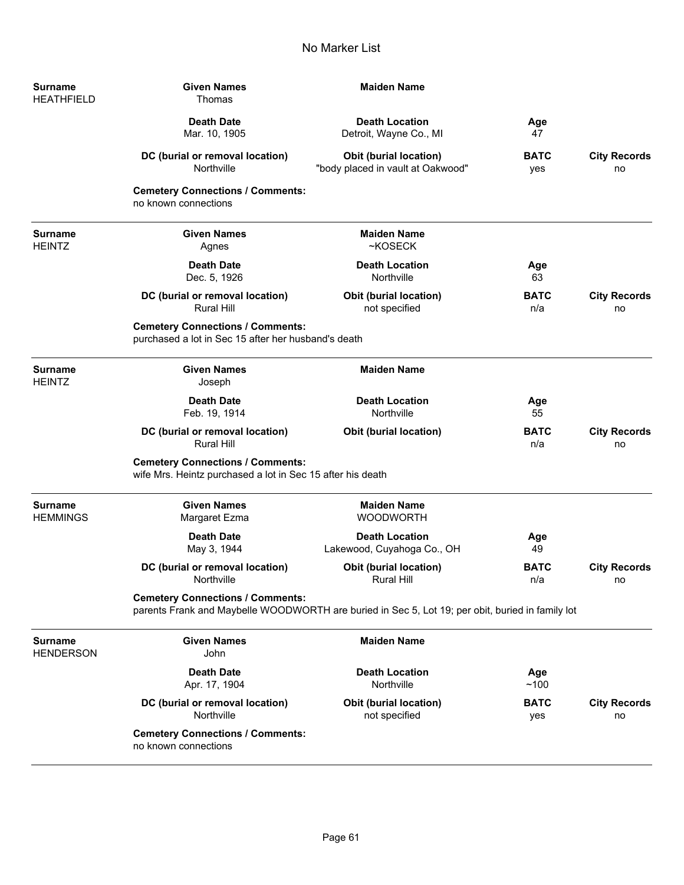| <b>Surname</b><br><b>HEATHFIELD</b> | <b>Given Names</b><br>Thomas                                                                          | <b>Maiden Name</b>                                                                               |                    |                           |
|-------------------------------------|-------------------------------------------------------------------------------------------------------|--------------------------------------------------------------------------------------------------|--------------------|---------------------------|
|                                     | <b>Death Date</b><br>Mar. 10, 1905                                                                    | <b>Death Location</b><br>Detroit, Wayne Co., MI                                                  | Age<br>47          |                           |
|                                     | DC (burial or removal location)<br>Northville                                                         | Obit (burial location)<br>"body placed in vault at Oakwood"                                      | <b>BATC</b><br>yes | <b>City Records</b><br>no |
|                                     | <b>Cemetery Connections / Comments:</b><br>no known connections                                       |                                                                                                  |                    |                           |
| <b>Surname</b><br><b>HEINTZ</b>     | <b>Given Names</b><br>Agnes                                                                           | <b>Maiden Name</b><br>~KOSECK                                                                    |                    |                           |
|                                     | <b>Death Date</b><br>Dec. 5, 1926                                                                     | <b>Death Location</b><br>Northville                                                              | Age<br>63          |                           |
|                                     | DC (burial or removal location)<br><b>Rural Hill</b>                                                  | <b>Obit (burial location)</b><br>not specified                                                   | <b>BATC</b><br>n/a | <b>City Records</b><br>no |
|                                     | <b>Cemetery Connections / Comments:</b><br>purchased a lot in Sec 15 after her husband's death        |                                                                                                  |                    |                           |
| <b>Surname</b><br><b>HEINTZ</b>     | <b>Given Names</b><br>Joseph                                                                          | <b>Maiden Name</b>                                                                               |                    |                           |
|                                     | <b>Death Date</b><br>Feb. 19, 1914                                                                    | <b>Death Location</b><br>Northville                                                              | Age<br>55          |                           |
|                                     | DC (burial or removal location)<br><b>Rural Hill</b>                                                  | <b>Obit (burial location)</b>                                                                    | <b>BATC</b><br>n/a | <b>City Records</b><br>no |
|                                     | <b>Cemetery Connections / Comments:</b><br>wife Mrs. Heintz purchased a lot in Sec 15 after his death |                                                                                                  |                    |                           |
| <b>Surname</b><br><b>HEMMINGS</b>   | <b>Given Names</b><br>Margaret Ezma                                                                   | <b>Maiden Name</b><br><b>WOODWORTH</b>                                                           |                    |                           |
|                                     | <b>Death Date</b><br>May 3, 1944                                                                      | <b>Death Location</b><br>Lakewood, Cuyahoga Co., OH                                              | Age<br>49          |                           |
|                                     | DC (burial or removal location)<br>Northville                                                         | <b>Obit (burial location)</b><br>Rural Hill                                                      | <b>BATC</b><br>n/a | <b>City Records</b><br>no |
|                                     | <b>Cemetery Connections / Comments:</b>                                                               | parents Frank and Maybelle WOODWORTH are buried in Sec 5, Lot 19; per obit, buried in family lot |                    |                           |
| <b>Surname</b><br><b>HENDERSON</b>  | <b>Given Names</b><br>John                                                                            | <b>Maiden Name</b>                                                                               |                    |                           |
|                                     | <b>Death Date</b><br>Apr. 17, 1904                                                                    | <b>Death Location</b><br>Northville                                                              | Age<br>~100        |                           |
|                                     | DC (burial or removal location)<br>Northville                                                         | <b>Obit (burial location)</b><br>not specified                                                   | <b>BATC</b><br>yes | <b>City Records</b><br>no |
|                                     | <b>Cemetery Connections / Comments:</b><br>no known connections                                       |                                                                                                  |                    |                           |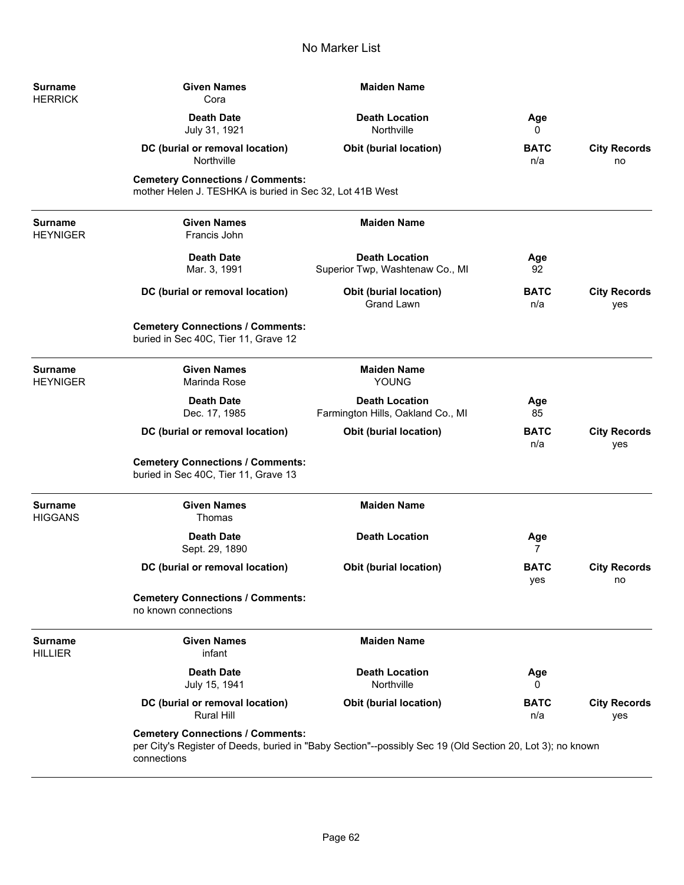| <b>Surname</b><br><b>HERRICK</b>  | <b>Given Names</b><br>Cora                                                                          | <b>Maiden Name</b>                                                                                        |                    |                            |
|-----------------------------------|-----------------------------------------------------------------------------------------------------|-----------------------------------------------------------------------------------------------------------|--------------------|----------------------------|
|                                   | <b>Death Date</b><br>July 31, 1921                                                                  | <b>Death Location</b><br>Northville                                                                       | Age<br>0           |                            |
|                                   | DC (burial or removal location)<br>Northville                                                       | Obit (burial location)                                                                                    | <b>BATC</b><br>n/a | <b>City Records</b><br>no  |
|                                   | <b>Cemetery Connections / Comments:</b><br>mother Helen J. TESHKA is buried in Sec 32, Lot 41B West |                                                                                                           |                    |                            |
| <b>Surname</b><br><b>HEYNIGER</b> | <b>Given Names</b><br>Francis John                                                                  | <b>Maiden Name</b>                                                                                        |                    |                            |
|                                   | <b>Death Date</b><br>Mar. 3, 1991                                                                   | <b>Death Location</b><br>Superior Twp, Washtenaw Co., MI                                                  | Age<br>92          |                            |
|                                   | DC (burial or removal location)                                                                     | <b>Obit (burial location)</b><br><b>Grand Lawn</b>                                                        | <b>BATC</b><br>n/a | <b>City Records</b><br>yes |
|                                   | <b>Cemetery Connections / Comments:</b><br>buried in Sec 40C, Tier 11, Grave 12                     |                                                                                                           |                    |                            |
| <b>Surname</b><br><b>HEYNIGER</b> | <b>Given Names</b><br>Marinda Rose                                                                  | <b>Maiden Name</b><br>YOUNG                                                                               |                    |                            |
|                                   | <b>Death Date</b><br>Dec. 17, 1985                                                                  | <b>Death Location</b><br>Farmington Hills, Oakland Co., MI                                                | Age<br>85          |                            |
|                                   | DC (burial or removal location)                                                                     | <b>Obit (burial location)</b>                                                                             | <b>BATC</b><br>n/a | <b>City Records</b><br>yes |
|                                   | <b>Cemetery Connections / Comments:</b><br>buried in Sec 40C, Tier 11, Grave 13                     |                                                                                                           |                    |                            |
| <b>Surname</b><br><b>HIGGANS</b>  | <b>Given Names</b><br>Thomas                                                                        | <b>Maiden Name</b>                                                                                        |                    |                            |
|                                   | <b>Death Date</b><br>Sept. 29, 1890                                                                 | <b>Death Location</b>                                                                                     | Age<br>7           |                            |
|                                   | DC (burial or removal location)                                                                     | <b>Obit (burial location)</b>                                                                             | <b>BATC</b><br>yes | <b>City Records</b><br>no  |
|                                   | <b>Cemetery Connections / Comments:</b><br>no known connections                                     |                                                                                                           |                    |                            |
| <b>Surname</b><br><b>HILLIER</b>  | <b>Given Names</b><br>infant                                                                        | <b>Maiden Name</b>                                                                                        |                    |                            |
|                                   | <b>Death Date</b><br>July 15, 1941                                                                  | <b>Death Location</b><br>Northville                                                                       | Age<br>0           |                            |
|                                   | DC (burial or removal location)<br><b>Rural Hill</b>                                                | <b>Obit (burial location)</b>                                                                             | <b>BATC</b><br>n/a | <b>City Records</b><br>yes |
|                                   | <b>Cemetery Connections / Comments:</b><br>connections                                              | per City's Register of Deeds, buried in "Baby Section"--possibly Sec 19 (Old Section 20, Lot 3); no known |                    |                            |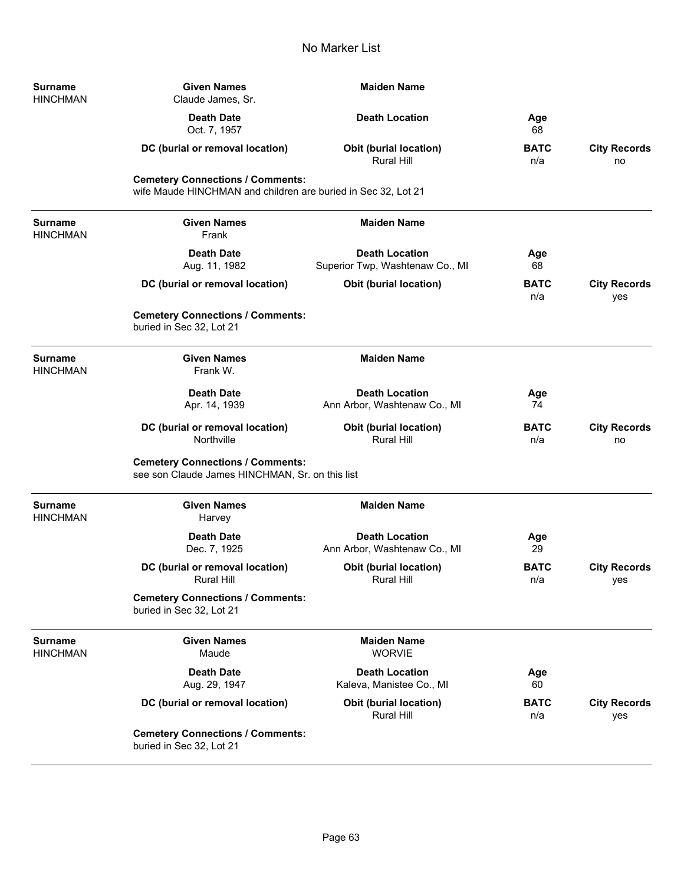| <b>Surname</b><br><b>HINCHMAN</b> | <b>Given Names</b><br>Claude James, Sr.                                                                  | <b>Maiden Name</b>                                       |                    |                            |
|-----------------------------------|----------------------------------------------------------------------------------------------------------|----------------------------------------------------------|--------------------|----------------------------|
|                                   | <b>Death Date</b><br>Oct. 7, 1957                                                                        | <b>Death Location</b>                                    | Age<br>68          |                            |
|                                   | DC (burial or removal location)                                                                          | <b>Obit (burial location)</b><br><b>Rural Hill</b>       | <b>BATC</b><br>n/a | <b>City Records</b><br>no  |
|                                   | <b>Cemetery Connections / Comments:</b><br>wife Maude HINCHMAN and children are buried in Sec 32, Lot 21 |                                                          |                    |                            |
| <b>Surname</b><br><b>HINCHMAN</b> | <b>Given Names</b><br>Frank                                                                              | <b>Maiden Name</b>                                       |                    |                            |
|                                   | <b>Death Date</b><br>Aug. 11, 1982                                                                       | <b>Death Location</b><br>Superior Twp, Washtenaw Co., MI | Age<br>68          |                            |
|                                   | DC (burial or removal location)                                                                          | <b>Obit (burial location)</b>                            | <b>BATC</b><br>n/a | <b>City Records</b><br>yes |
|                                   | <b>Cemetery Connections / Comments:</b><br>buried in Sec 32, Lot 21                                      |                                                          |                    |                            |
| <b>Surname</b><br><b>HINCHMAN</b> | <b>Given Names</b><br>Frank W.                                                                           | <b>Maiden Name</b>                                       |                    |                            |
|                                   | <b>Death Date</b><br>Apr. 14, 1939                                                                       | <b>Death Location</b><br>Ann Arbor, Washtenaw Co., MI    | Age<br>74          |                            |
|                                   | DC (burial or removal location)<br>Northville                                                            | <b>Obit (burial location)</b><br><b>Rural Hill</b>       | <b>BATC</b><br>n/a | <b>City Records</b><br>no  |
|                                   | <b>Cemetery Connections / Comments:</b><br>see son Claude James HINCHMAN, Sr. on this list               |                                                          |                    |                            |
| <b>Surname</b><br><b>HINCHMAN</b> | <b>Given Names</b><br>Harvey                                                                             | <b>Maiden Name</b>                                       |                    |                            |
|                                   | <b>Death Date</b><br>Dec. 7, 1925                                                                        | <b>Death Location</b><br>Ann Arbor, Washtenaw Co., MI    | Age<br>29          |                            |
|                                   | DC (burial or removal location)<br>Rural Hill                                                            | <b>Obit (burial location)</b><br>Rural Hill              | <b>BATC</b><br>n/a | <b>City Records</b><br>yes |
|                                   | <b>Cemetery Connections / Comments:</b><br>buried in Sec 32, Lot 21                                      |                                                          |                    |                            |
| <b>Surname</b><br><b>HINCHMAN</b> | <b>Given Names</b><br>Maude                                                                              | <b>Maiden Name</b><br><b>WORVIE</b>                      |                    |                            |
|                                   | <b>Death Date</b><br>Aug. 29, 1947                                                                       | <b>Death Location</b><br>Kaleva, Manistee Co., MI        | Age<br>60          |                            |
|                                   | DC (burial or removal location)                                                                          | <b>Obit (burial location)</b><br><b>Rural Hill</b>       | <b>BATC</b><br>n/a | <b>City Records</b><br>yes |
|                                   | <b>Cemetery Connections / Comments:</b><br>buried in Sec 32, Lot 21                                      |                                                          |                    |                            |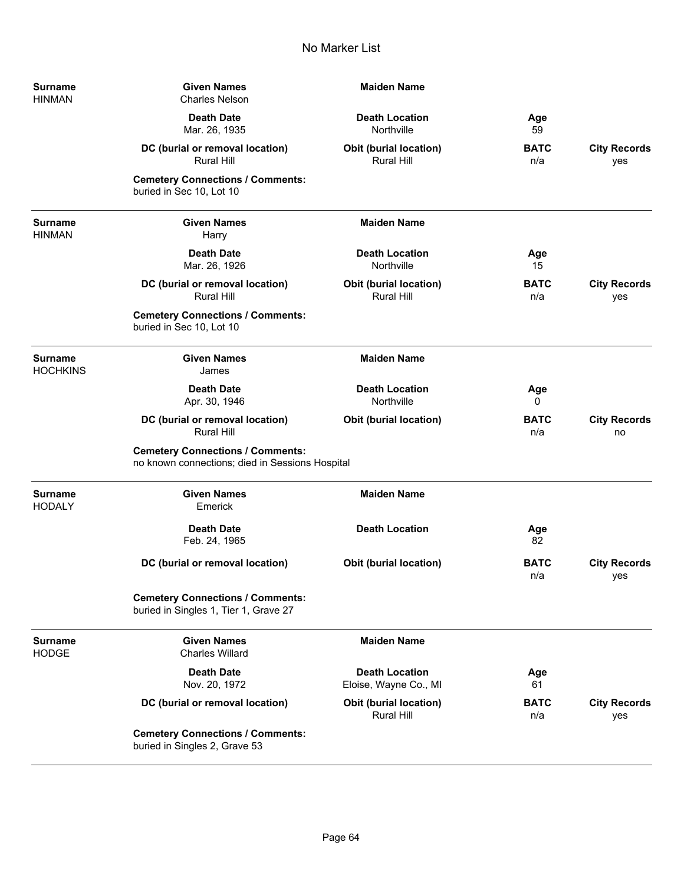| Surname<br>HINMAN   | <b>Given Names</b><br><b>Charles Nelson</b>                                                | <b>Maiden Name</b>                             |                    |                            |
|---------------------|--------------------------------------------------------------------------------------------|------------------------------------------------|--------------------|----------------------------|
|                     | <b>Death Date</b><br>Mar. 26, 1935                                                         | <b>Death Location</b><br>Northville            | Age<br>59          |                            |
|                     | DC (burial or removal location)<br><b>Rural Hill</b>                                       | Obit (burial location)<br>Rural Hill           | <b>BATC</b><br>n/a | <b>City Records</b><br>yes |
|                     | <b>Cemetery Connections / Comments:</b><br>buried in Sec 10, Lot 10                        |                                                |                    |                            |
| Surname<br>HINMAN   | <b>Given Names</b><br>Harry                                                                | <b>Maiden Name</b>                             |                    |                            |
|                     | <b>Death Date</b><br>Mar. 26, 1926                                                         | <b>Death Location</b><br>Northville            | Age<br>15          |                            |
|                     | DC (burial or removal location)<br><b>Rural Hill</b>                                       | Obit (burial location)<br>Rural Hill           | <b>BATC</b><br>n/a | <b>City Records</b><br>yes |
|                     | <b>Cemetery Connections / Comments:</b><br>buried in Sec 10, Lot 10                        |                                                |                    |                            |
| Surname<br>HOCHKINS | <b>Given Names</b><br>James                                                                | <b>Maiden Name</b>                             |                    |                            |
|                     | <b>Death Date</b><br>Apr. 30, 1946                                                         | <b>Death Location</b><br>Northville            | Age<br>0           |                            |
|                     | DC (burial or removal location)<br><b>Rural Hill</b>                                       | <b>Obit (burial location)</b>                  | <b>BATC</b><br>n/a | <b>City Records</b><br>no  |
|                     | <b>Cemetery Connections / Comments:</b><br>no known connections; died in Sessions Hospital |                                                |                    |                            |
| Surname<br>HODALY   | <b>Given Names</b><br>Emerick                                                              | <b>Maiden Name</b>                             |                    |                            |
|                     | <b>Death Date</b><br>Feb. 24, 1965                                                         | <b>Death Location</b>                          | Age<br>82          |                            |
|                     | DC (burial or removal location)                                                            | <b>Obit (burial location)</b>                  | <b>BATC</b><br>n/a | <b>City Records</b><br>yes |
|                     | <b>Cemetery Connections / Comments:</b><br>buried in Singles 1, Tier 1, Grave 27           |                                                |                    |                            |
| Surname<br>HODGE    | <b>Given Names</b><br><b>Charles Willard</b>                                               | <b>Maiden Name</b>                             |                    |                            |
|                     | <b>Death Date</b><br>Nov. 20, 1972                                                         | <b>Death Location</b><br>Eloise, Wayne Co., MI | Age<br>61          |                            |
|                     | DC (burial or removal location)                                                            | Obit (burial location)<br><b>Rural Hill</b>    | <b>BATC</b><br>n/a | <b>City Records</b><br>yes |
|                     | <b>Cemetery Connections / Comments:</b><br>buried in Singles 2, Grave 53                   |                                                |                    |                            |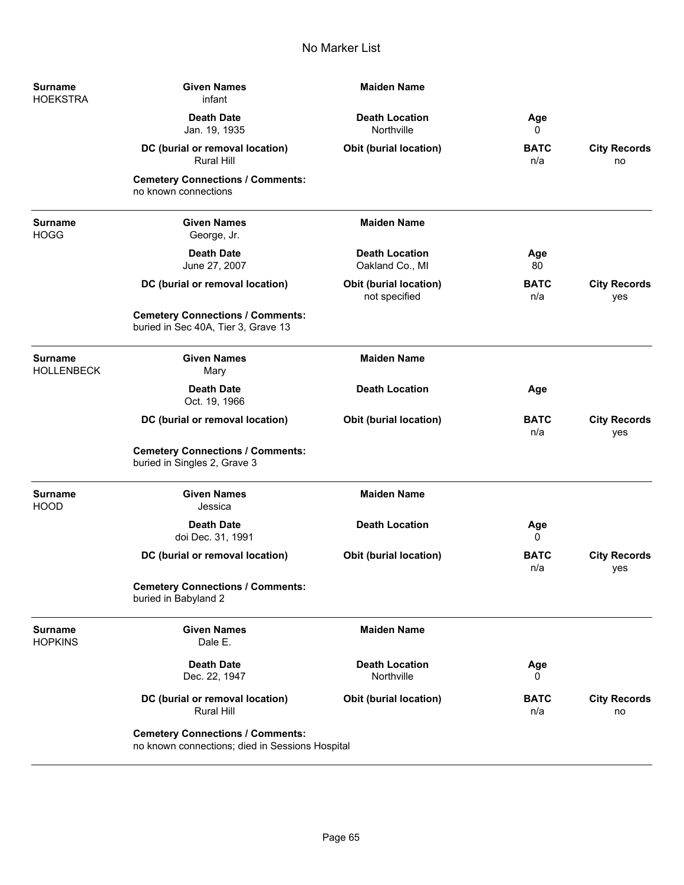| <b>Surname</b><br><b>HOEKSTRA</b>   | <b>Given Names</b><br>infant                                                               | <b>Maiden Name</b>                             |                    |                            |
|-------------------------------------|--------------------------------------------------------------------------------------------|------------------------------------------------|--------------------|----------------------------|
|                                     | <b>Death Date</b><br>Jan. 19, 1935                                                         | <b>Death Location</b><br>Northville            | Age<br>0           |                            |
|                                     | DC (burial or removal location)<br><b>Rural Hill</b>                                       | <b>Obit (burial location)</b>                  | <b>BATC</b><br>n/a | <b>City Records</b><br>no  |
|                                     | <b>Cemetery Connections / Comments:</b><br>no known connections                            |                                                |                    |                            |
| <b>Surname</b><br><b>HOGG</b>       | <b>Given Names</b><br>George, Jr.                                                          | <b>Maiden Name</b>                             |                    |                            |
|                                     | <b>Death Date</b><br>June 27, 2007                                                         | <b>Death Location</b><br>Oakland Co., MI       | Age<br>80          |                            |
|                                     | DC (burial or removal location)                                                            | <b>Obit (burial location)</b><br>not specified | <b>BATC</b><br>n/a | <b>City Records</b><br>yes |
|                                     | <b>Cemetery Connections / Comments:</b><br>buried in Sec 40A, Tier 3, Grave 13             |                                                |                    |                            |
| <b>Surname</b><br><b>HOLLENBECK</b> | <b>Given Names</b><br>Mary                                                                 | <b>Maiden Name</b>                             |                    |                            |
|                                     | <b>Death Date</b><br>Oct. 19, 1966                                                         | <b>Death Location</b>                          | Age                |                            |
|                                     | DC (burial or removal location)                                                            | <b>Obit (burial location)</b>                  | <b>BATC</b><br>n/a | <b>City Records</b><br>yes |
|                                     | <b>Cemetery Connections / Comments:</b><br>buried in Singles 2, Grave 3                    |                                                |                    |                            |
| <b>Surname</b><br><b>HOOD</b>       | <b>Given Names</b><br>Jessica                                                              | <b>Maiden Name</b>                             |                    |                            |
|                                     | <b>Death Date</b><br>doi Dec. 31, 1991                                                     | <b>Death Location</b>                          | Age<br>0           |                            |
|                                     | DC (burial or removal location)                                                            | <b>Obit (burial location)</b>                  | <b>BATC</b><br>n/a | <b>City Records</b><br>yes |
|                                     | <b>Cemetery Connections / Comments:</b><br>buried in Babyland 2                            |                                                |                    |                            |
| <b>Surname</b><br><b>HOPKINS</b>    | <b>Given Names</b><br>Dale E.                                                              | <b>Maiden Name</b>                             |                    |                            |
|                                     | <b>Death Date</b><br>Dec. 22, 1947                                                         | <b>Death Location</b><br>Northville            | Age<br>0           |                            |
|                                     | DC (burial or removal location)<br><b>Rural Hill</b>                                       | <b>Obit (burial location)</b>                  | <b>BATC</b><br>n/a | <b>City Records</b><br>no  |
|                                     | <b>Cemetery Connections / Comments:</b><br>no known connections; died in Sessions Hospital |                                                |                    |                            |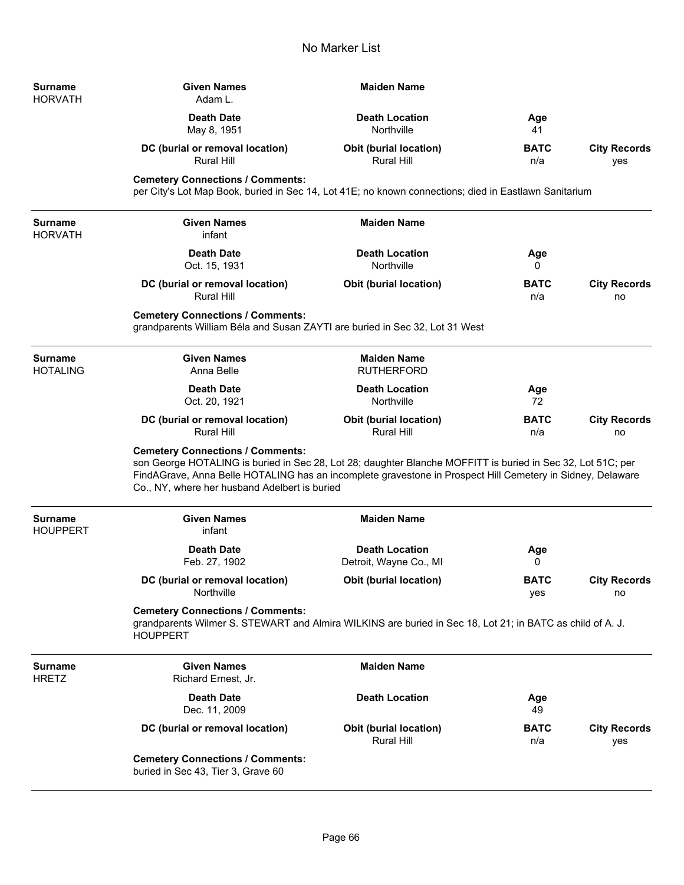| <b>Surname</b><br><b>HORVATH</b>  | <b>Given Names</b><br>Adam L.                                                                                                                                                                                                                                                                                         | <b>Maiden Name</b>                                 |                    |                            |
|-----------------------------------|-----------------------------------------------------------------------------------------------------------------------------------------------------------------------------------------------------------------------------------------------------------------------------------------------------------------------|----------------------------------------------------|--------------------|----------------------------|
|                                   | <b>Death Date</b><br>May 8, 1951                                                                                                                                                                                                                                                                                      | <b>Death Location</b><br>Northville                | Age<br>41          |                            |
|                                   | DC (burial or removal location)<br><b>Rural Hill</b>                                                                                                                                                                                                                                                                  | Obit (burial location)<br>Rural Hill               | <b>BATC</b><br>n/a | <b>City Records</b><br>yes |
|                                   | <b>Cemetery Connections / Comments:</b><br>per City's Lot Map Book, buried in Sec 14, Lot 41E; no known connections; died in Eastlawn Sanitarium                                                                                                                                                                      |                                                    |                    |                            |
| Surname<br><b>HORVATH</b>         | <b>Given Names</b><br>infant                                                                                                                                                                                                                                                                                          | <b>Maiden Name</b>                                 |                    |                            |
|                                   | <b>Death Date</b><br>Oct. 15, 1931                                                                                                                                                                                                                                                                                    | <b>Death Location</b><br>Northville                | Age<br>0           |                            |
|                                   | DC (burial or removal location)<br><b>Rural Hill</b>                                                                                                                                                                                                                                                                  | <b>Obit (burial location)</b>                      | <b>BATC</b><br>n/a | <b>City Records</b><br>no  |
|                                   | <b>Cemetery Connections / Comments:</b><br>grandparents William Béla and Susan ZAYTI are buried in Sec 32, Lot 31 West                                                                                                                                                                                                |                                                    |                    |                            |
| <b>Surname</b><br><b>HOTALING</b> | <b>Given Names</b><br>Anna Belle                                                                                                                                                                                                                                                                                      | <b>Maiden Name</b><br><b>RUTHERFORD</b>            |                    |                            |
|                                   | <b>Death Date</b><br>Oct. 20, 1921                                                                                                                                                                                                                                                                                    | <b>Death Location</b><br>Northville                | Age<br>72          |                            |
|                                   | DC (burial or removal location)<br><b>Rural Hill</b>                                                                                                                                                                                                                                                                  | <b>Obit (burial location)</b><br>Rural Hill        | <b>BATC</b><br>n/a | <b>City Records</b><br>no  |
|                                   | <b>Cemetery Connections / Comments:</b><br>son George HOTALING is buried in Sec 28, Lot 28; daughter Blanche MOFFITT is buried in Sec 32, Lot 51C; per<br>FindAGrave, Anna Belle HOTALING has an incomplete gravestone in Prospect Hill Cemetery in Sidney, Delaware<br>Co., NY, where her husband Adelbert is buried |                                                    |                    |                            |
| <b>Surname</b><br><b>HOUPPERT</b> | <b>Given Names</b><br>infant                                                                                                                                                                                                                                                                                          | <b>Maiden Name</b>                                 |                    |                            |
|                                   | <b>Death Date</b><br>Feb. 27, 1902                                                                                                                                                                                                                                                                                    | <b>Death Location</b><br>Detroit, Wayne Co., MI    | Age<br>0           |                            |
|                                   | DC (burial or removal location)<br>Northville                                                                                                                                                                                                                                                                         | <b>Obit (burial location)</b>                      | <b>BATC</b><br>yes | <b>City Records</b><br>no  |
|                                   | <b>Cemetery Connections / Comments:</b><br>grandparents Wilmer S. STEWART and Almira WILKINS are buried in Sec 18, Lot 21; in BATC as child of A. J.<br><b>HOUPPERT</b>                                                                                                                                               |                                                    |                    |                            |
| <b>Surname</b><br><b>HRETZ</b>    | <b>Given Names</b><br>Richard Ernest, Jr.                                                                                                                                                                                                                                                                             | <b>Maiden Name</b>                                 |                    |                            |
|                                   | <b>Death Date</b><br>Dec. 11, 2009                                                                                                                                                                                                                                                                                    | <b>Death Location</b>                              | Age<br>49          |                            |
|                                   | DC (burial or removal location)                                                                                                                                                                                                                                                                                       | <b>Obit (burial location)</b><br><b>Rural Hill</b> | <b>BATC</b><br>n/a | <b>City Records</b><br>yes |
|                                   | <b>Cemetery Connections / Comments:</b><br>buried in Sec 43, Tier 3, Grave 60                                                                                                                                                                                                                                         |                                                    |                    |                            |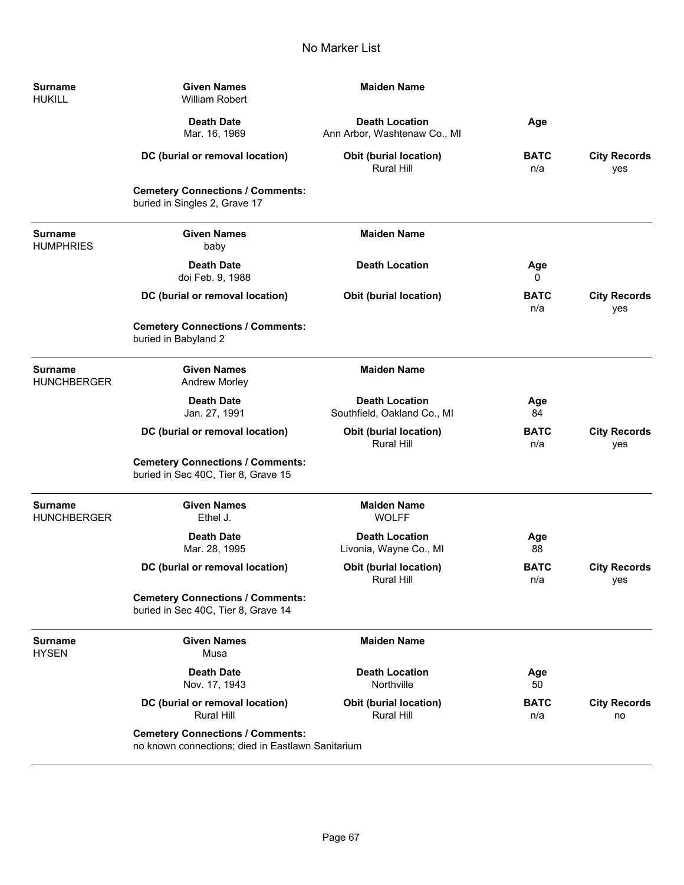$\overline{\phantom{0}}$ 

÷

| <b>Surname</b><br><b>HUKILL</b>      | <b>Given Names</b><br>William Robert                                                         | <b>Maiden Name</b>                                    |                    |                            |
|--------------------------------------|----------------------------------------------------------------------------------------------|-------------------------------------------------------|--------------------|----------------------------|
|                                      | <b>Death Date</b><br>Mar. 16, 1969                                                           | <b>Death Location</b><br>Ann Arbor, Washtenaw Co., MI | Age                |                            |
|                                      | DC (burial or removal location)                                                              | Obit (burial location)<br>Rural Hill                  | <b>BATC</b><br>n/a | <b>City Records</b><br>yes |
|                                      | <b>Cemetery Connections / Comments:</b><br>buried in Singles 2, Grave 17                     |                                                       |                    |                            |
| Surname<br>HUMPHRIES                 | <b>Given Names</b><br>baby                                                                   | <b>Maiden Name</b>                                    |                    |                            |
|                                      | <b>Death Date</b><br>doi Feb. 9, 1988                                                        | <b>Death Location</b>                                 | Age<br>0           |                            |
|                                      | DC (burial or removal location)                                                              | <b>Obit (burial location)</b>                         | <b>BATC</b><br>n/a | <b>City Records</b><br>yes |
|                                      | <b>Cemetery Connections / Comments:</b><br>buried in Babyland 2                              |                                                       |                    |                            |
| <b>Surname</b><br><b>HUNCHBERGER</b> | <b>Given Names</b><br><b>Andrew Morley</b>                                                   | <b>Maiden Name</b>                                    |                    |                            |
|                                      | <b>Death Date</b><br>Jan. 27, 1991                                                           | <b>Death Location</b><br>Southfield, Oakland Co., MI  | Age<br>84          |                            |
|                                      | DC (burial or removal location)                                                              | Obit (burial location)<br><b>Rural Hill</b>           | <b>BATC</b><br>n/a | <b>City Records</b><br>yes |
|                                      | <b>Cemetery Connections / Comments:</b><br>buried in Sec 40C, Tier 8, Grave 15               |                                                       |                    |                            |
| Surname<br>HUNCHBERGER               | <b>Given Names</b><br>Ethel J.                                                               | <b>Maiden Name</b><br><b>WOLFF</b>                    |                    |                            |
|                                      | <b>Death Date</b><br>Mar. 28, 1995                                                           | <b>Death Location</b><br>Livonia, Wayne Co., MI       | Age<br>88          |                            |
|                                      | DC (burial or removal location)                                                              | Obit (burial location)<br>Rural Hill                  | <b>BATC</b><br>n/a | <b>City Records</b><br>yes |
|                                      | <b>Cemetery Connections / Comments:</b><br>buried in Sec 40C, Tier 8, Grave 14               |                                                       |                    |                            |
| <b>Surname</b><br>HYSEN              | <b>Given Names</b><br>Musa                                                                   | <b>Maiden Name</b>                                    |                    |                            |
|                                      | <b>Death Date</b><br>Nov. 17, 1943                                                           | <b>Death Location</b><br>Northville                   | Age<br>50          |                            |
|                                      | DC (burial or removal location)<br><b>Rural Hill</b>                                         | <b>Obit (burial location)</b><br><b>Rural Hill</b>    | <b>BATC</b><br>n/a | <b>City Records</b><br>no  |
|                                      | <b>Cemetery Connections / Comments:</b><br>no known connections; died in Eastlawn Sanitarium |                                                       |                    |                            |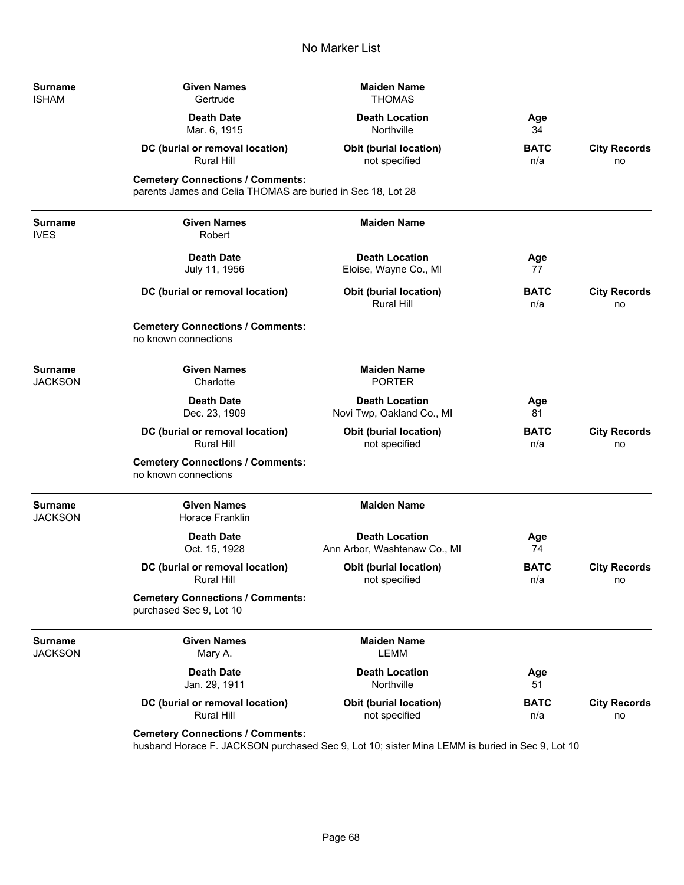| Surname<br><b>ISHAM</b>       | <b>Given Names</b><br>Gertrude                                                                                                            | <b>Maiden Name</b><br><b>THOMAS</b>                   |                    |                           |
|-------------------------------|-------------------------------------------------------------------------------------------------------------------------------------------|-------------------------------------------------------|--------------------|---------------------------|
|                               | <b>Death Date</b><br>Mar. 6, 1915                                                                                                         | <b>Death Location</b><br>Northville                   | Age<br>34          |                           |
|                               | DC (burial or removal location)<br>Rural Hill                                                                                             | <b>Obit (burial location)</b><br>not specified        | <b>BATC</b><br>n/a | <b>City Records</b><br>no |
|                               | <b>Cemetery Connections / Comments:</b><br>parents James and Celia THOMAS are buried in Sec 18, Lot 28                                    |                                                       |                    |                           |
| <b>Surname</b><br><b>IVES</b> | <b>Given Names</b><br>Robert                                                                                                              | <b>Maiden Name</b>                                    |                    |                           |
|                               | <b>Death Date</b><br>July 11, 1956                                                                                                        | <b>Death Location</b><br>Eloise, Wayne Co., MI        | Age<br>77          |                           |
|                               | DC (burial or removal location)                                                                                                           | Obit (burial location)<br>Rural Hill                  | <b>BATC</b><br>n/a | <b>City Records</b><br>no |
|                               | <b>Cemetery Connections / Comments:</b><br>no known connections                                                                           |                                                       |                    |                           |
| <b>Surname</b><br>JACKSON     | <b>Given Names</b><br>Charlotte                                                                                                           | <b>Maiden Name</b><br><b>PORTER</b>                   |                    |                           |
|                               | <b>Death Date</b><br>Dec. 23, 1909                                                                                                        | <b>Death Location</b><br>Novi Twp, Oakland Co., MI    | Age<br>81          |                           |
|                               | DC (burial or removal location)<br><b>Rural Hill</b>                                                                                      | Obit (burial location)<br>not specified               | <b>BATC</b><br>n/a | <b>City Records</b><br>no |
|                               | <b>Cemetery Connections / Comments:</b><br>no known connections                                                                           |                                                       |                    |                           |
| <b>Surname</b><br>JACKSON     | <b>Given Names</b><br>Horace Franklin                                                                                                     | <b>Maiden Name</b>                                    |                    |                           |
|                               | <b>Death Date</b><br>Oct. 15, 1928                                                                                                        | <b>Death Location</b><br>Ann Arbor, Washtenaw Co., MI | Age<br>74          |                           |
|                               | DC (burial or removal location)<br>Rural Hill                                                                                             | Obit (burial location)<br>not specified               | <b>BATC</b><br>n/a | <b>City Records</b><br>no |
|                               | <b>Cemetery Connections / Comments:</b><br>purchased Sec 9, Lot 10                                                                        |                                                       |                    |                           |
| Surname<br>JACKSON            | <b>Given Names</b><br>Mary A.                                                                                                             | <b>Maiden Name</b><br><b>LEMM</b>                     |                    |                           |
|                               | <b>Death Date</b><br>Jan. 29, 1911                                                                                                        | <b>Death Location</b><br>Northville                   | Age<br>51          |                           |
|                               | DC (burial or removal location)<br>Rural Hill                                                                                             | <b>Obit (burial location)</b><br>not specified        | <b>BATC</b><br>n/a | <b>City Records</b><br>no |
|                               | <b>Cemetery Connections / Comments:</b><br>husband Horace F. JACKSON purchased Sec 9, Lot 10; sister Mina LEMM is buried in Sec 9, Lot 10 |                                                       |                    |                           |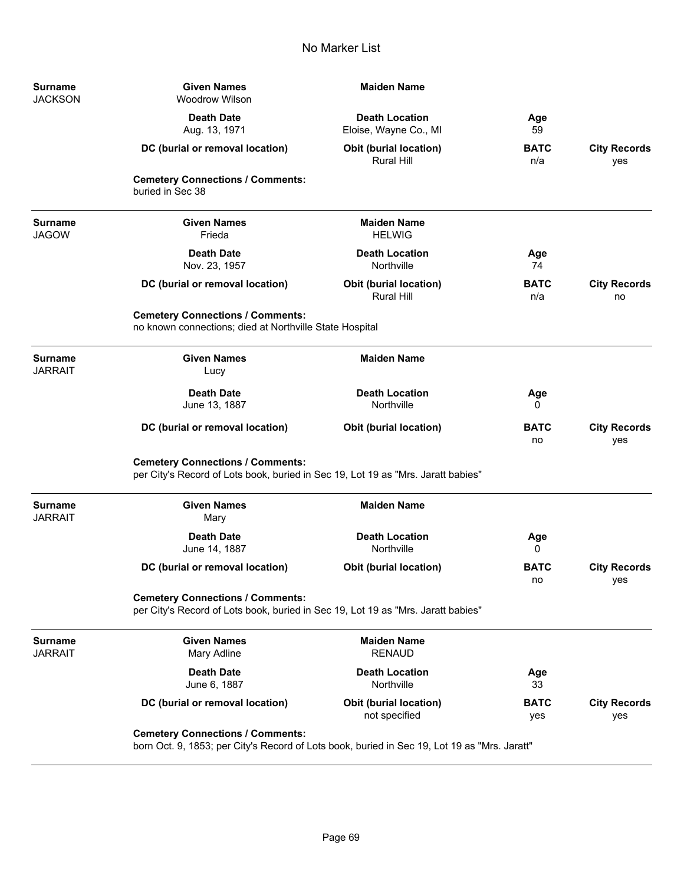| <b>Surname</b><br><b>JACKSON</b> | <b>Given Names</b><br><b>Woodrow Wilson</b>                                                                                             | <b>Maiden Name</b>                                 |                    |                            |
|----------------------------------|-----------------------------------------------------------------------------------------------------------------------------------------|----------------------------------------------------|--------------------|----------------------------|
|                                  | <b>Death Date</b><br>Aug. 13, 1971                                                                                                      | <b>Death Location</b><br>Eloise, Wayne Co., MI     | Age<br>59          |                            |
|                                  | DC (burial or removal location)                                                                                                         | <b>Obit (burial location)</b><br><b>Rural Hill</b> | <b>BATC</b><br>n/a | <b>City Records</b><br>yes |
|                                  | <b>Cemetery Connections / Comments:</b><br>buried in Sec 38                                                                             |                                                    |                    |                            |
| <b>Surname</b><br><b>JAGOW</b>   | <b>Given Names</b><br>Frieda                                                                                                            | <b>Maiden Name</b><br><b>HELWIG</b>                |                    |                            |
|                                  | <b>Death Date</b><br>Nov. 23, 1957                                                                                                      | <b>Death Location</b><br>Northville                | Age<br>74          |                            |
|                                  | DC (burial or removal location)                                                                                                         | <b>Obit (burial location)</b><br><b>Rural Hill</b> | <b>BATC</b><br>n/a | <b>City Records</b><br>no  |
|                                  | <b>Cemetery Connections / Comments:</b><br>no known connections; died at Northville State Hospital                                      |                                                    |                    |                            |
| <b>Surname</b><br><b>JARRAIT</b> | <b>Given Names</b><br>Lucy                                                                                                              | <b>Maiden Name</b>                                 |                    |                            |
|                                  | <b>Death Date</b><br>June 13, 1887                                                                                                      | <b>Death Location</b><br>Northville                | Age<br>0           |                            |
|                                  | DC (burial or removal location)                                                                                                         | <b>Obit (burial location)</b>                      | <b>BATC</b><br>no  | <b>City Records</b><br>yes |
|                                  | <b>Cemetery Connections / Comments:</b><br>per City's Record of Lots book, buried in Sec 19, Lot 19 as "Mrs. Jaratt babies"             |                                                    |                    |                            |
| <b>Surname</b><br><b>JARRAIT</b> | <b>Given Names</b><br>Mary                                                                                                              | <b>Maiden Name</b>                                 |                    |                            |
|                                  | <b>Death Date</b><br>June 14, 1887                                                                                                      | <b>Death Location</b><br>Northville                | Age<br>0           |                            |
|                                  | DC (burial or removal location)                                                                                                         | <b>Obit (burial location)</b>                      | <b>BATC</b><br>no  | <b>City Records</b><br>yes |
|                                  | <b>Cemetery Connections / Comments:</b><br>per City's Record of Lots book, buried in Sec 19, Lot 19 as "Mrs. Jaratt babies"             |                                                    |                    |                            |
| <b>Surname</b><br><b>JARRAIT</b> | <b>Given Names</b><br>Mary Adline                                                                                                       | <b>Maiden Name</b><br><b>RENAUD</b>                |                    |                            |
|                                  | <b>Death Date</b><br>June 6, 1887                                                                                                       | <b>Death Location</b><br>Northville                | Age<br>33          |                            |
|                                  | DC (burial or removal location)                                                                                                         | <b>Obit (burial location)</b><br>not specified     | <b>BATC</b><br>yes | <b>City Records</b><br>yes |
|                                  | <b>Cemetery Connections / Comments:</b><br>born Oct. 9, 1853; per City's Record of Lots book, buried in Sec 19, Lot 19 as "Mrs. Jaratt" |                                                    |                    |                            |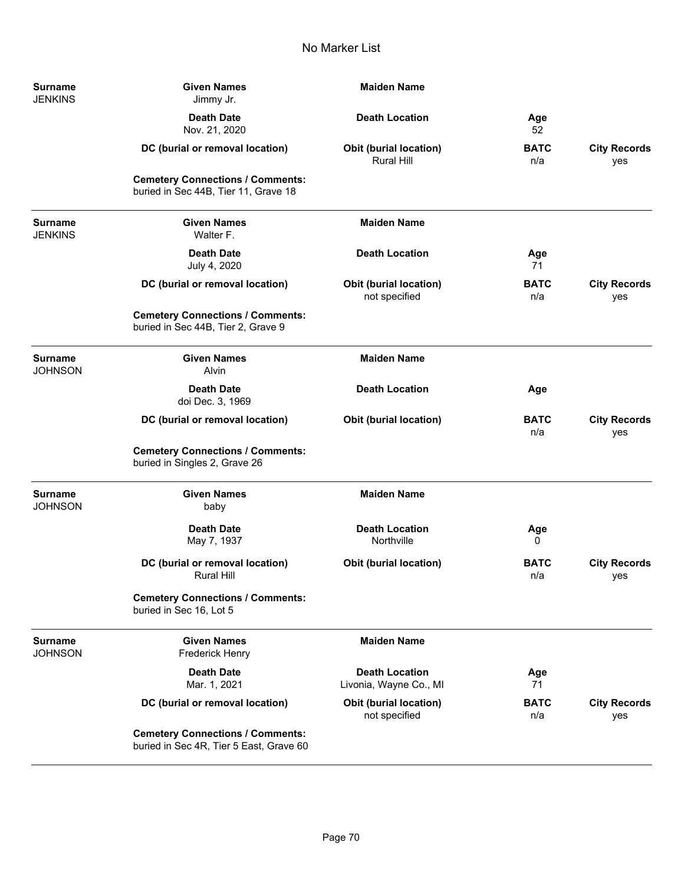| <b>Surname</b><br><b>JENKINS</b> | <b>Given Names</b><br>Jimmy Jr.                                                    | <b>Maiden Name</b>                                 |                    |                            |
|----------------------------------|------------------------------------------------------------------------------------|----------------------------------------------------|--------------------|----------------------------|
|                                  | <b>Death Date</b><br>Nov. 21, 2020                                                 | <b>Death Location</b>                              | Age<br>52          |                            |
|                                  | DC (burial or removal location)                                                    | <b>Obit (burial location)</b><br><b>Rural Hill</b> | <b>BATC</b><br>n/a | <b>City Records</b><br>yes |
|                                  | <b>Cemetery Connections / Comments:</b><br>buried in Sec 44B, Tier 11, Grave 18    |                                                    |                    |                            |
| <b>Surname</b><br><b>JENKINS</b> | <b>Given Names</b><br>Walter F.                                                    | <b>Maiden Name</b>                                 |                    |                            |
|                                  | <b>Death Date</b><br>July 4, 2020                                                  | <b>Death Location</b>                              | Age<br>71          |                            |
|                                  | DC (burial or removal location)                                                    | <b>Obit (burial location)</b><br>not specified     | <b>BATC</b><br>n/a | <b>City Records</b><br>yes |
|                                  | <b>Cemetery Connections / Comments:</b><br>buried in Sec 44B, Tier 2, Grave 9      |                                                    |                    |                            |
| <b>Surname</b><br><b>JOHNSON</b> | <b>Given Names</b><br>Alvin                                                        | <b>Maiden Name</b>                                 |                    |                            |
|                                  | <b>Death Date</b><br>doi Dec. 3, 1969                                              | <b>Death Location</b>                              | Age                |                            |
|                                  | DC (burial or removal location)                                                    | <b>Obit (burial location)</b>                      | <b>BATC</b><br>n/a | <b>City Records</b><br>yes |
|                                  | <b>Cemetery Connections / Comments:</b><br>buried in Singles 2, Grave 26           |                                                    |                    |                            |
| <b>Surname</b><br><b>JOHNSON</b> | <b>Given Names</b><br>baby                                                         | <b>Maiden Name</b>                                 |                    |                            |
|                                  | <b>Death Date</b><br>May 7, 1937                                                   | <b>Death Location</b><br>Northville                | Age<br>0           |                            |
|                                  | DC (burial or removal location)<br>Rural Hill                                      | <b>Obit (burial location)</b>                      | <b>BATC</b><br>n/a | <b>City Records</b><br>yes |
|                                  | <b>Cemetery Connections / Comments:</b><br>buried in Sec 16, Lot 5                 |                                                    |                    |                            |
| <b>Surname</b><br><b>JOHNSON</b> | <b>Given Names</b><br>Frederick Henry                                              | <b>Maiden Name</b>                                 |                    |                            |
|                                  | <b>Death Date</b><br>Mar. 1, 2021                                                  | <b>Death Location</b><br>Livonia, Wayne Co., MI    | Age<br>71          |                            |
|                                  | DC (burial or removal location)                                                    | Obit (burial location)<br>not specified            | <b>BATC</b><br>n/a | <b>City Records</b><br>yes |
|                                  | <b>Cemetery Connections / Comments:</b><br>buried in Sec 4R, Tier 5 East, Grave 60 |                                                    |                    |                            |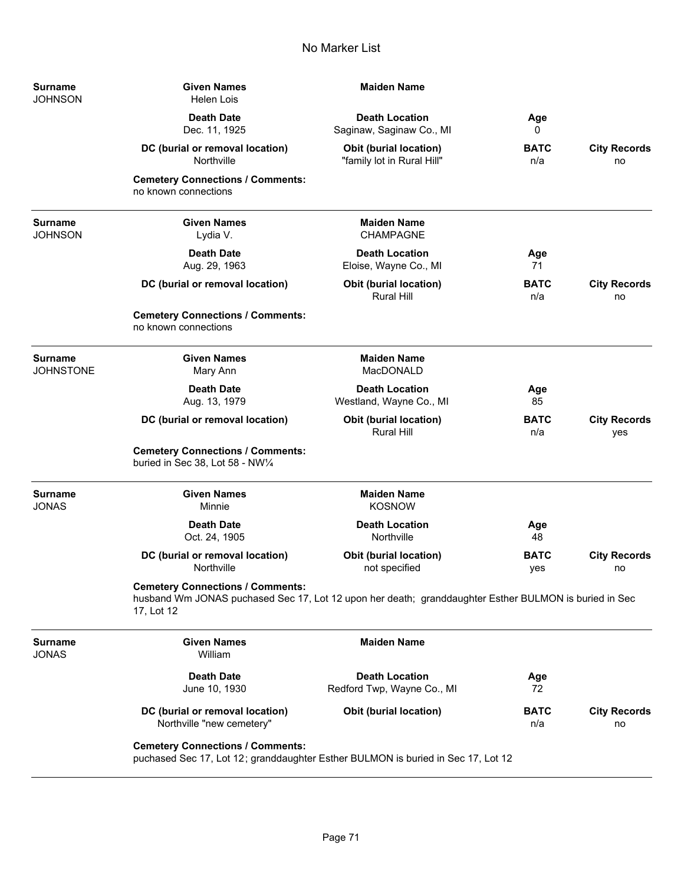| <b>Surname</b><br>JOHNSON   | <b>Given Names</b><br><b>Helen Lois</b>                                                                                                                        | <b>Maiden Name</b>                                   |                    |                            |
|-----------------------------|----------------------------------------------------------------------------------------------------------------------------------------------------------------|------------------------------------------------------|--------------------|----------------------------|
|                             | <b>Death Date</b><br>Dec. 11, 1925                                                                                                                             | <b>Death Location</b><br>Saginaw, Saginaw Co., MI    | Age<br>0           |                            |
|                             | DC (burial or removal location)<br><b>Northville</b>                                                                                                           | Obit (burial location)<br>"family lot in Rural Hill" | <b>BATC</b><br>n/a | <b>City Records</b><br>no  |
|                             | <b>Cemetery Connections / Comments:</b><br>no known connections                                                                                                |                                                      |                    |                            |
| Surname<br>JOHNSON          | <b>Given Names</b><br>Lydia V.                                                                                                                                 | <b>Maiden Name</b><br><b>CHAMPAGNE</b>               |                    |                            |
|                             | <b>Death Date</b><br>Aug. 29, 1963                                                                                                                             | <b>Death Location</b><br>Eloise, Wayne Co., MI       | Age<br>71          |                            |
|                             | DC (burial or removal location)                                                                                                                                | Obit (burial location)<br><b>Rural Hill</b>          | <b>BATC</b><br>n/a | <b>City Records</b><br>no  |
|                             | <b>Cemetery Connections / Comments:</b><br>no known connections                                                                                                |                                                      |                    |                            |
| <b>Surname</b><br>JOHNSTONE | <b>Given Names</b><br>Mary Ann                                                                                                                                 | <b>Maiden Name</b><br>MacDONALD                      |                    |                            |
|                             | <b>Death Date</b><br>Aug. 13, 1979                                                                                                                             | <b>Death Location</b><br>Westland, Wayne Co., MI     | Age<br>85          |                            |
|                             | DC (burial or removal location)                                                                                                                                | <b>Obit (burial location)</b><br><b>Rural Hill</b>   | <b>BATC</b><br>n/a | <b>City Records</b><br>yes |
|                             | <b>Cemetery Connections / Comments:</b><br>buried in Sec 38, Lot 58 - NW1/4                                                                                    |                                                      |                    |                            |
| Surname<br>JONAS            | <b>Given Names</b><br>Minnie                                                                                                                                   | <b>Maiden Name</b><br><b>KOSNOW</b>                  |                    |                            |
|                             | <b>Death Date</b><br>Oct. 24, 1905                                                                                                                             | <b>Death Location</b><br>Northville                  | Age<br>48          |                            |
|                             | DC (burial or removal location)<br>Northville                                                                                                                  | Obit (burial location)<br>not specified              | <b>BATC</b><br>yes | <b>City Records</b><br>no  |
|                             | <b>Cemetery Connections / Comments:</b><br>husband Wm JONAS puchased Sec 17, Lot 12 upon her death; granddaughter Esther BULMON is buried in Sec<br>17, Lot 12 |                                                      |                    |                            |
| Surname<br>JONAS            | <b>Given Names</b><br>William                                                                                                                                  | <b>Maiden Name</b>                                   |                    |                            |
|                             | <b>Death Date</b><br>June 10, 1930                                                                                                                             | <b>Death Location</b><br>Redford Twp, Wayne Co., MI  | Age<br>72          |                            |
|                             | DC (burial or removal location)<br>Northville "new cemetery"                                                                                                   | <b>Obit (burial location)</b>                        | <b>BATC</b><br>n/a | <b>City Records</b><br>no  |
|                             | <b>Cemetery Connections / Comments:</b><br>puchased Sec 17, Lot 12; granddaughter Esther BULMON is buried in Sec 17, Lot 12                                    |                                                      |                    |                            |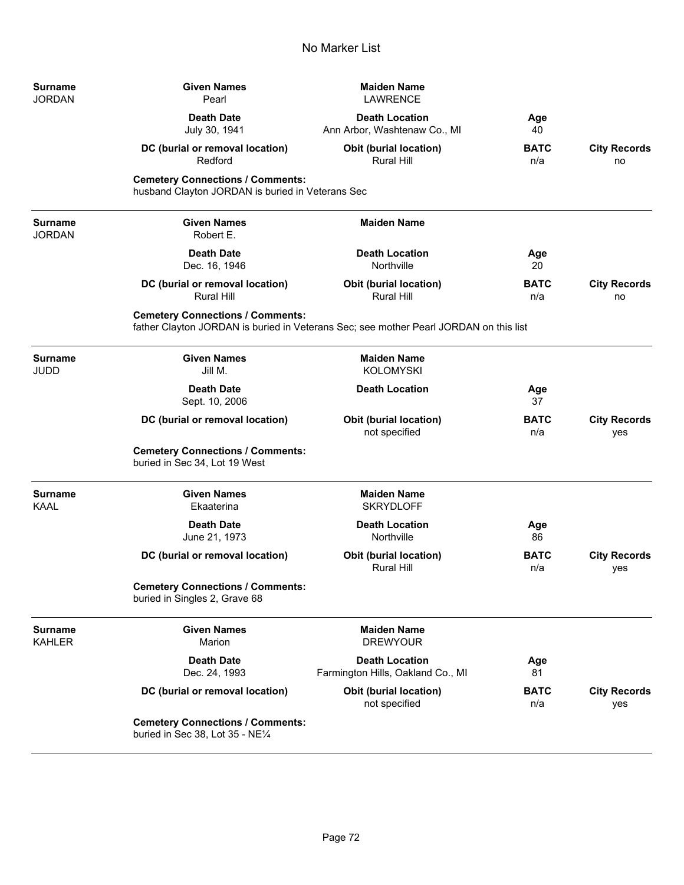| Surname<br>JORDAN        | <b>Given Names</b><br>Pearl                                                                 | <b>Maiden Name</b><br><b>LAWRENCE</b>                                                 |                    |                            |
|--------------------------|---------------------------------------------------------------------------------------------|---------------------------------------------------------------------------------------|--------------------|----------------------------|
|                          | <b>Death Date</b><br>July 30, 1941                                                          | <b>Death Location</b><br>Ann Arbor, Washtenaw Co., MI                                 | Age<br>40          |                            |
|                          | DC (burial or removal location)<br>Redford                                                  | <b>Obit (burial location)</b><br>Rural Hill                                           | <b>BATC</b><br>n/a | <b>City Records</b><br>no  |
|                          | <b>Cemetery Connections / Comments:</b><br>husband Clayton JORDAN is buried in Veterans Sec |                                                                                       |                    |                            |
| <b>Surname</b><br>JORDAN | <b>Given Names</b><br>Robert E.                                                             | <b>Maiden Name</b>                                                                    |                    |                            |
|                          | <b>Death Date</b><br>Dec. 16, 1946                                                          | <b>Death Location</b><br>Northville                                                   | Age<br>20          |                            |
|                          | DC (burial or removal location)<br><b>Rural Hill</b>                                        | <b>Obit (burial location)</b><br><b>Rural Hill</b>                                    | <b>BATC</b><br>n/a | <b>City Records</b><br>no  |
|                          | <b>Cemetery Connections / Comments:</b>                                                     | father Clayton JORDAN is buried in Veterans Sec; see mother Pearl JORDAN on this list |                    |                            |
| Surname<br>JUDD          | <b>Given Names</b><br>Jill M.                                                               | <b>Maiden Name</b><br><b>KOLOMYSKI</b>                                                |                    |                            |
|                          | <b>Death Date</b><br>Sept. 10, 2006                                                         | <b>Death Location</b>                                                                 | Age<br>37          |                            |
|                          | DC (burial or removal location)                                                             | <b>Obit (burial location)</b><br>not specified                                        | <b>BATC</b><br>n/a | <b>City Records</b><br>yes |
|                          | <b>Cemetery Connections / Comments:</b><br>buried in Sec 34, Lot 19 West                    |                                                                                       |                    |                            |
| <b>Surname</b><br>KAAL   | <b>Given Names</b><br>Ekaaterina                                                            | <b>Maiden Name</b><br><b>SKRYDLOFF</b>                                                |                    |                            |
|                          | <b>Death Date</b><br>June 21, 1973                                                          | <b>Death Location</b><br>Northville                                                   | Age<br>86          |                            |
|                          | DC (burial or removal location)                                                             | <b>Obit (burial location)</b><br>Rural Hill                                           | <b>BATC</b><br>n/a | <b>City Records</b><br>yes |
|                          | <b>Cemetery Connections / Comments:</b><br>buried in Singles 2, Grave 68                    |                                                                                       |                    |                            |
| Surname<br>KAHLER        | <b>Given Names</b><br>Marion                                                                | <b>Maiden Name</b><br><b>DREWYOUR</b>                                                 |                    |                            |
|                          | <b>Death Date</b><br>Dec. 24, 1993                                                          | <b>Death Location</b><br>Farmington Hills, Oakland Co., MI                            | Age<br>81          |                            |
|                          | DC (burial or removal location)                                                             | <b>Obit (burial location)</b><br>not specified                                        | <b>BATC</b><br>n/a | <b>City Records</b><br>yes |
|                          | <b>Cemetery Connections / Comments:</b><br>buried in Sec 38, Lot 35 - NE1/4                 |                                                                                       |                    |                            |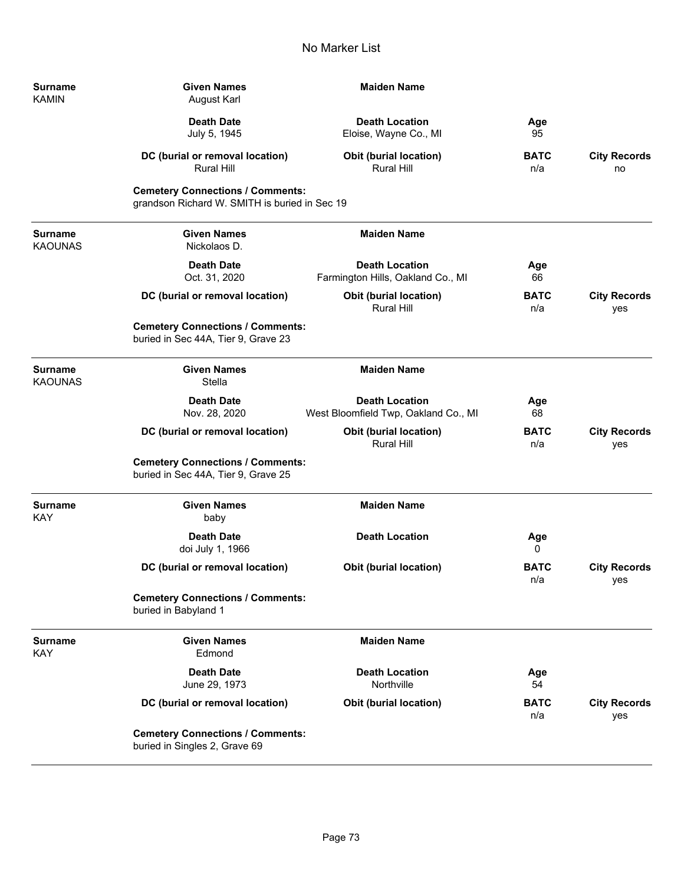| Surname<br><b>KAMIN</b> | <b>Given Names</b><br><b>August Karl</b>                                                 | <b>Maiden Name</b>                                            |                    |                            |
|-------------------------|------------------------------------------------------------------------------------------|---------------------------------------------------------------|--------------------|----------------------------|
|                         | <b>Death Date</b><br>July 5, 1945                                                        | <b>Death Location</b><br>Eloise, Wayne Co., MI                | Age<br>95          |                            |
|                         | DC (burial or removal location)<br><b>Rural Hill</b>                                     | <b>Obit (burial location)</b><br><b>Rural Hill</b>            | <b>BATC</b><br>n/a | <b>City Records</b><br>no  |
|                         | <b>Cemetery Connections / Comments:</b><br>grandson Richard W. SMITH is buried in Sec 19 |                                                               |                    |                            |
| Surname<br>KAOUNAS      | <b>Given Names</b><br>Nickolaos D.                                                       | <b>Maiden Name</b>                                            |                    |                            |
|                         | <b>Death Date</b><br>Oct. 31, 2020                                                       | <b>Death Location</b><br>Farmington Hills, Oakland Co., MI    | Age<br>66          |                            |
|                         | DC (burial or removal location)                                                          | <b>Obit (burial location)</b><br><b>Rural Hill</b>            | <b>BATC</b><br>n/a | <b>City Records</b><br>yes |
|                         | <b>Cemetery Connections / Comments:</b><br>buried in Sec 44A, Tier 9, Grave 23           |                                                               |                    |                            |
| Surname<br>KAOUNAS      | <b>Given Names</b><br>Stella                                                             | <b>Maiden Name</b>                                            |                    |                            |
|                         | <b>Death Date</b><br>Nov. 28, 2020                                                       | <b>Death Location</b><br>West Bloomfield Twp, Oakland Co., MI | Age<br>68          |                            |
|                         | DC (burial or removal location)                                                          | <b>Obit (burial location)</b><br>Rural Hill                   | <b>BATC</b><br>n/a | <b>City Records</b><br>yes |
|                         | <b>Cemetery Connections / Comments:</b><br>buried in Sec 44A, Tier 9, Grave 25           |                                                               |                    |                            |
| Surname<br>KAY          | <b>Given Names</b><br>baby                                                               | <b>Maiden Name</b>                                            |                    |                            |
|                         | <b>Death Date</b><br>doi July 1, 1966                                                    | <b>Death Location</b>                                         | Age<br>0           |                            |
|                         | DC (burial or removal location)                                                          | <b>Obit (burial location)</b>                                 | <b>BATC</b><br>n/a | <b>City Records</b><br>yes |
|                         | <b>Cemetery Connections / Comments:</b><br>buried in Babyland 1                          |                                                               |                    |                            |
| Surname<br>KAY          | <b>Given Names</b><br>Edmond                                                             | <b>Maiden Name</b>                                            |                    |                            |
|                         | <b>Death Date</b><br>June 29, 1973                                                       | <b>Death Location</b><br>Northville                           | Age<br>54          |                            |
|                         | DC (burial or removal location)                                                          | <b>Obit (burial location)</b>                                 | <b>BATC</b><br>n/a | <b>City Records</b><br>yes |
|                         | <b>Cemetery Connections / Comments:</b><br>buried in Singles 2, Grave 69                 |                                                               |                    |                            |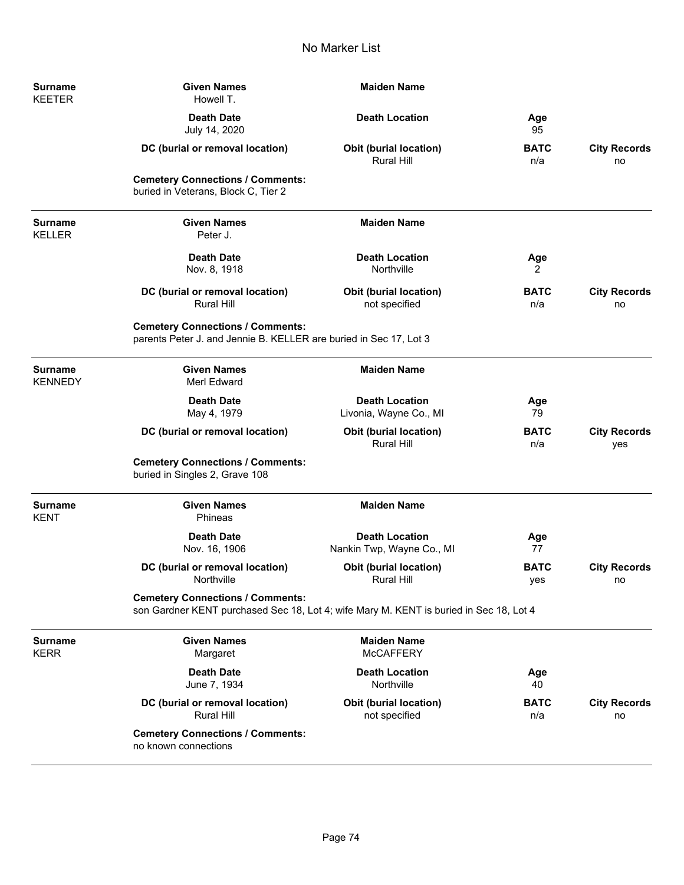| <b>Surname</b><br><b>KEETER</b>  | <b>Given Names</b><br>Howell T.                                                                                                   | <b>Maiden Name</b>                                 |                    |                            |
|----------------------------------|-----------------------------------------------------------------------------------------------------------------------------------|----------------------------------------------------|--------------------|----------------------------|
|                                  | <b>Death Date</b><br>July 14, 2020                                                                                                | <b>Death Location</b>                              | Age<br>95          |                            |
|                                  | DC (burial or removal location)                                                                                                   | <b>Obit (burial location)</b><br><b>Rural Hill</b> | <b>BATC</b><br>n/a | <b>City Records</b><br>no  |
|                                  | <b>Cemetery Connections / Comments:</b><br>buried in Veterans, Block C, Tier 2                                                    |                                                    |                    |                            |
| <b>Surname</b><br><b>KELLER</b>  | <b>Given Names</b><br>Peter J.                                                                                                    | <b>Maiden Name</b>                                 |                    |                            |
|                                  | <b>Death Date</b><br>Nov. 8, 1918                                                                                                 | <b>Death Location</b><br>Northville                | Age<br>2           |                            |
|                                  | DC (burial or removal location)<br><b>Rural Hill</b>                                                                              | <b>Obit (burial location)</b><br>not specified     | <b>BATC</b><br>n/a | <b>City Records</b><br>no  |
|                                  | <b>Cemetery Connections / Comments:</b><br>parents Peter J. and Jennie B. KELLER are buried in Sec 17, Lot 3                      |                                                    |                    |                            |
| <b>Surname</b><br><b>KENNEDY</b> | <b>Given Names</b><br>Merl Edward                                                                                                 | <b>Maiden Name</b>                                 |                    |                            |
|                                  | <b>Death Date</b><br>May 4, 1979                                                                                                  | <b>Death Location</b><br>Livonia, Wayne Co., MI    | Age<br>79          |                            |
|                                  | DC (burial or removal location)                                                                                                   | <b>Obit (burial location)</b><br>Rural Hill        | <b>BATC</b><br>n/a | <b>City Records</b><br>yes |
|                                  | <b>Cemetery Connections / Comments:</b><br>buried in Singles 2, Grave 108                                                         |                                                    |                    |                            |
| <b>Surname</b><br><b>KENT</b>    | <b>Given Names</b><br>Phineas                                                                                                     | <b>Maiden Name</b>                                 |                    |                            |
|                                  | <b>Death Date</b><br>Nov. 16, 1906                                                                                                | <b>Death Location</b><br>Nankin Twp, Wayne Co., MI | Age<br>77          |                            |
|                                  | DC (burial or removal location)<br>Northville                                                                                     | Obit (burial location)<br>Rural Hill               | <b>BATC</b><br>yes | <b>City Records</b><br>no  |
|                                  | <b>Cemetery Connections / Comments:</b><br>son Gardner KENT purchased Sec 18, Lot 4; wife Mary M. KENT is buried in Sec 18, Lot 4 |                                                    |                    |                            |
| <b>Surname</b><br><b>KERR</b>    | <b>Given Names</b><br>Margaret                                                                                                    | <b>Maiden Name</b><br><b>McCAFFERY</b>             |                    |                            |
|                                  | <b>Death Date</b><br>June 7, 1934                                                                                                 | <b>Death Location</b><br>Northville                | Age<br>40          |                            |
|                                  | DC (burial or removal location)<br><b>Rural Hill</b>                                                                              | <b>Obit (burial location)</b><br>not specified     | <b>BATC</b><br>n/a | <b>City Records</b><br>no  |
|                                  | <b>Cemetery Connections / Comments:</b><br>no known connections                                                                   |                                                    |                    |                            |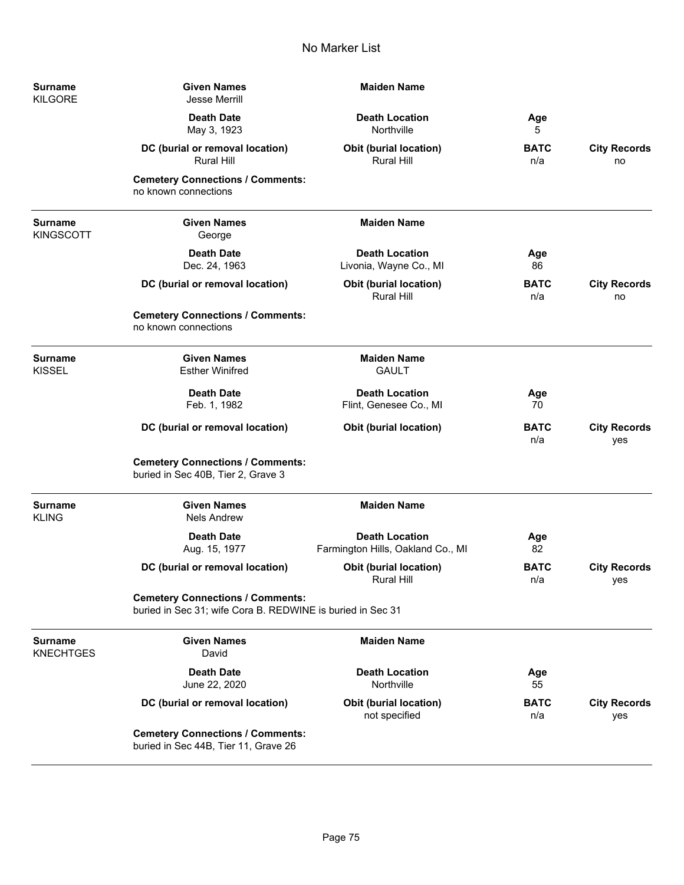| <b>Surname</b><br>KILGORE   | <b>Given Names</b><br><b>Jesse Merrill</b>                                                            | <b>Maiden Name</b>                                         |                    |                            |
|-----------------------------|-------------------------------------------------------------------------------------------------------|------------------------------------------------------------|--------------------|----------------------------|
|                             | <b>Death Date</b><br>May 3, 1923                                                                      | <b>Death Location</b><br>Northville                        | Age<br>5           |                            |
|                             | DC (burial or removal location)<br>Rural Hill                                                         | <b>Obit (burial location)</b><br>Rural Hill                | <b>BATC</b><br>n/a | <b>City Records</b><br>no  |
|                             | <b>Cemetery Connections / Comments:</b><br>no known connections                                       |                                                            |                    |                            |
| Surname<br><b>KINGSCOTT</b> | <b>Given Names</b><br>George                                                                          | <b>Maiden Name</b>                                         |                    |                            |
|                             | <b>Death Date</b><br>Dec. 24, 1963                                                                    | <b>Death Location</b><br>Livonia, Wayne Co., MI            | Age<br>86          |                            |
|                             | DC (burial or removal location)                                                                       | <b>Obit (burial location)</b><br>Rural Hill                | <b>BATC</b><br>n/a | <b>City Records</b><br>no  |
|                             | <b>Cemetery Connections / Comments:</b><br>no known connections                                       |                                                            |                    |                            |
| Surname<br>KISSEL           | <b>Given Names</b><br><b>Esther Winifred</b>                                                          | <b>Maiden Name</b><br><b>GAULT</b>                         |                    |                            |
|                             | <b>Death Date</b><br>Feb. 1, 1982                                                                     | <b>Death Location</b><br>Flint, Genesee Co., MI            | Age<br>70          |                            |
|                             | DC (burial or removal location)                                                                       | <b>Obit (burial location)</b>                              | <b>BATC</b><br>n/a | <b>City Records</b><br>yes |
|                             | <b>Cemetery Connections / Comments:</b><br>buried in Sec 40B, Tier 2, Grave 3                         |                                                            |                    |                            |
| Surname<br>KLING            | <b>Given Names</b><br><b>Nels Andrew</b>                                                              | <b>Maiden Name</b>                                         |                    |                            |
|                             | <b>Death Date</b><br>Aug. 15, 1977                                                                    | <b>Death Location</b><br>Farmington Hills, Oakland Co., MI | Age<br>82          |                            |
|                             | DC (burial or removal location)                                                                       | <b>Obit (burial location)</b><br><b>Rural Hill</b>         | <b>BATC</b><br>n/a | <b>City Records</b><br>yes |
|                             | <b>Cemetery Connections / Comments:</b><br>buried in Sec 31; wife Cora B. REDWINE is buried in Sec 31 |                                                            |                    |                            |
| Surname<br><b>KNECHTGES</b> | <b>Given Names</b><br>David                                                                           | <b>Maiden Name</b>                                         |                    |                            |
|                             | <b>Death Date</b><br>June 22, 2020                                                                    | <b>Death Location</b><br>Northville                        | Age<br>55          |                            |
|                             | DC (burial or removal location)                                                                       | <b>Obit (burial location)</b><br>not specified             | <b>BATC</b><br>n/a | <b>City Records</b><br>yes |
|                             | <b>Cemetery Connections / Comments:</b><br>buried in Sec 44B, Tier 11, Grave 26                       |                                                            |                    |                            |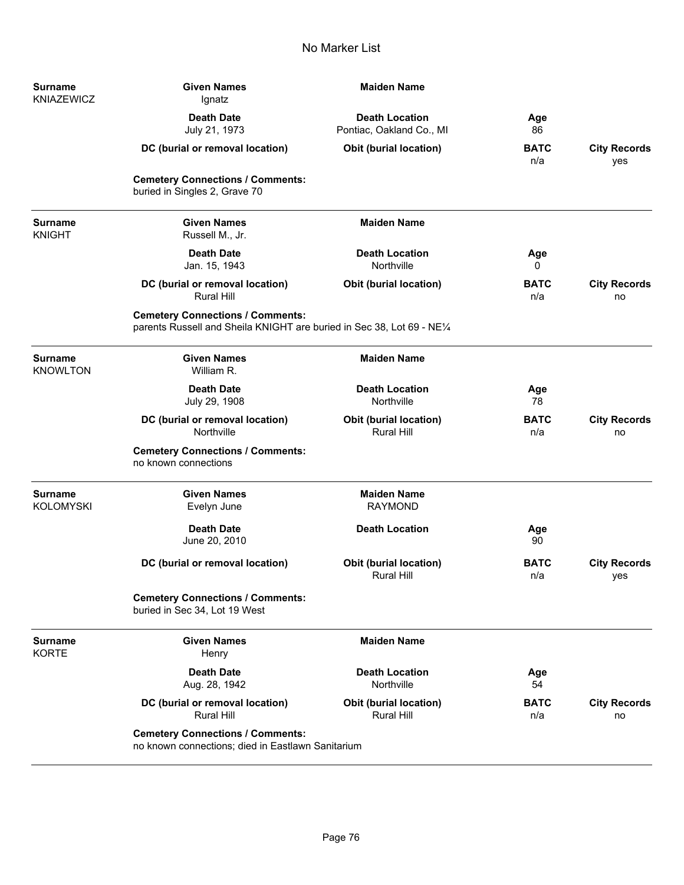| <b>Surname</b><br><b>KNIAZEWICZ</b> | <b>Given Names</b><br>Ignatz                                                                                      | <b>Maiden Name</b>                                 |                    |                            |
|-------------------------------------|-------------------------------------------------------------------------------------------------------------------|----------------------------------------------------|--------------------|----------------------------|
|                                     | <b>Death Date</b><br>July 21, 1973                                                                                | <b>Death Location</b><br>Pontiac, Oakland Co., MI  | Age<br>86          |                            |
|                                     | DC (burial or removal location)                                                                                   | <b>Obit (burial location)</b>                      | <b>BATC</b><br>n/a | <b>City Records</b><br>yes |
|                                     | <b>Cemetery Connections / Comments:</b><br>buried in Singles 2, Grave 70                                          |                                                    |                    |                            |
| <b>Surname</b><br><b>KNIGHT</b>     | <b>Given Names</b><br>Russell M., Jr.                                                                             | <b>Maiden Name</b>                                 |                    |                            |
|                                     | <b>Death Date</b><br>Jan. 15, 1943                                                                                | <b>Death Location</b><br>Northville                | Age<br>0           |                            |
|                                     | DC (burial or removal location)<br><b>Rural Hill</b>                                                              | <b>Obit (burial location)</b>                      | <b>BATC</b><br>n/a | <b>City Records</b><br>no  |
|                                     | <b>Cemetery Connections / Comments:</b><br>parents Russell and Sheila KNIGHT are buried in Sec 38, Lot 69 - NE1/4 |                                                    |                    |                            |
| <b>Surname</b><br><b>KNOWLTON</b>   | <b>Given Names</b><br>William R.                                                                                  | <b>Maiden Name</b>                                 |                    |                            |
|                                     | <b>Death Date</b><br>July 29, 1908                                                                                | <b>Death Location</b><br>Northville                | Age<br>78          |                            |
|                                     | DC (burial or removal location)<br>Northville                                                                     | <b>Obit (burial location)</b><br><b>Rural Hill</b> | <b>BATC</b><br>n/a | <b>City Records</b><br>no  |
|                                     | <b>Cemetery Connections / Comments:</b><br>no known connections                                                   |                                                    |                    |                            |
| <b>Surname</b><br><b>KOLOMYSKI</b>  | <b>Given Names</b><br>Evelyn June                                                                                 | <b>Maiden Name</b><br><b>RAYMOND</b>               |                    |                            |
|                                     | <b>Death Date</b><br>June 20, 2010                                                                                | <b>Death Location</b>                              | Age<br>90          |                            |
|                                     | DC (burial or removal location)                                                                                   | <b>Obit (burial location)</b><br>Rural Hill        | <b>BATC</b><br>n/a | <b>City Records</b><br>yes |
|                                     | <b>Cemetery Connections / Comments:</b><br>buried in Sec 34, Lot 19 West                                          |                                                    |                    |                            |
| <b>Surname</b><br><b>KORTE</b>      | <b>Given Names</b><br>Henry                                                                                       | <b>Maiden Name</b>                                 |                    |                            |
|                                     | <b>Death Date</b><br>Aug. 28, 1942                                                                                | <b>Death Location</b><br>Northville                | Age<br>54          |                            |
|                                     | DC (burial or removal location)<br><b>Rural Hill</b>                                                              | <b>Obit (burial location)</b><br><b>Rural Hill</b> | <b>BATC</b><br>n/a | <b>City Records</b><br>no  |
|                                     | <b>Cemetery Connections / Comments:</b><br>no known connections; died in Eastlawn Sanitarium                      |                                                    |                    |                            |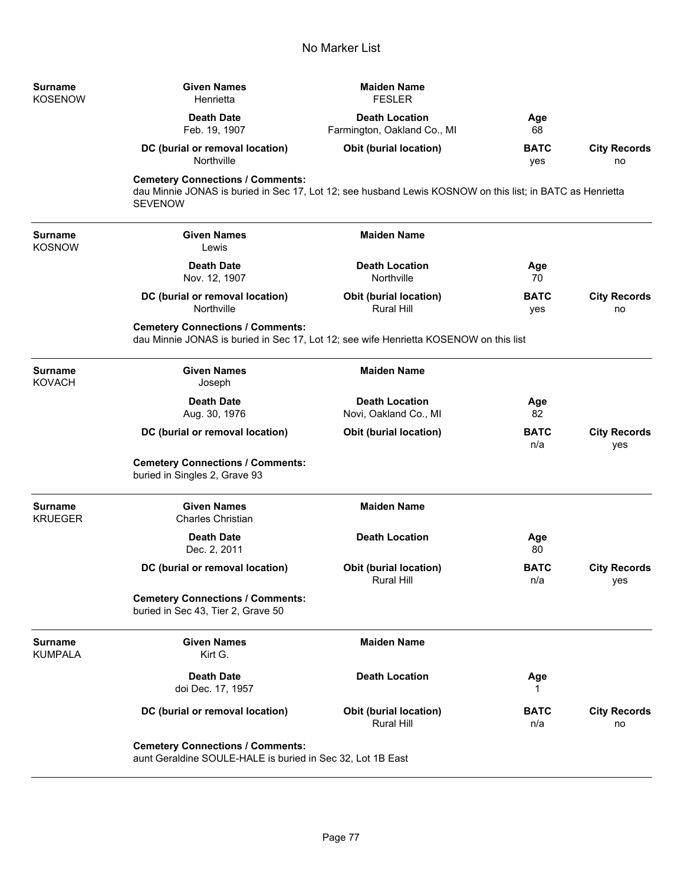| <b>Surname</b><br><b>KOSENOW</b> | <b>Given Names</b><br>Henrietta                                                                                                                                        | <b>Maiden Name</b><br><b>FESLER</b>                  |                    |                            |
|----------------------------------|------------------------------------------------------------------------------------------------------------------------------------------------------------------------|------------------------------------------------------|--------------------|----------------------------|
|                                  | <b>Death Date</b><br>Feb. 19, 1907                                                                                                                                     | <b>Death Location</b><br>Farmington, Oakland Co., MI | Age<br>68          |                            |
|                                  | DC (burial or removal location)<br>Northville                                                                                                                          | <b>Obit (burial location)</b>                        | <b>BATC</b><br>yes | <b>City Records</b><br>no  |
|                                  | <b>Cemetery Connections / Comments:</b><br>dau Minnie JONAS is buried in Sec 17, Lot 12; see husband Lewis KOSNOW on this list; in BATC as Henrietta<br><b>SEVENOW</b> |                                                      |                    |                            |
| <b>Surname</b><br><b>KOSNOW</b>  | <b>Given Names</b><br>Lewis                                                                                                                                            | <b>Maiden Name</b>                                   |                    |                            |
|                                  | <b>Death Date</b><br>Nov. 12, 1907                                                                                                                                     | <b>Death Location</b><br>Northville                  | Age<br>70          |                            |
|                                  | DC (burial or removal location)<br>Northville                                                                                                                          | <b>Obit (burial location)</b><br><b>Rural Hill</b>   | <b>BATC</b><br>yes | <b>City Records</b><br>no  |
|                                  | <b>Cemetery Connections / Comments:</b><br>dau Minnie JONAS is buried in Sec 17, Lot 12; see wife Henrietta KOSENOW on this list                                       |                                                      |                    |                            |
| <b>Surname</b><br><b>KOVACH</b>  | <b>Given Names</b><br>Joseph                                                                                                                                           | <b>Maiden Name</b>                                   |                    |                            |
|                                  | <b>Death Date</b><br>Aug. 30, 1976                                                                                                                                     | <b>Death Location</b><br>Novi, Oakland Co., MI       | Age<br>82          |                            |
|                                  | DC (burial or removal location)                                                                                                                                        | <b>Obit (burial location)</b>                        | <b>BATC</b><br>n/a | <b>City Records</b><br>yes |
|                                  | <b>Cemetery Connections / Comments:</b><br>buried in Singles 2, Grave 93                                                                                               |                                                      |                    |                            |
| <b>Surname</b><br><b>KRUEGER</b> | <b>Given Names</b><br><b>Charles Christian</b>                                                                                                                         | <b>Maiden Name</b>                                   |                    |                            |
|                                  | <b>Death Date</b><br>Dec. 2, 2011                                                                                                                                      | <b>Death Location</b>                                | Age<br>80          |                            |
|                                  | DC (burial or removal location)                                                                                                                                        | Obit (burial location)<br>Rural Hill                 | <b>BATC</b><br>n/a | <b>City Records</b><br>yes |
|                                  | <b>Cemetery Connections / Comments:</b><br>buried in Sec 43, Tier 2, Grave 50                                                                                          |                                                      |                    |                            |
| <b>Surname</b><br><b>KUMPALA</b> | <b>Given Names</b><br>Kirt G.                                                                                                                                          | <b>Maiden Name</b>                                   |                    |                            |
|                                  | <b>Death Date</b><br>doi Dec. 17, 1957                                                                                                                                 | <b>Death Location</b>                                | Age<br>1           |                            |
|                                  | DC (burial or removal location)                                                                                                                                        | <b>Obit (burial location)</b><br>Rural Hill          | <b>BATC</b><br>n/a | <b>City Records</b><br>no  |
|                                  | <b>Cemetery Connections / Comments:</b><br>aunt Geraldine SOULE-HALE is buried in Sec 32, Lot 1B East                                                                  |                                                      |                    |                            |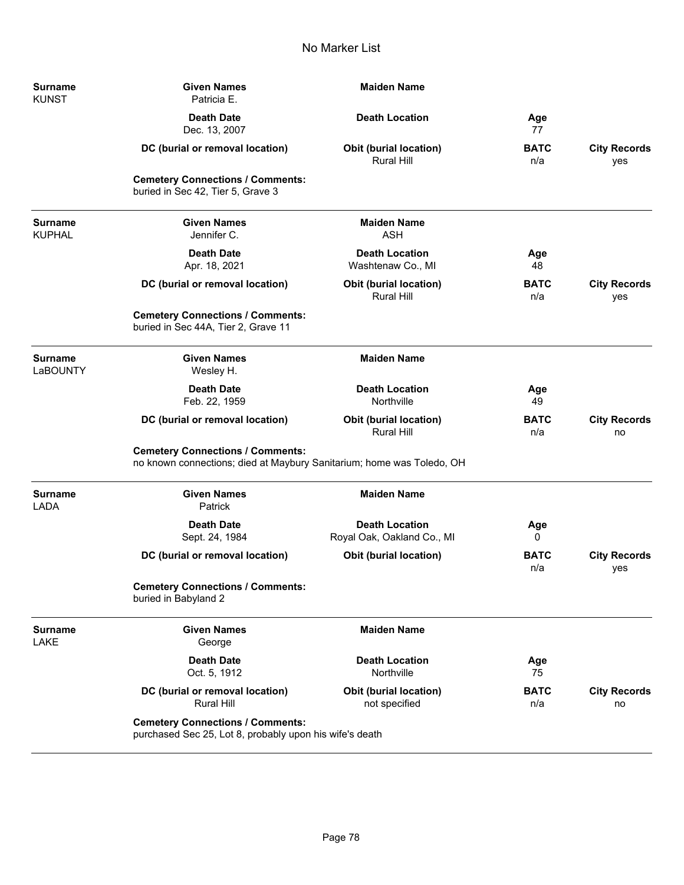| <b>Surname</b><br><b>KUNST</b>    | <b>Given Names</b><br>Patricia E.                                                                                | <b>Maiden Name</b>                                  |                    |                            |
|-----------------------------------|------------------------------------------------------------------------------------------------------------------|-----------------------------------------------------|--------------------|----------------------------|
|                                   | <b>Death Date</b><br>Dec. 13, 2007                                                                               | <b>Death Location</b>                               | Age<br>77          |                            |
|                                   | DC (burial or removal location)                                                                                  | <b>Obit (burial location)</b><br><b>Rural Hill</b>  | <b>BATC</b><br>n/a | <b>City Records</b><br>yes |
|                                   | <b>Cemetery Connections / Comments:</b><br>buried in Sec 42, Tier 5, Grave 3                                     |                                                     |                    |                            |
| <b>Surname</b><br><b>KUPHAL</b>   | <b>Given Names</b><br>Jennifer C.                                                                                | <b>Maiden Name</b><br><b>ASH</b>                    |                    |                            |
|                                   | <b>Death Date</b><br>Apr. 18, 2021                                                                               | <b>Death Location</b><br>Washtenaw Co., MI          | Age<br>48          |                            |
|                                   | DC (burial or removal location)                                                                                  | Obit (burial location)<br><b>Rural Hill</b>         | <b>BATC</b><br>n/a | <b>City Records</b><br>yes |
|                                   | <b>Cemetery Connections / Comments:</b><br>buried in Sec 44A, Tier 2, Grave 11                                   |                                                     |                    |                            |
| <b>Surname</b><br><b>LaBOUNTY</b> | <b>Given Names</b><br>Wesley H.                                                                                  | <b>Maiden Name</b>                                  |                    |                            |
|                                   | <b>Death Date</b><br>Feb. 22, 1959                                                                               | <b>Death Location</b><br>Northville                 | Age<br>49          |                            |
|                                   | DC (burial or removal location)                                                                                  | Obit (burial location)<br><b>Rural Hill</b>         | <b>BATC</b><br>n/a | <b>City Records</b><br>no  |
|                                   | <b>Cemetery Connections / Comments:</b><br>no known connections; died at Maybury Sanitarium; home was Toledo, OH |                                                     |                    |                            |
| <b>Surname</b><br><b>LADA</b>     | <b>Given Names</b><br>Patrick                                                                                    | <b>Maiden Name</b>                                  |                    |                            |
|                                   | <b>Death Date</b><br>Sept. 24, 1984                                                                              | <b>Death Location</b><br>Royal Oak, Oakland Co., MI | Age<br>0           |                            |
|                                   | DC (burial or removal location)                                                                                  | Obit (burial location)                              | <b>BATC</b><br>n/a | <b>City Records</b><br>yes |
|                                   | <b>Cemetery Connections / Comments:</b><br>buried in Babyland 2                                                  |                                                     |                    |                            |
| <b>Surname</b><br>LAKE            | <b>Given Names</b><br>George                                                                                     | <b>Maiden Name</b>                                  |                    |                            |
|                                   | <b>Death Date</b><br>Oct. 5, 1912                                                                                | <b>Death Location</b><br>Northville                 | Age<br>75          |                            |
|                                   | DC (burial or removal location)<br><b>Rural Hill</b>                                                             | <b>Obit (burial location)</b><br>not specified      | <b>BATC</b><br>n/a | <b>City Records</b><br>no  |
|                                   | <b>Cemetery Connections / Comments:</b><br>purchased Sec 25, Lot 8, probably upon his wife's death               |                                                     |                    |                            |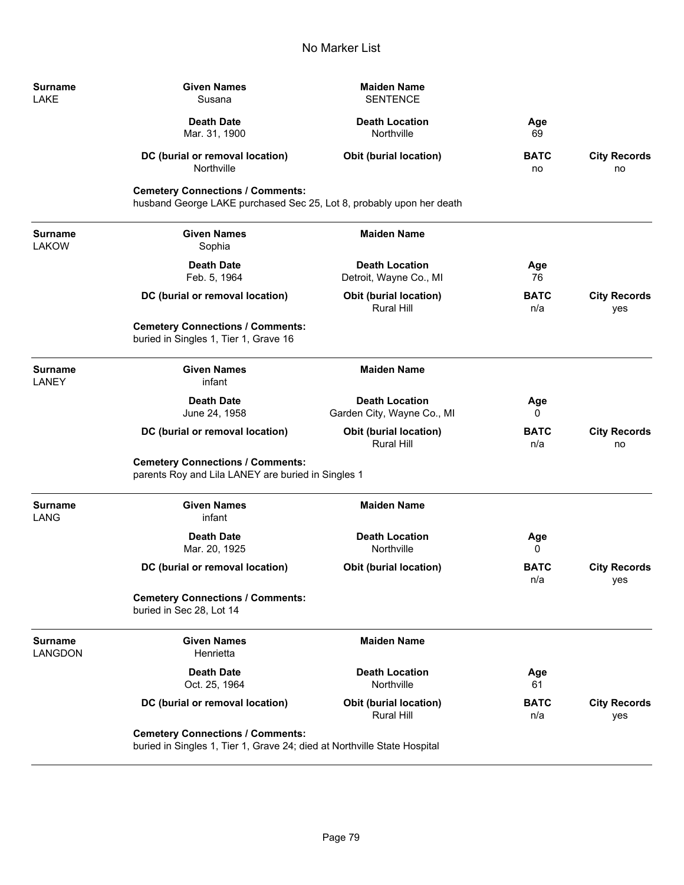| Surname<br>LAKE         | <b>Given Names</b><br>Susana                                                                                        | <b>Maiden Name</b><br><b>SENTENCE</b>               |                    |                            |
|-------------------------|---------------------------------------------------------------------------------------------------------------------|-----------------------------------------------------|--------------------|----------------------------|
|                         | <b>Death Date</b><br>Mar. 31, 1900                                                                                  | <b>Death Location</b><br>Northville                 | Age<br>69          |                            |
|                         | DC (burial or removal location)<br>Northville                                                                       | Obit (burial location)                              | <b>BATC</b><br>no  | <b>City Records</b><br>no  |
|                         | <b>Cemetery Connections / Comments:</b><br>husband George LAKE purchased Sec 25, Lot 8, probably upon her death     |                                                     |                    |                            |
| Surname<br>LAKOW        | <b>Given Names</b><br>Sophia                                                                                        | <b>Maiden Name</b>                                  |                    |                            |
|                         | <b>Death Date</b><br>Feb. 5, 1964                                                                                   | <b>Death Location</b><br>Detroit, Wayne Co., MI     | Age<br>76          |                            |
|                         | DC (burial or removal location)                                                                                     | Obit (burial location)<br><b>Rural Hill</b>         | <b>BATC</b><br>n/a | <b>City Records</b><br>yes |
|                         | <b>Cemetery Connections / Comments:</b><br>buried in Singles 1, Tier 1, Grave 16                                    |                                                     |                    |                            |
| <b>Surname</b><br>LANEY | <b>Given Names</b><br>infant                                                                                        | <b>Maiden Name</b>                                  |                    |                            |
|                         | <b>Death Date</b><br>June 24, 1958                                                                                  | <b>Death Location</b><br>Garden City, Wayne Co., MI | Age<br>0           |                            |
|                         | DC (burial or removal location)                                                                                     | Obit (burial location)<br><b>Rural Hill</b>         | <b>BATC</b><br>n/a | <b>City Records</b><br>no  |
|                         | <b>Cemetery Connections / Comments:</b><br>parents Roy and Lila LANEY are buried in Singles 1                       |                                                     |                    |                            |
| Surname<br>LANG         | <b>Given Names</b><br>infant                                                                                        | <b>Maiden Name</b>                                  |                    |                            |
|                         | <b>Death Date</b><br>Mar. 20, 1925                                                                                  | <b>Death Location</b><br>Northville                 | Age<br>0           |                            |
|                         | DC (burial or removal location)                                                                                     | Obit (burial location)                              | <b>BATC</b><br>n/a | <b>City Records</b><br>yes |
|                         | <b>Cemetery Connections / Comments:</b><br>buried in Sec 28, Lot 14                                                 |                                                     |                    |                            |
| Surname<br>LANGDON      | <b>Given Names</b><br>Henrietta                                                                                     | <b>Maiden Name</b>                                  |                    |                            |
|                         | <b>Death Date</b><br>Oct. 25, 1964                                                                                  | <b>Death Location</b><br>Northville                 | Age<br>61          |                            |
|                         | DC (burial or removal location)                                                                                     | <b>Obit (burial location)</b><br>Rural Hill         | <b>BATC</b><br>n/a | <b>City Records</b><br>yes |
|                         | <b>Cemetery Connections / Comments:</b><br>buried in Singles 1, Tier 1, Grave 24; died at Northville State Hospital |                                                     |                    |                            |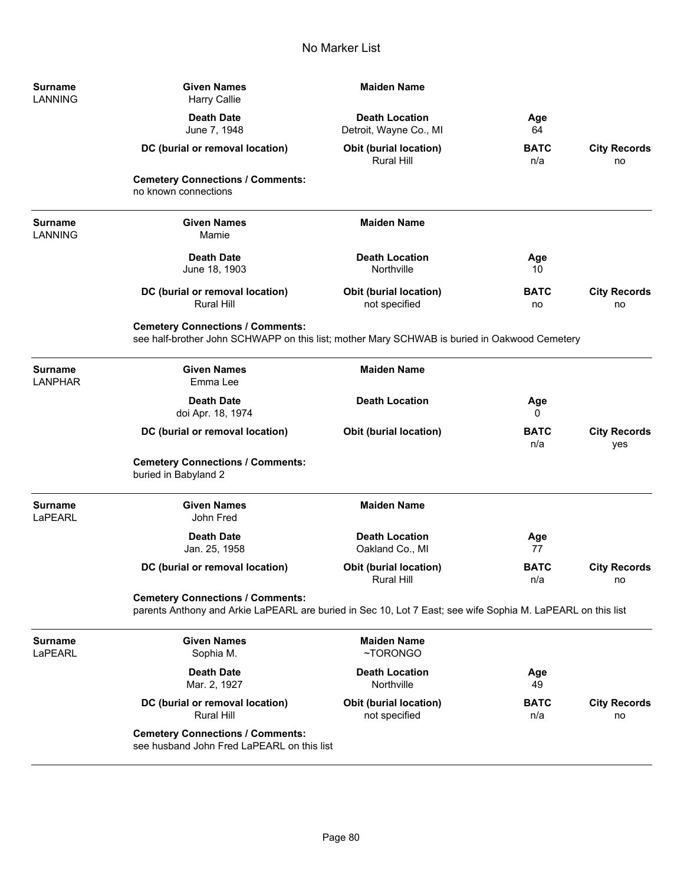| Surname<br><b>LANNING</b>        | <b>Given Names</b><br><b>Harry Callie</b>                                                                                                              | <b>Maiden Name</b>                              |                    |                            |
|----------------------------------|--------------------------------------------------------------------------------------------------------------------------------------------------------|-------------------------------------------------|--------------------|----------------------------|
|                                  | <b>Death Date</b><br>June 7, 1948                                                                                                                      | <b>Death Location</b><br>Detroit, Wayne Co., MI | Age<br>64          |                            |
|                                  | DC (burial or removal location)                                                                                                                        | <b>Obit (burial location)</b><br>Rural Hill     | <b>BATC</b><br>n/a | <b>City Records</b><br>no  |
|                                  | <b>Cemetery Connections / Comments:</b><br>no known connections                                                                                        |                                                 |                    |                            |
| <b>Surname</b><br><b>LANNING</b> | <b>Given Names</b><br>Mamie                                                                                                                            | <b>Maiden Name</b>                              |                    |                            |
|                                  | <b>Death Date</b><br>June 18, 1903                                                                                                                     | <b>Death Location</b><br>Northville             | Age<br>10          |                            |
|                                  | DC (burial or removal location)<br><b>Rural Hill</b>                                                                                                   | Obit (burial location)<br>not specified         | <b>BATC</b><br>no  | <b>City Records</b><br>no  |
|                                  | <b>Cemetery Connections / Comments:</b><br>see half-brother John SCHWAPP on this list; mother Mary SCHWAB is buried in Oakwood Cemetery                |                                                 |                    |                            |
| <b>Surname</b><br><b>LANPHAR</b> | <b>Given Names</b><br>Emma Lee                                                                                                                         | <b>Maiden Name</b>                              |                    |                            |
|                                  | <b>Death Date</b><br>doi Apr. 18, 1974                                                                                                                 | <b>Death Location</b>                           | Age<br>0           |                            |
|                                  | DC (burial or removal location)                                                                                                                        | <b>Obit (burial location)</b>                   | <b>BATC</b><br>n/a | <b>City Records</b><br>yes |
|                                  | <b>Cemetery Connections / Comments:</b><br>buried in Babyland 2                                                                                        |                                                 |                    |                            |
| <b>Surname</b><br>LaPEARL        | <b>Given Names</b><br>John Fred                                                                                                                        | <b>Maiden Name</b>                              |                    |                            |
|                                  | <b>Death Date</b><br>Jan. 25, 1958                                                                                                                     | <b>Death Location</b><br>Oakland Co., MI        | Age<br>77          |                            |
|                                  | DC (burial or removal location)                                                                                                                        | <b>Obit (burial location)</b><br>Rural Hill     | <b>BATC</b><br>n/a | <b>City Records</b><br>no  |
|                                  | <b>Cemetery Connections / Comments:</b><br>parents Anthony and Arkie LaPEARL are buried in Sec 10, Lot 7 East; see wife Sophia M. LaPEARL on this list |                                                 |                    |                            |
| <b>Surname</b><br>LaPEARL        | <b>Given Names</b><br>Sophia M.                                                                                                                        | <b>Maiden Name</b><br>~TORONGO                  |                    |                            |
|                                  | <b>Death Date</b><br>Mar. 2, 1927                                                                                                                      | <b>Death Location</b><br>Northville             | Age<br>49          |                            |
|                                  | DC (burial or removal location)<br><b>Rural Hill</b>                                                                                                   | <b>Obit (burial location)</b><br>not specified  | <b>BATC</b><br>n/a | <b>City Records</b><br>no  |
|                                  | <b>Cemetery Connections / Comments:</b><br>see husband John Fred LaPEARL on this list                                                                  |                                                 |                    |                            |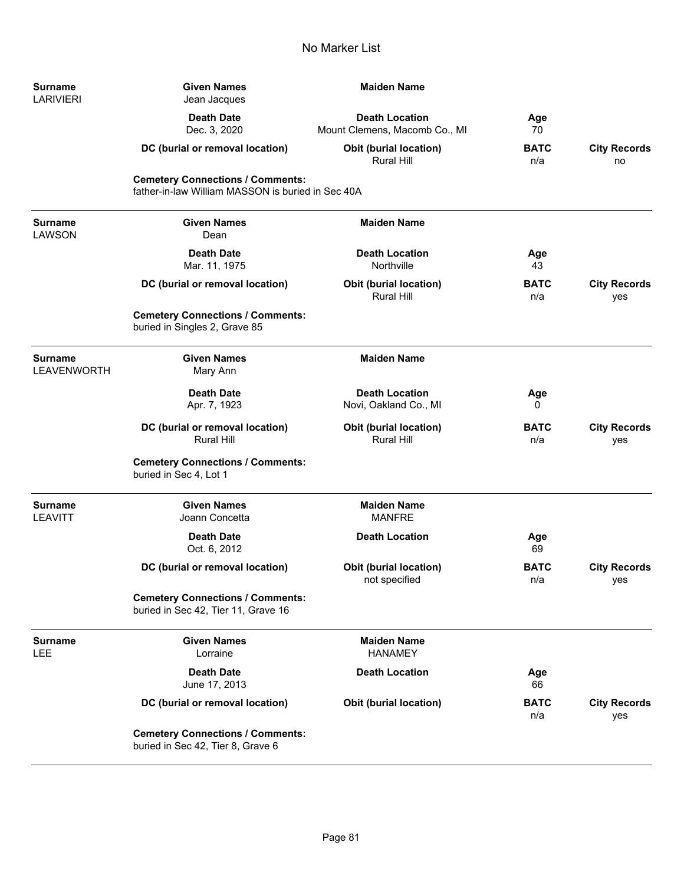| Surname<br>LARIVIERI   | <b>Given Names</b><br>Jean Jacques                                                           | <b>Maiden Name</b>                                     |                    |                            |
|------------------------|----------------------------------------------------------------------------------------------|--------------------------------------------------------|--------------------|----------------------------|
|                        | <b>Death Date</b><br>Dec. 3, 2020                                                            | <b>Death Location</b><br>Mount Clemens, Macomb Co., MI | Age<br>70          |                            |
|                        | DC (burial or removal location)                                                              | Obit (burial location)<br><b>Rural Hill</b>            | <b>BATC</b><br>n/a | <b>City Records</b><br>no  |
|                        | <b>Cemetery Connections / Comments:</b><br>father-in-law William MASSON is buried in Sec 40A |                                                        |                    |                            |
| Surname<br>LAWSON      | <b>Given Names</b><br>Dean                                                                   | <b>Maiden Name</b>                                     |                    |                            |
|                        | <b>Death Date</b><br>Mar. 11, 1975                                                           | <b>Death Location</b><br>Northville                    | Age<br>43          |                            |
|                        | DC (burial or removal location)                                                              | <b>Obit (burial location)</b><br><b>Rural Hill</b>     | <b>BATC</b><br>n/a | <b>City Records</b><br>yes |
|                        | <b>Cemetery Connections / Comments:</b><br>buried in Singles 2, Grave 85                     |                                                        |                    |                            |
| Surname<br>LEAVENWORTH | <b>Given Names</b><br>Mary Ann                                                               | <b>Maiden Name</b>                                     |                    |                            |
|                        | <b>Death Date</b><br>Apr. 7, 1923                                                            | <b>Death Location</b><br>Novi, Oakland Co., MI         | Age<br>0           |                            |
|                        | DC (burial or removal location)<br><b>Rural Hill</b>                                         | <b>Obit (burial location)</b><br>Rural Hill            | <b>BATC</b><br>n/a | <b>City Records</b><br>yes |
|                        | <b>Cemetery Connections / Comments:</b><br>buried in Sec 4, Lot 1                            |                                                        |                    |                            |
| Surname<br>LEAVITT     | <b>Given Names</b><br>Joann Concetta                                                         | <b>Maiden Name</b><br><b>MANFRE</b>                    |                    |                            |
|                        | <b>Death Date</b><br>Oct. 6, 2012                                                            | <b>Death Location</b>                                  | Age<br>69          |                            |
|                        | DC (burial or removal location)                                                              | <b>Obit (burial location)</b><br>not specified         | <b>BATC</b><br>n/a | <b>City Records</b><br>yes |
|                        | <b>Cemetery Connections / Comments:</b><br>buried in Sec 42, Tier 11, Grave 16               |                                                        |                    |                            |
| Surname<br>LEE         | <b>Given Names</b><br>Lorraine                                                               | <b>Maiden Name</b><br><b>HANAMEY</b>                   |                    |                            |
|                        | <b>Death Date</b><br>June 17, 2013                                                           | <b>Death Location</b>                                  | Age<br>66          |                            |
|                        | DC (burial or removal location)                                                              | <b>Obit (burial location)</b>                          | <b>BATC</b><br>n/a | <b>City Records</b><br>yes |
|                        | <b>Cemetery Connections / Comments:</b><br>buried in Sec 42, Tier 8, Grave 6                 |                                                        |                    |                            |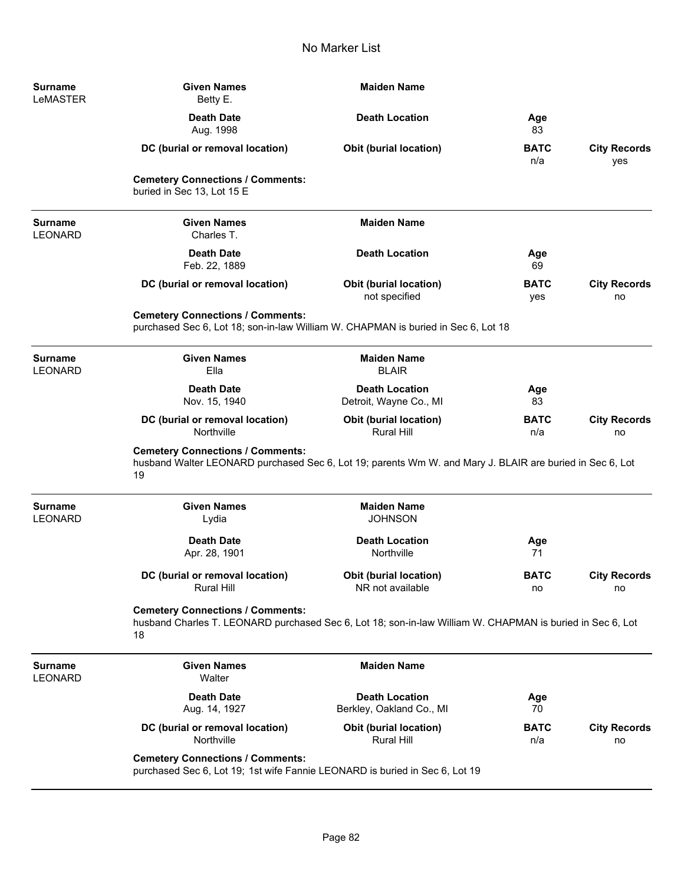| <b>Surname</b><br>LeMASTER       | <b>Given Names</b><br>Betty E.                                                                                                                             | <b>Maiden Name</b>                                 |                    |                            |
|----------------------------------|------------------------------------------------------------------------------------------------------------------------------------------------------------|----------------------------------------------------|--------------------|----------------------------|
|                                  | <b>Death Date</b><br>Aug. 1998                                                                                                                             | <b>Death Location</b>                              | Age<br>83          |                            |
|                                  | DC (burial or removal location)                                                                                                                            | <b>Obit (burial location)</b>                      | <b>BATC</b><br>n/a | <b>City Records</b><br>yes |
|                                  | <b>Cemetery Connections / Comments:</b><br>buried in Sec 13, Lot 15 E                                                                                      |                                                    |                    |                            |
| <b>Surname</b><br><b>LEONARD</b> | <b>Given Names</b><br>Charles T.                                                                                                                           | <b>Maiden Name</b>                                 |                    |                            |
|                                  | <b>Death Date</b><br>Feb. 22, 1889                                                                                                                         | <b>Death Location</b>                              | Age<br>69          |                            |
|                                  | DC (burial or removal location)                                                                                                                            | <b>Obit (burial location)</b><br>not specified     | <b>BATC</b><br>yes | <b>City Records</b><br>no  |
|                                  | <b>Cemetery Connections / Comments:</b><br>purchased Sec 6, Lot 18; son-in-law William W. CHAPMAN is buried in Sec 6, Lot 18                               |                                                    |                    |                            |
| <b>Surname</b><br><b>LEONARD</b> | <b>Given Names</b><br>Ella                                                                                                                                 | <b>Maiden Name</b><br><b>BLAIR</b>                 |                    |                            |
|                                  | <b>Death Date</b><br>Nov. 15, 1940                                                                                                                         | <b>Death Location</b><br>Detroit, Wayne Co., MI    | Age<br>83          |                            |
|                                  | DC (burial or removal location)<br>Northville                                                                                                              | <b>Obit (burial location)</b><br><b>Rural Hill</b> | <b>BATC</b><br>n/a | <b>City Records</b><br>no  |
|                                  | <b>Cemetery Connections / Comments:</b><br>husband Walter LEONARD purchased Sec 6, Lot 19; parents Wm W. and Mary J. BLAIR are buried in Sec 6, Lot<br>19  |                                                    |                    |                            |
| <b>Surname</b><br><b>LEONARD</b> | <b>Given Names</b><br>Lydia                                                                                                                                | <b>Maiden Name</b><br><b>JOHNSON</b>               |                    |                            |
|                                  | <b>Death Date</b><br>Apr. 28, 1901                                                                                                                         | <b>Death Location</b><br>Northville                | Age<br>71          |                            |
|                                  | DC (burial or removal location)<br><b>Rural Hill</b>                                                                                                       | Obit (burial location)<br>NR not available         | <b>BATC</b><br>no  | <b>City Records</b><br>no  |
|                                  | <b>Cemetery Connections / Comments:</b><br>husband Charles T. LEONARD purchased Sec 6, Lot 18; son-in-law William W. CHAPMAN is buried in Sec 6, Lot<br>18 |                                                    |                    |                            |
| <b>Surname</b><br><b>LEONARD</b> | <b>Given Names</b><br>Walter                                                                                                                               | <b>Maiden Name</b>                                 |                    |                            |
|                                  | <b>Death Date</b><br>Aug. 14, 1927                                                                                                                         | <b>Death Location</b><br>Berkley, Oakland Co., MI  | Age<br>70          |                            |
|                                  | DC (burial or removal location)<br>Northville                                                                                                              | Obit (burial location)<br>Rural Hill               | <b>BATC</b><br>n/a | <b>City Records</b><br>no  |
|                                  | <b>Cemetery Connections / Comments:</b><br>purchased Sec 6, Lot 19; 1st wife Fannie LEONARD is buried in Sec 6, Lot 19                                     |                                                    |                    |                            |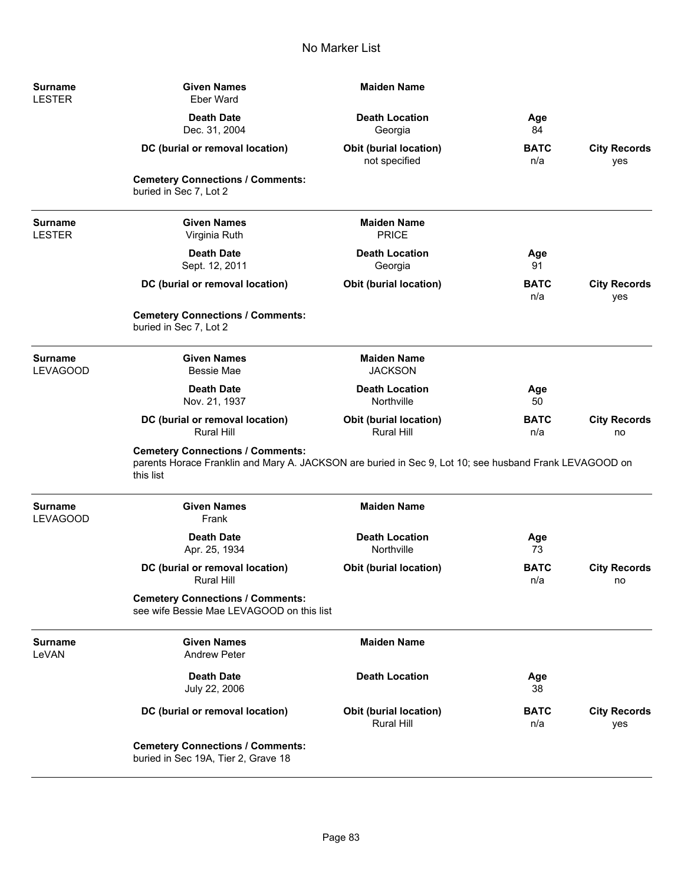| Surname<br><b>LESTER</b>          | <b>Given Names</b><br><b>Eber Ward</b>                                                                                                                         | <b>Maiden Name</b>                             |                    |                            |
|-----------------------------------|----------------------------------------------------------------------------------------------------------------------------------------------------------------|------------------------------------------------|--------------------|----------------------------|
|                                   | <b>Death Date</b><br>Dec. 31, 2004                                                                                                                             | <b>Death Location</b><br>Georgia               | Age<br>84          |                            |
|                                   | DC (burial or removal location)                                                                                                                                | <b>Obit (burial location)</b><br>not specified | <b>BATC</b><br>n/a | <b>City Records</b><br>yes |
|                                   | <b>Cemetery Connections / Comments:</b><br>buried in Sec 7, Lot 2                                                                                              |                                                |                    |                            |
| Surname<br><b>LESTER</b>          | <b>Given Names</b><br>Virginia Ruth                                                                                                                            | <b>Maiden Name</b><br><b>PRICE</b>             |                    |                            |
|                                   | <b>Death Date</b><br>Sept. 12, 2011                                                                                                                            | <b>Death Location</b><br>Georgia               | Age<br>91          |                            |
|                                   | DC (burial or removal location)                                                                                                                                | Obit (burial location)                         | <b>BATC</b><br>n/a | <b>City Records</b><br>yes |
|                                   | <b>Cemetery Connections / Comments:</b><br>buried in Sec 7, Lot 2                                                                                              |                                                |                    |                            |
| Surname<br><b>LEVAGOOD</b>        | <b>Given Names</b><br><b>Bessie Mae</b>                                                                                                                        | <b>Maiden Name</b><br><b>JACKSON</b>           |                    |                            |
|                                   | <b>Death Date</b><br>Nov. 21, 1937                                                                                                                             | <b>Death Location</b><br>Northville            | Age<br>50          |                            |
|                                   | DC (burial or removal location)<br><b>Rural Hill</b>                                                                                                           | Obit (burial location)<br><b>Rural Hill</b>    | <b>BATC</b><br>n/a | <b>City Records</b><br>no  |
|                                   | <b>Cemetery Connections / Comments:</b><br>parents Horace Franklin and Mary A. JACKSON are buried in Sec 9, Lot 10; see husband Frank LEVAGOOD on<br>this list |                                                |                    |                            |
| <b>Surname</b><br><b>LEVAGOOD</b> | <b>Given Names</b><br>Frank                                                                                                                                    | <b>Maiden Name</b>                             |                    |                            |
|                                   | <b>Death Date</b><br>Apr. 25, 1934                                                                                                                             | <b>Death Location</b><br>Northville            | Age<br>73          |                            |
|                                   | DC (burial or removal location)<br><b>Rural Hill</b>                                                                                                           | Obit (burial location)                         | <b>BATC</b><br>n/a | <b>City Records</b><br>no  |
|                                   | <b>Cemetery Connections / Comments:</b><br>see wife Bessie Mae LEVAGOOD on this list                                                                           |                                                |                    |                            |
| <b>Surname</b><br>LeVAN           | <b>Given Names</b><br><b>Andrew Peter</b>                                                                                                                      | <b>Maiden Name</b>                             |                    |                            |
|                                   | <b>Death Date</b><br>July 22, 2006                                                                                                                             | <b>Death Location</b>                          | Age<br>38          |                            |
|                                   | DC (burial or removal location)                                                                                                                                | Obit (burial location)<br><b>Rural Hill</b>    | <b>BATC</b><br>n/a | <b>City Records</b><br>yes |
|                                   | <b>Cemetery Connections / Comments:</b><br>buried in Sec 19A, Tier 2, Grave 18                                                                                 |                                                |                    |                            |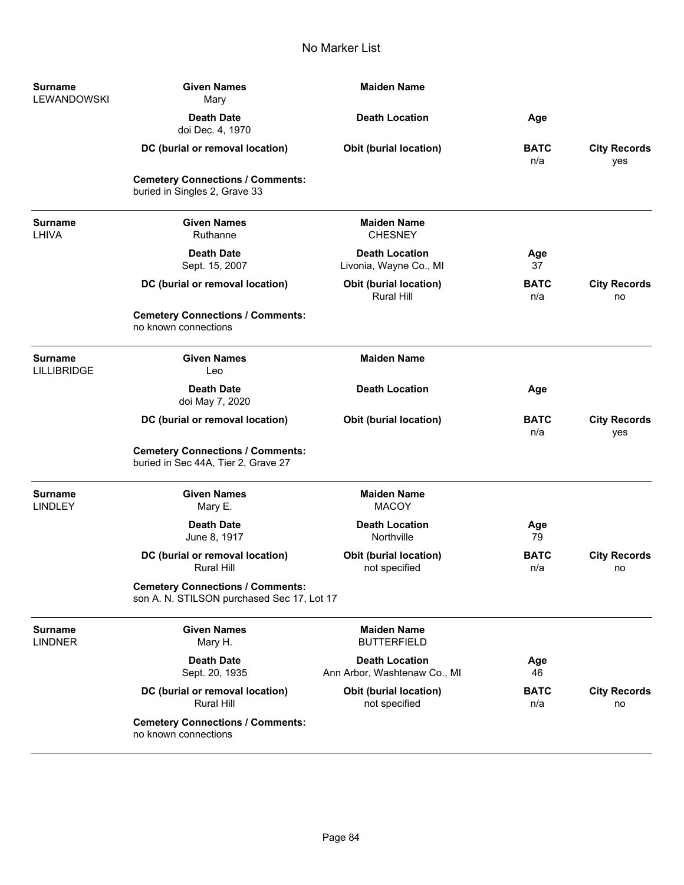| Surname<br>LEWANDOWSKI               | <b>Given Names</b><br>Mary                                                            | <b>Maiden Name</b>                                    |                    |                            |
|--------------------------------------|---------------------------------------------------------------------------------------|-------------------------------------------------------|--------------------|----------------------------|
|                                      | <b>Death Date</b><br>doi Dec. 4, 1970                                                 | <b>Death Location</b>                                 | Age                |                            |
|                                      | DC (burial or removal location)                                                       | <b>Obit (burial location)</b>                         | <b>BATC</b><br>n/a | <b>City Records</b><br>yes |
|                                      | <b>Cemetery Connections / Comments:</b><br>buried in Singles 2, Grave 33              |                                                       |                    |                            |
| Surname<br>LHIVA                     | <b>Given Names</b><br>Ruthanne                                                        | <b>Maiden Name</b><br><b>CHESNEY</b>                  |                    |                            |
|                                      | <b>Death Date</b><br>Sept. 15, 2007                                                   | <b>Death Location</b><br>Livonia, Wayne Co., MI       | Age<br>37          |                            |
|                                      | DC (burial or removal location)                                                       | <b>Obit (burial location)</b><br><b>Rural Hill</b>    | <b>BATC</b><br>n/a | <b>City Records</b><br>no  |
|                                      | <b>Cemetery Connections / Comments:</b><br>no known connections                       |                                                       |                    |                            |
| <b>Surname</b><br><b>LILLIBRIDGE</b> | <b>Given Names</b><br>Leo                                                             | <b>Maiden Name</b>                                    |                    |                            |
|                                      | <b>Death Date</b><br>doi May 7, 2020                                                  | <b>Death Location</b>                                 | Age                |                            |
|                                      | DC (burial or removal location)                                                       | <b>Obit (burial location)</b>                         | <b>BATC</b><br>n/a | <b>City Records</b><br>yes |
|                                      | <b>Cemetery Connections / Comments:</b><br>buried in Sec 44A, Tier 2, Grave 27        |                                                       |                    |                            |
| <b>Surname</b><br><b>LINDLEY</b>     | <b>Given Names</b><br>Mary E.                                                         | <b>Maiden Name</b><br><b>MACOY</b>                    |                    |                            |
|                                      | <b>Death Date</b><br>June 8, 1917                                                     | <b>Death Location</b><br>Northville                   | Age<br>79          |                            |
|                                      | DC (burial or removal location)<br><b>Rural Hill</b>                                  | <b>Obit (burial location)</b><br>not specified        | <b>BATC</b><br>n/a | <b>City Records</b><br>no  |
|                                      | <b>Cemetery Connections / Comments:</b><br>son A. N. STILSON purchased Sec 17, Lot 17 |                                                       |                    |                            |
| <b>Surname</b><br><b>LINDNER</b>     | <b>Given Names</b><br>Mary H.                                                         | <b>Maiden Name</b><br><b>BUTTERFIELD</b>              |                    |                            |
|                                      | <b>Death Date</b><br>Sept. 20, 1935                                                   | <b>Death Location</b><br>Ann Arbor, Washtenaw Co., MI | Age<br>46          |                            |
|                                      | DC (burial or removal location)<br><b>Rural Hill</b>                                  | <b>Obit (burial location)</b><br>not specified        | <b>BATC</b><br>n/a | <b>City Records</b><br>no  |
|                                      | <b>Cemetery Connections / Comments:</b><br>no known connections                       |                                                       |                    |                            |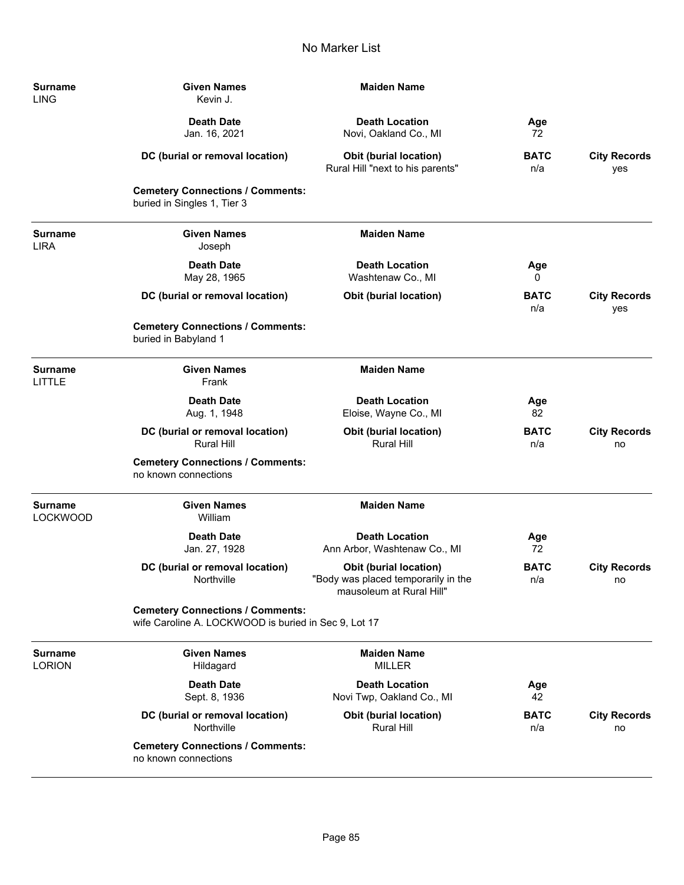| Surname<br>LING        | <b>Given Names</b><br>Kevin J.                                                                  | <b>Maiden Name</b>                                                                               |                    |                            |
|------------------------|-------------------------------------------------------------------------------------------------|--------------------------------------------------------------------------------------------------|--------------------|----------------------------|
|                        | <b>Death Date</b><br>Jan. 16, 2021                                                              | <b>Death Location</b><br>Novi, Oakland Co., MI                                                   | Age<br>72          |                            |
|                        | DC (burial or removal location)                                                                 | <b>Obit (burial location)</b><br>Rural Hill "next to his parents"                                | <b>BATC</b><br>n/a | <b>City Records</b><br>yes |
|                        | <b>Cemetery Connections / Comments:</b><br>buried in Singles 1, Tier 3                          |                                                                                                  |                    |                            |
| <b>Surname</b><br>LIRA | <b>Given Names</b><br>Joseph                                                                    | <b>Maiden Name</b>                                                                               |                    |                            |
|                        | <b>Death Date</b><br>May 28, 1965                                                               | <b>Death Location</b><br>Washtenaw Co., MI                                                       | Age<br>0           |                            |
|                        | DC (burial or removal location)                                                                 | <b>Obit (burial location)</b>                                                                    | <b>BATC</b><br>n/a | <b>City Records</b><br>yes |
|                        | <b>Cemetery Connections / Comments:</b><br>buried in Babyland 1                                 |                                                                                                  |                    |                            |
| Surname<br>LITTLE      | <b>Given Names</b><br>Frank                                                                     | <b>Maiden Name</b>                                                                               |                    |                            |
|                        | <b>Death Date</b><br>Aug. 1, 1948                                                               | <b>Death Location</b><br>Eloise, Wayne Co., MI                                                   | Age<br>82          |                            |
|                        | DC (burial or removal location)<br><b>Rural Hill</b>                                            | <b>Obit (burial location)</b><br>Rural Hill                                                      | <b>BATC</b><br>n/a | <b>City Records</b><br>no  |
|                        | <b>Cemetery Connections / Comments:</b><br>no known connections                                 |                                                                                                  |                    |                            |
| Surname<br>LOCKWOOD    | <b>Given Names</b><br>William                                                                   | <b>Maiden Name</b>                                                                               |                    |                            |
|                        | <b>Death Date</b><br>Jan. 27, 1928                                                              | <b>Death Location</b><br>Ann Arbor, Washtenaw Co., MI                                            | Age<br>72          |                            |
|                        | DC (burial or removal location)<br>Northville                                                   | <b>Obit (burial location)</b><br>"Body was placed temporarily in the<br>mausoleum at Rural Hill" | <b>BATC</b><br>n/a | <b>City Records</b><br>no  |
|                        | <b>Cemetery Connections / Comments:</b><br>wife Caroline A. LOCKWOOD is buried in Sec 9, Lot 17 |                                                                                                  |                    |                            |
| Surname<br>LORION      | <b>Given Names</b><br>Hildagard                                                                 | <b>Maiden Name</b><br><b>MILLER</b>                                                              |                    |                            |
|                        | <b>Death Date</b><br>Sept. 8, 1936                                                              | <b>Death Location</b><br>Novi Twp, Oakland Co., MI                                               | Age<br>42          |                            |
|                        | DC (burial or removal location)<br>Northville                                                   | <b>Obit (burial location)</b><br>Rural Hill                                                      | <b>BATC</b><br>n/a | <b>City Records</b><br>no  |
|                        | <b>Cemetery Connections / Comments:</b><br>no known connections                                 |                                                                                                  |                    |                            |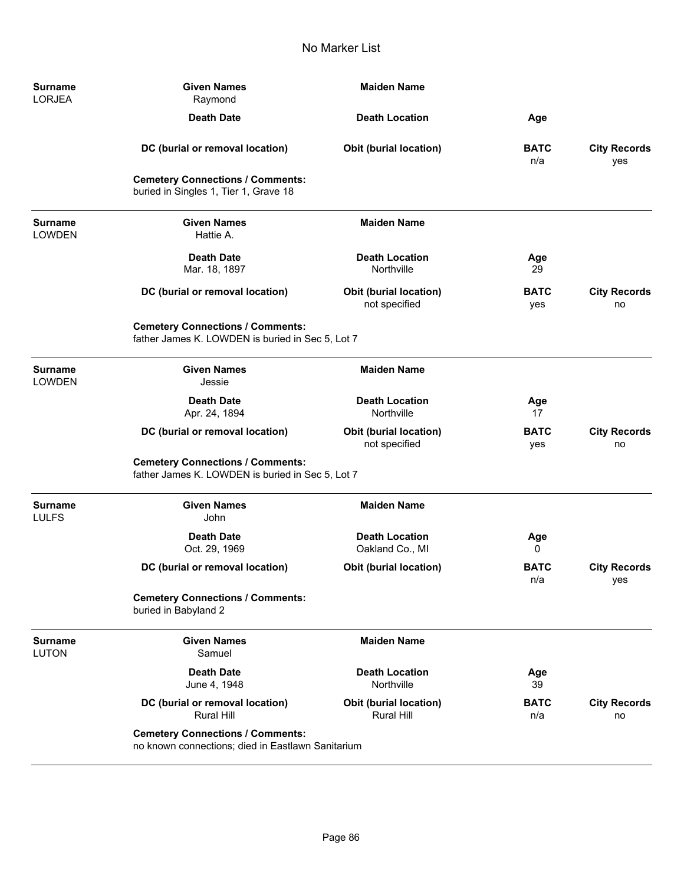| <b>Surname</b><br><b>LORJEA</b> | <b>Given Names</b><br>Raymond                                                                | <b>Maiden Name</b>                                 |                    |                            |
|---------------------------------|----------------------------------------------------------------------------------------------|----------------------------------------------------|--------------------|----------------------------|
|                                 | <b>Death Date</b>                                                                            | <b>Death Location</b>                              | Age                |                            |
|                                 | DC (burial or removal location)                                                              | <b>Obit (burial location)</b>                      | <b>BATC</b><br>n/a | <b>City Records</b><br>yes |
|                                 | <b>Cemetery Connections / Comments:</b><br>buried in Singles 1, Tier 1, Grave 18             |                                                    |                    |                            |
| <b>Surname</b><br><b>LOWDEN</b> | <b>Given Names</b><br>Hattie A.                                                              | <b>Maiden Name</b>                                 |                    |                            |
|                                 | <b>Death Date</b><br>Mar. 18, 1897                                                           | <b>Death Location</b><br>Northville                | Age<br>29          |                            |
|                                 | DC (burial or removal location)                                                              | Obit (burial location)<br>not specified            | <b>BATC</b><br>yes | <b>City Records</b><br>no  |
|                                 | <b>Cemetery Connections / Comments:</b><br>father James K. LOWDEN is buried in Sec 5, Lot 7  |                                                    |                    |                            |
| <b>Surname</b><br><b>LOWDEN</b> | <b>Given Names</b><br>Jessie                                                                 | <b>Maiden Name</b>                                 |                    |                            |
|                                 | <b>Death Date</b><br>Apr. 24, 1894                                                           | <b>Death Location</b><br>Northville                | Age<br>17          |                            |
|                                 | DC (burial or removal location)                                                              | <b>Obit (burial location)</b><br>not specified     | <b>BATC</b><br>yes | <b>City Records</b><br>no  |
|                                 | <b>Cemetery Connections / Comments:</b><br>father James K. LOWDEN is buried in Sec 5, Lot 7  |                                                    |                    |                            |
| <b>Surname</b><br><b>LULFS</b>  | <b>Given Names</b><br>John                                                                   | <b>Maiden Name</b>                                 |                    |                            |
|                                 | <b>Death Date</b><br>Oct. 29, 1969                                                           | <b>Death Location</b><br>Oakland Co., MI           | Age<br>0           |                            |
|                                 | DC (burial or removal location)                                                              | <b>Obit (burial location)</b>                      | <b>BATC</b><br>n/a | <b>City Records</b><br>yes |
|                                 | <b>Cemetery Connections / Comments:</b><br>buried in Babyland 2                              |                                                    |                    |                            |
| <b>Surname</b><br><b>LUTON</b>  | <b>Given Names</b><br>Samuel                                                                 | <b>Maiden Name</b>                                 |                    |                            |
|                                 | <b>Death Date</b><br>June 4, 1948                                                            | <b>Death Location</b><br>Northville                | Age<br>39          |                            |
|                                 | DC (burial or removal location)<br><b>Rural Hill</b>                                         | <b>Obit (burial location)</b><br><b>Rural Hill</b> | <b>BATC</b><br>n/a | <b>City Records</b><br>no  |
|                                 | <b>Cemetery Connections / Comments:</b><br>no known connections; died in Eastlawn Sanitarium |                                                    |                    |                            |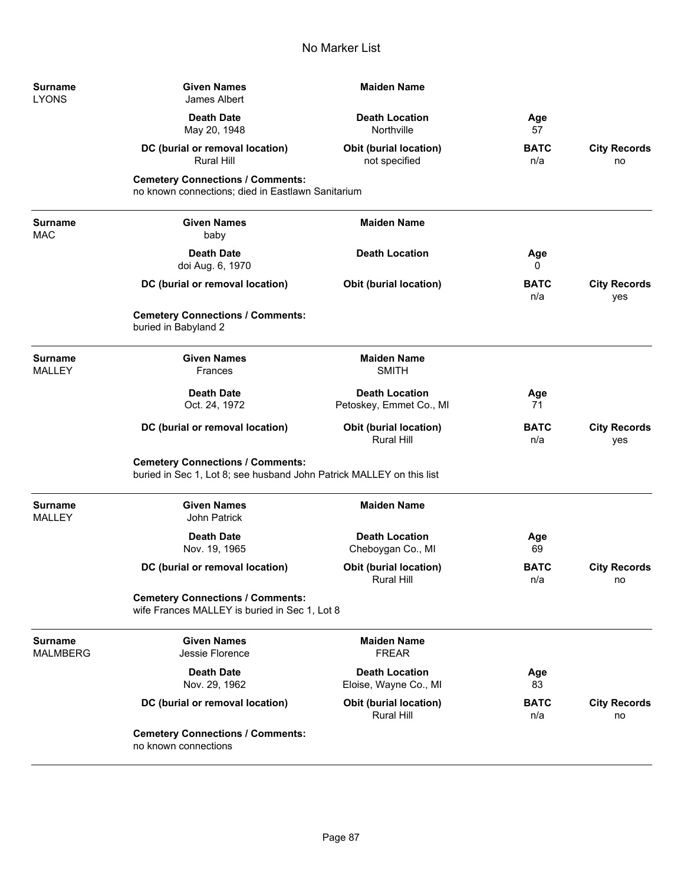| <b>Surname</b><br><b>LYONS</b>    | <b>Given Names</b><br>James Albert                                                                              | <b>Maiden Name</b>                                 |                    |                            |
|-----------------------------------|-----------------------------------------------------------------------------------------------------------------|----------------------------------------------------|--------------------|----------------------------|
|                                   | <b>Death Date</b><br>May 20, 1948                                                                               | <b>Death Location</b><br>Northville                | Age<br>57          |                            |
|                                   | DC (burial or removal location)<br>Rural Hill                                                                   | Obit (burial location)<br>not specified            | <b>BATC</b><br>n/a | <b>City Records</b><br>no  |
|                                   | <b>Cemetery Connections / Comments:</b><br>no known connections; died in Eastlawn Sanitarium                    |                                                    |                    |                            |
| <b>Surname</b><br><b>MAC</b>      | <b>Given Names</b><br>baby                                                                                      | <b>Maiden Name</b>                                 |                    |                            |
|                                   | <b>Death Date</b><br>doi Aug. 6, 1970                                                                           | <b>Death Location</b>                              | Age<br>0           |                            |
|                                   | DC (burial or removal location)                                                                                 | <b>Obit (burial location)</b>                      | <b>BATC</b><br>n/a | <b>City Records</b><br>yes |
|                                   | <b>Cemetery Connections / Comments:</b><br>buried in Babyland 2                                                 |                                                    |                    |                            |
| <b>Surname</b><br><b>MALLEY</b>   | <b>Given Names</b><br><b>Frances</b>                                                                            | <b>Maiden Name</b><br><b>SMITH</b>                 |                    |                            |
|                                   | <b>Death Date</b><br>Oct. 24, 1972                                                                              | <b>Death Location</b><br>Petoskey, Emmet Co., MI   | Age<br>71          |                            |
|                                   | DC (burial or removal location)                                                                                 | <b>Obit (burial location)</b><br><b>Rural Hill</b> | <b>BATC</b><br>n/a | <b>City Records</b><br>yes |
|                                   | <b>Cemetery Connections / Comments:</b><br>buried in Sec 1, Lot 8; see husband John Patrick MALLEY on this list |                                                    |                    |                            |
| <b>Surname</b><br><b>MALLEY</b>   | <b>Given Names</b><br>John Patrick                                                                              | <b>Maiden Name</b>                                 |                    |                            |
|                                   | <b>Death Date</b><br>Nov. 19, 1965                                                                              | <b>Death Location</b><br>Cheboygan Co., MI         | Age<br>69          |                            |
|                                   | DC (burial or removal location)                                                                                 | <b>Obit (burial location)</b><br>Rural Hill        | <b>BATC</b><br>n/a | <b>City Records</b><br>no  |
|                                   | <b>Cemetery Connections / Comments:</b><br>wife Frances MALLEY is buried in Sec 1, Lot 8                        |                                                    |                    |                            |
| <b>Surname</b><br><b>MALMBERG</b> | <b>Given Names</b><br>Jessie Florence                                                                           | <b>Maiden Name</b><br><b>FREAR</b>                 |                    |                            |
|                                   | <b>Death Date</b><br>Nov. 29, 1962                                                                              | <b>Death Location</b><br>Eloise, Wayne Co., MI     | Age<br>83          |                            |
|                                   | DC (burial or removal location)                                                                                 | <b>Obit (burial location)</b><br>Rural Hill        | <b>BATC</b><br>n/a | <b>City Records</b><br>no  |
|                                   | <b>Cemetery Connections / Comments:</b><br>no known connections                                                 |                                                    |                    |                            |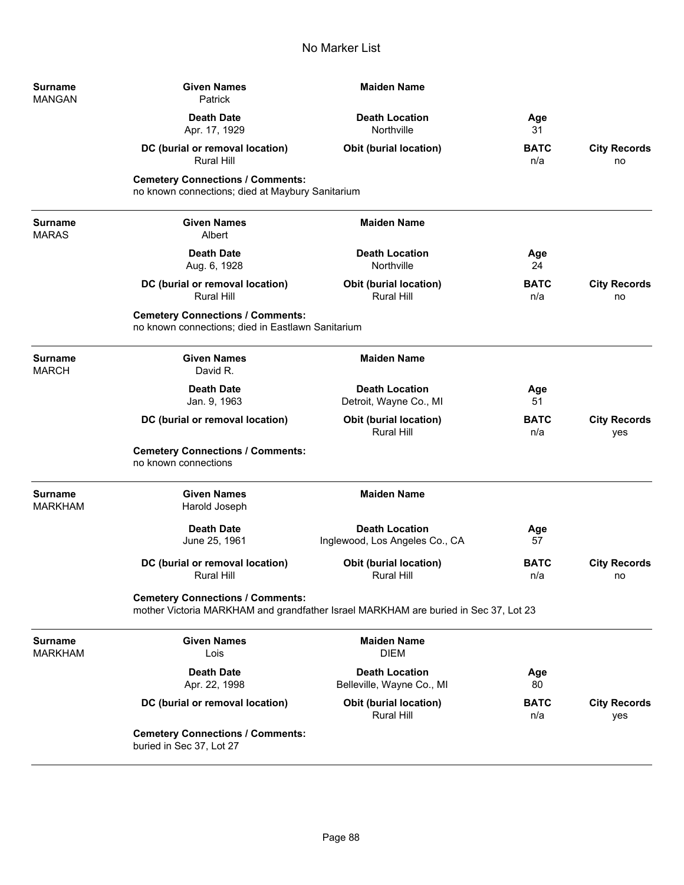| <b>Surname</b><br>MANGAN       | <b>Given Names</b><br>Patrick                                                                | <b>Maiden Name</b>                                                                  |                    |                            |
|--------------------------------|----------------------------------------------------------------------------------------------|-------------------------------------------------------------------------------------|--------------------|----------------------------|
|                                | <b>Death Date</b><br>Apr. 17, 1929                                                           | <b>Death Location</b><br>Northville                                                 | Age<br>31          |                            |
|                                | DC (burial or removal location)<br><b>Rural Hill</b>                                         | <b>Obit (burial location)</b>                                                       | <b>BATC</b><br>n/a | <b>City Records</b><br>no  |
|                                | <b>Cemetery Connections / Comments:</b><br>no known connections; died at Maybury Sanitarium  |                                                                                     |                    |                            |
| <b>Surname</b><br><b>MARAS</b> | <b>Given Names</b><br>Albert                                                                 | <b>Maiden Name</b>                                                                  |                    |                            |
|                                | <b>Death Date</b><br>Aug. 6, 1928                                                            | <b>Death Location</b><br>Northville                                                 | Age<br>24          |                            |
|                                | DC (burial or removal location)<br><b>Rural Hill</b>                                         | <b>Obit (burial location)</b><br><b>Rural Hill</b>                                  | <b>BATC</b><br>n/a | <b>City Records</b><br>no  |
|                                | <b>Cemetery Connections / Comments:</b><br>no known connections; died in Eastlawn Sanitarium |                                                                                     |                    |                            |
| Surname<br>MARCH               | <b>Given Names</b><br>David R.                                                               | <b>Maiden Name</b>                                                                  |                    |                            |
|                                | <b>Death Date</b><br>Jan. 9, 1963                                                            | <b>Death Location</b><br>Detroit, Wayne Co., MI                                     | Age<br>51          |                            |
|                                | DC (burial or removal location)                                                              | <b>Obit (burial location)</b><br><b>Rural Hill</b>                                  | <b>BATC</b><br>n/a | <b>City Records</b><br>yes |
|                                | <b>Cemetery Connections / Comments:</b><br>no known connections                              |                                                                                     |                    |                            |
| Surname<br>MARKHAM             | <b>Given Names</b><br>Harold Joseph                                                          | <b>Maiden Name</b>                                                                  |                    |                            |
|                                | <b>Death Date</b><br>June 25, 1961                                                           | <b>Death Location</b><br>Inglewood, Los Angeles Co., CA                             | Age<br>57          |                            |
|                                | DC (burial or removal location)<br>Rural Hill                                                | <b>Obit (burial location)</b><br>Rural Hill                                         | <b>BATC</b><br>n/a | <b>City Records</b><br>no  |
|                                | <b>Cemetery Connections / Comments:</b>                                                      | mother Victoria MARKHAM and grandfather Israel MARKHAM are buried in Sec 37, Lot 23 |                    |                            |
| Surname<br>MARKHAM             | <b>Given Names</b><br>Lois                                                                   | <b>Maiden Name</b><br><b>DIEM</b>                                                   |                    |                            |
|                                | <b>Death Date</b><br>Apr. 22, 1998                                                           | <b>Death Location</b><br>Belleville, Wayne Co., MI                                  | Age<br>80          |                            |
|                                | DC (burial or removal location)                                                              | <b>Obit (burial location)</b><br><b>Rural Hill</b>                                  | <b>BATC</b><br>n/a | <b>City Records</b><br>yes |
|                                | <b>Cemetery Connections / Comments:</b><br>buried in Sec 37, Lot 27                          |                                                                                     |                    |                            |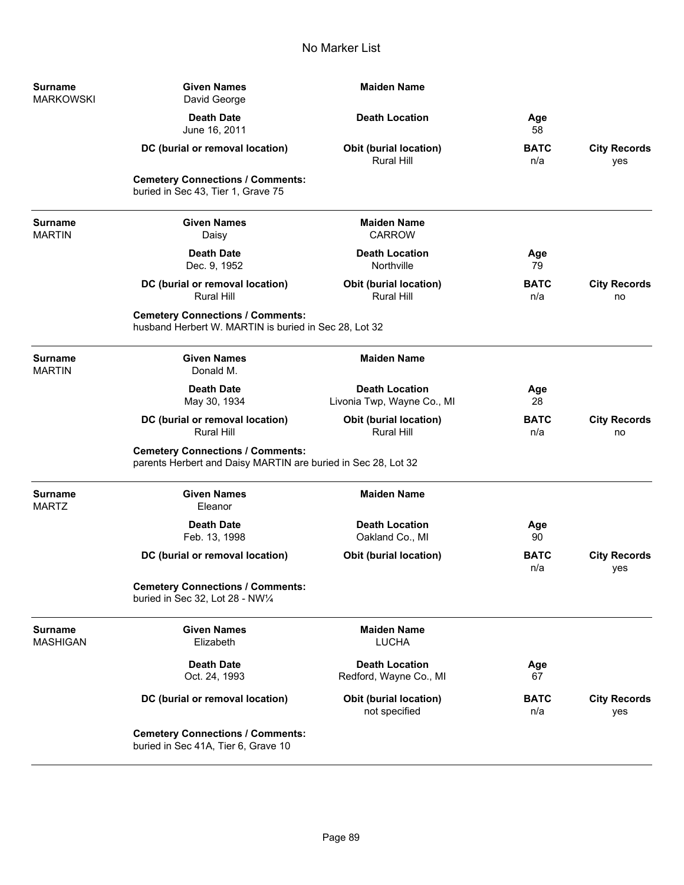| <b>Surname</b><br><b>MARKOWSKI</b> | <b>Given Names</b><br>David George                                                                       | <b>Maiden Name</b>                                  |                    |                            |
|------------------------------------|----------------------------------------------------------------------------------------------------------|-----------------------------------------------------|--------------------|----------------------------|
|                                    | <b>Death Date</b><br>June 16, 2011                                                                       | <b>Death Location</b>                               | Age<br>58          |                            |
|                                    | DC (burial or removal location)                                                                          | <b>Obit (burial location)</b><br>Rural Hill         | <b>BATC</b><br>n/a | <b>City Records</b><br>yes |
|                                    | <b>Cemetery Connections / Comments:</b><br>buried in Sec 43, Tier 1, Grave 75                            |                                                     |                    |                            |
| <b>Surname</b><br><b>MARTIN</b>    | <b>Given Names</b><br>Daisy                                                                              | <b>Maiden Name</b><br><b>CARROW</b>                 |                    |                            |
|                                    | <b>Death Date</b><br>Dec. 9, 1952                                                                        | <b>Death Location</b><br>Northville                 | Age<br>79          |                            |
|                                    | DC (burial or removal location)<br><b>Rural Hill</b>                                                     | <b>Obit (burial location)</b><br><b>Rural Hill</b>  | <b>BATC</b><br>n/a | <b>City Records</b><br>no  |
|                                    | <b>Cemetery Connections / Comments:</b><br>husband Herbert W. MARTIN is buried in Sec 28, Lot 32         |                                                     |                    |                            |
| <b>Surname</b><br><b>MARTIN</b>    | <b>Given Names</b><br>Donald M.                                                                          | <b>Maiden Name</b>                                  |                    |                            |
|                                    | <b>Death Date</b><br>May 30, 1934                                                                        | <b>Death Location</b><br>Livonia Twp, Wayne Co., MI | Age<br>28          |                            |
|                                    | DC (burial or removal location)<br><b>Rural Hill</b>                                                     | Obit (burial location)<br><b>Rural Hill</b>         | <b>BATC</b><br>n/a | <b>City Records</b><br>no  |
|                                    | <b>Cemetery Connections / Comments:</b><br>parents Herbert and Daisy MARTIN are buried in Sec 28, Lot 32 |                                                     |                    |                            |
| <b>Surname</b><br><b>MARTZ</b>     | <b>Given Names</b><br>Eleanor                                                                            | <b>Maiden Name</b>                                  |                    |                            |
|                                    | <b>Death Date</b><br>Feb. 13, 1998                                                                       | <b>Death Location</b><br>Oakland Co., MI            | Age<br>90          |                            |
|                                    | DC (burial or removal location)                                                                          | <b>Obit (burial location)</b>                       | <b>BATC</b><br>n/a | <b>City Records</b><br>yes |
|                                    | <b>Cemetery Connections / Comments:</b><br>buried in Sec 32, Lot 28 - NW1/4                              |                                                     |                    |                            |
| <b>Surname</b><br><b>MASHIGAN</b>  | <b>Given Names</b><br>Elizabeth                                                                          | <b>Maiden Name</b><br><b>LUCHA</b>                  |                    |                            |
|                                    | <b>Death Date</b><br>Oct. 24, 1993                                                                       | <b>Death Location</b><br>Redford, Wayne Co., MI     | Age<br>67          |                            |
|                                    | DC (burial or removal location)                                                                          | <b>Obit (burial location)</b><br>not specified      | <b>BATC</b><br>n/a | <b>City Records</b><br>yes |
|                                    | <b>Cemetery Connections / Comments:</b><br>buried in Sec 41A, Tier 6, Grave 10                           |                                                     |                    |                            |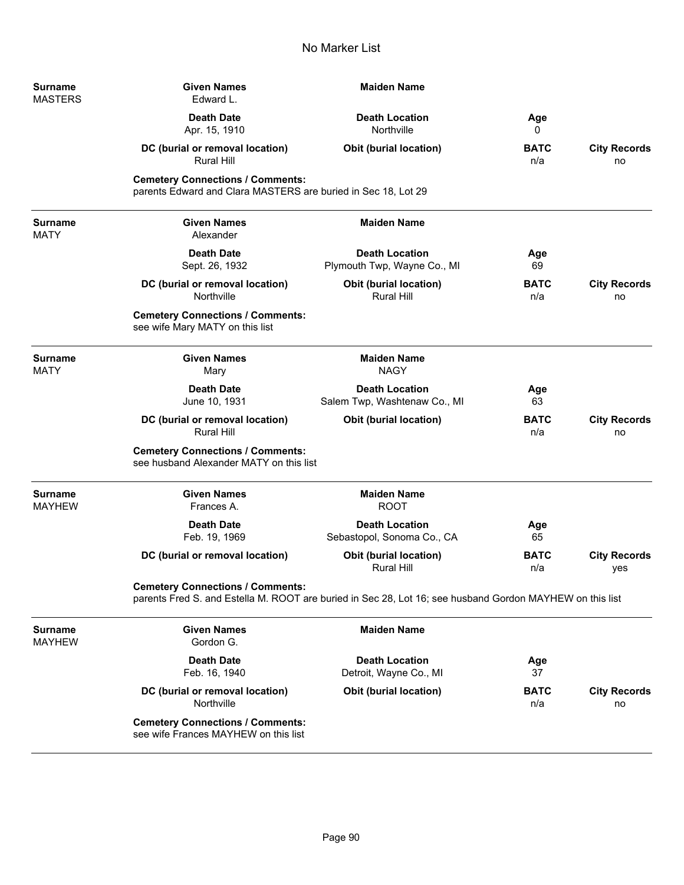| <b>Surname</b><br><b>MASTERS</b> | <b>Given Names</b><br>Edward L.                                                                          | <b>Maiden Name</b>                                                                                       |                    |                            |
|----------------------------------|----------------------------------------------------------------------------------------------------------|----------------------------------------------------------------------------------------------------------|--------------------|----------------------------|
|                                  | <b>Death Date</b><br>Apr. 15, 1910                                                                       | <b>Death Location</b><br>Northville                                                                      | Age<br>0           |                            |
|                                  | DC (burial or removal location)<br><b>Rural Hill</b>                                                     | <b>Obit (burial location)</b>                                                                            | <b>BATC</b><br>n/a | <b>City Records</b><br>no  |
|                                  | <b>Cemetery Connections / Comments:</b><br>parents Edward and Clara MASTERS are buried in Sec 18, Lot 29 |                                                                                                          |                    |                            |
| <b>Surname</b><br><b>MATY</b>    | <b>Given Names</b><br>Alexander                                                                          | <b>Maiden Name</b>                                                                                       |                    |                            |
|                                  | <b>Death Date</b><br>Sept. 26, 1932                                                                      | <b>Death Location</b><br>Plymouth Twp, Wayne Co., MI                                                     | Age<br>69          |                            |
|                                  | DC (burial or removal location)<br>Northville                                                            | Obit (burial location)<br><b>Rural Hill</b>                                                              | <b>BATC</b><br>n/a | <b>City Records</b><br>no  |
|                                  | <b>Cemetery Connections / Comments:</b><br>see wife Mary MATY on this list                               |                                                                                                          |                    |                            |
| <b>Surname</b><br><b>MATY</b>    | <b>Given Names</b><br>Mary                                                                               | <b>Maiden Name</b><br><b>NAGY</b>                                                                        |                    |                            |
|                                  | <b>Death Date</b><br>June 10, 1931                                                                       | <b>Death Location</b><br>Salem Twp, Washtenaw Co., MI                                                    | Age<br>63          |                            |
|                                  | DC (burial or removal location)<br><b>Rural Hill</b>                                                     | Obit (burial location)                                                                                   | <b>BATC</b><br>n/a | <b>City Records</b><br>no  |
|                                  | <b>Cemetery Connections / Comments:</b><br>see husband Alexander MATY on this list                       |                                                                                                          |                    |                            |
| <b>Surname</b><br><b>MAYHEW</b>  | <b>Given Names</b><br>Frances A.                                                                         | <b>Maiden Name</b><br><b>ROOT</b>                                                                        |                    |                            |
|                                  | <b>Death Date</b><br>Feb. 19, 1969                                                                       | <b>Death Location</b><br>Sebastopol, Sonoma Co., CA                                                      | Age<br>65          |                            |
|                                  | DC (burial or removal location)                                                                          | Obit (burial location)<br><b>Rural Hill</b>                                                              | <b>BATC</b><br>n/a | <b>City Records</b><br>yes |
|                                  | <b>Cemetery Connections / Comments:</b>                                                                  | parents Fred S. and Estella M. ROOT are buried in Sec 28, Lot 16; see husband Gordon MAYHEW on this list |                    |                            |
| <b>Surname</b><br><b>MAYHEW</b>  | <b>Given Names</b><br>Gordon G.                                                                          | <b>Maiden Name</b>                                                                                       |                    |                            |
|                                  | <b>Death Date</b><br>Feb. 16, 1940                                                                       | <b>Death Location</b><br>Detroit, Wayne Co., MI                                                          | Age<br>37          |                            |
|                                  | DC (burial or removal location)<br>Northville                                                            | Obit (burial location)                                                                                   | <b>BATC</b><br>n/a | <b>City Records</b><br>no  |
|                                  | <b>Cemetery Connections / Comments:</b><br>see wife Frances MAYHEW on this list                          |                                                                                                          |                    |                            |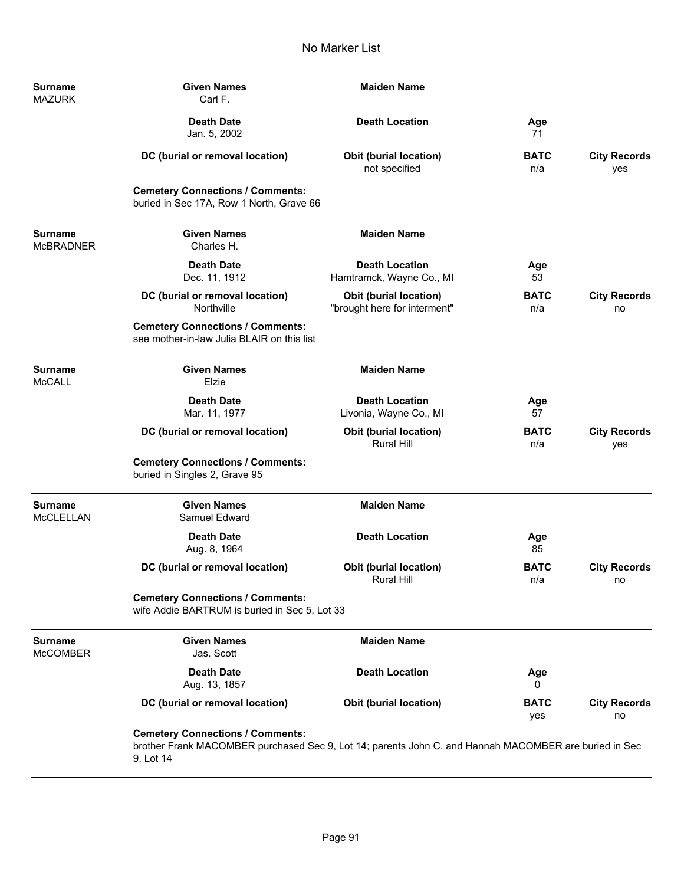| <b>Surname</b><br><b>MAZURK</b>    | <b>Given Names</b><br>Carl F.                                                                                                                                 | <b>Maiden Name</b>                                     |                    |                            |
|------------------------------------|---------------------------------------------------------------------------------------------------------------------------------------------------------------|--------------------------------------------------------|--------------------|----------------------------|
|                                    | <b>Death Date</b><br>Jan. 5, 2002                                                                                                                             | <b>Death Location</b>                                  | Age<br>71          |                            |
|                                    | DC (burial or removal location)                                                                                                                               | Obit (burial location)<br>not specified                | <b>BATC</b><br>n/a | <b>City Records</b><br>yes |
|                                    | <b>Cemetery Connections / Comments:</b><br>buried in Sec 17A, Row 1 North, Grave 66                                                                           |                                                        |                    |                            |
| <b>Surname</b><br><b>McBRADNER</b> | <b>Given Names</b><br>Charles H.                                                                                                                              | <b>Maiden Name</b>                                     |                    |                            |
|                                    | <b>Death Date</b><br>Dec. 11, 1912                                                                                                                            | <b>Death Location</b><br>Hamtramck, Wayne Co., MI      | Age<br>53          |                            |
|                                    | DC (burial or removal location)<br>Northville                                                                                                                 | Obit (burial location)<br>"brought here for interment" | <b>BATC</b><br>n/a | <b>City Records</b><br>no  |
|                                    | <b>Cemetery Connections / Comments:</b><br>see mother-in-law Julia BLAIR on this list                                                                         |                                                        |                    |                            |
| <b>Surname</b><br><b>McCALL</b>    | <b>Given Names</b><br>Elzie                                                                                                                                   | <b>Maiden Name</b>                                     |                    |                            |
|                                    | <b>Death Date</b><br>Mar. 11, 1977                                                                                                                            | <b>Death Location</b><br>Livonia, Wayne Co., MI        | Age<br>57          |                            |
|                                    | DC (burial or removal location)                                                                                                                               | <b>Obit (burial location)</b><br><b>Rural Hill</b>     | <b>BATC</b><br>n/a | <b>City Records</b><br>yes |
|                                    | <b>Cemetery Connections / Comments:</b><br>buried in Singles 2, Grave 95                                                                                      |                                                        |                    |                            |
| <b>Surname</b><br><b>McCLELLAN</b> | <b>Given Names</b><br>Samuel Edward                                                                                                                           | <b>Maiden Name</b>                                     |                    |                            |
|                                    | <b>Death Date</b><br>Aug. 8, 1964                                                                                                                             | <b>Death Location</b>                                  | Age<br>85          |                            |
|                                    | DC (burial or removal location)                                                                                                                               | Obit (burial location)<br><b>Rural Hill</b>            | <b>BATC</b><br>n/a | <b>City Records</b><br>no  |
|                                    | <b>Cemetery Connections / Comments:</b><br>wife Addie BARTRUM is buried in Sec 5, Lot 33                                                                      |                                                        |                    |                            |
| <b>Surname</b><br><b>McCOMBER</b>  | <b>Given Names</b><br>Jas. Scott                                                                                                                              | <b>Maiden Name</b>                                     |                    |                            |
|                                    | <b>Death Date</b><br>Aug. 13, 1857                                                                                                                            | <b>Death Location</b>                                  | Age<br>0           |                            |
|                                    | DC (burial or removal location)                                                                                                                               | <b>Obit (burial location)</b>                          | <b>BATC</b><br>yes | <b>City Records</b><br>no  |
|                                    | <b>Cemetery Connections / Comments:</b><br>brother Frank MACOMBER purchased Sec 9, Lot 14; parents John C. and Hannah MACOMBER are buried in Sec<br>9, Lot 14 |                                                        |                    |                            |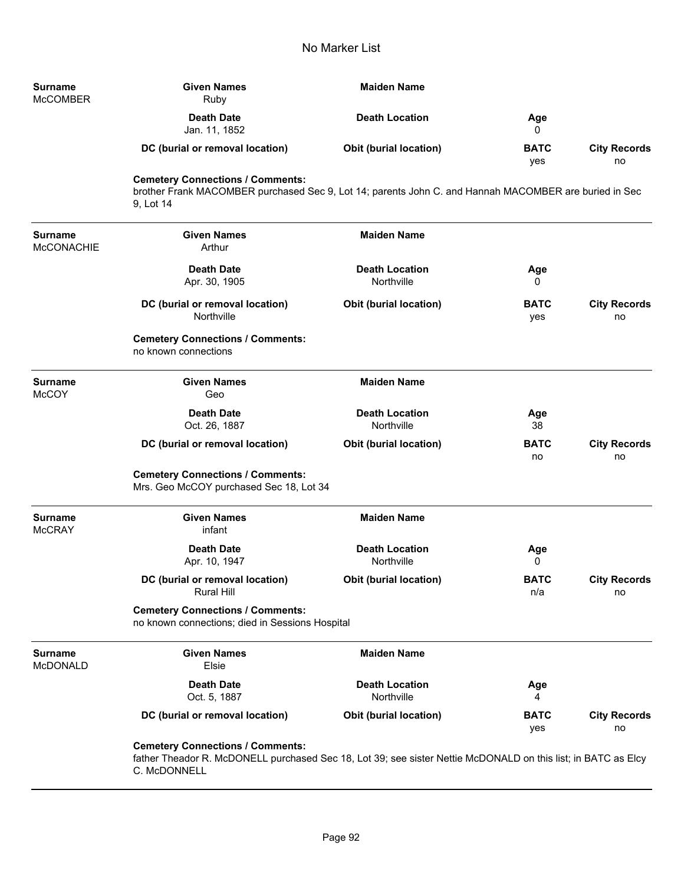| <b>Surname</b><br><b>McCOMBER</b>   | <b>Given Names</b><br>Ruby                                                                                                                                    | <b>Maiden Name</b>                  |                    |                           |
|-------------------------------------|---------------------------------------------------------------------------------------------------------------------------------------------------------------|-------------------------------------|--------------------|---------------------------|
|                                     | <b>Death Date</b><br>Jan. 11, 1852                                                                                                                            | <b>Death Location</b>               | Age<br>0           |                           |
|                                     | DC (burial or removal location)                                                                                                                               | <b>Obit (burial location)</b>       | <b>BATC</b><br>yes | <b>City Records</b><br>no |
|                                     | <b>Cemetery Connections / Comments:</b><br>brother Frank MACOMBER purchased Sec 9, Lot 14; parents John C. and Hannah MACOMBER are buried in Sec<br>9, Lot 14 |                                     |                    |                           |
| <b>Surname</b><br><b>McCONACHIE</b> | <b>Given Names</b><br>Arthur                                                                                                                                  | <b>Maiden Name</b>                  |                    |                           |
|                                     | <b>Death Date</b><br>Apr. 30, 1905                                                                                                                            | <b>Death Location</b><br>Northville | Age<br>0           |                           |
|                                     | DC (burial or removal location)<br>Northville                                                                                                                 | <b>Obit (burial location)</b>       | <b>BATC</b><br>yes | <b>City Records</b><br>no |
|                                     | <b>Cemetery Connections / Comments:</b><br>no known connections                                                                                               |                                     |                    |                           |
| <b>Surname</b><br><b>McCOY</b>      | <b>Given Names</b><br>Geo                                                                                                                                     | <b>Maiden Name</b>                  |                    |                           |
|                                     | <b>Death Date</b><br>Oct. 26, 1887                                                                                                                            | <b>Death Location</b><br>Northville | Age<br>38          |                           |
|                                     | DC (burial or removal location)                                                                                                                               | <b>Obit (burial location)</b>       | <b>BATC</b><br>no  | <b>City Records</b><br>no |
|                                     | <b>Cemetery Connections / Comments:</b><br>Mrs. Geo McCOY purchased Sec 18, Lot 34                                                                            |                                     |                    |                           |
| <b>Surname</b><br><b>McCRAY</b>     | <b>Given Names</b><br>infant                                                                                                                                  | <b>Maiden Name</b>                  |                    |                           |
|                                     | <b>Death Date</b><br>Apr. 10, 1947                                                                                                                            | <b>Death Location</b><br>Northville | Age<br>0           |                           |
|                                     | DC (burial or removal location)<br><b>Rural Hill</b>                                                                                                          | Obit (burial location)              | <b>BATC</b><br>n/a | <b>City Records</b><br>no |
|                                     | <b>Cemetery Connections / Comments:</b><br>no known connections; died in Sessions Hospital                                                                    |                                     |                    |                           |
| <b>Surname</b><br>McDONALD          | <b>Given Names</b><br>Elsie                                                                                                                                   | <b>Maiden Name</b>                  |                    |                           |
|                                     | <b>Death Date</b><br>Oct. 5, 1887                                                                                                                             | <b>Death Location</b><br>Northville | Age<br>4           |                           |
|                                     | DC (burial or removal location)                                                                                                                               | <b>Obit (burial location)</b>       | BATC<br>yes        | <b>City Records</b><br>no |
|                                     | <b>Cemetery Connections / Comments:</b><br>fether Theoder D. McDONELL purphased Can 10, Let 20: see eigher Nettin McDONALD on this ligt; in BATC as Flow      |                                     |                    |                           |

father Theador R. McDONELL purchased Sec 18, Lot 39; see sister Nettie McDONALD on this list; in BATC as Elcy C. McDONNELL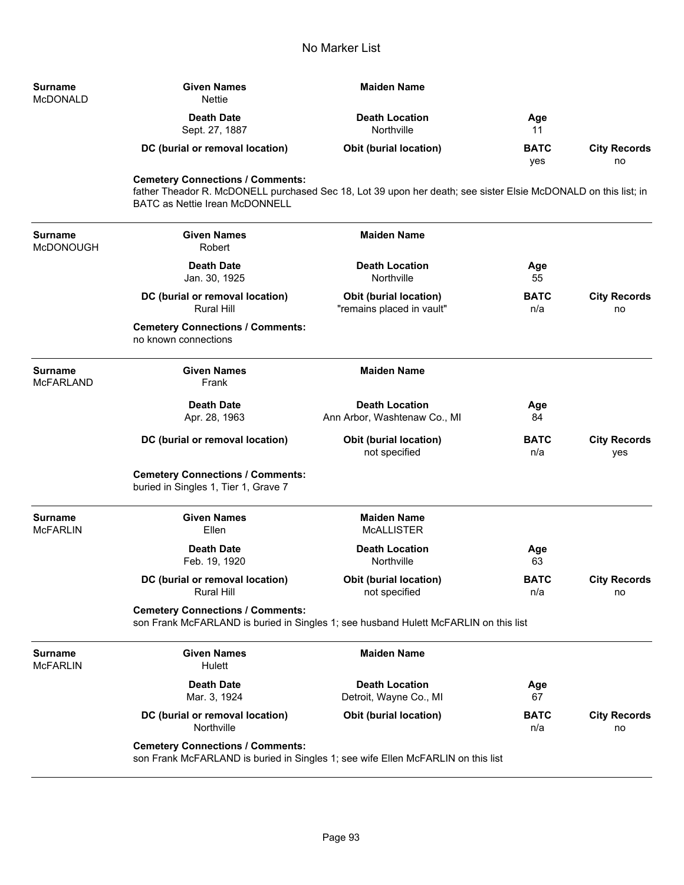| <b>Surname</b><br>McDONALD | <b>Given Names</b><br>Nettie    | <b>Maiden Name</b>                  |                    |                           |
|----------------------------|---------------------------------|-------------------------------------|--------------------|---------------------------|
|                            | Death Date<br>Sept. 27, 1887    | <b>Death Location</b><br>Northville | Age<br>11          |                           |
|                            | DC (burial or removal location) | <b>Obit (burial location)</b>       | <b>BATC</b><br>yes | <b>City Records</b><br>no |

**Cemetery Connections / Comments:**

father Theador R. McDONELL purchased Sec 18, Lot 39 upon her death; see sister Elsie McDONALD on this list; in BATC as Nettie Irean McDONNELL

| <b>Surname</b><br>McDONOUGH | <b>Given Names</b><br>Robert                                                    | <b>Maiden Name</b>                                                                   |                    |                            |
|-----------------------------|---------------------------------------------------------------------------------|--------------------------------------------------------------------------------------|--------------------|----------------------------|
|                             | <b>Death Date</b><br>Jan. 30, 1925                                              | <b>Death Location</b><br>Northville                                                  | Age<br>55          |                            |
|                             | DC (burial or removal location)<br><b>Rural Hill</b>                            | Obit (burial location)<br>"remains placed in vault"                                  | <b>BATC</b><br>n/a | <b>City Records</b><br>no  |
|                             | <b>Cemetery Connections / Comments:</b><br>no known connections                 |                                                                                      |                    |                            |
| Surname<br><b>McFARLAND</b> | <b>Given Names</b><br>Frank                                                     | <b>Maiden Name</b>                                                                   |                    |                            |
|                             | <b>Death Date</b><br>Apr. 28, 1963                                              | <b>Death Location</b><br>Ann Arbor, Washtenaw Co., MI                                | Age<br>84          |                            |
|                             | DC (burial or removal location)                                                 | <b>Obit (burial location)</b><br>not specified                                       | <b>BATC</b><br>n/a | <b>City Records</b><br>yes |
|                             | <b>Cemetery Connections / Comments:</b><br>buried in Singles 1, Tier 1, Grave 7 |                                                                                      |                    |                            |
| Surname<br>McFARLIN         | <b>Given Names</b><br>Ellen                                                     | <b>Maiden Name</b><br><b>MCALLISTER</b>                                              |                    |                            |
|                             | <b>Death Date</b><br>Feb. 19, 1920                                              | <b>Death Location</b><br>Northville                                                  | Age<br>63          |                            |
|                             | DC (burial or removal location)<br><b>Rural Hill</b>                            | <b>Obit (burial location)</b><br>not specified                                       | <b>BATC</b><br>n/a | <b>City Records</b><br>no  |
|                             | <b>Cemetery Connections / Comments:</b>                                         | son Frank McFARLAND is buried in Singles 1; see husband Hulett McFARLIN on this list |                    |                            |
| <b>Surname</b><br>McFARLIN  | <b>Given Names</b><br>Hulett                                                    | <b>Maiden Name</b>                                                                   |                    |                            |
|                             | <b>Death Date</b><br>Mar. 3, 1924                                               | <b>Death Location</b><br>Detroit, Wayne Co., MI                                      | Age<br>67          |                            |
|                             | DC (burial or removal location)<br>Northville                                   | <b>Obit (burial location)</b>                                                        | <b>BATC</b><br>n/a | <b>City Records</b><br>no  |
|                             | <b>Cemetery Connections / Comments:</b>                                         | son Frank McFARLAND is buried in Singles 1; see wife Ellen McFARLIN on this list     |                    |                            |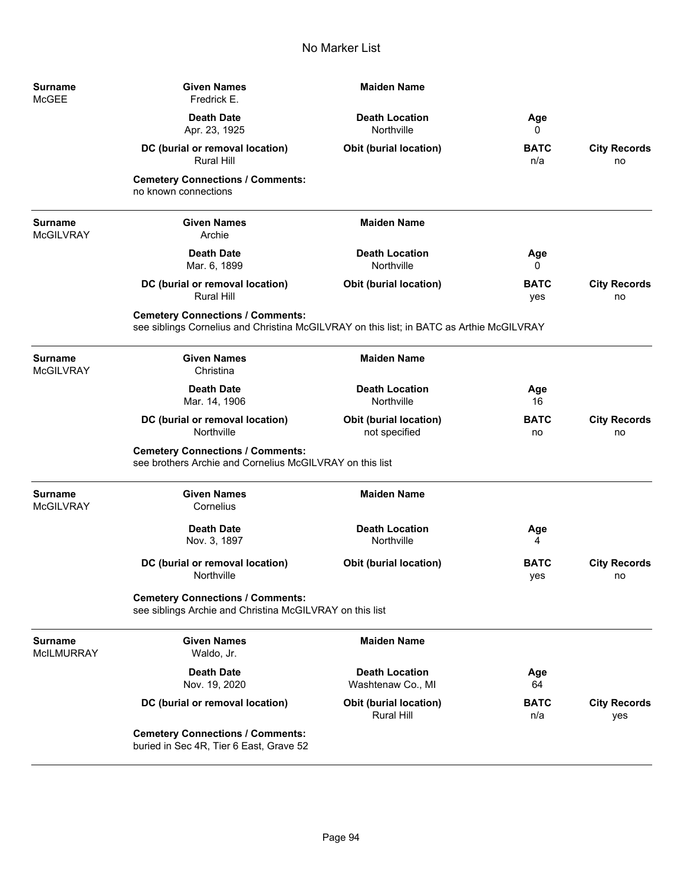| Surname<br>McGEE      | <b>Given Names</b><br>Fredrick E.                                                                                                   | <b>Maiden Name</b>                         |                    |                            |
|-----------------------|-------------------------------------------------------------------------------------------------------------------------------------|--------------------------------------------|--------------------|----------------------------|
|                       | <b>Death Date</b><br>Apr. 23, 1925                                                                                                  | <b>Death Location</b><br>Northville        | Age<br>0           |                            |
|                       | DC (burial or removal location)<br><b>Rural Hill</b>                                                                                | <b>Obit (burial location)</b>              | <b>BATC</b><br>n/a | <b>City Records</b><br>no  |
|                       | <b>Cemetery Connections / Comments:</b><br>no known connections                                                                     |                                            |                    |                            |
| Surname<br>McGILVRAY  | <b>Given Names</b><br>Archie                                                                                                        | <b>Maiden Name</b>                         |                    |                            |
|                       | <b>Death Date</b><br>Mar. 6, 1899                                                                                                   | <b>Death Location</b><br>Northville        | Age<br>0           |                            |
|                       | DC (burial or removal location)<br><b>Rural Hill</b>                                                                                | <b>Obit (burial location)</b>              | <b>BATC</b><br>yes | <b>City Records</b><br>no  |
|                       | <b>Cemetery Connections / Comments:</b><br>see siblings Cornelius and Christina McGILVRAY on this list; in BATC as Arthie McGILVRAY |                                            |                    |                            |
| Surname<br>McGILVRAY  | <b>Given Names</b><br>Christina                                                                                                     | <b>Maiden Name</b>                         |                    |                            |
|                       | <b>Death Date</b><br>Mar. 14, 1906                                                                                                  | <b>Death Location</b><br>Northville        | Age<br>16          |                            |
|                       | DC (burial or removal location)<br>Northville                                                                                       | Obit (burial location)<br>not specified    | <b>BATC</b><br>no  | <b>City Records</b><br>no  |
|                       | <b>Cemetery Connections / Comments:</b><br>see brothers Archie and Cornelius McGILVRAY on this list                                 |                                            |                    |                            |
| Surname<br>McGILVRAY  | <b>Given Names</b><br>Cornelius                                                                                                     | <b>Maiden Name</b>                         |                    |                            |
|                       | <b>Death Date</b><br>Nov. 3, 1897                                                                                                   | <b>Death Location</b><br>Northville        | Age<br>4           |                            |
|                       | DC (burial or removal location)<br>Northville                                                                                       | Obit (burial location)                     | <b>BATC</b><br>yes | <b>City Records</b><br>no  |
|                       | <b>Cemetery Connections / Comments:</b><br>see siblings Archie and Christina McGILVRAY on this list                                 |                                            |                    |                            |
| Surname<br>McILMURRAY | <b>Given Names</b><br>Waldo, Jr.                                                                                                    | <b>Maiden Name</b>                         |                    |                            |
|                       | <b>Death Date</b><br>Nov. 19, 2020                                                                                                  | <b>Death Location</b><br>Washtenaw Co., MI | Age<br>64          |                            |
|                       | DC (burial or removal location)                                                                                                     | Obit (burial location)<br>Rural Hill       | <b>BATC</b><br>n/a | <b>City Records</b><br>yes |
|                       | <b>Cemetery Connections / Comments:</b><br>buried in Sec 4R, Tier 6 East, Grave 52                                                  |                                            |                    |                            |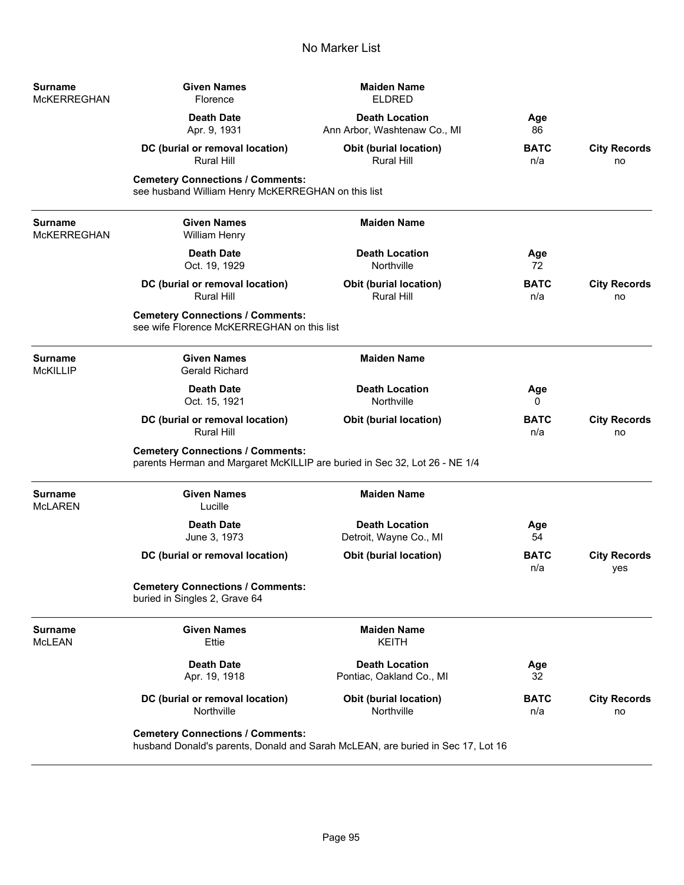| <b>Surname</b><br><b>McKERREGHAN</b> | <b>Given Names</b><br>Florence                                                                                             | <b>Maiden Name</b><br><b>ELDRED</b>                   |                    |                            |
|--------------------------------------|----------------------------------------------------------------------------------------------------------------------------|-------------------------------------------------------|--------------------|----------------------------|
|                                      | <b>Death Date</b><br>Apr. 9, 1931                                                                                          | <b>Death Location</b><br>Ann Arbor, Washtenaw Co., MI | Age<br>86          |                            |
|                                      | DC (burial or removal location)<br><b>Rural Hill</b>                                                                       | <b>Obit (burial location)</b><br>Rural Hill           | <b>BATC</b><br>n/a | <b>City Records</b><br>no  |
|                                      | <b>Cemetery Connections / Comments:</b><br>see husband William Henry McKERREGHAN on this list                              |                                                       |                    |                            |
| <b>Surname</b><br><b>McKERREGHAN</b> | <b>Given Names</b><br><b>William Henry</b>                                                                                 | <b>Maiden Name</b>                                    |                    |                            |
|                                      | <b>Death Date</b><br>Oct. 19, 1929                                                                                         | <b>Death Location</b><br>Northville                   | Age<br>72          |                            |
|                                      | DC (burial or removal location)<br><b>Rural Hill</b>                                                                       | <b>Obit (burial location)</b><br><b>Rural Hill</b>    | <b>BATC</b><br>n/a | <b>City Records</b><br>no  |
|                                      | <b>Cemetery Connections / Comments:</b><br>see wife Florence McKERREGHAN on this list                                      |                                                       |                    |                            |
| <b>Surname</b><br><b>McKILLIP</b>    | <b>Given Names</b><br><b>Gerald Richard</b>                                                                                | <b>Maiden Name</b>                                    |                    |                            |
|                                      | <b>Death Date</b><br>Oct. 15, 1921                                                                                         | <b>Death Location</b><br>Northville                   | Age<br>0           |                            |
|                                      | DC (burial or removal location)<br><b>Rural Hill</b>                                                                       | <b>Obit (burial location)</b>                         | <b>BATC</b><br>n/a | <b>City Records</b><br>no  |
|                                      | <b>Cemetery Connections / Comments:</b><br>parents Herman and Margaret McKILLIP are buried in Sec 32, Lot 26 - NE 1/4      |                                                       |                    |                            |
| <b>Surname</b><br><b>McLAREN</b>     | <b>Given Names</b><br>Lucille                                                                                              | <b>Maiden Name</b>                                    |                    |                            |
|                                      | <b>Death Date</b><br>June 3, 1973                                                                                          | <b>Death Location</b><br>Detroit, Wayne Co., MI       | Age<br>54          |                            |
|                                      | DC (burial or removal location)                                                                                            | Obit (burial location)                                | <b>BATC</b><br>n/a | <b>City Records</b><br>yes |
|                                      | <b>Cemetery Connections / Comments:</b><br>buried in Singles 2, Grave 64                                                   |                                                       |                    |                            |
| <b>Surname</b><br><b>McLEAN</b>      | <b>Given Names</b><br>Ettie                                                                                                | <b>Maiden Name</b><br><b>KEITH</b>                    |                    |                            |
|                                      | <b>Death Date</b><br>Apr. 19, 1918                                                                                         | <b>Death Location</b><br>Pontiac, Oakland Co., MI     | Age<br>32          |                            |
|                                      | DC (burial or removal location)<br>Northville                                                                              | Obit (burial location)<br>Northville                  | <b>BATC</b><br>n/a | <b>City Records</b><br>no  |
|                                      | <b>Cemetery Connections / Comments:</b><br>husband Donald's parents, Donald and Sarah McLEAN, are buried in Sec 17, Lot 16 |                                                       |                    |                            |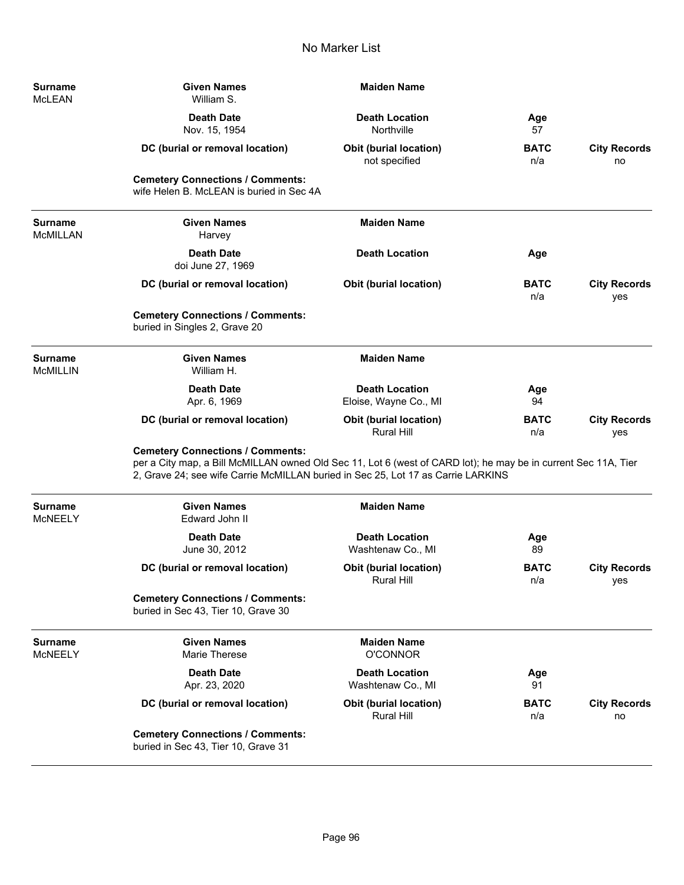| Surname<br>McLEAN         | <b>Given Names</b><br>William S.                                                                                                                                                                                                              | <b>Maiden Name</b>                             |                    |                            |
|---------------------------|-----------------------------------------------------------------------------------------------------------------------------------------------------------------------------------------------------------------------------------------------|------------------------------------------------|--------------------|----------------------------|
|                           | <b>Death Date</b><br>Nov. 15, 1954                                                                                                                                                                                                            | <b>Death Location</b><br>Northville            | Age<br>57          |                            |
|                           | DC (burial or removal location)                                                                                                                                                                                                               | <b>Obit (burial location)</b><br>not specified | <b>BATC</b><br>n/a | <b>City Records</b><br>no  |
|                           | <b>Cemetery Connections / Comments:</b><br>wife Helen B. McLEAN is buried in Sec 4A                                                                                                                                                           |                                                |                    |                            |
| Surname<br>McMILLAN       | <b>Given Names</b><br>Harvey                                                                                                                                                                                                                  | <b>Maiden Name</b>                             |                    |                            |
|                           | <b>Death Date</b><br>doi June 27, 1969                                                                                                                                                                                                        | <b>Death Location</b>                          | Age                |                            |
|                           | DC (burial or removal location)                                                                                                                                                                                                               | <b>Obit (burial location)</b>                  | <b>BATC</b><br>n/a | <b>City Records</b><br>yes |
|                           | <b>Cemetery Connections / Comments:</b><br>buried in Singles 2, Grave 20                                                                                                                                                                      |                                                |                    |                            |
| Surname<br>McMILLIN       | <b>Given Names</b><br>William H.                                                                                                                                                                                                              | <b>Maiden Name</b>                             |                    |                            |
|                           | <b>Death Date</b><br>Apr. 6, 1969                                                                                                                                                                                                             | <b>Death Location</b><br>Eloise, Wayne Co., MI | Age<br>94          |                            |
|                           | DC (burial or removal location)                                                                                                                                                                                                               | Obit (burial location)<br><b>Rural Hill</b>    | <b>BATC</b><br>n/a | <b>City Records</b><br>yes |
|                           | <b>Cemetery Connections / Comments:</b><br>per a City map, a Bill McMILLAN owned Old Sec 11, Lot 6 (west of CARD lot); he may be in current Sec 11A, Tier<br>2, Grave 24; see wife Carrie McMILLAN buried in Sec 25, Lot 17 as Carrie LARKINS |                                                |                    |                            |
| Surname<br>MCNEELY        | <b>Given Names</b><br>Edward John II                                                                                                                                                                                                          | <b>Maiden Name</b>                             |                    |                            |
|                           | <b>Death Date</b><br>June 30, 2012                                                                                                                                                                                                            | <b>Death Location</b><br>Washtenaw Co., MI     | Age<br>89          |                            |
|                           | DC (burial or removal location)                                                                                                                                                                                                               | <b>Obit (burial location)</b><br>Rural Hill    | <b>BATC</b><br>n/a | <b>City Records</b><br>yes |
|                           | <b>Cemetery Connections / Comments:</b><br>buried in Sec 43, Tier 10, Grave 30                                                                                                                                                                |                                                |                    |                            |
| <b>Surname</b><br>McNEELY | <b>Given Names</b><br>Marie Therese                                                                                                                                                                                                           | <b>Maiden Name</b><br><b>O'CONNOR</b>          |                    |                            |
|                           | <b>Death Date</b><br>Apr. 23, 2020                                                                                                                                                                                                            | <b>Death Location</b><br>Washtenaw Co., MI     | Age<br>91          |                            |
|                           | DC (burial or removal location)                                                                                                                                                                                                               | <b>Obit (burial location)</b><br>Rural Hill    | <b>BATC</b><br>n/a | <b>City Records</b><br>no  |
|                           | <b>Cemetery Connections / Comments:</b><br>buried in Sec 43, Tier 10, Grave 31                                                                                                                                                                |                                                |                    |                            |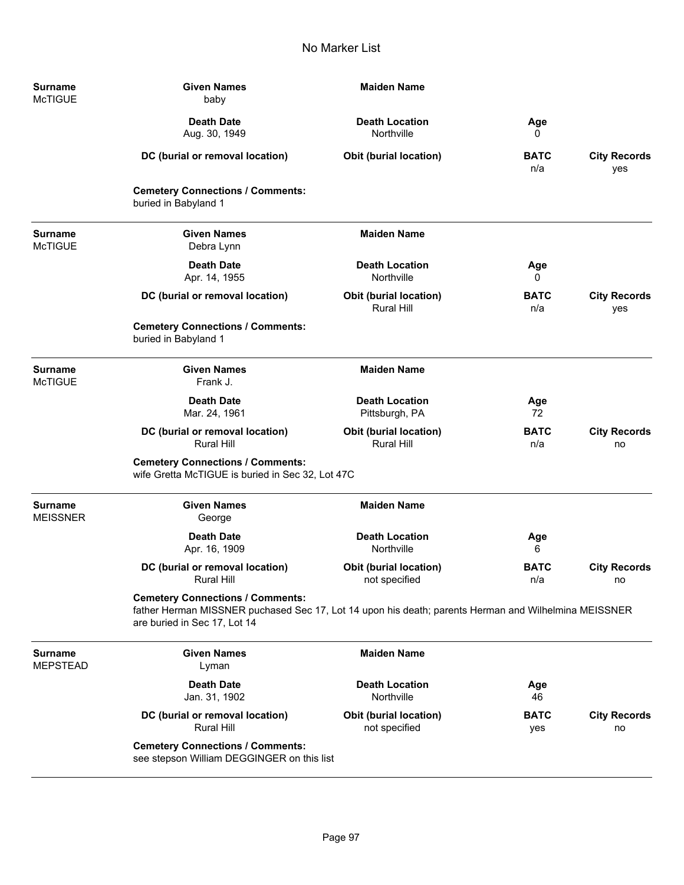| Surname<br><b>McTIGUE</b>         | <b>Given Names</b><br>baby                                                                                                                                                      | <b>Maiden Name</b>                                 |                    |                            |
|-----------------------------------|---------------------------------------------------------------------------------------------------------------------------------------------------------------------------------|----------------------------------------------------|--------------------|----------------------------|
|                                   | <b>Death Date</b><br>Aug. 30, 1949                                                                                                                                              | <b>Death Location</b><br>Northville                | Age<br>0           |                            |
|                                   | DC (burial or removal location)                                                                                                                                                 | <b>Obit (burial location)</b>                      | <b>BATC</b><br>n/a | <b>City Records</b><br>yes |
|                                   | <b>Cemetery Connections / Comments:</b><br>buried in Babyland 1                                                                                                                 |                                                    |                    |                            |
| <b>Surname</b><br><b>McTIGUE</b>  | <b>Given Names</b><br>Debra Lynn                                                                                                                                                | <b>Maiden Name</b>                                 |                    |                            |
|                                   | <b>Death Date</b><br>Apr. 14, 1955                                                                                                                                              | <b>Death Location</b><br>Northville                | Age<br>0           |                            |
|                                   | DC (burial or removal location)                                                                                                                                                 | Obit (burial location)<br>Rural Hill               | <b>BATC</b><br>n/a | <b>City Records</b><br>yes |
|                                   | <b>Cemetery Connections / Comments:</b><br>buried in Babyland 1                                                                                                                 |                                                    |                    |                            |
| <b>Surname</b><br><b>McTIGUE</b>  | <b>Given Names</b><br>Frank J.                                                                                                                                                  | <b>Maiden Name</b>                                 |                    |                            |
|                                   | <b>Death Date</b><br>Mar. 24, 1961                                                                                                                                              | <b>Death Location</b><br>Pittsburgh, PA            | Age<br>72          |                            |
|                                   | DC (burial or removal location)<br><b>Rural Hill</b>                                                                                                                            | <b>Obit (burial location)</b><br><b>Rural Hill</b> | <b>BATC</b><br>n/a | <b>City Records</b><br>no  |
|                                   | <b>Cemetery Connections / Comments:</b><br>wife Gretta McTIGUE is buried in Sec 32, Lot 47C                                                                                     |                                                    |                    |                            |
| <b>Surname</b><br><b>MEISSNER</b> | <b>Given Names</b><br>George                                                                                                                                                    | <b>Maiden Name</b>                                 |                    |                            |
|                                   | <b>Death Date</b><br>Apr. 16, 1909                                                                                                                                              | <b>Death Location</b><br>Northville                | Age<br>6           |                            |
|                                   | DC (burial or removal location)<br><b>Rural Hill</b>                                                                                                                            | <b>Obit (burial location)</b><br>not specified     | <b>BATC</b><br>n/a | <b>City Records</b><br>no  |
|                                   | <b>Cemetery Connections / Comments:</b><br>father Herman MISSNER puchased Sec 17, Lot 14 upon his death; parents Herman and Wilhelmina MEISSNER<br>are buried in Sec 17, Lot 14 |                                                    |                    |                            |
| <b>Surname</b><br><b>MEPSTEAD</b> | <b>Given Names</b><br>Lyman                                                                                                                                                     | <b>Maiden Name</b>                                 |                    |                            |
|                                   | <b>Death Date</b><br>Jan. 31, 1902                                                                                                                                              | <b>Death Location</b><br>Northville                | Age<br>46          |                            |
|                                   | DC (burial or removal location)<br><b>Rural Hill</b>                                                                                                                            | <b>Obit (burial location)</b><br>not specified     | <b>BATC</b><br>yes | <b>City Records</b><br>no  |
|                                   | <b>Cemetery Connections / Comments:</b><br>see stepson William DEGGINGER on this list                                                                                           |                                                    |                    |                            |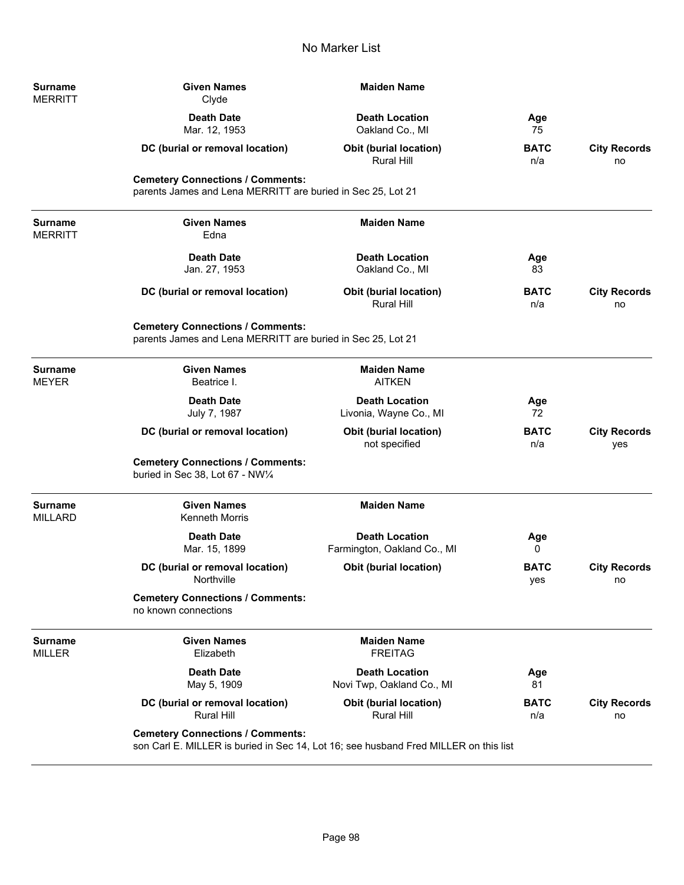| Surname<br>MERRITT        | <b>Given Names</b><br>Clyde                                                                                                     | <b>Maiden Name</b>                                   |                    |                            |
|---------------------------|---------------------------------------------------------------------------------------------------------------------------------|------------------------------------------------------|--------------------|----------------------------|
|                           | <b>Death Date</b><br>Mar. 12, 1953                                                                                              | <b>Death Location</b><br>Oakland Co., MI             | Age<br>75          |                            |
|                           | DC (burial or removal location)                                                                                                 | <b>Obit (burial location)</b><br>Rural Hill          | <b>BATC</b><br>n/a | <b>City Records</b><br>no  |
|                           | <b>Cemetery Connections / Comments:</b><br>parents James and Lena MERRITT are buried in Sec 25, Lot 21                          |                                                      |                    |                            |
| <b>Surname</b><br>MERRITT | <b>Given Names</b><br>Edna                                                                                                      | <b>Maiden Name</b>                                   |                    |                            |
|                           | <b>Death Date</b><br>Jan. 27, 1953                                                                                              | <b>Death Location</b><br>Oakland Co., MI             | Age<br>83          |                            |
|                           | DC (burial or removal location)                                                                                                 | <b>Obit (burial location)</b><br><b>Rural Hill</b>   | <b>BATC</b><br>n/a | <b>City Records</b><br>no  |
|                           | <b>Cemetery Connections / Comments:</b><br>parents James and Lena MERRITT are buried in Sec 25, Lot 21                          |                                                      |                    |                            |
| Surname<br>MEYER          | <b>Given Names</b><br>Beatrice I.                                                                                               | <b>Maiden Name</b><br><b>AITKEN</b>                  |                    |                            |
|                           | <b>Death Date</b><br>July 7, 1987                                                                                               | <b>Death Location</b><br>Livonia, Wayne Co., MI      | Age<br>72          |                            |
|                           | DC (burial or removal location)                                                                                                 | Obit (burial location)<br>not specified              | <b>BATC</b><br>n/a | <b>City Records</b><br>yes |
|                           | <b>Cemetery Connections / Comments:</b><br>buried in Sec 38, Lot 67 - NW1/4                                                     |                                                      |                    |                            |
| Surname<br>MILLARD        | <b>Given Names</b><br><b>Kenneth Morris</b>                                                                                     | <b>Maiden Name</b>                                   |                    |                            |
|                           | <b>Death Date</b><br>Mar. 15, 1899                                                                                              | <b>Death Location</b><br>Farmington, Oakland Co., MI | Age<br>0           |                            |
|                           | DC (burial or removal location)<br>Northville                                                                                   | Obit (burial location)                               | <b>BATC</b><br>yes | <b>City Records</b><br>no  |
|                           | <b>Cemetery Connections / Comments:</b><br>no known connections                                                                 |                                                      |                    |                            |
| <b>Surname</b><br>MILLER  | <b>Given Names</b><br>Elizabeth                                                                                                 | <b>Maiden Name</b><br><b>FREITAG</b>                 |                    |                            |
|                           | <b>Death Date</b><br>May 5, 1909                                                                                                | <b>Death Location</b><br>Novi Twp, Oakland Co., MI   | Age<br>81          |                            |
|                           | DC (burial or removal location)<br><b>Rural Hill</b>                                                                            | <b>Obit (burial location)</b><br>Rural Hill          | <b>BATC</b><br>n/a | <b>City Records</b><br>no  |
|                           | <b>Cemetery Connections / Comments:</b><br>son Carl E. MILLER is buried in Sec 14, Lot 16; see husband Fred MILLER on this list |                                                      |                    |                            |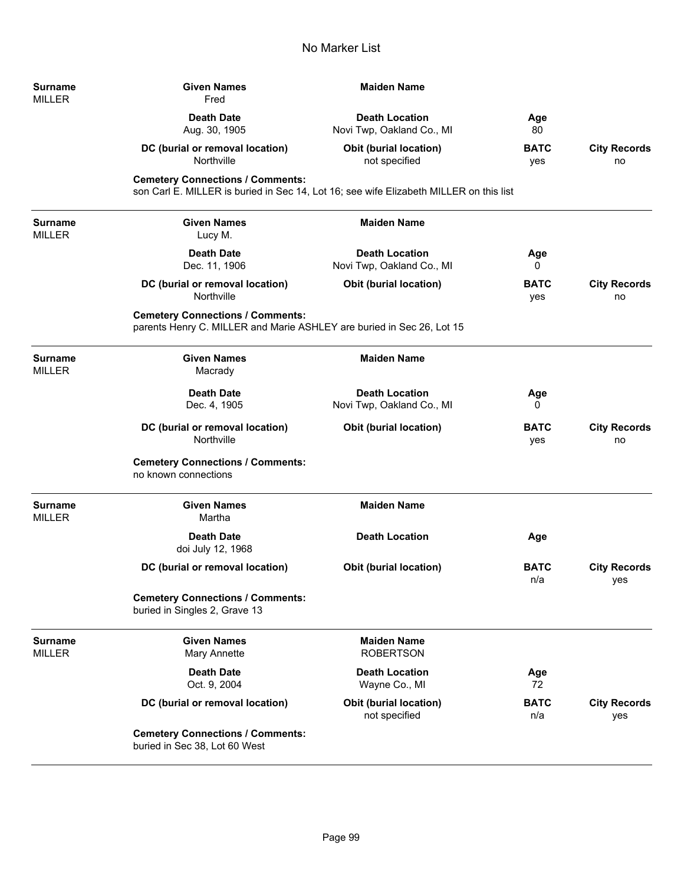| Surname<br>MILLER | <b>Given Names</b><br>Fred                                                                                                        | <b>Maiden Name</b>                                 |                    |                            |
|-------------------|-----------------------------------------------------------------------------------------------------------------------------------|----------------------------------------------------|--------------------|----------------------------|
|                   | <b>Death Date</b><br>Aug. 30, 1905                                                                                                | <b>Death Location</b><br>Novi Twp, Oakland Co., MI | Age<br>80          |                            |
|                   | DC (burial or removal location)<br>Northville                                                                                     | <b>Obit (burial location)</b><br>not specified     | <b>BATC</b><br>yes | <b>City Records</b><br>no  |
|                   | <b>Cemetery Connections / Comments:</b><br>son Carl E. MILLER is buried in Sec 14, Lot 16; see wife Elizabeth MILLER on this list |                                                    |                    |                            |
| Surname<br>MILLER | <b>Given Names</b><br>Lucy M.                                                                                                     | <b>Maiden Name</b>                                 |                    |                            |
|                   | <b>Death Date</b><br>Dec. 11, 1906                                                                                                | <b>Death Location</b><br>Novi Twp, Oakland Co., MI | Age<br>0           |                            |
|                   | DC (burial or removal location)<br>Northville                                                                                     | <b>Obit (burial location)</b>                      | <b>BATC</b><br>yes | <b>City Records</b><br>no  |
|                   | <b>Cemetery Connections / Comments:</b><br>parents Henry C. MILLER and Marie ASHLEY are buried in Sec 26, Lot 15                  |                                                    |                    |                            |
| Surname<br>MILLER | <b>Given Names</b><br>Macrady                                                                                                     | <b>Maiden Name</b>                                 |                    |                            |
|                   | <b>Death Date</b><br>Dec. 4, 1905                                                                                                 | <b>Death Location</b><br>Novi Twp, Oakland Co., MI | Age<br>0           |                            |
|                   | DC (burial or removal location)<br>Northville                                                                                     | <b>Obit (burial location)</b>                      | <b>BATC</b><br>yes | <b>City Records</b><br>no  |
|                   | <b>Cemetery Connections / Comments:</b><br>no known connections                                                                   |                                                    |                    |                            |
| Surname<br>MILLER | <b>Given Names</b><br>Martha                                                                                                      | <b>Maiden Name</b>                                 |                    |                            |
|                   | <b>Death Date</b><br>doi July 12, 1968                                                                                            | <b>Death Location</b>                              | Age                |                            |
|                   | DC (burial or removal location)                                                                                                   | <b>Obit (burial location)</b>                      | <b>BATC</b><br>n/a | <b>City Records</b><br>yes |
|                   | <b>Cemetery Connections / Comments:</b><br>buried in Singles 2, Grave 13                                                          |                                                    |                    |                            |
| Surname<br>MILLER | <b>Given Names</b><br>Mary Annette                                                                                                | <b>Maiden Name</b><br><b>ROBERTSON</b>             |                    |                            |
|                   | <b>Death Date</b><br>Oct. 9, 2004                                                                                                 | <b>Death Location</b><br>Wayne Co., MI             | Age<br>72          |                            |
|                   | DC (burial or removal location)                                                                                                   | <b>Obit (burial location)</b><br>not specified     | <b>BATC</b><br>n/a | <b>City Records</b><br>yes |
|                   | <b>Cemetery Connections / Comments:</b><br>buried in Sec 38, Lot 60 West                                                          |                                                    |                    |                            |

-

÷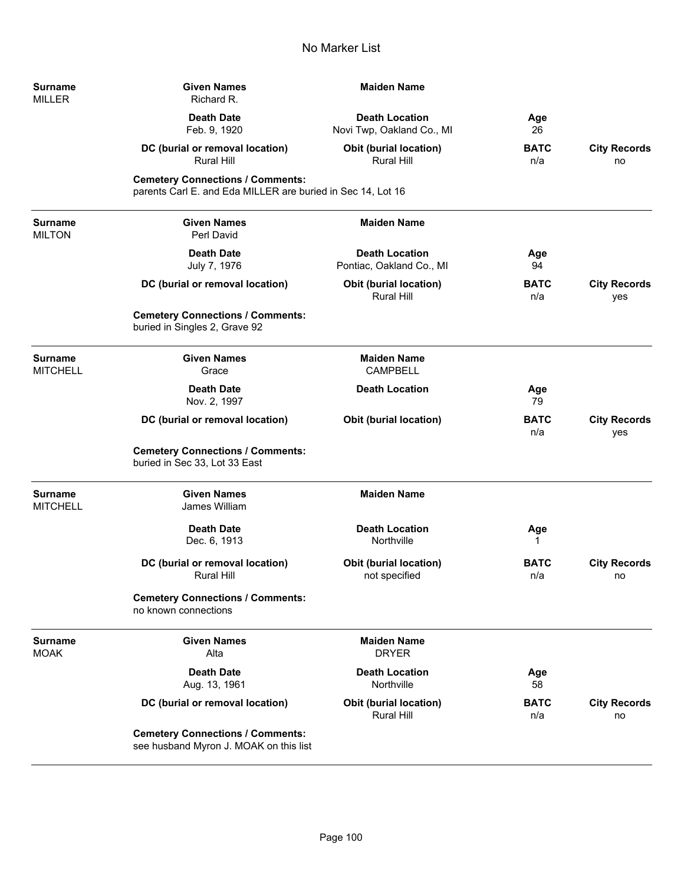| <b>Surname</b><br>MILLER | <b>Given Names</b><br>Richard R.                                                                       | <b>Maiden Name</b>                                 |                    |                            |
|--------------------------|--------------------------------------------------------------------------------------------------------|----------------------------------------------------|--------------------|----------------------------|
|                          | <b>Death Date</b><br>Feb. 9, 1920                                                                      | <b>Death Location</b><br>Novi Twp, Oakland Co., MI | Age<br>26          |                            |
|                          | DC (burial or removal location)<br><b>Rural Hill</b>                                                   | <b>Obit (burial location)</b><br>Rural Hill        | <b>BATC</b><br>n/a | <b>City Records</b><br>no  |
|                          | <b>Cemetery Connections / Comments:</b><br>parents Carl E. and Eda MILLER are buried in Sec 14, Lot 16 |                                                    |                    |                            |
| Surname<br><b>MILTON</b> | <b>Given Names</b><br>Perl David                                                                       | <b>Maiden Name</b>                                 |                    |                            |
|                          | <b>Death Date</b><br>July 7, 1976                                                                      | <b>Death Location</b><br>Pontiac, Oakland Co., MI  | Age<br>94          |                            |
|                          | DC (burial or removal location)                                                                        | <b>Obit (burial location)</b><br>Rural Hill        | <b>BATC</b><br>n/a | <b>City Records</b><br>yes |
|                          | <b>Cemetery Connections / Comments:</b><br>buried in Singles 2, Grave 92                               |                                                    |                    |                            |
| Surname<br>MITCHELL      | <b>Given Names</b><br>Grace                                                                            | <b>Maiden Name</b><br><b>CAMPBELL</b>              |                    |                            |
|                          | <b>Death Date</b><br>Nov. 2, 1997                                                                      | <b>Death Location</b>                              | Age<br>79          |                            |
|                          | DC (burial or removal location)                                                                        | <b>Obit (burial location)</b>                      | <b>BATC</b><br>n/a | <b>City Records</b><br>yes |
|                          | <b>Cemetery Connections / Comments:</b><br>buried in Sec 33, Lot 33 East                               |                                                    |                    |                            |
| Surname<br>MITCHELL      | <b>Given Names</b><br>James William                                                                    | <b>Maiden Name</b>                                 |                    |                            |
|                          | <b>Death Date</b><br>Dec. 6, 1913                                                                      | <b>Death Location</b><br>Northville                | Age<br>1           |                            |
|                          | DC (burial or removal location)<br><b>Rural Hill</b>                                                   | <b>Obit (burial location)</b><br>not specified     | <b>BATC</b><br>n/a | <b>City Records</b><br>no  |
|                          | <b>Cemetery Connections / Comments:</b><br>no known connections                                        |                                                    |                    |                            |
| Surname<br>MOAK          | <b>Given Names</b><br>Alta                                                                             | <b>Maiden Name</b><br><b>DRYER</b>                 |                    |                            |
|                          | <b>Death Date</b><br>Aug. 13, 1961                                                                     | <b>Death Location</b><br>Northville                | Age<br>58          |                            |
|                          | DC (burial or removal location)                                                                        | <b>Obit (burial location)</b><br><b>Rural Hill</b> | <b>BATC</b><br>n/a | <b>City Records</b><br>no  |
|                          | <b>Cemetery Connections / Comments:</b><br>see husband Myron J. MOAK on this list                      |                                                    |                    |                            |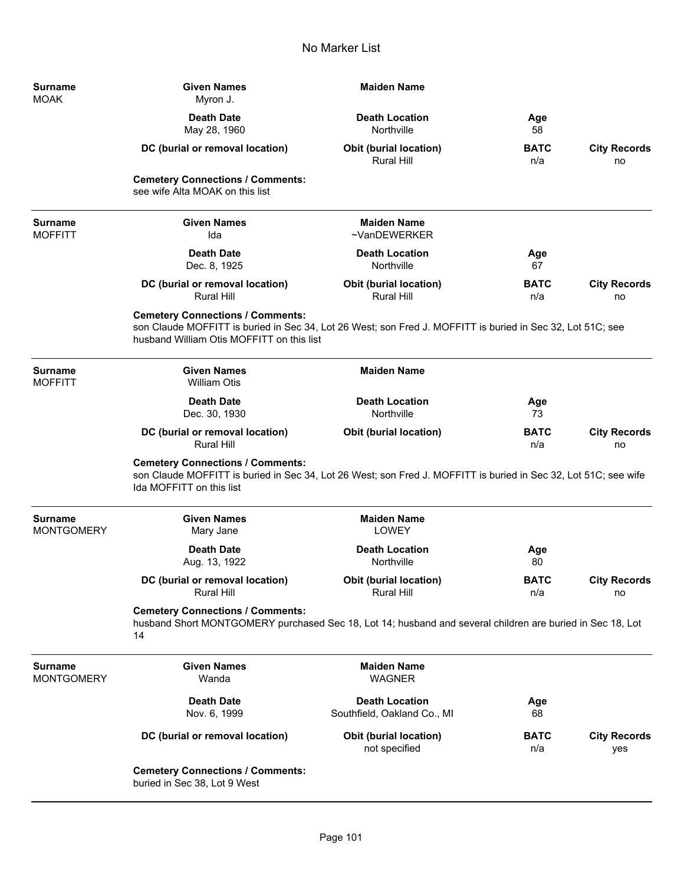| <b>Surname</b><br><b>MOAK</b>       | <b>Given Names</b><br>Myron J.                                                                                                                                                                     | <b>Maiden Name</b>                                   |                    |                            |
|-------------------------------------|----------------------------------------------------------------------------------------------------------------------------------------------------------------------------------------------------|------------------------------------------------------|--------------------|----------------------------|
|                                     | <b>Death Date</b><br>May 28, 1960                                                                                                                                                                  | <b>Death Location</b><br>Northville                  | Age<br>58          |                            |
|                                     | DC (burial or removal location)                                                                                                                                                                    | <b>Obit (burial location)</b><br><b>Rural Hill</b>   | <b>BATC</b><br>n/a | <b>City Records</b><br>no  |
|                                     | <b>Cemetery Connections / Comments:</b><br>see wife Alta MOAK on this list                                                                                                                         |                                                      |                    |                            |
| <b>Surname</b><br><b>MOFFITT</b>    | <b>Given Names</b><br>Ida                                                                                                                                                                          | <b>Maiden Name</b><br>~VanDEWERKER                   |                    |                            |
|                                     | <b>Death Date</b><br>Dec. 8, 1925                                                                                                                                                                  | <b>Death Location</b><br>Northville                  | Age<br>67          |                            |
|                                     | DC (burial or removal location)<br><b>Rural Hill</b>                                                                                                                                               | <b>Obit (burial location)</b><br><b>Rural Hill</b>   | <b>BATC</b><br>n/a | <b>City Records</b><br>no  |
|                                     | <b>Cemetery Connections / Comments:</b><br>son Claude MOFFITT is buried in Sec 34, Lot 26 West; son Fred J. MOFFITT is buried in Sec 32, Lot 51C; see<br>husband William Otis MOFFITT on this list |                                                      |                    |                            |
| <b>Surname</b><br><b>MOFFITT</b>    | <b>Given Names</b><br><b>William Otis</b>                                                                                                                                                          | <b>Maiden Name</b>                                   |                    |                            |
|                                     | <b>Death Date</b><br>Dec. 30, 1930                                                                                                                                                                 | <b>Death Location</b><br>Northville                  | Age<br>73          |                            |
|                                     | DC (burial or removal location)<br><b>Rural Hill</b>                                                                                                                                               | <b>Obit (burial location)</b>                        | <b>BATC</b><br>n/a | <b>City Records</b><br>no  |
|                                     | <b>Cemetery Connections / Comments:</b><br>son Claude MOFFITT is buried in Sec 34, Lot 26 West; son Fred J. MOFFITT is buried in Sec 32, Lot 51C; see wife<br>Ida MOFFITT on this list             |                                                      |                    |                            |
| <b>Surname</b><br><b>MONTGOMERY</b> | <b>Given Names</b><br>Mary Jane                                                                                                                                                                    | <b>Maiden Name</b><br><b>LOWEY</b>                   |                    |                            |
|                                     | <b>Death Date</b><br>Aug. 13, 1922                                                                                                                                                                 | <b>Death Location</b><br>Northville                  | Age<br>80          |                            |
|                                     | DC (burial or removal location)<br><b>Rural Hill</b>                                                                                                                                               | <b>Obit (burial location)</b><br>Rural Hill          | <b>BATC</b><br>n/a | <b>City Records</b><br>no  |
|                                     | <b>Cemetery Connections / Comments:</b><br>husband Short MONTGOMERY purchased Sec 18, Lot 14; husband and several children are buried in Sec 18, Lot<br>14                                         |                                                      |                    |                            |
| <b>Surname</b><br><b>MONTGOMERY</b> | <b>Given Names</b><br>Wanda                                                                                                                                                                        | <b>Maiden Name</b><br><b>WAGNER</b>                  |                    |                            |
|                                     | <b>Death Date</b><br>Nov. 6, 1999                                                                                                                                                                  | <b>Death Location</b><br>Southfield, Oakland Co., MI | Age<br>68          |                            |
|                                     | DC (burial or removal location)                                                                                                                                                                    | Obit (burial location)<br>not specified              | <b>BATC</b><br>n/a | <b>City Records</b><br>yes |
|                                     | <b>Cemetery Connections / Comments:</b><br>buried in Sec 38, Lot 9 West                                                                                                                            |                                                      |                    |                            |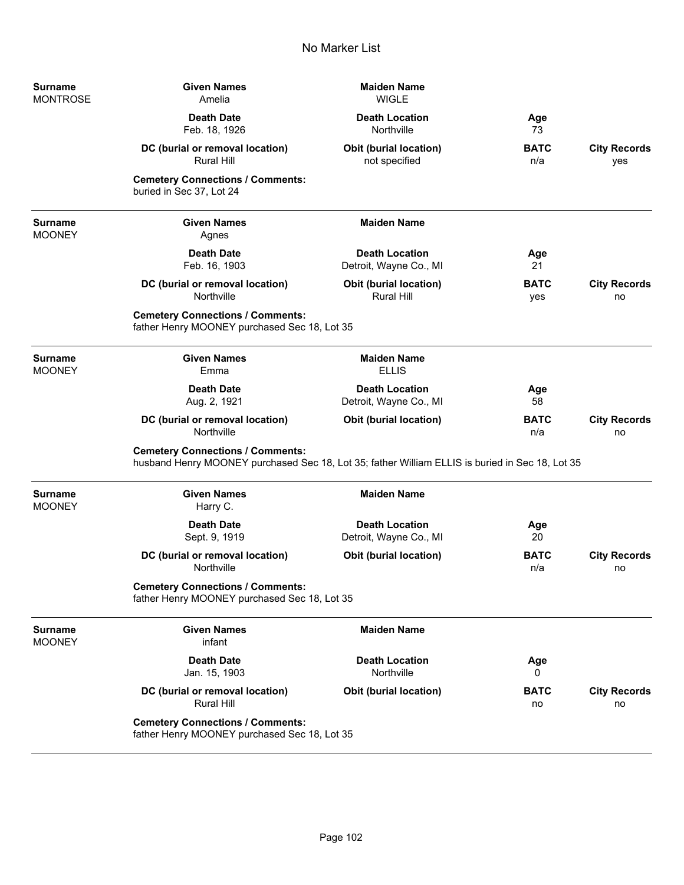| <b>Surname</b><br><b>MONTROSE</b> | <b>Given Names</b><br>Amelia                                                                                                               | <b>Maiden Name</b><br><b>WIGLE</b>                 |                    |                            |
|-----------------------------------|--------------------------------------------------------------------------------------------------------------------------------------------|----------------------------------------------------|--------------------|----------------------------|
|                                   | <b>Death Date</b><br>Feb. 18, 1926                                                                                                         | <b>Death Location</b><br>Northville                | Age<br>73          |                            |
|                                   | DC (burial or removal location)<br><b>Rural Hill</b>                                                                                       | <b>Obit (burial location)</b><br>not specified     | <b>BATC</b><br>n/a | <b>City Records</b><br>yes |
|                                   | <b>Cemetery Connections / Comments:</b><br>buried in Sec 37, Lot 24                                                                        |                                                    |                    |                            |
| <b>Surname</b><br><b>MOONEY</b>   | <b>Given Names</b><br>Agnes                                                                                                                | <b>Maiden Name</b>                                 |                    |                            |
|                                   | <b>Death Date</b><br>Feb. 16, 1903                                                                                                         | <b>Death Location</b><br>Detroit, Wayne Co., MI    | Age<br>21          |                            |
|                                   | DC (burial or removal location)<br>Northville                                                                                              | <b>Obit (burial location)</b><br><b>Rural Hill</b> | <b>BATC</b><br>yes | <b>City Records</b><br>no  |
|                                   | <b>Cemetery Connections / Comments:</b><br>father Henry MOONEY purchased Sec 18, Lot 35                                                    |                                                    |                    |                            |
| <b>Surname</b><br><b>MOONEY</b>   | <b>Given Names</b><br>Emma                                                                                                                 | <b>Maiden Name</b><br><b>ELLIS</b>                 |                    |                            |
|                                   | <b>Death Date</b><br>Aug. 2, 1921                                                                                                          | <b>Death Location</b><br>Detroit, Wayne Co., MI    | Age<br>58          |                            |
|                                   | DC (burial or removal location)<br>Northville                                                                                              | <b>Obit (burial location)</b>                      | <b>BATC</b><br>n/a | <b>City Records</b><br>no  |
|                                   | <b>Cemetery Connections / Comments:</b><br>husband Henry MOONEY purchased Sec 18, Lot 35; father William ELLIS is buried in Sec 18, Lot 35 |                                                    |                    |                            |
| <b>Surname</b><br><b>MOONEY</b>   | <b>Given Names</b><br>Harry C.                                                                                                             | <b>Maiden Name</b>                                 |                    |                            |
|                                   | <b>Death Date</b><br>Sept. 9, 1919                                                                                                         | <b>Death Location</b><br>Detroit, Wayne Co., MI    | Age<br>20          |                            |
|                                   | DC (burial or removal location)<br>Northville                                                                                              | <b>Obit (burial location)</b>                      | <b>BATC</b><br>n/a | <b>City Records</b><br>no  |
|                                   | <b>Cemetery Connections / Comments:</b><br>father Henry MOONEY purchased Sec 18, Lot 35                                                    |                                                    |                    |                            |
| <b>Surname</b><br><b>MOONEY</b>   | <b>Given Names</b><br>infant                                                                                                               | <b>Maiden Name</b>                                 |                    |                            |
|                                   | <b>Death Date</b><br>Jan. 15, 1903                                                                                                         | <b>Death Location</b><br>Northville                | Age<br>0           |                            |
|                                   | DC (burial or removal location)<br><b>Rural Hill</b>                                                                                       | <b>Obit (burial location)</b>                      | <b>BATC</b><br>no  | <b>City Records</b><br>no  |
|                                   | <b>Cemetery Connections / Comments:</b><br>father Henry MOONEY purchased Sec 18, Lot 35                                                    |                                                    |                    |                            |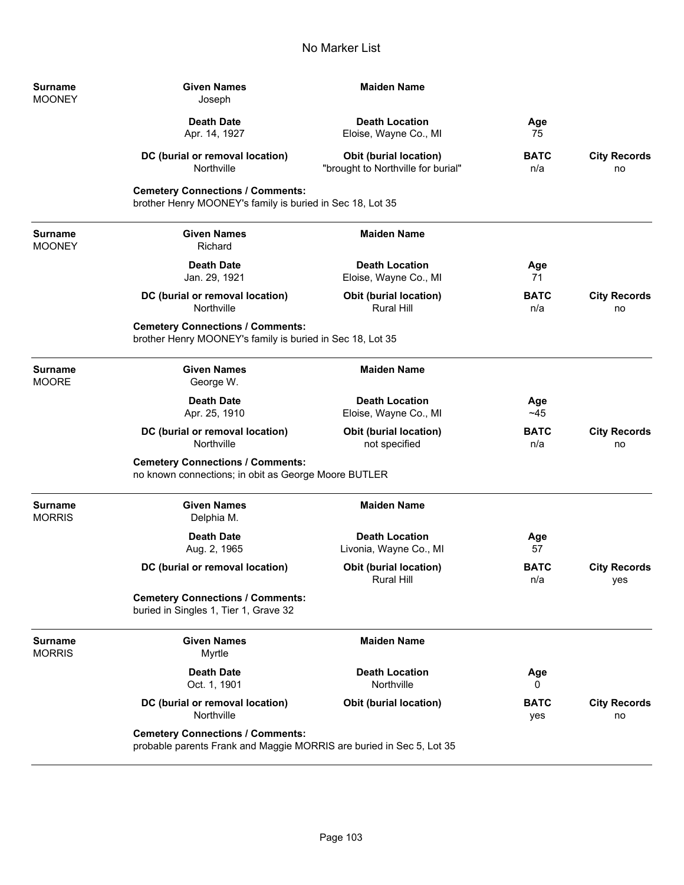| Surname<br><b>MOONEY</b> | <b>Given Names</b><br>Joseph                                                                                    | <b>Maiden Name</b>                                                  |                    |                            |
|--------------------------|-----------------------------------------------------------------------------------------------------------------|---------------------------------------------------------------------|--------------------|----------------------------|
|                          | <b>Death Date</b><br>Apr. 14, 1927                                                                              | <b>Death Location</b><br>Eloise, Wayne Co., MI                      | Age<br>75          |                            |
|                          | DC (burial or removal location)<br>Northville                                                                   | <b>Obit (burial location)</b><br>"brought to Northville for burial" | <b>BATC</b><br>n/a | <b>City Records</b><br>no  |
|                          | <b>Cemetery Connections / Comments:</b><br>brother Henry MOONEY's family is buried in Sec 18, Lot 35            |                                                                     |                    |                            |
| <b>Surname</b><br>MOONEY | <b>Given Names</b><br>Richard                                                                                   | <b>Maiden Name</b>                                                  |                    |                            |
|                          | <b>Death Date</b><br>Jan. 29, 1921                                                                              | <b>Death Location</b><br>Eloise, Wayne Co., MI                      | Age<br>71          |                            |
|                          | DC (burial or removal location)<br>Northville                                                                   | <b>Obit (burial location)</b><br><b>Rural Hill</b>                  | <b>BATC</b><br>n/a | <b>City Records</b><br>no  |
|                          | <b>Cemetery Connections / Comments:</b><br>brother Henry MOONEY's family is buried in Sec 18, Lot 35            |                                                                     |                    |                            |
| Surname<br>MOORE         | <b>Given Names</b><br>George W.                                                                                 | <b>Maiden Name</b>                                                  |                    |                            |
|                          | <b>Death Date</b><br>Apr. 25, 1910                                                                              | <b>Death Location</b><br>Eloise, Wayne Co., MI                      | Age<br>~145        |                            |
|                          | DC (burial or removal location)<br>Northville                                                                   | <b>Obit (burial location)</b><br>not specified                      | <b>BATC</b><br>n/a | <b>City Records</b><br>no  |
|                          | <b>Cemetery Connections / Comments:</b><br>no known connections; in obit as George Moore BUTLER                 |                                                                     |                    |                            |
| <b>Surname</b><br>MORRIS | <b>Given Names</b><br>Delphia M.                                                                                | <b>Maiden Name</b>                                                  |                    |                            |
|                          | <b>Death Date</b><br>Aug. 2, 1965                                                                               | <b>Death Location</b><br>Livonia, Wayne Co., MI                     | Age<br>57          |                            |
|                          | DC (burial or removal location)                                                                                 | Obit (burial location)<br>Rural Hill                                | <b>BATC</b><br>n/a | <b>City Records</b><br>yes |
|                          | <b>Cemetery Connections / Comments:</b><br>buried in Singles 1, Tier 1, Grave 32                                |                                                                     |                    |                            |
| Surname<br>MORRIS        | <b>Given Names</b><br>Myrtle                                                                                    | <b>Maiden Name</b>                                                  |                    |                            |
|                          | <b>Death Date</b><br>Oct. 1, 1901                                                                               | <b>Death Location</b><br>Northville                                 | Age<br>0           |                            |
|                          | DC (burial or removal location)<br>Northville                                                                   | <b>Obit (burial location)</b>                                       | BATC<br>yes        | <b>City Records</b><br>no  |
|                          | <b>Cemetery Connections / Comments:</b><br>probable parents Frank and Maggie MORRIS are buried in Sec 5, Lot 35 |                                                                     |                    |                            |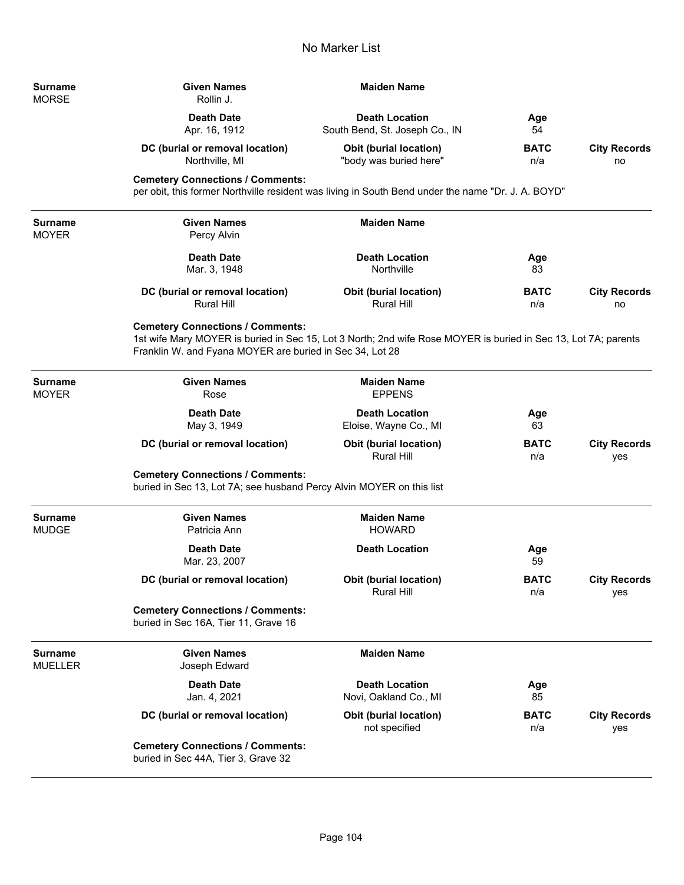$\overline{\phantom{0}}$ 

÷,

| Surname<br>MORSE        | <b>Given Names</b><br>Rollin J.                                                                                                                                                                                       | <b>Maiden Name</b>                                      |                    |                            |
|-------------------------|-----------------------------------------------------------------------------------------------------------------------------------------------------------------------------------------------------------------------|---------------------------------------------------------|--------------------|----------------------------|
|                         | <b>Death Date</b><br>Apr. 16, 1912                                                                                                                                                                                    | <b>Death Location</b><br>South Bend, St. Joseph Co., IN | Age<br>54          |                            |
|                         | DC (burial or removal location)<br>Northville, MI                                                                                                                                                                     | <b>Obit (burial location)</b><br>"body was buried here" | <b>BATC</b><br>n/a | <b>City Records</b><br>no  |
|                         | <b>Cemetery Connections / Comments:</b><br>per obit, this former Northville resident was living in South Bend under the name "Dr. J. A. BOYD"                                                                         |                                                         |                    |                            |
| Surname<br>MOYER        | <b>Given Names</b><br>Percy Alvin                                                                                                                                                                                     | <b>Maiden Name</b>                                      |                    |                            |
|                         | <b>Death Date</b><br>Mar. 3, 1948                                                                                                                                                                                     | <b>Death Location</b><br>Northville                     | Age<br>83          |                            |
|                         | DC (burial or removal location)<br><b>Rural Hill</b>                                                                                                                                                                  | <b>Obit (burial location)</b><br><b>Rural Hill</b>      | <b>BATC</b><br>n/a | <b>City Records</b><br>no  |
|                         | <b>Cemetery Connections / Comments:</b><br>1st wife Mary MOYER is buried in Sec 15, Lot 3 North; 2nd wife Rose MOYER is buried in Sec 13, Lot 7A; parents<br>Franklin W. and Fyana MOYER are buried in Sec 34, Lot 28 |                                                         |                    |                            |
| Surname<br>MOYER        | <b>Given Names</b><br>Rose                                                                                                                                                                                            | <b>Maiden Name</b><br><b>EPPENS</b>                     |                    |                            |
|                         | <b>Death Date</b><br>May 3, 1949                                                                                                                                                                                      | <b>Death Location</b><br>Eloise, Wayne Co., MI          | Age<br>63          |                            |
|                         | DC (burial or removal location)                                                                                                                                                                                       | <b>Obit (burial location)</b><br>Rural Hill             | <b>BATC</b><br>n/a | <b>City Records</b><br>yes |
|                         | <b>Cemetery Connections / Comments:</b><br>buried in Sec 13, Lot 7A; see husband Percy Alvin MOYER on this list                                                                                                       |                                                         |                    |                            |
| <b>Surname</b><br>MUDGE | <b>Given Names</b><br>Patricia Ann                                                                                                                                                                                    | <b>Maiden Name</b><br><b>HOWARD</b>                     |                    |                            |
|                         | <b>Death Date</b><br>Mar. 23, 2007                                                                                                                                                                                    | <b>Death Location</b>                                   | Age<br>59          |                            |
|                         | DC (burial or removal location)                                                                                                                                                                                       | Obit (burial location)<br><b>Rural Hill</b>             | <b>BATC</b><br>n/a | <b>City Records</b><br>yes |
|                         | <b>Cemetery Connections / Comments:</b><br>buried in Sec 16A, Tier 11, Grave 16                                                                                                                                       |                                                         |                    |                            |
| Surname<br>MUELLER      | <b>Given Names</b><br>Joseph Edward                                                                                                                                                                                   | <b>Maiden Name</b>                                      |                    |                            |
|                         | <b>Death Date</b><br>Jan. 4, 2021                                                                                                                                                                                     | <b>Death Location</b><br>Novi, Oakland Co., MI          | Age<br>85          |                            |
|                         | DC (burial or removal location)                                                                                                                                                                                       | Obit (burial location)<br>not specified                 | <b>BATC</b><br>n/a | <b>City Records</b><br>yes |
|                         | <b>Cemetery Connections / Comments:</b><br>buried in Sec 44A, Tier 3, Grave 32                                                                                                                                        |                                                         |                    |                            |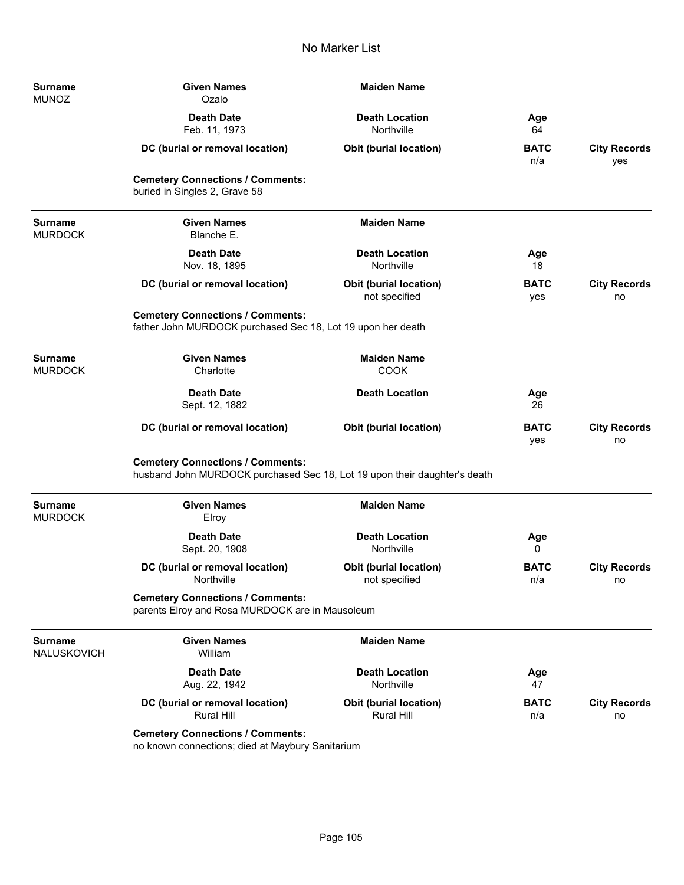| <b>Surname</b><br><b>MUNOZ</b>   | <b>Given Names</b><br>Ozalo                                                                                          | <b>Maiden Name</b>                             |                    |                            |
|----------------------------------|----------------------------------------------------------------------------------------------------------------------|------------------------------------------------|--------------------|----------------------------|
|                                  | <b>Death Date</b><br>Feb. 11, 1973                                                                                   | <b>Death Location</b><br>Northville            | Age<br>64          |                            |
|                                  | DC (burial or removal location)                                                                                      | <b>Obit (burial location)</b>                  | <b>BATC</b><br>n/a | <b>City Records</b><br>yes |
|                                  | <b>Cemetery Connections / Comments:</b><br>buried in Singles 2, Grave 58                                             |                                                |                    |                            |
| <b>Surname</b><br><b>MURDOCK</b> | <b>Given Names</b><br>Blanche E.                                                                                     | <b>Maiden Name</b>                             |                    |                            |
|                                  | <b>Death Date</b><br>Nov. 18, 1895                                                                                   | <b>Death Location</b><br>Northville            | Age<br>18          |                            |
|                                  | DC (burial or removal location)                                                                                      | <b>Obit (burial location)</b><br>not specified | <b>BATC</b><br>yes | <b>City Records</b><br>no  |
|                                  | <b>Cemetery Connections / Comments:</b><br>father John MURDOCK purchased Sec 18, Lot 19 upon her death               |                                                |                    |                            |
| <b>Surname</b><br><b>MURDOCK</b> | <b>Given Names</b><br>Charlotte                                                                                      | <b>Maiden Name</b><br><b>COOK</b>              |                    |                            |
|                                  | <b>Death Date</b><br>Sept. 12, 1882                                                                                  | <b>Death Location</b>                          | Age<br>26          |                            |
|                                  | DC (burial or removal location)                                                                                      | <b>Obit (burial location)</b>                  | <b>BATC</b><br>yes | <b>City Records</b><br>no  |
|                                  | <b>Cemetery Connections / Comments:</b><br>husband John MURDOCK purchased Sec 18, Lot 19 upon their daughter's death |                                                |                    |                            |
| <b>Surname</b><br><b>MURDOCK</b> | <b>Given Names</b><br>Elroy                                                                                          | <b>Maiden Name</b>                             |                    |                            |
|                                  | <b>Death Date</b><br>Sept. 20, 1908                                                                                  | <b>Death Location</b><br>Northville            | Age<br>0           |                            |
|                                  | DC (burial or removal location)<br>Northville                                                                        | <b>Obit (burial location)</b><br>not specified | <b>BATC</b><br>n/a | <b>City Records</b><br>no  |
|                                  | <b>Cemetery Connections / Comments:</b><br>parents Elroy and Rosa MURDOCK are in Mausoleum                           |                                                |                    |                            |
| <b>Surname</b><br>NALUSKOVICH    | <b>Given Names</b><br>William                                                                                        | <b>Maiden Name</b>                             |                    |                            |
|                                  | <b>Death Date</b><br>Aug. 22, 1942                                                                                   | <b>Death Location</b><br>Northville            | Age<br>47          |                            |
|                                  | DC (burial or removal location)<br><b>Rural Hill</b>                                                                 | Obit (burial location)<br>Rural Hill           | <b>BATC</b><br>n/a | <b>City Records</b><br>no  |
|                                  | <b>Cemetery Connections / Comments:</b><br>no known connections; died at Maybury Sanitarium                          |                                                |                    |                            |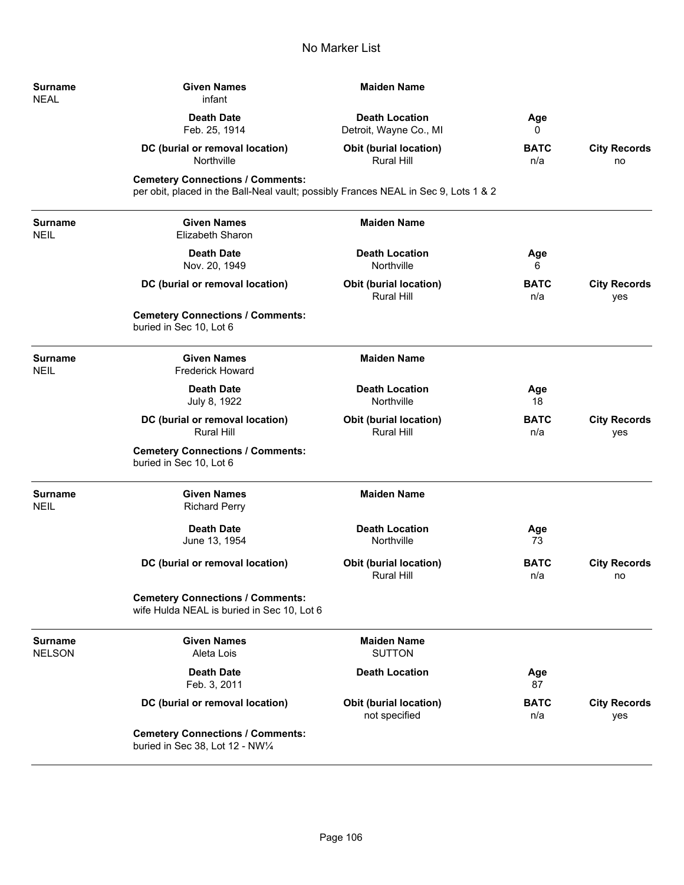| Surname<br><b>NEAL</b>   | <b>Given Names</b><br>infant                                                                                                   | <b>Maiden Name</b>                                 |                    |                            |
|--------------------------|--------------------------------------------------------------------------------------------------------------------------------|----------------------------------------------------|--------------------|----------------------------|
|                          | <b>Death Date</b><br>Feb. 25, 1914                                                                                             | <b>Death Location</b><br>Detroit, Wayne Co., MI    | Age<br>0           |                            |
|                          | DC (burial or removal location)<br>Northville                                                                                  | <b>Obit (burial location)</b><br>Rural Hill        | <b>BATC</b><br>n/a | <b>City Records</b><br>no  |
|                          | <b>Cemetery Connections / Comments:</b><br>per obit, placed in the Ball-Neal vault; possibly Frances NEAL in Sec 9, Lots 1 & 2 |                                                    |                    |                            |
| Surname<br>NEIL          | <b>Given Names</b><br>Elizabeth Sharon                                                                                         | <b>Maiden Name</b>                                 |                    |                            |
|                          | <b>Death Date</b><br>Nov. 20, 1949                                                                                             | <b>Death Location</b><br>Northville                | Age<br>6           |                            |
|                          | DC (burial or removal location)                                                                                                | <b>Obit (burial location)</b><br><b>Rural Hill</b> | <b>BATC</b><br>n/a | <b>City Records</b><br>yes |
|                          | <b>Cemetery Connections / Comments:</b><br>buried in Sec 10, Lot 6                                                             |                                                    |                    |                            |
| <b>Surname</b><br>NEIL   | <b>Given Names</b><br><b>Frederick Howard</b>                                                                                  | <b>Maiden Name</b>                                 |                    |                            |
|                          | <b>Death Date</b><br>July 8, 1922                                                                                              | <b>Death Location</b><br>Northville                | Age<br>18          |                            |
|                          | DC (burial or removal location)<br><b>Rural Hill</b>                                                                           | <b>Obit (burial location)</b><br>Rural Hill        | <b>BATC</b><br>n/a | <b>City Records</b><br>yes |
|                          | <b>Cemetery Connections / Comments:</b><br>buried in Sec 10, Lot 6                                                             |                                                    |                    |                            |
| <b>Surname</b><br>NEIL   | <b>Given Names</b><br><b>Richard Perry</b>                                                                                     | <b>Maiden Name</b>                                 |                    |                            |
|                          | <b>Death Date</b><br>June 13, 1954                                                                                             | <b>Death Location</b><br>Northville                | Age<br>73          |                            |
|                          | DC (burial or removal location)                                                                                                | <b>Obit (burial location)</b><br><b>Rural Hill</b> | <b>BATC</b><br>n/a | <b>City Records</b><br>no  |
|                          | <b>Cemetery Connections / Comments:</b><br>wife Hulda NEAL is buried in Sec 10, Lot 6                                          |                                                    |                    |                            |
| <b>Surname</b><br>NELSON | <b>Given Names</b><br>Aleta Lois                                                                                               | <b>Maiden Name</b><br><b>SUTTON</b>                |                    |                            |
|                          | <b>Death Date</b><br>Feb. 3, 2011                                                                                              | <b>Death Location</b>                              | Age<br>87          |                            |
|                          | DC (burial or removal location)                                                                                                | <b>Obit (burial location)</b><br>not specified     | <b>BATC</b><br>n/a | <b>City Records</b><br>yes |
|                          | <b>Cemetery Connections / Comments:</b><br>buried in Sec 38, Lot 12 - NW1/4                                                    |                                                    |                    |                            |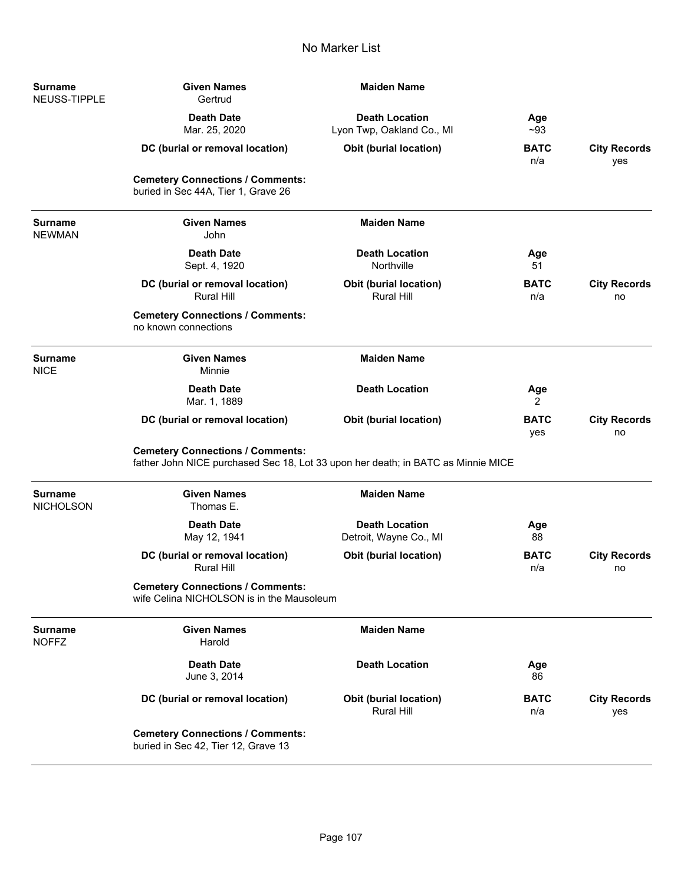| <b>Surname</b><br>NEUSS-TIPPLE     | <b>Given Names</b><br>Gertrud                                                                                               | <b>Maiden Name</b>                                 |                    |                            |
|------------------------------------|-----------------------------------------------------------------------------------------------------------------------------|----------------------------------------------------|--------------------|----------------------------|
|                                    | <b>Death Date</b><br>Mar. 25, 2020                                                                                          | <b>Death Location</b><br>Lyon Twp, Oakland Co., MI | Age<br>~93         |                            |
|                                    | DC (burial or removal location)                                                                                             | <b>Obit (burial location)</b>                      | <b>BATC</b><br>n/a | <b>City Records</b><br>yes |
|                                    | <b>Cemetery Connections / Comments:</b><br>buried in Sec 44A, Tier 1, Grave 26                                              |                                                    |                    |                            |
| Surname<br><b>NEWMAN</b>           | <b>Given Names</b><br>John                                                                                                  | <b>Maiden Name</b>                                 |                    |                            |
|                                    | <b>Death Date</b><br>Sept. 4, 1920                                                                                          | <b>Death Location</b><br>Northville                | Age<br>51          |                            |
|                                    | DC (burial or removal location)<br><b>Rural Hill</b>                                                                        | Obit (burial location)<br><b>Rural Hill</b>        | <b>BATC</b><br>n/a | <b>City Records</b><br>no  |
|                                    | <b>Cemetery Connections / Comments:</b><br>no known connections                                                             |                                                    |                    |                            |
| <b>Surname</b><br><b>NICE</b>      | <b>Given Names</b><br>Minnie                                                                                                | <b>Maiden Name</b>                                 |                    |                            |
|                                    | <b>Death Date</b><br>Mar. 1, 1889                                                                                           | <b>Death Location</b>                              | Age<br>2           |                            |
|                                    | DC (burial or removal location)                                                                                             | Obit (burial location)                             | <b>BATC</b><br>yes | <b>City Records</b><br>no  |
|                                    | <b>Cemetery Connections / Comments:</b><br>father John NICE purchased Sec 18, Lot 33 upon her death; in BATC as Minnie MICE |                                                    |                    |                            |
| <b>Surname</b><br><b>NICHOLSON</b> | <b>Given Names</b><br>Thomas E.                                                                                             | <b>Maiden Name</b>                                 |                    |                            |
|                                    | <b>Death Date</b><br>May 12, 1941                                                                                           | <b>Death Location</b><br>Detroit, Wayne Co., MI    | Age<br>88          |                            |
|                                    | DC (burial or removal location)<br><b>Rural Hill</b>                                                                        | Obit (burial location)                             | <b>BATC</b><br>n/a | <b>City Records</b><br>no  |
|                                    | <b>Cemetery Connections / Comments:</b><br>wife Celina NICHOLSON is in the Mausoleum                                        |                                                    |                    |                            |
| <b>Surname</b><br><b>NOFFZ</b>     | <b>Given Names</b><br>Harold                                                                                                | <b>Maiden Name</b>                                 |                    |                            |
|                                    | <b>Death Date</b><br>June 3, 2014                                                                                           | <b>Death Location</b>                              | Age<br>86          |                            |
|                                    | DC (burial or removal location)                                                                                             | <b>Obit (burial location)</b><br>Rural Hill        | <b>BATC</b><br>n/a | <b>City Records</b><br>yes |
|                                    | <b>Cemetery Connections / Comments:</b><br>buried in Sec 42, Tier 12, Grave 13                                              |                                                    |                    |                            |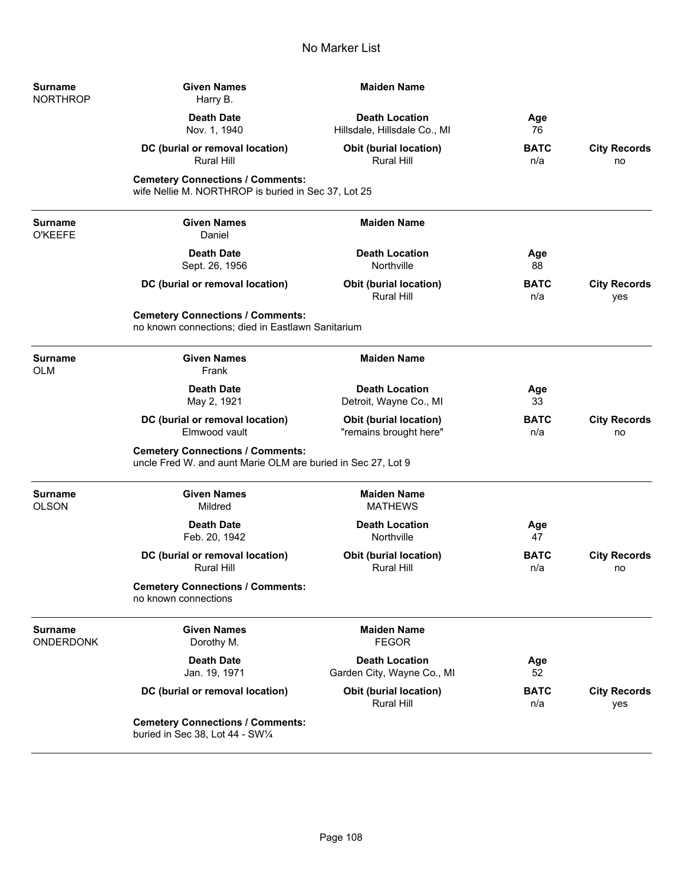| Surname<br>NORTHROP         | <b>Given Names</b><br>Harry B.                                                                          | <b>Maiden Name</b>                                      |                    |                            |
|-----------------------------|---------------------------------------------------------------------------------------------------------|---------------------------------------------------------|--------------------|----------------------------|
|                             | <b>Death Date</b><br>Nov. 1, 1940                                                                       | <b>Death Location</b><br>Hillsdale, Hillsdale Co., MI   | Age<br>76          |                            |
|                             | DC (burial or removal location)<br><b>Rural Hill</b>                                                    | <b>Obit (burial location)</b><br><b>Rural Hill</b>      | <b>BATC</b><br>n/a | <b>City Records</b><br>no  |
|                             | <b>Cemetery Connections / Comments:</b><br>wife Nellie M. NORTHROP is buried in Sec 37, Lot 25          |                                                         |                    |                            |
| Surname<br><b>O'KEEFE</b>   | <b>Given Names</b><br>Daniel                                                                            | <b>Maiden Name</b>                                      |                    |                            |
|                             | <b>Death Date</b><br>Sept. 26, 1956                                                                     | <b>Death Location</b><br>Northville                     | Age<br>88          |                            |
|                             | DC (burial or removal location)                                                                         | <b>Obit (burial location)</b><br><b>Rural Hill</b>      | <b>BATC</b><br>n/a | <b>City Records</b><br>yes |
|                             | <b>Cemetery Connections / Comments:</b><br>no known connections; died in Eastlawn Sanitarium            |                                                         |                    |                            |
| Surname<br>OLM              | <b>Given Names</b><br>Frank                                                                             | <b>Maiden Name</b>                                      |                    |                            |
|                             | <b>Death Date</b><br>May 2, 1921                                                                        | <b>Death Location</b><br>Detroit, Wayne Co., MI         | Age<br>33          |                            |
|                             | DC (burial or removal location)<br>Elmwood vault                                                        | <b>Obit (burial location)</b><br>"remains brought here" | <b>BATC</b><br>n/a | <b>City Records</b><br>no  |
|                             | <b>Cemetery Connections / Comments:</b><br>uncle Fred W. and aunt Marie OLM are buried in Sec 27, Lot 9 |                                                         |                    |                            |
| <b>Surname</b><br>OLSON     | <b>Given Names</b><br>Mildred                                                                           | <b>Maiden Name</b><br><b>MATHEWS</b>                    |                    |                            |
|                             | <b>Death Date</b><br>Feb. 20, 1942                                                                      | <b>Death Location</b><br>Northville                     | Age<br>47          |                            |
|                             | DC (burial or removal location)<br><b>Rural Hill</b>                                                    | <b>Obit (burial location)</b><br>Rural Hill             | <b>BATC</b><br>n/a | <b>City Records</b><br>no  |
|                             | <b>Cemetery Connections / Comments:</b><br>no known connections                                         |                                                         |                    |                            |
| <b>Surname</b><br>ONDERDONK | <b>Given Names</b><br>Dorothy M.                                                                        | <b>Maiden Name</b><br><b>FEGOR</b>                      |                    |                            |
|                             | <b>Death Date</b><br>Jan. 19, 1971                                                                      | <b>Death Location</b><br>Garden City, Wayne Co., MI     | Age<br>52          |                            |
|                             | DC (burial or removal location)                                                                         | <b>Obit (burial location)</b><br><b>Rural Hill</b>      | <b>BATC</b><br>n/a | <b>City Records</b><br>yes |
|                             | <b>Cemetery Connections / Comments:</b><br>buried in Sec 38, Lot 44 - SW1/4                             |                                                         |                    |                            |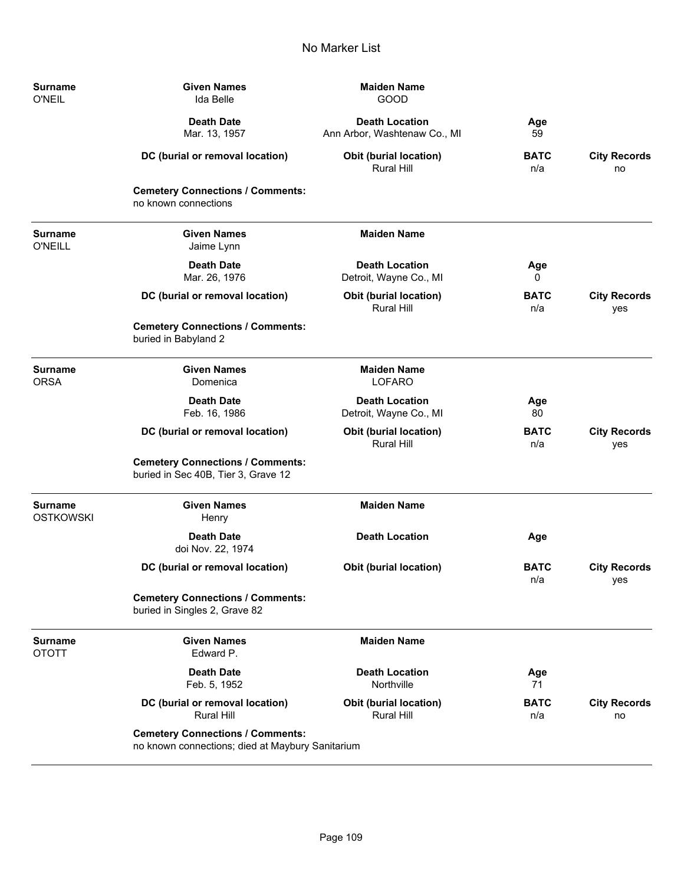| <b>Surname</b><br><b>O'NEIL</b>    | <b>Given Names</b><br>Ida Belle                                                             | <b>Maiden Name</b><br>GOOD                            |                    |                            |
|------------------------------------|---------------------------------------------------------------------------------------------|-------------------------------------------------------|--------------------|----------------------------|
|                                    | <b>Death Date</b><br>Mar. 13, 1957                                                          | <b>Death Location</b><br>Ann Arbor, Washtenaw Co., MI | Age<br>59          |                            |
|                                    | DC (burial or removal location)                                                             | <b>Obit (burial location)</b><br>Rural Hill           | <b>BATC</b><br>n/a | <b>City Records</b><br>no  |
|                                    | <b>Cemetery Connections / Comments:</b><br>no known connections                             |                                                       |                    |                            |
| <b>Surname</b><br><b>O'NEILL</b>   | <b>Given Names</b><br>Jaime Lynn                                                            | <b>Maiden Name</b>                                    |                    |                            |
|                                    | <b>Death Date</b><br>Mar. 26, 1976                                                          | <b>Death Location</b><br>Detroit, Wayne Co., MI       | Age<br>0           |                            |
|                                    | DC (burial or removal location)                                                             | Obit (burial location)<br><b>Rural Hill</b>           | <b>BATC</b><br>n/a | <b>City Records</b><br>yes |
|                                    | <b>Cemetery Connections / Comments:</b><br>buried in Babyland 2                             |                                                       |                    |                            |
| <b>Surname</b><br><b>ORSA</b>      | <b>Given Names</b><br>Domenica                                                              | <b>Maiden Name</b><br>LOFARO                          |                    |                            |
|                                    | <b>Death Date</b><br>Feb. 16, 1986                                                          | <b>Death Location</b><br>Detroit, Wayne Co., MI       | Age<br>80          |                            |
|                                    | DC (burial or removal location)                                                             | Obit (burial location)<br><b>Rural Hill</b>           | <b>BATC</b><br>n/a | <b>City Records</b><br>yes |
|                                    | <b>Cemetery Connections / Comments:</b><br>buried in Sec 40B, Tier 3, Grave 12              |                                                       |                    |                            |
| <b>Surname</b><br><b>OSTKOWSKI</b> | <b>Given Names</b><br>Henry                                                                 | <b>Maiden Name</b>                                    |                    |                            |
|                                    | <b>Death Date</b><br>doi Nov. 22, 1974                                                      | <b>Death Location</b>                                 | Age                |                            |
|                                    | DC (burial or removal location)                                                             | Obit (burial location)                                | <b>BATC</b><br>n/a | <b>City Records</b><br>yes |
|                                    | <b>Cemetery Connections / Comments:</b><br>buried in Singles 2, Grave 82                    |                                                       |                    |                            |
| <b>Surname</b><br><b>OTOTT</b>     | <b>Given Names</b><br>Edward P.                                                             | <b>Maiden Name</b>                                    |                    |                            |
|                                    | <b>Death Date</b><br>Feb. 5, 1952                                                           | <b>Death Location</b><br>Northville                   | Age<br>71          |                            |
|                                    | DC (burial or removal location)<br><b>Rural Hill</b>                                        | <b>Obit (burial location)</b><br>Rural Hill           | <b>BATC</b><br>n/a | <b>City Records</b><br>no  |
|                                    | <b>Cemetery Connections / Comments:</b><br>no known connections; died at Maybury Sanitarium |                                                       |                    |                            |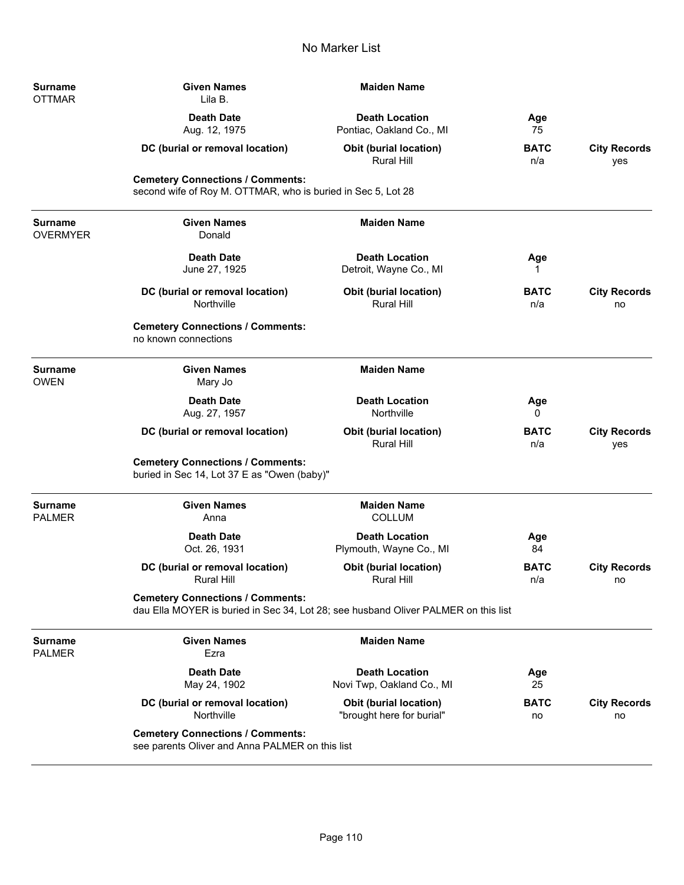| Surname<br>OTTMAR                 | <b>Given Names</b><br>Lila B.                                                                                                 | <b>Maiden Name</b>                                         |                    |                            |
|-----------------------------------|-------------------------------------------------------------------------------------------------------------------------------|------------------------------------------------------------|--------------------|----------------------------|
|                                   | <b>Death Date</b><br>Aug. 12, 1975                                                                                            | <b>Death Location</b><br>Pontiac, Oakland Co., MI          | Age<br>75          |                            |
|                                   | DC (burial or removal location)                                                                                               | <b>Obit (burial location)</b><br><b>Rural Hill</b>         | <b>BATC</b><br>n/a | <b>City Records</b><br>yes |
|                                   | <b>Cemetery Connections / Comments:</b><br>second wife of Roy M. OTTMAR, who is buried in Sec 5, Lot 28                       |                                                            |                    |                            |
| <b>Surname</b><br><b>OVERMYER</b> | <b>Given Names</b><br>Donald                                                                                                  | <b>Maiden Name</b>                                         |                    |                            |
|                                   | <b>Death Date</b><br>June 27, 1925                                                                                            | <b>Death Location</b><br>Detroit, Wayne Co., MI            | Age<br>1           |                            |
|                                   | DC (burial or removal location)<br>Northville                                                                                 | <b>Obit (burial location)</b><br><b>Rural Hill</b>         | <b>BATC</b><br>n/a | <b>City Records</b><br>no  |
|                                   | <b>Cemetery Connections / Comments:</b><br>no known connections                                                               |                                                            |                    |                            |
| <b>Surname</b><br><b>OWEN</b>     | <b>Given Names</b><br>Mary Jo                                                                                                 | <b>Maiden Name</b>                                         |                    |                            |
|                                   | <b>Death Date</b><br>Aug. 27, 1957                                                                                            | <b>Death Location</b><br>Northville                        | Age<br>0           |                            |
|                                   | DC (burial or removal location)                                                                                               | <b>Obit (burial location)</b><br>Rural Hill                | <b>BATC</b><br>n/a | <b>City Records</b><br>yes |
|                                   | <b>Cemetery Connections / Comments:</b><br>buried in Sec 14, Lot 37 E as "Owen (baby)"                                        |                                                            |                    |                            |
| Surname<br><b>PALMER</b>          | <b>Given Names</b><br>Anna                                                                                                    | <b>Maiden Name</b><br><b>COLLUM</b>                        |                    |                            |
|                                   | <b>Death Date</b><br>Oct. 26, 1931                                                                                            | <b>Death Location</b><br>Plymouth, Wayne Co., MI           | Age<br>84          |                            |
|                                   | DC (burial or removal location)<br><b>Rural Hill</b>                                                                          | <b>Obit (burial location)</b><br><b>Rural Hill</b>         | <b>BATC</b><br>n/a | <b>City Records</b><br>no  |
|                                   | <b>Cemetery Connections / Comments:</b><br>dau Ella MOYER is buried in Sec 34, Lot 28; see husband Oliver PALMER on this list |                                                            |                    |                            |
| Surname<br>PALMER                 | <b>Given Names</b><br>Ezra                                                                                                    | <b>Maiden Name</b>                                         |                    |                            |
|                                   | <b>Death Date</b><br>May 24, 1902                                                                                             | <b>Death Location</b><br>Novi Twp, Oakland Co., MI         | Age<br>25          |                            |
|                                   | DC (burial or removal location)<br>Northville                                                                                 | <b>Obit (burial location)</b><br>"brought here for burial" | <b>BATC</b><br>no  | <b>City Records</b><br>no  |
|                                   | <b>Cemetery Connections / Comments:</b><br>see parents Oliver and Anna PALMER on this list                                    |                                                            |                    |                            |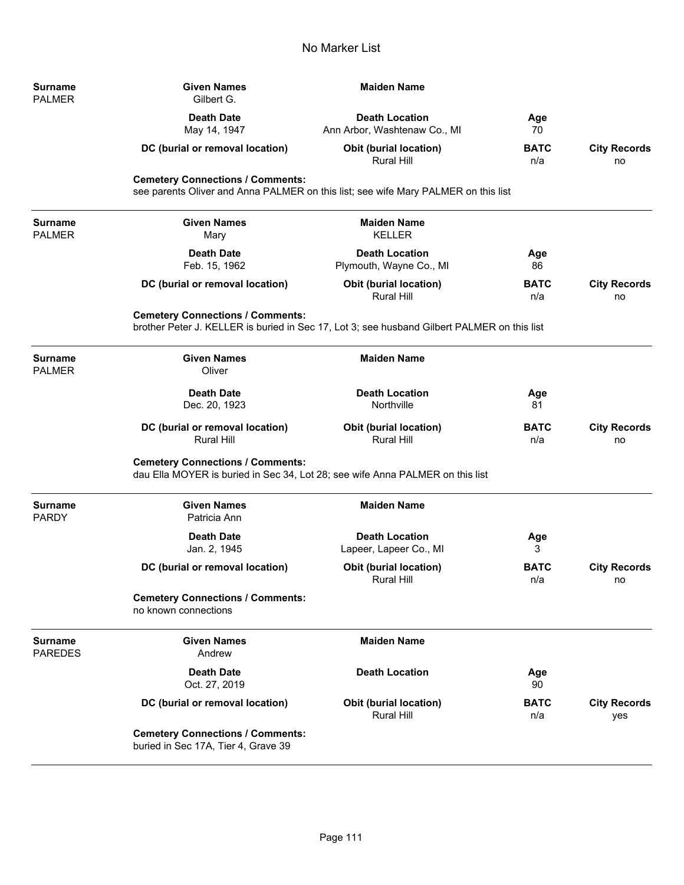**Surname** PALMER

**Surname** PALMER

**Surname** PALMER

**Surname** PARDY

PAREDES

| <b>Given Names</b><br>Gilbert G.                                               | <b>Maiden Name</b>                                    |                                                                               |                                                                                                                                                                                   |
|--------------------------------------------------------------------------------|-------------------------------------------------------|-------------------------------------------------------------------------------|-----------------------------------------------------------------------------------------------------------------------------------------------------------------------------------|
| <b>Death Date</b><br>May 14, 1947                                              | <b>Death Location</b><br>Ann Arbor, Washtenaw Co., MI | Age<br>70                                                                     |                                                                                                                                                                                   |
| DC (burial or removal location)                                                | <b>Obit (burial location)</b><br>Rural Hill           | <b>BATC</b><br>n/a                                                            | <b>City Records</b><br>no                                                                                                                                                         |
| <b>Cemetery Connections / Comments:</b>                                        |                                                       |                                                                               |                                                                                                                                                                                   |
| <b>Given Names</b><br>Mary                                                     | <b>Maiden Name</b><br><b>KELLER</b>                   |                                                                               |                                                                                                                                                                                   |
| <b>Death Date</b><br>Feb. 15, 1962                                             | <b>Death Location</b><br>Plymouth, Wayne Co., MI      | Age<br>86                                                                     |                                                                                                                                                                                   |
| DC (burial or removal location)                                                | <b>Obit (burial location)</b><br><b>Rural Hill</b>    | <b>BATC</b><br>n/a                                                            | <b>City Records</b><br>no                                                                                                                                                         |
| <b>Cemetery Connections / Comments:</b>                                        |                                                       |                                                                               |                                                                                                                                                                                   |
| <b>Given Names</b><br>Oliver                                                   | <b>Maiden Name</b>                                    |                                                                               |                                                                                                                                                                                   |
| <b>Death Date</b><br>Dec. 20, 1923                                             | <b>Death Location</b><br>Northville                   | Age<br>81                                                                     |                                                                                                                                                                                   |
| DC (burial or removal location)<br><b>Rural Hill</b>                           | <b>Obit (burial location)</b><br>Rural Hill           | <b>BATC</b><br>n/a                                                            | <b>City Records</b><br>no                                                                                                                                                         |
| <b>Cemetery Connections / Comments:</b>                                        |                                                       |                                                                               |                                                                                                                                                                                   |
| <b>Given Names</b><br>Patricia Ann                                             | <b>Maiden Name</b>                                    |                                                                               |                                                                                                                                                                                   |
| <b>Death Date</b><br>Jan. 2, 1945                                              | <b>Death Location</b><br>Lapeer, Lapeer Co., MI       | Age<br>3                                                                      |                                                                                                                                                                                   |
| DC (burial or removal location)                                                | Obit (burial location)<br><b>Rural Hill</b>           | <b>BATC</b><br>n/a                                                            | <b>City Records</b><br>no                                                                                                                                                         |
| <b>Cemetery Connections / Comments:</b><br>no known connections                |                                                       |                                                                               |                                                                                                                                                                                   |
| <b>Given Names</b><br>Andrew                                                   | <b>Maiden Name</b>                                    |                                                                               |                                                                                                                                                                                   |
| <b>Death Date</b><br>Oct. 27, 2019                                             | <b>Death Location</b>                                 | Age<br>90                                                                     |                                                                                                                                                                                   |
| DC (burial or removal location)                                                | Obit (burial location)<br>Rural Hill                  | <b>BATC</b><br>n/a                                                            | <b>City Records</b><br>yes                                                                                                                                                        |
| <b>Cemetery Connections / Comments:</b><br>buried in Sec 17A, Tier 4, Grave 39 |                                                       |                                                                               |                                                                                                                                                                                   |
|                                                                                |                                                       | dau Ella MOYER is buried in Sec 34, Lot 28; see wife Anna PALMER on this list | see parents Oliver and Anna PALMER on this list; see wife Mary PALMER on this list<br>brother Peter J. KELLER is buried in Sec 17, Lot 3; see husband Gilbert PALMER on this list |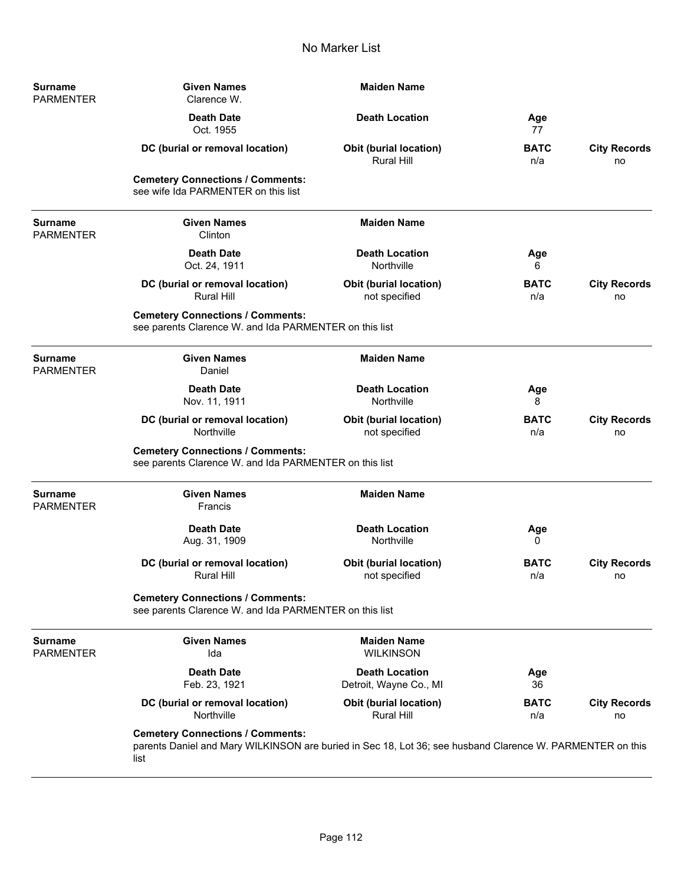| <b>Surname</b><br><b>PARMENTER</b> | <b>Given Names</b><br>Clarence W.                                                                                                                            | <b>Maiden Name</b>                                 |                    |                           |
|------------------------------------|--------------------------------------------------------------------------------------------------------------------------------------------------------------|----------------------------------------------------|--------------------|---------------------------|
|                                    | <b>Death Date</b><br>Oct. 1955                                                                                                                               | <b>Death Location</b>                              | Age<br>77          |                           |
|                                    | DC (burial or removal location)                                                                                                                              | <b>Obit (burial location)</b><br><b>Rural Hill</b> | <b>BATC</b><br>n/a | <b>City Records</b><br>no |
|                                    | <b>Cemetery Connections / Comments:</b><br>see wife Ida PARMENTER on this list                                                                               |                                                    |                    |                           |
| <b>Surname</b><br><b>PARMENTER</b> | <b>Given Names</b><br>Clinton                                                                                                                                | <b>Maiden Name</b>                                 |                    |                           |
|                                    | <b>Death Date</b><br>Oct. 24, 1911                                                                                                                           | <b>Death Location</b><br>Northville                | Age<br>6           |                           |
|                                    | DC (burial or removal location)<br><b>Rural Hill</b>                                                                                                         | <b>Obit (burial location)</b><br>not specified     | <b>BATC</b><br>n/a | <b>City Records</b><br>no |
|                                    | <b>Cemetery Connections / Comments:</b><br>see parents Clarence W. and Ida PARMENTER on this list                                                            |                                                    |                    |                           |
| <b>Surname</b><br><b>PARMENTER</b> | <b>Given Names</b><br>Daniel                                                                                                                                 | <b>Maiden Name</b>                                 |                    |                           |
|                                    | <b>Death Date</b><br>Nov. 11, 1911                                                                                                                           | <b>Death Location</b><br>Northville                | Age<br>8           |                           |
|                                    | DC (burial or removal location)<br>Northville                                                                                                                | <b>Obit (burial location)</b><br>not specified     | <b>BATC</b><br>n/a | <b>City Records</b><br>no |
|                                    | <b>Cemetery Connections / Comments:</b><br>see parents Clarence W. and Ida PARMENTER on this list                                                            |                                                    |                    |                           |
| <b>Surname</b><br><b>PARMENTER</b> | <b>Given Names</b><br>Francis                                                                                                                                | <b>Maiden Name</b>                                 |                    |                           |
|                                    | <b>Death Date</b><br>Aug. 31, 1909                                                                                                                           | <b>Death Location</b><br>Northville                | Age<br>0           |                           |
|                                    | DC (burial or removal location)<br>Rural Hill                                                                                                                | <b>Obit (burial location)</b><br>not specified     | <b>BATC</b><br>n/a | <b>City Records</b><br>no |
|                                    | <b>Cemetery Connections / Comments:</b><br>see parents Clarence W. and Ida PARMENTER on this list                                                            |                                                    |                    |                           |
| <b>Surname</b><br><b>PARMENTER</b> | <b>Given Names</b><br>Ida                                                                                                                                    | <b>Maiden Name</b><br><b>WILKINSON</b>             |                    |                           |
|                                    | <b>Death Date</b><br>Feb. 23, 1921                                                                                                                           | <b>Death Location</b><br>Detroit, Wayne Co., MI    | Age<br>36          |                           |
|                                    | DC (burial or removal location)<br>Northville                                                                                                                | <b>Obit (burial location)</b><br><b>Rural Hill</b> | <b>BATC</b><br>n/a | <b>City Records</b><br>no |
|                                    | <b>Cemetery Connections / Comments:</b><br>parents Daniel and Mary WILKINSON are buried in Sec 18, Lot 36; see husband Clarence W. PARMENTER on this<br>list |                                                    |                    |                           |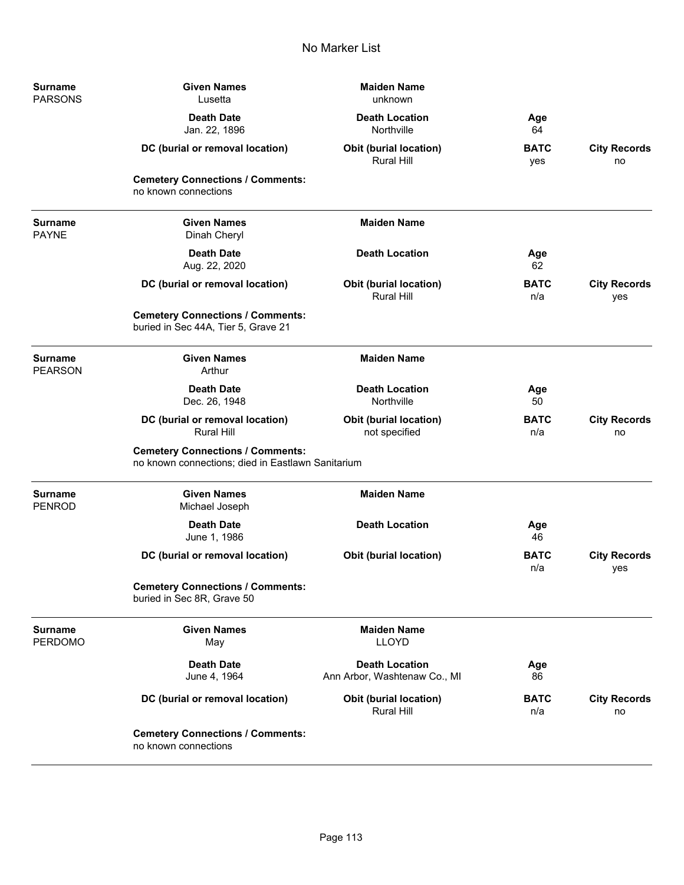| Surname<br><b>PARSONS</b>        | <b>Given Names</b><br>Lusetta                                                                | <b>Maiden Name</b><br>unknown                         |                    |                            |
|----------------------------------|----------------------------------------------------------------------------------------------|-------------------------------------------------------|--------------------|----------------------------|
|                                  | <b>Death Date</b><br>Jan. 22, 1896                                                           | <b>Death Location</b><br>Northville                   | Age<br>64          |                            |
|                                  | DC (burial or removal location)                                                              | Obit (burial location)<br><b>Rural Hill</b>           | <b>BATC</b><br>yes | <b>City Records</b><br>no  |
|                                  | <b>Cemetery Connections / Comments:</b><br>no known connections                              |                                                       |                    |                            |
| Surname<br><b>PAYNE</b>          | <b>Given Names</b><br>Dinah Cheryl                                                           | <b>Maiden Name</b>                                    |                    |                            |
|                                  | <b>Death Date</b><br>Aug. 22, 2020                                                           | <b>Death Location</b>                                 | Age<br>62          |                            |
|                                  | DC (burial or removal location)                                                              | <b>Obit (burial location)</b><br><b>Rural Hill</b>    | <b>BATC</b><br>n/a | <b>City Records</b><br>yes |
|                                  | <b>Cemetery Connections / Comments:</b><br>buried in Sec 44A, Tier 5, Grave 21               |                                                       |                    |                            |
| <b>Surname</b><br><b>PEARSON</b> | <b>Given Names</b><br>Arthur                                                                 | <b>Maiden Name</b>                                    |                    |                            |
|                                  | <b>Death Date</b><br>Dec. 26, 1948                                                           | <b>Death Location</b><br>Northville                   | Age<br>50          |                            |
|                                  | DC (burial or removal location)<br><b>Rural Hill</b>                                         | <b>Obit (burial location)</b><br>not specified        | <b>BATC</b><br>n/a | <b>City Records</b><br>no  |
|                                  | <b>Cemetery Connections / Comments:</b><br>no known connections; died in Eastlawn Sanitarium |                                                       |                    |                            |
| Surname<br><b>PENROD</b>         | <b>Given Names</b><br>Michael Joseph                                                         | <b>Maiden Name</b>                                    |                    |                            |
|                                  | <b>Death Date</b><br>June 1, 1986                                                            | <b>Death Location</b>                                 | Age<br>46          |                            |
|                                  | DC (burial or removal location)                                                              | <b>Obit (burial location)</b>                         | <b>BATC</b><br>n/a | <b>City Records</b><br>yes |
|                                  | <b>Cemetery Connections / Comments:</b><br>buried in Sec 8R, Grave 50                        |                                                       |                    |                            |
| <b>Surname</b><br><b>PERDOMO</b> | <b>Given Names</b><br>May                                                                    | <b>Maiden Name</b><br><b>LLOYD</b>                    |                    |                            |
|                                  | <b>Death Date</b><br>June 4, 1964                                                            | <b>Death Location</b><br>Ann Arbor, Washtenaw Co., MI | Age<br>86          |                            |
|                                  | DC (burial or removal location)                                                              | <b>Obit (burial location)</b><br>Rural Hill           | <b>BATC</b><br>n/a | <b>City Records</b><br>no  |
|                                  | <b>Cemetery Connections / Comments:</b><br>no known connections                              |                                                       |                    |                            |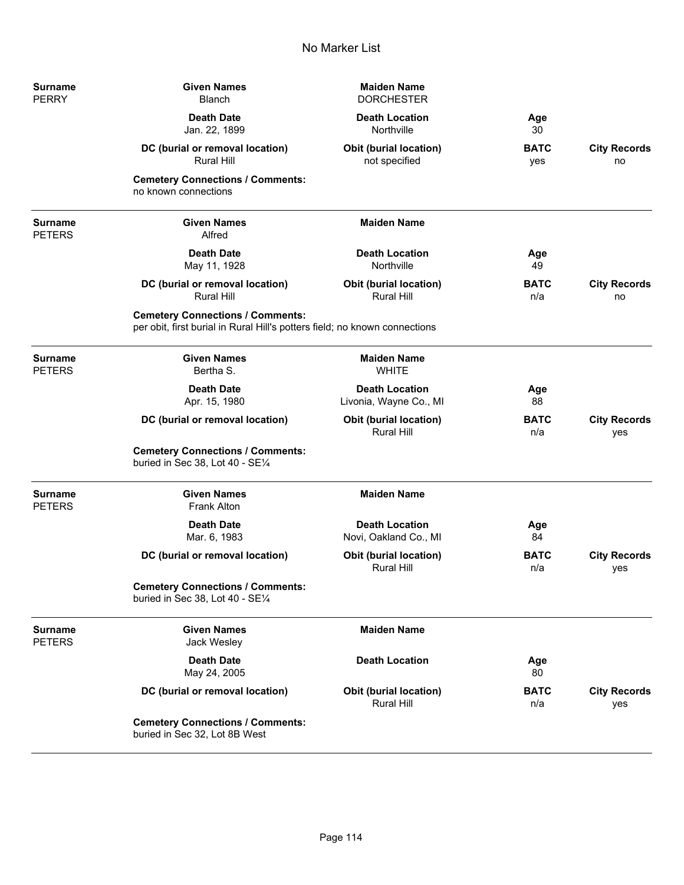| Surname<br>PERRY         | <b>Given Names</b><br><b>Blanch</b>                                                                                   | <b>Maiden Name</b><br><b>DORCHESTER</b>            |                    |                            |
|--------------------------|-----------------------------------------------------------------------------------------------------------------------|----------------------------------------------------|--------------------|----------------------------|
|                          | <b>Death Date</b><br>Jan. 22, 1899                                                                                    | <b>Death Location</b><br>Northville                | Age<br>30          |                            |
|                          | DC (burial or removal location)<br><b>Rural Hill</b>                                                                  | <b>Obit (burial location)</b><br>not specified     | <b>BATC</b><br>yes | <b>City Records</b><br>no  |
|                          | <b>Cemetery Connections / Comments:</b><br>no known connections                                                       |                                                    |                    |                            |
| Surname<br>PETERS        | <b>Given Names</b><br>Alfred                                                                                          | <b>Maiden Name</b>                                 |                    |                            |
|                          | <b>Death Date</b><br>May 11, 1928                                                                                     | <b>Death Location</b><br>Northville                | Age<br>49          |                            |
|                          | DC (burial or removal location)<br><b>Rural Hill</b>                                                                  | <b>Obit (burial location)</b><br><b>Rural Hill</b> | <b>BATC</b><br>n/a | <b>City Records</b><br>no  |
|                          | <b>Cemetery Connections / Comments:</b><br>per obit, first burial in Rural Hill's potters field; no known connections |                                                    |                    |                            |
| Surname<br>PETERS        | <b>Given Names</b><br>Bertha S.                                                                                       | <b>Maiden Name</b><br><b>WHITE</b>                 |                    |                            |
|                          | <b>Death Date</b><br>Apr. 15, 1980                                                                                    | <b>Death Location</b><br>Livonia, Wayne Co., MI    | Age<br>88          |                            |
|                          | DC (burial or removal location)                                                                                       | Obit (burial location)<br><b>Rural Hill</b>        | <b>BATC</b><br>n/a | <b>City Records</b><br>yes |
|                          | <b>Cemetery Connections / Comments:</b><br>buried in Sec 38, Lot 40 - SE1/4                                           |                                                    |                    |                            |
| <b>Surname</b><br>PETERS | <b>Given Names</b><br><b>Frank Alton</b>                                                                              | <b>Maiden Name</b>                                 |                    |                            |
|                          | <b>Death Date</b><br>Mar. 6, 1983                                                                                     | <b>Death Location</b><br>Novi, Oakland Co., MI     | Age<br>84          |                            |
|                          | DC (burial or removal location)                                                                                       | Obit (burial location)<br><b>Rural Hill</b>        | <b>BATC</b><br>n/a | <b>City Records</b><br>yes |
|                          | <b>Cemetery Connections / Comments:</b><br>buried in Sec 38, Lot 40 - SE1/4                                           |                                                    |                    |                            |
| Surname<br>PETERS        | <b>Given Names</b><br>Jack Wesley                                                                                     | <b>Maiden Name</b>                                 |                    |                            |
|                          | <b>Death Date</b><br>May 24, 2005                                                                                     | <b>Death Location</b>                              | Age<br>80          |                            |
|                          | DC (burial or removal location)                                                                                       | Obit (burial location)<br>Rural Hill               | <b>BATC</b><br>n/a | <b>City Records</b><br>yes |
|                          | <b>Cemetery Connections / Comments:</b><br>buried in Sec 32, Lot 8B West                                              |                                                    |                    |                            |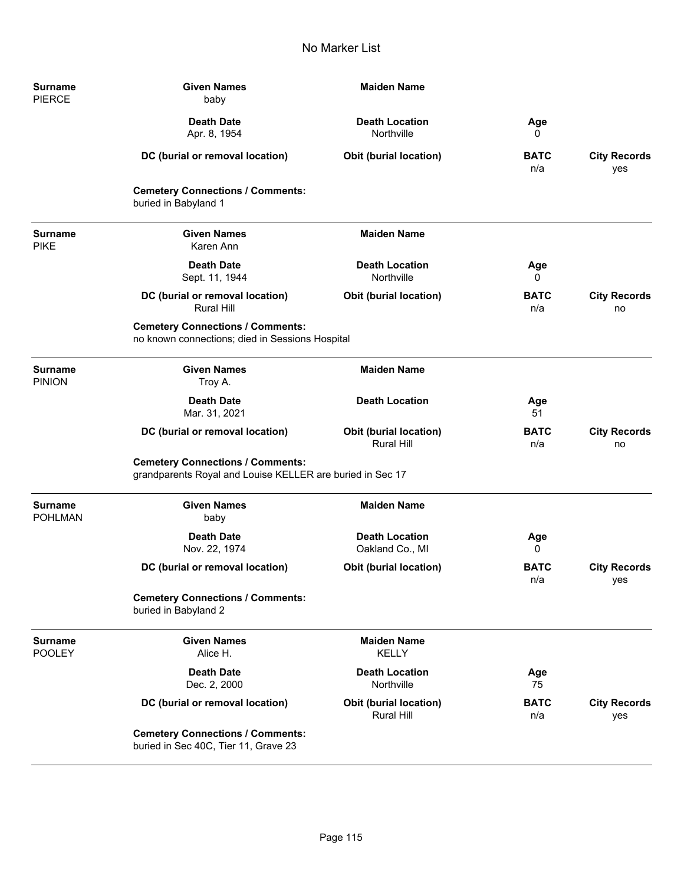| Surname<br><b>PIERCE</b>         | <b>Given Names</b><br>baby                                                                           | <b>Maiden Name</b>                          |                    |                            |
|----------------------------------|------------------------------------------------------------------------------------------------------|---------------------------------------------|--------------------|----------------------------|
|                                  | <b>Death Date</b><br>Apr. 8, 1954                                                                    | <b>Death Location</b><br>Northville         | Age<br>0           |                            |
|                                  | DC (burial or removal location)                                                                      | <b>Obit (burial location)</b>               | <b>BATC</b><br>n/a | <b>City Records</b><br>yes |
|                                  | <b>Cemetery Connections / Comments:</b><br>buried in Babyland 1                                      |                                             |                    |                            |
| <b>Surname</b><br><b>PIKE</b>    | <b>Given Names</b><br>Karen Ann                                                                      | <b>Maiden Name</b>                          |                    |                            |
|                                  | <b>Death Date</b><br>Sept. 11, 1944                                                                  | <b>Death Location</b><br>Northville         | Age<br>0           |                            |
|                                  | DC (burial or removal location)<br><b>Rural Hill</b>                                                 | Obit (burial location)                      | <b>BATC</b><br>n/a | <b>City Records</b><br>no  |
|                                  | <b>Cemetery Connections / Comments:</b><br>no known connections; died in Sessions Hospital           |                                             |                    |                            |
| <b>Surname</b><br><b>PINION</b>  | <b>Given Names</b><br>Troy A.                                                                        | <b>Maiden Name</b>                          |                    |                            |
|                                  | <b>Death Date</b><br>Mar. 31, 2021                                                                   | <b>Death Location</b>                       | Age<br>51          |                            |
|                                  | DC (burial or removal location)                                                                      | <b>Obit (burial location)</b><br>Rural Hill | <b>BATC</b><br>n/a | <b>City Records</b><br>no  |
|                                  | <b>Cemetery Connections / Comments:</b><br>grandparents Royal and Louise KELLER are buried in Sec 17 |                                             |                    |                            |
| <b>Surname</b><br><b>POHLMAN</b> | <b>Given Names</b><br>baby                                                                           | <b>Maiden Name</b>                          |                    |                            |
|                                  | <b>Death Date</b><br>Nov. 22, 1974                                                                   | <b>Death Location</b><br>Oakland Co., MI    | Age<br>0           |                            |
|                                  | DC (burial or removal location)                                                                      | <b>Obit (burial location)</b>               | <b>BATC</b><br>n/a | <b>City Records</b><br>yes |
|                                  | <b>Cemetery Connections / Comments:</b><br>buried in Babyland 2                                      |                                             |                    |                            |
| <b>Surname</b><br><b>POOLEY</b>  | <b>Given Names</b><br>Alice H.                                                                       | <b>Maiden Name</b><br><b>KELLY</b>          |                    |                            |
|                                  | <b>Death Date</b><br>Dec. 2, 2000                                                                    | <b>Death Location</b><br>Northville         | Age<br>75          |                            |
|                                  | DC (burial or removal location)                                                                      | Obit (burial location)<br>Rural Hill        | <b>BATC</b><br>n/a | <b>City Records</b><br>yes |
|                                  | <b>Cemetery Connections / Comments:</b><br>buried in Sec 40C, Tier 11, Grave 23                      |                                             |                    |                            |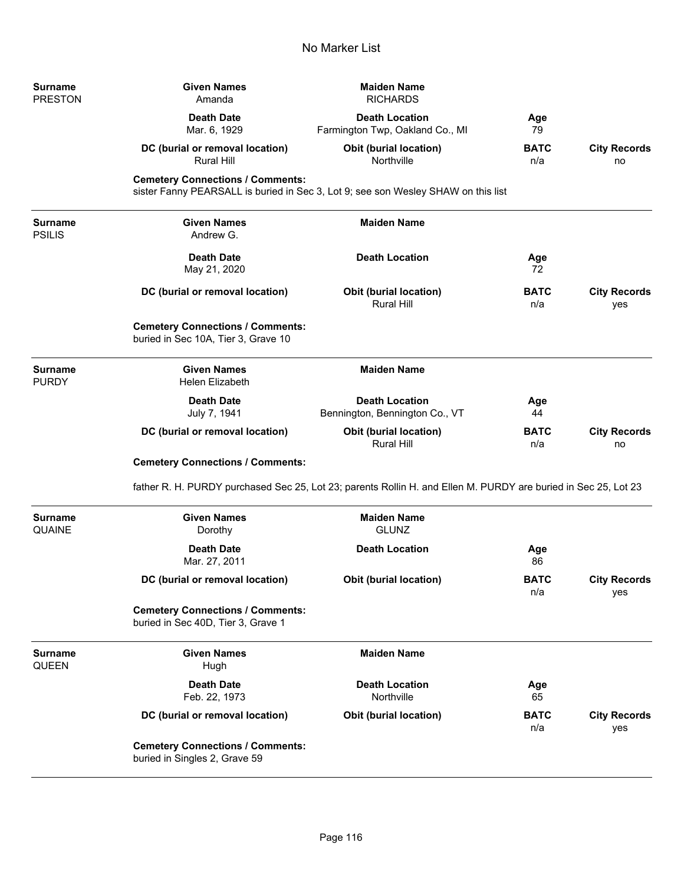| <b>Surname</b><br><b>PRESTON</b> | <b>Given Names</b><br>Amanda                                                   | <b>Maiden Name</b><br><b>RICHARDS</b>                                                                          |                    |                            |
|----------------------------------|--------------------------------------------------------------------------------|----------------------------------------------------------------------------------------------------------------|--------------------|----------------------------|
|                                  | <b>Death Date</b><br>Mar. 6, 1929                                              | <b>Death Location</b><br>Farmington Twp, Oakland Co., MI                                                       | Age<br>79          |                            |
|                                  | DC (burial or removal location)<br><b>Rural Hill</b>                           | <b>Obit (burial location)</b><br>Northville                                                                    | <b>BATC</b><br>n/a | <b>City Records</b><br>no  |
|                                  | <b>Cemetery Connections / Comments:</b>                                        | sister Fanny PEARSALL is buried in Sec 3, Lot 9; see son Wesley SHAW on this list                              |                    |                            |
| <b>Surname</b><br><b>PSILIS</b>  | <b>Given Names</b><br>Andrew G.                                                | <b>Maiden Name</b>                                                                                             |                    |                            |
|                                  | <b>Death Date</b><br>May 21, 2020                                              | <b>Death Location</b>                                                                                          | Age<br>72          |                            |
|                                  | DC (burial or removal location)                                                | <b>Obit (burial location)</b><br><b>Rural Hill</b>                                                             | BATC<br>n/a        | <b>City Records</b><br>yes |
|                                  | <b>Cemetery Connections / Comments:</b><br>buried in Sec 10A, Tier 3, Grave 10 |                                                                                                                |                    |                            |
| <b>Surname</b><br><b>PURDY</b>   | <b>Given Names</b><br><b>Helen Elizabeth</b>                                   | <b>Maiden Name</b>                                                                                             |                    |                            |
|                                  | <b>Death Date</b><br>July 7, 1941                                              | <b>Death Location</b><br>Bennington, Bennington Co., VT                                                        | Age<br>44          |                            |
|                                  | DC (burial or removal location)                                                | Obit (burial location)<br>Rural Hill                                                                           | BATC<br>n/a        | <b>City Records</b><br>no  |
|                                  | <b>Cemetery Connections / Comments:</b>                                        |                                                                                                                |                    |                            |
|                                  |                                                                                | father R. H. PURDY purchased Sec 25, Lot 23; parents Rollin H. and Ellen M. PURDY are buried in Sec 25, Lot 23 |                    |                            |
| <b>Surname</b><br><b>QUAINE</b>  | <b>Given Names</b><br>Dorothy                                                  | <b>Maiden Name</b><br><b>GLUNZ</b>                                                                             |                    |                            |
|                                  | <b>Death Date</b><br>Mar. 27, 2011                                             | <b>Death Location</b>                                                                                          | Age<br>86          |                            |
|                                  | DC (burial or removal location)                                                | <b>Obit (burial location)</b>                                                                                  | <b>BATC</b><br>n/a | <b>City Records</b><br>yes |
|                                  | <b>Cemetery Connections / Comments:</b><br>buried in Sec 40D, Tier 3, Grave 1  |                                                                                                                |                    |                            |
| <b>Surname</b><br><b>QUEEN</b>   | <b>Given Names</b><br>Hugh                                                     | <b>Maiden Name</b>                                                                                             |                    |                            |
|                                  | <b>Death Date</b><br>Feb. 22, 1973                                             | <b>Death Location</b><br>Northville                                                                            | Age<br>65          |                            |
|                                  | DC (burial or removal location)                                                | <b>Obit (burial location)</b>                                                                                  | <b>BATC</b><br>n/a | <b>City Records</b><br>yes |
|                                  | <b>Cemetery Connections / Comments:</b><br>buried in Singles 2, Grave 59       |                                                                                                                |                    |                            |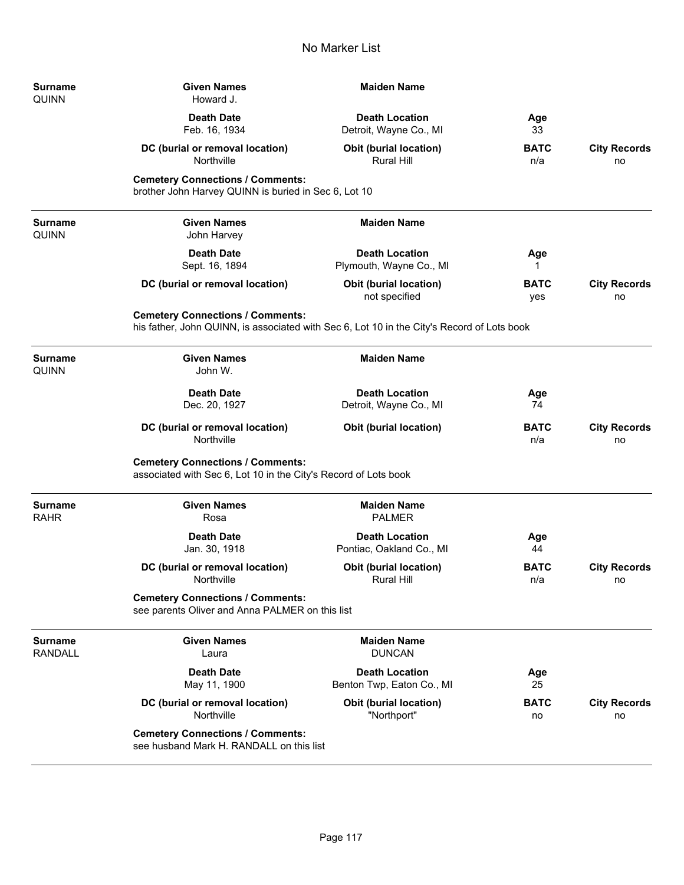| Surname<br>Quinn          | <b>Given Names</b><br>Howard J.                                                                                                       | <b>Maiden Name</b>                                 |                    |                           |
|---------------------------|---------------------------------------------------------------------------------------------------------------------------------------|----------------------------------------------------|--------------------|---------------------------|
|                           | <b>Death Date</b><br>Feb. 16, 1934                                                                                                    | <b>Death Location</b><br>Detroit, Wayne Co., MI    | Age<br>33          |                           |
|                           | DC (burial or removal location)<br>Northville                                                                                         | <b>Obit (burial location)</b><br>Rural Hill        | <b>BATC</b><br>n/a | <b>City Records</b><br>no |
|                           | <b>Cemetery Connections / Comments:</b><br>brother John Harvey QUINN is buried in Sec 6, Lot 10                                       |                                                    |                    |                           |
| Surname<br>Quinn          | <b>Given Names</b><br>John Harvey                                                                                                     | <b>Maiden Name</b>                                 |                    |                           |
|                           | <b>Death Date</b><br>Sept. 16, 1894                                                                                                   | <b>Death Location</b><br>Plymouth, Wayne Co., MI   | Age<br>1           |                           |
|                           | DC (burial or removal location)                                                                                                       | Obit (burial location)<br>not specified            | <b>BATC</b><br>yes | <b>City Records</b><br>no |
|                           | <b>Cemetery Connections / Comments:</b><br>his father, John QUINN, is associated with Sec 6, Lot 10 in the City's Record of Lots book |                                                    |                    |                           |
| Surname<br>QUINN          | <b>Given Names</b><br>John W.                                                                                                         | <b>Maiden Name</b>                                 |                    |                           |
|                           | <b>Death Date</b><br>Dec. 20, 1927                                                                                                    | <b>Death Location</b><br>Detroit, Wayne Co., MI    | Age<br>74          |                           |
|                           | DC (burial or removal location)<br>Northville                                                                                         | Obit (burial location)                             | <b>BATC</b><br>n/a | <b>City Records</b><br>no |
|                           | <b>Cemetery Connections / Comments:</b><br>associated with Sec 6, Lot 10 in the City's Record of Lots book                            |                                                    |                    |                           |
| Surname<br><b>RAHR</b>    | <b>Given Names</b><br>Rosa                                                                                                            | <b>Maiden Name</b><br><b>PALMER</b>                |                    |                           |
|                           | <b>Death Date</b><br>Jan. 30, 1918                                                                                                    | <b>Death Location</b><br>Pontiac, Oakland Co., MI  | Age<br>44          |                           |
|                           | DC (burial or removal location)<br>Northville                                                                                         | Obit (burial location)<br><b>Rural Hill</b>        | <b>BATC</b><br>n/a | <b>City Records</b><br>no |
|                           | <b>Cemetery Connections / Comments:</b><br>see parents Oliver and Anna PALMER on this list                                            |                                                    |                    |                           |
| <b>Surname</b><br>RANDALL | <b>Given Names</b><br>Laura                                                                                                           | <b>Maiden Name</b><br><b>DUNCAN</b>                |                    |                           |
|                           | <b>Death Date</b><br>May 11, 1900                                                                                                     | <b>Death Location</b><br>Benton Twp, Eaton Co., MI | Age<br>25          |                           |
|                           | DC (burial or removal location)<br>Northville                                                                                         | <b>Obit (burial location)</b><br>"Northport"       | <b>BATC</b><br>no  | <b>City Records</b><br>no |
|                           | <b>Cemetery Connections / Comments:</b><br>see husband Mark H. RANDALL on this list                                                   |                                                    |                    |                           |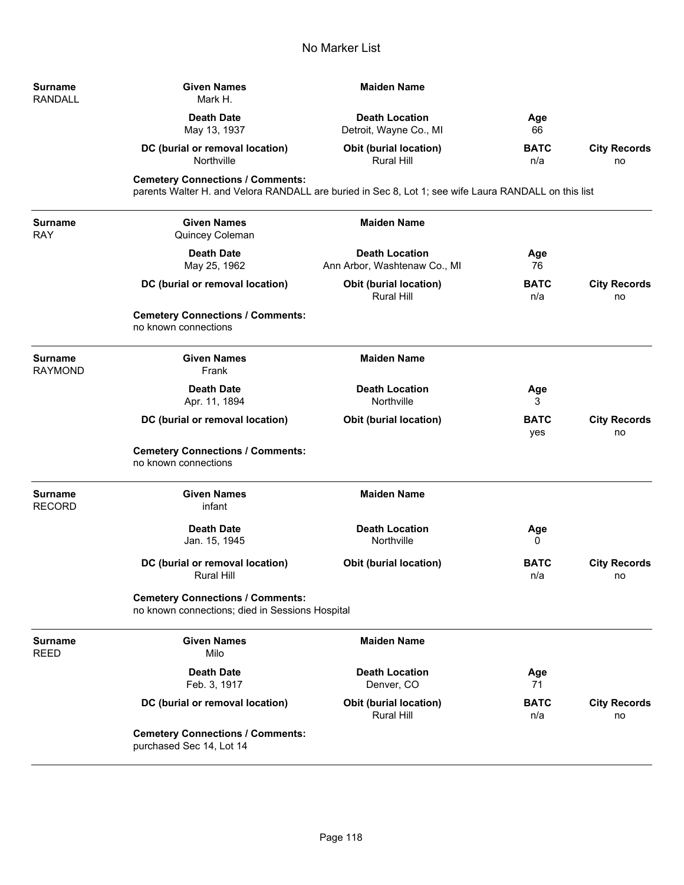| Surname<br>RANDALL        | <b>Given Names</b><br>Mark H.                                                                                                                   | <b>Maiden Name</b>                                    |                    |                           |
|---------------------------|-------------------------------------------------------------------------------------------------------------------------------------------------|-------------------------------------------------------|--------------------|---------------------------|
|                           | <b>Death Date</b><br>May 13, 1937                                                                                                               | <b>Death Location</b><br>Detroit, Wayne Co., MI       | Age<br>66          |                           |
|                           | DC (burial or removal location)<br>Northville                                                                                                   | <b>Obit (burial location)</b><br>Rural Hill           | <b>BATC</b><br>n/a | <b>City Records</b><br>no |
|                           | <b>Cemetery Connections / Comments:</b><br>parents Walter H. and Velora RANDALL are buried in Sec 8, Lot 1; see wife Laura RANDALL on this list |                                                       |                    |                           |
| Surname<br>RAY            | <b>Given Names</b><br>Quincey Coleman                                                                                                           | <b>Maiden Name</b>                                    |                    |                           |
|                           | <b>Death Date</b><br>May 25, 1962                                                                                                               | <b>Death Location</b><br>Ann Arbor, Washtenaw Co., MI | Age<br>76          |                           |
|                           | DC (burial or removal location)                                                                                                                 | <b>Obit (burial location)</b><br><b>Rural Hill</b>    | <b>BATC</b><br>n/a | <b>City Records</b><br>no |
|                           | <b>Cemetery Connections / Comments:</b><br>no known connections                                                                                 |                                                       |                    |                           |
| <b>Surname</b><br>RAYMOND | <b>Given Names</b><br>Frank                                                                                                                     | <b>Maiden Name</b>                                    |                    |                           |
|                           | <b>Death Date</b><br>Apr. 11, 1894                                                                                                              | <b>Death Location</b><br>Northville                   | Age<br>3           |                           |
|                           | DC (burial or removal location)                                                                                                                 | <b>Obit (burial location)</b>                         | <b>BATC</b><br>yes | <b>City Records</b><br>no |
|                           | <b>Cemetery Connections / Comments:</b><br>no known connections                                                                                 |                                                       |                    |                           |
| Surname<br><b>RECORD</b>  | <b>Given Names</b><br>infant                                                                                                                    | <b>Maiden Name</b>                                    |                    |                           |
|                           | <b>Death Date</b><br>Jan. 15, 1945                                                                                                              | <b>Death Location</b><br>Northville                   | Age<br>0           |                           |
|                           | DC (burial or removal location)<br><b>Rural Hill</b>                                                                                            | Obit (burial location)                                | <b>BATC</b><br>n/a | <b>City Records</b><br>no |
|                           | <b>Cemetery Connections / Comments:</b><br>no known connections; died in Sessions Hospital                                                      |                                                       |                    |                           |
| Surname<br>REED           | <b>Given Names</b><br>Milo                                                                                                                      | <b>Maiden Name</b>                                    |                    |                           |
|                           | <b>Death Date</b><br>Feb. 3, 1917                                                                                                               | <b>Death Location</b><br>Denver, CO                   | Age<br>71          |                           |
|                           | DC (burial or removal location)                                                                                                                 | <b>Obit (burial location)</b><br><b>Rural Hill</b>    | <b>BATC</b><br>n/a | <b>City Records</b><br>no |
|                           | <b>Cemetery Connections / Comments:</b><br>purchased Sec 14, Lot 14                                                                             |                                                       |                    |                           |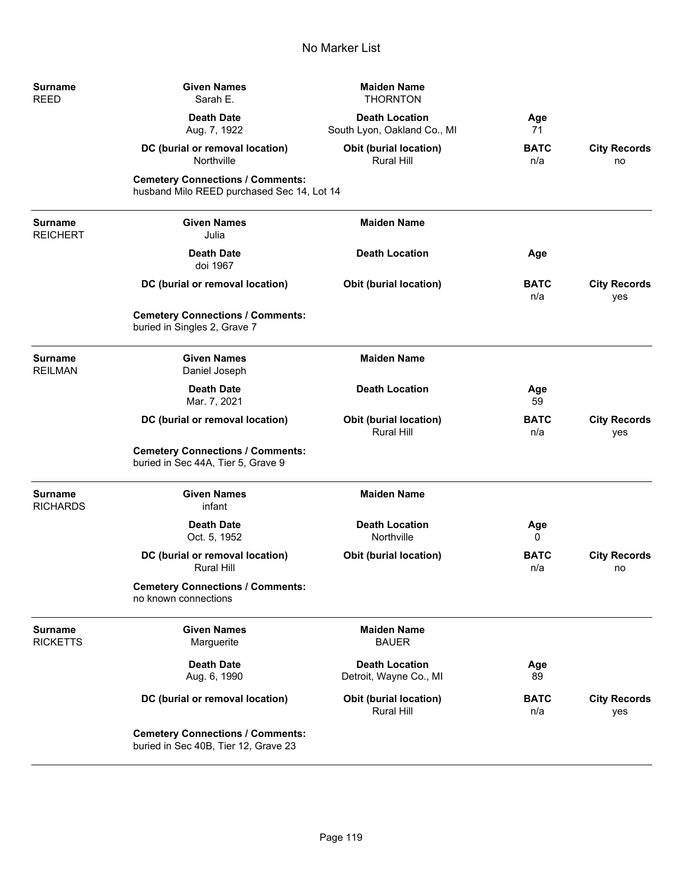| Surname<br>REED                  | <b>Given Names</b><br>Sarah E.                                                        | <b>Maiden Name</b><br><b>THORNTON</b>                |                    |                            |
|----------------------------------|---------------------------------------------------------------------------------------|------------------------------------------------------|--------------------|----------------------------|
|                                  | <b>Death Date</b><br>Aug. 7, 1922                                                     | <b>Death Location</b><br>South Lyon, Oakland Co., MI | Age<br>71          |                            |
|                                  | DC (burial or removal location)<br>Northville                                         | Obit (burial location)<br><b>Rural Hill</b>          | <b>BATC</b><br>n/a | <b>City Records</b><br>no  |
|                                  | <b>Cemetery Connections / Comments:</b><br>husband Milo REED purchased Sec 14, Lot 14 |                                                      |                    |                            |
| Surname<br>REICHERT              | <b>Given Names</b><br>Julia                                                           | <b>Maiden Name</b>                                   |                    |                            |
|                                  | <b>Death Date</b><br>doi 1967                                                         | <b>Death Location</b>                                | Age                |                            |
|                                  | DC (burial or removal location)                                                       | <b>Obit (burial location)</b>                        | <b>BATC</b><br>n/a | <b>City Records</b><br>yes |
|                                  | <b>Cemetery Connections / Comments:</b><br>buried in Singles 2, Grave 7               |                                                      |                    |                            |
| <b>Surname</b><br><b>REILMAN</b> | <b>Given Names</b><br>Daniel Joseph                                                   | <b>Maiden Name</b>                                   |                    |                            |
|                                  | <b>Death Date</b><br>Mar. 7, 2021                                                     | <b>Death Location</b>                                | Age<br>59          |                            |
|                                  | DC (burial or removal location)                                                       | <b>Obit (burial location)</b><br>Rural Hill          | <b>BATC</b><br>n/a | <b>City Records</b><br>yes |
|                                  | <b>Cemetery Connections / Comments:</b><br>buried in Sec 44A, Tier 5, Grave 9         |                                                      |                    |                            |
| Surname<br><b>RICHARDS</b>       | <b>Given Names</b><br>infant                                                          | <b>Maiden Name</b>                                   |                    |                            |
|                                  | <b>Death Date</b><br>Oct. 5, 1952                                                     | <b>Death Location</b><br>Northville                  | Age<br>0           |                            |
|                                  | DC (burial or removal location)<br><b>Rural Hill</b>                                  | <b>Obit (burial location)</b>                        | <b>BATC</b><br>n/a | <b>City Records</b><br>no  |
|                                  | <b>Cemetery Connections / Comments:</b><br>no known connections                       |                                                      |                    |                            |
| Surname<br>RICKETTS              | <b>Given Names</b><br>Marguerite                                                      | <b>Maiden Name</b><br><b>BAUER</b>                   |                    |                            |
|                                  | <b>Death Date</b><br>Aug. 6, 1990                                                     | <b>Death Location</b><br>Detroit, Wayne Co., MI      | Age<br>89          |                            |
|                                  | DC (burial or removal location)                                                       | <b>Obit (burial location)</b><br>Rural Hill          | <b>BATC</b><br>n/a | <b>City Records</b><br>yes |
|                                  | <b>Cemetery Connections / Comments:</b><br>buried in Sec 40B, Tier 12, Grave 23       |                                                      |                    |                            |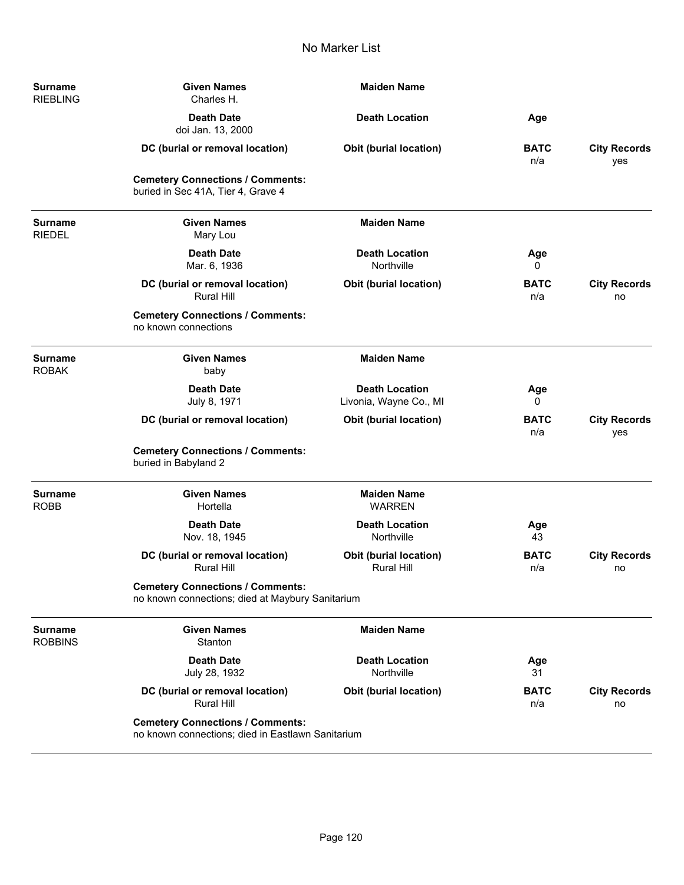| <b>Surname</b><br><b>RIEBLING</b> | <b>Given Names</b><br>Charles H.                                                             | <b>Maiden Name</b>                                 |                    |                            |
|-----------------------------------|----------------------------------------------------------------------------------------------|----------------------------------------------------|--------------------|----------------------------|
|                                   | <b>Death Date</b><br>doi Jan. 13, 2000                                                       | <b>Death Location</b>                              | Age                |                            |
|                                   | DC (burial or removal location)                                                              | <b>Obit (burial location)</b>                      | <b>BATC</b><br>n/a | <b>City Records</b><br>yes |
|                                   | <b>Cemetery Connections / Comments:</b><br>buried in Sec 41A, Tier 4, Grave 4                |                                                    |                    |                            |
| <b>Surname</b><br><b>RIEDEL</b>   | <b>Given Names</b><br>Mary Lou                                                               | <b>Maiden Name</b>                                 |                    |                            |
|                                   | <b>Death Date</b><br>Mar. 6, 1936                                                            | <b>Death Location</b><br>Northville                | Age<br>0           |                            |
|                                   | DC (burial or removal location)<br><b>Rural Hill</b>                                         | <b>Obit (burial location)</b>                      | <b>BATC</b><br>n/a | <b>City Records</b><br>no  |
|                                   | <b>Cemetery Connections / Comments:</b><br>no known connections                              |                                                    |                    |                            |
| <b>Surname</b><br><b>ROBAK</b>    | <b>Given Names</b><br>baby                                                                   | <b>Maiden Name</b>                                 |                    |                            |
|                                   | <b>Death Date</b><br>July 8, 1971                                                            | <b>Death Location</b><br>Livonia, Wayne Co., MI    | Age<br>0           |                            |
|                                   | DC (burial or removal location)                                                              | <b>Obit (burial location)</b>                      | <b>BATC</b><br>n/a | <b>City Records</b><br>yes |
|                                   | <b>Cemetery Connections / Comments:</b><br>buried in Babyland 2                              |                                                    |                    |                            |
| <b>Surname</b><br><b>ROBB</b>     | <b>Given Names</b><br>Hortella                                                               | <b>Maiden Name</b><br><b>WARREN</b>                |                    |                            |
|                                   | <b>Death Date</b><br>Nov. 18, 1945                                                           | <b>Death Location</b><br>Northville                | Age<br>43          |                            |
|                                   | DC (burial or removal location)<br><b>Rural Hill</b>                                         | <b>Obit (burial location)</b><br><b>Rural Hill</b> | <b>BATC</b><br>n/a | <b>City Records</b><br>no  |
|                                   | <b>Cemetery Connections / Comments:</b><br>no known connections; died at Maybury Sanitarium  |                                                    |                    |                            |
| Surname<br><b>ROBBINS</b>         | <b>Given Names</b><br>Stanton                                                                | <b>Maiden Name</b>                                 |                    |                            |
|                                   | <b>Death Date</b><br>July 28, 1932                                                           | <b>Death Location</b><br>Northville                | Age<br>31          |                            |
|                                   | DC (burial or removal location)<br><b>Rural Hill</b>                                         | <b>Obit (burial location)</b>                      | <b>BATC</b><br>n/a | <b>City Records</b><br>no  |
|                                   | <b>Cemetery Connections / Comments:</b><br>no known connections; died in Eastlawn Sanitarium |                                                    |                    |                            |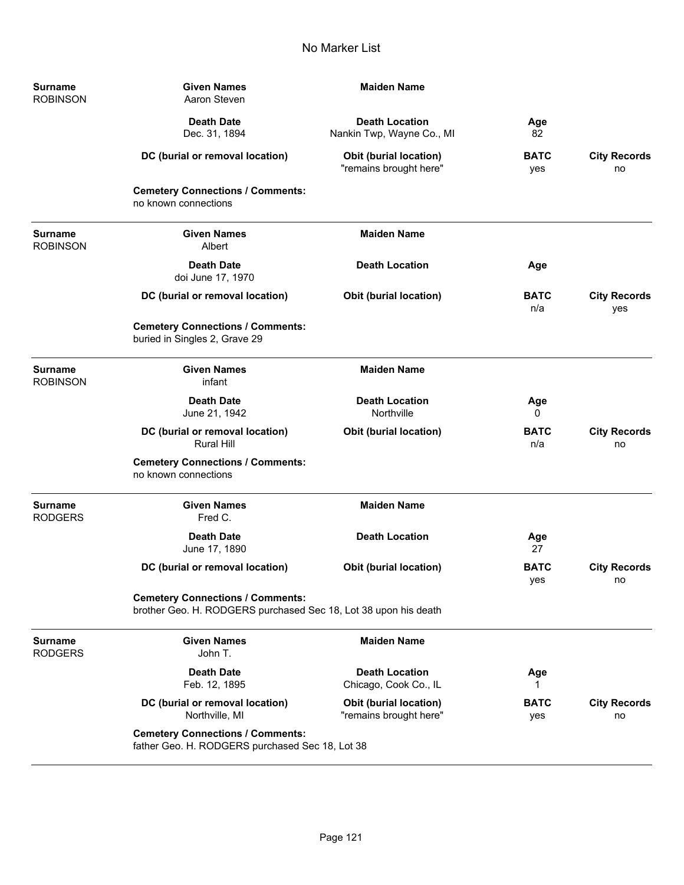| <b>Surname</b><br><b>ROBINSON</b> | <b>Given Names</b><br><b>Maiden Name</b><br>Aaron Steven                                                   |                                                    |                    |                            |  |
|-----------------------------------|------------------------------------------------------------------------------------------------------------|----------------------------------------------------|--------------------|----------------------------|--|
|                                   | <b>Death Date</b><br>Dec. 31, 1894                                                                         | <b>Death Location</b><br>Nankin Twp, Wayne Co., MI | Age<br>82          |                            |  |
|                                   | DC (burial or removal location)                                                                            | Obit (burial location)<br>"remains brought here"   | <b>BATC</b><br>yes | <b>City Records</b><br>no  |  |
|                                   | <b>Cemetery Connections / Comments:</b><br>no known connections                                            |                                                    |                    |                            |  |
| Surname<br><b>ROBINSON</b>        | <b>Given Names</b><br>Albert                                                                               | <b>Maiden Name</b>                                 |                    |                            |  |
|                                   | <b>Death Date</b><br>doi June 17, 1970                                                                     | <b>Death Location</b>                              | Age                |                            |  |
|                                   | DC (burial or removal location)                                                                            | <b>Obit (burial location)</b>                      | <b>BATC</b><br>n/a | <b>City Records</b><br>yes |  |
|                                   | <b>Cemetery Connections / Comments:</b><br>buried in Singles 2, Grave 29                                   |                                                    |                    |                            |  |
| Surname<br><b>ROBINSON</b>        | <b>Given Names</b><br>infant                                                                               | <b>Maiden Name</b>                                 |                    |                            |  |
|                                   | <b>Death Date</b><br>June 21, 1942                                                                         | <b>Death Location</b><br>Northville                | Age<br>0           |                            |  |
|                                   | DC (burial or removal location)<br><b>Rural Hill</b>                                                       | <b>Obit (burial location)</b>                      | <b>BATC</b><br>n/a | <b>City Records</b><br>no  |  |
|                                   | <b>Cemetery Connections / Comments:</b><br>no known connections                                            |                                                    |                    |                            |  |
| <b>Surname</b><br><b>RODGERS</b>  | <b>Given Names</b><br>Fred C.                                                                              | <b>Maiden Name</b>                                 |                    |                            |  |
|                                   | <b>Death Date</b><br>June 17, 1890                                                                         | <b>Death Location</b>                              | Age<br>27          |                            |  |
|                                   | DC (burial or removal location)                                                                            | <b>Obit (burial location)</b>                      | <b>BATC</b><br>yes | <b>City Records</b><br>no  |  |
|                                   | <b>Cemetery Connections / Comments:</b><br>brother Geo. H. RODGERS purchased Sec 18, Lot 38 upon his death |                                                    |                    |                            |  |
| <b>Surname</b><br><b>RODGERS</b>  | <b>Given Names</b><br>John T.                                                                              | <b>Maiden Name</b>                                 |                    |                            |  |
|                                   | <b>Death Date</b><br>Feb. 12, 1895                                                                         | <b>Death Location</b><br>Chicago, Cook Co., IL     | Age<br>1           |                            |  |
|                                   | DC (burial or removal location)<br>Northville, MI                                                          | Obit (burial location)<br>"remains brought here"   | <b>BATC</b><br>yes | <b>City Records</b><br>no  |  |
|                                   | <b>Cemetery Connections / Comments:</b><br>father Geo. H. RODGERS purchased Sec 18, Lot 38                 |                                                    |                    |                            |  |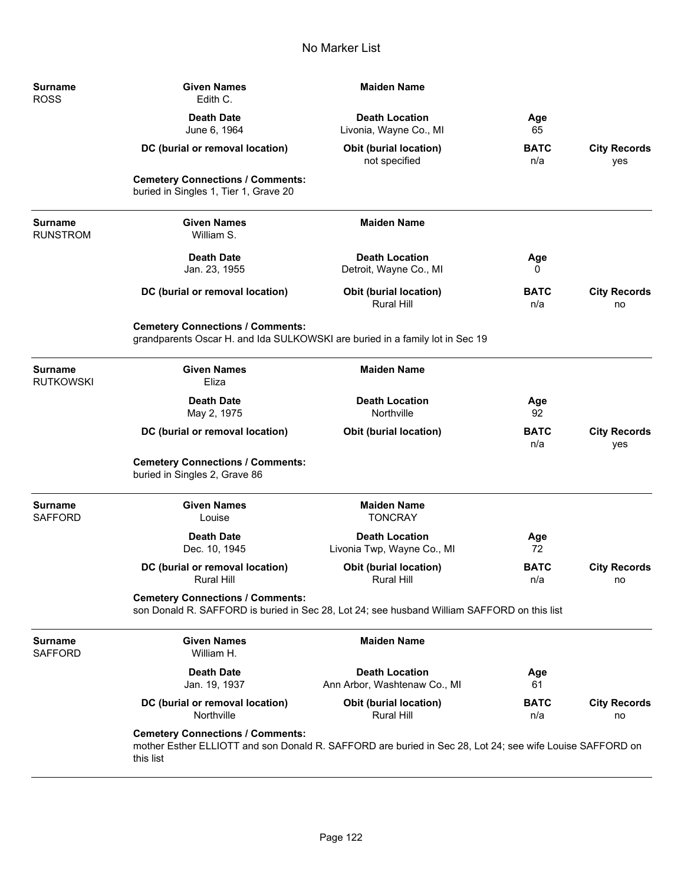| Surname<br><b>ROSS</b>           | <b>Given Names</b><br>Edith C.                                                                                                                                   | <b>Maiden Name</b>                                    |                    |                            |
|----------------------------------|------------------------------------------------------------------------------------------------------------------------------------------------------------------|-------------------------------------------------------|--------------------|----------------------------|
|                                  | <b>Death Date</b><br>June 6, 1964                                                                                                                                | <b>Death Location</b><br>Livonia, Wayne Co., MI       | Age<br>65          |                            |
|                                  | DC (burial or removal location)                                                                                                                                  | <b>Obit (burial location)</b><br>not specified        | <b>BATC</b><br>n/a | <b>City Records</b><br>yes |
|                                  | <b>Cemetery Connections / Comments:</b><br>buried in Singles 1, Tier 1, Grave 20                                                                                 |                                                       |                    |                            |
| Surname<br><b>RUNSTROM</b>       | <b>Given Names</b><br>William S.                                                                                                                                 | <b>Maiden Name</b>                                    |                    |                            |
|                                  | <b>Death Date</b><br>Jan. 23, 1955                                                                                                                               | <b>Death Location</b><br>Detroit, Wayne Co., MI       | Age<br>0           |                            |
|                                  | DC (burial or removal location)                                                                                                                                  | <b>Obit (burial location)</b><br><b>Rural Hill</b>    | <b>BATC</b><br>n/a | <b>City Records</b><br>no  |
|                                  | <b>Cemetery Connections / Comments:</b><br>grandparents Oscar H. and Ida SULKOWSKI are buried in a family lot in Sec 19                                          |                                                       |                    |                            |
| Surname<br>Rutkowski             | <b>Given Names</b><br>Eliza                                                                                                                                      | <b>Maiden Name</b>                                    |                    |                            |
|                                  | <b>Death Date</b><br>May 2, 1975                                                                                                                                 | <b>Death Location</b><br>Northville                   | Age<br>92          |                            |
|                                  | DC (burial or removal location)                                                                                                                                  | <b>Obit (burial location)</b>                         | <b>BATC</b><br>n/a | <b>City Records</b><br>yes |
|                                  | <b>Cemetery Connections / Comments:</b><br>buried in Singles 2, Grave 86                                                                                         |                                                       |                    |                            |
| Surname<br>SAFFORD               | <b>Given Names</b><br>Louise                                                                                                                                     | <b>Maiden Name</b><br><b>TONCRAY</b>                  |                    |                            |
|                                  | <b>Death Date</b><br>Dec. 10, 1945                                                                                                                               | <b>Death Location</b><br>Livonia Twp, Wayne Co., MI   | Age<br>72          |                            |
|                                  | DC (burial or removal location)<br><b>Rural Hill</b>                                                                                                             | <b>Obit (burial location)</b><br>Rural Hill           | <b>BATC</b><br>n/a | <b>City Records</b><br>no  |
|                                  | <b>Cemetery Connections / Comments:</b><br>son Donald R. SAFFORD is buried in Sec 28, Lot 24; see husband William SAFFORD on this list                           |                                                       |                    |                            |
| <b>Surname</b><br><b>SAFFORD</b> | <b>Given Names</b><br>William H.                                                                                                                                 | <b>Maiden Name</b>                                    |                    |                            |
|                                  | <b>Death Date</b><br>Jan. 19, 1937                                                                                                                               | <b>Death Location</b><br>Ann Arbor, Washtenaw Co., MI | Age<br>61          |                            |
|                                  | DC (burial or removal location)<br>Northville                                                                                                                    | Obit (burial location)<br><b>Rural Hill</b>           | <b>BATC</b><br>n/a | <b>City Records</b><br>no  |
|                                  | <b>Cemetery Connections / Comments:</b><br>mother Esther ELLIOTT and son Donald R. SAFFORD are buried in Sec 28, Lot 24; see wife Louise SAFFORD on<br>this list |                                                       |                    |                            |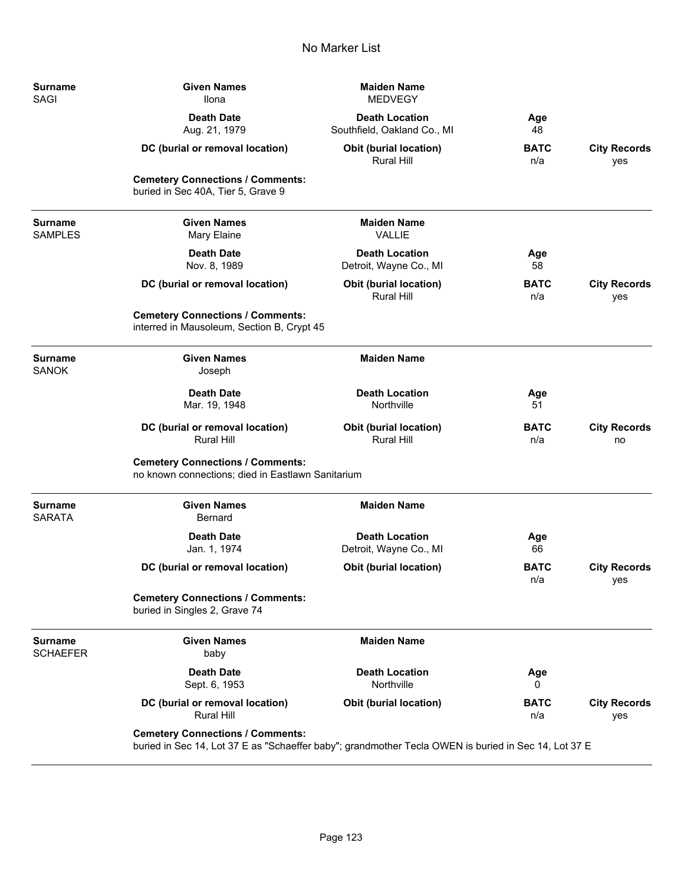| <b>Surname</b><br><b>SAGI</b>     | <b>Given Names</b><br><b>Ilona</b>                                                                                                              | <b>Maiden Name</b><br><b>MEDVEGY</b>                 |                    |                            |
|-----------------------------------|-------------------------------------------------------------------------------------------------------------------------------------------------|------------------------------------------------------|--------------------|----------------------------|
|                                   | <b>Death Date</b><br>Aug. 21, 1979                                                                                                              | <b>Death Location</b><br>Southfield, Oakland Co., MI | Age<br>48          |                            |
|                                   | DC (burial or removal location)                                                                                                                 | <b>Obit (burial location)</b><br><b>Rural Hill</b>   | <b>BATC</b><br>n/a | <b>City Records</b><br>yes |
|                                   | <b>Cemetery Connections / Comments:</b><br>buried in Sec 40A, Tier 5, Grave 9                                                                   |                                                      |                    |                            |
| <b>Surname</b><br><b>SAMPLES</b>  | <b>Given Names</b><br>Mary Elaine                                                                                                               | <b>Maiden Name</b><br><b>VALLIE</b>                  |                    |                            |
|                                   | <b>Death Date</b><br>Nov. 8, 1989                                                                                                               | <b>Death Location</b><br>Detroit, Wayne Co., MI      | Age<br>58          |                            |
|                                   | DC (burial or removal location)                                                                                                                 | Obit (burial location)<br><b>Rural Hill</b>          | <b>BATC</b><br>n/a | <b>City Records</b><br>yes |
|                                   | <b>Cemetery Connections / Comments:</b><br>interred in Mausoleum, Section B, Crypt 45                                                           |                                                      |                    |                            |
| <b>Surname</b><br><b>SANOK</b>    | <b>Given Names</b><br>Joseph                                                                                                                    | <b>Maiden Name</b>                                   |                    |                            |
|                                   | <b>Death Date</b><br>Mar. 19, 1948                                                                                                              | <b>Death Location</b><br>Northville                  | Age<br>51          |                            |
|                                   | DC (burial or removal location)<br><b>Rural Hill</b>                                                                                            | <b>Obit (burial location)</b><br><b>Rural Hill</b>   | <b>BATC</b><br>n/a | <b>City Records</b><br>no  |
|                                   | <b>Cemetery Connections / Comments:</b><br>no known connections; died in Eastlawn Sanitarium                                                    |                                                      |                    |                            |
| <b>Surname</b><br><b>SARATA</b>   | <b>Given Names</b><br><b>Bernard</b>                                                                                                            | <b>Maiden Name</b>                                   |                    |                            |
|                                   | <b>Death Date</b><br>Jan. 1, 1974                                                                                                               | <b>Death Location</b><br>Detroit, Wayne Co., MI      | Age<br>66          |                            |
|                                   | DC (burial or removal location)                                                                                                                 | Obit (burial location)                               | <b>BATC</b><br>n/a | <b>City Records</b><br>yes |
|                                   | <b>Cemetery Connections / Comments:</b><br>buried in Singles 2, Grave 74                                                                        |                                                      |                    |                            |
| <b>Surname</b><br><b>SCHAEFER</b> | <b>Given Names</b><br>baby                                                                                                                      | <b>Maiden Name</b>                                   |                    |                            |
|                                   | <b>Death Date</b><br>Sept. 6, 1953                                                                                                              | <b>Death Location</b><br>Northville                  | Age<br>0           |                            |
|                                   | DC (burial or removal location)<br><b>Rural Hill</b>                                                                                            | <b>Obit (burial location)</b>                        | <b>BATC</b><br>n/a | <b>City Records</b><br>yes |
|                                   | <b>Cemetery Connections / Comments:</b><br>buried in Sec 14, Lot 37 E as "Schaeffer baby"; grandmother Tecla OWEN is buried in Sec 14, Lot 37 E |                                                      |                    |                            |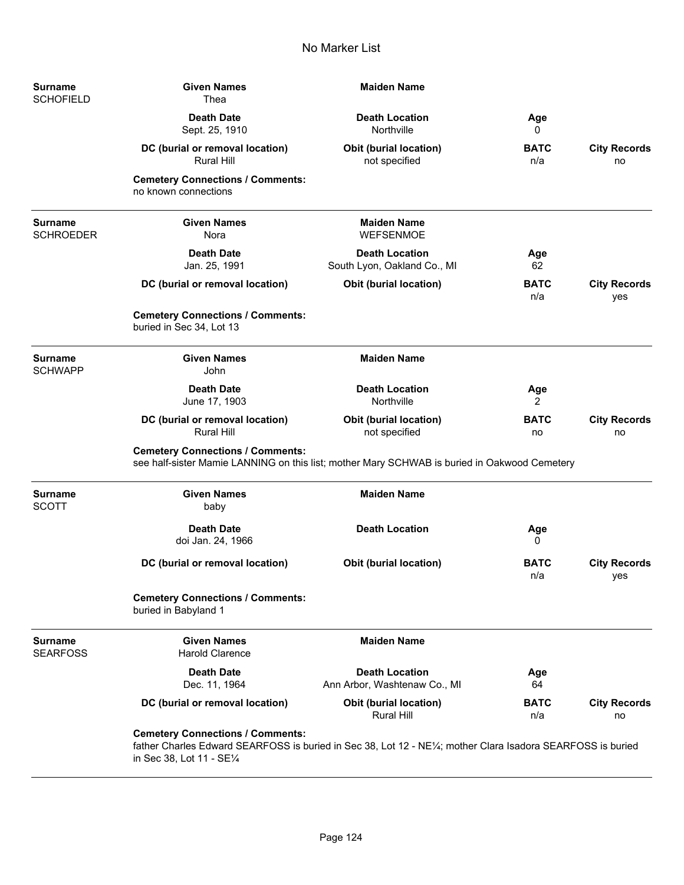| <b>Surname</b><br><b>SCHOFIELD</b> | <b>Given Names</b><br>Thea                                                                                                                                                          | <b>Maiden Name</b>                                    |                    |                            |
|------------------------------------|-------------------------------------------------------------------------------------------------------------------------------------------------------------------------------------|-------------------------------------------------------|--------------------|----------------------------|
|                                    | <b>Death Date</b><br>Sept. 25, 1910                                                                                                                                                 | <b>Death Location</b><br>Northville                   | Age<br>0           |                            |
|                                    | DC (burial or removal location)<br><b>Rural Hill</b>                                                                                                                                | <b>Obit (burial location)</b><br>not specified        | <b>BATC</b><br>n/a | <b>City Records</b><br>no  |
|                                    | <b>Cemetery Connections / Comments:</b><br>no known connections                                                                                                                     |                                                       |                    |                            |
| <b>Surname</b><br><b>SCHROEDER</b> | <b>Given Names</b><br>Nora                                                                                                                                                          | <b>Maiden Name</b><br><b>WEFSENMOE</b>                |                    |                            |
|                                    | <b>Death Date</b><br>Jan. 25, 1991                                                                                                                                                  | <b>Death Location</b><br>South Lyon, Oakland Co., MI  | Age<br>62          |                            |
|                                    | DC (burial or removal location)                                                                                                                                                     | Obit (burial location)                                | <b>BATC</b><br>n/a | <b>City Records</b><br>yes |
|                                    | <b>Cemetery Connections / Comments:</b><br>buried in Sec 34, Lot 13                                                                                                                 |                                                       |                    |                            |
| <b>Surname</b><br><b>SCHWAPP</b>   | <b>Given Names</b><br>John                                                                                                                                                          | <b>Maiden Name</b>                                    |                    |                            |
|                                    | <b>Death Date</b><br>June 17, 1903                                                                                                                                                  | <b>Death Location</b><br>Northville                   | Age<br>2           |                            |
|                                    | DC (burial or removal location)<br><b>Rural Hill</b>                                                                                                                                | Obit (burial location)<br>not specified               | <b>BATC</b><br>no  | <b>City Records</b><br>no  |
|                                    | <b>Cemetery Connections / Comments:</b><br>see half-sister Mamie LANNING on this list; mother Mary SCHWAB is buried in Oakwood Cemetery                                             |                                                       |                    |                            |
| <b>Surname</b><br><b>SCOTT</b>     | <b>Given Names</b><br>baby                                                                                                                                                          | <b>Maiden Name</b>                                    |                    |                            |
|                                    | <b>Death Date</b><br>doi Jan. 24, 1966                                                                                                                                              | <b>Death Location</b>                                 | Age<br>0           |                            |
|                                    | DC (burial or removal location)                                                                                                                                                     | <b>Obit (burial location)</b>                         | <b>BATC</b><br>n/a | <b>City Records</b><br>yes |
|                                    | <b>Cemetery Connections / Comments:</b><br>buried in Babyland 1                                                                                                                     |                                                       |                    |                            |
| <b>Surname</b><br><b>SEARFOSS</b>  | <b>Given Names</b><br><b>Harold Clarence</b>                                                                                                                                        | <b>Maiden Name</b>                                    |                    |                            |
|                                    | <b>Death Date</b><br>Dec. 11, 1964                                                                                                                                                  | <b>Death Location</b><br>Ann Arbor, Washtenaw Co., MI | Age<br>64          |                            |
|                                    | DC (burial or removal location)                                                                                                                                                     | Obit (burial location)<br>Rural Hill                  | <b>BATC</b><br>n/a | <b>City Records</b><br>no  |
|                                    | <b>Cemetery Connections / Comments:</b><br>father Charles Edward SEARFOSS is buried in Sec 38, Lot 12 - NE1/4; mother Clara Isadora SEARFOSS is buried<br>in Sec 38, Lot 11 - SE1/4 |                                                       |                    |                            |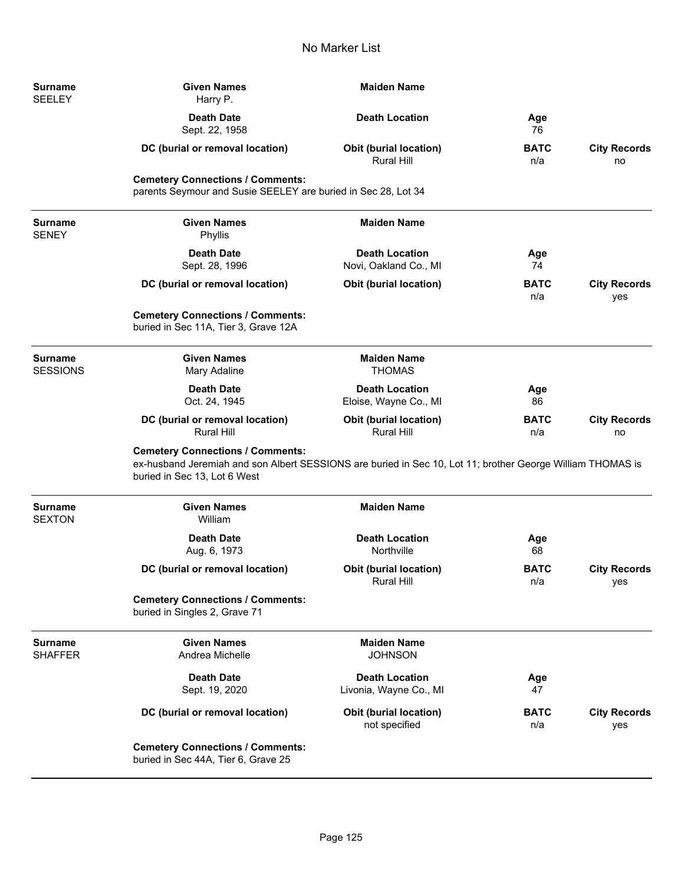| Surname<br><b>SEELEY</b>          | <b>Given Names</b><br>Harry P.                                                                                                                                                        | <b>Maiden Name</b>                                 |                    |                            |
|-----------------------------------|---------------------------------------------------------------------------------------------------------------------------------------------------------------------------------------|----------------------------------------------------|--------------------|----------------------------|
|                                   | <b>Death Date</b><br>Sept. 22, 1958                                                                                                                                                   | <b>Death Location</b>                              | Age<br>76          |                            |
|                                   | DC (burial or removal location)                                                                                                                                                       | <b>Obit (burial location)</b><br><b>Rural Hill</b> | <b>BATC</b><br>n/a | <b>City Records</b><br>no  |
|                                   | <b>Cemetery Connections / Comments:</b><br>parents Seymour and Susie SEELEY are buried in Sec 28, Lot 34                                                                              |                                                    |                    |                            |
| Surname<br><b>SENEY</b>           | <b>Given Names</b><br>Phyllis                                                                                                                                                         | <b>Maiden Name</b>                                 |                    |                            |
|                                   | <b>Death Date</b><br>Sept. 28, 1996                                                                                                                                                   | <b>Death Location</b><br>Novi, Oakland Co., MI     | Age<br>74          |                            |
|                                   | DC (burial or removal location)                                                                                                                                                       | <b>Obit (burial location)</b>                      | BATC<br>n/a        | <b>City Records</b><br>yes |
|                                   | <b>Cemetery Connections / Comments:</b><br>buried in Sec 11A, Tier 3, Grave 12A                                                                                                       |                                                    |                    |                            |
| <b>Surname</b><br><b>SESSIONS</b> | <b>Given Names</b><br>Mary Adaline                                                                                                                                                    | <b>Maiden Name</b><br><b>THOMAS</b>                |                    |                            |
|                                   | <b>Death Date</b><br>Oct. 24, 1945                                                                                                                                                    | <b>Death Location</b><br>Eloise, Wayne Co., MI     | Age<br>86          |                            |
|                                   | DC (burial or removal location)<br><b>Rural Hill</b>                                                                                                                                  | <b>Obit (burial location)</b><br>Rural Hill        | BATC<br>n/a        | <b>City Records</b><br>no  |
|                                   | <b>Cemetery Connections / Comments:</b><br>ex-husband Jeremiah and son Albert SESSIONS are buried in Sec 10, Lot 11; brother George William THOMAS is<br>buried in Sec 13, Lot 6 West |                                                    |                    |                            |
| <b>Surname</b><br><b>SEXTON</b>   | <b>Given Names</b><br>William                                                                                                                                                         | <b>Maiden Name</b>                                 |                    |                            |
|                                   | <b>Death Date</b><br>Aug. 6, 1973                                                                                                                                                     | <b>Death Location</b><br>Northville                | Age<br>68          |                            |
|                                   | DC (burial or removal location)                                                                                                                                                       | <b>Obit (burial location)</b><br><b>Rural Hill</b> | <b>BATC</b><br>n/a | <b>City Records</b><br>yes |
|                                   | <b>Cemetery Connections / Comments:</b><br>buried in Singles 2, Grave 71                                                                                                              |                                                    |                    |                            |
| Surname<br><b>SHAFFER</b>         | <b>Given Names</b><br>Andrea Michelle                                                                                                                                                 | <b>Maiden Name</b><br><b>JOHNSON</b>               |                    |                            |
|                                   | <b>Death Date</b><br>Sept. 19, 2020                                                                                                                                                   | <b>Death Location</b><br>Livonia, Wayne Co., MI    | Age<br>47          |                            |
|                                   | DC (burial or removal location)                                                                                                                                                       | Obit (burial location)<br>not specified            | <b>BATC</b><br>n/a | <b>City Records</b><br>yes |
|                                   | <b>Cemetery Connections / Comments:</b><br>buried in Sec 44A, Tier 6, Grave 25                                                                                                        |                                                    |                    |                            |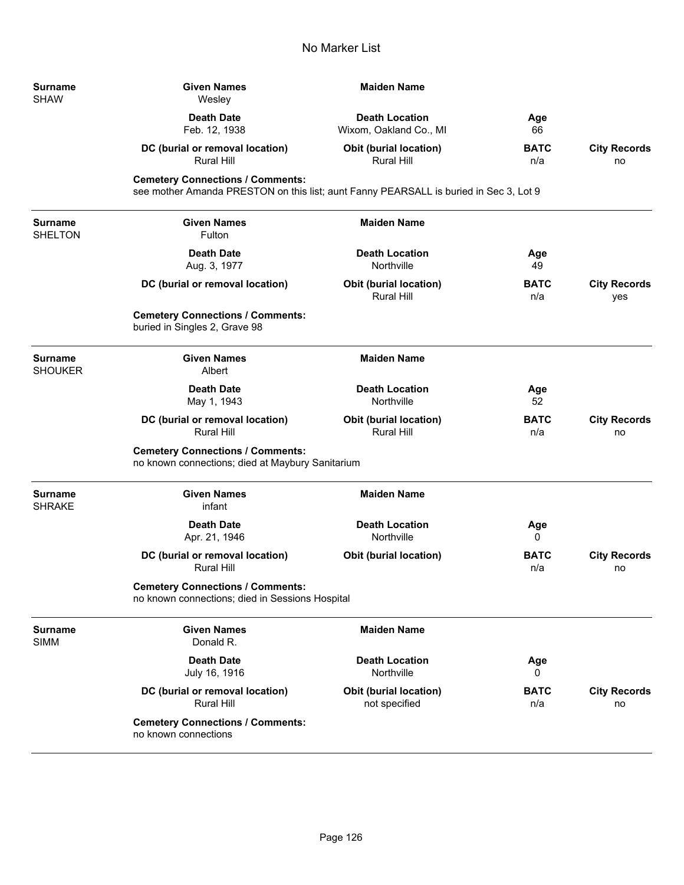| Surname<br><b>SHAW</b> | <b>Given Names</b><br>Wesley                                                                                                     | <b>Maiden Name</b>                                 |                    |                            |
|------------------------|----------------------------------------------------------------------------------------------------------------------------------|----------------------------------------------------|--------------------|----------------------------|
|                        | <b>Death Date</b><br>Feb. 12, 1938                                                                                               | <b>Death Location</b><br>Wixom, Oakland Co., MI    | Age<br>66          |                            |
|                        | DC (burial or removal location)<br><b>Rural Hill</b>                                                                             | <b>Obit (burial location)</b><br><b>Rural Hill</b> | <b>BATC</b><br>n/a | <b>City Records</b><br>no  |
|                        | <b>Cemetery Connections / Comments:</b><br>see mother Amanda PRESTON on this list; aunt Fanny PEARSALL is buried in Sec 3, Lot 9 |                                                    |                    |                            |
| Surname<br>SHELTON     | <b>Given Names</b><br>Fulton                                                                                                     | <b>Maiden Name</b>                                 |                    |                            |
|                        | <b>Death Date</b><br>Aug. 3, 1977                                                                                                | <b>Death Location</b><br>Northville                | Age<br>49          |                            |
|                        | DC (burial or removal location)                                                                                                  | <b>Obit (burial location)</b><br>Rural Hill        | <b>BATC</b><br>n/a | <b>City Records</b><br>yes |
|                        | <b>Cemetery Connections / Comments:</b><br>buried in Singles 2, Grave 98                                                         |                                                    |                    |                            |
| Surname<br>SHOUKER     | <b>Given Names</b><br>Albert                                                                                                     | <b>Maiden Name</b>                                 |                    |                            |
|                        | <b>Death Date</b><br>May 1, 1943                                                                                                 | <b>Death Location</b><br>Northville                | Age<br>52          |                            |
|                        | DC (burial or removal location)<br><b>Rural Hill</b>                                                                             | <b>Obit (burial location)</b><br><b>Rural Hill</b> | <b>BATC</b><br>n/a | <b>City Records</b><br>no  |
|                        | <b>Cemetery Connections / Comments:</b><br>no known connections; died at Maybury Sanitarium                                      |                                                    |                    |                            |
| Surname<br>SHRAKE      | <b>Given Names</b><br>infant                                                                                                     | <b>Maiden Name</b>                                 |                    |                            |
|                        | <b>Death Date</b><br>Apr. 21, 1946                                                                                               | <b>Death Location</b><br>Northville                | Age<br>0           |                            |
|                        | DC (burial or removal location)<br><b>Rural Hill</b>                                                                             | <b>Obit (burial location)</b>                      | <b>BATC</b><br>n/a | <b>City Records</b><br>no  |
|                        | <b>Cemetery Connections / Comments:</b><br>no known connections; died in Sessions Hospital                                       |                                                    |                    |                            |
| Surname<br><b>SIMM</b> | <b>Given Names</b><br>Donald R.                                                                                                  | <b>Maiden Name</b>                                 |                    |                            |
|                        | <b>Death Date</b><br>July 16, 1916                                                                                               | <b>Death Location</b><br>Northville                | Age<br>0           |                            |
|                        | DC (burial or removal location)<br><b>Rural Hill</b>                                                                             | <b>Obit (burial location)</b><br>not specified     | <b>BATC</b><br>n/a | <b>City Records</b><br>no  |
|                        | <b>Cemetery Connections / Comments:</b><br>no known connections                                                                  |                                                    |                    |                            |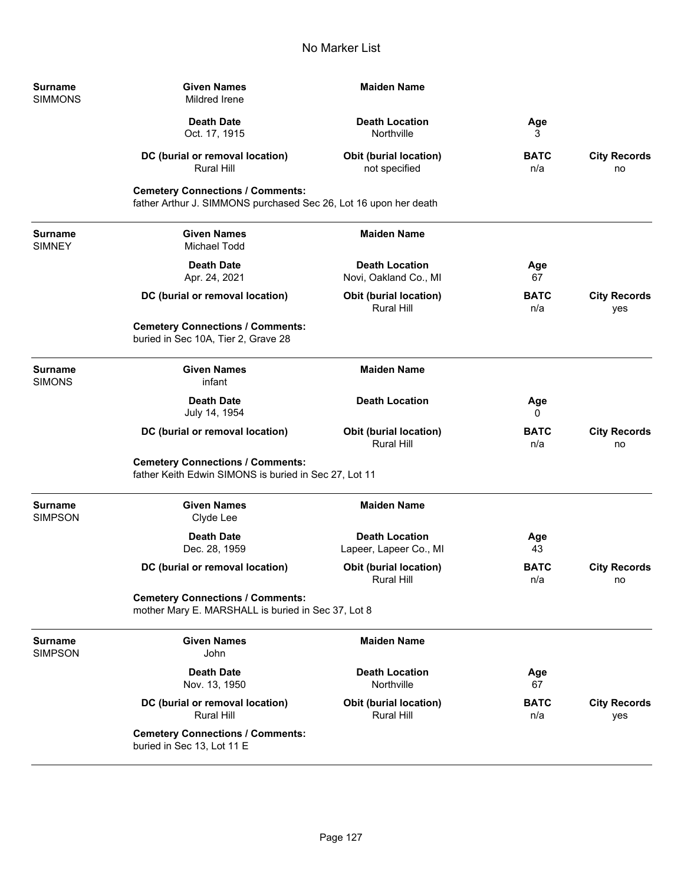| Surname<br><b>SIMMONS</b>        | <b>Given Names</b><br>Mildred Irene                                                                         | <b>Maiden Name</b>                                 |                    |                            |
|----------------------------------|-------------------------------------------------------------------------------------------------------------|----------------------------------------------------|--------------------|----------------------------|
|                                  | <b>Death Date</b><br>Oct. 17, 1915                                                                          | <b>Death Location</b><br>Northville                | Age<br>3           |                            |
|                                  | DC (burial or removal location)<br>Rural Hill                                                               | Obit (burial location)<br>not specified            | <b>BATC</b><br>n/a | <b>City Records</b><br>no  |
|                                  | <b>Cemetery Connections / Comments:</b><br>father Arthur J. SIMMONS purchased Sec 26, Lot 16 upon her death |                                                    |                    |                            |
| <b>Surname</b><br><b>SIMNEY</b>  | <b>Given Names</b><br>Michael Todd                                                                          | <b>Maiden Name</b>                                 |                    |                            |
|                                  | <b>Death Date</b><br>Apr. 24, 2021                                                                          | <b>Death Location</b><br>Novi, Oakland Co., MI     | Age<br>67          |                            |
|                                  | DC (burial or removal location)                                                                             | <b>Obit (burial location)</b><br><b>Rural Hill</b> | <b>BATC</b><br>n/a | <b>City Records</b><br>yes |
|                                  | <b>Cemetery Connections / Comments:</b><br>buried in Sec 10A, Tier 2, Grave 28                              |                                                    |                    |                            |
| <b>Surname</b><br><b>SIMONS</b>  | <b>Given Names</b><br>infant                                                                                | <b>Maiden Name</b>                                 |                    |                            |
|                                  | <b>Death Date</b><br>July 14, 1954                                                                          | <b>Death Location</b>                              | Age<br>0           |                            |
|                                  | DC (burial or removal location)                                                                             | <b>Obit (burial location)</b><br>Rural Hill        | <b>BATC</b><br>n/a | <b>City Records</b><br>no  |
|                                  | <b>Cemetery Connections / Comments:</b><br>father Keith Edwin SIMONS is buried in Sec 27, Lot 11            |                                                    |                    |                            |
| <b>Surname</b><br><b>SIMPSON</b> | <b>Given Names</b><br>Clyde Lee                                                                             | <b>Maiden Name</b>                                 |                    |                            |
|                                  | <b>Death Date</b><br>Dec. 28, 1959                                                                          | <b>Death Location</b><br>Lapeer, Lapeer Co., MI    | Age<br>43          |                            |
|                                  | DC (burial or removal location)                                                                             | <b>Obit (burial location)</b><br>Rural Hill        | <b>BATC</b><br>n/a | <b>City Records</b><br>no  |
|                                  | <b>Cemetery Connections / Comments:</b><br>mother Mary E. MARSHALL is buried in Sec 37, Lot 8               |                                                    |                    |                            |
| <b>Surname</b><br><b>SIMPSON</b> | <b>Given Names</b><br>John                                                                                  | <b>Maiden Name</b>                                 |                    |                            |
|                                  | <b>Death Date</b><br>Nov. 13, 1950                                                                          | <b>Death Location</b><br>Northville                | Age<br>67          |                            |
|                                  | DC (burial or removal location)<br>Rural Hill                                                               | <b>Obit (burial location)</b><br>Rural Hill        | <b>BATC</b><br>n/a | <b>City Records</b><br>yes |
|                                  | <b>Cemetery Connections / Comments:</b><br>buried in Sec 13, Lot 11 E                                       |                                                    |                    |                            |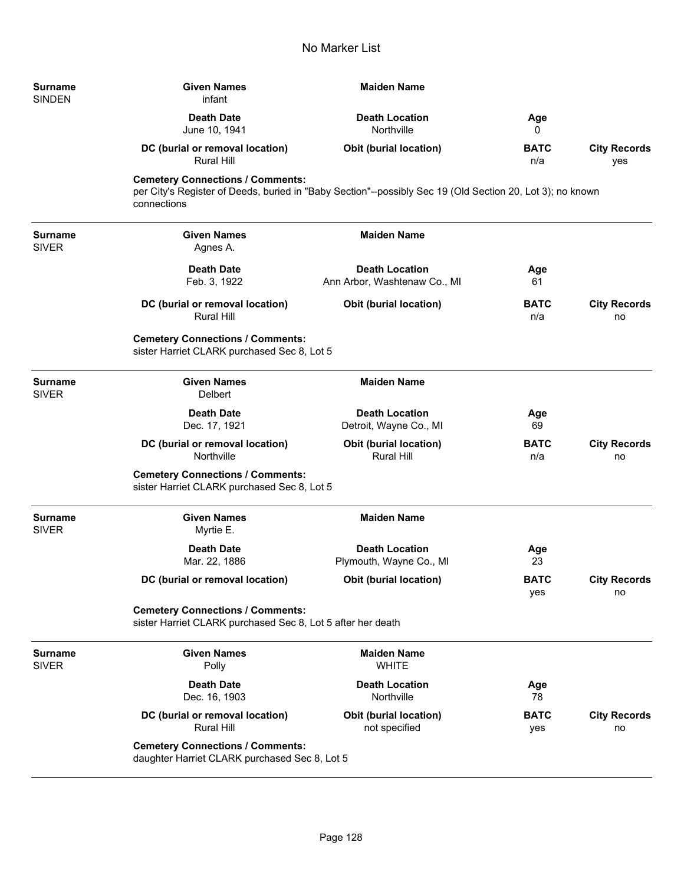| <b>Surname</b><br><b>SINDEN</b> | <b>Given Names</b><br>infant                                                                           | <b>Maiden Name</b>                                                                                        |                    |                            |
|---------------------------------|--------------------------------------------------------------------------------------------------------|-----------------------------------------------------------------------------------------------------------|--------------------|----------------------------|
|                                 | <b>Death Date</b><br>June 10, 1941                                                                     | <b>Death Location</b><br>Northville                                                                       | Age<br>0           |                            |
|                                 | DC (burial or removal location)<br><b>Rural Hill</b>                                                   | <b>Obit (burial location)</b>                                                                             | <b>BATC</b><br>n/a | <b>City Records</b><br>yes |
|                                 | <b>Cemetery Connections / Comments:</b><br>connections                                                 | per City's Register of Deeds, buried in "Baby Section"--possibly Sec 19 (Old Section 20, Lot 3); no known |                    |                            |
| <b>Surname</b><br><b>SIVER</b>  | <b>Given Names</b><br>Agnes A.                                                                         | <b>Maiden Name</b>                                                                                        |                    |                            |
|                                 | <b>Death Date</b><br>Feb. 3, 1922                                                                      | <b>Death Location</b><br>Ann Arbor, Washtenaw Co., MI                                                     | Age<br>61          |                            |
|                                 | DC (burial or removal location)<br><b>Rural Hill</b>                                                   | Obit (burial location)                                                                                    | <b>BATC</b><br>n/a | <b>City Records</b><br>no  |
|                                 | <b>Cemetery Connections / Comments:</b><br>sister Harriet CLARK purchased Sec 8, Lot 5                 |                                                                                                           |                    |                            |
| <b>Surname</b><br><b>SIVER</b>  | <b>Given Names</b><br><b>Delbert</b>                                                                   | <b>Maiden Name</b>                                                                                        |                    |                            |
|                                 | <b>Death Date</b><br>Dec. 17, 1921                                                                     | <b>Death Location</b><br>Detroit, Wayne Co., MI                                                           | Age<br>69          |                            |
|                                 | DC (burial or removal location)<br>Northville                                                          | Obit (burial location)<br>Rural Hill                                                                      | <b>BATC</b><br>n/a | <b>City Records</b><br>no  |
|                                 | <b>Cemetery Connections / Comments:</b><br>sister Harriet CLARK purchased Sec 8, Lot 5                 |                                                                                                           |                    |                            |
| <b>Surname</b><br><b>SIVER</b>  | <b>Given Names</b><br>Myrtie E.                                                                        | <b>Maiden Name</b>                                                                                        |                    |                            |
|                                 | <b>Death Date</b><br>Mar. 22, 1886                                                                     | <b>Death Location</b><br>Plymouth, Wayne Co., MI                                                          | Age<br>23          |                            |
|                                 | DC (burial or removal location)                                                                        | <b>Obit (burial location)</b>                                                                             | <b>BATC</b><br>yes | <b>City Records</b><br>no  |
|                                 | <b>Cemetery Connections / Comments:</b><br>sister Harriet CLARK purchased Sec 8, Lot 5 after her death |                                                                                                           |                    |                            |
| <b>Surname</b><br><b>SIVER</b>  | <b>Given Names</b><br>Polly                                                                            | <b>Maiden Name</b><br><b>WHITE</b>                                                                        |                    |                            |
|                                 | <b>Death Date</b><br>Dec. 16, 1903                                                                     | <b>Death Location</b><br>Northville                                                                       | Age<br>78          |                            |
|                                 | DC (burial or removal location)<br><b>Rural Hill</b>                                                   | <b>Obit (burial location)</b><br>not specified                                                            | <b>BATC</b><br>yes | <b>City Records</b><br>no  |
|                                 | <b>Cemetery Connections / Comments:</b><br>daughter Harriet CLARK purchased Sec 8, Lot 5               |                                                                                                           |                    |                            |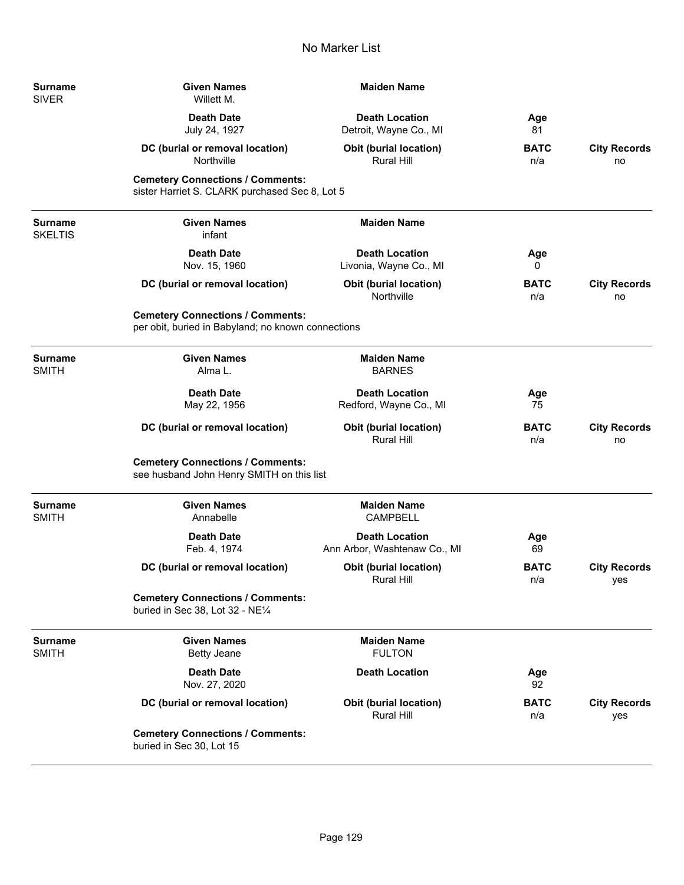| Surname<br>SIVER        | <b>Given Names</b><br>Willett M.                                                              | <b>Maiden Name</b>                                    |                    |                            |
|-------------------------|-----------------------------------------------------------------------------------------------|-------------------------------------------------------|--------------------|----------------------------|
|                         | <b>Death Date</b><br>July 24, 1927                                                            | <b>Death Location</b><br>Detroit, Wayne Co., MI       | Age<br>81          |                            |
|                         | DC (burial or removal location)<br>Northville                                                 | Obit (burial location)<br><b>Rural Hill</b>           | <b>BATC</b><br>n/a | <b>City Records</b><br>no  |
|                         | <b>Cemetery Connections / Comments:</b><br>sister Harriet S. CLARK purchased Sec 8, Lot 5     |                                                       |                    |                            |
| Surname<br>SKELTIS      | <b>Given Names</b><br>infant                                                                  | <b>Maiden Name</b>                                    |                    |                            |
|                         | <b>Death Date</b><br>Nov. 15, 1960                                                            | <b>Death Location</b><br>Livonia, Wayne Co., MI       | Age<br>0           |                            |
|                         | DC (burial or removal location)                                                               | Obit (burial location)<br>Northville                  | <b>BATC</b><br>n/a | <b>City Records</b><br>no  |
|                         | <b>Cemetery Connections / Comments:</b><br>per obit, buried in Babyland; no known connections |                                                       |                    |                            |
| Surname<br><b>SMITH</b> | <b>Given Names</b><br>Alma L.                                                                 | <b>Maiden Name</b><br><b>BARNES</b>                   |                    |                            |
|                         | <b>Death Date</b><br>May 22, 1956                                                             | <b>Death Location</b><br>Redford, Wayne Co., MI       | Age<br>75          |                            |
|                         | DC (burial or removal location)                                                               | Obit (burial location)<br><b>Rural Hill</b>           | <b>BATC</b><br>n/a | <b>City Records</b><br>no  |
|                         | <b>Cemetery Connections / Comments:</b><br>see husband John Henry SMITH on this list          |                                                       |                    |                            |
| Surname<br><b>SMITH</b> | <b>Given Names</b><br>Annabelle                                                               | <b>Maiden Name</b><br><b>CAMPBELL</b>                 |                    |                            |
|                         | <b>Death Date</b><br>Feb. 4, 1974                                                             | <b>Death Location</b><br>Ann Arbor, Washtenaw Co., MI | Age<br>69          |                            |
|                         | DC (burial or removal location)                                                               | <b>Obit (burial location)</b><br><b>Rural Hill</b>    | <b>BATC</b><br>n/a | <b>City Records</b><br>yes |
|                         | <b>Cemetery Connections / Comments:</b><br>buried in Sec 38, Lot 32 - NE1/4                   |                                                       |                    |                            |
| Surname<br>SMITH        | <b>Given Names</b><br><b>Betty Jeane</b>                                                      | <b>Maiden Name</b><br><b>FULTON</b>                   |                    |                            |
|                         | <b>Death Date</b><br>Nov. 27, 2020                                                            | <b>Death Location</b>                                 | Age<br>92          |                            |
|                         | DC (burial or removal location)                                                               | Obit (burial location)<br><b>Rural Hill</b>           | <b>BATC</b><br>n/a | <b>City Records</b><br>yes |
|                         | <b>Cemetery Connections / Comments:</b><br>buried in Sec 30, Lot 15                           |                                                       |                    |                            |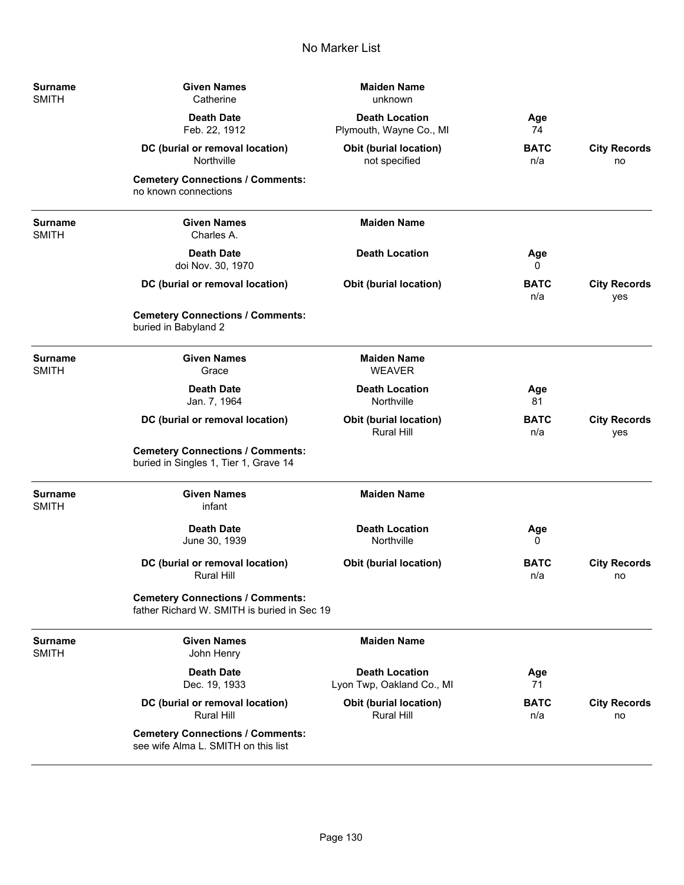| <b>Surname</b><br><b>SMITH</b> | <b>Given Names</b><br>Catherine                                                        | <b>Maiden Name</b><br>unknown                      |                    |                            |
|--------------------------------|----------------------------------------------------------------------------------------|----------------------------------------------------|--------------------|----------------------------|
|                                | <b>Death Date</b><br>Feb. 22, 1912                                                     | <b>Death Location</b><br>Plymouth, Wayne Co., MI   | Age<br>74          |                            |
|                                | DC (burial or removal location)<br>Northville                                          | <b>Obit (burial location)</b><br>not specified     | <b>BATC</b><br>n/a | <b>City Records</b><br>no  |
|                                | <b>Cemetery Connections / Comments:</b><br>no known connections                        |                                                    |                    |                            |
| <b>Surname</b><br><b>SMITH</b> | <b>Given Names</b><br>Charles A.                                                       | <b>Maiden Name</b>                                 |                    |                            |
|                                | <b>Death Date</b><br>doi Nov. 30, 1970                                                 | <b>Death Location</b>                              | Age<br>0           |                            |
|                                | DC (burial or removal location)                                                        | <b>Obit (burial location)</b>                      | <b>BATC</b><br>n/a | <b>City Records</b><br>yes |
|                                | <b>Cemetery Connections / Comments:</b><br>buried in Babyland 2                        |                                                    |                    |                            |
| <b>Surname</b><br><b>SMITH</b> | <b>Given Names</b><br>Grace                                                            | <b>Maiden Name</b><br><b>WEAVER</b>                |                    |                            |
|                                | <b>Death Date</b><br>Jan. 7, 1964                                                      | <b>Death Location</b><br>Northville                | Age<br>81          |                            |
|                                | DC (burial or removal location)                                                        | Obit (burial location)<br><b>Rural Hill</b>        | <b>BATC</b><br>n/a | <b>City Records</b><br>yes |
|                                | <b>Cemetery Connections / Comments:</b><br>buried in Singles 1, Tier 1, Grave 14       |                                                    |                    |                            |
| <b>Surname</b><br><b>SMITH</b> | <b>Given Names</b><br>infant                                                           | <b>Maiden Name</b>                                 |                    |                            |
|                                | <b>Death Date</b><br>June 30, 1939                                                     | <b>Death Location</b><br>Northville                | Age<br>0           |                            |
|                                | DC (burial or removal location)<br><b>Rural Hill</b>                                   | <b>Obit (burial location)</b>                      | <b>BATC</b><br>n/a | <b>City Records</b><br>no  |
|                                | <b>Cemetery Connections / Comments:</b><br>father Richard W. SMITH is buried in Sec 19 |                                                    |                    |                            |
| Surname<br><b>SMITH</b>        | <b>Given Names</b><br>John Henry                                                       | <b>Maiden Name</b>                                 |                    |                            |
|                                | <b>Death Date</b><br>Dec. 19, 1933                                                     | <b>Death Location</b><br>Lyon Twp, Oakland Co., MI | Age<br>71          |                            |
|                                | DC (burial or removal location)<br><b>Rural Hill</b>                                   | Obit (burial location)<br><b>Rural Hill</b>        | <b>BATC</b><br>n/a | <b>City Records</b><br>no  |
|                                | <b>Cemetery Connections / Comments:</b><br>see wife Alma L. SMITH on this list         |                                                    |                    |                            |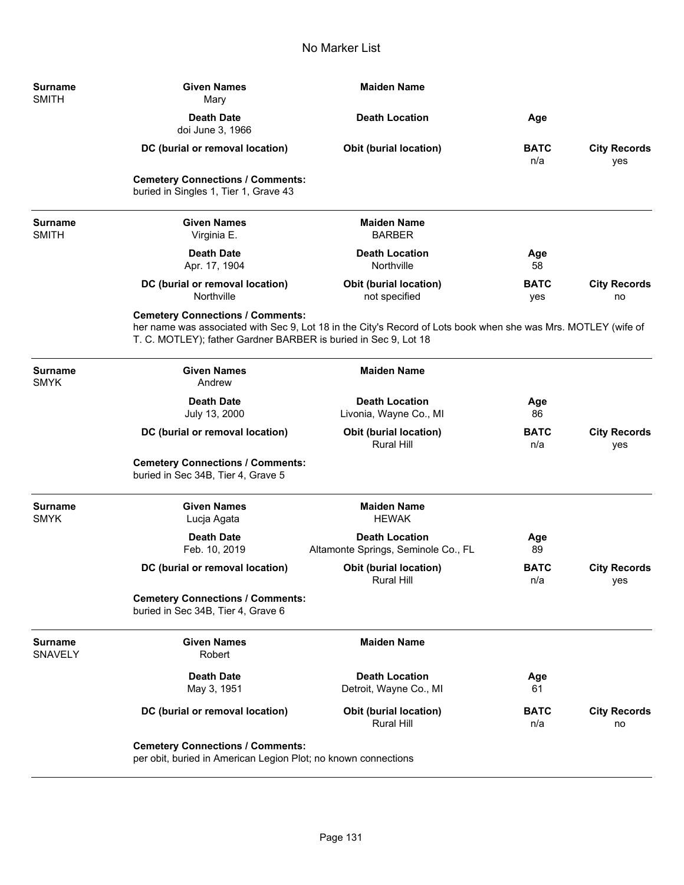| <b>Surname</b><br><b>SMITH</b>   | <b>Given Names</b><br>Mary                                                                                 | <b>Maiden Name</b>                                                                                             |                    |                            |
|----------------------------------|------------------------------------------------------------------------------------------------------------|----------------------------------------------------------------------------------------------------------------|--------------------|----------------------------|
|                                  | <b>Death Date</b><br>doi June 3, 1966                                                                      | <b>Death Location</b>                                                                                          | Age                |                            |
|                                  | DC (burial or removal location)                                                                            | <b>Obit (burial location)</b>                                                                                  | <b>BATC</b><br>n/a | <b>City Records</b><br>yes |
|                                  | <b>Cemetery Connections / Comments:</b><br>buried in Singles 1, Tier 1, Grave 43                           |                                                                                                                |                    |                            |
| <b>Surname</b><br><b>SMITH</b>   | <b>Given Names</b><br>Virginia E.                                                                          | <b>Maiden Name</b><br><b>BARBER</b>                                                                            |                    |                            |
|                                  | <b>Death Date</b><br>Apr. 17, 1904                                                                         | <b>Death Location</b><br>Northville                                                                            | Age<br>58          |                            |
|                                  | DC (burial or removal location)<br>Northville                                                              | <b>Obit (burial location)</b><br>not specified                                                                 | <b>BATC</b><br>yes | <b>City Records</b><br>no  |
|                                  | <b>Cemetery Connections / Comments:</b><br>T. C. MOTLEY); father Gardner BARBER is buried in Sec 9, Lot 18 | her name was associated with Sec 9, Lot 18 in the City's Record of Lots book when she was Mrs. MOTLEY (wife of |                    |                            |
| <b>Surname</b><br><b>SMYK</b>    | <b>Given Names</b><br>Andrew                                                                               | <b>Maiden Name</b>                                                                                             |                    |                            |
|                                  | <b>Death Date</b><br>July 13, 2000                                                                         | <b>Death Location</b><br>Livonia, Wayne Co., MI                                                                | Age<br>86          |                            |
|                                  | DC (burial or removal location)                                                                            | <b>Obit (burial location)</b><br>Rural Hill                                                                    | <b>BATC</b><br>n/a | <b>City Records</b><br>yes |
|                                  | <b>Cemetery Connections / Comments:</b><br>buried in Sec 34B, Tier 4, Grave 5                              |                                                                                                                |                    |                            |
| <b>Surname</b><br><b>SMYK</b>    | <b>Given Names</b><br>Lucja Agata                                                                          | <b>Maiden Name</b><br><b>HEWAK</b>                                                                             |                    |                            |
|                                  | <b>Death Date</b><br>Feb. 10, 2019                                                                         | <b>Death Location</b><br>Altamonte Springs, Seminole Co., FL                                                   | Age<br>89          |                            |
|                                  | DC (burial or removal location)                                                                            | <b>Obit (burial location)</b><br>Rural Hill                                                                    | <b>BATC</b><br>n/a | <b>City Records</b><br>yes |
|                                  | <b>Cemetery Connections / Comments:</b><br>buried in Sec 34B, Tier 4, Grave 6                              |                                                                                                                |                    |                            |
| <b>Surname</b><br><b>SNAVELY</b> | <b>Given Names</b><br>Robert                                                                               | <b>Maiden Name</b>                                                                                             |                    |                            |
|                                  | <b>Death Date</b><br>May 3, 1951                                                                           | <b>Death Location</b><br>Detroit, Wayne Co., MI                                                                | Age<br>61          |                            |
|                                  | DC (burial or removal location)                                                                            | Obit (burial location)<br>Rural Hill                                                                           | <b>BATC</b><br>n/a | <b>City Records</b><br>no  |
|                                  | <b>Cemetery Connections / Comments:</b><br>per obit, buried in American Legion Plot; no known connections  |                                                                                                                |                    |                            |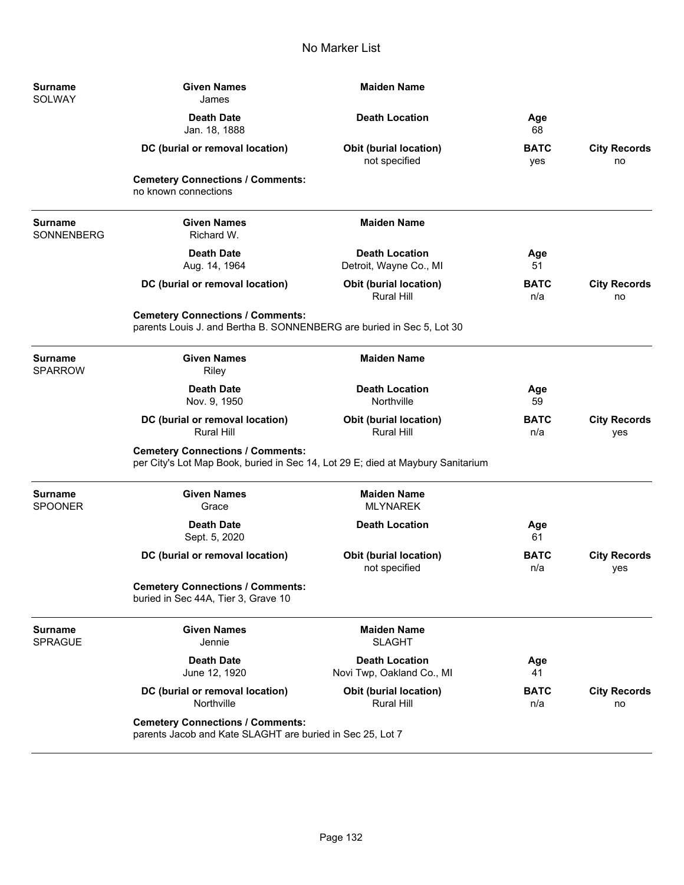| <b>Surname</b><br>SOLWAY            | <b>Given Names</b><br>James                                                                                                | <b>Maiden Name</b>                                 |                    |                            |
|-------------------------------------|----------------------------------------------------------------------------------------------------------------------------|----------------------------------------------------|--------------------|----------------------------|
|                                     | <b>Death Date</b><br>Jan. 18, 1888                                                                                         | <b>Death Location</b>                              | Age<br>68          |                            |
|                                     | DC (burial or removal location)                                                                                            | <b>Obit (burial location)</b><br>not specified     | <b>BATC</b><br>yes | <b>City Records</b><br>no  |
|                                     | <b>Cemetery Connections / Comments:</b><br>no known connections                                                            |                                                    |                    |                            |
| <b>Surname</b><br><b>SONNENBERG</b> | <b>Given Names</b><br>Richard W.                                                                                           | <b>Maiden Name</b>                                 |                    |                            |
|                                     | <b>Death Date</b><br>Aug. 14, 1964                                                                                         | <b>Death Location</b><br>Detroit, Wayne Co., MI    | Age<br>51          |                            |
|                                     | DC (burial or removal location)                                                                                            | <b>Obit (burial location)</b><br><b>Rural Hill</b> | <b>BATC</b><br>n/a | <b>City Records</b><br>no  |
|                                     | <b>Cemetery Connections / Comments:</b><br>parents Louis J. and Bertha B. SONNENBERG are buried in Sec 5, Lot 30           |                                                    |                    |                            |
| <b>Surname</b><br><b>SPARROW</b>    | <b>Given Names</b><br>Riley                                                                                                | <b>Maiden Name</b>                                 |                    |                            |
|                                     | <b>Death Date</b><br>Nov. 9, 1950                                                                                          | <b>Death Location</b><br>Northville                | Age<br>59          |                            |
|                                     | DC (burial or removal location)<br><b>Rural Hill</b>                                                                       | <b>Obit (burial location)</b><br><b>Rural Hill</b> | <b>BATC</b><br>n/a | <b>City Records</b><br>yes |
|                                     | <b>Cemetery Connections / Comments:</b><br>per City's Lot Map Book, buried in Sec 14, Lot 29 E; died at Maybury Sanitarium |                                                    |                    |                            |
| <b>Surname</b><br><b>SPOONER</b>    | <b>Given Names</b><br>Grace                                                                                                | <b>Maiden Name</b><br><b>MLYNAREK</b>              |                    |                            |
|                                     | <b>Death Date</b><br>Sept. 5, 2020                                                                                         | <b>Death Location</b>                              | Age<br>61          |                            |
|                                     | DC (burial or removal location)                                                                                            | <b>Obit (burial location)</b><br>not specified     | <b>BATC</b><br>n/a | <b>City Records</b><br>yes |
|                                     | <b>Cemetery Connections / Comments:</b><br>buried in Sec 44A, Tier 3, Grave 10                                             |                                                    |                    |                            |
| <b>Surname</b><br><b>SPRAGUE</b>    | <b>Given Names</b><br>Jennie                                                                                               | <b>Maiden Name</b><br><b>SLAGHT</b>                |                    |                            |
|                                     | <b>Death Date</b><br>June 12, 1920                                                                                         | <b>Death Location</b><br>Novi Twp, Oakland Co., MI | Age<br>41          |                            |
|                                     | DC (burial or removal location)<br>Northville                                                                              | Obit (burial location)<br><b>Rural Hill</b>        | <b>BATC</b><br>n/a | <b>City Records</b><br>no  |
|                                     | <b>Cemetery Connections / Comments:</b><br>parents Jacob and Kate SLAGHT are buried in Sec 25, Lot 7                       |                                                    |                    |                            |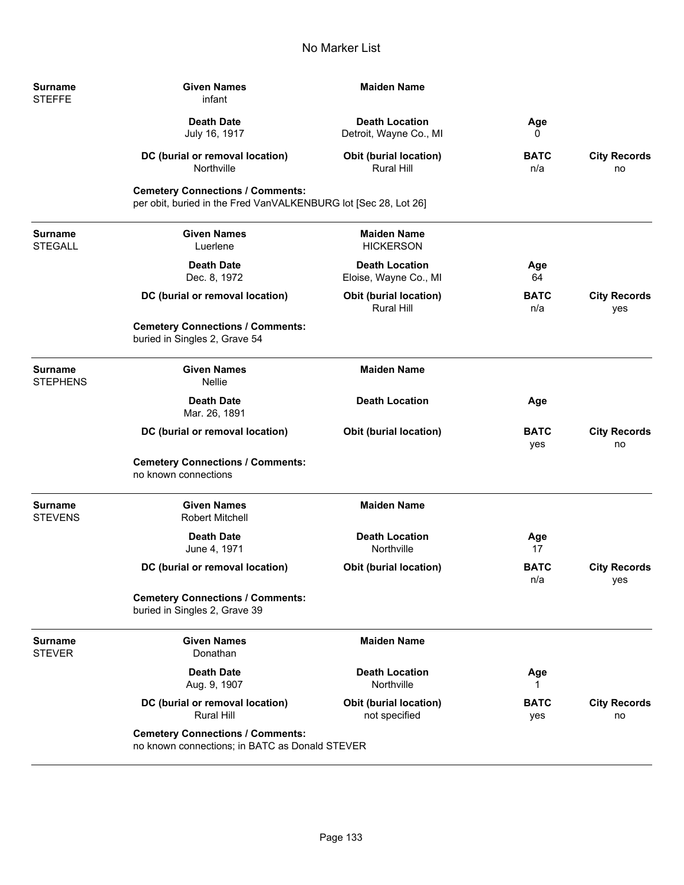| <b>Surname</b><br><b>STEFFE</b>  | <b>Given Names</b><br>infant                                                                               | <b>Maiden Name</b>                                 |                    |                            |
|----------------------------------|------------------------------------------------------------------------------------------------------------|----------------------------------------------------|--------------------|----------------------------|
|                                  | <b>Death Date</b><br>July 16, 1917                                                                         | <b>Death Location</b><br>Detroit, Wayne Co., MI    | Age<br>0           |                            |
|                                  | DC (burial or removal location)<br>Northville                                                              | <b>Obit (burial location)</b><br><b>Rural Hill</b> | <b>BATC</b><br>n/a | <b>City Records</b><br>no  |
|                                  | <b>Cemetery Connections / Comments:</b><br>per obit, buried in the Fred VanVALKENBURG lot [Sec 28, Lot 26] |                                                    |                    |                            |
| Surname<br>STEGALL               | <b>Given Names</b><br>Luerlene                                                                             | <b>Maiden Name</b><br><b>HICKERSON</b>             |                    |                            |
|                                  | <b>Death Date</b><br>Dec. 8, 1972                                                                          | <b>Death Location</b><br>Eloise, Wayne Co., MI     | Age<br>64          |                            |
|                                  | DC (burial or removal location)                                                                            | <b>Obit (burial location)</b><br><b>Rural Hill</b> | <b>BATC</b><br>n/a | <b>City Records</b><br>yes |
|                                  | <b>Cemetery Connections / Comments:</b><br>buried in Singles 2, Grave 54                                   |                                                    |                    |                            |
| Surname<br>STEPHENS              | <b>Given Names</b><br>Nellie                                                                               | <b>Maiden Name</b>                                 |                    |                            |
|                                  | <b>Death Date</b><br>Mar. 26, 1891                                                                         | <b>Death Location</b>                              | Age                |                            |
|                                  | DC (burial or removal location)                                                                            | Obit (burial location)                             | <b>BATC</b><br>yes | <b>City Records</b><br>no  |
|                                  | <b>Cemetery Connections / Comments:</b><br>no known connections                                            |                                                    |                    |                            |
| <b>Surname</b><br><b>STEVENS</b> | <b>Given Names</b><br><b>Robert Mitchell</b>                                                               | <b>Maiden Name</b>                                 |                    |                            |
|                                  | <b>Death Date</b><br>June 4, 1971                                                                          | <b>Death Location</b><br>Northville                | Age<br>17          |                            |
|                                  | DC (burial or removal location)                                                                            | <b>Obit (burial location)</b>                      | <b>BATC</b><br>n/a | <b>City Records</b><br>yes |
|                                  | <b>Cemetery Connections / Comments:</b><br>buried in Singles 2, Grave 39                                   |                                                    |                    |                            |
| Surname<br><b>STEVER</b>         | <b>Given Names</b><br>Donathan                                                                             | <b>Maiden Name</b>                                 |                    |                            |
|                                  | <b>Death Date</b><br>Aug. 9, 1907                                                                          | <b>Death Location</b><br>Northville                | Age                |                            |
|                                  | DC (burial or removal location)<br>Rural Hill                                                              | <b>Obit (burial location)</b><br>not specified     | <b>BATC</b><br>yes | <b>City Records</b><br>no  |
|                                  | <b>Cemetery Connections / Comments:</b><br>no known connections; in BATC as Donald STEVER                  |                                                    |                    |                            |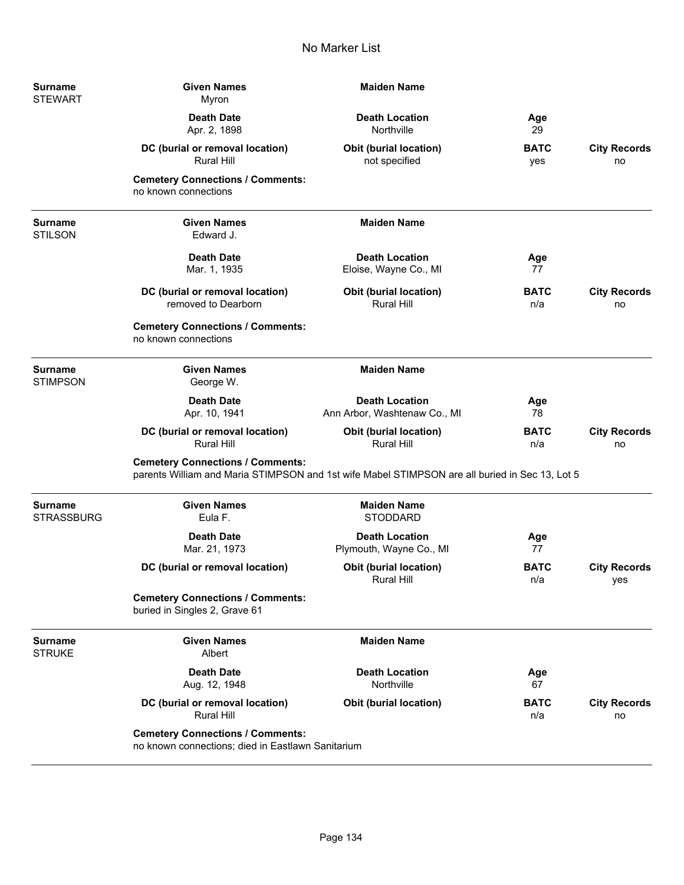| Surname<br><b>STEWART</b>           | <b>Given Names</b><br>Myron                                                                                                               | <b>Maiden Name</b>                                    |                    |                            |
|-------------------------------------|-------------------------------------------------------------------------------------------------------------------------------------------|-------------------------------------------------------|--------------------|----------------------------|
|                                     | <b>Death Date</b><br>Apr. 2, 1898                                                                                                         | <b>Death Location</b><br>Northville                   | Age<br>29          |                            |
|                                     | DC (burial or removal location)<br><b>Rural Hill</b>                                                                                      | Obit (burial location)<br>not specified               | <b>BATC</b><br>yes | <b>City Records</b><br>no  |
|                                     | <b>Cemetery Connections / Comments:</b><br>no known connections                                                                           |                                                       |                    |                            |
| <b>Surname</b><br><b>STILSON</b>    | <b>Given Names</b><br>Edward J.                                                                                                           | <b>Maiden Name</b>                                    |                    |                            |
|                                     | <b>Death Date</b><br>Mar. 1, 1935                                                                                                         | <b>Death Location</b><br>Eloise, Wayne Co., MI        | Age<br>77          |                            |
|                                     | DC (burial or removal location)<br>removed to Dearborn                                                                                    | <b>Obit (burial location)</b><br><b>Rural Hill</b>    | <b>BATC</b><br>n/a | <b>City Records</b><br>no  |
|                                     | <b>Cemetery Connections / Comments:</b><br>no known connections                                                                           |                                                       |                    |                            |
| <b>Surname</b><br><b>STIMPSON</b>   | <b>Given Names</b><br>George W.                                                                                                           | <b>Maiden Name</b>                                    |                    |                            |
|                                     | <b>Death Date</b><br>Apr. 10, 1941                                                                                                        | <b>Death Location</b><br>Ann Arbor, Washtenaw Co., MI | Age<br>78          |                            |
|                                     | DC (burial or removal location)<br><b>Rural Hill</b>                                                                                      | <b>Obit (burial location)</b><br><b>Rural Hill</b>    | <b>BATC</b><br>n/a | <b>City Records</b><br>no  |
|                                     | <b>Cemetery Connections / Comments:</b><br>parents William and Maria STIMPSON and 1st wife Mabel STIMPSON are all buried in Sec 13, Lot 5 |                                                       |                    |                            |
| <b>Surname</b><br><b>STRASSBURG</b> | <b>Given Names</b><br>Eula F.                                                                                                             | <b>Maiden Name</b><br><b>STODDARD</b>                 |                    |                            |
|                                     | <b>Death Date</b><br>Mar. 21, 1973                                                                                                        | <b>Death Location</b><br>Plymouth, Wayne Co., MI      | Age<br>77          |                            |
|                                     | DC (burial or removal location)                                                                                                           | <b>Obit (burial location)</b><br>Rural Hill           | <b>BATC</b><br>n/a | <b>City Records</b><br>yes |
|                                     | <b>Cemetery Connections / Comments:</b><br>buried in Singles 2, Grave 61                                                                  |                                                       |                    |                            |
| <b>Surname</b><br><b>STRUKE</b>     | <b>Given Names</b><br>Albert                                                                                                              | <b>Maiden Name</b>                                    |                    |                            |
|                                     | <b>Death Date</b><br>Aug. 12, 1948                                                                                                        | <b>Death Location</b><br>Northville                   | Age<br>67          |                            |
|                                     | DC (burial or removal location)<br><b>Rural Hill</b>                                                                                      | <b>Obit (burial location)</b>                         | <b>BATC</b><br>n/a | <b>City Records</b><br>no  |
|                                     | <b>Cemetery Connections / Comments:</b><br>no known connections; died in Eastlawn Sanitarium                                              |                                                       |                    |                            |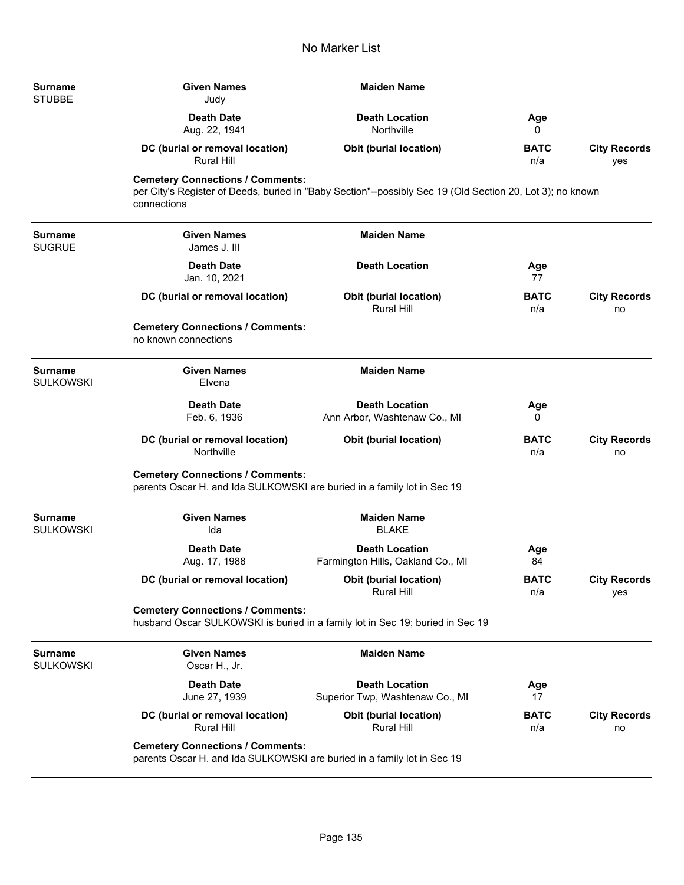| <b>Surname</b><br><b>STUBBE</b>    | <b>Given Names</b><br>Judy                                                                                         | <b>Maiden Name</b>                                                                                        |                    |                            |
|------------------------------------|--------------------------------------------------------------------------------------------------------------------|-----------------------------------------------------------------------------------------------------------|--------------------|----------------------------|
|                                    | <b>Death Date</b><br>Aug. 22, 1941                                                                                 | <b>Death Location</b><br>Northville                                                                       | Age<br>0           |                            |
|                                    | DC (burial or removal location)<br><b>Rural Hill</b>                                                               | Obit (burial location)                                                                                    | <b>BATC</b><br>n/a | <b>City Records</b><br>yes |
|                                    | <b>Cemetery Connections / Comments:</b><br>connections                                                             | per City's Register of Deeds, buried in "Baby Section"--possibly Sec 19 (Old Section 20, Lot 3); no known |                    |                            |
| <b>Surname</b><br><b>SUGRUE</b>    | <b>Given Names</b><br>James J. III                                                                                 | <b>Maiden Name</b>                                                                                        |                    |                            |
|                                    | <b>Death Date</b><br>Jan. 10, 2021                                                                                 | <b>Death Location</b>                                                                                     | Age<br>77          |                            |
|                                    | DC (burial or removal location)                                                                                    | <b>Obit (burial location)</b><br><b>Rural Hill</b>                                                        | <b>BATC</b><br>n/a | <b>City Records</b><br>no  |
|                                    | <b>Cemetery Connections / Comments:</b><br>no known connections                                                    |                                                                                                           |                    |                            |
| <b>Surname</b><br><b>SULKOWSKI</b> | <b>Given Names</b><br>Elvena                                                                                       | <b>Maiden Name</b>                                                                                        |                    |                            |
|                                    | <b>Death Date</b><br>Feb. 6, 1936                                                                                  | <b>Death Location</b><br>Ann Arbor, Washtenaw Co., MI                                                     | Age<br>0           |                            |
|                                    | DC (burial or removal location)<br>Northville                                                                      | <b>Obit (burial location)</b>                                                                             | <b>BATC</b><br>n/a | <b>City Records</b><br>no  |
|                                    | <b>Cemetery Connections / Comments:</b><br>parents Oscar H. and Ida SULKOWSKI are buried in a family lot in Sec 19 |                                                                                                           |                    |                            |
| <b>Surname</b><br><b>SULKOWSKI</b> | <b>Given Names</b><br>Ida                                                                                          | <b>Maiden Name</b><br><b>BLAKE</b>                                                                        |                    |                            |
|                                    | <b>Death Date</b><br>Aug. 17, 1988                                                                                 | <b>Death Location</b><br>Farmington Hills, Oakland Co., MI                                                | Age<br>84          |                            |
|                                    | DC (burial or removal location)                                                                                    | Obit (burial location)<br><b>Rural Hill</b>                                                               | <b>BATC</b><br>n/a | <b>City Records</b><br>yes |
|                                    | <b>Cemetery Connections / Comments:</b>                                                                            | husband Oscar SULKOWSKI is buried in a family lot in Sec 19; buried in Sec 19                             |                    |                            |
| <b>Surname</b><br><b>SULKOWSKI</b> | <b>Given Names</b><br>Oscar H., Jr.                                                                                | <b>Maiden Name</b>                                                                                        |                    |                            |
|                                    | <b>Death Date</b><br>June 27, 1939                                                                                 | <b>Death Location</b><br>Superior Twp, Washtenaw Co., MI                                                  | Age<br>17          |                            |
|                                    | DC (burial or removal location)<br><b>Rural Hill</b>                                                               | <b>Obit (burial location)</b><br><b>Rural Hill</b>                                                        | <b>BATC</b><br>n/a | <b>City Records</b><br>no  |
|                                    | <b>Cemetery Connections / Comments:</b><br>parents Oscar H. and Ida SULKOWSKI are buried in a family lot in Sec 19 |                                                                                                           |                    |                            |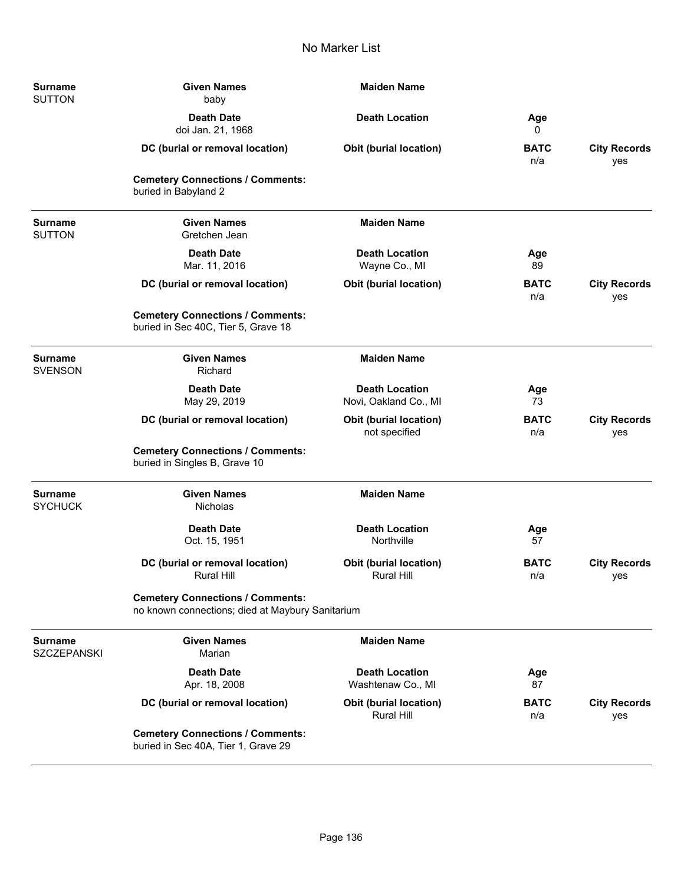| <b>Surname</b><br><b>SUTTON</b>      | <b>Maiden Name</b><br><b>Given Names</b><br>baby                                            |                                                    |                    |                            |
|--------------------------------------|---------------------------------------------------------------------------------------------|----------------------------------------------------|--------------------|----------------------------|
|                                      | <b>Death Date</b><br>doi Jan. 21, 1968                                                      | <b>Death Location</b>                              | Age<br>0           |                            |
|                                      | DC (burial or removal location)                                                             | <b>Obit (burial location)</b>                      | <b>BATC</b><br>n/a | <b>City Records</b><br>yes |
|                                      | <b>Cemetery Connections / Comments:</b><br>buried in Babyland 2                             |                                                    |                    |                            |
| <b>Surname</b><br><b>SUTTON</b>      | <b>Given Names</b><br>Gretchen Jean                                                         | <b>Maiden Name</b>                                 |                    |                            |
|                                      | <b>Death Date</b><br>Mar. 11, 2016                                                          | <b>Death Location</b><br>Wayne Co., MI             | Age<br>89          |                            |
|                                      | DC (burial or removal location)                                                             | Obit (burial location)                             | <b>BATC</b><br>n/a | <b>City Records</b><br>yes |
|                                      | <b>Cemetery Connections / Comments:</b><br>buried in Sec 40C, Tier 5, Grave 18              |                                                    |                    |                            |
| <b>Surname</b><br><b>SVENSON</b>     | <b>Given Names</b><br>Richard                                                               | <b>Maiden Name</b>                                 |                    |                            |
|                                      | <b>Death Date</b><br>May 29, 2019                                                           | <b>Death Location</b><br>Novi, Oakland Co., MI     | Age<br>73          |                            |
|                                      | DC (burial or removal location)                                                             | Obit (burial location)<br>not specified            | <b>BATC</b><br>n/a | <b>City Records</b><br>yes |
|                                      | <b>Cemetery Connections / Comments:</b><br>buried in Singles B, Grave 10                    |                                                    |                    |                            |
| <b>Surname</b><br><b>SYCHUCK</b>     | <b>Given Names</b><br>Nicholas                                                              | <b>Maiden Name</b>                                 |                    |                            |
|                                      | <b>Death Date</b><br>Oct. 15, 1951                                                          | <b>Death Location</b><br>Northville                | Age<br>57          |                            |
|                                      | DC (burial or removal location)<br>Rural Hill                                               | <b>Obit (burial location)</b><br>Rural Hill        | <b>BATC</b><br>n/a | <b>City Records</b><br>yes |
|                                      | <b>Cemetery Connections / Comments:</b><br>no known connections; died at Maybury Sanitarium |                                                    |                    |                            |
| <b>Surname</b><br><b>SZCZEPANSKI</b> | <b>Given Names</b><br>Marian                                                                | <b>Maiden Name</b>                                 |                    |                            |
|                                      | <b>Death Date</b><br>Apr. 18, 2008                                                          | <b>Death Location</b><br>Washtenaw Co., MI         | Age<br>87          |                            |
|                                      | DC (burial or removal location)                                                             | <b>Obit (burial location)</b><br><b>Rural Hill</b> | <b>BATC</b><br>n/a | <b>City Records</b><br>yes |
|                                      | <b>Cemetery Connections / Comments:</b><br>buried in Sec 40A, Tier 1, Grave 29              |                                                    |                    |                            |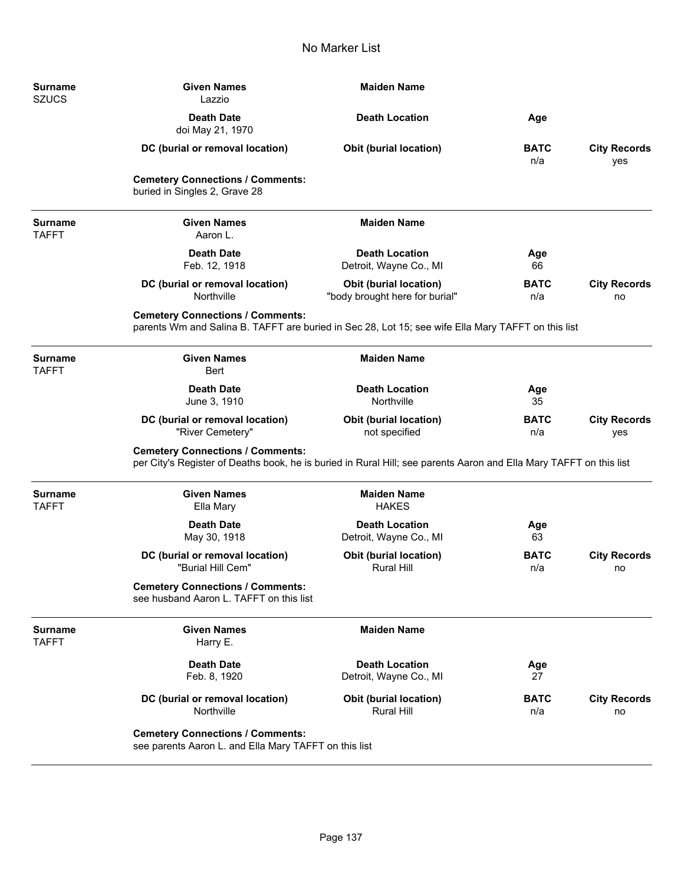| Surname<br><b>SZUCS</b>        | <b>Given Names</b><br>Lazzio                                                                                                                                  | <b>Maiden Name</b>                                              |                    |                            |
|--------------------------------|---------------------------------------------------------------------------------------------------------------------------------------------------------------|-----------------------------------------------------------------|--------------------|----------------------------|
|                                | <b>Death Date</b><br>doi May 21, 1970                                                                                                                         | <b>Death Location</b>                                           | Age                |                            |
|                                | DC (burial or removal location)                                                                                                                               | <b>Obit (burial location)</b>                                   | <b>BATC</b><br>n/a | <b>City Records</b><br>yes |
|                                | <b>Cemetery Connections / Comments:</b><br>buried in Singles 2, Grave 28                                                                                      |                                                                 |                    |                            |
| <b>Surname</b><br><b>TAFFT</b> | <b>Given Names</b><br>Aaron L.                                                                                                                                | <b>Maiden Name</b>                                              |                    |                            |
|                                | <b>Death Date</b><br>Feb. 12, 1918                                                                                                                            | <b>Death Location</b><br>Detroit, Wayne Co., MI                 | Age<br>66          |                            |
|                                | DC (burial or removal location)<br>Northville                                                                                                                 | <b>Obit (burial location)</b><br>"body brought here for burial" | <b>BATC</b><br>n/a | <b>City Records</b><br>no  |
|                                | <b>Cemetery Connections / Comments:</b><br>parents Wm and Salina B. TAFFT are buried in Sec 28, Lot 15; see wife Ella Mary TAFFT on this list                 |                                                                 |                    |                            |
| <b>Surname</b><br><b>TAFFT</b> | <b>Given Names</b><br>Bert                                                                                                                                    | <b>Maiden Name</b>                                              |                    |                            |
|                                | <b>Death Date</b><br>June 3, 1910                                                                                                                             | <b>Death Location</b><br>Northville                             | Age<br>35          |                            |
|                                | DC (burial or removal location)<br>"River Cemetery"                                                                                                           | <b>Obit (burial location)</b><br>not specified                  | <b>BATC</b><br>n/a | <b>City Records</b><br>yes |
|                                | <b>Cemetery Connections / Comments:</b><br>per City's Register of Deaths book, he is buried in Rural Hill; see parents Aaron and Ella Mary TAFFT on this list |                                                                 |                    |                            |
| <b>Surname</b><br><b>TAFFT</b> | <b>Given Names</b><br>Ella Mary                                                                                                                               | <b>Maiden Name</b><br><b>HAKES</b>                              |                    |                            |
|                                | <b>Death Date</b><br>May 30, 1918                                                                                                                             | <b>Death Location</b><br>Detroit, Wayne Co., MI                 | Age<br>63          |                            |
|                                | DC (burial or removal location)<br>"Burial Hill Cem"                                                                                                          | <b>Obit (burial location)</b><br><b>Rural Hill</b>              | <b>BATC</b><br>n/a | <b>City Records</b><br>no  |
|                                | <b>Cemetery Connections / Comments:</b><br>see husband Aaron L. TAFFT on this list                                                                            |                                                                 |                    |                            |
| Surname<br><b>TAFFT</b>        | <b>Given Names</b><br>Harry E.                                                                                                                                | <b>Maiden Name</b>                                              |                    |                            |
|                                | <b>Death Date</b><br>Feb. 8, 1920                                                                                                                             | <b>Death Location</b><br>Detroit, Wayne Co., MI                 | Age<br>27          |                            |
|                                | DC (burial or removal location)<br>Northville                                                                                                                 | Obit (burial location)<br><b>Rural Hill</b>                     | <b>BATC</b><br>n/a | <b>City Records</b><br>no  |
|                                | <b>Cemetery Connections / Comments:</b><br>see parents Aaron L. and Ella Mary TAFFT on this list                                                              |                                                                 |                    |                            |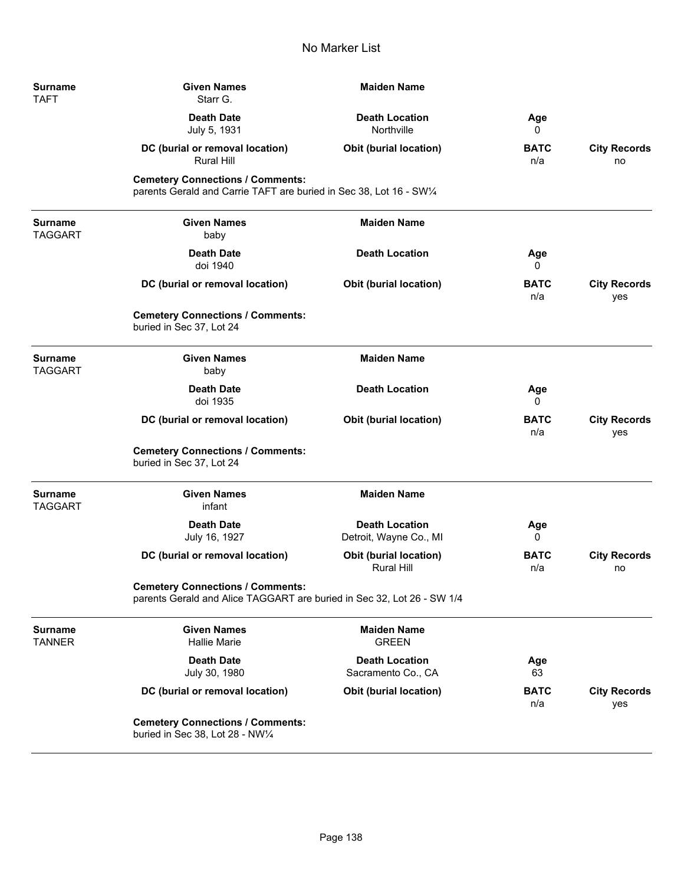| <b>Surname</b><br><b>TAFT</b>    | <b>Given Names</b><br>Starr G.                                                                                    | <b>Maiden Name</b>                                 |                    |                            |
|----------------------------------|-------------------------------------------------------------------------------------------------------------------|----------------------------------------------------|--------------------|----------------------------|
|                                  | <b>Death Date</b><br>July 5, 1931                                                                                 | <b>Death Location</b><br>Northville                | Age<br>0           |                            |
|                                  | DC (burial or removal location)<br><b>Rural Hill</b>                                                              | <b>Obit (burial location)</b>                      | <b>BATC</b><br>n/a | <b>City Records</b><br>no  |
|                                  | <b>Cemetery Connections / Comments:</b><br>parents Gerald and Carrie TAFT are buried in Sec 38, Lot 16 - SW1/4    |                                                    |                    |                            |
| <b>Surname</b><br><b>TAGGART</b> | <b>Given Names</b><br>baby                                                                                        | <b>Maiden Name</b>                                 |                    |                            |
|                                  | <b>Death Date</b><br>doi 1940                                                                                     | <b>Death Location</b>                              | Age<br>0           |                            |
|                                  | DC (burial or removal location)                                                                                   | <b>Obit (burial location)</b>                      | <b>BATC</b><br>n/a | <b>City Records</b><br>yes |
|                                  | <b>Cemetery Connections / Comments:</b><br>buried in Sec 37, Lot 24                                               |                                                    |                    |                            |
| <b>Surname</b><br><b>TAGGART</b> | <b>Given Names</b><br>baby                                                                                        | <b>Maiden Name</b>                                 |                    |                            |
|                                  | <b>Death Date</b><br>doi 1935                                                                                     | <b>Death Location</b>                              | Age<br>0           |                            |
|                                  | DC (burial or removal location)                                                                                   | <b>Obit (burial location)</b>                      | <b>BATC</b><br>n/a | <b>City Records</b><br>yes |
|                                  | <b>Cemetery Connections / Comments:</b><br>buried in Sec 37, Lot 24                                               |                                                    |                    |                            |
| <b>Surname</b><br><b>TAGGART</b> | <b>Given Names</b><br>infant                                                                                      | <b>Maiden Name</b>                                 |                    |                            |
|                                  | <b>Death Date</b><br>July 16, 1927                                                                                | <b>Death Location</b><br>Detroit, Wayne Co., MI    | Age<br>0           |                            |
|                                  | DC (burial or removal location)                                                                                   | <b>Obit (burial location)</b><br><b>Rural Hill</b> | <b>BATC</b><br>n/a | <b>City Records</b><br>no  |
|                                  | <b>Cemetery Connections / Comments:</b><br>parents Gerald and Alice TAGGART are buried in Sec 32, Lot 26 - SW 1/4 |                                                    |                    |                            |
| <b>Surname</b><br><b>TANNER</b>  | <b>Given Names</b><br><b>Hallie Marie</b>                                                                         | <b>Maiden Name</b><br><b>GREEN</b>                 |                    |                            |
|                                  | <b>Death Date</b><br>July 30, 1980                                                                                | <b>Death Location</b><br>Sacramento Co., CA        | Age<br>63          |                            |
|                                  | DC (burial or removal location)                                                                                   | <b>Obit (burial location)</b>                      | <b>BATC</b><br>n/a | <b>City Records</b><br>yes |
|                                  | <b>Cemetery Connections / Comments:</b><br>buried in Sec 38, Lot 28 - NW1/4                                       |                                                    |                    |                            |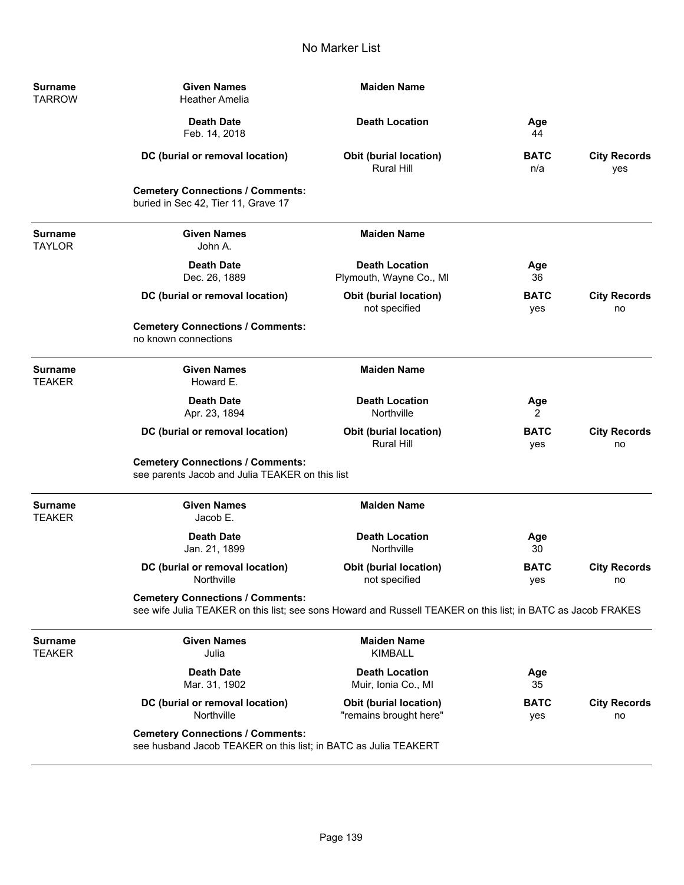| <b>Surname</b><br><b>TARROW</b> | <b>Given Names</b><br><b>Heather Amelia</b>                                                                                                             | <b>Maiden Name</b>                                 |                    |                            |
|---------------------------------|---------------------------------------------------------------------------------------------------------------------------------------------------------|----------------------------------------------------|--------------------|----------------------------|
|                                 | <b>Death Date</b><br>Feb. 14, 2018                                                                                                                      | <b>Death Location</b>                              | Age<br>44          |                            |
|                                 | DC (burial or removal location)                                                                                                                         | <b>Obit (burial location)</b><br>Rural Hill        | <b>BATC</b><br>n/a | <b>City Records</b><br>yes |
|                                 | <b>Cemetery Connections / Comments:</b><br>buried in Sec 42, Tier 11, Grave 17                                                                          |                                                    |                    |                            |
| <b>Surname</b><br><b>TAYLOR</b> | <b>Given Names</b><br>John A.                                                                                                                           | <b>Maiden Name</b>                                 |                    |                            |
|                                 | <b>Death Date</b><br>Dec. 26, 1889                                                                                                                      | <b>Death Location</b><br>Plymouth, Wayne Co., MI   | Age<br>36          |                            |
|                                 | DC (burial or removal location)                                                                                                                         | <b>Obit (burial location)</b><br>not specified     | <b>BATC</b><br>yes | <b>City Records</b><br>no  |
|                                 | <b>Cemetery Connections / Comments:</b><br>no known connections                                                                                         |                                                    |                    |                            |
| <b>Surname</b><br><b>TEAKER</b> | <b>Given Names</b><br>Howard E.                                                                                                                         | <b>Maiden Name</b>                                 |                    |                            |
|                                 | <b>Death Date</b><br>Apr. 23, 1894                                                                                                                      | <b>Death Location</b><br>Northville                | Age<br>2           |                            |
|                                 | DC (burial or removal location)                                                                                                                         | <b>Obit (burial location)</b><br><b>Rural Hill</b> | <b>BATC</b><br>yes | <b>City Records</b><br>no  |
|                                 | <b>Cemetery Connections / Comments:</b><br>see parents Jacob and Julia TEAKER on this list                                                              |                                                    |                    |                            |
| <b>Surname</b><br><b>TEAKER</b> | <b>Given Names</b><br>Jacob E.                                                                                                                          | <b>Maiden Name</b>                                 |                    |                            |
|                                 | <b>Death Date</b><br>Jan. 21, 1899                                                                                                                      | <b>Death Location</b><br>Northville                | Age<br>30          |                            |
|                                 | DC (burial or removal location)<br>Northville                                                                                                           | <b>Obit (burial location)</b><br>not specified     | <b>BATC</b><br>yes | <b>City Records</b><br>no  |
|                                 | <b>Cemetery Connections / Comments:</b><br>see wife Julia TEAKER on this list; see sons Howard and Russell TEAKER on this list; in BATC as Jacob FRAKES |                                                    |                    |                            |
| <b>Surname</b><br><b>TEAKER</b> | <b>Given Names</b><br>Julia                                                                                                                             | <b>Maiden Name</b><br><b>KIMBALL</b>               |                    |                            |
|                                 | <b>Death Date</b><br>Mar. 31, 1902                                                                                                                      | <b>Death Location</b><br>Muir, Ionia Co., MI       | Age<br>35          |                            |
|                                 | DC (burial or removal location)<br>Northville                                                                                                           | Obit (burial location)<br>"remains brought here"   | <b>BATC</b><br>yes | <b>City Records</b><br>no  |
|                                 | <b>Cemetery Connections / Comments:</b><br>see husband Jacob TEAKER on this list; in BATC as Julia TEAKERT                                              |                                                    |                    |                            |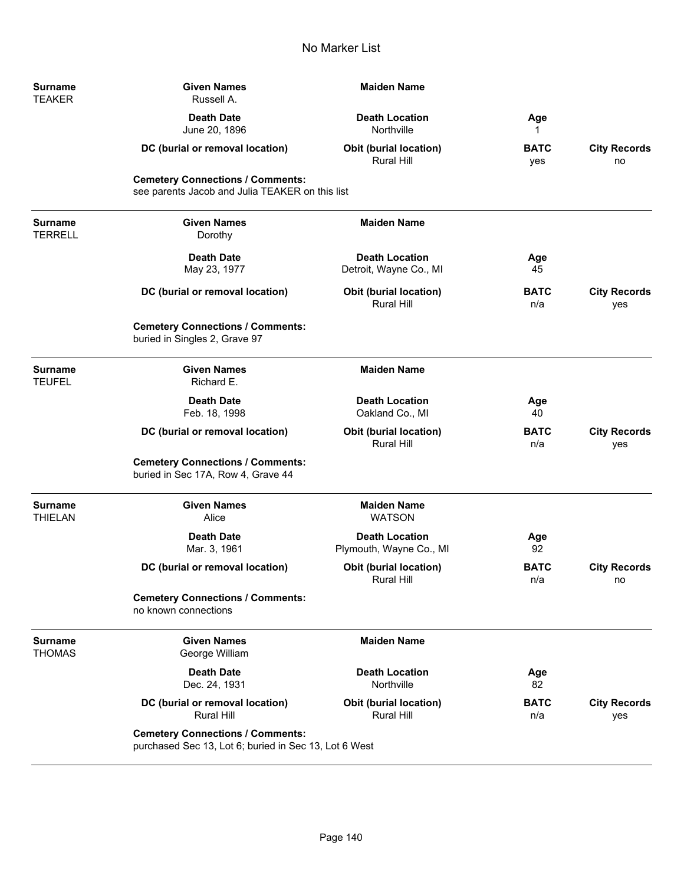| <b>Surname</b><br>TEAKER  | <b>Given Names</b><br>Russell A.                                                                 | <b>Maiden Name</b>                                 |                    |                            |
|---------------------------|--------------------------------------------------------------------------------------------------|----------------------------------------------------|--------------------|----------------------------|
|                           | <b>Death Date</b><br>June 20, 1896                                                               | <b>Death Location</b><br>Northville                | Age<br>1           |                            |
|                           | DC (burial or removal location)                                                                  | <b>Obit (burial location)</b><br>Rural Hill        | <b>BATC</b><br>yes | <b>City Records</b><br>no  |
|                           | <b>Cemetery Connections / Comments:</b><br>see parents Jacob and Julia TEAKER on this list       |                                                    |                    |                            |
| Surname<br>TERRELL        | <b>Given Names</b><br>Dorothy                                                                    | <b>Maiden Name</b>                                 |                    |                            |
|                           | <b>Death Date</b><br>May 23, 1977                                                                | <b>Death Location</b><br>Detroit, Wayne Co., MI    | Age<br>45          |                            |
|                           | DC (burial or removal location)                                                                  | <b>Obit (burial location)</b><br><b>Rural Hill</b> | <b>BATC</b><br>n/a | <b>City Records</b><br>yes |
|                           | <b>Cemetery Connections / Comments:</b><br>buried in Singles 2, Grave 97                         |                                                    |                    |                            |
| Surname<br><b>TEUFEL</b>  | <b>Given Names</b><br>Richard E.                                                                 | <b>Maiden Name</b>                                 |                    |                            |
|                           | <b>Death Date</b><br>Feb. 18, 1998                                                               | <b>Death Location</b><br>Oakland Co., MI           | Age<br>40          |                            |
|                           | DC (burial or removal location)                                                                  | <b>Obit (burial location)</b><br><b>Rural Hill</b> | <b>BATC</b><br>n/a | <b>City Records</b><br>yes |
|                           | <b>Cemetery Connections / Comments:</b><br>buried in Sec 17A, Row 4, Grave 44                    |                                                    |                    |                            |
| <b>Surname</b><br>THIELAN | <b>Given Names</b><br>Alice                                                                      | <b>Maiden Name</b><br><b>WATSON</b>                |                    |                            |
|                           | <b>Death Date</b><br>Mar. 3, 1961                                                                | <b>Death Location</b><br>Plymouth, Wayne Co., MI   | Age<br>92          |                            |
|                           | DC (burial or removal location)                                                                  | <b>Obit (burial location)</b><br>Rural Hill        | <b>BATC</b><br>n/a | <b>City Records</b><br>no  |
|                           | <b>Cemetery Connections / Comments:</b><br>no known connections                                  |                                                    |                    |                            |
| Surname<br>THOMAS         | <b>Given Names</b><br>George William                                                             | <b>Maiden Name</b>                                 |                    |                            |
|                           | <b>Death Date</b><br>Dec. 24, 1931                                                               | <b>Death Location</b><br>Northville                | Age<br>82          |                            |
|                           | DC (burial or removal location)<br>Rural Hill                                                    | <b>Obit (burial location)</b><br>Rural Hill        | <b>BATC</b><br>n/a | <b>City Records</b><br>yes |
|                           | <b>Cemetery Connections / Comments:</b><br>purchased Sec 13, Lot 6; buried in Sec 13, Lot 6 West |                                                    |                    |                            |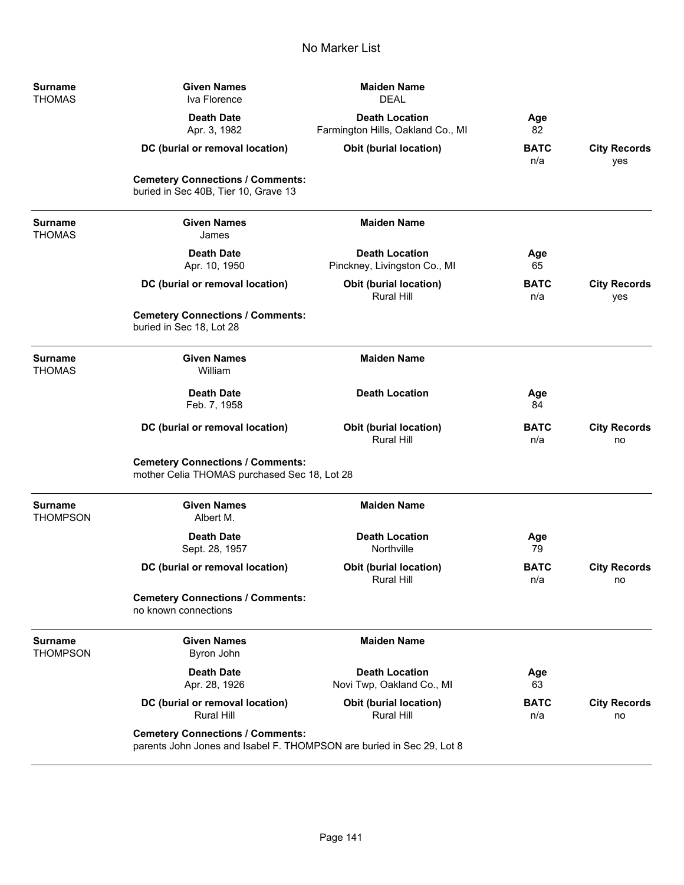| <b>Surname</b><br><b>THOMAS</b>   | <b>Given Names</b><br>Iva Florence                                                                               | <b>Maiden Name</b><br><b>DEAL</b>                          |                    |                            |
|-----------------------------------|------------------------------------------------------------------------------------------------------------------|------------------------------------------------------------|--------------------|----------------------------|
|                                   | <b>Death Date</b><br>Apr. 3, 1982                                                                                | <b>Death Location</b><br>Farmington Hills, Oakland Co., MI | Age<br>82          |                            |
|                                   | DC (burial or removal location)                                                                                  | Obit (burial location)                                     | <b>BATC</b><br>n/a | <b>City Records</b><br>yes |
|                                   | <b>Cemetery Connections / Comments:</b><br>buried in Sec 40B, Tier 10, Grave 13                                  |                                                            |                    |                            |
| <b>Surname</b><br><b>THOMAS</b>   | <b>Given Names</b><br>James                                                                                      | <b>Maiden Name</b>                                         |                    |                            |
|                                   | <b>Death Date</b><br>Apr. 10, 1950                                                                               | <b>Death Location</b><br>Pinckney, Livingston Co., MI      | Age<br>65          |                            |
|                                   | DC (burial or removal location)                                                                                  | Obit (burial location)<br><b>Rural Hill</b>                | <b>BATC</b><br>n/a | <b>City Records</b><br>yes |
|                                   | <b>Cemetery Connections / Comments:</b><br>buried in Sec 18, Lot 28                                              |                                                            |                    |                            |
| <b>Surname</b><br><b>THOMAS</b>   | <b>Given Names</b><br>William                                                                                    | <b>Maiden Name</b>                                         |                    |                            |
|                                   | <b>Death Date</b><br>Feb. 7, 1958                                                                                | <b>Death Location</b>                                      | Age<br>84          |                            |
|                                   | DC (burial or removal location)                                                                                  | <b>Obit (burial location)</b><br><b>Rural Hill</b>         | <b>BATC</b><br>n/a | <b>City Records</b><br>no  |
|                                   | <b>Cemetery Connections / Comments:</b><br>mother Celia THOMAS purchased Sec 18, Lot 28                          |                                                            |                    |                            |
| <b>Surname</b><br><b>THOMPSON</b> | <b>Given Names</b><br>Albert M.                                                                                  | <b>Maiden Name</b>                                         |                    |                            |
|                                   | <b>Death Date</b><br>Sept. 28, 1957                                                                              | <b>Death Location</b><br>Northville                        | Age<br>79          |                            |
|                                   | DC (burial or removal location)                                                                                  | Obit (burial location)<br><b>Rural Hill</b>                | <b>BATC</b><br>n/a | <b>City Records</b><br>no  |
|                                   | <b>Cemetery Connections / Comments:</b><br>no known connections                                                  |                                                            |                    |                            |
| <b>Surname</b><br><b>THOMPSON</b> | <b>Given Names</b><br>Byron John                                                                                 | <b>Maiden Name</b>                                         |                    |                            |
|                                   | <b>Death Date</b><br>Apr. 28, 1926                                                                               | <b>Death Location</b><br>Novi Twp, Oakland Co., MI         | Age<br>63          |                            |
|                                   | DC (burial or removal location)<br><b>Rural Hill</b>                                                             | Obit (burial location)<br><b>Rural Hill</b>                | <b>BATC</b><br>n/a | <b>City Records</b><br>no  |
|                                   | <b>Cemetery Connections / Comments:</b><br>parents John Jones and Isabel F. THOMPSON are buried in Sec 29, Lot 8 |                                                            |                    |                            |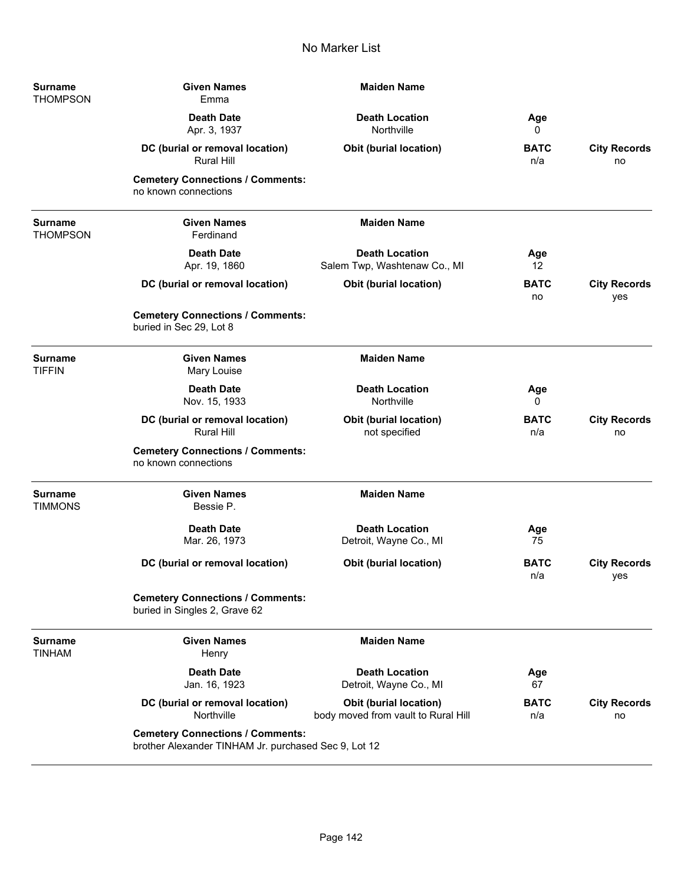| Surname<br><b>THOMPSON</b> | <b>Given Names</b><br>Emma                                                                      | <b>Maiden Name</b>                                                   |                    |                            |
|----------------------------|-------------------------------------------------------------------------------------------------|----------------------------------------------------------------------|--------------------|----------------------------|
|                            | <b>Death Date</b><br>Apr. 3, 1937                                                               | <b>Death Location</b><br>Northville                                  | Age<br>0           |                            |
|                            | DC (burial or removal location)<br><b>Rural Hill</b>                                            | <b>Obit (burial location)</b>                                        | <b>BATC</b><br>n/a | <b>City Records</b><br>no  |
|                            | <b>Cemetery Connections / Comments:</b><br>no known connections                                 |                                                                      |                    |                            |
| <b>Surname</b><br>THOMPSON | <b>Given Names</b><br>Ferdinand                                                                 | <b>Maiden Name</b>                                                   |                    |                            |
|                            | <b>Death Date</b><br>Apr. 19, 1860                                                              | <b>Death Location</b><br>Salem Twp, Washtenaw Co., MI                | Age<br>12          |                            |
|                            | DC (burial or removal location)                                                                 | <b>Obit (burial location)</b>                                        | <b>BATC</b><br>no  | <b>City Records</b><br>yes |
|                            | <b>Cemetery Connections / Comments:</b><br>buried in Sec 29, Lot 8                              |                                                                      |                    |                            |
| Surname<br><b>TIFFIN</b>   | <b>Given Names</b><br>Mary Louise                                                               | <b>Maiden Name</b>                                                   |                    |                            |
|                            | <b>Death Date</b><br>Nov. 15, 1933                                                              | <b>Death Location</b><br>Northville                                  | Age<br>0           |                            |
|                            | DC (burial or removal location)<br><b>Rural Hill</b>                                            | <b>Obit (burial location)</b><br>not specified                       | <b>BATC</b><br>n/a | <b>City Records</b><br>no  |
|                            | <b>Cemetery Connections / Comments:</b><br>no known connections                                 |                                                                      |                    |                            |
| Surname<br>TIMMONS         | <b>Given Names</b><br>Bessie P.                                                                 | <b>Maiden Name</b>                                                   |                    |                            |
|                            | <b>Death Date</b><br>Mar. 26, 1973                                                              | <b>Death Location</b><br>Detroit, Wayne Co., MI                      | Age<br>75          |                            |
|                            | DC (burial or removal location)                                                                 | <b>Obit (burial location)</b>                                        | <b>BATC</b><br>n/a | <b>City Records</b><br>yes |
|                            | <b>Cemetery Connections / Comments:</b><br>buried in Singles 2, Grave 62                        |                                                                      |                    |                            |
| <b>Surname</b><br>TINHAM   | <b>Given Names</b><br>Henry                                                                     | <b>Maiden Name</b>                                                   |                    |                            |
|                            | <b>Death Date</b><br>Jan. 16, 1923                                                              | <b>Death Location</b><br>Detroit, Wayne Co., MI                      | Age<br>67          |                            |
|                            | DC (burial or removal location)<br>Northville                                                   | <b>Obit (burial location)</b><br>body moved from vault to Rural Hill | <b>BATC</b><br>n/a | <b>City Records</b><br>no  |
|                            | <b>Cemetery Connections / Comments:</b><br>brother Alexander TINHAM Jr. purchased Sec 9, Lot 12 |                                                                      |                    |                            |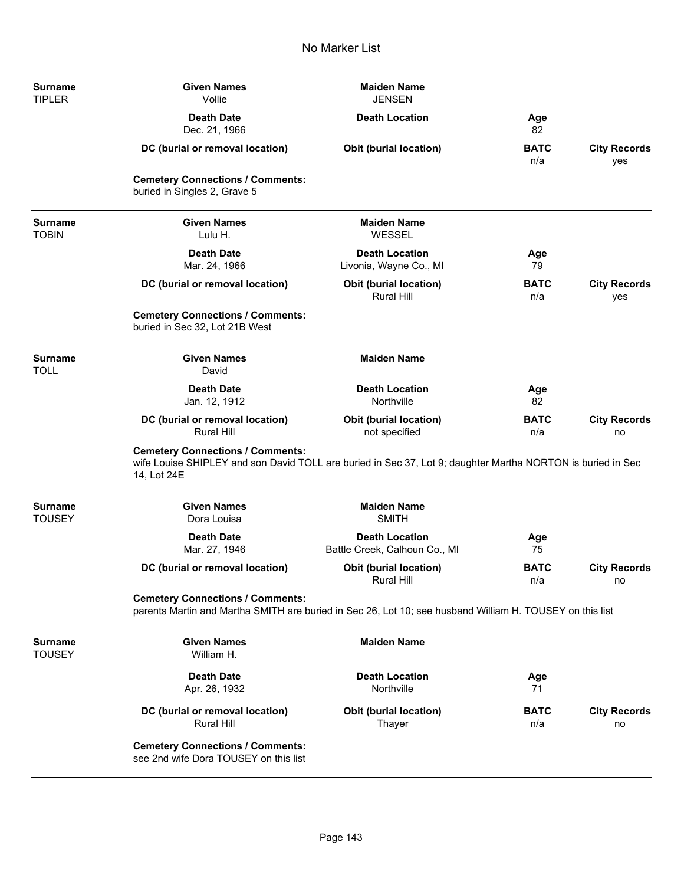| Surname<br><b>TIPLER</b>        | <b>Given Names</b><br>Vollie                                                                                                                                          | <b>Maiden Name</b><br><b>JENSEN</b>                    |                    |                            |
|---------------------------------|-----------------------------------------------------------------------------------------------------------------------------------------------------------------------|--------------------------------------------------------|--------------------|----------------------------|
|                                 | <b>Death Date</b><br>Dec. 21, 1966                                                                                                                                    | <b>Death Location</b>                                  | Age<br>82          |                            |
|                                 | DC (burial or removal location)                                                                                                                                       | <b>Obit (burial location)</b>                          | <b>BATC</b><br>n/a | <b>City Records</b><br>yes |
|                                 | <b>Cemetery Connections / Comments:</b><br>buried in Singles 2, Grave 5                                                                                               |                                                        |                    |                            |
| Surname<br><b>TOBIN</b>         | <b>Given Names</b><br>Lulu H.                                                                                                                                         | <b>Maiden Name</b><br>WESSEL                           |                    |                            |
|                                 | <b>Death Date</b><br>Mar. 24, 1966                                                                                                                                    | <b>Death Location</b><br>Livonia, Wayne Co., MI        | Age<br>79          |                            |
|                                 | DC (burial or removal location)                                                                                                                                       | Obit (burial location)<br><b>Rural Hill</b>            | <b>BATC</b><br>n/a | <b>City Records</b><br>yes |
|                                 | <b>Cemetery Connections / Comments:</b><br>buried in Sec 32, Lot 21B West                                                                                             |                                                        |                    |                            |
| <b>Surname</b><br><b>TOLL</b>   | <b>Given Names</b><br>David                                                                                                                                           | <b>Maiden Name</b>                                     |                    |                            |
|                                 | <b>Death Date</b><br>Jan. 12, 1912                                                                                                                                    | <b>Death Location</b><br>Northville                    | Age<br>82          |                            |
|                                 | DC (burial or removal location)<br><b>Rural Hill</b>                                                                                                                  | <b>Obit (burial location)</b><br>not specified         | <b>BATC</b><br>n/a | <b>City Records</b><br>no  |
|                                 | <b>Cemetery Connections / Comments:</b><br>wife Louise SHIPLEY and son David TOLL are buried in Sec 37, Lot 9; daughter Martha NORTON is buried in Sec<br>14, Lot 24E |                                                        |                    |                            |
| <b>Surname</b><br><b>TOUSEY</b> | <b>Given Names</b><br>Dora Louisa                                                                                                                                     | <b>Maiden Name</b><br><b>SMITH</b>                     |                    |                            |
|                                 | <b>Death Date</b><br>Mar. 27, 1946                                                                                                                                    | <b>Death Location</b><br>Battle Creek, Calhoun Co., MI | Age<br>75          |                            |
|                                 | DC (burial or removal location)                                                                                                                                       | Obit (burial location)<br>Rural Hill                   | <b>BATC</b><br>n/a | <b>City Records</b><br>no  |
|                                 | <b>Cemetery Connections / Comments:</b><br>parents Martin and Martha SMITH are buried in Sec 26, Lot 10; see husband William H. TOUSEY on this list                   |                                                        |                    |                            |
| <b>Surname</b><br><b>TOUSEY</b> | <b>Given Names</b><br>William H.                                                                                                                                      | <b>Maiden Name</b>                                     |                    |                            |
|                                 | <b>Death Date</b><br>Apr. 26, 1932                                                                                                                                    | <b>Death Location</b><br>Northville                    | Age<br>71          |                            |
|                                 | DC (burial or removal location)<br><b>Rural Hill</b>                                                                                                                  | Obit (burial location)<br>Thayer                       | <b>BATC</b><br>n/a | <b>City Records</b><br>no  |
|                                 | <b>Cemetery Connections / Comments:</b><br>see 2nd wife Dora TOUSEY on this list                                                                                      |                                                        |                    |                            |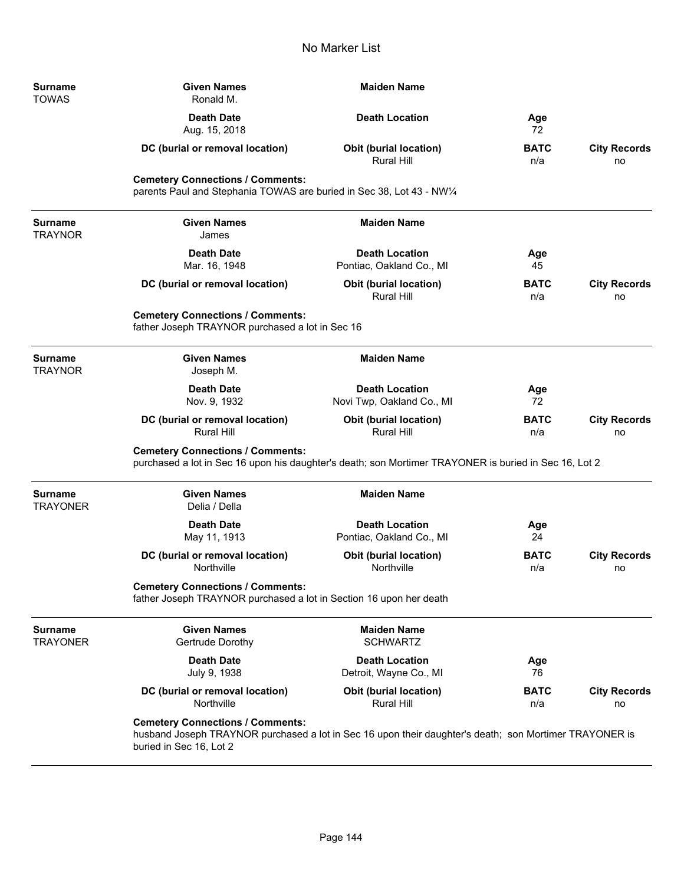| <b>Surname</b><br><b>TOWAS</b>    | <b>Given Names</b><br>Ronald M.                                                                                                                                              | <b>Maiden Name</b>                                 |                    |                           |
|-----------------------------------|------------------------------------------------------------------------------------------------------------------------------------------------------------------------------|----------------------------------------------------|--------------------|---------------------------|
|                                   | <b>Death Date</b><br>Aug. 15, 2018                                                                                                                                           | <b>Death Location</b>                              | Age<br>72          |                           |
|                                   | DC (burial or removal location)                                                                                                                                              | <b>Obit (burial location)</b><br><b>Rural Hill</b> | <b>BATC</b><br>n/a | <b>City Records</b><br>no |
|                                   | <b>Cemetery Connections / Comments:</b><br>parents Paul and Stephania TOWAS are buried in Sec 38, Lot 43 - NW1/4                                                             |                                                    |                    |                           |
| <b>Surname</b><br><b>TRAYNOR</b>  | <b>Given Names</b><br>James                                                                                                                                                  | <b>Maiden Name</b>                                 |                    |                           |
|                                   | <b>Death Date</b><br>Mar. 16, 1948                                                                                                                                           | <b>Death Location</b><br>Pontiac, Oakland Co., MI  | Age<br>45          |                           |
|                                   | DC (burial or removal location)                                                                                                                                              | Obit (burial location)<br><b>Rural Hill</b>        | <b>BATC</b><br>n/a | <b>City Records</b><br>no |
|                                   | <b>Cemetery Connections / Comments:</b><br>father Joseph TRAYNOR purchased a lot in Sec 16                                                                                   |                                                    |                    |                           |
| <b>Surname</b><br><b>TRAYNOR</b>  | <b>Given Names</b><br>Joseph M.                                                                                                                                              | <b>Maiden Name</b>                                 |                    |                           |
|                                   | <b>Death Date</b><br>Nov. 9, 1932                                                                                                                                            | <b>Death Location</b><br>Novi Twp, Oakland Co., MI | Age<br>72          |                           |
|                                   | DC (burial or removal location)<br><b>Rural Hill</b>                                                                                                                         | Obit (burial location)<br><b>Rural Hill</b>        | <b>BATC</b><br>n/a | <b>City Records</b><br>no |
|                                   | <b>Cemetery Connections / Comments:</b><br>purchased a lot in Sec 16 upon his daughter's death; son Mortimer TRAYONER is buried in Sec 16, Lot 2                             |                                                    |                    |                           |
| <b>Surname</b><br><b>TRAYONER</b> | <b>Given Names</b><br>Delia / Della                                                                                                                                          | <b>Maiden Name</b>                                 |                    |                           |
|                                   | <b>Death Date</b><br>May 11, 1913                                                                                                                                            | <b>Death Location</b><br>Pontiac, Oakland Co., MI  | Age<br>24          |                           |
|                                   | DC (burial or removal location)<br>Northville                                                                                                                                | <b>Obit (burial location)</b><br>Northville        | BATC<br>n/a        | <b>City Records</b><br>no |
|                                   | <b>Cemetery Connections / Comments:</b><br>father Joseph TRAYNOR purchased a lot in Section 16 upon her death                                                                |                                                    |                    |                           |
| <b>Surname</b><br><b>TRAYONER</b> | <b>Given Names</b><br>Gertrude Dorothy                                                                                                                                       | <b>Maiden Name</b><br><b>SCHWARTZ</b>              |                    |                           |
|                                   | <b>Death Date</b><br>July 9, 1938                                                                                                                                            | <b>Death Location</b><br>Detroit, Wayne Co., MI    | Age<br>76          |                           |
|                                   | DC (burial or removal location)<br>Northville                                                                                                                                | Obit (burial location)<br>Rural Hill               | <b>BATC</b><br>n/a | <b>City Records</b><br>no |
|                                   | <b>Cemetery Connections / Comments:</b><br>husband Joseph TRAYNOR purchased a lot in Sec 16 upon their daughter's death; son Mortimer TRAYONER is<br>buried in Sec 16, Lot 2 |                                                    |                    |                           |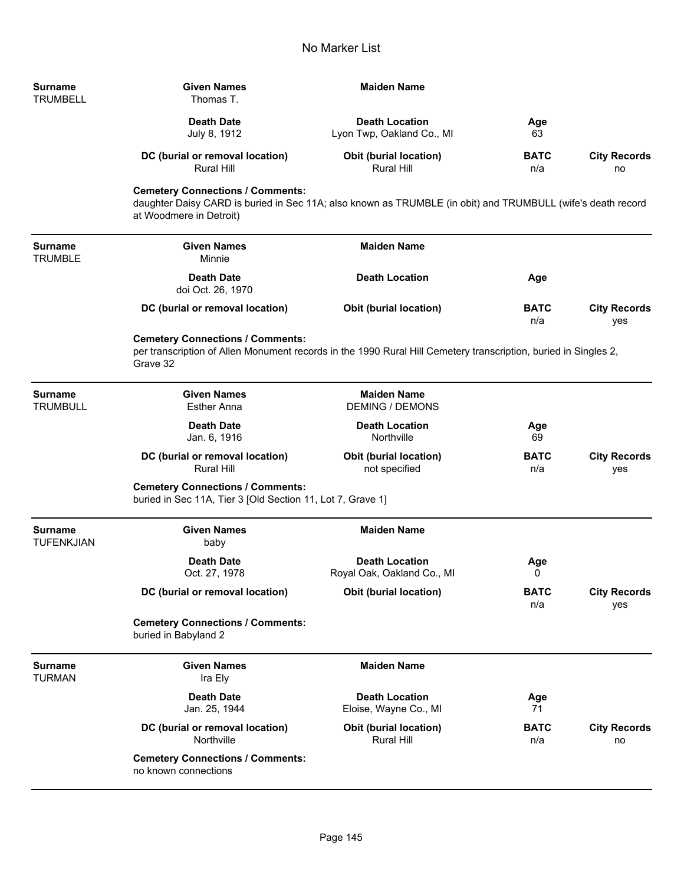| <b>Surname</b><br><b>TRUMBELL</b> | <b>Given Names</b><br>Thomas T.                                                                                                        | <b>Maiden Name</b>            |             |                     |
|-----------------------------------|----------------------------------------------------------------------------------------------------------------------------------------|-------------------------------|-------------|---------------------|
|                                   | <b>Death Date</b>                                                                                                                      | <b>Death Location</b>         | Age         |                     |
|                                   | July 8, 1912                                                                                                                           | Lyon Twp, Oakland Co., MI     | 63          |                     |
|                                   | DC (burial or removal location)                                                                                                        | <b>Obit (burial location)</b> | <b>BATC</b> | <b>City Records</b> |
|                                   | Rural Hill                                                                                                                             | Rural Hill                    | n/a         | no                  |
|                                   | <b>Cemetery Connections / Comments:</b>                                                                                                |                               |             |                     |
|                                   | daughter Daisy CARD is buried in Sec 11A; also known as TRUMBLE (in obit) and TRUMBULL (wife's death record<br>at Woodmere in Detroit) |                               |             |                     |

| Surname<br>TRUMBLE | <b>Given Names</b><br>Minnie           | <b>Maiden Name</b>            |                    |                                   |
|--------------------|----------------------------------------|-------------------------------|--------------------|-----------------------------------|
|                    | <b>Death Date</b><br>doi Oct. 26, 1970 | <b>Death Location</b>         | Age                |                                   |
|                    | DC (burial or removal location)        | <b>Obit (burial location)</b> | <b>BATC</b><br>n/a | <b>City Records</b><br><b>ves</b> |

## **Cemetery Connections / Comments:**

**Surname** 

TRUMBLE

ä,

ä,

per transcription of Allen Monument records in the 1990 Rural Hill Cemetery transcription, buried in Singles 2, Grave 32

| Surname<br>TRUMBULL   | <b>Given Names</b><br><b>Esther Anna</b>                                                              | <b>Maiden Name</b><br><b>DEMING / DEMONS</b>        |                    |                            |
|-----------------------|-------------------------------------------------------------------------------------------------------|-----------------------------------------------------|--------------------|----------------------------|
|                       | <b>Death Date</b><br>Jan. 6, 1916                                                                     | <b>Death Location</b><br>Northville                 | Age<br>69          |                            |
|                       | DC (burial or removal location)<br><b>Rural Hill</b>                                                  | <b>Obit (burial location)</b><br>not specified      | <b>BATC</b><br>n/a | <b>City Records</b><br>yes |
|                       | <b>Cemetery Connections / Comments:</b><br>buried in Sec 11A, Tier 3 [Old Section 11, Lot 7, Grave 1] |                                                     |                    |                            |
| Surname<br>TUFENKJIAN | <b>Given Names</b><br>baby                                                                            | <b>Maiden Name</b>                                  |                    |                            |
|                       | <b>Death Date</b><br>Oct. 27, 1978                                                                    | <b>Death Location</b><br>Royal Oak, Oakland Co., MI | Age<br>0           |                            |
|                       | DC (burial or removal location)                                                                       | <b>Obit (burial location)</b>                       | <b>BATC</b><br>n/a | <b>City Records</b><br>yes |
|                       | <b>Cemetery Connections / Comments:</b><br>buried in Babyland 2                                       |                                                     |                    |                            |
| Surname<br>TURMAN     | <b>Given Names</b><br>Ira Ely                                                                         | <b>Maiden Name</b>                                  |                    |                            |
|                       | <b>Death Date</b><br>Jan. 25, 1944                                                                    | <b>Death Location</b><br>Eloise, Wayne Co., MI      | Age<br>71          |                            |
|                       | DC (burial or removal location)<br>Northville                                                         | <b>Obit (burial location)</b><br><b>Rural Hill</b>  | <b>BATC</b><br>n/a | <b>City Records</b><br>no  |
|                       | <b>Cemetery Connections / Comments:</b><br>no known connections                                       |                                                     |                    |                            |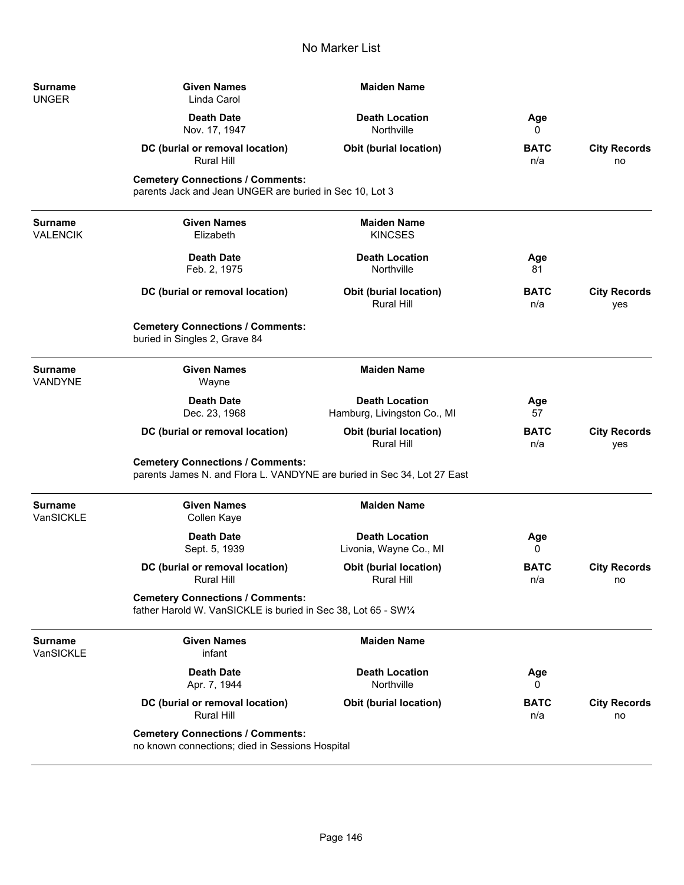| Surname<br>UNGER            | <b>Given Names</b><br>Linda Carol                                                                                  | <b>Maiden Name</b>                                   |                    |                            |
|-----------------------------|--------------------------------------------------------------------------------------------------------------------|------------------------------------------------------|--------------------|----------------------------|
|                             | <b>Death Date</b><br>Nov. 17, 1947                                                                                 | <b>Death Location</b><br>Northville                  | Age<br>0           |                            |
|                             | DC (burial or removal location)<br>Rural Hill                                                                      | <b>Obit (burial location)</b>                        | <b>BATC</b><br>n/a | <b>City Records</b><br>no  |
|                             | <b>Cemetery Connections / Comments:</b><br>parents Jack and Jean UNGER are buried in Sec 10, Lot 3                 |                                                      |                    |                            |
| Surname<br>VALENCIK         | <b>Given Names</b><br>Elizabeth                                                                                    | <b>Maiden Name</b><br><b>KINCSES</b>                 |                    |                            |
|                             | <b>Death Date</b><br>Feb. 2, 1975                                                                                  | <b>Death Location</b><br>Northville                  | Age<br>81          |                            |
|                             | DC (burial or removal location)                                                                                    | <b>Obit (burial location)</b><br>Rural Hill          | <b>BATC</b><br>n/a | <b>City Records</b><br>yes |
|                             | <b>Cemetery Connections / Comments:</b><br>buried in Singles 2, Grave 84                                           |                                                      |                    |                            |
| <b>Surname</b><br>VANDYNE   | <b>Given Names</b><br>Wayne                                                                                        | <b>Maiden Name</b>                                   |                    |                            |
|                             | <b>Death Date</b><br>Dec. 23, 1968                                                                                 | <b>Death Location</b><br>Hamburg, Livingston Co., MI | Age<br>57          |                            |
|                             | DC (burial or removal location)                                                                                    | Obit (burial location)<br><b>Rural Hill</b>          | <b>BATC</b><br>n/a | <b>City Records</b><br>yes |
|                             | <b>Cemetery Connections / Comments:</b><br>parents James N. and Flora L. VANDYNE are buried in Sec 34, Lot 27 East |                                                      |                    |                            |
| Surname<br>VanSICKLE        | <b>Given Names</b><br>Collen Kaye                                                                                  | <b>Maiden Name</b>                                   |                    |                            |
|                             | <b>Death Date</b><br>Sept. 5, 1939                                                                                 | <b>Death Location</b><br>Livonia, Wayne Co., MI      | Age<br>0           |                            |
|                             | DC (burial or removal location)<br><b>Rural Hill</b>                                                               | <b>Obit (burial location)</b><br>Rural Hill          | <b>BATC</b><br>n/a | <b>City Records</b><br>no  |
|                             | <b>Cemetery Connections / Comments:</b><br>father Harold W. VanSICKLE is buried in Sec 38, Lot 65 - SW1/4          |                                                      |                    |                            |
| <b>Surname</b><br>VanSICKLE | <b>Given Names</b><br>infant                                                                                       | <b>Maiden Name</b>                                   |                    |                            |
|                             | <b>Death Date</b><br>Apr. 7, 1944                                                                                  | <b>Death Location</b><br>Northville                  | Age<br>0           |                            |
|                             | DC (burial or removal location)<br><b>Rural Hill</b>                                                               | <b>Obit (burial location)</b>                        | <b>BATC</b><br>n/a | <b>City Records</b><br>no  |
|                             | <b>Cemetery Connections / Comments:</b><br>no known connections; died in Sessions Hospital                         |                                                      |                    |                            |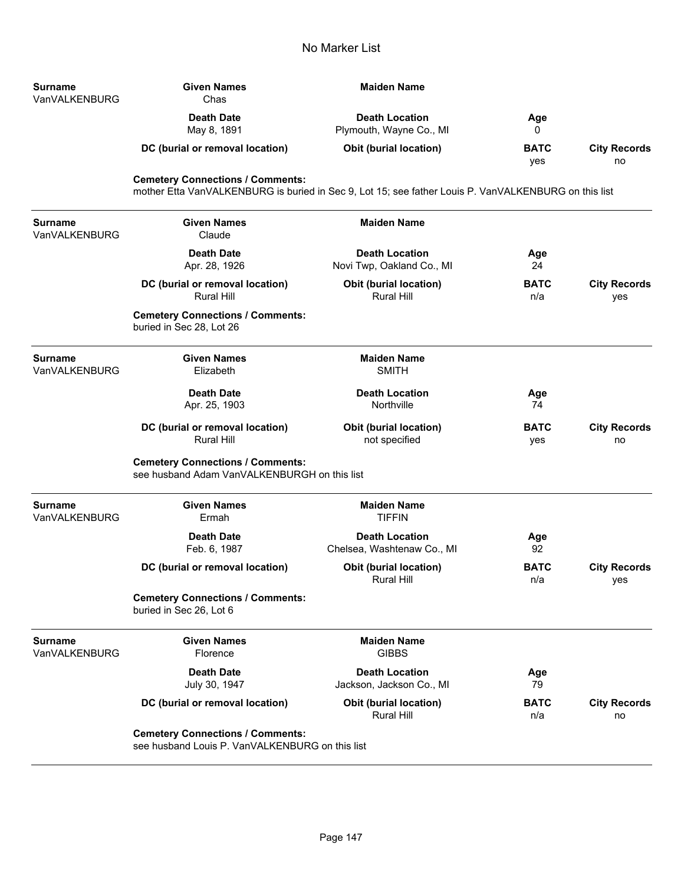| <b>Surname</b><br>VanVALKENBURG | <b>Given Names</b><br>Chas                                                                                                                      | <b>Maiden Name</b>                                  |                    |                            |
|---------------------------------|-------------------------------------------------------------------------------------------------------------------------------------------------|-----------------------------------------------------|--------------------|----------------------------|
|                                 | <b>Death Date</b><br>May 8, 1891                                                                                                                | <b>Death Location</b><br>Plymouth, Wayne Co., MI    | Age<br>0           |                            |
|                                 | DC (burial or removal location)                                                                                                                 | Obit (burial location)                              | <b>BATC</b><br>yes | <b>City Records</b><br>no  |
|                                 | <b>Cemetery Connections / Comments:</b><br>mother Etta VanVALKENBURG is buried in Sec 9, Lot 15; see father Louis P. VanVALKENBURG on this list |                                                     |                    |                            |
| <b>Surname</b><br>VanVALKENBURG | <b>Given Names</b><br>Claude                                                                                                                    | <b>Maiden Name</b>                                  |                    |                            |
|                                 | <b>Death Date</b><br>Apr. 28, 1926                                                                                                              | <b>Death Location</b><br>Novi Twp, Oakland Co., MI  | Age<br>24          |                            |
|                                 | DC (burial or removal location)<br><b>Rural Hill</b>                                                                                            | <b>Obit (burial location)</b><br><b>Rural Hill</b>  | <b>BATC</b><br>n/a | <b>City Records</b><br>yes |
|                                 | <b>Cemetery Connections / Comments:</b><br>buried in Sec 28, Lot 26                                                                             |                                                     |                    |                            |
| <b>Surname</b><br>VanVALKENBURG | <b>Given Names</b><br>Elizabeth                                                                                                                 | <b>Maiden Name</b><br><b>SMITH</b>                  |                    |                            |
|                                 | <b>Death Date</b><br>Apr. 25, 1903                                                                                                              | <b>Death Location</b><br>Northville                 | Age<br>74          |                            |
|                                 | DC (burial or removal location)<br><b>Rural Hill</b>                                                                                            | <b>Obit (burial location)</b><br>not specified      | <b>BATC</b><br>yes | <b>City Records</b><br>no  |
|                                 | <b>Cemetery Connections / Comments:</b><br>see husband Adam VanVALKENBURGH on this list                                                         |                                                     |                    |                            |
| <b>Surname</b><br>VanVALKENBURG | <b>Given Names</b><br>Ermah                                                                                                                     | <b>Maiden Name</b><br><b>TIFFIN</b>                 |                    |                            |
|                                 | <b>Death Date</b><br>Feb. 6, 1987                                                                                                               | <b>Death Location</b><br>Chelsea, Washtenaw Co., MI | Age<br>92          |                            |
|                                 | DC (burial or removal location)                                                                                                                 | Obit (burial location)<br>Rural Hill                | <b>BATC</b><br>n/a | <b>City Records</b><br>yes |
|                                 | <b>Cemetery Connections / Comments:</b><br>buried in Sec 26, Lot 6                                                                              |                                                     |                    |                            |
| <b>Surname</b><br>VanVALKENBURG | <b>Given Names</b><br>Florence                                                                                                                  | <b>Maiden Name</b><br><b>GIBBS</b>                  |                    |                            |
|                                 | <b>Death Date</b><br>July 30, 1947                                                                                                              | <b>Death Location</b><br>Jackson, Jackson Co., MI   | Age<br>79          |                            |
|                                 | DC (burial or removal location)                                                                                                                 | <b>Obit (burial location)</b><br><b>Rural Hill</b>  | <b>BATC</b><br>n/a | <b>City Records</b><br>no  |
|                                 | <b>Cemetery Connections / Comments:</b><br>see husband Louis P. VanVALKENBURG on this list                                                      |                                                     |                    |                            |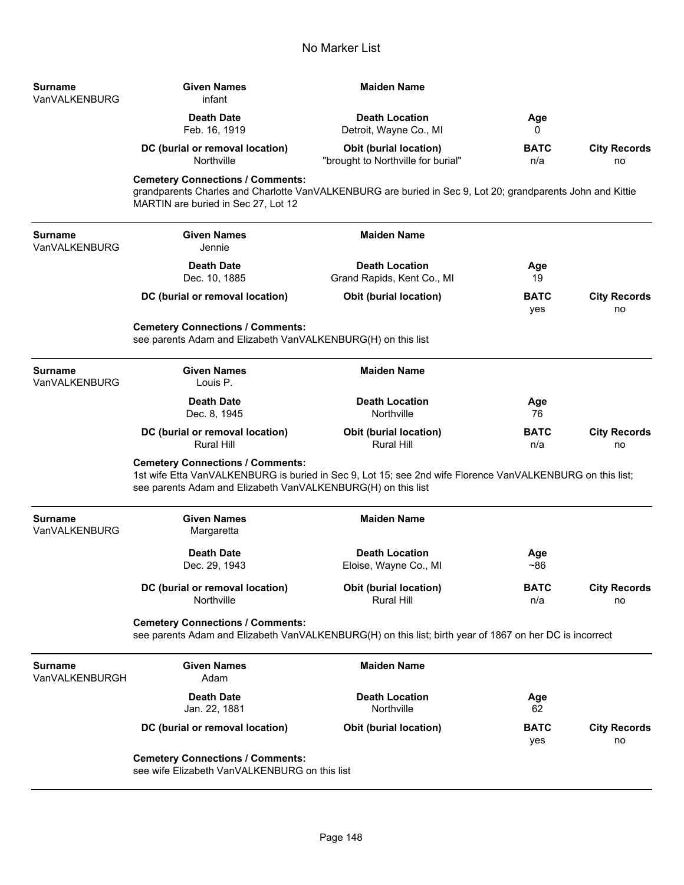| Surname<br>VanVALKENBURG        | <b>Given Names</b><br>infant                                                                                                                                                                                         | <b>Maiden Name</b>                                                                                         |                    |                           |  |
|---------------------------------|----------------------------------------------------------------------------------------------------------------------------------------------------------------------------------------------------------------------|------------------------------------------------------------------------------------------------------------|--------------------|---------------------------|--|
|                                 | <b>Death Date</b><br>Feb. 16, 1919                                                                                                                                                                                   | <b>Death Location</b><br>Detroit, Wayne Co., MI                                                            | Age<br>0           |                           |  |
|                                 | DC (burial or removal location)<br>Northville                                                                                                                                                                        | <b>Obit (burial location)</b><br>"brought to Northville for burial"                                        | <b>BATC</b><br>n/a | <b>City Records</b><br>no |  |
|                                 | <b>Cemetery Connections / Comments:</b><br>MARTIN are buried in Sec 27, Lot 12                                                                                                                                       | grandparents Charles and Charlotte VanVALKENBURG are buried in Sec 9, Lot 20; grandparents John and Kittie |                    |                           |  |
| <b>Surname</b><br>VanVALKENBURG | <b>Given Names</b><br>Jennie                                                                                                                                                                                         | <b>Maiden Name</b>                                                                                         |                    |                           |  |
|                                 | <b>Death Date</b><br>Dec. 10, 1885                                                                                                                                                                                   | <b>Death Location</b><br>Grand Rapids, Kent Co., MI                                                        | Age<br>19          |                           |  |
|                                 | DC (burial or removal location)                                                                                                                                                                                      | Obit (burial location)                                                                                     | <b>BATC</b><br>yes | <b>City Records</b><br>no |  |
|                                 | <b>Cemetery Connections / Comments:</b><br>see parents Adam and Elizabeth VanVALKENBURG(H) on this list                                                                                                              |                                                                                                            |                    |                           |  |
| Surname<br>VanVALKENBURG        | <b>Given Names</b><br>Louis P.                                                                                                                                                                                       | <b>Maiden Name</b>                                                                                         |                    |                           |  |
|                                 | <b>Death Date</b><br>Dec. 8, 1945                                                                                                                                                                                    | <b>Death Location</b><br>Northville                                                                        | Age<br>76          |                           |  |
|                                 | DC (burial or removal location)<br><b>Rural Hill</b>                                                                                                                                                                 | <b>Obit (burial location)</b><br><b>Rural Hill</b>                                                         | <b>BATC</b><br>n/a | <b>City Records</b><br>no |  |
|                                 | <b>Cemetery Connections / Comments:</b><br>1st wife Etta VanVALKENBURG is buried in Sec 9, Lot 15; see 2nd wife Florence VanVALKENBURG on this list;<br>see parents Adam and Elizabeth VanVALKENBURG(H) on this list |                                                                                                            |                    |                           |  |
| Surname<br>VanVALKENBURG        | <b>Given Names</b><br>Margaretta                                                                                                                                                                                     | <b>Maiden Name</b>                                                                                         |                    |                           |  |
|                                 | <b>Death Date</b><br>Dec. 29, 1943                                                                                                                                                                                   | <b>Death Location</b><br>Eloise, Wayne Co., MI                                                             | Age<br>~100        |                           |  |
|                                 | DC (burial or removal location)<br>Northville                                                                                                                                                                        | <b>Obit (burial location)</b><br>Rural Hill                                                                | <b>BATC</b><br>n/a | <b>City Records</b><br>no |  |
|                                 | <b>Cemetery Connections / Comments:</b>                                                                                                                                                                              | see parents Adam and Elizabeth VanVALKENBURG(H) on this list; birth year of 1867 on her DC is incorrect    |                    |                           |  |
| Surname<br>VanVALKENBURGH       | <b>Given Names</b><br>Adam                                                                                                                                                                                           | <b>Maiden Name</b>                                                                                         |                    |                           |  |
|                                 | <b>Death Date</b><br>Jan. 22, 1881                                                                                                                                                                                   | <b>Death Location</b><br>Northville                                                                        | Age<br>62          |                           |  |
|                                 | DC (burial or removal location)                                                                                                                                                                                      | <b>Obit (burial location)</b>                                                                              | <b>BATC</b><br>yes | <b>City Records</b><br>no |  |
|                                 | <b>Cemetery Connections / Comments:</b><br>see wife Elizabeth VanVALKENBURG on this list                                                                                                                             |                                                                                                            |                    |                           |  |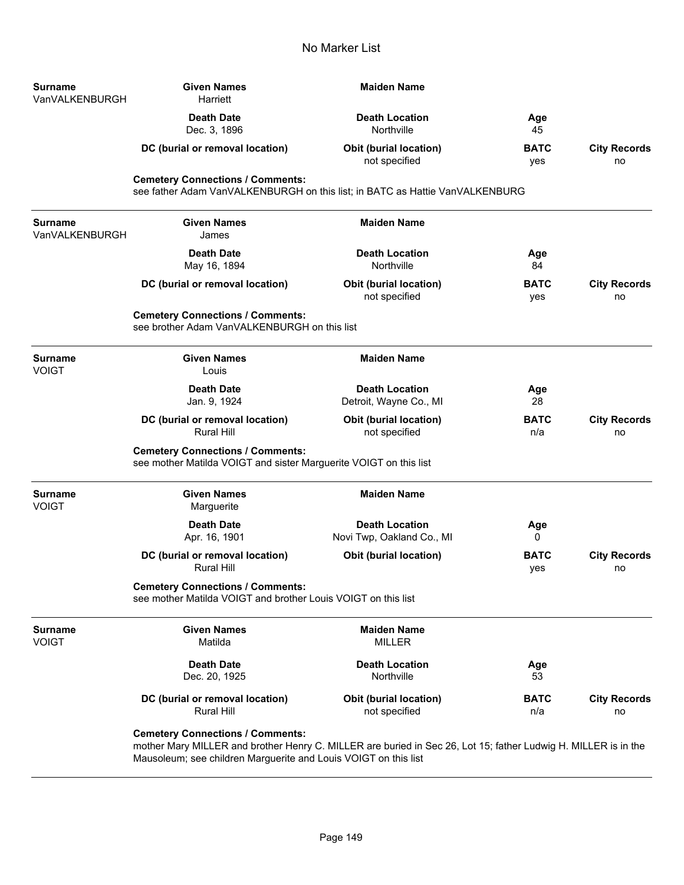| Surname<br>VanVALKENBURGH | <b>Given Names</b><br>Harriett                                                                                                                            | <b>Maiden Name</b>                                 |                    |                           |
|---------------------------|-----------------------------------------------------------------------------------------------------------------------------------------------------------|----------------------------------------------------|--------------------|---------------------------|
|                           | <b>Death Date</b><br>Dec. 3, 1896                                                                                                                         | <b>Death Location</b><br>Northville                | Age<br>45          |                           |
|                           | DC (burial or removal location)                                                                                                                           | <b>Obit (burial location)</b><br>not specified     | <b>BATC</b><br>yes | <b>City Records</b><br>no |
|                           | <b>Cemetery Connections / Comments:</b><br>see father Adam VanVALKENBURGH on this list; in BATC as Hattie VanVALKENBURG                                   |                                                    |                    |                           |
| Surname<br>VanVALKENBURGH | <b>Given Names</b><br>James                                                                                                                               | <b>Maiden Name</b>                                 |                    |                           |
|                           | <b>Death Date</b><br>May 16, 1894                                                                                                                         | <b>Death Location</b><br>Northville                | Age<br>84          |                           |
|                           | DC (burial or removal location)                                                                                                                           | <b>Obit (burial location)</b><br>not specified     | <b>BATC</b><br>yes | <b>City Records</b><br>no |
|                           | <b>Cemetery Connections / Comments:</b><br>see brother Adam VanVALKENBURGH on this list                                                                   |                                                    |                    |                           |
| Surname<br>VOIGT          | <b>Given Names</b><br>Louis                                                                                                                               | <b>Maiden Name</b>                                 |                    |                           |
|                           | <b>Death Date</b><br>Jan. 9, 1924                                                                                                                         | <b>Death Location</b><br>Detroit, Wayne Co., MI    | Age<br>28          |                           |
|                           | DC (burial or removal location)<br><b>Rural Hill</b>                                                                                                      | <b>Obit (burial location)</b><br>not specified     | <b>BATC</b><br>n/a | <b>City Records</b><br>no |
|                           | <b>Cemetery Connections / Comments:</b><br>see mother Matilda VOIGT and sister Marguerite VOIGT on this list                                              |                                                    |                    |                           |
| Surname<br>VOIGT          | <b>Given Names</b><br>Marguerite                                                                                                                          | <b>Maiden Name</b>                                 |                    |                           |
|                           | <b>Death Date</b><br>Apr. 16, 1901                                                                                                                        | <b>Death Location</b><br>Novi Twp, Oakland Co., MI | Age<br>0           |                           |
|                           | DC (burial or removal location)<br><b>Rural Hill</b>                                                                                                      | <b>Obit (burial location)</b>                      | <b>BATC</b><br>yes | <b>City Records</b><br>no |
|                           | <b>Cemetery Connections / Comments:</b><br>see mother Matilda VOIGT and brother Louis VOIGT on this list                                                  |                                                    |                    |                           |
| <b>Surname</b><br>VOIGT   | <b>Given Names</b><br>Matilda                                                                                                                             | <b>Maiden Name</b><br><b>MILLER</b>                |                    |                           |
|                           | <b>Death Date</b><br>Dec. 20, 1925                                                                                                                        | <b>Death Location</b><br>Northville                | Age<br>53          |                           |
|                           | DC (burial or removal location)<br><b>Rural Hill</b>                                                                                                      | <b>Obit (burial location)</b><br>not specified     | <b>BATC</b><br>n/a | <b>City Records</b><br>no |
|                           | <b>Cemetery Connections / Comments:</b><br>mother Mary MILLER and brother Henry C. MILLER are buried in Sec 26, Lot 15; father Ludwig H. MILLER is in the |                                                    |                    |                           |

Mausoleum; see children Marguerite and Louis VOIGT on this list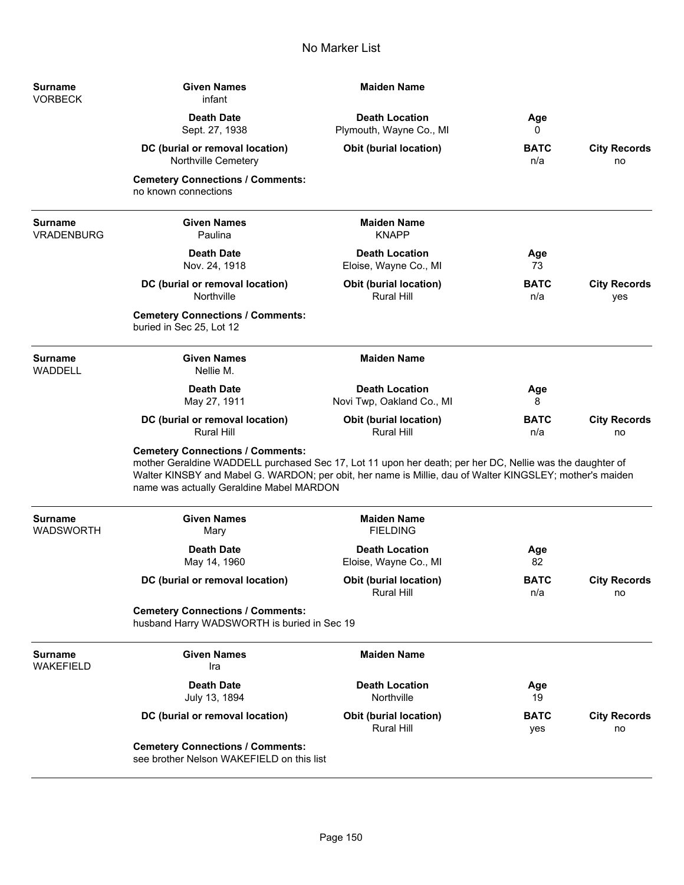| <b>Surname</b><br><b>VORBECK</b>   | <b>Given Names</b><br>infant                                                                                                                                                                                                                                                                                | <b>Maiden Name</b>                                 |                    |                            |
|------------------------------------|-------------------------------------------------------------------------------------------------------------------------------------------------------------------------------------------------------------------------------------------------------------------------------------------------------------|----------------------------------------------------|--------------------|----------------------------|
|                                    | <b>Death Date</b><br>Sept. 27, 1938                                                                                                                                                                                                                                                                         | <b>Death Location</b><br>Plymouth, Wayne Co., MI   | Age<br>0           |                            |
|                                    | DC (burial or removal location)<br>Northville Cemetery                                                                                                                                                                                                                                                      | <b>Obit (burial location)</b>                      | <b>BATC</b><br>n/a | <b>City Records</b><br>no  |
|                                    | <b>Cemetery Connections / Comments:</b><br>no known connections                                                                                                                                                                                                                                             |                                                    |                    |                            |
| Surname<br>VRADENBURG              | <b>Given Names</b><br>Paulina                                                                                                                                                                                                                                                                               | <b>Maiden Name</b><br><b>KNAPP</b>                 |                    |                            |
|                                    | <b>Death Date</b><br>Nov. 24, 1918                                                                                                                                                                                                                                                                          | <b>Death Location</b><br>Eloise, Wayne Co., MI     | Age<br>73          |                            |
|                                    | DC (burial or removal location)<br>Northville                                                                                                                                                                                                                                                               | <b>Obit (burial location)</b><br><b>Rural Hill</b> | <b>BATC</b><br>n/a | <b>City Records</b><br>yes |
|                                    | <b>Cemetery Connections / Comments:</b><br>buried in Sec 25, Lot 12                                                                                                                                                                                                                                         |                                                    |                    |                            |
| <b>Surname</b><br>WADDELL          | <b>Given Names</b><br>Nellie M.                                                                                                                                                                                                                                                                             | <b>Maiden Name</b>                                 |                    |                            |
|                                    | <b>Death Date</b><br>May 27, 1911                                                                                                                                                                                                                                                                           | <b>Death Location</b><br>Novi Twp, Oakland Co., MI | Age<br>8           |                            |
|                                    | DC (burial or removal location)<br><b>Rural Hill</b>                                                                                                                                                                                                                                                        | Obit (burial location)<br><b>Rural Hill</b>        | <b>BATC</b><br>n/a | <b>City Records</b><br>no  |
|                                    | <b>Cemetery Connections / Comments:</b><br>mother Geraldine WADDELL purchased Sec 17, Lot 11 upon her death; per her DC, Nellie was the daughter of<br>Walter KINSBY and Mabel G. WARDON; per obit, her name is Millie, dau of Walter KINGSLEY; mother's maiden<br>name was actually Geraldine Mabel MARDON |                                                    |                    |                            |
| Surname<br>WADSWORTH               | <b>Given Names</b><br>Mary                                                                                                                                                                                                                                                                                  | <b>Maiden Name</b><br><b>FIELDING</b>              |                    |                            |
|                                    | <b>Death Date</b><br>May 14, 1960                                                                                                                                                                                                                                                                           | <b>Death Location</b><br>Eloise, Wayne Co., MI     | Age<br>82          |                            |
|                                    | DC (burial or removal location)                                                                                                                                                                                                                                                                             | <b>Obit (burial location)</b><br><b>Rural Hill</b> | <b>BATC</b><br>n/a | <b>City Records</b><br>no  |
|                                    | <b>Cemetery Connections / Comments:</b><br>husband Harry WADSWORTH is buried in Sec 19                                                                                                                                                                                                                      |                                                    |                    |                            |
| <b>Surname</b><br><b>WAKEFIELD</b> | <b>Given Names</b><br>Ira                                                                                                                                                                                                                                                                                   | <b>Maiden Name</b>                                 |                    |                            |
|                                    | <b>Death Date</b><br>July 13, 1894                                                                                                                                                                                                                                                                          | <b>Death Location</b><br>Northville                | Age<br>19          |                            |
|                                    | DC (burial or removal location)                                                                                                                                                                                                                                                                             | <b>Obit (burial location)</b><br><b>Rural Hill</b> | <b>BATC</b><br>yes | <b>City Records</b><br>no  |
|                                    | <b>Cemetery Connections / Comments:</b><br>see brother Nelson WAKEFIELD on this list                                                                                                                                                                                                                        |                                                    |                    |                            |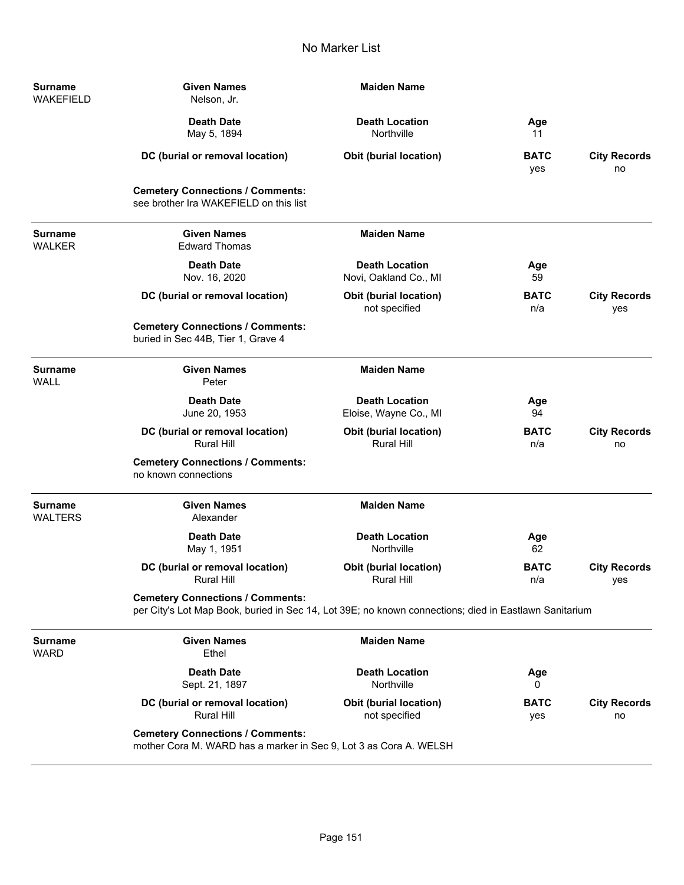| Surname<br><b>WAKEFIELD</b>      | <b>Given Names</b><br>Nelson, Jr.                                                                                                                | <b>Maiden Name</b>                                 |                    |                            |
|----------------------------------|--------------------------------------------------------------------------------------------------------------------------------------------------|----------------------------------------------------|--------------------|----------------------------|
|                                  | <b>Death Date</b><br>May 5, 1894                                                                                                                 | <b>Death Location</b><br>Northville                | Age<br>11          |                            |
|                                  | DC (burial or removal location)                                                                                                                  | <b>Obit (burial location)</b>                      | <b>BATC</b><br>yes | <b>City Records</b><br>no  |
|                                  | <b>Cemetery Connections / Comments:</b><br>see brother Ira WAKEFIELD on this list                                                                |                                                    |                    |                            |
| <b>Surname</b><br><b>WALKER</b>  | <b>Given Names</b><br><b>Edward Thomas</b>                                                                                                       | <b>Maiden Name</b>                                 |                    |                            |
|                                  | <b>Death Date</b><br>Nov. 16, 2020                                                                                                               | <b>Death Location</b><br>Novi, Oakland Co., MI     | Age<br>59          |                            |
|                                  | DC (burial or removal location)                                                                                                                  | <b>Obit (burial location)</b><br>not specified     | BATC<br>n/a        | <b>City Records</b><br>yes |
|                                  | <b>Cemetery Connections / Comments:</b><br>buried in Sec 44B, Tier 1, Grave 4                                                                    |                                                    |                    |                            |
| <b>Surname</b><br><b>WALL</b>    | <b>Given Names</b><br>Peter                                                                                                                      | <b>Maiden Name</b>                                 |                    |                            |
|                                  | <b>Death Date</b><br>June 20, 1953                                                                                                               | <b>Death Location</b><br>Eloise, Wayne Co., MI     | Age<br>94          |                            |
|                                  | DC (burial or removal location)<br><b>Rural Hill</b>                                                                                             | <b>Obit (burial location)</b><br><b>Rural Hill</b> | <b>BATC</b><br>n/a | <b>City Records</b><br>no  |
|                                  | <b>Cemetery Connections / Comments:</b><br>no known connections                                                                                  |                                                    |                    |                            |
| <b>Surname</b><br><b>WALTERS</b> | <b>Given Names</b><br>Alexander                                                                                                                  | <b>Maiden Name</b>                                 |                    |                            |
|                                  | <b>Death Date</b><br>May 1, 1951                                                                                                                 | <b>Death Location</b><br>Northville                | Age<br>62          |                            |
|                                  | DC (burial or removal location)<br><b>Rural Hill</b>                                                                                             | <b>Obit (burial location)</b><br><b>Rural Hill</b> | <b>BATC</b><br>n/a | <b>City Records</b><br>yes |
|                                  | <b>Cemetery Connections / Comments:</b><br>per City's Lot Map Book, buried in Sec 14, Lot 39E; no known connections; died in Eastlawn Sanitarium |                                                    |                    |                            |
| <b>Surname</b><br><b>WARD</b>    | <b>Given Names</b><br>Ethel                                                                                                                      | <b>Maiden Name</b>                                 |                    |                            |
|                                  | <b>Death Date</b><br>Sept. 21, 1897                                                                                                              | <b>Death Location</b><br>Northville                | Age<br>0           |                            |
|                                  | DC (burial or removal location)<br><b>Rural Hill</b>                                                                                             | <b>Obit (burial location)</b><br>not specified     | <b>BATC</b><br>yes | <b>City Records</b><br>no  |
|                                  | <b>Cemetery Connections / Comments:</b><br>mother Cora M. WARD has a marker in Sec 9, Lot 3 as Cora A. WELSH                                     |                                                    |                    |                            |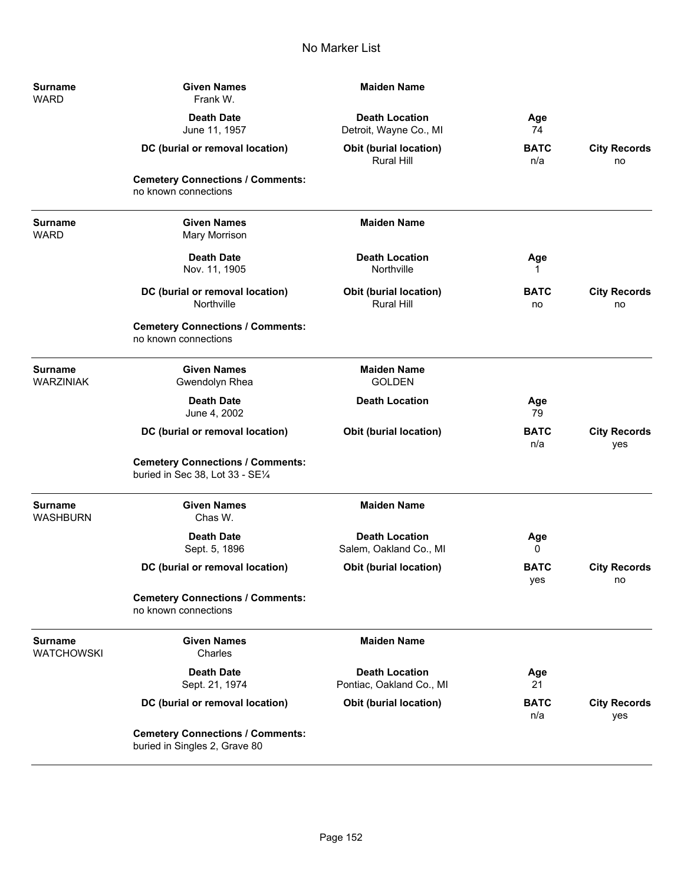| <b>Surname</b><br><b>WARD</b>     | <b>Given Names</b><br>Frank W.                                              | <b>Maiden Name</b>                                 |                    |                            |
|-----------------------------------|-----------------------------------------------------------------------------|----------------------------------------------------|--------------------|----------------------------|
|                                   | <b>Death Date</b><br>June 11, 1957                                          | <b>Death Location</b><br>Detroit, Wayne Co., MI    | Age<br>74          |                            |
|                                   | DC (burial or removal location)                                             | <b>Obit (burial location)</b><br><b>Rural Hill</b> | <b>BATC</b><br>n/a | <b>City Records</b><br>no  |
|                                   | <b>Cemetery Connections / Comments:</b><br>no known connections             |                                                    |                    |                            |
| <b>Surname</b><br><b>WARD</b>     | <b>Given Names</b><br>Mary Morrison                                         | <b>Maiden Name</b>                                 |                    |                            |
|                                   | <b>Death Date</b><br>Nov. 11, 1905                                          | <b>Death Location</b><br>Northville                | Age                |                            |
|                                   | DC (burial or removal location)<br>Northville                               | <b>Obit (burial location)</b><br><b>Rural Hill</b> | <b>BATC</b><br>no  | <b>City Records</b><br>no  |
|                                   | <b>Cemetery Connections / Comments:</b><br>no known connections             |                                                    |                    |                            |
| <b>Surname</b><br>WARZINIAK       | <b>Given Names</b><br>Gwendolyn Rhea                                        | <b>Maiden Name</b><br><b>GOLDEN</b>                |                    |                            |
|                                   | <b>Death Date</b><br>June 4, 2002                                           | <b>Death Location</b>                              | Age<br>79          |                            |
|                                   | DC (burial or removal location)                                             | <b>Obit (burial location)</b>                      | <b>BATC</b><br>n/a | <b>City Records</b><br>yes |
|                                   | <b>Cemetery Connections / Comments:</b><br>buried in Sec 38, Lot 33 - SE1/4 |                                                    |                    |                            |
| <b>Surname</b><br><b>WASHBURN</b> | <b>Given Names</b><br>Chas W.                                               | <b>Maiden Name</b>                                 |                    |                            |
|                                   | <b>Death Date</b><br>Sept. 5, 1896                                          | <b>Death Location</b><br>Salem, Oakland Co., MI    | Age<br>0           |                            |
|                                   | DC (burial or removal location)                                             | <b>Obit (burial location)</b>                      | <b>BATC</b><br>yes | <b>City Records</b><br>no  |
|                                   | <b>Cemetery Connections / Comments:</b><br>no known connections             |                                                    |                    |                            |
| <b>Surname</b><br>WATCHOWSKI      | <b>Given Names</b><br>Charles                                               | <b>Maiden Name</b>                                 |                    |                            |
|                                   | <b>Death Date</b><br>Sept. 21, 1974                                         | <b>Death Location</b><br>Pontiac, Oakland Co., MI  | Age<br>21          |                            |
|                                   | DC (burial or removal location)                                             | <b>Obit (burial location)</b>                      | <b>BATC</b><br>n/a | <b>City Records</b><br>yes |
|                                   | <b>Cemetery Connections / Comments:</b><br>buried in Singles 2, Grave 80    |                                                    |                    |                            |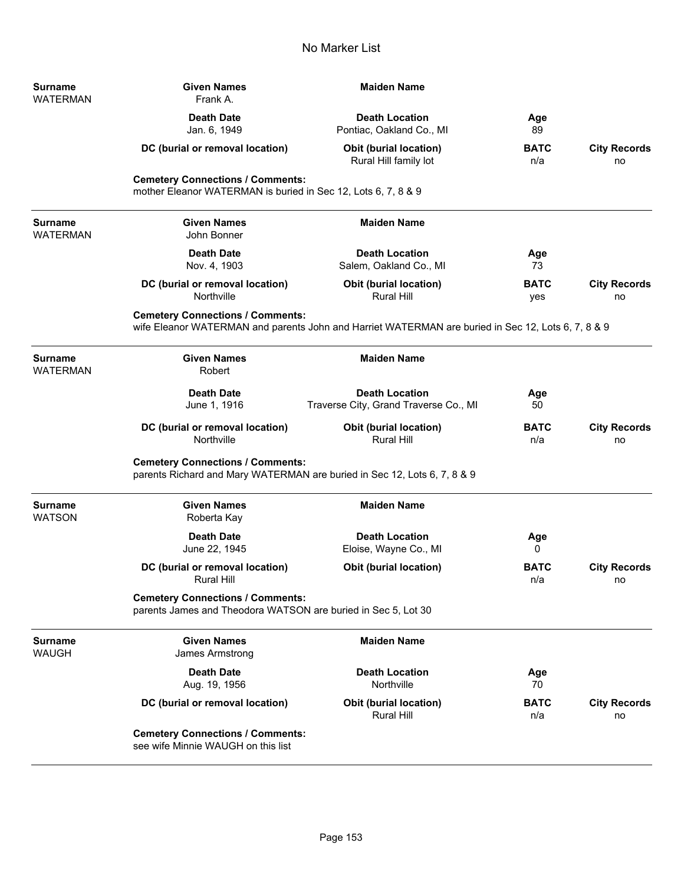| Surname<br>WATERMAN        | <b>Given Names</b><br>Frank A.                                                                           | <b>Maiden Name</b>                                                                                 |                    |                           |
|----------------------------|----------------------------------------------------------------------------------------------------------|----------------------------------------------------------------------------------------------------|--------------------|---------------------------|
|                            | <b>Death Date</b><br>Jan. 6, 1949                                                                        | <b>Death Location</b><br>Pontiac, Oakland Co., MI                                                  | Age<br>89          |                           |
|                            | DC (burial or removal location)                                                                          | <b>Obit (burial location)</b><br>Rural Hill family lot                                             | <b>BATC</b><br>n/a | <b>City Records</b><br>no |
|                            | <b>Cemetery Connections / Comments:</b><br>mother Eleanor WATERMAN is buried in Sec 12, Lots 6, 7, 8 & 9 |                                                                                                    |                    |                           |
| Surname<br>WATERMAN        | <b>Given Names</b><br>John Bonner                                                                        | <b>Maiden Name</b>                                                                                 |                    |                           |
|                            | <b>Death Date</b><br>Nov. 4, 1903                                                                        | <b>Death Location</b><br>Salem, Oakland Co., MI                                                    | Age<br>73          |                           |
|                            | DC (burial or removal location)<br>Northville                                                            | <b>Obit (burial location)</b><br><b>Rural Hill</b>                                                 | <b>BATC</b><br>yes | <b>City Records</b><br>no |
|                            | <b>Cemetery Connections / Comments:</b>                                                                  | wife Eleanor WATERMAN and parents John and Harriet WATERMAN are buried in Sec 12, Lots 6, 7, 8 & 9 |                    |                           |
| <b>Surname</b><br>WATERMAN | <b>Given Names</b><br>Robert                                                                             | <b>Maiden Name</b>                                                                                 |                    |                           |
|                            | <b>Death Date</b><br>June 1, 1916                                                                        | <b>Death Location</b><br>Traverse City, Grand Traverse Co., MI                                     | Age<br>50          |                           |
|                            | DC (burial or removal location)<br>Northville                                                            | <b>Obit (burial location)</b><br><b>Rural Hill</b>                                                 | <b>BATC</b><br>n/a | <b>City Records</b><br>no |
|                            | <b>Cemetery Connections / Comments:</b>                                                                  | parents Richard and Mary WATERMAN are buried in Sec 12, Lots 6, 7, 8 & 9                           |                    |                           |
| Surname<br>WATSON          | <b>Given Names</b><br>Roberta Kay                                                                        | <b>Maiden Name</b>                                                                                 |                    |                           |
|                            | <b>Death Date</b><br>June 22, 1945                                                                       | <b>Death Location</b><br>Eloise, Wayne Co., MI                                                     | Age<br>0           |                           |
|                            | DC (burial or removal location)<br><b>Rural Hill</b>                                                     | <b>Obit (burial location)</b>                                                                      | <b>BATC</b><br>n/a | <b>City Records</b><br>no |
|                            | <b>Cemetery Connections / Comments:</b><br>parents James and Theodora WATSON are buried in Sec 5, Lot 30 |                                                                                                    |                    |                           |
| <b>Surname</b><br>WAUGH    | <b>Given Names</b><br>James Armstrong                                                                    | <b>Maiden Name</b>                                                                                 |                    |                           |
|                            | <b>Death Date</b><br>Aug. 19, 1956                                                                       | <b>Death Location</b><br>Northville                                                                | Age<br>70          |                           |
|                            | DC (burial or removal location)                                                                          | <b>Obit (burial location)</b><br>Rural Hill                                                        | <b>BATC</b><br>n/a | <b>City Records</b><br>no |
|                            | <b>Cemetery Connections / Comments:</b><br>see wife Minnie WAUGH on this list                            |                                                                                                    |                    |                           |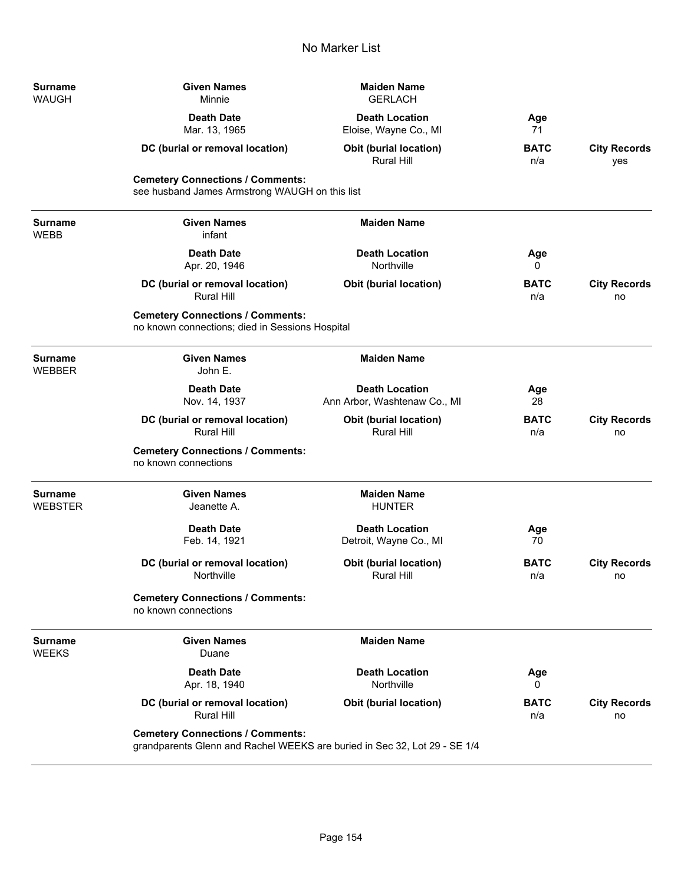| <b>Surname</b><br>WAUGH   | <b>Given Names</b><br>Minnie                                                                                         | <b>Maiden Name</b><br><b>GERLACH</b>                  |                    |                            |
|---------------------------|----------------------------------------------------------------------------------------------------------------------|-------------------------------------------------------|--------------------|----------------------------|
|                           | <b>Death Date</b><br>Mar. 13, 1965                                                                                   | <b>Death Location</b><br>Eloise, Wayne Co., MI        | Age<br>71          |                            |
|                           | DC (burial or removal location)                                                                                      | <b>Obit (burial location)</b><br>Rural Hill           | <b>BATC</b><br>n/a | <b>City Records</b><br>yes |
|                           | <b>Cemetery Connections / Comments:</b><br>see husband James Armstrong WAUGH on this list                            |                                                       |                    |                            |
| Surname<br>WEBB           | <b>Given Names</b><br>infant                                                                                         | <b>Maiden Name</b>                                    |                    |                            |
|                           | <b>Death Date</b><br>Apr. 20, 1946                                                                                   | <b>Death Location</b><br>Northville                   | Age<br>0           |                            |
|                           | DC (burial or removal location)<br><b>Rural Hill</b>                                                                 | <b>Obit (burial location)</b>                         | <b>BATC</b><br>n/a | <b>City Records</b><br>no  |
|                           | <b>Cemetery Connections / Comments:</b><br>no known connections; died in Sessions Hospital                           |                                                       |                    |                            |
| Surname<br>WEBBER         | <b>Given Names</b><br>John E.                                                                                        | <b>Maiden Name</b>                                    |                    |                            |
|                           | <b>Death Date</b><br>Nov. 14, 1937                                                                                   | <b>Death Location</b><br>Ann Arbor, Washtenaw Co., MI | Age<br>28          |                            |
|                           | DC (burial or removal location)<br><b>Rural Hill</b>                                                                 | <b>Obit (burial location)</b><br><b>Rural Hill</b>    | <b>BATC</b><br>n/a | <b>City Records</b><br>no  |
|                           | <b>Cemetery Connections / Comments:</b><br>no known connections                                                      |                                                       |                    |                            |
| <b>Surname</b><br>WEBSTER | <b>Given Names</b><br>Jeanette A.                                                                                    | <b>Maiden Name</b><br><b>HUNTER</b>                   |                    |                            |
|                           | <b>Death Date</b><br>Feb. 14, 1921                                                                                   | <b>Death Location</b><br>Detroit, Wayne Co., MI       | Age<br>70          |                            |
|                           | DC (burial or removal location)<br>Northville                                                                        | <b>Obit (burial location)</b><br><b>Rural Hill</b>    | <b>BATC</b><br>n/a | <b>City Records</b><br>no  |
|                           | <b>Cemetery Connections / Comments:</b><br>no known connections                                                      |                                                       |                    |                            |
| Surname<br>WEEKS          | <b>Given Names</b><br>Duane                                                                                          | <b>Maiden Name</b>                                    |                    |                            |
|                           | <b>Death Date</b><br>Apr. 18, 1940                                                                                   | <b>Death Location</b><br>Northville                   | Age<br>0           |                            |
|                           | DC (burial or removal location)<br><b>Rural Hill</b>                                                                 | <b>Obit (burial location)</b>                         | <b>BATC</b><br>n/a | <b>City Records</b><br>no  |
|                           | <b>Cemetery Connections / Comments:</b><br>grandparents Glenn and Rachel WEEKS are buried in Sec 32, Lot 29 - SE 1/4 |                                                       |                    |                            |

÷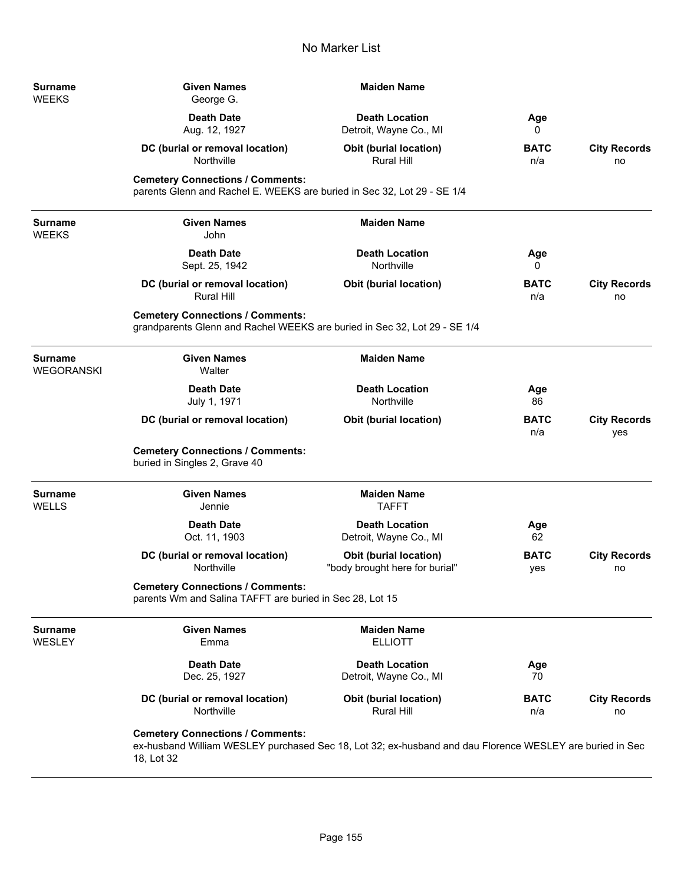| Surname<br>WEEKS         | <b>Given Names</b><br>George G.                                                                                      | <b>Maiden Name</b>                                                                                       |                    |                            |
|--------------------------|----------------------------------------------------------------------------------------------------------------------|----------------------------------------------------------------------------------------------------------|--------------------|----------------------------|
|                          | <b>Death Date</b><br>Aug. 12, 1927                                                                                   | <b>Death Location</b><br>Detroit, Wayne Co., MI                                                          | Age<br>0           |                            |
|                          | DC (burial or removal location)<br>Northville                                                                        | <b>Obit (burial location)</b><br><b>Rural Hill</b>                                                       | <b>BATC</b><br>n/a | <b>City Records</b><br>no  |
|                          | <b>Cemetery Connections / Comments:</b><br>parents Glenn and Rachel E. WEEKS are buried in Sec 32, Lot 29 - SE 1/4   |                                                                                                          |                    |                            |
| Surname<br>WEEKS         | <b>Given Names</b><br>John                                                                                           | <b>Maiden Name</b>                                                                                       |                    |                            |
|                          | <b>Death Date</b><br>Sept. 25, 1942                                                                                  | <b>Death Location</b><br>Northville                                                                      | Age<br>0           |                            |
|                          | DC (burial or removal location)<br><b>Rural Hill</b>                                                                 | <b>Obit (burial location)</b>                                                                            | <b>BATC</b><br>n/a | <b>City Records</b><br>no  |
|                          | <b>Cemetery Connections / Comments:</b><br>grandparents Glenn and Rachel WEEKS are buried in Sec 32, Lot 29 - SE 1/4 |                                                                                                          |                    |                            |
| Surname<br>WEGORANSKI    | <b>Given Names</b><br>Walter                                                                                         | <b>Maiden Name</b>                                                                                       |                    |                            |
|                          | <b>Death Date</b><br>July 1, 1971                                                                                    | <b>Death Location</b><br>Northville                                                                      | Age<br>86          |                            |
|                          | DC (burial or removal location)                                                                                      | <b>Obit (burial location)</b>                                                                            | <b>BATC</b><br>n/a | <b>City Records</b><br>yes |
|                          | <b>Cemetery Connections / Comments:</b><br>buried in Singles 2, Grave 40                                             |                                                                                                          |                    |                            |
| Surname<br>WELLS         | <b>Given Names</b><br>Jennie                                                                                         | <b>Maiden Name</b><br><b>TAFFT</b>                                                                       |                    |                            |
|                          | <b>Death Date</b><br>Oct. 11, 1903                                                                                   | <b>Death Location</b><br>Detroit, Wayne Co., MI                                                          | Age<br>62          |                            |
|                          | DC (burial or removal location)<br>Northville                                                                        | <b>Obit (burial location)</b><br>"body brought here for burial"                                          | <b>BATC</b><br>yes | <b>City Records</b><br>no  |
|                          | <b>Cemetery Connections / Comments:</b><br>parents Wm and Salina TAFFT are buried in Sec 28, Lot 15                  |                                                                                                          |                    |                            |
| <b>Surname</b><br>WESLEY | <b>Given Names</b><br>Emma                                                                                           | <b>Maiden Name</b><br><b>ELLIOTT</b>                                                                     |                    |                            |
|                          | <b>Death Date</b><br>Dec. 25, 1927                                                                                   | <b>Death Location</b><br>Detroit, Wayne Co., MI                                                          | Age<br>70          |                            |
|                          | DC (burial or removal location)<br>Northville                                                                        | Obit (burial location)<br><b>Rural Hill</b>                                                              | <b>BATC</b><br>n/a | <b>City Records</b><br>no  |
|                          | <b>Cemetery Connections / Comments:</b>                                                                              | ex-husband William WESLEY purchased Sec 18, Lot 32; ex-husband and dau Florence WESLEY are buried in Sec |                    |                            |

18, Lot 32

-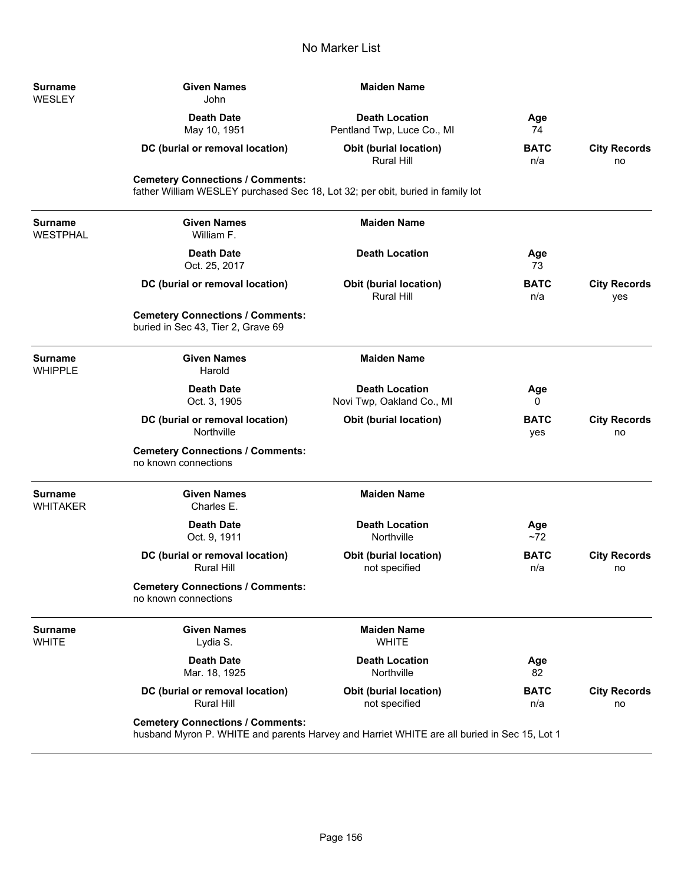| <b>Surname</b><br><b>WESLEY</b>   | <b>Given Names</b><br>John                                                                                                             | <b>Maiden Name</b>                                  |                    |                            |  |
|-----------------------------------|----------------------------------------------------------------------------------------------------------------------------------------|-----------------------------------------------------|--------------------|----------------------------|--|
|                                   | <b>Death Date</b><br>May 10, 1951                                                                                                      | <b>Death Location</b><br>Pentland Twp, Luce Co., MI | Age<br>74          |                            |  |
|                                   | DC (burial or removal location)                                                                                                        | <b>Obit (burial location)</b><br>Rural Hill         | <b>BATC</b><br>n/a | <b>City Records</b><br>no  |  |
|                                   | <b>Cemetery Connections / Comments:</b><br>father William WESLEY purchased Sec 18, Lot 32; per obit, buried in family lot              |                                                     |                    |                            |  |
| <b>Surname</b><br><b>WESTPHAL</b> | <b>Given Names</b><br>William F.                                                                                                       | <b>Maiden Name</b>                                  |                    |                            |  |
|                                   | <b>Death Date</b><br>Oct. 25, 2017                                                                                                     | <b>Death Location</b>                               | Age<br>73          |                            |  |
|                                   | DC (burial or removal location)                                                                                                        | Obit (burial location)<br><b>Rural Hill</b>         | <b>BATC</b><br>n/a | <b>City Records</b><br>yes |  |
|                                   | <b>Cemetery Connections / Comments:</b><br>buried in Sec 43, Tier 2, Grave 69                                                          |                                                     |                    |                            |  |
| <b>Surname</b><br><b>WHIPPLE</b>  | <b>Given Names</b><br>Harold                                                                                                           | <b>Maiden Name</b>                                  |                    |                            |  |
|                                   | <b>Death Date</b><br>Oct. 3, 1905                                                                                                      | <b>Death Location</b><br>Novi Twp, Oakland Co., MI  | Age<br>0           |                            |  |
|                                   | DC (burial or removal location)<br>Northville                                                                                          | Obit (burial location)                              | <b>BATC</b><br>yes | <b>City Records</b><br>no  |  |
|                                   | <b>Cemetery Connections / Comments:</b><br>no known connections                                                                        |                                                     |                    |                            |  |
| <b>Surname</b><br><b>WHITAKER</b> | <b>Given Names</b><br>Charles E.                                                                                                       | <b>Maiden Name</b>                                  |                    |                            |  |
|                                   | <b>Death Date</b><br>Oct. 9, 1911                                                                                                      | <b>Death Location</b><br>Northville                 | Age<br>~1          |                            |  |
|                                   | DC (burial or removal location)<br><b>Rural Hill</b>                                                                                   | Obit (burial location)<br>not specified             | <b>BATC</b><br>n/a | <b>City Records</b><br>no  |  |
|                                   | <b>Cemetery Connections / Comments:</b><br>no known connections                                                                        |                                                     |                    |                            |  |
| <b>Surname</b><br><b>WHITE</b>    | <b>Given Names</b><br>Lydia S.                                                                                                         | <b>Maiden Name</b><br><b>WHITE</b>                  |                    |                            |  |
|                                   | <b>Death Date</b><br>Mar. 18, 1925                                                                                                     | <b>Death Location</b><br>Northville                 | Age<br>82          |                            |  |
|                                   | DC (burial or removal location)<br><b>Rural Hill</b>                                                                                   | <b>Obit (burial location)</b><br>not specified      | <b>BATC</b><br>n/a | <b>City Records</b><br>no  |  |
|                                   | <b>Cemetery Connections / Comments:</b><br>husband Myron P. WHITE and parents Harvey and Harriet WHITE are all buried in Sec 15, Lot 1 |                                                     |                    |                            |  |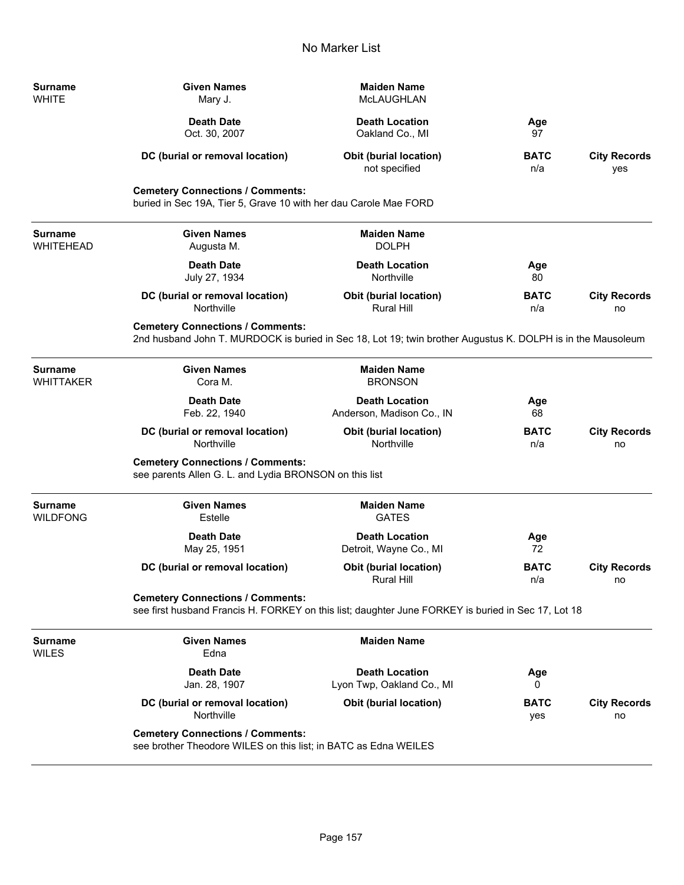**Surname**<br>WHITE

WILES

| <b>Surname</b><br>WHITE     | Given Names<br>Mary J.                                                                                                                                 | <b>Maiden Name</b><br>McLAUGHLAN                                                                   |                    |                            |  |
|-----------------------------|--------------------------------------------------------------------------------------------------------------------------------------------------------|----------------------------------------------------------------------------------------------------|--------------------|----------------------------|--|
|                             | <b>Death Date</b><br>Oct. 30, 2007                                                                                                                     | <b>Death Location</b><br>Oakland Co., MI                                                           | Age<br>97          |                            |  |
|                             | DC (burial or removal location)                                                                                                                        | <b>Obit (burial location)</b><br>not specified                                                     | <b>BATC</b><br>n/a | <b>City Records</b><br>yes |  |
|                             | <b>Cemetery Connections / Comments:</b><br>buried in Sec 19A, Tier 5, Grave 10 with her dau Carole Mae FORD                                            |                                                                                                    |                    |                            |  |
| <b>Surname</b><br>WHITEHEAD | <b>Given Names</b><br>Augusta M.                                                                                                                       | <b>Maiden Name</b><br><b>DOLPH</b>                                                                 |                    |                            |  |
|                             | <b>Death Date</b><br>July 27, 1934                                                                                                                     | <b>Death Location</b><br>Northville                                                                | Age<br>80          |                            |  |
|                             | DC (burial or removal location)<br>Northville                                                                                                          | <b>Obit (burial location)</b><br>Rural Hill                                                        | <b>BATC</b><br>n/a | <b>City Records</b><br>no  |  |
|                             | <b>Cemetery Connections / Comments:</b><br>2nd husband John T. MURDOCK is buried in Sec 18, Lot 19; twin brother Augustus K. DOLPH is in the Mausoleum |                                                                                                    |                    |                            |  |
| Surname<br>WHITTAKER        | <b>Given Names</b><br>Cora M.                                                                                                                          | <b>Maiden Name</b><br><b>BRONSON</b>                                                               |                    |                            |  |
|                             | <b>Death Date</b><br>Feb. 22, 1940                                                                                                                     | <b>Death Location</b><br>Anderson, Madison Co., IN                                                 | Age<br>68          |                            |  |
|                             | DC (burial or removal location)<br>Northville                                                                                                          | <b>Obit (burial location)</b><br>Northville                                                        | <b>BATC</b><br>n/a | <b>City Records</b><br>no  |  |
|                             | <b>Cemetery Connections / Comments:</b><br>see parents Allen G. L. and Lydia BRONSON on this list                                                      |                                                                                                    |                    |                            |  |
| Surname<br><b>WILDFONG</b>  | <b>Given Names</b><br>Estelle                                                                                                                          | <b>Maiden Name</b><br><b>GATES</b>                                                                 |                    |                            |  |
|                             | <b>Death Date</b><br>May 25, 1951                                                                                                                      | <b>Death Location</b><br>Detroit, Wayne Co., MI                                                    | Age<br>72          |                            |  |
|                             | DC (burial or removal location)                                                                                                                        | <b>Obit (burial location)</b><br><b>Rural Hill</b>                                                 | <b>BATC</b><br>n/a | <b>City Records</b><br>no  |  |
|                             | <b>Cemetery Connections / Comments:</b>                                                                                                                | see first husband Francis H. FORKEY on this list; daughter June FORKEY is buried in Sec 17, Lot 18 |                    |                            |  |
| Surname<br>WILES            | <b>Given Names</b><br>Edna                                                                                                                             | <b>Maiden Name</b>                                                                                 |                    |                            |  |
|                             | <b>Death Date</b><br>Jan. 28, 1907                                                                                                                     | <b>Death Location</b><br>Lyon Twp, Oakland Co., MI                                                 | Age<br>0           |                            |  |
|                             | DC (burial or removal location)<br>Northville                                                                                                          | <b>Obit (burial location)</b>                                                                      | <b>BATC</b><br>yes | <b>City Records</b><br>no  |  |
|                             | <b>Cemetery Connections / Comments:</b><br>see brother Theodore WILES on this list; in BATC as Edna WEILES                                             |                                                                                                    |                    |                            |  |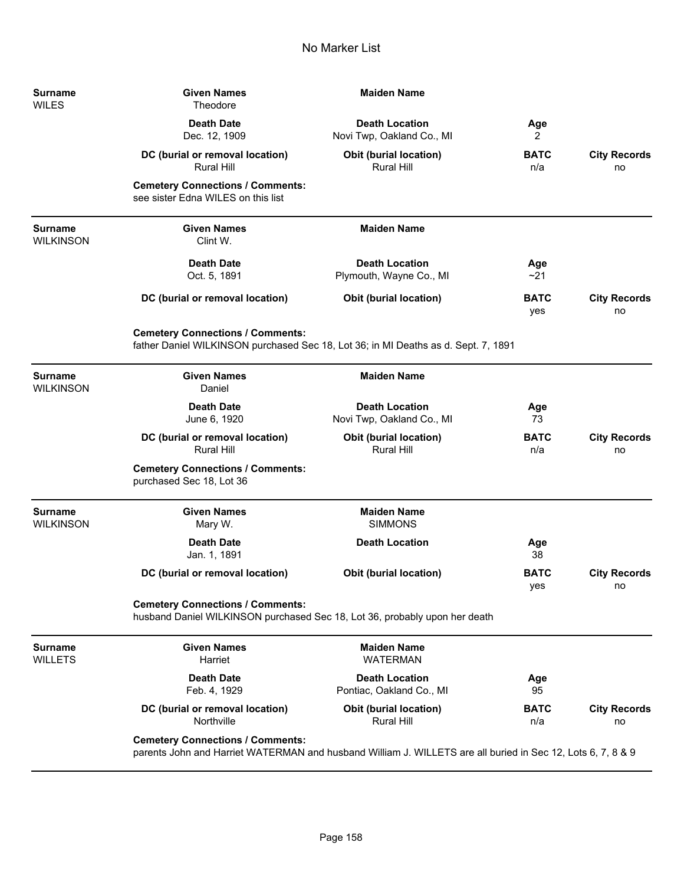| <b>Surname</b><br><b>WILES</b>     | <b>Given Names</b><br>Theodore                                                                                                                         | <b>Maiden Name</b>                                 |                    |                           |
|------------------------------------|--------------------------------------------------------------------------------------------------------------------------------------------------------|----------------------------------------------------|--------------------|---------------------------|
|                                    | <b>Death Date</b><br>Dec. 12, 1909                                                                                                                     | <b>Death Location</b><br>Novi Twp, Oakland Co., MI | Age<br>2           |                           |
|                                    | DC (burial or removal location)<br><b>Rural Hill</b>                                                                                                   | <b>Obit (burial location)</b><br><b>Rural Hill</b> | <b>BATC</b><br>n/a | <b>City Records</b><br>no |
|                                    | <b>Cemetery Connections / Comments:</b><br>see sister Edna WILES on this list                                                                          |                                                    |                    |                           |
| <b>Surname</b><br><b>WILKINSON</b> | <b>Given Names</b><br>Clint W.                                                                                                                         | <b>Maiden Name</b>                                 |                    |                           |
|                                    | <b>Death Date</b><br>Oct. 5, 1891                                                                                                                      | <b>Death Location</b><br>Plymouth, Wayne Co., MI   | Age<br>~21         |                           |
|                                    | DC (burial or removal location)                                                                                                                        | <b>Obit (burial location)</b>                      | <b>BATC</b><br>yes | <b>City Records</b><br>no |
|                                    | <b>Cemetery Connections / Comments:</b><br>father Daniel WILKINSON purchased Sec 18, Lot 36; in MI Deaths as d. Sept. 7, 1891                          |                                                    |                    |                           |
| <b>Surname</b><br><b>WILKINSON</b> | <b>Given Names</b><br>Daniel                                                                                                                           | <b>Maiden Name</b>                                 |                    |                           |
|                                    | <b>Death Date</b><br>June 6, 1920                                                                                                                      | <b>Death Location</b><br>Novi Twp, Oakland Co., MI | Age<br>73          |                           |
|                                    | DC (burial or removal location)<br><b>Rural Hill</b>                                                                                                   | <b>Obit (burial location)</b><br><b>Rural Hill</b> | <b>BATC</b><br>n/a | <b>City Records</b><br>no |
|                                    | <b>Cemetery Connections / Comments:</b><br>purchased Sec 18, Lot 36                                                                                    |                                                    |                    |                           |
| <b>Surname</b><br><b>WILKINSON</b> | <b>Given Names</b><br>Mary W.                                                                                                                          | <b>Maiden Name</b><br><b>SIMMONS</b>               |                    |                           |
|                                    | <b>Death Date</b><br>Jan. 1, 1891                                                                                                                      | <b>Death Location</b>                              | Age<br>38          |                           |
|                                    | DC (burial or removal location)                                                                                                                        | <b>Obit (burial location)</b>                      | <b>BATC</b><br>yes | <b>City Records</b><br>no |
|                                    | <b>Cemetery Connections / Comments:</b><br>husband Daniel WILKINSON purchased Sec 18, Lot 36, probably upon her death                                  |                                                    |                    |                           |
| <b>Surname</b><br><b>WILLETS</b>   | <b>Given Names</b><br>Harriet                                                                                                                          | <b>Maiden Name</b><br><b>WATERMAN</b>              |                    |                           |
|                                    | <b>Death Date</b><br>Feb. 4, 1929                                                                                                                      | <b>Death Location</b><br>Pontiac, Oakland Co., MI  | Age<br>95          |                           |
|                                    | DC (burial or removal location)<br>Northville                                                                                                          | <b>Obit (burial location)</b><br>Rural Hill        | <b>BATC</b><br>n/a | <b>City Records</b><br>no |
|                                    | <b>Cemetery Connections / Comments:</b><br>parents John and Harriet WATERMAN and husband William J. WILLETS are all buried in Sec 12, Lots 6, 7, 8 & 9 |                                                    |                    |                           |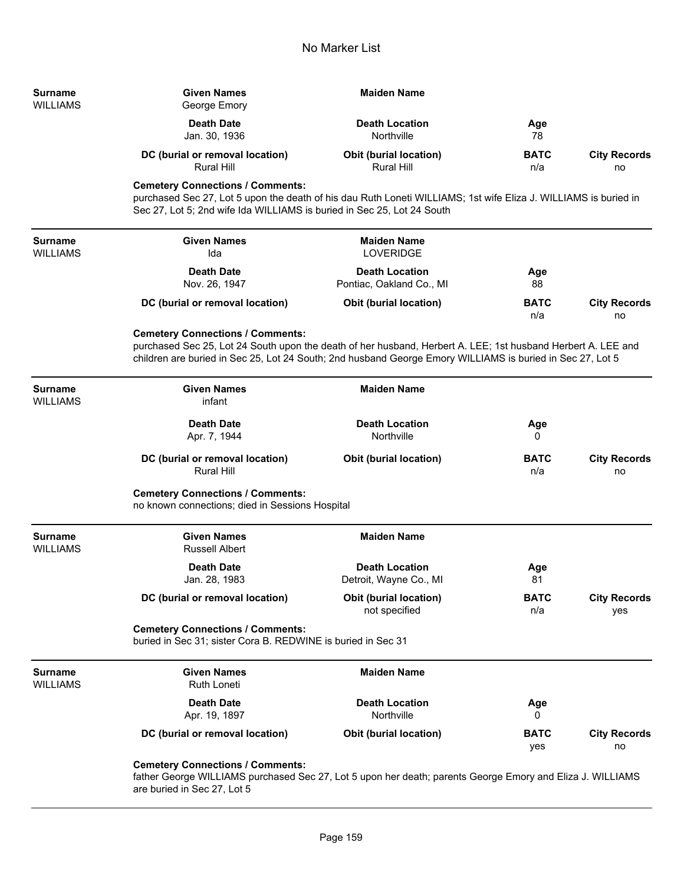| <b>Surname</b><br><b>WILLIAMS</b> | <b>Given Names</b><br>George Emory                                                                                                                                                                                                                                   | <b>Maiden Name</b>                                |                    |                            |  |
|-----------------------------------|----------------------------------------------------------------------------------------------------------------------------------------------------------------------------------------------------------------------------------------------------------------------|---------------------------------------------------|--------------------|----------------------------|--|
|                                   | <b>Death Date</b><br>Jan. 30, 1936                                                                                                                                                                                                                                   | <b>Death Location</b><br>Northville               | Age<br>78          |                            |  |
|                                   | DC (burial or removal location)<br><b>Rural Hill</b>                                                                                                                                                                                                                 | <b>Obit (burial location)</b><br>Rural Hill       | <b>BATC</b><br>n/a | <b>City Records</b><br>no  |  |
|                                   | <b>Cemetery Connections / Comments:</b><br>purchased Sec 27, Lot 5 upon the death of his dau Ruth Loneti WILLIAMS; 1st wife Eliza J. WILLIAMS is buried in<br>Sec 27, Lot 5; 2nd wife Ida WILLIAMS is buried in Sec 25, Lot 24 South                                 |                                                   |                    |                            |  |
| <b>Surname</b><br><b>WILLIAMS</b> | <b>Given Names</b><br>Ida                                                                                                                                                                                                                                            | <b>Maiden Name</b><br><b>LOVERIDGE</b>            |                    |                            |  |
|                                   | <b>Death Date</b><br>Nov. 26, 1947                                                                                                                                                                                                                                   | <b>Death Location</b><br>Pontiac, Oakland Co., MI | Age<br>88          |                            |  |
|                                   | DC (burial or removal location)                                                                                                                                                                                                                                      | <b>Obit (burial location)</b>                     | <b>BATC</b><br>n/a | <b>City Records</b><br>no  |  |
|                                   | <b>Cemetery Connections / Comments:</b><br>purchased Sec 25, Lot 24 South upon the death of her husband, Herbert A. LEE; 1st husband Herbert A. LEE and<br>children are buried in Sec 25, Lot 24 South; 2nd husband George Emory WILLIAMS is buried in Sec 27, Lot 5 |                                                   |                    |                            |  |
| <b>Surname</b><br><b>WILLIAMS</b> | <b>Given Names</b><br>infant                                                                                                                                                                                                                                         | <b>Maiden Name</b>                                |                    |                            |  |
|                                   | <b>Death Date</b><br>Apr. 7, 1944                                                                                                                                                                                                                                    | <b>Death Location</b><br>Northville               | Age<br>0           |                            |  |
|                                   | DC (burial or removal location)<br><b>Rural Hill</b>                                                                                                                                                                                                                 | <b>Obit (burial location)</b>                     | <b>BATC</b><br>n/a | <b>City Records</b><br>no  |  |
|                                   | <b>Cemetery Connections / Comments:</b><br>no known connections; died in Sessions Hospital                                                                                                                                                                           |                                                   |                    |                            |  |
| <b>Surname</b><br><b>WILLIAMS</b> | <b>Given Names</b><br><b>Russell Albert</b>                                                                                                                                                                                                                          | <b>Maiden Name</b>                                |                    |                            |  |
|                                   | <b>Death Date</b><br>Jan. 28, 1983                                                                                                                                                                                                                                   | <b>Death Location</b><br>Detroit, Wayne Co., MI   | Age<br>81          |                            |  |
|                                   | DC (burial or removal location)                                                                                                                                                                                                                                      | <b>Obit (burial location)</b><br>not specified    | <b>BATC</b><br>n/a | <b>City Records</b><br>yes |  |
|                                   | <b>Cemetery Connections / Comments:</b><br>buried in Sec 31; sister Cora B. REDWINE is buried in Sec 31                                                                                                                                                              |                                                   |                    |                            |  |
| <b>Surname</b><br><b>WILLIAMS</b> | <b>Given Names</b><br><b>Ruth Loneti</b>                                                                                                                                                                                                                             | <b>Maiden Name</b>                                |                    |                            |  |
|                                   | <b>Death Date</b><br>Apr. 19, 1897                                                                                                                                                                                                                                   | <b>Death Location</b><br>Northville               | Age<br>0           |                            |  |
|                                   | DC (burial or removal location)                                                                                                                                                                                                                                      | <b>Obit (burial location)</b>                     | <b>BATC</b><br>yes | <b>City Records</b><br>no  |  |
|                                   | <b>Cemetery Connections / Comments:</b><br>father George WILLIAMS purchased Sec 27, Lot 5 upon her death; parents George Emory and Eliza J. WILLIAMS<br>are buried in Sec 27, Lot 5                                                                                  |                                                   |                    |                            |  |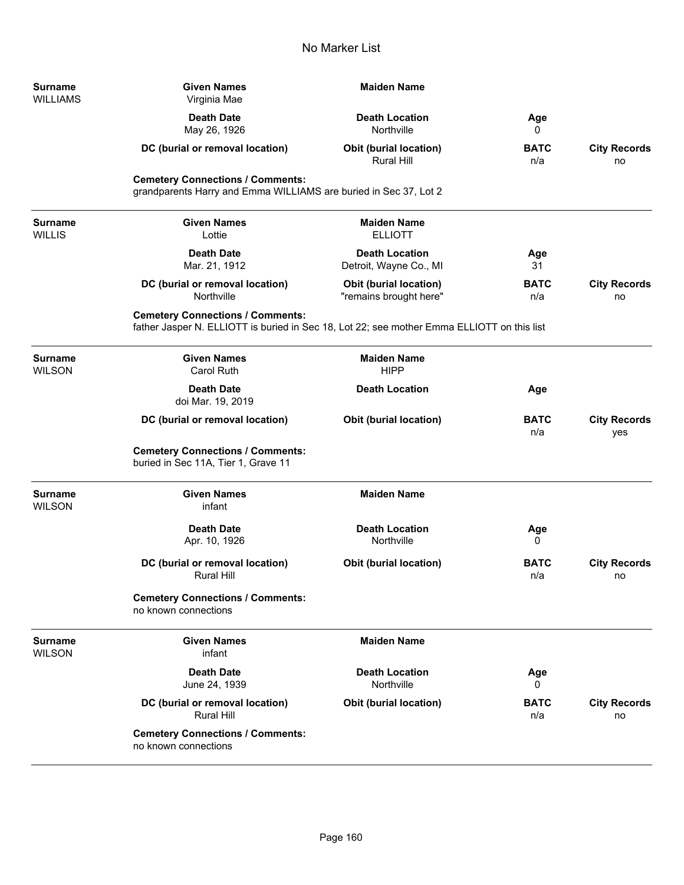| <b>Surname</b><br>WILLIAMS | <b>Given Names</b><br>Virginia Mae                                                                                                    | <b>Maiden Name</b>                                      |                    |                            |
|----------------------------|---------------------------------------------------------------------------------------------------------------------------------------|---------------------------------------------------------|--------------------|----------------------------|
|                            | <b>Death Date</b><br>May 26, 1926                                                                                                     | <b>Death Location</b><br>Northville                     | Age<br>0           |                            |
|                            | DC (burial or removal location)                                                                                                       | <b>Obit (burial location)</b><br>Rural Hill             | <b>BATC</b><br>n/a | <b>City Records</b><br>no  |
|                            | <b>Cemetery Connections / Comments:</b><br>grandparents Harry and Emma WILLIAMS are buried in Sec 37, Lot 2                           |                                                         |                    |                            |
| Surname<br>WILLIS          | <b>Given Names</b><br>Lottie                                                                                                          | <b>Maiden Name</b><br><b>ELLIOTT</b>                    |                    |                            |
|                            | <b>Death Date</b><br>Mar. 21, 1912                                                                                                    | <b>Death Location</b><br>Detroit, Wayne Co., MI         | Age<br>31          |                            |
|                            | DC (burial or removal location)<br>Northville                                                                                         | <b>Obit (burial location)</b><br>"remains brought here" | <b>BATC</b><br>n/a | <b>City Records</b><br>no  |
|                            | <b>Cemetery Connections / Comments:</b><br>father Jasper N. ELLIOTT is buried in Sec 18, Lot 22; see mother Emma ELLIOTT on this list |                                                         |                    |                            |
| Surname<br>WILSON          | <b>Given Names</b><br><b>Carol Ruth</b>                                                                                               | <b>Maiden Name</b><br><b>HIPP</b>                       |                    |                            |
|                            | <b>Death Date</b><br>doi Mar. 19, 2019                                                                                                | <b>Death Location</b>                                   | Age                |                            |
|                            | DC (burial or removal location)                                                                                                       | <b>Obit (burial location)</b>                           | <b>BATC</b><br>n/a | <b>City Records</b><br>yes |
|                            | <b>Cemetery Connections / Comments:</b><br>buried in Sec 11A, Tier 1, Grave 11                                                        |                                                         |                    |                            |
| Surname<br>WILSON          | <b>Given Names</b><br>infant                                                                                                          | <b>Maiden Name</b>                                      |                    |                            |
|                            | <b>Death Date</b><br>Apr. 10, 1926                                                                                                    | <b>Death Location</b><br>Northville                     | Age<br>0           |                            |
|                            | DC (burial or removal location)<br><b>Rural Hill</b>                                                                                  | <b>Obit (burial location)</b>                           | <b>BATC</b><br>n/a | <b>City Records</b><br>no  |
|                            | <b>Cemetery Connections / Comments:</b><br>no known connections                                                                       |                                                         |                    |                            |
| Surname<br>WILSON          | <b>Given Names</b><br>infant                                                                                                          | <b>Maiden Name</b>                                      |                    |                            |
|                            | <b>Death Date</b><br>June 24, 1939                                                                                                    | <b>Death Location</b><br>Northville                     | Age<br>0           |                            |
|                            | DC (burial or removal location)<br><b>Rural Hill</b>                                                                                  | <b>Obit (burial location)</b>                           | <b>BATC</b><br>n/a | <b>City Records</b><br>no  |
|                            | <b>Cemetery Connections / Comments:</b><br>no known connections                                                                       |                                                         |                    |                            |

-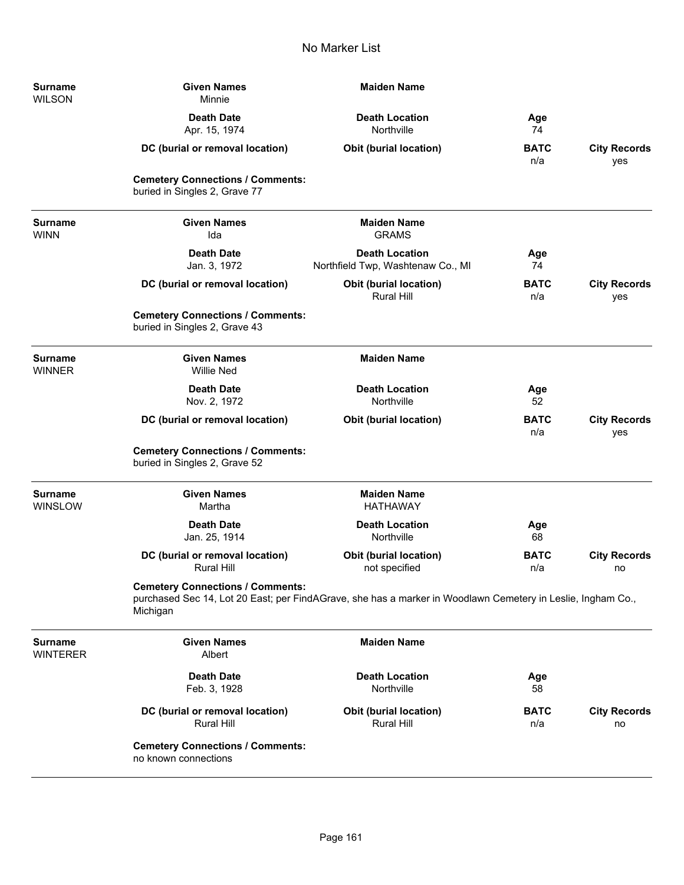| Surname<br><b>WILSON</b>          | <b>Given Names</b><br>Minnie                                             | <b>Maiden Name</b>                                                                                          |                    |                            |
|-----------------------------------|--------------------------------------------------------------------------|-------------------------------------------------------------------------------------------------------------|--------------------|----------------------------|
|                                   | <b>Death Date</b><br>Apr. 15, 1974                                       | <b>Death Location</b><br>Northville                                                                         | Age<br>74          |                            |
|                                   | DC (burial or removal location)                                          | <b>Obit (burial location)</b>                                                                               | <b>BATC</b><br>n/a | <b>City Records</b><br>yes |
|                                   | <b>Cemetery Connections / Comments:</b><br>buried in Singles 2, Grave 77 |                                                                                                             |                    |                            |
| <b>Surname</b><br><b>WINN</b>     | <b>Given Names</b><br>Ida                                                | <b>Maiden Name</b><br><b>GRAMS</b>                                                                          |                    |                            |
|                                   | <b>Death Date</b><br>Jan. 3, 1972                                        | <b>Death Location</b><br>Northfield Twp, Washtenaw Co., MI                                                  | Age<br>74          |                            |
|                                   | DC (burial or removal location)                                          | <b>Obit (burial location)</b><br><b>Rural Hill</b>                                                          | <b>BATC</b><br>n/a | <b>City Records</b><br>yes |
|                                   | <b>Cemetery Connections / Comments:</b><br>buried in Singles 2, Grave 43 |                                                                                                             |                    |                            |
| <b>Surname</b><br><b>WINNER</b>   | <b>Given Names</b><br><b>Willie Ned</b>                                  | <b>Maiden Name</b>                                                                                          |                    |                            |
|                                   | <b>Death Date</b><br>Nov. 2, 1972                                        | <b>Death Location</b><br>Northville                                                                         | Age<br>52          |                            |
|                                   | DC (burial or removal location)                                          | <b>Obit (burial location)</b>                                                                               | <b>BATC</b><br>n/a | <b>City Records</b><br>yes |
|                                   | <b>Cemetery Connections / Comments:</b><br>buried in Singles 2, Grave 52 |                                                                                                             |                    |                            |
| <b>Surname</b><br>WINSLOW         | <b>Given Names</b><br>Martha                                             | <b>Maiden Name</b><br><b>HATHAWAY</b>                                                                       |                    |                            |
|                                   | <b>Death Date</b><br>Jan. 25, 1914                                       | <b>Death Location</b><br>Northville                                                                         | Age<br>68          |                            |
|                                   | DC (burial or removal location)<br><b>Rural Hill</b>                     | Obit (burial location)<br>not specified                                                                     | <b>BATC</b><br>n/a | <b>City Records</b><br>no  |
|                                   | <b>Cemetery Connections / Comments:</b><br>Michigan                      | purchased Sec 14, Lot 20 East; per FindAGrave, she has a marker in Woodlawn Cemetery in Leslie, Ingham Co., |                    |                            |
| <b>Surname</b><br><b>WINTERER</b> | <b>Given Names</b><br>Albert                                             | <b>Maiden Name</b>                                                                                          |                    |                            |
|                                   | <b>Death Date</b><br>Feb. 3, 1928                                        | <b>Death Location</b><br>Northville                                                                         | Age<br>58          |                            |
|                                   | DC (burial or removal location)<br>Rural Hill                            | Obit (burial location)<br>Rural Hill                                                                        | <b>BATC</b><br>n/a | <b>City Records</b><br>no  |
|                                   | <b>Cemetery Connections / Comments:</b><br>no known connections          |                                                                                                             |                    |                            |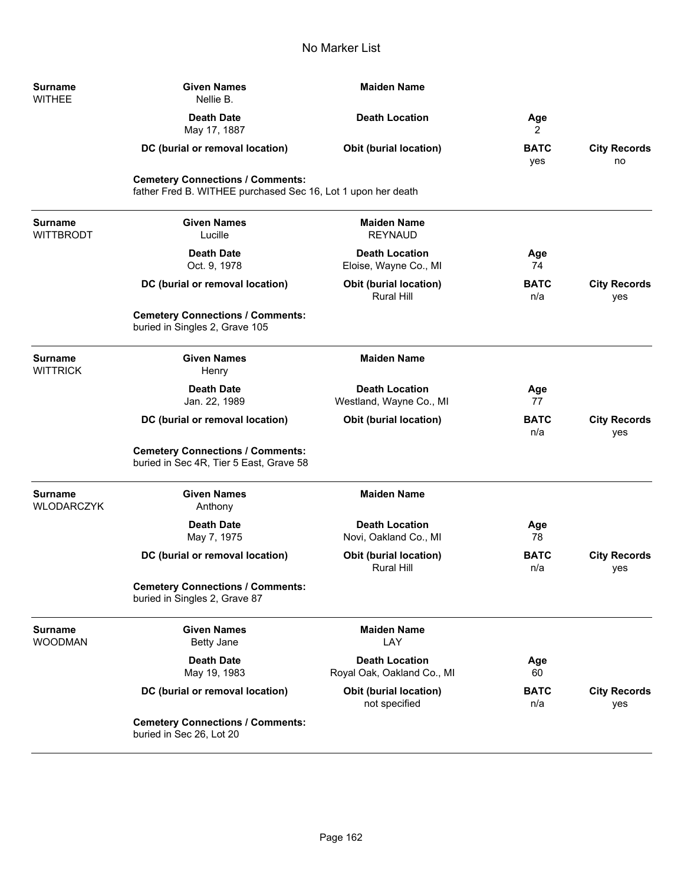| <b>Surname</b><br><b>WITHEE</b>     | <b>Given Names</b><br>Nellie B.                                                                         | <b>Maiden Name</b>                                  |                    |                            |
|-------------------------------------|---------------------------------------------------------------------------------------------------------|-----------------------------------------------------|--------------------|----------------------------|
|                                     | <b>Death Date</b><br>May 17, 1887                                                                       | <b>Death Location</b>                               | Age<br>2           |                            |
|                                     | DC (burial or removal location)                                                                         | <b>Obit (burial location)</b>                       | <b>BATC</b><br>yes | <b>City Records</b><br>no  |
|                                     | <b>Cemetery Connections / Comments:</b><br>father Fred B. WITHEE purchased Sec 16, Lot 1 upon her death |                                                     |                    |                            |
| <b>Surname</b><br><b>WITTBRODT</b>  | <b>Given Names</b><br>Lucille                                                                           | <b>Maiden Name</b><br><b>REYNAUD</b>                |                    |                            |
|                                     | <b>Death Date</b><br>Oct. 9, 1978                                                                       | <b>Death Location</b><br>Eloise, Wayne Co., MI      | Age<br>74          |                            |
|                                     | DC (burial or removal location)                                                                         | Obit (burial location)<br><b>Rural Hill</b>         | <b>BATC</b><br>n/a | <b>City Records</b><br>yes |
|                                     | <b>Cemetery Connections / Comments:</b><br>buried in Singles 2, Grave 105                               |                                                     |                    |                            |
| <b>Surname</b><br><b>WITTRICK</b>   | <b>Given Names</b><br>Henry                                                                             | <b>Maiden Name</b>                                  |                    |                            |
|                                     | <b>Death Date</b><br>Jan. 22, 1989                                                                      | <b>Death Location</b><br>Westland, Wayne Co., MI    | Age<br>77          |                            |
|                                     | DC (burial or removal location)                                                                         | Obit (burial location)                              | <b>BATC</b><br>n/a | <b>City Records</b><br>yes |
|                                     | <b>Cemetery Connections / Comments:</b><br>buried in Sec 4R, Tier 5 East, Grave 58                      |                                                     |                    |                            |
| <b>Surname</b><br><b>WLODARCZYK</b> | <b>Given Names</b><br>Anthony                                                                           | <b>Maiden Name</b>                                  |                    |                            |
|                                     | <b>Death Date</b><br>May 7, 1975                                                                        | <b>Death Location</b><br>Novi, Oakland Co., MI      | Age<br>78          |                            |
|                                     | DC (burial or removal location)                                                                         | Obit (burial location)<br><b>Rural Hill</b>         | <b>BATC</b><br>n/a | <b>City Records</b><br>yes |
|                                     | <b>Cemetery Connections / Comments:</b><br>buried in Singles 2, Grave 87                                |                                                     |                    |                            |
| <b>Surname</b><br><b>WOODMAN</b>    | <b>Given Names</b><br><b>Betty Jane</b>                                                                 | <b>Maiden Name</b><br>LAY                           |                    |                            |
|                                     | <b>Death Date</b><br>May 19, 1983                                                                       | <b>Death Location</b><br>Royal Oak, Oakland Co., MI | Age<br>60          |                            |
|                                     | DC (burial or removal location)                                                                         | <b>Obit (burial location)</b><br>not specified      | <b>BATC</b><br>n/a | <b>City Records</b><br>yes |
|                                     | <b>Cemetery Connections / Comments:</b><br>buried in Sec 26, Lot 20                                     |                                                     |                    |                            |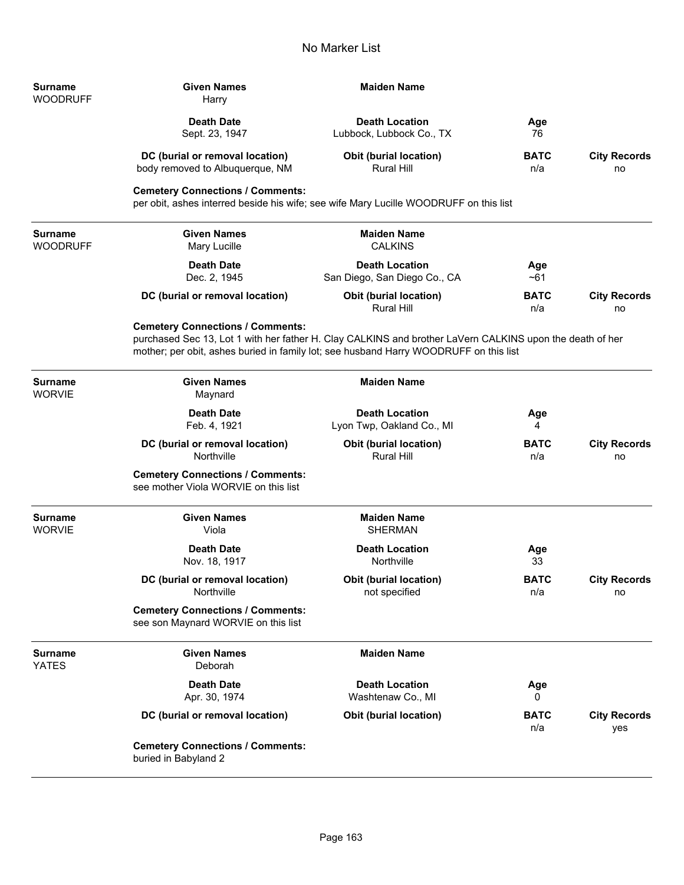| Surname<br>WOODRUFF      | <b>Given Names</b><br>Harry                                                                                                                                                                                                                  | <b>Maiden Name</b>                                    |                    |                            |
|--------------------------|----------------------------------------------------------------------------------------------------------------------------------------------------------------------------------------------------------------------------------------------|-------------------------------------------------------|--------------------|----------------------------|
|                          | <b>Death Date</b><br>Sept. 23, 1947                                                                                                                                                                                                          | <b>Death Location</b><br>Lubbock, Lubbock Co., TX     | Age<br>76          |                            |
|                          | DC (burial or removal location)<br>body removed to Albuquerque, NM                                                                                                                                                                           | <b>Obit (burial location)</b><br><b>Rural Hill</b>    | <b>BATC</b><br>n/a | <b>City Records</b><br>no  |
|                          | <b>Cemetery Connections / Comments:</b><br>per obit, ashes interred beside his wife; see wife Mary Lucille WOODRUFF on this list                                                                                                             |                                                       |                    |                            |
| Surname<br>WOODRUFF      | <b>Given Names</b><br>Mary Lucille                                                                                                                                                                                                           | <b>Maiden Name</b><br><b>CALKINS</b>                  |                    |                            |
|                          | <b>Death Date</b><br>Dec. 2, 1945                                                                                                                                                                                                            | <b>Death Location</b><br>San Diego, San Diego Co., CA | Age<br>$~1$ ~61    |                            |
|                          | DC (burial or removal location)                                                                                                                                                                                                              | <b>Obit (burial location)</b><br><b>Rural Hill</b>    | <b>BATC</b><br>n/a | <b>City Records</b><br>no  |
|                          | <b>Cemetery Connections / Comments:</b><br>purchased Sec 13, Lot 1 with her father H. Clay CALKINS and brother LaVern CALKINS upon the death of her<br>mother; per obit, ashes buried in family lot; see husband Harry WOODRUFF on this list |                                                       |                    |                            |
| <b>Surname</b><br>WORVIE | <b>Given Names</b><br>Maynard                                                                                                                                                                                                                | <b>Maiden Name</b>                                    |                    |                            |
|                          | <b>Death Date</b><br>Feb. 4, 1921                                                                                                                                                                                                            | <b>Death Location</b><br>Lyon Twp, Oakland Co., MI    | Age<br>4           |                            |
|                          | DC (burial or removal location)<br>Northville                                                                                                                                                                                                | <b>Obit (burial location)</b><br><b>Rural Hill</b>    | <b>BATC</b><br>n/a | <b>City Records</b><br>no  |
|                          | <b>Cemetery Connections / Comments:</b><br>see mother Viola WORVIE on this list                                                                                                                                                              |                                                       |                    |                            |
| Surname<br>WORVIE        | <b>Given Names</b><br>Viola                                                                                                                                                                                                                  | <b>Maiden Name</b><br><b>SHERMAN</b>                  |                    |                            |
|                          | <b>Death Date</b><br>Nov. 18, 1917                                                                                                                                                                                                           | <b>Death Location</b><br>Northville                   | Age<br>33          |                            |
|                          | DC (burial or removal location)<br>Northville                                                                                                                                                                                                | <b>Obit (burial location)</b><br>not specified        | <b>BATC</b><br>n/a | <b>City Records</b><br>no  |
|                          | <b>Cemetery Connections / Comments:</b><br>see son Maynard WORVIE on this list                                                                                                                                                               |                                                       |                    |                            |
| Surname<br>YATES         | <b>Given Names</b><br>Deborah                                                                                                                                                                                                                | <b>Maiden Name</b>                                    |                    |                            |
|                          | <b>Death Date</b><br>Apr. 30, 1974                                                                                                                                                                                                           | <b>Death Location</b><br>Washtenaw Co., MI            | Age<br>0           |                            |
|                          | DC (burial or removal location)                                                                                                                                                                                                              | Obit (burial location)                                | <b>BATC</b><br>n/a | <b>City Records</b><br>yes |
|                          | <b>Cemetery Connections / Comments:</b><br>buried in Babyland 2                                                                                                                                                                              |                                                       |                    |                            |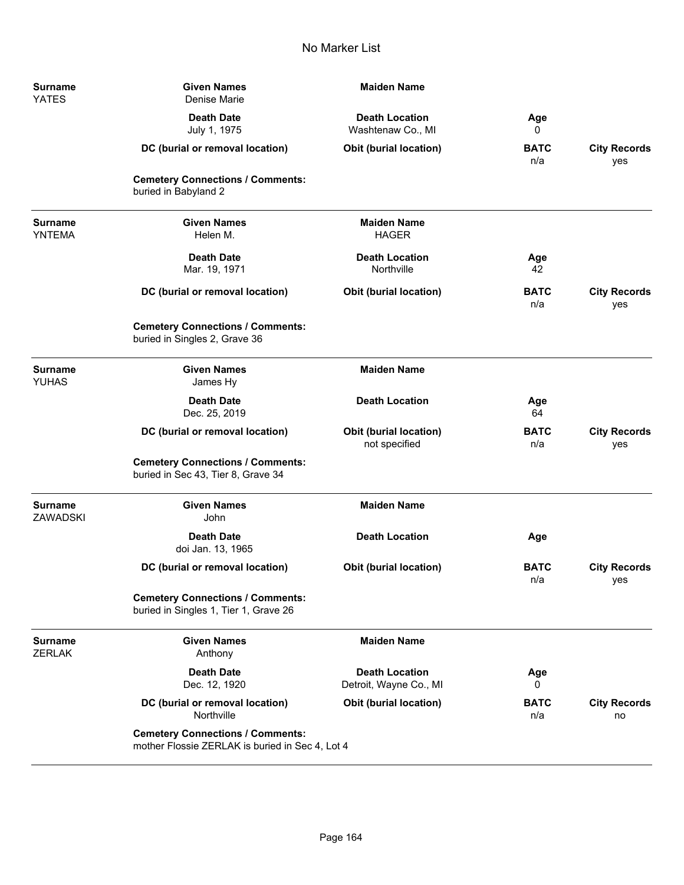| Surname<br><b>YATES</b>           | <b>Given Names</b><br>Denise Marie                                                         | <b>Maiden Name</b>                              |                    |                            |
|-----------------------------------|--------------------------------------------------------------------------------------------|-------------------------------------------------|--------------------|----------------------------|
|                                   | <b>Death Date</b><br>July 1, 1975                                                          | <b>Death Location</b><br>Washtenaw Co., MI      | Age<br>0           |                            |
|                                   | DC (burial or removal location)                                                            | Obit (burial location)                          | <b>BATC</b><br>n/a | <b>City Records</b><br>yes |
|                                   | <b>Cemetery Connections / Comments:</b><br>buried in Babyland 2                            |                                                 |                    |                            |
| <b>Surname</b><br><b>YNTEMA</b>   | <b>Given Names</b><br>Helen M.                                                             | <b>Maiden Name</b><br><b>HAGER</b>              |                    |                            |
|                                   | <b>Death Date</b><br>Mar. 19, 1971                                                         | <b>Death Location</b><br>Northville             | Age<br>42          |                            |
|                                   | DC (burial or removal location)                                                            | <b>Obit (burial location)</b>                   | <b>BATC</b><br>n/a | <b>City Records</b><br>yes |
|                                   | <b>Cemetery Connections / Comments:</b><br>buried in Singles 2, Grave 36                   |                                                 |                    |                            |
| <b>Surname</b><br><b>YUHAS</b>    | <b>Given Names</b><br>James Hy                                                             | <b>Maiden Name</b>                              |                    |                            |
|                                   | <b>Death Date</b><br>Dec. 25, 2019                                                         | <b>Death Location</b>                           | Age<br>64          |                            |
|                                   | DC (burial or removal location)                                                            | <b>Obit (burial location)</b><br>not specified  | <b>BATC</b><br>n/a | <b>City Records</b><br>yes |
|                                   | <b>Cemetery Connections / Comments:</b><br>buried in Sec 43, Tier 8, Grave 34              |                                                 |                    |                            |
| <b>Surname</b><br><b>ZAWADSKI</b> | <b>Given Names</b><br>John                                                                 | <b>Maiden Name</b>                              |                    |                            |
|                                   | <b>Death Date</b><br>doi Jan. 13, 1965                                                     | <b>Death Location</b>                           | Age                |                            |
|                                   | DC (burial or removal location)                                                            | <b>Obit (burial location)</b>                   | <b>BATC</b><br>n/a | <b>City Records</b><br>yes |
|                                   | <b>Cemetery Connections / Comments:</b><br>buried in Singles 1, Tier 1, Grave 26           |                                                 |                    |                            |
| <b>Surname</b><br><b>ZERLAK</b>   | <b>Given Names</b><br>Anthony                                                              | <b>Maiden Name</b>                              |                    |                            |
|                                   | <b>Death Date</b><br>Dec. 12, 1920                                                         | <b>Death Location</b><br>Detroit, Wayne Co., MI | Age<br>0           |                            |
|                                   | DC (burial or removal location)<br>Northville                                              | <b>Obit (burial location)</b>                   | <b>BATC</b><br>n/a | <b>City Records</b><br>no  |
|                                   | <b>Cemetery Connections / Comments:</b><br>mother Flossie ZERLAK is buried in Sec 4, Lot 4 |                                                 |                    |                            |